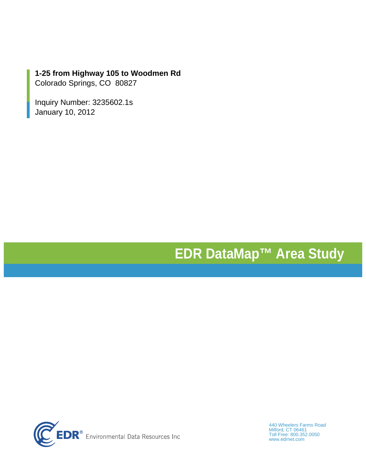## **1-25 from Highway 105 to Woodmen Rd**

Colorado Springs, CO 80827

Inquiry Number: 3235602.1s January 10, 2012

# **EDR DataMap™ Area Study**



440 Wheelers Farms Road Milford, CT 06461 Toll Free: 800.352.0050 www.edrnet.com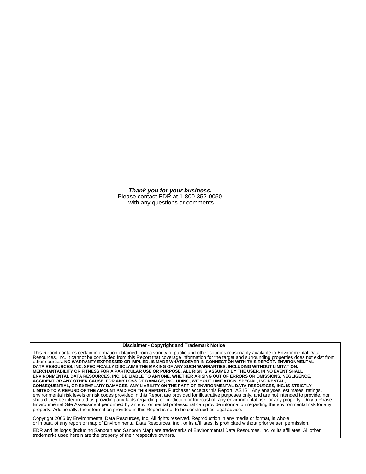*Thank you for your business.* Please contact EDR at 1-800-352-0050 with any questions or comments.

#### **Disclaimer - Copyright and Trademark Notice**

This Report contains certain information obtained from a variety of public and other sources reasonably available to Environmental Data Resources, Inc. It cannot be concluded from this Report that coverage information for the target and surrounding properties does not exist from<br>other sources. NO WARRANTY EXPRESSED OR IMPLIED, IS MADE WHATSOEVER IN CONNECT **DATA RESOURCES, INC. SPECIFICALLY DISCLAIMS THE MAKING OF ANY SUCH WARRANTIES, INCLUDING WITHOUT LIMITATION, MERCHANTABILITY OR FITNESS FOR A PARTICULAR USE OR PURPOSE. ALL RISK IS ASSUMED BY THE USER. IN NO EVENT SHALL ENVIRONMENTAL DATA RESOURCES, INC. BE LIABLE TO ANYONE, WHETHER ARISING OUT OF ERRORS OR OMISSIONS, NEGLIGENCE, ACCIDENT OR ANY OTHER CAUSE, FOR ANY LOSS OF DAMAGE, INCLUDING, WITHOUT LIMITATION, SPECIAL, INCIDENTAL,** CONSEQUENTIAL, OR EXEMPLARY DAMAGES. ANY LIABILITY ON THE PART OF ENVIRONMENTAL DATA RESOURCES, INC. IS STRICTLY<br>LIMITED TO A REFUND OF THE AMOUNT PAID FOR THIS REPORT. Purchaser accepts this Report "AS IS". Any analyses, environmental risk levels or risk codes provided in this Report are provided for illustrative purposes only, and are not intended to provide, nor should they be interpreted as providing any facts regarding, or prediction or forecast of, any environmental risk for any property. Only a Phase I Environmental Site Assessment performed by an environmental professional can provide information regarding the environmental risk for any property. Additionally, the information provided in this Report is not to be construed as legal advice.

Copyright 2006 by Environmental Data Resources, Inc. All rights reserved. Reproduction in any media or format, in whole or in part, of any report or map of Environmental Data Resources, Inc., or its affiliates, is prohibited without prior written permission.

EDR and its logos (including Sanborn and Sanborn Map) are trademarks of Environmental Data Resources, Inc. or its affiliates. All other trademarks used herein are the property of their respective owners.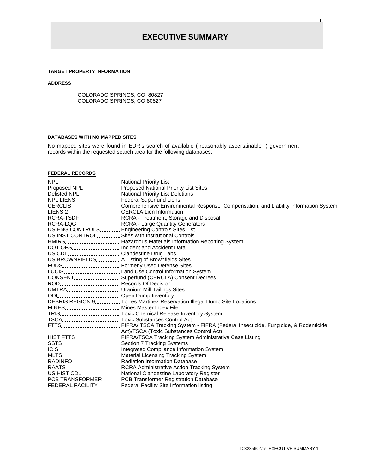### **TARGET PROPERTY INFORMATION**

#### **ADDRESS**

COLORADO SPRINGS, CO 80827 COLORADO SPRINGS, CO 80827

### **DATABASES WITH NO MAPPED SITES**

No mapped sites were found in EDR's search of available ("reasonably ascertainable ") government records within the requested search area for the following databases:

#### **FEDERAL RECORDS**

| NPL National Priority List                       |                                                                                                                |
|--------------------------------------------------|----------------------------------------------------------------------------------------------------------------|
|                                                  | Proposed NPL Proposed National Priority List Sites                                                             |
|                                                  | Delisted NPL National Priority List Deletions                                                                  |
| NPL LIENS Federal Superfund Liens                |                                                                                                                |
|                                                  | CERCLISComprehensive Environmental Response, Compensation, and Liability Information System                    |
|                                                  |                                                                                                                |
|                                                  | RCRA-TSDF RCRA - Treatment, Storage and Disposal                                                               |
|                                                  | RCRA-LQG RCRA - Large Quantity Generators                                                                      |
|                                                  | US ENG CONTROLS Engineering Controls Sites List                                                                |
|                                                  | US INST CONTROL Sites with Institutional Controls                                                              |
|                                                  | HMIRS <sub>---------------------</sub> Hazardous Materials Information Reporting System                        |
| DOT OPS Incident and Accident Data               |                                                                                                                |
| US CDL Clandestine Drug Labs                     |                                                                                                                |
|                                                  | US BROWNFIELDS.  A Listing of Brownfields Sites                                                                |
|                                                  | FUDS Formerly Used Defense Sites                                                                               |
|                                                  | LUCIS Land Use Control Information System                                                                      |
|                                                  | CONSENT Superfund (CERCLA) Consent Decrees                                                                     |
| ROD Records Of Decision                          |                                                                                                                |
| UMTRA Uranium Mill Tailings Sites                |                                                                                                                |
| ODI_________________________ Open Dump Inventory |                                                                                                                |
|                                                  | DEBRIS REGION 9. Torres Martinez Reservation Illegal Dump Site Locations                                       |
| MINES Mines Master Index File                    |                                                                                                                |
|                                                  | TRIS Toxic Chemical Release Inventory System                                                                   |
|                                                  | TSCA Toxic Substances Control Act                                                                              |
|                                                  | FTTS________________________FIFRA/ TSCA Tracking System - FIFRA (Federal Insecticide, Fungicide, & Rodenticide |
|                                                  | Act)/TSCA (Toxic Substances Control Act)                                                                       |
|                                                  | HIST FTTS.  FIFRA/TSCA Tracking System Administrative Case Listing                                             |
|                                                  | SSTS Section 7 Tracking Systems                                                                                |
|                                                  |                                                                                                                |
|                                                  | MLTS.  Material Licensing Tracking System                                                                      |
|                                                  | RADINFO.  Radiation Information Database                                                                       |
|                                                  | RAATS RCRA Administrative Action Tracking System                                                               |
|                                                  | US HIST CDL National Clandestine Laboratory Register                                                           |
|                                                  | PCB TRANSFORMER PCB Transformer Registration Database                                                          |
|                                                  | FEDERAL FACILITY________ Federal Facility Site Information listing                                             |
|                                                  |                                                                                                                |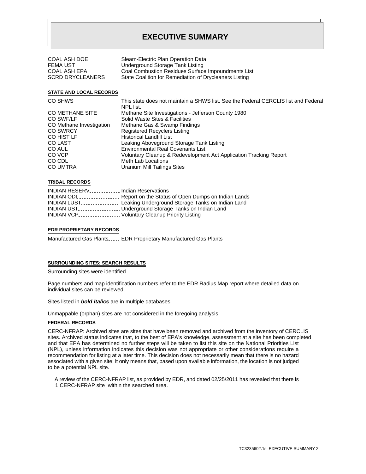| COAL ASH DOE Sleam-Electric Plan Operation Data                         |
|-------------------------------------------------------------------------|
| FEMA UST Underground Storage Tank Listing                               |
|                                                                         |
| SCRD DRYCLEANERS State Coalition for Remediation of Drycleaners Listing |

#### **STATE AND LOCAL RECORDS**

|                                                        | NPL list.                                                                                                                   |
|--------------------------------------------------------|-----------------------------------------------------------------------------------------------------------------------------|
|                                                        | CO METHANE SITE_________ Methane Site Investigations - Jefferson County 1980                                                |
|                                                        | CO SWF/LF Solid Waste Sites & Facilities                                                                                    |
|                                                        | CO Methane Investigation Methane Gas & Swamp Findings                                                                       |
| CO SWRCY Registered Recyclers Listing                  |                                                                                                                             |
| CO HIST LF. Historical Landfill List                   |                                                                                                                             |
|                                                        | CO LAST <sub>1</sub> , 2000, 2000, 2000, 2000, 2000, 2000, 2000, 2000, 2000, 2000, 2000, 2000, 2000, 2000, 2000, 2000, 2000 |
|                                                        | CO AUL CONSULTING CONSULTING Environmental Real Covenants List                                                              |
|                                                        | CO VCP Voluntary Cleanup & Redevelopment Act Application Tracking Report                                                    |
| CO CDL CONVERTISE CO CDL CONVERTING Meth Lab Locations |                                                                                                                             |
| CO UMTRA Uranium Mill Tailings Sites                   |                                                                                                                             |

#### **TRIBAL RECORDS**

| INDIAN RESERV <sub>1</sub> , 2002, 2004, Indian Reservations |                                                                                      |
|--------------------------------------------------------------|--------------------------------------------------------------------------------------|
|                                                              |                                                                                      |
|                                                              | <b>INDIAN LUST</b> ________________ Leaking Underground Storage Tanks on Indian Land |
|                                                              | INDIAN UST Underground Storage Tanks on Indian Land                                  |
|                                                              | INDIAN VCP.  Voluntary Cleanup Priority Listing                                      |

#### **EDR PROPRIETARY RECORDS**

Manufactured Gas Plants..... EDR Proprietary Manufactured Gas Plants

#### **SURROUNDING SITES: SEARCH RESULTS**

Surrounding sites were identified.

Page numbers and map identification numbers refer to the EDR Radius Map report where detailed data on individual sites can be reviewed.

Sites listed in *bold italics* are in multiple databases.

Unmappable (orphan) sites are not considered in the foregoing analysis.

#### **FEDERAL RECORDS**

CERC-NFRAP: Archived sites are sites that have been removed and archived from the inventory of CERCLIS sites. Archived status indicates that, to the best of EPA's knowledge, assessment at a site has been completed and that EPA has determined no further steps will be taken to list this site on the National Priorities List (NPL), unless information indicates this decision was not appropriate or other considerations require a recommendation for listing at a later time. This decision does not necessarily mean that there is no hazard associated with a given site; it only means that, based upon available information, the location is not judged to be a potential NPL site.

 A review of the CERC-NFRAP list, as provided by EDR, and dated 02/25/2011 has revealed that there is 1 CERC-NFRAP site within the searched area.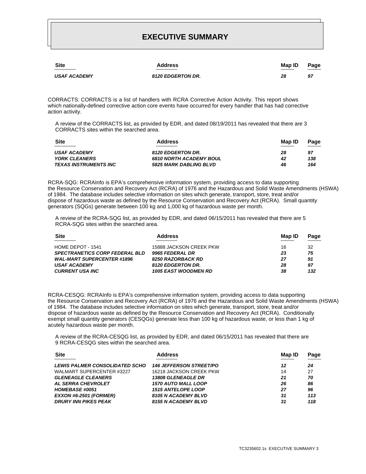| <b>Site</b>         | <b>Address</b>           | Map ID | Page<br>$\overline{\phantom{a}}$ |
|---------------------|--------------------------|--------|----------------------------------|
| <b>USAF ACADEMY</b> | <b>8120 EDGERTON DR.</b> | 28     | 97                               |

CORRACTS: CORRACTS is a list of handlers with RCRA Corrective Action Activity. This report shows which nationally-defined corrective action core events have occurred for every handler that has had corrective action activity.

 A review of the CORRACTS list, as provided by EDR, and dated 08/19/2011 has revealed that there are 3 CORRACTS sites within the searched area.

| <b>Site</b>                  | <b>Address</b>                 | Map ID | Page |
|------------------------------|--------------------------------|--------|------|
| <b>USAF ACADEMY</b>          | <b>8120 EDGERTON DR.</b>       | 28     | 97   |
| <b>YORK CLEANERS</b>         | <b>6810 NORTH ACADEMY BOUL</b> | 42     | 138  |
| <i>TEXAS INSTRUMENTS INC</i> | <b>5825 MARK DABLING BLVD</b>  | 46     | 164  |

RCRA-SQG: RCRAInfo is EPA's comprehensive information system, providing access to data supporting the Resource Conservation and Recovery Act (RCRA) of 1976 and the Hazardous and Solid Waste Amendments (HSWA) of 1984. The database includes selective information on sites which generate, transport, store, treat and/or dispose of hazardous waste as defined by the Resource Conservation and Recovery Act (RCRA). Small quantity generators (SQGs) generate between 100 kg and 1,000 kg of hazardous waste per month.

 A review of the RCRA-SQG list, as provided by EDR, and dated 06/15/2011 has revealed that there are 5 RCRA-SQG sites within the searched area.

| <b>Site</b>                           | <b>Address</b>              | Map ID | Page |
|---------------------------------------|-----------------------------|--------|------|
| HOME DEPOT - 1541                     | 15888 JACKSON CREEK PKW     | 16     | 32   |
| <b>SPECTRANETICS CORP FEDERAL BLD</b> | 9965 FEDERAL DR             | 23     | 75   |
| <b>WAL-MART SUPERCENTER #1896</b>     | <b>8250 RAZORBACK RD</b>    | 27     | 91   |
| <b>USAF ACADEMY</b>                   | <b>8120 EDGERTON DR.</b>    | 28     | 97   |
| <b>CURRENT USA INC</b>                | <b>1005 EAST WOODMEN RD</b> | 38     | 132  |
|                                       |                             |        |      |

RCRA-CESQG: RCRAInfo is EPA's comprehensive information system, providing access to data supporting the Resource Conservation and Recovery Act (RCRA) of 1976 and the Hazardous and Solid Waste Amendments (HSWA) of 1984. The database includes selective information on sites which generate, transport, store, treat and/or dispose of hazardous waste as defined by the Resource Conservation and Recovery Act (RCRA). Conditionally exempt small quantity generators (CESQGs) generate less than 100 kg of hazardous waste, or less than 1 kg of acutely hazardous waste per month.

 A review of the RCRA-CESQG list, as provided by EDR, and dated 06/15/2011 has revealed that there are 9 RCRA-CESQG sites within the searched area.

| <b>Site</b>                           | <b>Address</b>                 | Map ID | Page |
|---------------------------------------|--------------------------------|--------|------|
| <b>LEWIS PALMER CONSOLIDATED SCHO</b> | <b>146 JEFFERSON STREET/PO</b> | 12     | 24   |
| WALMART SUPERCENTER #3227             | 16218 JACKSON CREEK PKW        | 14     | 27   |
| <b>GLENEAGLE CLEANERS</b>             | <b>13808 GLENEAGLE DR</b>      | 21     | 70   |
| <b>AL SERRA CHEVROLET</b>             | <b>1570 AUTO MALL LOOP</b>     | 26     | 86   |
| <b>HOMEBASE #0051</b>                 | <b>1515 ANTELOPE LOOP</b>      | 27     | 96   |
| <b>EXXON #6-2501 (FORMER)</b>         | 8105 N ACADEMY BLVD            | 31     | 113  |
| <b>DRURY INN PIKES PEAK</b>           | 8155 N ACADEMY BLVD            | 31     | 118  |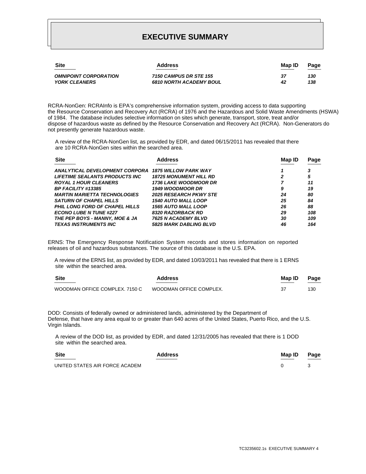| <b>Site</b>                  | <b>Address</b>                 | Map ID | Page |
|------------------------------|--------------------------------|--------|------|
| <b>OMNIPOINT CORPORATION</b> | 7150 CAMPUS DR STE 155         | 37     | 130  |
| <b>YORK CLEANERS</b>         | <b>6810 NORTH ACADEMY BOUL</b> | 42     | 138  |
|                              |                                |        |      |

RCRA-NonGen: RCRAInfo is EPA's comprehensive information system, providing access to data supporting the Resource Conservation and Recovery Act (RCRA) of 1976 and the Hazardous and Solid Waste Amendments (HSWA) of 1984. The database includes selective information on sites which generate, transport, store, treat and/or dispose of hazardous waste as defined by the Resource Conservation and Recovery Act (RCRA). Non-Generators do not presently generate hazardous waste.

 A review of the RCRA-NonGen list, as provided by EDR, and dated 06/15/2011 has revealed that there are 10 RCRA-NonGen sites within the searched area.

| <b>Site</b>                           | <b>Address</b>                | Map ID | Page |
|---------------------------------------|-------------------------------|--------|------|
| ANALYTICAL DEVELOPMENT CORPORA        | <b>1875 WILLOW PARK WAY</b>   |        |      |
| <b>LIFETIME SEALANTS PRODUCTS INC</b> | <b>18725 MONUMENT HILL RD</b> | 2      | 5    |
| <b>ROYAL 1 HOUR CLEANERS</b>          | <b>1736 LAKE WOODMOOR DR</b>  |        | 11   |
| <b>BP FACILITY #13385</b>             | <b>1949 WOODMOOR DR</b>       | 9      | 19   |
| <b>MARTIN MARIETTA TECHNOLOGIES</b>   | <b>2025 RESEARCH PKWY STE</b> | 24     | 80   |
| <b>SATURN OF CHAPEL HILLS</b>         | <b>1540 AUTO MALL LOOP</b>    | 25     | 84   |
| <b>PHIL LONG FORD OF CHAPEL HILLS</b> | <b>1565 AUTO MALL LOOP</b>    | 26     | 88   |
| <b>ECONO LUBE N TUNE #227</b>         | <b>8320 RAZORBACK RD</b>      | 29     | 108  |
| THE PEP BOYS - MANNY, MOE & JA        | <b>7625 N ACADEMY BLVD</b>    | 30     | 109  |
| <b>TEXAS INSTRUMENTS INC</b>          | <b>5825 MARK DABLING BLVD</b> | 46     | 164  |

ERNS: The Emergency Response Notification System records and stores information on reported releases of oil and hazardous substances. The source of this database is the U.S. EPA.

 A review of the ERNS list, as provided by EDR, and dated 10/03/2011 has revealed that there is 1 ERNS site within the searched area.

| <b>Site</b>                    | <b>Address</b>          | Map ID | Page |
|--------------------------------|-------------------------|--------|------|
| WOODMAN OFFICE COMPLEX. 7150 C | WOODMAN OFFICE COMPLEX. | 37     | 130  |

DOD: Consists of federally owned or administered lands, administered by the Department of Defense, that have any area equal to or greater than 640 acres of the United States, Puerto Rico, and the U.S. Virgin Islands.

 A review of the DOD list, as provided by EDR, and dated 12/31/2005 has revealed that there is 1 DOD site within the searched area.

| <b>Site</b>                    | <b>Address</b> | Map ID | Page |
|--------------------------------|----------------|--------|------|
| UNITED STATES AIR FORCE ACADEM |                |        |      |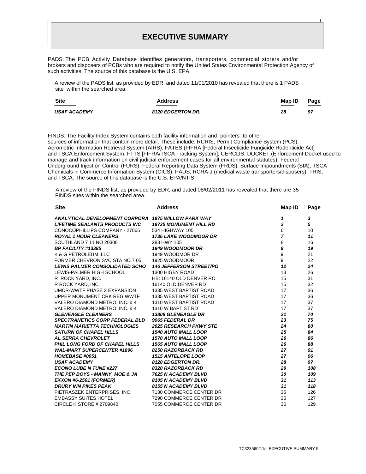PADS: The PCB Activity Database identifies generators, transporters, commercial storers and/or brokers and disposers of PCBs who are required to notify the United States Environmental Protection Agency of such activities. The source of this database is the U.S. EPA.

 A review of the PADS list, as provided by EDR, and dated 11/01/2010 has revealed that there is 1 PADS site within the searched area.

| <b>Site</b>         | <b>Address</b>           | Map ID<br>_____ | Page<br>_______ |
|---------------------|--------------------------|-----------------|-----------------|
| <b>USAF ACADEMY</b> | <b>8120 EDGERTON DR.</b> | 28              | 97              |

FINDS: The Facility Index System contains both facility information and "pointers" to other sources of information that contain more detail. These include: RCRIS; Permit Compliance System (PCS); Aerometric Information Retrieval System (AIRS); FATES (FIFRA [Federal Insecticide Fungicide Rodenticide Act] and TSCA Enforcement System, FTTS [FIFRA/TSCA Tracking System]; CERCLIS; DOCKET (Enforcement Docket used to manage and track information on civil judicial enforcement cases for all environmental statutes); Federal Underground Injection Control (FURS); Federal Reporting Data System (FRDS); Surface Impoundments (SIA); TSCA Chemicals in Commerce Information System (CICS); PADS; RCRA-J (medical waste transporters/disposers); TRIS; and TSCA. The source of this database is the U.S. EPA/NTIS.

 A review of the FINDS list, as provided by EDR, and dated 08/02/2011 has revealed that there are 35 FINDS sites within the searched area.

| <b>Site</b>                            | <b>Address</b>                 | Map ID                  | Page |
|----------------------------------------|--------------------------------|-------------------------|------|
| ANALYTICAL DEVELOPMENT CORPORA         | <b>1875 WILLOW PARK WAY</b>    | 1                       | 3    |
| <b>LIFETIME SEALANTS PRODUCTS INC.</b> | <b>18725 MONUMENT HILL RD</b>  | $\overline{\mathbf{c}}$ | 5    |
| CONOCOPHILLIPS COMPANY - 27065         | 534 HIGHWAY 105                | 6                       | 10   |
| <b>ROYAL 1 HOUR CLEANERS</b>           | <b>1736 LAKE WOODMOOR DR</b>   | $\overline{7}$          | 11   |
| SOUTHLAND 7 11 NO 20308                | 283 HWY 105                    | 8                       | 16   |
| <b>BP FACILITY #13385</b>              | <b>1949 WOODMOOR DR</b>        | 9                       | 19   |
| K & G PETROLEUM, LLC                   | 1949 WOODMOR DR                | 9                       | 21   |
| FORMER CHEVRON SVC STA NO 7 05         | 1925 WOODMOOR                  | 9                       | 22   |
| <b>LEWIS PALMER CONSOLIDATED SCHO</b>  | <b>146 JEFFERSON STREET/PO</b> | 12                      | 24   |
| LEWIS-PALMER HIGH SCHOOL               | 1300 HIGBY ROAD                | 13                      | 26   |
| R ROCK YARD, INC.                      | HB: 16140 OLD DENVER RO        | 15                      | 31   |
| R ROCK YARD. INC.                      | 16140 OLD DENVER RD            | 15                      | 32   |
| UMCR-WWTF PHASE 2 EXPANSION            | 1335 WEST BAPTIST ROAD         | 17                      | 36   |
| UPPER MONUMENT CRK REG WWTF            | 1335 WEST BAPTIST ROAD         | 17                      | 36   |
| VALERO DIAMOND METRO, INC. #4          | 1310 WEST BAPTIST ROAD         | 17                      | 37   |
| VALERO DIAMOND METRO, INC. #4          | 1310 W BAPTIST RD              | 17                      | 37   |
| <b>GLENEAGLE CLEANERS</b>              | 13808 GLENEAGLE DR             | 21                      | 70   |
| <b>SPECTRANETICS CORP FEDERAL BLD</b>  | 9965 FEDERAL DR                | 23                      | 75   |
| <b>MARTIN MARIETTA TECHNOLOGIES</b>    | <b>2025 RESEARCH PKWY STE</b>  | 24                      | 80   |
| <b>SATURN OF CHAPEL HILLS</b>          | <b>1540 AUTO MALL LOOP</b>     | 25                      | 84   |
| <b>AL SERRA CHEVROLET</b>              | <b>1570 AUTO MALL LOOP</b>     | 26                      | 86   |
| <b>PHIL LONG FORD OF CHAPEL HILLS</b>  | <b>1565 AUTO MALL LOOP</b>     | 26                      | 88   |
| <b>WAL-MART SUPERCENTER #1896</b>      | 8250 RAZORBACK RD              | 27                      | 91   |
| <b>HOMEBASE #0051</b>                  | <b>1515 ANTELOPE LOOP</b>      | 27                      | 96   |
| <b>USAF ACADEMY</b>                    | 8120 EDGERTON DR.              | 28                      | 97   |
| <b>ECONO LUBE N TUNE #227</b>          | 8320 RAZORBACK RD              | 29                      | 108  |
| THE PEP BOYS - MANNY, MOE & JA         | 7625 N ACADEMY BLVD            | 30                      | 109  |
| <b>EXXON #6-2501 (FORMER)</b>          | 8105 N ACADEMY BLVD            | 31                      | 113  |
| <b>DRURY INN PIKES PEAK</b>            | 8155 N ACADEMY BLVD            | 31                      | 118  |
| PIETRASZEK ENTERPRISES, INC.           | 7130 COMMERCE CENTER DR        | 35                      | 126  |
| <b>EMBASSY SUITES HOTEL</b>            | 7290 COMMERCE CENTER DR        | 35                      | 127  |
| CIRCLE K STORE # 2709840               | 7055 COMMERCE CENTER DR        | 36                      | 129  |
|                                        |                                |                         |      |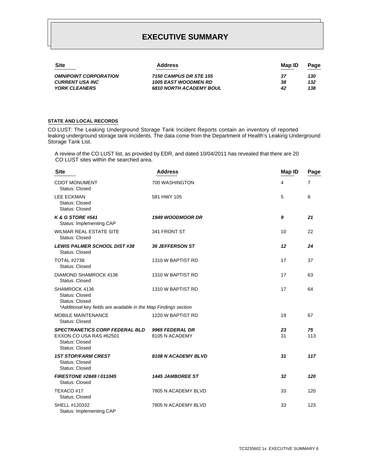| <b>Site</b>                  | <b>Address</b>                 | Map ID | Page |
|------------------------------|--------------------------------|--------|------|
| <b>OMNIPOINT CORPORATION</b> | 7150 CAMPUS DR STE 155         | 37     | 130  |
| <b>CURRENT USA INC</b>       | <b>1005 EAST WOODMEN RD</b>    | 38     | 132  |
| <b>YORK CLEANERS</b>         | <b>6810 NORTH ACADEMY BOUL</b> | 42     | 138  |

#### **STATE AND LOCAL RECORDS**

CO LUST: The Leaking Underground Storage Tank Incident Reports contain an inventory of reported leaking underground storage tank incidents. The data come from the Department of Health's Leaking Underground Storage Tank List.

 A review of the CO LUST list, as provided by EDR, and dated 10/04/2011 has revealed that there are 20 CO LUST sites within the searched area.

| <b>Site</b>                                                                                                                         | <b>Address</b>                    | Map ID   | Page           |
|-------------------------------------------------------------------------------------------------------------------------------------|-----------------------------------|----------|----------------|
| <b>CDOT MONUMENT</b><br>Status: Closed                                                                                              | 700 WASHINGTON                    | 4        | $\overline{7}$ |
| <b>LEE ECKMAN</b><br><b>Status: Closed</b><br><b>Status: Closed</b>                                                                 | 581 HWY 105                       | 5        | 8              |
| <b>K &amp; G STORE #541</b><br>Status: Implementing CAP                                                                             | 1949 WOODMOOR DR                  | 9        | 21             |
| <b>WILMAR REAL ESTATE SITE</b><br>Status: Closed                                                                                    | 341 FRONT ST                      | 10       | 22             |
| <b>LEWIS PALMER SCHOOL DIST #38</b><br>Status: Closed                                                                               | 36 JEFFERSON ST                   | 12       | 24             |
| <b>TOTAL #2738</b><br>Status: Closed                                                                                                | 1310 W BAPTIST RD                 | 17       | 37             |
| <b>DIAMOND SHAMROCK 4136</b><br><b>Status: Closed</b>                                                                               | 1310 W BAPTIST RD                 | 17       | 63             |
| SHAMROCK 4136<br><b>Status: Closed</b><br><b>Status: Closed</b><br>*Additional key fields are available in the Map Findings section | 1310 W BAPTIST RD                 | 17       | 64             |
| <b>MOBILE MAINTENANCE</b><br><b>Status: Closed</b>                                                                                  | 1220 W BAPTIST RD                 | 19       | 67             |
| <b>SPECTRANETICS CORP FEDERAL BLD</b><br>EXXON CO USA RAS #62501<br>Status: Closed<br><b>Status: Closed</b>                         | 9965 FEDERAL DR<br>8105 N ACADEMY | 23<br>31 | 75<br>113      |
| <b>1ST STOP/FARM CREST</b><br><b>Status: Closed</b><br><b>Status: Closed</b>                                                        | 8108 N ACADEMY BLVD               | 31       | 117            |
| FIRESTONE #2849 / 011045<br><b>Status: Closed</b>                                                                                   | <b>1445 JAMBOREE ST</b>           | 32       | 120            |
| TEXACO #17<br><b>Status: Closed</b>                                                                                                 | 7805 N ACADEMY BLVD               | 33       | 120            |
| SHELL #120332<br>Status: Implementing CAP                                                                                           | 7805 N ACADEMY BLVD               | 33       | 123            |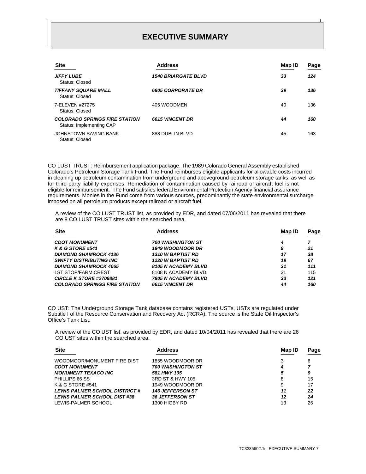| <b>Site</b>                                                      | <b>Address</b>             | Map ID | Page |
|------------------------------------------------------------------|----------------------------|--------|------|
| <b>JIFFY LUBE</b><br>Status: Closed                              | <b>1540 BRIARGATE BLVD</b> | 33     | 124  |
| <b>TIFFANY SQUARE MALL</b><br>Status: Closed                     | <b>6805 CORPORATE DR</b>   | 39     | 136  |
| 7-ELEVEN #27275<br>Status: Closed                                | 405 WOODMEN                | 40     | 136  |
| <b>COLORADO SPRINGS FIRE STATION</b><br>Status: Implementing CAP | <b>6615 VINCENT DR</b>     | 44     | 160  |
| JOHNSTOWN SAVING BANK<br>Status: Closed                          | 888 DUBLIN BLVD            | 45     | 163  |

CO LUST TRUST: Reimbursement application package. The 1989 Colorado General Assembly established Colorado's Petroleum Storage Tank Fund. The Fund reimburses eligible applicants for allowable costs incurred in cleaning up petroleum contamination from underground and aboveground petroleum storage tanks, as well as for third-party liability expenses. Remediation of contamination caused by railroad or aircraft fuel is not eligible for reimbursement. The Fund satisfies federal Environmental Protection Agency financial assurance requirements. Monies in the Fund come from various sources, predominantly the state environmental surcharge imposed on all petroleum products except railroad or aircraft fuel.

 A review of the CO LUST TRUST list, as provided by EDR, and dated 07/06/2011 has revealed that there are 8 CO LUST TRUST sites within the searched area.

| <b>Site</b>                          | <b>Address</b>           | Map ID | Page |
|--------------------------------------|--------------------------|--------|------|
| <b>CDOT MONUMENT</b>                 | <b>700 WASHINGTON ST</b> | 4      |      |
| <b>K &amp; G STORE #541</b>          | <b>1949 WOODMOOR DR</b>  | 9      | 21   |
| <b>DIAMOND SHAMROCK 4136</b>         | <b>1310 W BAPTIST RD</b> | 17     | 38   |
| <b>SWIFTY DISTRIBUTING INC.</b>      | <b>1220 W BAPTIST RD</b> | 19     | 67   |
| <b>DIAMOND SHAMROCK 4065</b>         | 8105 N ACADEMY BLVD      | 31     | 111  |
| <b>1ST STOP/FARM CREST</b>           | 8108 N ACADEMY BLVD      | 31     | 115  |
| CIRCLE K STORE #2709881              | 7805 N ACADEMY BLVD      | 33     | 121  |
| <b>COLORADO SPRINGS FIRE STATION</b> | <b>6615 VINCENT DR</b>   | 44     | 160  |

CO UST: The Underground Storage Tank database contains registered USTs. USTs are regulated under Subtitle I of the Resource Conservation and Recovery Act (RCRA). The source is the State Oil Inspector's Office's Tank List.

 A review of the CO UST list, as provided by EDR, and dated 10/04/2011 has revealed that there are 26 CO UST sites within the searched area.

| <b>Site</b>                          | <b>Address</b>           | Map ID | Page |
|--------------------------------------|--------------------------|--------|------|
| WOODMOOR/MONUMENT FIRE DIST          | 1855 WOODMOOR DR         |        | 6    |
| <b>CDOT MONUMENT</b>                 | <b>700 WASHINGTON ST</b> | 4      |      |
| <b>MONUMENT TEXACO INC</b>           | 581 HWY 105              | 5      | 9    |
| PHILLIPS 66 SS                       | 3RD ST & HWY 105         | 8      | 15   |
| K & G STORE #541                     | 1949 WOODMOOR DR         | 9      | 17   |
| <b>LEWIS PALMER SCHOOL DISTRICT#</b> | <b>146 JEFFERSON ST</b>  | 11     | 22   |
| <b>LEWIS PALMER SCHOOL DIST #38</b>  | <b>36 JEFFERSON ST</b>   | 12     | 24   |
| LEWIS-PALMER SCHOOL                  | 1300 HIGBY RD            | 13     | 26   |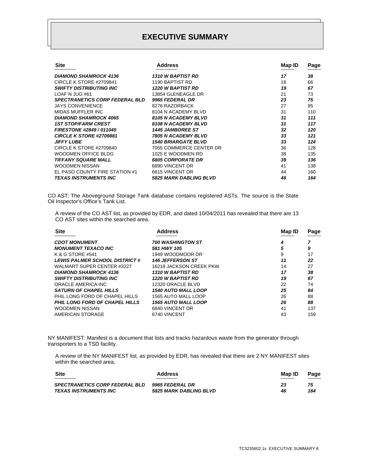| <b>Site</b>                           | <b>Address</b>                | Map ID | Page |
|---------------------------------------|-------------------------------|--------|------|
| <b>DIAMOND SHAMROCK 4136</b>          | <b>1310 W BAPTIST RD</b>      | 17     | 38   |
| CIRCLE K STORE #2709841               | 1190 BAPTIST RD               | 18     | 66   |
| <b>SWIFTY DISTRIBUTING INC</b>        | <b>1220 W BAPTIST RD</b>      | 19     | 67   |
| LOAF N JUG #61                        | 13854 GLENEAGLE DR            | 21     | 73   |
| <b>SPECTRANETICS CORP FEDERAL BLD</b> | 9965 FEDERAL DR               | 23     | 75   |
| <b>JAYS CONVENIENCE</b>               | 8276 RAZORBACK                | 27     | 95   |
| MIDAS MUFFLER INC                     | 8104 N ACADEMY BLVD           | 31     | 110  |
| <b>DIAMOND SHAMROCK 4065</b>          | <b>8105 N ACADEMY BLVD</b>    | 31     | 111  |
| <b>1ST STOP/FARM CREST</b>            | 8108 N ACADEMY BLVD           | 31     | 117  |
| FIRESTONE #2849 / 011045              | <b>1445 JAMBOREE ST</b>       | 32     | 120  |
| CIRCLE K STORE #2709881               | <b>7805 N ACADEMY BLVD</b>    | 33     | 121  |
| <b>JIFFY LUBE</b>                     | <b>1540 BRIARGATE BLVD</b>    | 33     | 124  |
| CIRCLE K STORE #2709840               | 7055 COMMERCE CENTER DR       | 36     | 128  |
| WOODMEN OFFICE BLDG                   | 1025 E WOODMEN RD             | 38     | 135  |
| <b>TIFFANY SQUARE MALL</b>            | <b>6805 CORPORATE DR</b>      | 39     | 136  |
| <b>WOODMEN NISSAN</b>                 | 6890 VINCENT DR               | 41     | 138  |
| EL PASO COUNTY FIRE STATION #1        | 6615 VINCENT DR               | 44     | 160  |
| <b>TEXAS INSTRUMENTS INC</b>          | <b>5825 MARK DABLING BLVD</b> | 46     | 164  |

CO AST: The Aboveground Storage Tank database contains registered ASTs. The source is the State Oil Inspector's Office's Tank List.

 A review of the CO AST list, as provided by EDR, and dated 10/04/2011 has revealed that there are 13 CO AST sites within the searched area.

| <b>Site</b>                           | <b>Address</b>             | Map ID | Page |
|---------------------------------------|----------------------------|--------|------|
| <b>CDOT MONUMENT</b>                  | <b>700 WASHINGTON ST</b>   | 4      |      |
| <b>MONUMENT TEXACO INC</b>            | 581 HWY 105                | 5      | 9    |
| K & G STORE #541                      | 1949 WOODMOOR DR           | 9      | 17   |
| <b>LEWIS PALMER SCHOOL DISTRICT#</b>  | <b>146 JEFFERSON ST</b>    | 11     | 22   |
| WALMART SUPER CENTER #3227            | 16218 JACKSON CREEK PKW    | 14     | 27   |
| <b>DIAMOND SHAMROCK 4136</b>          | <b>1310 W BAPTIST RD</b>   | 17     | 38   |
| <b>SWIFTY DISTRIBUTING INC.</b>       | <b>1220 W BAPTIST RD</b>   | 19     | 67   |
| ORACLE AMERICA INC                    | 12320 ORACLE BLVD          | 22     | 74   |
| <b>SATURN OF CHAPEL HILLS</b>         | <b>1540 AUTO MALL LOOP</b> | 25     | 84   |
| PHIL LONG FORD OF CHAPEL HILLS        | 1565 AUTO MALL LOOP        | 26     | 88   |
| <b>PHIL LONG FORD OF CHAPEL HILLS</b> | <b>1565 AUTO MALL LOOP</b> | 26     | 88   |
| <b>WOODMEN NISSAN</b>                 | 6840 VINCENT DR            | 41     | 137  |
| AMERICAN STORAGE                      | 6740 VINCENT               | 43     | 159  |

NY MANIFEST: Manifest is a document that lists and tracks hazardous waste from the generator through transporters to a TSD facility.

 A review of the NY MANIFEST list, as provided by EDR, has revealed that there are 2 NY MANIFEST sites within the searched area.

| <b>Site</b>                           | <b>Address</b>                | Map ID | Page |
|---------------------------------------|-------------------------------|--------|------|
| <b>SPECTRANETICS CORP FEDERAL BLD</b> | 9965 FEDERAL DR               | 23     | 75   |
| TEXAS INSTRUMENTS INC                 | <b>5825 MARK DABLING BLVD</b> | 46     | 164  |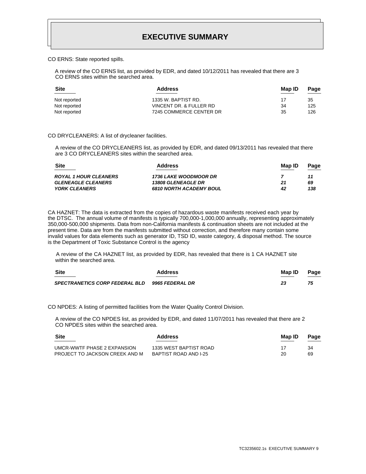CO ERNS: State reported spills.

 A review of the CO ERNS list, as provided by EDR, and dated 10/12/2011 has revealed that there are 3 CO ERNS sites within the searched area.

| <b>Site</b>  | <b>Address</b>          | Map ID | Page |
|--------------|-------------------------|--------|------|
| Not reported | 1335 W. BAPTIST RD.     | 17     | 35   |
| Not reported | VINCENT DR. & FULLER RD | 34     | 125  |
| Not reported | 7245 COMMERCE CENTER DR | 35     | 126  |

#### CO DRYCLEANERS: A list of drycleaner facilities.

 A review of the CO DRYCLEANERS list, as provided by EDR, and dated 09/13/2011 has revealed that there are 3 CO DRYCLEANERS sites within the searched area.

| <b>Site</b>                  | <b>Address</b>                 | Map ID | Page |
|------------------------------|--------------------------------|--------|------|
| <b>ROYAL 1 HOUR CLEANERS</b> | <b>1736 LAKE WOODMOOR DR</b>   |        | 11   |
| <b>GLENEAGLE CLEANERS</b>    | <b>13808 GLENEAGLE DR</b>      | 21     | 69   |
| <b>YORK CLEANERS</b>         | <b>6810 NORTH ACADEMY BOUL</b> | 42     | 138  |
|                              |                                |        |      |

CA HAZNET: The data is extracted from the copies of hazardous waste manifests received each year by the DTSC. The annual volume of manifests is typically 700,000-1,000,000 annually, representing approximately 350,000-500,000 shipments. Data from non-California manifests & continuation sheets are not included at the present time. Data are from the manifests submitted without correction, and therefore many contain some invalid values for data elements such as generator ID, TSD ID, waste category, & disposal method. The source is the Department of Toxic Substance Control is the agency

 A review of the CA HAZNET list, as provided by EDR, has revealed that there is 1 CA HAZNET site within the searched area.

| <b>Site</b>                                    | <b>Address</b> | Map ID<br>_____ | Page |
|------------------------------------------------|----------------|-----------------|------|
| SPECTRANETICS CORP FEDERAL BLD 9965 FEDERAL DR |                | 23              | 75   |

CO NPDES: A listing of permitted facilities from the Water Quality Control Division.

 A review of the CO NPDES list, as provided by EDR, and dated 11/07/2011 has revealed that there are 2 CO NPDES sites within the searched area.

| Site                           | <b>Address</b>         | Map ID | Page |
|--------------------------------|------------------------|--------|------|
| UMCR-WWTF PHASE 2 EXPANSION    | 1335 WEST BAPTIST ROAD |        | 34   |
| PROJECT TO JACKSON CREEK AND M | BAPTIST ROAD AND I-25  | 20     | 69   |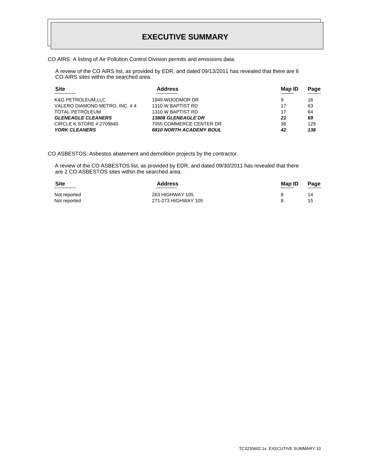CO AIRS: A listing of Air Pollution Control Division permits and emissions data.

 A review of the CO AIRS list, as provided by EDR, and dated 09/13/2011 has revealed that there are 6 CO AIRS sites within the searched area.

| <b>Address</b>                 | Map ID | Page |
|--------------------------------|--------|------|
| 1949 WOODMOR DR                | 9      | 16   |
| 1310 W BAPTIST RD              | 17     | 63   |
| 1310 W BAPTIST RD              | 17     | 64   |
| <b>13808 GLENEAGLE DR</b>      | 21     | 69   |
| 7055 COMMERCE CENTER DR        | 36     | 129  |
| <b>6810 NORTH ACADEMY BOUL</b> | 42     | 138  |
|                                |        |      |

CO ASBESTOS: Asbestos abatement and demolition projects by the contractor.

 A review of the CO ASBESTOS list, as provided by EDR, and dated 09/30/2011 has revealed that there are 2 CO ASBESTOS sites within the searched area.

| <b>Site</b>  | <b>Address</b>      | Map ID | Page |
|--------------|---------------------|--------|------|
| Not reported | 263 HIGHWAY 105     |        | 14   |
| Not reported | 271-273 HIGHWAY 105 |        | 15   |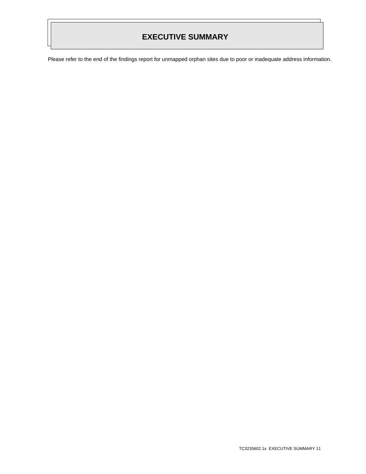Please refer to the end of the findings report for unmapped orphan sites due to poor or inadequate address information.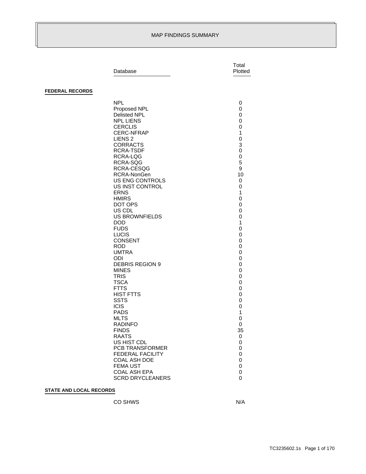#### MAP FINDINGS SUMMARY

|                        | Database                                                                                                                                                                                                                                                                                                                                                                                                                                                                                                                                                                                                                                                                          | Total<br>Plotted                                                                                                                                                                                                                             |
|------------------------|-----------------------------------------------------------------------------------------------------------------------------------------------------------------------------------------------------------------------------------------------------------------------------------------------------------------------------------------------------------------------------------------------------------------------------------------------------------------------------------------------------------------------------------------------------------------------------------------------------------------------------------------------------------------------------------|----------------------------------------------------------------------------------------------------------------------------------------------------------------------------------------------------------------------------------------------|
|                        |                                                                                                                                                                                                                                                                                                                                                                                                                                                                                                                                                                                                                                                                                   |                                                                                                                                                                                                                                              |
| <b>FEDERAL RECORDS</b> |                                                                                                                                                                                                                                                                                                                                                                                                                                                                                                                                                                                                                                                                                   |                                                                                                                                                                                                                                              |
|                        | <b>NPL</b><br>Proposed NPL<br>Delisted NPL<br><b>NPL LIENS</b><br><b>CERCLIS</b><br><b>CERC-NFRAP</b><br>LIENS <sub>2</sub><br><b>CORRACTS</b><br><b>RCRA-TSDF</b><br>RCRA-LQG<br>RCRA-SQG<br>RCRA-CESQG<br>RCRA-NonGen<br>US ENG CONTROLS<br>US INST CONTROL<br><b>ERNS</b><br><b>HMIRS</b><br>DOT OPS<br>US CDL<br><b>US BROWNFIELDS</b><br><b>DOD</b><br><b>FUDS</b><br><b>LUCIS</b><br><b>CONSENT</b><br>ROD.<br><b>UMTRA</b><br>ODI.<br><b>DEBRIS REGION 9</b><br><b>MINES</b><br><b>TRIS</b><br><b>TSCA</b><br><b>FTTS</b><br><b>HIST FTTS</b><br><b>SSTS</b><br><b>ICIS</b><br><b>PADS</b><br><b>MLTS</b><br><b>RADINFO</b><br><b>FINDS</b><br><b>RAATS</b><br>US HIST CDL | 0<br>0<br>0<br>0<br>0<br>1<br>0<br>3<br>0<br>0<br>5<br>9<br>10<br>0<br>0<br>$\mathbf{1}$<br>0<br>0<br>0<br>0<br>$\mathbf{1}$<br>0<br>0<br>0<br>0<br>0<br>0<br>0<br>0<br>0<br>0<br>0<br>0<br>0<br>0<br>$\mathbf{1}$<br>0<br>0<br>35<br>0<br>0 |
|                        | PCB TRANSFORMER<br>FEDERAL FACILITY                                                                                                                                                                                                                                                                                                                                                                                                                                                                                                                                                                                                                                               | 0<br>$\pmb{0}$                                                                                                                                                                                                                               |
|                        | COAL ASH DOE<br><b>FEMA UST</b><br><b>COAL ASH EPA</b>                                                                                                                                                                                                                                                                                                                                                                                                                                                                                                                                                                                                                            | 0<br>0<br>0                                                                                                                                                                                                                                  |
|                        | <b>SCRD DRYCLEANERS</b>                                                                                                                                                                                                                                                                                                                                                                                                                                                                                                                                                                                                                                                           | 0                                                                                                                                                                                                                                            |

### **STATE AND LOCAL RECORDS**

CO SHWS N/A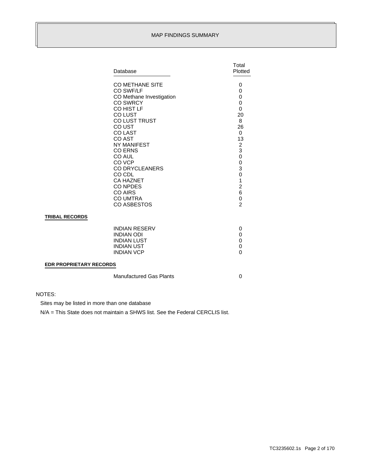#### MAP FINDINGS SUMMARY

|                                | Database                                                                                                                                                                                                                                                                                                                                             | Total<br>Plotted                                                                                                                                                                              |
|--------------------------------|------------------------------------------------------------------------------------------------------------------------------------------------------------------------------------------------------------------------------------------------------------------------------------------------------------------------------------------------------|-----------------------------------------------------------------------------------------------------------------------------------------------------------------------------------------------|
|                                | <b>CO METHANE SITE</b><br>CO SWF/LF<br>CO Methane Investigation<br><b>CO SWRCY</b><br>CO HIST LF<br>CO LUST<br>CO LUST TRUST<br>CO UST<br><b>COLAST</b><br>CO AST<br>NY MANIFEST<br><b>CO ERNS</b><br>CO AUL<br>CO VCP<br><b>CO DRYCLEANERS</b><br>CO CDL<br><b>CA HAZNET</b><br><b>CO NPDES</b><br><b>CO AIRS</b><br><b>CO UMTRA</b><br>CO ASBESTOS | 0<br>0<br>0<br>0<br>0<br>20<br>8<br>26<br>$\Omega$<br>13<br>$\overline{\mathbf{c}}$<br>3<br>$\mathbf 0$<br>0<br>3<br>0<br>$\mathbf 1$<br>$\overline{c}$<br>6<br>$\mathbf 0$<br>$\overline{2}$ |
| <b>TRIBAL RECORDS</b>          |                                                                                                                                                                                                                                                                                                                                                      |                                                                                                                                                                                               |
|                                | <b>INDIAN RESERV</b><br><b>INDIAN ODI</b><br><b>INDIAN LUST</b><br><b>INDIAN UST</b><br><b>INDIAN VCP</b>                                                                                                                                                                                                                                            | 0<br>0<br>0<br>0<br>$\mathbf{0}$                                                                                                                                                              |
| <b>EDR PROPRIETARY RECORDS</b> |                                                                                                                                                                                                                                                                                                                                                      |                                                                                                                                                                                               |
|                                | <b>Manufactured Gas Plants</b>                                                                                                                                                                                                                                                                                                                       | 0                                                                                                                                                                                             |

#### NOTES:

Sites may be listed in more than one database

N/A = This State does not maintain a SHWS list. See the Federal CERCLIS list.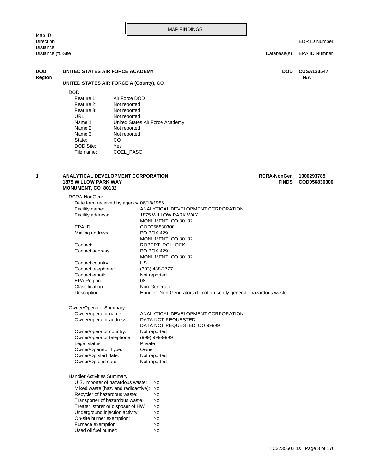EDR ID Number

<span id="page-15-1"></span><span id="page-15-0"></span>

| UNITED STATES AIR FORCE ACADEMY<br><b>DOD</b><br><b>DOD</b><br><b>CUSA133547</b><br>N/A<br>UNITED STATES AIR FORCE A (County), CO<br>DOD:<br>Air Force DOD<br>Feature 1:<br>Feature 2:<br>Not reported<br>Feature 3:<br>Not reported<br>URL:<br>Not reported<br>Name 1:<br>United States Air Force Academy<br>Name 2:<br>Not reported<br>Not reported<br>Name 3:<br>CO<br>State:<br>DOD Site:<br>Yes<br>Tile name:<br>COEL_PASO<br><b>ANALYTICAL DEVELOPMENT CORPORATION</b><br><b>RCRA-NonGen</b><br>1000293785<br><b>1875 WILLOW PARK WAY</b><br><b>FINDS</b><br>MONUMENT, CO 80132<br>RCRA-NonGen:<br>Date form received by agency: 06/18/1986<br>Facility name:<br>ANALYTICAL DEVELOPMENT CORPORATION<br>Facility address:<br>1875 WILLOW PARK WAY<br>MONUMENT, CO 80132<br>EPA ID:<br>COD056830300<br>PO BOX 429<br>Mailing address:<br>MONUMENT, CO 80132<br>Contact:<br>ROBERT POLLOCK<br>Contact address:<br>PO BOX 429<br>MONUMENT, CO 80132<br>Contact country:<br>US<br>Contact telephone:<br>$(303)$ 488-2777<br>Contact email:<br>Not reported<br>EPA Region:<br>08<br>Classification:<br>Non-Generator<br>Description:<br>Handler: Non-Generators do not presently generate hazardous waste<br>Owner/Operator Summary:<br>ANALYTICAL DEVELOPMENT CORPORATION<br>Owner/operator name:<br>DATA NOT REQUESTED<br>Owner/operator address:<br>DATA NOT REQUESTED, CO 99999<br>Owner/operator country:<br>Not reported<br>Owner/operator telephone:<br>(999) 999-9999<br>Legal status:<br>Private<br>Owner/Operator Type:<br>Owner<br>Owner/Op start date:<br>Not reported<br>Owner/Op end date:<br>Not reported<br>Handler Activities Summary:<br>U.S. importer of hazardous waste:<br>No<br>Mixed waste (haz. and radioactive): No<br>Recycler of hazardous waste:<br>No<br>Transporter of hazardous waste:<br>No<br>Treater, storer or disposer of HW:<br>No<br>Underground injection activity:<br>No<br>On-site burner exemption:<br>No<br>Furnace exemption:<br>No<br>Used oil fuel burner:<br>No | Distance (ft.)Site |  | Database(s) | EPA ID Number |
|----------------------------------------------------------------------------------------------------------------------------------------------------------------------------------------------------------------------------------------------------------------------------------------------------------------------------------------------------------------------------------------------------------------------------------------------------------------------------------------------------------------------------------------------------------------------------------------------------------------------------------------------------------------------------------------------------------------------------------------------------------------------------------------------------------------------------------------------------------------------------------------------------------------------------------------------------------------------------------------------------------------------------------------------------------------------------------------------------------------------------------------------------------------------------------------------------------------------------------------------------------------------------------------------------------------------------------------------------------------------------------------------------------------------------------------------------------------------------------------------------------------------------------------------------------------------------------------------------------------------------------------------------------------------------------------------------------------------------------------------------------------------------------------------------------------------------------------------------------------------------------------------------------------------------------------------------------------------------------------------------------------|--------------------|--|-------------|---------------|
|                                                                                                                                                                                                                                                                                                                                                                                                                                                                                                                                                                                                                                                                                                                                                                                                                                                                                                                                                                                                                                                                                                                                                                                                                                                                                                                                                                                                                                                                                                                                                                                                                                                                                                                                                                                                                                                                                                                                                                                                                |                    |  |             |               |
|                                                                                                                                                                                                                                                                                                                                                                                                                                                                                                                                                                                                                                                                                                                                                                                                                                                                                                                                                                                                                                                                                                                                                                                                                                                                                                                                                                                                                                                                                                                                                                                                                                                                                                                                                                                                                                                                                                                                                                                                                | <b>Region</b>      |  |             |               |
|                                                                                                                                                                                                                                                                                                                                                                                                                                                                                                                                                                                                                                                                                                                                                                                                                                                                                                                                                                                                                                                                                                                                                                                                                                                                                                                                                                                                                                                                                                                                                                                                                                                                                                                                                                                                                                                                                                                                                                                                                |                    |  |             |               |
|                                                                                                                                                                                                                                                                                                                                                                                                                                                                                                                                                                                                                                                                                                                                                                                                                                                                                                                                                                                                                                                                                                                                                                                                                                                                                                                                                                                                                                                                                                                                                                                                                                                                                                                                                                                                                                                                                                                                                                                                                |                    |  |             |               |
|                                                                                                                                                                                                                                                                                                                                                                                                                                                                                                                                                                                                                                                                                                                                                                                                                                                                                                                                                                                                                                                                                                                                                                                                                                                                                                                                                                                                                                                                                                                                                                                                                                                                                                                                                                                                                                                                                                                                                                                                                |                    |  |             |               |
|                                                                                                                                                                                                                                                                                                                                                                                                                                                                                                                                                                                                                                                                                                                                                                                                                                                                                                                                                                                                                                                                                                                                                                                                                                                                                                                                                                                                                                                                                                                                                                                                                                                                                                                                                                                                                                                                                                                                                                                                                |                    |  |             |               |
|                                                                                                                                                                                                                                                                                                                                                                                                                                                                                                                                                                                                                                                                                                                                                                                                                                                                                                                                                                                                                                                                                                                                                                                                                                                                                                                                                                                                                                                                                                                                                                                                                                                                                                                                                                                                                                                                                                                                                                                                                |                    |  |             |               |
|                                                                                                                                                                                                                                                                                                                                                                                                                                                                                                                                                                                                                                                                                                                                                                                                                                                                                                                                                                                                                                                                                                                                                                                                                                                                                                                                                                                                                                                                                                                                                                                                                                                                                                                                                                                                                                                                                                                                                                                                                |                    |  |             |               |
|                                                                                                                                                                                                                                                                                                                                                                                                                                                                                                                                                                                                                                                                                                                                                                                                                                                                                                                                                                                                                                                                                                                                                                                                                                                                                                                                                                                                                                                                                                                                                                                                                                                                                                                                                                                                                                                                                                                                                                                                                |                    |  |             |               |
|                                                                                                                                                                                                                                                                                                                                                                                                                                                                                                                                                                                                                                                                                                                                                                                                                                                                                                                                                                                                                                                                                                                                                                                                                                                                                                                                                                                                                                                                                                                                                                                                                                                                                                                                                                                                                                                                                                                                                                                                                |                    |  |             |               |
|                                                                                                                                                                                                                                                                                                                                                                                                                                                                                                                                                                                                                                                                                                                                                                                                                                                                                                                                                                                                                                                                                                                                                                                                                                                                                                                                                                                                                                                                                                                                                                                                                                                                                                                                                                                                                                                                                                                                                                                                                |                    |  |             |               |
|                                                                                                                                                                                                                                                                                                                                                                                                                                                                                                                                                                                                                                                                                                                                                                                                                                                                                                                                                                                                                                                                                                                                                                                                                                                                                                                                                                                                                                                                                                                                                                                                                                                                                                                                                                                                                                                                                                                                                                                                                |                    |  |             |               |
|                                                                                                                                                                                                                                                                                                                                                                                                                                                                                                                                                                                                                                                                                                                                                                                                                                                                                                                                                                                                                                                                                                                                                                                                                                                                                                                                                                                                                                                                                                                                                                                                                                                                                                                                                                                                                                                                                                                                                                                                                |                    |  |             |               |
|                                                                                                                                                                                                                                                                                                                                                                                                                                                                                                                                                                                                                                                                                                                                                                                                                                                                                                                                                                                                                                                                                                                                                                                                                                                                                                                                                                                                                                                                                                                                                                                                                                                                                                                                                                                                                                                                                                                                                                                                                |                    |  |             |               |
|                                                                                                                                                                                                                                                                                                                                                                                                                                                                                                                                                                                                                                                                                                                                                                                                                                                                                                                                                                                                                                                                                                                                                                                                                                                                                                                                                                                                                                                                                                                                                                                                                                                                                                                                                                                                                                                                                                                                                                                                                | 1                  |  |             | COD056830300  |
|                                                                                                                                                                                                                                                                                                                                                                                                                                                                                                                                                                                                                                                                                                                                                                                                                                                                                                                                                                                                                                                                                                                                                                                                                                                                                                                                                                                                                                                                                                                                                                                                                                                                                                                                                                                                                                                                                                                                                                                                                |                    |  |             |               |
|                                                                                                                                                                                                                                                                                                                                                                                                                                                                                                                                                                                                                                                                                                                                                                                                                                                                                                                                                                                                                                                                                                                                                                                                                                                                                                                                                                                                                                                                                                                                                                                                                                                                                                                                                                                                                                                                                                                                                                                                                |                    |  |             |               |
|                                                                                                                                                                                                                                                                                                                                                                                                                                                                                                                                                                                                                                                                                                                                                                                                                                                                                                                                                                                                                                                                                                                                                                                                                                                                                                                                                                                                                                                                                                                                                                                                                                                                                                                                                                                                                                                                                                                                                                                                                |                    |  |             |               |
|                                                                                                                                                                                                                                                                                                                                                                                                                                                                                                                                                                                                                                                                                                                                                                                                                                                                                                                                                                                                                                                                                                                                                                                                                                                                                                                                                                                                                                                                                                                                                                                                                                                                                                                                                                                                                                                                                                                                                                                                                |                    |  |             |               |
|                                                                                                                                                                                                                                                                                                                                                                                                                                                                                                                                                                                                                                                                                                                                                                                                                                                                                                                                                                                                                                                                                                                                                                                                                                                                                                                                                                                                                                                                                                                                                                                                                                                                                                                                                                                                                                                                                                                                                                                                                |                    |  |             |               |
|                                                                                                                                                                                                                                                                                                                                                                                                                                                                                                                                                                                                                                                                                                                                                                                                                                                                                                                                                                                                                                                                                                                                                                                                                                                                                                                                                                                                                                                                                                                                                                                                                                                                                                                                                                                                                                                                                                                                                                                                                |                    |  |             |               |
|                                                                                                                                                                                                                                                                                                                                                                                                                                                                                                                                                                                                                                                                                                                                                                                                                                                                                                                                                                                                                                                                                                                                                                                                                                                                                                                                                                                                                                                                                                                                                                                                                                                                                                                                                                                                                                                                                                                                                                                                                |                    |  |             |               |
|                                                                                                                                                                                                                                                                                                                                                                                                                                                                                                                                                                                                                                                                                                                                                                                                                                                                                                                                                                                                                                                                                                                                                                                                                                                                                                                                                                                                                                                                                                                                                                                                                                                                                                                                                                                                                                                                                                                                                                                                                |                    |  |             |               |
|                                                                                                                                                                                                                                                                                                                                                                                                                                                                                                                                                                                                                                                                                                                                                                                                                                                                                                                                                                                                                                                                                                                                                                                                                                                                                                                                                                                                                                                                                                                                                                                                                                                                                                                                                                                                                                                                                                                                                                                                                |                    |  |             |               |
|                                                                                                                                                                                                                                                                                                                                                                                                                                                                                                                                                                                                                                                                                                                                                                                                                                                                                                                                                                                                                                                                                                                                                                                                                                                                                                                                                                                                                                                                                                                                                                                                                                                                                                                                                                                                                                                                                                                                                                                                                |                    |  |             |               |
|                                                                                                                                                                                                                                                                                                                                                                                                                                                                                                                                                                                                                                                                                                                                                                                                                                                                                                                                                                                                                                                                                                                                                                                                                                                                                                                                                                                                                                                                                                                                                                                                                                                                                                                                                                                                                                                                                                                                                                                                                |                    |  |             |               |
|                                                                                                                                                                                                                                                                                                                                                                                                                                                                                                                                                                                                                                                                                                                                                                                                                                                                                                                                                                                                                                                                                                                                                                                                                                                                                                                                                                                                                                                                                                                                                                                                                                                                                                                                                                                                                                                                                                                                                                                                                |                    |  |             |               |
|                                                                                                                                                                                                                                                                                                                                                                                                                                                                                                                                                                                                                                                                                                                                                                                                                                                                                                                                                                                                                                                                                                                                                                                                                                                                                                                                                                                                                                                                                                                                                                                                                                                                                                                                                                                                                                                                                                                                                                                                                |                    |  |             |               |
|                                                                                                                                                                                                                                                                                                                                                                                                                                                                                                                                                                                                                                                                                                                                                                                                                                                                                                                                                                                                                                                                                                                                                                                                                                                                                                                                                                                                                                                                                                                                                                                                                                                                                                                                                                                                                                                                                                                                                                                                                |                    |  |             |               |
|                                                                                                                                                                                                                                                                                                                                                                                                                                                                                                                                                                                                                                                                                                                                                                                                                                                                                                                                                                                                                                                                                                                                                                                                                                                                                                                                                                                                                                                                                                                                                                                                                                                                                                                                                                                                                                                                                                                                                                                                                |                    |  |             |               |
|                                                                                                                                                                                                                                                                                                                                                                                                                                                                                                                                                                                                                                                                                                                                                                                                                                                                                                                                                                                                                                                                                                                                                                                                                                                                                                                                                                                                                                                                                                                                                                                                                                                                                                                                                                                                                                                                                                                                                                                                                |                    |  |             |               |
|                                                                                                                                                                                                                                                                                                                                                                                                                                                                                                                                                                                                                                                                                                                                                                                                                                                                                                                                                                                                                                                                                                                                                                                                                                                                                                                                                                                                                                                                                                                                                                                                                                                                                                                                                                                                                                                                                                                                                                                                                |                    |  |             |               |
|                                                                                                                                                                                                                                                                                                                                                                                                                                                                                                                                                                                                                                                                                                                                                                                                                                                                                                                                                                                                                                                                                                                                                                                                                                                                                                                                                                                                                                                                                                                                                                                                                                                                                                                                                                                                                                                                                                                                                                                                                |                    |  |             |               |
|                                                                                                                                                                                                                                                                                                                                                                                                                                                                                                                                                                                                                                                                                                                                                                                                                                                                                                                                                                                                                                                                                                                                                                                                                                                                                                                                                                                                                                                                                                                                                                                                                                                                                                                                                                                                                                                                                                                                                                                                                |                    |  |             |               |
|                                                                                                                                                                                                                                                                                                                                                                                                                                                                                                                                                                                                                                                                                                                                                                                                                                                                                                                                                                                                                                                                                                                                                                                                                                                                                                                                                                                                                                                                                                                                                                                                                                                                                                                                                                                                                                                                                                                                                                                                                |                    |  |             |               |
|                                                                                                                                                                                                                                                                                                                                                                                                                                                                                                                                                                                                                                                                                                                                                                                                                                                                                                                                                                                                                                                                                                                                                                                                                                                                                                                                                                                                                                                                                                                                                                                                                                                                                                                                                                                                                                                                                                                                                                                                                |                    |  |             |               |
|                                                                                                                                                                                                                                                                                                                                                                                                                                                                                                                                                                                                                                                                                                                                                                                                                                                                                                                                                                                                                                                                                                                                                                                                                                                                                                                                                                                                                                                                                                                                                                                                                                                                                                                                                                                                                                                                                                                                                                                                                |                    |  |             |               |
|                                                                                                                                                                                                                                                                                                                                                                                                                                                                                                                                                                                                                                                                                                                                                                                                                                                                                                                                                                                                                                                                                                                                                                                                                                                                                                                                                                                                                                                                                                                                                                                                                                                                                                                                                                                                                                                                                                                                                                                                                |                    |  |             |               |
|                                                                                                                                                                                                                                                                                                                                                                                                                                                                                                                                                                                                                                                                                                                                                                                                                                                                                                                                                                                                                                                                                                                                                                                                                                                                                                                                                                                                                                                                                                                                                                                                                                                                                                                                                                                                                                                                                                                                                                                                                |                    |  |             |               |
|                                                                                                                                                                                                                                                                                                                                                                                                                                                                                                                                                                                                                                                                                                                                                                                                                                                                                                                                                                                                                                                                                                                                                                                                                                                                                                                                                                                                                                                                                                                                                                                                                                                                                                                                                                                                                                                                                                                                                                                                                |                    |  |             |               |
|                                                                                                                                                                                                                                                                                                                                                                                                                                                                                                                                                                                                                                                                                                                                                                                                                                                                                                                                                                                                                                                                                                                                                                                                                                                                                                                                                                                                                                                                                                                                                                                                                                                                                                                                                                                                                                                                                                                                                                                                                |                    |  |             |               |
|                                                                                                                                                                                                                                                                                                                                                                                                                                                                                                                                                                                                                                                                                                                                                                                                                                                                                                                                                                                                                                                                                                                                                                                                                                                                                                                                                                                                                                                                                                                                                                                                                                                                                                                                                                                                                                                                                                                                                                                                                |                    |  |             |               |
|                                                                                                                                                                                                                                                                                                                                                                                                                                                                                                                                                                                                                                                                                                                                                                                                                                                                                                                                                                                                                                                                                                                                                                                                                                                                                                                                                                                                                                                                                                                                                                                                                                                                                                                                                                                                                                                                                                                                                                                                                |                    |  |             |               |
|                                                                                                                                                                                                                                                                                                                                                                                                                                                                                                                                                                                                                                                                                                                                                                                                                                                                                                                                                                                                                                                                                                                                                                                                                                                                                                                                                                                                                                                                                                                                                                                                                                                                                                                                                                                                                                                                                                                                                                                                                |                    |  |             |               |
|                                                                                                                                                                                                                                                                                                                                                                                                                                                                                                                                                                                                                                                                                                                                                                                                                                                                                                                                                                                                                                                                                                                                                                                                                                                                                                                                                                                                                                                                                                                                                                                                                                                                                                                                                                                                                                                                                                                                                                                                                |                    |  |             |               |
|                                                                                                                                                                                                                                                                                                                                                                                                                                                                                                                                                                                                                                                                                                                                                                                                                                                                                                                                                                                                                                                                                                                                                                                                                                                                                                                                                                                                                                                                                                                                                                                                                                                                                                                                                                                                                                                                                                                                                                                                                |                    |  |             |               |
|                                                                                                                                                                                                                                                                                                                                                                                                                                                                                                                                                                                                                                                                                                                                                                                                                                                                                                                                                                                                                                                                                                                                                                                                                                                                                                                                                                                                                                                                                                                                                                                                                                                                                                                                                                                                                                                                                                                                                                                                                |                    |  |             |               |
|                                                                                                                                                                                                                                                                                                                                                                                                                                                                                                                                                                                                                                                                                                                                                                                                                                                                                                                                                                                                                                                                                                                                                                                                                                                                                                                                                                                                                                                                                                                                                                                                                                                                                                                                                                                                                                                                                                                                                                                                                |                    |  |             |               |
|                                                                                                                                                                                                                                                                                                                                                                                                                                                                                                                                                                                                                                                                                                                                                                                                                                                                                                                                                                                                                                                                                                                                                                                                                                                                                                                                                                                                                                                                                                                                                                                                                                                                                                                                                                                                                                                                                                                                                                                                                |                    |  |             |               |
|                                                                                                                                                                                                                                                                                                                                                                                                                                                                                                                                                                                                                                                                                                                                                                                                                                                                                                                                                                                                                                                                                                                                                                                                                                                                                                                                                                                                                                                                                                                                                                                                                                                                                                                                                                                                                                                                                                                                                                                                                |                    |  |             |               |
|                                                                                                                                                                                                                                                                                                                                                                                                                                                                                                                                                                                                                                                                                                                                                                                                                                                                                                                                                                                                                                                                                                                                                                                                                                                                                                                                                                                                                                                                                                                                                                                                                                                                                                                                                                                                                                                                                                                                                                                                                |                    |  |             |               |
|                                                                                                                                                                                                                                                                                                                                                                                                                                                                                                                                                                                                                                                                                                                                                                                                                                                                                                                                                                                                                                                                                                                                                                                                                                                                                                                                                                                                                                                                                                                                                                                                                                                                                                                                                                                                                                                                                                                                                                                                                |                    |  |             |               |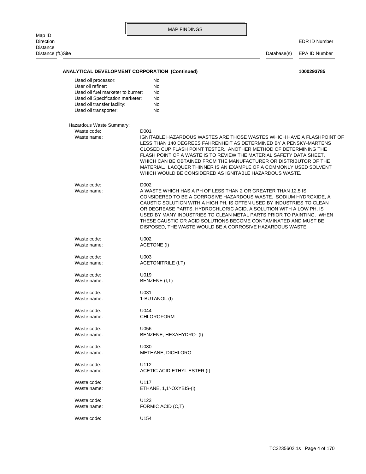|                                                                                                                                                                           |                  | <b>MAP FINDINGS</b>                                                                                                                                                                                                                                                                                                                                                                                                                                                                           |             |                      |
|---------------------------------------------------------------------------------------------------------------------------------------------------------------------------|------------------|-----------------------------------------------------------------------------------------------------------------------------------------------------------------------------------------------------------------------------------------------------------------------------------------------------------------------------------------------------------------------------------------------------------------------------------------------------------------------------------------------|-------------|----------------------|
| Map ID<br>Direction<br>Distance                                                                                                                                           |                  |                                                                                                                                                                                                                                                                                                                                                                                                                                                                                               |             | <b>EDR ID Number</b> |
| Distance (ft.)Site                                                                                                                                                        |                  |                                                                                                                                                                                                                                                                                                                                                                                                                                                                                               | Database(s) | EPA ID Number        |
| <b>ANALYTICAL DEVELOPMENT CORPORATION (Continued)</b>                                                                                                                     |                  |                                                                                                                                                                                                                                                                                                                                                                                                                                                                                               |             | 1000293785           |
| Used oil processor:<br>User oil refiner:<br>Used oil fuel marketer to burner:<br>Used oil Specification marketer:<br>Used oil transfer facility:<br>Used oil transporter: |                  | No<br>No<br>No<br>No<br>No<br>No                                                                                                                                                                                                                                                                                                                                                                                                                                                              |             |                      |
| Hazardous Waste Summary:                                                                                                                                                  |                  |                                                                                                                                                                                                                                                                                                                                                                                                                                                                                               |             |                      |
| Waste code:<br>Waste name:                                                                                                                                                | D <sub>001</sub> | IGNITABLE HAZARDOUS WASTES ARE THOSE WASTES WHICH HAVE A FLASHPOINT OF<br>LESS THAN 140 DEGREES FAHRENHEIT AS DETERMINED BY A PENSKY-MARTENS<br>CLOSED CUP FLASH POINT TESTER. ANOTHER METHOD OF DETERMINING THE<br>FLASH POINT OF A WASTE IS TO REVIEW THE MATERIAL SAFETY DATA SHEET.<br>WHICH CAN BE OBTAINED FROM THE MANUFACTURER OR DISTRIBUTOR OF THE<br>MATERIAL. LACQUER THINNER IS AN EXAMPLE OF A COMMONLY USED SOLVENT<br>WHICH WOULD BE CONSIDERED AS IGNITABLE HAZARDOUS WASTE. |             |                      |
| Waste code:<br>Waste name:                                                                                                                                                | D <sub>002</sub> | A WASTE WHICH HAS A PH OF LESS THAN 2 OR GREATER THAN 12.5 IS<br>CONSIDERED TO BE A CORROSIVE HAZARDOUS WASTE. SODIUM HYDROXIDE, A<br>CAUSTIC SOLUTION WITH A HIGH PH, IS OFTEN USED BY INDUSTRIES TO CLEAN<br>OR DEGREASE PARTS. HYDROCHLORIC ACID, A SOLUTION WITH A LOW PH, IS<br>USED BY MANY INDUSTRIES TO CLEAN METAL PARTS PRIOR TO PAINTING. WHEN<br>THESE CAUSTIC OR ACID SOLUTIONS BECOME CONTAMINATED AND MUST BE<br>DISPOSED, THE WASTE WOULD BE A CORROSIVE HAZARDOUS WASTE.     |             |                      |
| Waste code:<br>Waste name:                                                                                                                                                | U002             | <b>ACETONE (I)</b>                                                                                                                                                                                                                                                                                                                                                                                                                                                                            |             |                      |
|                                                                                                                                                                           |                  |                                                                                                                                                                                                                                                                                                                                                                                                                                                                                               |             |                      |
| Waste code:<br>Waste name:                                                                                                                                                | U003             | <b>ACETONITRILE (I,T)</b>                                                                                                                                                                                                                                                                                                                                                                                                                                                                     |             |                      |
| Waste code:<br>Waste name:                                                                                                                                                | U019             | BENZENE (I,T)                                                                                                                                                                                                                                                                                                                                                                                                                                                                                 |             |                      |
| Waste code:<br>Waste name:                                                                                                                                                | U031             | 1-BUTANOL (I)                                                                                                                                                                                                                                                                                                                                                                                                                                                                                 |             |                      |
| Waste code:<br>Waste name:                                                                                                                                                | U044             | <b>CHLOROFORM</b>                                                                                                                                                                                                                                                                                                                                                                                                                                                                             |             |                      |
| Waste code:<br>Waste name:                                                                                                                                                | U056             | BENZENE, HEXAHYDRO- (I)                                                                                                                                                                                                                                                                                                                                                                                                                                                                       |             |                      |
| Waste code:<br>Waste name:                                                                                                                                                | U080             | METHANE, DICHLORO-                                                                                                                                                                                                                                                                                                                                                                                                                                                                            |             |                      |
| Waste code:<br>Waste name:                                                                                                                                                | U112             | ACETIC ACID ETHYL ESTER (I)                                                                                                                                                                                                                                                                                                                                                                                                                                                                   |             |                      |
| Waste code:<br>Waste name:                                                                                                                                                | U117             | ETHANE, 1,1'-OXYBIS-(I)                                                                                                                                                                                                                                                                                                                                                                                                                                                                       |             |                      |
| Waste code:<br>Waste name:                                                                                                                                                | U123             | FORMIC ACID (C,T)                                                                                                                                                                                                                                                                                                                                                                                                                                                                             |             |                      |
| Waste code:                                                                                                                                                               | U154             |                                                                                                                                                                                                                                                                                                                                                                                                                                                                                               |             |                      |
|                                                                                                                                                                           |                  |                                                                                                                                                                                                                                                                                                                                                                                                                                                                                               |             |                      |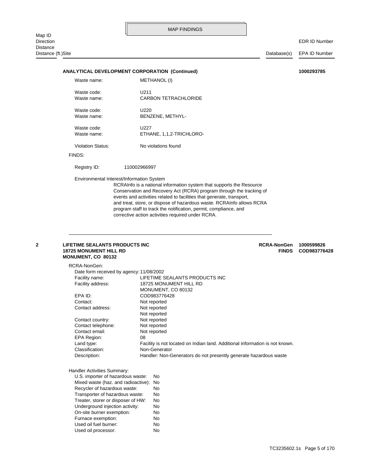Distance (ft.)Site Database(s) EPA ID Number

#### **ANALYTICAL DEVELOPMENT CORPORATION (Continued) 1000293785**

| Waste name: | METHANOL (I)             |
|-------------|--------------------------|
| Waste code: | U211                     |
| Waste name: | CARBON TETRACHLORIDE     |
| Waste code: | U220                     |
| Waste name: | BENZENE, METHYL-         |
| Waste code: | U227                     |
| Waste name: | ETHANE, 1,1,2-TRICHLORO- |

Violation Status: No violations found

#### FINDS:

Registry ID: 110002966997

Environmental Interest/Information System

corrective action activities required under RCRA. program staff to track the notification, permit, compliance, and and treat, store, or dispose of hazardous waste. RCRAInfo allows RCRA events and activities related to facilities that generate, transport, Conservation and Recovery Act (RCRA) program through the tracking of RCRAInfo is a national information system that supports the Resource

<span id="page-17-0"></span>

#### **MONUMENT, CO 80132 18725 MONUMENT HILL RD FINDS COD983776428 2 LIFETIME SEALANTS PRODUCTS INC 1000599826 RCRA-NonGen 1000599826**

| RCRA-NonGen:                             |                                                                              |
|------------------------------------------|------------------------------------------------------------------------------|
| Date form received by agency: 11/08/2002 |                                                                              |
| Facility name:                           | LIFETIME SEALANTS PRODUCTS INC                                               |
| Facility address:                        | 18725 MONUMENT HILL RD                                                       |
|                                          | MONUMENT, CO 80132                                                           |
| EPA ID:                                  | COD983776428                                                                 |
| Contact:                                 | Not reported                                                                 |
| Contact address:                         | Not reported                                                                 |
|                                          | Not reported                                                                 |
| Contact country:                         | Not reported                                                                 |
| Contact telephone:                       | Not reported                                                                 |
| Contact email:                           | Not reported                                                                 |
| EPA Region:                              | 08                                                                           |
| Land type:                               | Facility is not located on Indian land. Additional information is not known. |
| Classification:                          | Non-Generator                                                                |
| Description:                             | Handler: Non-Generators do not presently generate hazardous waste            |
| Handler Activities Summary:              |                                                                              |
| U.S. importer of hazardous waste:        | No                                                                           |
| Mixed waste (haz. and radioactive): No   |                                                                              |
| Recycler of hazardous waste:             | No                                                                           |
| Transporter of hazardous waste:          | No                                                                           |

Used oil fuel burner: No Furnace exemption: No On-site burner exemption: No Underground injection activity: No Treater, storer or disposer of HW: No

Used oil processor: No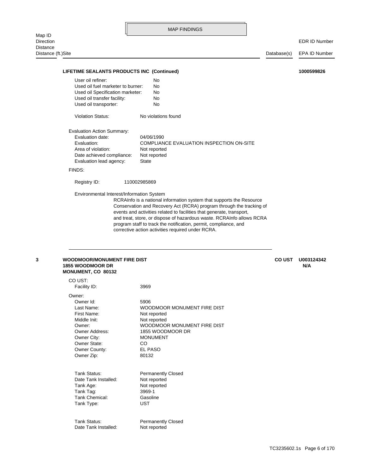| Map ID                              |                                                                                                                                                                                                                                                                                                                               | <b>MAP FINDINGS</b>                                                                                                                                                                                                                                                                                                                                                                                                     |              |                      |
|-------------------------------------|-------------------------------------------------------------------------------------------------------------------------------------------------------------------------------------------------------------------------------------------------------------------------------------------------------------------------------|-------------------------------------------------------------------------------------------------------------------------------------------------------------------------------------------------------------------------------------------------------------------------------------------------------------------------------------------------------------------------------------------------------------------------|--------------|----------------------|
| <b>Direction</b><br><b>Distance</b> |                                                                                                                                                                                                                                                                                                                               |                                                                                                                                                                                                                                                                                                                                                                                                                         |              | <b>EDR ID Number</b> |
| Distance (ft.)Site                  |                                                                                                                                                                                                                                                                                                                               |                                                                                                                                                                                                                                                                                                                                                                                                                         | Database(s)  | EPA ID Number        |
|                                     | LIFETIME SEALANTS PRODUCTS INC (Continued)                                                                                                                                                                                                                                                                                    |                                                                                                                                                                                                                                                                                                                                                                                                                         |              | 1000599826           |
|                                     |                                                                                                                                                                                                                                                                                                                               |                                                                                                                                                                                                                                                                                                                                                                                                                         |              |                      |
|                                     | User oil refiner:<br>Used oil fuel marketer to burner:<br>Used oil Specification marketer:<br>Used oil transfer facility:<br>Used oil transporter:<br><b>Violation Status:</b><br>Evaluation Action Summary:<br>Evaluation date:<br>Evaluation:<br>Area of violation:<br>Date achieved compliance:<br>Evaluation lead agency: | No<br>No<br>No<br>No<br>No<br>No violations found<br>04/06/1990<br>COMPLIANCE EVALUATION INSPECTION ON-SITE<br>Not reported<br>Not reported<br><b>State</b>                                                                                                                                                                                                                                                             |              |                      |
|                                     | FINDS:                                                                                                                                                                                                                                                                                                                        |                                                                                                                                                                                                                                                                                                                                                                                                                         |              |                      |
|                                     | Registry ID:                                                                                                                                                                                                                                                                                                                  | 110002985869                                                                                                                                                                                                                                                                                                                                                                                                            |              |                      |
|                                     |                                                                                                                                                                                                                                                                                                                               | RCRAInfo is a national information system that supports the Resource<br>Conservation and Recovery Act (RCRA) program through the tracking of<br>events and activities related to facilities that generate, transport,<br>and treat, store, or dispose of hazardous waste. RCRAInfo allows RCRA<br>program staff to track the notification, permit, compliance, and<br>corrective action activities required under RCRA. |              |                      |
| 3                                   | <b>WOODMOOR/MONUMENT FIRE DIST</b><br><b>1855 WOODMOOR DR</b><br><b>MONUMENT, CO 80132</b>                                                                                                                                                                                                                                    |                                                                                                                                                                                                                                                                                                                                                                                                                         | <b>COUST</b> | U003124342<br>N/A    |
|                                     | CO UST:<br>Facility ID:                                                                                                                                                                                                                                                                                                       | 3969                                                                                                                                                                                                                                                                                                                                                                                                                    |              |                      |
|                                     | Owner:                                                                                                                                                                                                                                                                                                                        |                                                                                                                                                                                                                                                                                                                                                                                                                         |              |                      |
|                                     | Owner Id:<br>Last Name:<br>First Name:<br>Middle Init:<br>Owner:<br><b>Owner Address:</b><br>Owner City:<br>Owner State:<br>Owner County:<br>Owner Zip:                                                                                                                                                                       | 5906<br>WOODMOOR MONUMENT FIRE DIST<br>Not reported<br>Not reported<br>WOODMOOR MONUMENT FIRE DIST<br>1855 WOODMOOR DR<br><b>MONUMENT</b><br>CO<br>EL PASO<br>80132                                                                                                                                                                                                                                                     |              |                      |
|                                     | Tank Status:<br>Date Tank Installed:                                                                                                                                                                                                                                                                                          | <b>Permanently Closed</b><br>Not reported                                                                                                                                                                                                                                                                                                                                                                               |              |                      |

Date Tank Installed:

<span id="page-18-0"></span>Tank Type: UST Tank Chemical: Gasoline Tank Tag: 3969-1 Tank Age: Not reported

Tank Status: Permanently Closed<br>
Date Tank Installed: Not reported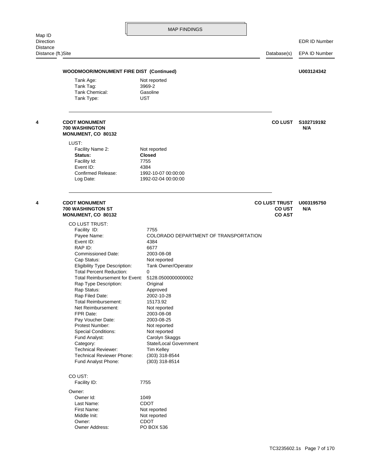<span id="page-19-1"></span><span id="page-19-0"></span>Direction EDR ID Number Distance (ft.)Site Database(s) EPA ID Number Tank Type: UST Tank Chemical: Gasoline Tank Tag: 3969-2 Tank Age: Not reported **WOODMOOR/MONUMENT FIRE DIST (Continued) U003124342** Log Date: 1992-02-04 00:00:00 Confirmed Release: 1992-10-07 00:00:00 Event ID: 4384 Facility Id: 7755 **Status: Closed** Facility Name 2: Not reported LUST: **MONUMENT, CO 80132 700 WASHINGTON N/A 4 CDOT MONUMENT CO LUST S102719192** First Name: Not reported Last Name: CDOT Owner Id: 1049 Owner: Facility ID: 7755 CO UST: Fund Analyst Phone: (303) 318-8514 Technical Reviewer Phone: (303) 318-8544 Technical Reviewer: Tim Kelley Category: State/Local Government Fund Analyst: Carolyn Skaggs Special Conditions: Not reported Protest Number: Not reported Pay Voucher Date: 2003-08-25 FPR Date: 2003-08-08 Net Reimbursement: Not reported Total Reimbursement: 15173.92 Rap Filed Date: 2002-10-28 Rap Status: Approved Rap Type Description: **Original** Total Reimbursement for Event: 5128.0500000000002 Total Percent Reduction: 0 Eligibility Type Description: Tank Owner/Operator Cap Status: Not reported Commissioned Date: 2003-08-08 RAP ID: 6677 Event ID: 4384 Payee Name: COLORADO DEPARTMENT OF TRANSPORTATION Facility ID: 7755 CO LUST TRUST: **MONUMENT, CO 80132 CO AST 700 WASHINGTON ST CO UST N/A 4 CDOT MONUMENT CO LUST TRUST U003195750**

> Owner Address: PO BOX 536 Owner: CDOT Middle Init: Not reported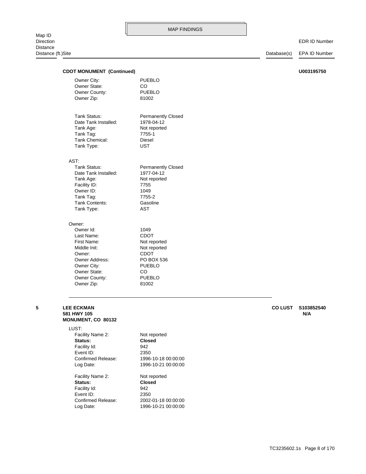EDR ID Number

| LUST:<br>Facility Name 2:<br>Status:                   | Not reported<br><b>Closed</b>           |                |                   |
|--------------------------------------------------------|-----------------------------------------|----------------|-------------------|
| <b>LEE ECKMAN</b><br>581 HWY 105<br>MONUMENT, CO 80132 |                                         | <b>CO LUST</b> | S103852540<br>N/A |
|                                                        |                                         |                |                   |
| Owner Zip:                                             | 81002                                   |                |                   |
| Owner County:                                          | <b>PUEBLO</b>                           |                |                   |
| Owner State:                                           | CO                                      |                |                   |
| Owner City:                                            | <b>PUEBLO</b>                           |                |                   |
| Owner:<br>Owner Address:                               | <b>CDOT</b><br>PO BOX 536               |                |                   |
| Middle Init:                                           | Not reported                            |                |                   |
| First Name:                                            | Not reported                            |                |                   |
| Last Name:                                             | <b>CDOT</b>                             |                |                   |
| Owner Id:                                              | 1049                                    |                |                   |
| Owner:                                                 |                                         |                |                   |
| Tank Type:                                             | <b>AST</b>                              |                |                   |
| Tank Contents:                                         | Gasoline                                |                |                   |
| Tank Tag:                                              | 7755-2                                  |                |                   |
| Owner ID:                                              | 1049                                    |                |                   |
| Tank Age:<br>Facility ID:                              | Not reported<br>7755                    |                |                   |
| Date Tank Installed:                                   | 1977-04-12                              |                |                   |
| Tank Status:                                           | <b>Permanently Closed</b>               |                |                   |
| AST:                                                   |                                         |                |                   |
|                                                        |                                         |                |                   |
| Tank Type:                                             | <b>UST</b>                              |                |                   |
| Tank Chemical:                                         | <b>Diesel</b>                           |                |                   |
| Tank Tag:                                              | 7755-1                                  |                |                   |
| Tank Age:                                              | Not reported                            |                |                   |
| Tank Status:<br>Date Tank Installed:                   | <b>Permanently Closed</b><br>1978-04-12 |                |                   |
|                                                        |                                         |                |                   |
| Owner Zip:                                             | 81002                                   |                |                   |
| Owner County:                                          | <b>PUEBLO</b>                           |                |                   |
| Owner State:                                           | CO.                                     |                |                   |
|                                                        |                                         |                |                   |
| Owner City:                                            | <b>PUEBLO</b>                           |                |                   |

Log Date: 1996-10-21 00:00:00 Confirmed Release: 2002-01-18 00:00:00

Log Date: 1996-10-21 00:00:00 Confirmed Release: 1996-10-18 00:00:00

Event ID: 2350 Facility Id: 942 **Status: Closed** Facility Name 2: Not reported

<span id="page-20-0"></span>Event ID: 2350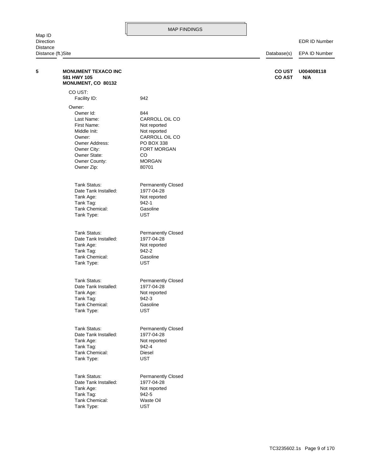| <b>Direction</b> | <b>EDR ID Number</b>         |
|------------------|------------------------------|
| Distance         |                              |
|                  | $D - t - b = -t - t$ $D - b$ |

<span id="page-21-0"></span>

| Distance (ft.)Site |                                                                 |                           | Database(s)                    | EPA ID Number     |
|--------------------|-----------------------------------------------------------------|---------------------------|--------------------------------|-------------------|
| 5                  | <b>MONUMENT TEXACO INC</b><br>581 HWY 105<br>MONUMENT, CO 80132 |                           | <b>CO UST</b><br><b>CO AST</b> | U004008118<br>N/A |
|                    | CO UST:<br>Facility ID:                                         | 942                       |                                |                   |
|                    |                                                                 |                           |                                |                   |
|                    | Owner:                                                          |                           |                                |                   |
|                    | Owner Id:<br>Last Name:                                         | 844<br>CARROLL OIL CO     |                                |                   |
|                    | First Name:                                                     | Not reported              |                                |                   |
|                    | Middle Init:                                                    | Not reported              |                                |                   |
|                    | Owner:                                                          | CARROLL OIL CO            |                                |                   |
|                    | Owner Address:                                                  | PO BOX 338                |                                |                   |
|                    | Owner City:                                                     | FORT MORGAN               |                                |                   |
|                    | Owner State:                                                    | CO                        |                                |                   |
|                    | Owner County:                                                   | <b>MORGAN</b>             |                                |                   |
|                    | Owner Zip:                                                      | 80701                     |                                |                   |
|                    | Tank Status:                                                    | <b>Permanently Closed</b> |                                |                   |
|                    | Date Tank Installed:                                            | 1977-04-28                |                                |                   |
|                    | Tank Age:                                                       | Not reported              |                                |                   |
|                    | Tank Tag:<br>Tank Chemical:                                     | 942-1                     |                                |                   |
|                    | Tank Type:                                                      | Gasoline<br><b>UST</b>    |                                |                   |
|                    |                                                                 |                           |                                |                   |
|                    | Tank Status:                                                    | <b>Permanently Closed</b> |                                |                   |
|                    | Date Tank Installed:                                            | 1977-04-28                |                                |                   |
|                    | Tank Age:                                                       | Not reported              |                                |                   |
|                    | Tank Tag:                                                       | 942-2                     |                                |                   |
|                    | Tank Chemical:                                                  | Gasoline                  |                                |                   |
|                    | Tank Type:                                                      | UST                       |                                |                   |
|                    | Tank Status:                                                    | <b>Permanently Closed</b> |                                |                   |
|                    | Date Tank Installed:                                            | 1977-04-28                |                                |                   |
|                    | Tank Age:                                                       | Not reported              |                                |                   |
|                    | Tank Tag:<br>Tank Chemical:                                     | 942-3<br>Gasoline         |                                |                   |
|                    | Tank Type:                                                      | <b>UST</b>                |                                |                   |
|                    |                                                                 |                           |                                |                   |
|                    | Tank Status:                                                    | <b>Permanently Closed</b> |                                |                   |
|                    | Date Tank Installed:                                            | 1977-04-28                |                                |                   |
|                    | Tank Age:                                                       | Not reported              |                                |                   |
|                    | Tank Tag:                                                       | 942-4                     |                                |                   |
|                    | Tank Chemical:<br>Tank Type:                                    | Diesel<br><b>UST</b>      |                                |                   |
|                    |                                                                 |                           |                                |                   |
|                    | Tank Status:                                                    | Permanently Closed        |                                |                   |
|                    | Date Tank Installed:                                            | 1977-04-28                |                                |                   |
|                    | Tank Age:                                                       | Not reported              |                                |                   |
|                    | Tank Tag:                                                       | 942-5                     |                                |                   |
|                    | Tank Chemical:<br>Tank Type:                                    | Waste Oil<br><b>UST</b>   |                                |                   |
|                    |                                                                 |                           |                                |                   |
|                    |                                                                 |                           |                                |                   |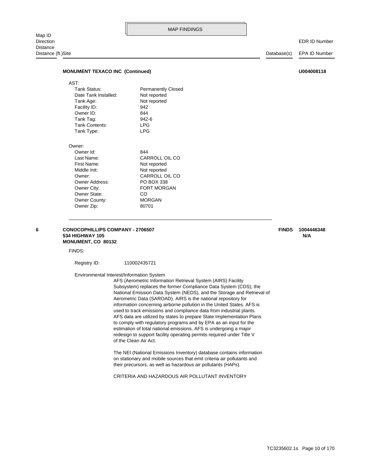#### **MONUMENT TEXACO INC (Continued) DOMAGNET AND INCOMENT TEXACO INC** (Continued)

| AST:                 |                           |
|----------------------|---------------------------|
| Tank Status:         | <b>Permanently Closed</b> |
| Date Tank Installed: | Not reported              |
| Tank Age:            | Not reported              |
| Facility ID:         | 942                       |
| Owner ID:            | 844                       |
| Tank Tag:            | 942-6                     |
| Tank Contents:       | LPG                       |
| Tank Type:           | I PG                      |
| Owner:               |                           |
| Owner Id:            | 844                       |
| Last Name:           | CARROLL OIL CO            |
| First Name:          | Not reported              |
| Middle Init:         | Not reported              |
| Owner:               | CARROLL OIL CO            |

Owner City: FORT MORGAN Owner Address: PO BOX 338

<span id="page-22-0"></span>**6 CONOCOPHILLIPS COMPANY - 2706507 1004446348 FINDS**

#### **MONUMENT, CO 80132 534 HIGHWAY 105 N/A**

Owner Zip: 80701 Owner County: MORGAN Owner State: CO

FINDS:

Registry ID: 110002435721

Environmental Interest/Information System

of the Clean Air Act. redesign to support facility operating permits required under Title V estimation of total national emissions. AFS is undergoing a major to comply with regulatory programs and by EPA as an input for the AFS data are utilized by states to prepare State Implementation Plans used to track emissions and compliance data from industrial plants. information concerning airborne pollution in the United States. AFS is Aerometric Data (SAROAD). AIRS is the national repository for National Emission Data System (NEDS), and the Storage and Retrieval of Subsystem) replaces the former Compliance Data System (CDS), the AFS (Aerometric Information Retrieval System (AIRS) Facility

their precursors, as well as hazardous air pollutants (HAPs). on stationary and mobile sources that emit criteria air pollutants and The NEI (National Emissions Inventory) database contains information

CRITERIA AND HAZARDOUS AIR POLLUTANT INVENTORY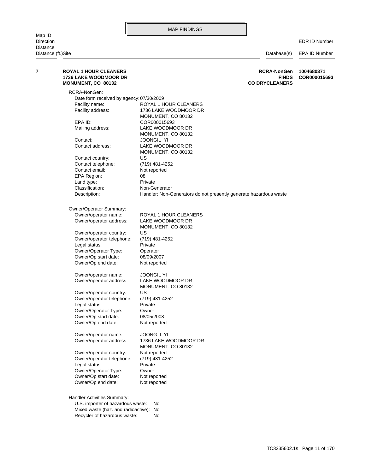#### EDR ID Number

<span id="page-23-0"></span>

| RCRA-NonGen:<br>Date form received by agency: 07/30/2009<br>ROYAL 1 HOUR CLEANERS<br>Facility name:<br>Facility address:<br>1736 LAKE WOODMOOR DR<br>MONUMENT, CO 80132<br>EPA ID:<br>COR000015693<br>Mailing address:<br>LAKE WOODMOOR DR<br>MONUMENT, CO 80132<br>Contact:<br>JOONGIL YI<br>Contact address:<br>LAKE WOODMOOR DR<br>MONUMENT, CO 80132<br>US<br>Contact country:<br>Contact telephone:<br>(719) 481-4252<br>Contact email:<br>Not reported<br>EPA Region:<br>08<br>Private<br>Land type:<br>Classification:<br>Non-Generator<br>Description:<br>Handler: Non-Generators do not presently generate hazardous waste<br>Owner/Operator Summary:<br>Owner/operator name:<br>ROYAL 1 HOUR CLEANERS<br>Owner/operator address:<br>LAKE WOODMOOR DR<br>MONUMENT, CO 80132<br>Owner/operator country:<br>US<br>Owner/operator telephone:<br>(719) 481-4252<br>Legal status:<br>Private<br>Owner/Operator Type:<br>Operator<br>Owner/Op start date:<br>08/09/2007<br>Owner/Op end date:<br>Not reported<br>Owner/operator name:<br><b>JOONGIL YI</b><br>Owner/operator address:<br>LAKE WOODMOOR DR<br>MONUMENT, CO 80132<br>US<br>Owner/operator country:<br>Owner/operator telephone:<br>(719) 481-4252<br>Legal status:<br>Private<br>Owner/Operator Type:<br>Owner<br>Owner/Op start date:<br>08/05/2008<br>Owner/Op end date:<br>Not reported<br><b>JOONG IL YI</b><br>Owner/operator name:<br>Owner/operator address:<br>1736 LAKE WOODMOOR DR<br>MONUMENT, CO 80132<br>Owner/operator country:<br>Not reported<br>Owner/operator telephone:<br>(719) 481-4252<br>Legal status:<br>Private<br>Owner/Operator Type:<br>Owner | 7 | <b>ROYAL 1 HOUR CLEANERS</b><br><b>1736 LAKE WOODMOOR DR</b><br>MONUMENT, CO 80132 | <b>RCRA-NonGen</b><br><b>FINDS</b><br><b>CO DRYCLEANERS</b> | 1004680371<br>COR000015693 |
|--------------------------------------------------------------------------------------------------------------------------------------------------------------------------------------------------------------------------------------------------------------------------------------------------------------------------------------------------------------------------------------------------------------------------------------------------------------------------------------------------------------------------------------------------------------------------------------------------------------------------------------------------------------------------------------------------------------------------------------------------------------------------------------------------------------------------------------------------------------------------------------------------------------------------------------------------------------------------------------------------------------------------------------------------------------------------------------------------------------------------------------------------------------------------------------------------------------------------------------------------------------------------------------------------------------------------------------------------------------------------------------------------------------------------------------------------------------------------------------------------------------------------------------------------------------------------------------------------------------------------------------------|---|------------------------------------------------------------------------------------|-------------------------------------------------------------|----------------------------|
|                                                                                                                                                                                                                                                                                                                                                                                                                                                                                                                                                                                                                                                                                                                                                                                                                                                                                                                                                                                                                                                                                                                                                                                                                                                                                                                                                                                                                                                                                                                                                                                                                                            |   |                                                                                    |                                                             |                            |
|                                                                                                                                                                                                                                                                                                                                                                                                                                                                                                                                                                                                                                                                                                                                                                                                                                                                                                                                                                                                                                                                                                                                                                                                                                                                                                                                                                                                                                                                                                                                                                                                                                            |   |                                                                                    |                                                             |                            |
|                                                                                                                                                                                                                                                                                                                                                                                                                                                                                                                                                                                                                                                                                                                                                                                                                                                                                                                                                                                                                                                                                                                                                                                                                                                                                                                                                                                                                                                                                                                                                                                                                                            |   |                                                                                    |                                                             |                            |
|                                                                                                                                                                                                                                                                                                                                                                                                                                                                                                                                                                                                                                                                                                                                                                                                                                                                                                                                                                                                                                                                                                                                                                                                                                                                                                                                                                                                                                                                                                                                                                                                                                            |   |                                                                                    |                                                             |                            |
|                                                                                                                                                                                                                                                                                                                                                                                                                                                                                                                                                                                                                                                                                                                                                                                                                                                                                                                                                                                                                                                                                                                                                                                                                                                                                                                                                                                                                                                                                                                                                                                                                                            |   |                                                                                    |                                                             |                            |
|                                                                                                                                                                                                                                                                                                                                                                                                                                                                                                                                                                                                                                                                                                                                                                                                                                                                                                                                                                                                                                                                                                                                                                                                                                                                                                                                                                                                                                                                                                                                                                                                                                            |   |                                                                                    |                                                             |                            |
|                                                                                                                                                                                                                                                                                                                                                                                                                                                                                                                                                                                                                                                                                                                                                                                                                                                                                                                                                                                                                                                                                                                                                                                                                                                                                                                                                                                                                                                                                                                                                                                                                                            |   |                                                                                    |                                                             |                            |
|                                                                                                                                                                                                                                                                                                                                                                                                                                                                                                                                                                                                                                                                                                                                                                                                                                                                                                                                                                                                                                                                                                                                                                                                                                                                                                                                                                                                                                                                                                                                                                                                                                            |   |                                                                                    |                                                             |                            |
|                                                                                                                                                                                                                                                                                                                                                                                                                                                                                                                                                                                                                                                                                                                                                                                                                                                                                                                                                                                                                                                                                                                                                                                                                                                                                                                                                                                                                                                                                                                                                                                                                                            |   |                                                                                    |                                                             |                            |
|                                                                                                                                                                                                                                                                                                                                                                                                                                                                                                                                                                                                                                                                                                                                                                                                                                                                                                                                                                                                                                                                                                                                                                                                                                                                                                                                                                                                                                                                                                                                                                                                                                            |   |                                                                                    |                                                             |                            |
|                                                                                                                                                                                                                                                                                                                                                                                                                                                                                                                                                                                                                                                                                                                                                                                                                                                                                                                                                                                                                                                                                                                                                                                                                                                                                                                                                                                                                                                                                                                                                                                                                                            |   |                                                                                    |                                                             |                            |
|                                                                                                                                                                                                                                                                                                                                                                                                                                                                                                                                                                                                                                                                                                                                                                                                                                                                                                                                                                                                                                                                                                                                                                                                                                                                                                                                                                                                                                                                                                                                                                                                                                            |   |                                                                                    |                                                             |                            |
|                                                                                                                                                                                                                                                                                                                                                                                                                                                                                                                                                                                                                                                                                                                                                                                                                                                                                                                                                                                                                                                                                                                                                                                                                                                                                                                                                                                                                                                                                                                                                                                                                                            |   |                                                                                    |                                                             |                            |
|                                                                                                                                                                                                                                                                                                                                                                                                                                                                                                                                                                                                                                                                                                                                                                                                                                                                                                                                                                                                                                                                                                                                                                                                                                                                                                                                                                                                                                                                                                                                                                                                                                            |   |                                                                                    |                                                             |                            |
|                                                                                                                                                                                                                                                                                                                                                                                                                                                                                                                                                                                                                                                                                                                                                                                                                                                                                                                                                                                                                                                                                                                                                                                                                                                                                                                                                                                                                                                                                                                                                                                                                                            |   |                                                                                    |                                                             |                            |
|                                                                                                                                                                                                                                                                                                                                                                                                                                                                                                                                                                                                                                                                                                                                                                                                                                                                                                                                                                                                                                                                                                                                                                                                                                                                                                                                                                                                                                                                                                                                                                                                                                            |   |                                                                                    |                                                             |                            |
|                                                                                                                                                                                                                                                                                                                                                                                                                                                                                                                                                                                                                                                                                                                                                                                                                                                                                                                                                                                                                                                                                                                                                                                                                                                                                                                                                                                                                                                                                                                                                                                                                                            |   |                                                                                    |                                                             |                            |
|                                                                                                                                                                                                                                                                                                                                                                                                                                                                                                                                                                                                                                                                                                                                                                                                                                                                                                                                                                                                                                                                                                                                                                                                                                                                                                                                                                                                                                                                                                                                                                                                                                            |   |                                                                                    |                                                             |                            |
|                                                                                                                                                                                                                                                                                                                                                                                                                                                                                                                                                                                                                                                                                                                                                                                                                                                                                                                                                                                                                                                                                                                                                                                                                                                                                                                                                                                                                                                                                                                                                                                                                                            |   |                                                                                    |                                                             |                            |
|                                                                                                                                                                                                                                                                                                                                                                                                                                                                                                                                                                                                                                                                                                                                                                                                                                                                                                                                                                                                                                                                                                                                                                                                                                                                                                                                                                                                                                                                                                                                                                                                                                            |   |                                                                                    |                                                             |                            |
|                                                                                                                                                                                                                                                                                                                                                                                                                                                                                                                                                                                                                                                                                                                                                                                                                                                                                                                                                                                                                                                                                                                                                                                                                                                                                                                                                                                                                                                                                                                                                                                                                                            |   |                                                                                    |                                                             |                            |
|                                                                                                                                                                                                                                                                                                                                                                                                                                                                                                                                                                                                                                                                                                                                                                                                                                                                                                                                                                                                                                                                                                                                                                                                                                                                                                                                                                                                                                                                                                                                                                                                                                            |   |                                                                                    |                                                             |                            |
|                                                                                                                                                                                                                                                                                                                                                                                                                                                                                                                                                                                                                                                                                                                                                                                                                                                                                                                                                                                                                                                                                                                                                                                                                                                                                                                                                                                                                                                                                                                                                                                                                                            |   |                                                                                    |                                                             |                            |
|                                                                                                                                                                                                                                                                                                                                                                                                                                                                                                                                                                                                                                                                                                                                                                                                                                                                                                                                                                                                                                                                                                                                                                                                                                                                                                                                                                                                                                                                                                                                                                                                                                            |   |                                                                                    |                                                             |                            |
|                                                                                                                                                                                                                                                                                                                                                                                                                                                                                                                                                                                                                                                                                                                                                                                                                                                                                                                                                                                                                                                                                                                                                                                                                                                                                                                                                                                                                                                                                                                                                                                                                                            |   |                                                                                    |                                                             |                            |
|                                                                                                                                                                                                                                                                                                                                                                                                                                                                                                                                                                                                                                                                                                                                                                                                                                                                                                                                                                                                                                                                                                                                                                                                                                                                                                                                                                                                                                                                                                                                                                                                                                            |   |                                                                                    |                                                             |                            |
|                                                                                                                                                                                                                                                                                                                                                                                                                                                                                                                                                                                                                                                                                                                                                                                                                                                                                                                                                                                                                                                                                                                                                                                                                                                                                                                                                                                                                                                                                                                                                                                                                                            |   |                                                                                    |                                                             |                            |
|                                                                                                                                                                                                                                                                                                                                                                                                                                                                                                                                                                                                                                                                                                                                                                                                                                                                                                                                                                                                                                                                                                                                                                                                                                                                                                                                                                                                                                                                                                                                                                                                                                            |   |                                                                                    |                                                             |                            |
|                                                                                                                                                                                                                                                                                                                                                                                                                                                                                                                                                                                                                                                                                                                                                                                                                                                                                                                                                                                                                                                                                                                                                                                                                                                                                                                                                                                                                                                                                                                                                                                                                                            |   |                                                                                    |                                                             |                            |
|                                                                                                                                                                                                                                                                                                                                                                                                                                                                                                                                                                                                                                                                                                                                                                                                                                                                                                                                                                                                                                                                                                                                                                                                                                                                                                                                                                                                                                                                                                                                                                                                                                            |   |                                                                                    |                                                             |                            |
|                                                                                                                                                                                                                                                                                                                                                                                                                                                                                                                                                                                                                                                                                                                                                                                                                                                                                                                                                                                                                                                                                                                                                                                                                                                                                                                                                                                                                                                                                                                                                                                                                                            |   |                                                                                    |                                                             |                            |
|                                                                                                                                                                                                                                                                                                                                                                                                                                                                                                                                                                                                                                                                                                                                                                                                                                                                                                                                                                                                                                                                                                                                                                                                                                                                                                                                                                                                                                                                                                                                                                                                                                            |   |                                                                                    |                                                             |                            |
|                                                                                                                                                                                                                                                                                                                                                                                                                                                                                                                                                                                                                                                                                                                                                                                                                                                                                                                                                                                                                                                                                                                                                                                                                                                                                                                                                                                                                                                                                                                                                                                                                                            |   |                                                                                    |                                                             |                            |
|                                                                                                                                                                                                                                                                                                                                                                                                                                                                                                                                                                                                                                                                                                                                                                                                                                                                                                                                                                                                                                                                                                                                                                                                                                                                                                                                                                                                                                                                                                                                                                                                                                            |   |                                                                                    |                                                             |                            |
|                                                                                                                                                                                                                                                                                                                                                                                                                                                                                                                                                                                                                                                                                                                                                                                                                                                                                                                                                                                                                                                                                                                                                                                                                                                                                                                                                                                                                                                                                                                                                                                                                                            |   |                                                                                    |                                                             |                            |
|                                                                                                                                                                                                                                                                                                                                                                                                                                                                                                                                                                                                                                                                                                                                                                                                                                                                                                                                                                                                                                                                                                                                                                                                                                                                                                                                                                                                                                                                                                                                                                                                                                            |   |                                                                                    |                                                             |                            |
|                                                                                                                                                                                                                                                                                                                                                                                                                                                                                                                                                                                                                                                                                                                                                                                                                                                                                                                                                                                                                                                                                                                                                                                                                                                                                                                                                                                                                                                                                                                                                                                                                                            |   |                                                                                    |                                                             |                            |
|                                                                                                                                                                                                                                                                                                                                                                                                                                                                                                                                                                                                                                                                                                                                                                                                                                                                                                                                                                                                                                                                                                                                                                                                                                                                                                                                                                                                                                                                                                                                                                                                                                            |   |                                                                                    |                                                             |                            |
|                                                                                                                                                                                                                                                                                                                                                                                                                                                                                                                                                                                                                                                                                                                                                                                                                                                                                                                                                                                                                                                                                                                                                                                                                                                                                                                                                                                                                                                                                                                                                                                                                                            |   |                                                                                    |                                                             |                            |
| Owner/Op start date:<br>Not reported                                                                                                                                                                                                                                                                                                                                                                                                                                                                                                                                                                                                                                                                                                                                                                                                                                                                                                                                                                                                                                                                                                                                                                                                                                                                                                                                                                                                                                                                                                                                                                                                       |   |                                                                                    |                                                             |                            |
| Owner/Op end date:<br>Not reported                                                                                                                                                                                                                                                                                                                                                                                                                                                                                                                                                                                                                                                                                                                                                                                                                                                                                                                                                                                                                                                                                                                                                                                                                                                                                                                                                                                                                                                                                                                                                                                                         |   |                                                                                    |                                                             |                            |
| Handler Activities Summary:                                                                                                                                                                                                                                                                                                                                                                                                                                                                                                                                                                                                                                                                                                                                                                                                                                                                                                                                                                                                                                                                                                                                                                                                                                                                                                                                                                                                                                                                                                                                                                                                                |   |                                                                                    |                                                             |                            |
| U.S. importer of hazardous waste:<br>No                                                                                                                                                                                                                                                                                                                                                                                                                                                                                                                                                                                                                                                                                                                                                                                                                                                                                                                                                                                                                                                                                                                                                                                                                                                                                                                                                                                                                                                                                                                                                                                                    |   |                                                                                    |                                                             |                            |
| Mixed waste (haz. and radioactive): No                                                                                                                                                                                                                                                                                                                                                                                                                                                                                                                                                                                                                                                                                                                                                                                                                                                                                                                                                                                                                                                                                                                                                                                                                                                                                                                                                                                                                                                                                                                                                                                                     |   |                                                                                    |                                                             |                            |
| Recycler of hazardous waste:<br>No                                                                                                                                                                                                                                                                                                                                                                                                                                                                                                                                                                                                                                                                                                                                                                                                                                                                                                                                                                                                                                                                                                                                                                                                                                                                                                                                                                                                                                                                                                                                                                                                         |   |                                                                                    |                                                             |                            |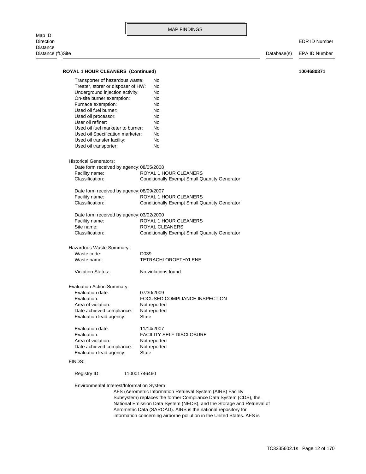Direction EDR ID Number Distance (ft.)Site Database(s) EPA ID Number information concerning airborne pollution in the United States. AFS is Aerometric Data (SAROAD). AIRS is the national repository for National Emission Data System (NEDS), and the Storage and Retrieval of Subsystem) replaces the former Compliance Data System (CDS), the AFS (Aerometric Information Retrieval System (AIRS) Facility Environmental Interest/Information System Registry ID: 110001746460 FINDS: Evaluation lead agency: State Date achieved compliance: Not reported Area of violation: Not reported Evaluation: FACILITY SELF DISCLOSURE Evaluation date: 11/14/2007 Evaluation lead agency: State Date achieved compliance: Not reported Area of violation: Not reported Evaluation: FOCUSED COMPLIANCE INSPECTION Evaluation date: 07/30/2009 Evaluation Action Summary: Violation Status: No violations found Waste name: TETRACHLOROETHYLENE Waste code: D039 Hazardous Waste Summary: Classification: Conditionally Exempt Small Quantity Generator Site name: ROYAL CLEANERS Facility name: ROYAL 1 HOUR CLEANERS Date form received by agency: 03/02/2000 Classification: Conditionally Exempt Small Quantity Generator Facility name: ROYAL 1 HOUR CLEANERS Date form received by agency: 08/09/2007 Classification: Conditionally Exempt Small Quantity Generator Facility name: ROYAL 1 HOUR CLEANERS Date form received by agency: 08/05/2008 Historical Generators: Used oil transporter: No Used oil transfer facility: No Used oil Specification marketer: No Used oil fuel marketer to burner: No User oil refiner: No Used oil processor: No Used oil fuel burner: No Furnace exemption: No On-site burner exemption: No Underground injection activity: No Treater, storer or disposer of HW: No Transporter of hazardous waste: No **ROYAL 1 HOUR CLEANERS (Continued) 1004680371**

MAP FINDINGS

Map ID<br>Direction Distance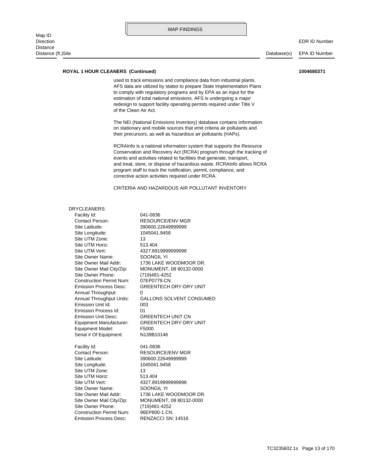#### **ROYAL 1 HOUR CLEANERS (Continued) 1004680371**

of the Clean Air Act. redesign to support facility operating permits required under Title V estimation of total national emissions. AFS is undergoing a major to comply with regulatory programs and by EPA as an input for the AFS data are utilized by states to prepare State Implementation Plans used to track emissions and compliance data from industrial plants.

MAP FINDINGS

their precursors, as well as hazardous air pollutants (HAPs). on stationary and mobile sources that emit criteria air pollutants and The NEI (National Emissions Inventory) database contains information

corrective action activities required under RCRA. program staff to track the notification, permit, compliance, and and treat, store, or dispose of hazardous waste. RCRAInfo allows RCRA events and activities related to facilities that generate, transport, Conservation and Recovery Act (RCRA) program through the tracking of RCRAInfo is a national information system that supports the Resource

#### CRITERIA AND HAZARDOUS AIR POLLUTANT INVENTORY

#### DRYCLEANERS:

Emission Process Desc: RENZACCI SN: 14516 Construction Permit Num: 96EP800-1.CN Site Owner Phone: (719)481-4252 Site Owner Mail City/Zip: MONUMENT, 08 80132-0000 Site Owner Mail Addr: 1736 LAKE WOODMOOR DR. Site Owner Name: SOONGIL YI Site UTM Vert: 4327.8919999999998 Site UTM Horiz: 513.404 Site UTM Zone: 13 Site Longitude: 1045041.9458 Site Latitude: 390600.22649999999 Contact Person: RESOURCE/ENV MGR Facility Id: 041-0836 Serial # Of Equipment: N139B10146 Equipment Model: F5000 Equipment Manufacturer: GREENTECH DRY-DRY UNIT Emission Unit Desc: GREENTECH UNIT.CN Emission Process Id: 01 Emission Unit Id: 003 Annual Throughput Units: GALLONS SOLVENT CONSUMED Annual Throughput: 0 Emission Process Desc: GREENTECH DRY-DRY UNIT Construction Permit Num: 07EP0779.CN Site Owner Phone: (719)481-4252 Site Owner Mail City/Zip: MONUMENT, 08 80132-0000 Site Owner Mail Addr: 1736 LAKE WOODMOOR DR. Site Owner Name: SOONGIL YI Site UTM Vert: 4327.8919999999998 Site UTM Horiz: 513.404 Site UTM Zone: 13 Site Longitude: 1045041.9458 Site Latitude: 390600.22649999999 Contact Person: RESOURCE/ENV MGR Facility Id: 041-0836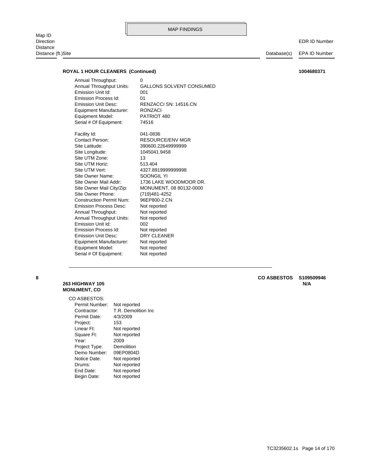Map ID<br>Direction Direction EDR ID Number Distance

Distance (ft.)Site Database(s) EPA ID Number

#### **ROYAL 1 HOUR CLEANERS (Continued) 1004680371**

Serial # Of Equipment: 74516 Equipment Model: PATRIOT 480 Equipment Manufacturer: RONZACI Emission Unit Desc: RENZACCI SN: 14516.CN Emission Process Id: 01 Emission Unit Id: 001 Annual Throughput Units: GALLONS SOLVENT CONSUMED Annual Throughput: 0

Serial # Of Equipment: Not reported Equipment Model: Not reported Equipment Manufacturer: Not reported Emission Unit Desc: DRY CLEANER Emission Process Id: Not reported Emission Unit Id: 002 Annual Throughput Units: Not reported Annual Throughput: Not reported Emission Process Desc: Not reported Construction Permit Num: 96EP800-2.CN Site Owner Phone: (719)481-4252 Site Owner Mail City/Zip: MONUMENT, 08 80132-0000 Site Owner Mail Addr: 1736 LAKE WOODMOOR DR. Site Owner Name: SOONGIL YI Site UTM Vert: 4327.8919999999998 Site UTM Horiz: 513.404 Site UTM Zone: 13 Site Longitude: 1045041.9458 Site Latitude: 390600.22649999999 Contact Person: RESOURCE/ENV MGR Facility Id: 041-0836

## **MONUMENT, CO**

#### CO ASBESTOS:

| Permit Number: | Not reported        |
|----------------|---------------------|
| Contractor:    | T.R. Demolition Inc |
| Permit Date:   | 4/3/2009            |
| Project:       | 153                 |
| Linear Ft:     | Not reported        |
| Square Ft:     | Not reported        |
| Year:          | 2009                |
| Project Type:  | Demolition          |
| Demo Number:   | 09EP0804D           |
| Notice Date:   | Not reported        |
| Drums:         | Not reported        |
| End Date:      | Not reported        |
| Begin Date:    | Not reported        |

<span id="page-26-0"></span>**263 HIGHWAY 105 N/A 8 CO ASBESTOS S109509946**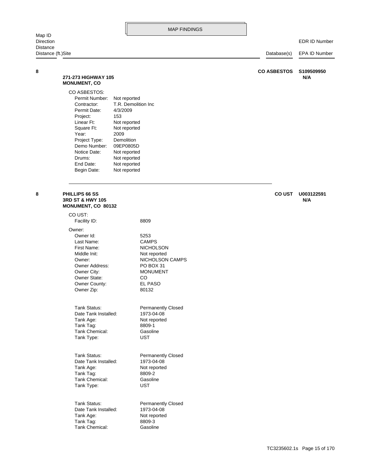<span id="page-27-1"></span><span id="page-27-0"></span>

| Map ID                |                                                                                                                                                                                                       |                                                                                                                                                                                           | <b>MAP FINDINGS</b>                                                                         |                    |                      |
|-----------------------|-------------------------------------------------------------------------------------------------------------------------------------------------------------------------------------------------------|-------------------------------------------------------------------------------------------------------------------------------------------------------------------------------------------|---------------------------------------------------------------------------------------------|--------------------|----------------------|
| Direction<br>Distance |                                                                                                                                                                                                       |                                                                                                                                                                                           |                                                                                             |                    | <b>EDR ID Number</b> |
| Distance (ft.)Site    |                                                                                                                                                                                                       |                                                                                                                                                                                           |                                                                                             | Database(s)        | EPA ID Number        |
| 8                     | 271-273 HIGHWAY 105<br><b>MONUMENT, CO</b>                                                                                                                                                            |                                                                                                                                                                                           |                                                                                             | <b>CO ASBESTOS</b> | S109509950<br>N/A    |
|                       | CO ASBESTOS:<br>Permit Number:<br>Contractor:<br>Permit Date:<br>Project:<br>Linear Ft:<br>Square Ft:<br>Year:<br>Project Type:<br>Demo Number:<br>Notice Date:<br>Drums:<br>End Date:<br>Begin Date: | Not reported<br>T.R. Demolition Inc<br>4/3/2009<br>153<br>Not reported<br>Not reported<br>2009<br>Demolition<br>09EP0805D<br>Not reported<br>Not reported<br>Not reported<br>Not reported |                                                                                             |                    |                      |
| 8                     | PHILLIPS 66 SS<br>3RD ST & HWY 105<br>MONUMENT, CO 80132                                                                                                                                              |                                                                                                                                                                                           |                                                                                             | <b>CO UST</b>      | U003122591<br>N/A    |
|                       | CO UST:<br>Facility ID:<br>Owner:<br>Owner Id:<br>Last Name:<br>First Name:                                                                                                                           |                                                                                                                                                                                           | 8809<br>5253<br><b>CAMPS</b><br><b>NICHOLSON</b>                                            |                    |                      |
|                       | Middle Init:<br>Owner:<br>Owner Address:<br>Owner City:<br><b>Owner State:</b><br>Owner County:<br>Owner Zip:                                                                                         |                                                                                                                                                                                           | Not reported<br>NICHOLSON CAMPS<br>PO BOX 31<br><b>MONUMENT</b><br>CO<br>EL PASO<br>80132   |                    |                      |
|                       | Tank Status:<br>Date Tank Installed:<br>Tank Age:<br>Tank Tag:<br>Tank Chemical:<br>Tank Type:                                                                                                        |                                                                                                                                                                                           | <b>Permanently Closed</b><br>1973-04-08<br>Not reported<br>8809-1<br>Gasoline<br><b>UST</b> |                    |                      |
|                       | <b>Tank Status:</b><br>Date Tank Installed:<br>Tank Age:<br>Tank Tag:<br>Tank Chemical:<br>Tank Type:                                                                                                 |                                                                                                                                                                                           | <b>Permanently Closed</b><br>1973-04-08<br>Not reported<br>8809-2<br>Gasoline<br>UST        |                    |                      |
|                       | Tank Status:                                                                                                                                                                                          |                                                                                                                                                                                           | <b>Permanently Closed</b>                                                                   |                    |                      |

Tank Chemical: Gasoline Tank Tag: 8809-3 Tank Age: Not reported Date Tank Installed: 1973-04-08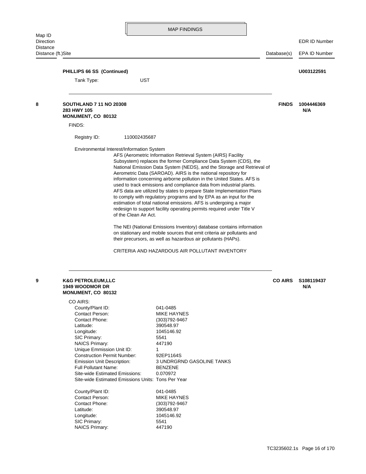<span id="page-28-1"></span><span id="page-28-0"></span>

|                                                                                                                                                                                                                                                                                                                                          |                    |                                                                                                                                                                                                                                                           |                                                                                                                                                                                                                                                                                                                                                                                                                                                                                                                                                                                                                                                                                                                                                                                                                                                                                                                                                                                                                                                                 | <b>EDR ID Number</b>                                                                  |
|------------------------------------------------------------------------------------------------------------------------------------------------------------------------------------------------------------------------------------------------------------------------------------------------------------------------------------------|--------------------|-----------------------------------------------------------------------------------------------------------------------------------------------------------------------------------------------------------------------------------------------------------|-----------------------------------------------------------------------------------------------------------------------------------------------------------------------------------------------------------------------------------------------------------------------------------------------------------------------------------------------------------------------------------------------------------------------------------------------------------------------------------------------------------------------------------------------------------------------------------------------------------------------------------------------------------------------------------------------------------------------------------------------------------------------------------------------------------------------------------------------------------------------------------------------------------------------------------------------------------------------------------------------------------------------------------------------------------------|---------------------------------------------------------------------------------------|
|                                                                                                                                                                                                                                                                                                                                          |                    |                                                                                                                                                                                                                                                           |                                                                                                                                                                                                                                                                                                                                                                                                                                                                                                                                                                                                                                                                                                                                                                                                                                                                                                                                                                                                                                                                 | EPA ID Number                                                                         |
|                                                                                                                                                                                                                                                                                                                                          |                    |                                                                                                                                                                                                                                                           |                                                                                                                                                                                                                                                                                                                                                                                                                                                                                                                                                                                                                                                                                                                                                                                                                                                                                                                                                                                                                                                                 | U003122591                                                                            |
| Tank Type:                                                                                                                                                                                                                                                                                                                               | UST                |                                                                                                                                                                                                                                                           |                                                                                                                                                                                                                                                                                                                                                                                                                                                                                                                                                                                                                                                                                                                                                                                                                                                                                                                                                                                                                                                                 |                                                                                       |
| <b>SOUTHLAND 7 11 NO 20308</b><br>283 HWY 105<br>MONUMENT, CO 80132                                                                                                                                                                                                                                                                      |                    |                                                                                                                                                                                                                                                           | <b>FINDS</b>                                                                                                                                                                                                                                                                                                                                                                                                                                                                                                                                                                                                                                                                                                                                                                                                                                                                                                                                                                                                                                                    | 1004446369<br>N/A                                                                     |
| FINDS:                                                                                                                                                                                                                                                                                                                                   |                    |                                                                                                                                                                                                                                                           |                                                                                                                                                                                                                                                                                                                                                                                                                                                                                                                                                                                                                                                                                                                                                                                                                                                                                                                                                                                                                                                                 |                                                                                       |
| Registry ID:                                                                                                                                                                                                                                                                                                                             |                    |                                                                                                                                                                                                                                                           |                                                                                                                                                                                                                                                                                                                                                                                                                                                                                                                                                                                                                                                                                                                                                                                                                                                                                                                                                                                                                                                                 |                                                                                       |
|                                                                                                                                                                                                                                                                                                                                          |                    |                                                                                                                                                                                                                                                           |                                                                                                                                                                                                                                                                                                                                                                                                                                                                                                                                                                                                                                                                                                                                                                                                                                                                                                                                                                                                                                                                 |                                                                                       |
| <b>K&amp;G PETROLEUM,LLC</b><br><b>1949 WOODMOR DR</b><br>MONUMENT, CO 80132<br>CO AIRS:<br>County/Plant ID:<br>Contact Person:<br>Contact Phone:<br>Latitude:<br>Longitude:<br>SIC Primary:<br><b>NAICS Primary:</b><br><b>Full Pollutant Name:</b><br>County/Plant ID:<br>Contact Person:<br>Contact Phone:<br>Latitude:<br>Longitude: |                    | 041-0485<br>MIKE HAYNES<br>(303) 792-9467<br>390548.97<br>1045146.92<br>5541<br>447190<br>1<br>92EP1164S<br><b>3 UNDRGRND GASOLINE TANKS</b><br><b>BENZENE</b><br>0.070972<br>041-0485<br><b>MIKE HAYNES</b><br>(303) 792-9467<br>390548.97<br>1045146.92 | <b>CO AIRS</b>                                                                                                                                                                                                                                                                                                                                                                                                                                                                                                                                                                                                                                                                                                                                                                                                                                                                                                                                                                                                                                                  | S108119437<br>N/A                                                                     |
|                                                                                                                                                                                                                                                                                                                                          | Distance (ft.)Site | PHILLIPS 66 SS (Continued)<br>Unique Emmission Unit ID:<br><b>Construction Permit Number:</b><br>Emission Unit Description:<br>Site-wide Estimated Emissions:                                                                                             | 110002435687<br>Environmental Interest/Information System<br>AFS (Aerometric Information Retrieval System (AIRS) Facility<br>Subsystem) replaces the former Compliance Data System (CDS), the<br>Aerometric Data (SAROAD). AIRS is the national repository for<br>information concerning airborne pollution in the United States. AFS is<br>used to track emissions and compliance data from industrial plants.<br>AFS data are utilized by states to prepare State Implementation Plans<br>to comply with regulatory programs and by EPA as an input for the<br>estimation of total national emissions. AFS is undergoing a major<br>redesign to support facility operating permits required under Title V<br>of the Clean Air Act.<br>The NEI (National Emissions Inventory) database contains information<br>on stationary and mobile sources that emit criteria air pollutants and<br>their precursors, as well as hazardous air pollutants (HAPs).<br>CRITERIA AND HAZARDOUS AIR POLLUTANT INVENTORY<br>Site-wide Estimated Emissions Units: Tons Per Year | Database(s)<br>National Emission Data System (NEDS), and the Storage and Retrieval of |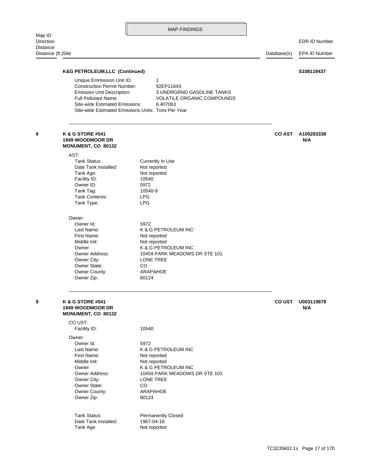<span id="page-29-1"></span><span id="page-29-0"></span>

| Map ID<br>Direction            |                                                                                                                                   | <b>MAP FINDINGS</b>                                                                                                                                  |               | <b>EDR ID Number</b> |
|--------------------------------|-----------------------------------------------------------------------------------------------------------------------------------|------------------------------------------------------------------------------------------------------------------------------------------------------|---------------|----------------------|
| Distance<br>Distance (ft.)Site |                                                                                                                                   |                                                                                                                                                      | Database(s)   | <b>EPA ID Number</b> |
|                                |                                                                                                                                   |                                                                                                                                                      |               |                      |
|                                | <b>K&amp;G PETROLEUM, LLC (Continued)</b><br>Unique Emmission Unit ID:                                                            | 1                                                                                                                                                    |               | S108119437           |
|                                | <b>Construction Permit Number:</b><br>Emission Unit Description:<br><b>Full Pollutant Name:</b><br>Site-wide Estimated Emissions: | 92EP1164S<br><b>3 UNDRGRND GASOLINE TANKS</b><br><b>VOLATILE ORGANIC COMPOUNDS</b><br>6.407063<br>Site-wide Estimated Emissions Units: Tons Per Year |               |                      |
|                                | K & G STORE #541<br>1949 WOODMOOR DR                                                                                              |                                                                                                                                                      | <b>CO AST</b> | A100283338<br>N/A    |
|                                | MONUMENT, CO 80132                                                                                                                |                                                                                                                                                      |               |                      |
|                                | AST:<br><b>Tank Status:</b>                                                                                                       |                                                                                                                                                      |               |                      |
|                                | Date Tank Installed:                                                                                                              | Currently In Use<br>Not reported                                                                                                                     |               |                      |
|                                | Tank Age:                                                                                                                         | Not reported                                                                                                                                         |               |                      |
|                                | Facility ID:                                                                                                                      | 10540                                                                                                                                                |               |                      |
|                                | Owner ID:                                                                                                                         | 5972                                                                                                                                                 |               |                      |
|                                | Tank Tag:                                                                                                                         | 10540-9                                                                                                                                              |               |                      |
|                                | Tank Contents:                                                                                                                    | <b>LPG</b>                                                                                                                                           |               |                      |
|                                | Tank Type:                                                                                                                        | <b>LPG</b>                                                                                                                                           |               |                      |
|                                | Owner:                                                                                                                            |                                                                                                                                                      |               |                      |
|                                | Owner Id:                                                                                                                         | 5972                                                                                                                                                 |               |                      |
|                                | Last Name:                                                                                                                        | K & G PETROLEUM INC                                                                                                                                  |               |                      |
|                                | First Name:<br>Middle Init:                                                                                                       | Not reported<br>Not reported                                                                                                                         |               |                      |
|                                | Owner:                                                                                                                            | K & G PETROLEUM INC                                                                                                                                  |               |                      |
|                                | Owner Address:                                                                                                                    | 10459 PARK MEADOWS DR STE 101                                                                                                                        |               |                      |
|                                | Owner City:                                                                                                                       | LONE TREE                                                                                                                                            |               |                      |
|                                | Owner State:                                                                                                                      | CO                                                                                                                                                   |               |                      |
|                                | Owner County:<br>Owner Zip:                                                                                                       | ARAPAHOE<br>80124                                                                                                                                    |               |                      |
|                                | K & G STORE #541<br><b>1949 WOODMOOR DR</b>                                                                                       |                                                                                                                                                      | <b>CO UST</b> | U003119878<br>N/A    |
|                                | MONUMENT, CO 80132                                                                                                                |                                                                                                                                                      |               |                      |
|                                | CO UST:<br>Facility ID:                                                                                                           | 10540                                                                                                                                                |               |                      |
|                                | Owner:                                                                                                                            |                                                                                                                                                      |               |                      |
|                                | Owner Id:                                                                                                                         | 5972                                                                                                                                                 |               |                      |
|                                | Last Name:<br>First Name:                                                                                                         | K & G PETROLEUM INC                                                                                                                                  |               |                      |
|                                | Middle Init:                                                                                                                      | Not reported<br>Not reported                                                                                                                         |               |                      |
|                                | Owner:                                                                                                                            | K & G PETROLEUM INC                                                                                                                                  |               |                      |
|                                | Owner Address:                                                                                                                    | 10459 PARK MEADOWS DR STE 101                                                                                                                        |               |                      |
|                                | Owner City:                                                                                                                       | LONE TREE                                                                                                                                            |               |                      |
|                                | Owner State:                                                                                                                      | CO                                                                                                                                                   |               |                      |
|                                | Owner County:<br>Owner Zip:                                                                                                       | ARAPAHOE<br>80124                                                                                                                                    |               |                      |
|                                |                                                                                                                                   |                                                                                                                                                      |               |                      |
|                                | Tank Status:                                                                                                                      | <b>Permanently Closed</b>                                                                                                                            |               |                      |
|                                | Date Tank Installed:                                                                                                              | 1967-04-18                                                                                                                                           |               |                      |
|                                | Tank Age:                                                                                                                         | Not reported                                                                                                                                         |               |                      |
|                                |                                                                                                                                   |                                                                                                                                                      |               |                      |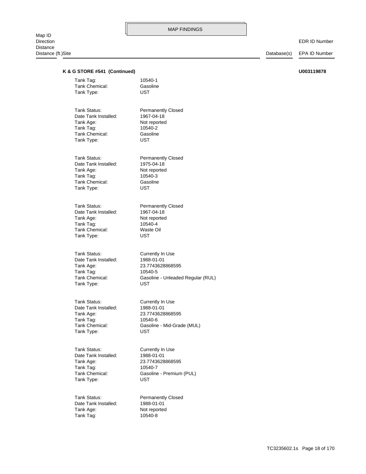#### EDR ID Number

| K & G STORE #541 (Continued) |                                   | U003119878 |
|------------------------------|-----------------------------------|------------|
| Tank Tag:                    | 10540-1                           |            |
| Tank Chemical:               | Gasoline                          |            |
| Tank Type:                   | <b>UST</b>                        |            |
| Tank Status:                 | <b>Permanently Closed</b>         |            |
| Date Tank Installed:         | 1967-04-18                        |            |
| Tank Age:                    | Not reported                      |            |
| Tank Tag:                    | 10540-2                           |            |
| Tank Chemical:               | Gasoline                          |            |
| Tank Type:                   | UST                               |            |
| Tank Status:                 | <b>Permanently Closed</b>         |            |
| Date Tank Installed:         | 1975-04-18                        |            |
| Tank Age:                    | Not reported                      |            |
| Tank Tag:                    | 10540-3                           |            |
| Tank Chemical:               | Gasoline                          |            |
| Tank Type:                   | <b>UST</b>                        |            |
| Tank Status:                 | <b>Permanently Closed</b>         |            |
| Date Tank Installed:         | 1967-04-18                        |            |
| Tank Age:                    | Not reported                      |            |
| Tank Tag:                    | 10540-4                           |            |
| Tank Chemical:               | Waste Oil                         |            |
| Tank Type:                   | <b>UST</b>                        |            |
| Tank Status:                 | Currently In Use                  |            |
| Date Tank Installed:         | 1988-01-01                        |            |
| Tank Age:                    | 23.7743628868595                  |            |
| Tank Tag:                    | 10540-5                           |            |
| Tank Chemical:               | Gasoline - Unleaded Regular (RUL) |            |
| Tank Type:                   | UST                               |            |
| Tank Status:                 | Currently In Use                  |            |
| Date Tank Installed:         | 1988-01-01                        |            |
| Tank Age:                    | 23.7743628868595                  |            |
| Tank Tag:                    | 10540-6                           |            |
| Tank Chemical:               | Gasoline - Mid-Grade (MUL)        |            |
| Tank Type:                   | UST                               |            |
| Tank Status:                 | Currently In Use                  |            |
| Date Tank Installed:         | 1988-01-01                        |            |
| Tank Age:                    | 23.7743628868595                  |            |
| Tank Tag:                    | 10540-7                           |            |
| Tank Chemical:               | Gasoline - Premium (PUL)          |            |
| Tank Type:                   | <b>UST</b>                        |            |
| Tank Status:                 | <b>Permanently Closed</b>         |            |
| Date Tank Installed:         | 1988-01-01                        |            |
| Tank Age:                    | Not reported                      |            |
| Tank Tag:                    | 10540-8                           |            |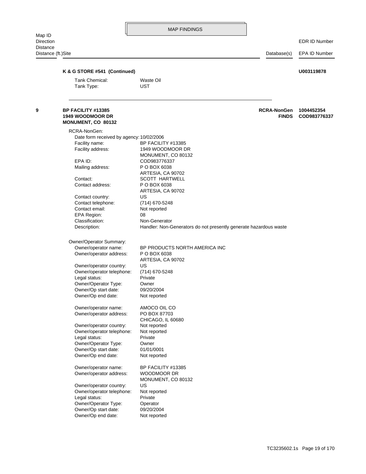<span id="page-31-0"></span>Direction EDR ID Number Distance (ft.)Site Database(s) EPA ID Number Tank Type: UST Tank Chemical: Waste Oil **K & G STORE #541 (Continued) U003119878** Owner/operator name: BP FACILITY #13385 Owner/Op end date: Not reported Owner/Op start date: 01/01/0001 Owner/Operator Type: Owner Legal status: Private Owner/operator telephone: Not reported Owner/operator country: Not reported CHICAGO, IL 60680 Owner/operator address: PO BOX 87703 Owner/operator name: AMOCO OIL CO Owner/Op end date: Not reported Owner/Op start date: 09/20/2004 Owner/Operator Type: Owner Legal status: Private Owner/operator telephone: (714) 670-5248 Owner/operator country: US ARTESIA, CA 90702 Owner/operator address: P O BOX 6038 Owner/operator name: BP PRODUCTS NORTH AMERICA INC Owner/Operator Summary: Description: Handler: Non-Generators do not presently generate hazardous waste Classification: Non-Generator EPA Region: 08 Contact email: Not reported Contact telephone: (714) 670-5248 Contact country: US ARTESIA, CA 90702 Contact address: P O BOX 6038 Contact: SCOTT HARTWELL ARTESIA, CA 90702 Mailing address: P O BOX 6038 EPA ID: COD983776337 MONUMENT, CO 80132 Facility address: 1949 WOODMOOR DR Facility name: BP FACILITY #13385 Date form received by agency: 10/02/2006 RCRA-NonGen: **MONUMENT, CO 80132 1949 WOODMOOR DR FINDS COD983776337 9 BP FACILITY #13385 RCRA-NonGen 1004452354**

> Owner/Op end date: Not reported Owner/Op start date: 09/20/2004 Owner/Operator Type: Operator Legal status: Private Owner/operator telephone: Not reported Owner/operator country: US

Owner/operator address: WOODMOOR DR

MONUMENT, CO 80132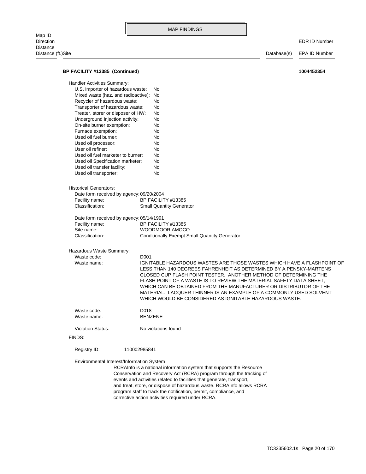EDR ID Number

| BP FACILITY #13385 (Continued)            |                | 1004452354                                                                                                                                                                                                                                                                                                                                                                                                                                                                                    |
|-------------------------------------------|----------------|-----------------------------------------------------------------------------------------------------------------------------------------------------------------------------------------------------------------------------------------------------------------------------------------------------------------------------------------------------------------------------------------------------------------------------------------------------------------------------------------------|
| <b>Handler Activities Summary:</b>        |                |                                                                                                                                                                                                                                                                                                                                                                                                                                                                                               |
| U.S. importer of hazardous waste:         |                | No                                                                                                                                                                                                                                                                                                                                                                                                                                                                                            |
| Mixed waste (haz. and radioactive):       |                | No                                                                                                                                                                                                                                                                                                                                                                                                                                                                                            |
|                                           |                |                                                                                                                                                                                                                                                                                                                                                                                                                                                                                               |
| Recycler of hazardous waste:              |                | No                                                                                                                                                                                                                                                                                                                                                                                                                                                                                            |
| Transporter of hazardous waste:           |                | No                                                                                                                                                                                                                                                                                                                                                                                                                                                                                            |
| Treater, storer or disposer of HW:        |                | No                                                                                                                                                                                                                                                                                                                                                                                                                                                                                            |
| Underground injection activity:           |                | No                                                                                                                                                                                                                                                                                                                                                                                                                                                                                            |
| On-site burner exemption:                 |                | No                                                                                                                                                                                                                                                                                                                                                                                                                                                                                            |
| Furnace exemption:                        |                | No                                                                                                                                                                                                                                                                                                                                                                                                                                                                                            |
| Used oil fuel burner:                     |                | No                                                                                                                                                                                                                                                                                                                                                                                                                                                                                            |
| Used oil processor:                       |                | No                                                                                                                                                                                                                                                                                                                                                                                                                                                                                            |
| User oil refiner:                         |                | No                                                                                                                                                                                                                                                                                                                                                                                                                                                                                            |
| Used oil fuel marketer to burner:         |                | No                                                                                                                                                                                                                                                                                                                                                                                                                                                                                            |
| Used oil Specification marketer:          |                | No                                                                                                                                                                                                                                                                                                                                                                                                                                                                                            |
| Used oil transfer facility:               |                | No                                                                                                                                                                                                                                                                                                                                                                                                                                                                                            |
| Used oil transporter:                     |                | No                                                                                                                                                                                                                                                                                                                                                                                                                                                                                            |
| <b>Historical Generators:</b>             |                |                                                                                                                                                                                                                                                                                                                                                                                                                                                                                               |
| Date form received by agency: 09/20/2004  |                |                                                                                                                                                                                                                                                                                                                                                                                                                                                                                               |
| Facility name:                            |                | BP FACILITY #13385                                                                                                                                                                                                                                                                                                                                                                                                                                                                            |
| Classification:                           |                | <b>Small Quantity Generator</b>                                                                                                                                                                                                                                                                                                                                                                                                                                                               |
|                                           |                |                                                                                                                                                                                                                                                                                                                                                                                                                                                                                               |
| Date form received by agency: 05/14/1991  |                |                                                                                                                                                                                                                                                                                                                                                                                                                                                                                               |
| Facility name:                            |                | BP FACILITY #13385                                                                                                                                                                                                                                                                                                                                                                                                                                                                            |
| Site name:                                |                | <b>WOODMOOR AMOCO</b>                                                                                                                                                                                                                                                                                                                                                                                                                                                                         |
| Classification:                           |                | <b>Conditionally Exempt Small Quantity Generator</b>                                                                                                                                                                                                                                                                                                                                                                                                                                          |
| Hazardous Waste Summary:                  |                |                                                                                                                                                                                                                                                                                                                                                                                                                                                                                               |
| Waste code:                               | D001           |                                                                                                                                                                                                                                                                                                                                                                                                                                                                                               |
| Waste name:                               |                | IGNITABLE HAZARDOUS WASTES ARE THOSE WASTES WHICH HAVE A FLASHPOINT OF<br>LESS THAN 140 DEGREES FAHRENHEIT AS DETERMINED BY A PENSKY-MARTENS<br>CLOSED CUP FLASH POINT TESTER. ANOTHER METHOD OF DETERMINING THE<br>FLASH POINT OF A WASTE IS TO REVIEW THE MATERIAL SAFETY DATA SHEET,<br>WHICH CAN BE OBTAINED FROM THE MANUFACTURER OR DISTRIBUTOR OF THE<br>MATERIAL. LACQUER THINNER IS AN EXAMPLE OF A COMMONLY USED SOLVENT<br>WHICH WOULD BE CONSIDERED AS IGNITABLE HAZARDOUS WASTE. |
| Waste code:                               | D018           |                                                                                                                                                                                                                                                                                                                                                                                                                                                                                               |
| Waste name:                               | <b>BENZENE</b> |                                                                                                                                                                                                                                                                                                                                                                                                                                                                                               |
| <b>Violation Status:</b>                  |                | No violations found                                                                                                                                                                                                                                                                                                                                                                                                                                                                           |
| FINDS:                                    |                |                                                                                                                                                                                                                                                                                                                                                                                                                                                                                               |
| Registry ID:                              | 110002985841   |                                                                                                                                                                                                                                                                                                                                                                                                                                                                                               |
| Environmental Interest/Information System |                | RCRAInfo is a national information system that supports the Resource<br>Conservation and Recovery Act (RCRA) program through the tracking of<br>events and activities related to facilities that generate, transport,<br>and treat, store, or dispose of hazardous waste. RCRAInfo allows RCRA<br>program staff to track the notification, permit, compliance, and<br>corrective action activities required under RCRA.                                                                       |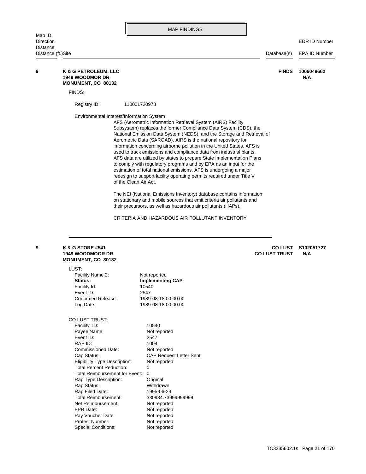<span id="page-33-0"></span>

|                     |                                                                                                                                                                               |                       |                                                                                                                                                 | <b>MAP FINDINGS</b>            |                                                                                                                                                                                                                                                                                                                                                                                                                                                                                                                                                                                                                                                                                                                                                                                                                                                                                                                                                                                               |  |                                        |                      |
|---------------------|-------------------------------------------------------------------------------------------------------------------------------------------------------------------------------|-----------------------|-------------------------------------------------------------------------------------------------------------------------------------------------|--------------------------------|-----------------------------------------------------------------------------------------------------------------------------------------------------------------------------------------------------------------------------------------------------------------------------------------------------------------------------------------------------------------------------------------------------------------------------------------------------------------------------------------------------------------------------------------------------------------------------------------------------------------------------------------------------------------------------------------------------------------------------------------------------------------------------------------------------------------------------------------------------------------------------------------------------------------------------------------------------------------------------------------------|--|----------------------------------------|----------------------|
| Map ID<br>Direction |                                                                                                                                                                               |                       |                                                                                                                                                 |                                |                                                                                                                                                                                                                                                                                                                                                                                                                                                                                                                                                                                                                                                                                                                                                                                                                                                                                                                                                                                               |  |                                        | <b>EDR ID Number</b> |
| <b>Distance</b>     |                                                                                                                                                                               |                       |                                                                                                                                                 |                                |                                                                                                                                                                                                                                                                                                                                                                                                                                                                                                                                                                                                                                                                                                                                                                                                                                                                                                                                                                                               |  |                                        |                      |
| Distance (ft.)Site  |                                                                                                                                                                               |                       |                                                                                                                                                 |                                |                                                                                                                                                                                                                                                                                                                                                                                                                                                                                                                                                                                                                                                                                                                                                                                                                                                                                                                                                                                               |  | Database(s)                            | EPA ID Number        |
| 9                   | <b>K &amp; G PETROLEUM, LLC</b><br><b>1949 WOODMOR DR</b><br>MONUMENT, CO 80132                                                                                               |                       |                                                                                                                                                 |                                |                                                                                                                                                                                                                                                                                                                                                                                                                                                                                                                                                                                                                                                                                                                                                                                                                                                                                                                                                                                               |  | <b>FINDS</b>                           | 1006049662<br>N/A    |
|                     | FINDS:                                                                                                                                                                        |                       |                                                                                                                                                 |                                |                                                                                                                                                                                                                                                                                                                                                                                                                                                                                                                                                                                                                                                                                                                                                                                                                                                                                                                                                                                               |  |                                        |                      |
|                     | Registry ID:                                                                                                                                                                  |                       | 110001720978                                                                                                                                    |                                |                                                                                                                                                                                                                                                                                                                                                                                                                                                                                                                                                                                                                                                                                                                                                                                                                                                                                                                                                                                               |  |                                        |                      |
|                     | Environmental Interest/Information System                                                                                                                                     | of the Clean Air Act. |                                                                                                                                                 |                                | AFS (Aerometric Information Retrieval System (AIRS) Facility<br>Subsystem) replaces the former Compliance Data System (CDS), the<br>National Emission Data System (NEDS), and the Storage and Retrieval of<br>Aerometric Data (SAROAD). AIRS is the national repository for<br>information concerning airborne pollution in the United States. AFS is<br>used to track emissions and compliance data from industrial plants.<br>AFS data are utilized by states to prepare State Implementation Plans<br>to comply with regulatory programs and by EPA as an input for the<br>estimation of total national emissions. AFS is undergoing a major<br>redesign to support facility operating permits required under Title V<br>The NEI (National Emissions Inventory) database contains information<br>on stationary and mobile sources that emit criteria air pollutants and<br>their precursors, as well as hazardous air pollutants (HAPs).<br>CRITERIA AND HAZARDOUS AIR POLLUTANT INVENTORY |  |                                        |                      |
| 9                   | <b>K &amp; G STORE #541</b><br><b>1949 WOODMOOR DR</b><br>MONUMENT, CO 80132                                                                                                  |                       |                                                                                                                                                 |                                |                                                                                                                                                                                                                                                                                                                                                                                                                                                                                                                                                                                                                                                                                                                                                                                                                                                                                                                                                                                               |  | <b>CO LUST</b><br><b>CO LUST TRUST</b> | S102051727<br>N/A    |
|                     | LUST.<br>Facility Name 2:<br>Status:<br>Facility Id:<br>Fvent ID:<br>Confirmed Release:<br>Log Date:<br>CO LUST TRUST:<br>Facility ID:<br>Payee Name:<br>Event ID:<br>RAP ID: |                       | Not reported<br><b>Implementing CAP</b><br>10540<br>2547<br>1989-08-18 00:00:00<br>1989-08-18 00:00:00<br>10540<br>Not reported<br>2547<br>1004 |                                |                                                                                                                                                                                                                                                                                                                                                                                                                                                                                                                                                                                                                                                                                                                                                                                                                                                                                                                                                                                               |  |                                        |                      |
|                     | <b>Commissioned Date:</b><br>Cap Status:<br><b>Eligibility Type Description:</b><br><b>Total Percent Reduction:</b>                                                           |                       | Not reported<br>Not reported<br>0                                                                                                               | <b>CAP Request Letter Sent</b> |                                                                                                                                                                                                                                                                                                                                                                                                                                                                                                                                                                                                                                                                                                                                                                                                                                                                                                                                                                                               |  |                                        |                      |

Special Conditions: Not reported Protest Number: Not reported Pay Voucher Date: Not reported FPR Date: Not reported Net Reimbursement: Not reported Total Reimbursement: 330934.73999999999

<span id="page-33-1"></span>Rap Filed Date: 1995-06-29 Rap Status: Withdrawn Rap Type Description: **Original** Total Reimbursement for Event: 0

 $\overline{L}$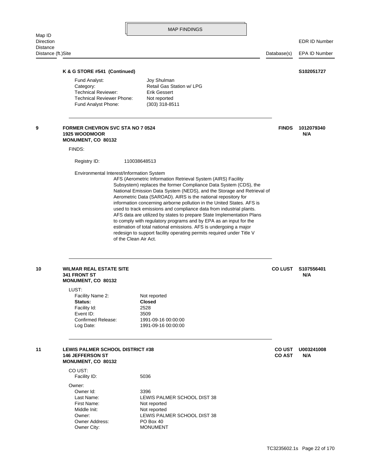| Map ID                         |                              | <b>MAP FINDINGS</b>       |             |                      |
|--------------------------------|------------------------------|---------------------------|-------------|----------------------|
| Direction                      |                              |                           |             | <b>EDR ID Number</b> |
| Distance<br>Distance (ft.)Site |                              |                           | Database(s) | EPA ID Number        |
|                                |                              |                           |             |                      |
|                                | K & G STORE #541 (Continued) |                           |             | S102051727           |
|                                | Fund Analyst:                | Joy Shulman               |             |                      |
|                                | Category:                    | Retail Gas Station w/ LPG |             |                      |

 $\mathbb{I}$ 

<span id="page-34-0"></span>

| <b>Technical Reviewer:</b><br><b>Technical Reviewer Phone:</b><br>Fund Analyst Phone: |                       | <b>Erik Gessert</b><br>Not reported<br>$(303)$ 318-8511                                                                                                                                                                                                                                                                                                                                                                                                                                                                                                                                                                                                                                                                  |                |                   |
|---------------------------------------------------------------------------------------|-----------------------|--------------------------------------------------------------------------------------------------------------------------------------------------------------------------------------------------------------------------------------------------------------------------------------------------------------------------------------------------------------------------------------------------------------------------------------------------------------------------------------------------------------------------------------------------------------------------------------------------------------------------------------------------------------------------------------------------------------------------|----------------|-------------------|
| <b>FORMER CHEVRON SVC STA NO 7 0524</b><br><b>1925 WOODMOOR</b><br>MONUMENT, CO 80132 |                       |                                                                                                                                                                                                                                                                                                                                                                                                                                                                                                                                                                                                                                                                                                                          | <b>FINDS</b>   | 1012079340<br>N/A |
| FINDS:                                                                                |                       |                                                                                                                                                                                                                                                                                                                                                                                                                                                                                                                                                                                                                                                                                                                          |                |                   |
| Registry ID:                                                                          | 110038648513          |                                                                                                                                                                                                                                                                                                                                                                                                                                                                                                                                                                                                                                                                                                                          |                |                   |
| Environmental Interest/Information System                                             | of the Clean Air Act. | AFS (Aerometric Information Retrieval System (AIRS) Facility<br>Subsystem) replaces the former Compliance Data System (CDS), the<br>National Emission Data System (NEDS), and the Storage and Retrieval of<br>Aerometric Data (SAROAD). AIRS is the national repository for<br>information concerning airborne pollution in the United States. AFS is<br>used to track emissions and compliance data from industrial plants.<br>AFS data are utilized by states to prepare State Implementation Plans<br>to comply with regulatory programs and by EPA as an input for the<br>estimation of total national emissions. AFS is undergoing a major<br>redesign to support facility operating permits required under Title V |                |                   |
| <b>WILMAR REAL ESTATE SITE</b><br><b>341 FRONT ST</b><br>MONUMENT, CO 80132           |                       |                                                                                                                                                                                                                                                                                                                                                                                                                                                                                                                                                                                                                                                                                                                          | <b>CO LUST</b> | S107556401<br>N/A |
| LUST:<br>Facility Name 2:                                                             |                       | Not reported                                                                                                                                                                                                                                                                                                                                                                                                                                                                                                                                                                                                                                                                                                             |                |                   |
| Status:                                                                               |                       | <b>Closed</b>                                                                                                                                                                                                                                                                                                                                                                                                                                                                                                                                                                                                                                                                                                            |                |                   |
| Facility Id:                                                                          | 2528                  |                                                                                                                                                                                                                                                                                                                                                                                                                                                                                                                                                                                                                                                                                                                          |                |                   |
| Event ID:<br>Confirmed Release:                                                       | 3509                  | 1991-09-16 00:00:00                                                                                                                                                                                                                                                                                                                                                                                                                                                                                                                                                                                                                                                                                                      |                |                   |
| Log Date:                                                                             |                       | 1991-09-16 00:00:00                                                                                                                                                                                                                                                                                                                                                                                                                                                                                                                                                                                                                                                                                                      |                |                   |

<span id="page-34-2"></span>

<span id="page-34-1"></span>**MONUMENT, CO 80132 146 JEFFERSON ST CO AST N/A** 11 **LEWIS PALMER SCHOOL DISTRICT #38 DESCRIPTION COUST UN003241008** 

> Owner City: MONUMENT Owner Address: PO Box 40 Owner: LEWIS PALMER SCHOOL DIST 38 Middle Init: Not reported First Name: Not reported Last Name: LEWIS PALMER SCHOOL DIST 38 Owner Id: 3396 Owner: Facility ID: 5036 CO UST: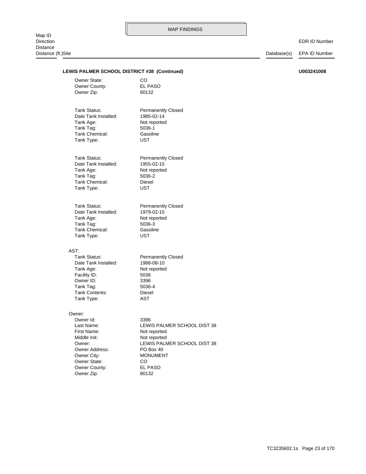| <b>Distance</b><br>Distance (ft.)Site |                                                                                                       |                                                                                                  | Database(s) | <b>EPA ID Number</b> |
|---------------------------------------|-------------------------------------------------------------------------------------------------------|--------------------------------------------------------------------------------------------------|-------------|----------------------|
|                                       | LEWIS PALMER SCHOOL DISTRICT #38 (Continued)                                                          |                                                                                                  |             | U003241008           |
|                                       | <b>Owner State:</b><br>Owner County:<br>Owner Zip:                                                    | CO.<br>EL PASO<br>80132                                                                          |             |                      |
|                                       | Tank Status:<br>Date Tank Installed:<br>Tank Age:<br>Tank Tag:<br><b>Tank Chemical:</b><br>Tank Type: | <b>Permanently Closed</b><br>1985-02-14<br>Not reported<br>5036-1<br>Gasoline<br><b>UST</b>      |             |                      |
|                                       | Tank Status:<br>Date Tank Installed:<br>Tank Age:<br>Tank Tag:<br>Tank Chemical:<br>Tank Type:        | <b>Permanently Closed</b><br>1955-02-15<br>Not reported<br>5036-2<br><b>Diesel</b><br><b>UST</b> |             |                      |
|                                       | Tank Status:<br>Date Tank Installed:<br>Tank Age:<br>Tank Tag:                                        | <b>Permanently Closed</b><br>1979-02-15<br>Not reported<br>5036-3                                |             |                      |

#### AST:

Tank Type: AST Tank Contents: Diesel Tank Tag: 5036-4 Owner ID: 3396 Facility ID: 5036 Tank Age: Not reported Date Tank Installed: 1988-08-10 Tank Status: Permanently Closed

Tank Type: UST Tank Chemical: Gasoline

#### Owner:

Owner Zip: 80132 Owner County: EL PASO Owner State: CO Owner City: MONUMENT Owner Address: PO Box 40 Middle Init: Not reported First Name: Not reported Owner Id: 3396

Owner: LEWIS PALMER SCHOOL DIST 38 Last Name: LEWIS PALMER SCHOOL DIST 38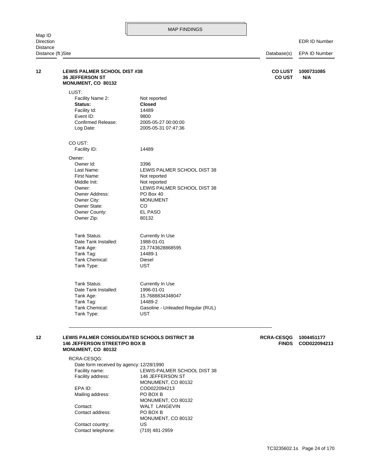EDR ID Number

| <b>Distance</b> | Distance (ft.)Site                                                                                                                                         |                                                                                                                                                               |                                   | EPA ID Number              |  |
|-----------------|------------------------------------------------------------------------------------------------------------------------------------------------------------|---------------------------------------------------------------------------------------------------------------------------------------------------------------|-----------------------------------|----------------------------|--|
| 12              | <b>LEWIS PALMER SCHOOL DIST #38</b><br><b>36 JEFFERSON ST</b><br><b>MONUMENT, CO 80132</b>                                                                 |                                                                                                                                                               | <b>COLUST</b><br><b>CO UST</b>    | 1000731085<br>N/A          |  |
|                 | LUST:<br>Facility Name 2:<br>Status:<br>Facility Id:<br>Event ID:<br>Confirmed Release:<br>Log Date:                                                       | Not reported<br><b>Closed</b><br>14489<br>9800<br>2005-05-27 00:00:00<br>2005-05-31 07:47:36                                                                  |                                   |                            |  |
|                 | CO UST:<br>Facility ID:                                                                                                                                    | 14489                                                                                                                                                         |                                   |                            |  |
|                 | Owner:<br>Owner Id:<br>Last Name:<br>First Name:<br>Middle Init:<br>Owner:<br>Owner Address:<br>Owner City:<br>Owner State:<br>Owner County:<br>Owner Zip: | 3396<br>LEWIS PALMER SCHOOL DIST 38<br>Not reported<br>Not reported<br>LEWIS PALMER SCHOOL DIST 38<br>PO Box 40<br><b>MONUMENT</b><br>CO.<br>EL PASO<br>80132 |                                   |                            |  |
|                 | Tank Status:<br>Date Tank Installed:<br>Tank Age:<br>Tank Tag:<br>Tank Chemical:<br>Tank Type:                                                             | Currently In Use<br>1988-01-01<br>23.7743628868595<br>14489-1<br>Diesel<br><b>UST</b>                                                                         |                                   |                            |  |
|                 | <b>Tank Status:</b><br>Date Tank Installed:<br>Tank Age:<br>Tank Tag:<br>Tank Chemical:<br>Tank Type:                                                      | Currently In Use<br>1996-01-01<br>15.7688834348047<br>14489-2<br>Gasoline - Unleaded Regular (RUL)<br><b>UST</b>                                              |                                   |                            |  |
| 12              | <b>146 JEFFERSON STREET/PO BOX B</b>                                                                                                                       | LEWIS PALMER CONSOLIDATED SCHOOLS DISTRICT 38                                                                                                                 | <b>RCRA-CESQG</b><br><b>FINDS</b> | 1004451177<br>COD022094213 |  |

# **MONUMENT, CO 80132**

Contact telephone: (719) 481-2959 Contact country: US MONUMENT, CO 80132 Contact address: PO BOX B Contact: WALT LANGEVIN MONUMENT, CO 80132 Mailing address: PO BOX B EPA ID: COD022094213 MONUMENT, CO 80132 Facility address: 146 JEFFERSON ST Facility name: LEWIS-PALMER SCHOOL DIST 38 Date form received by agency: 12/28/1990 RCRA-CESQG: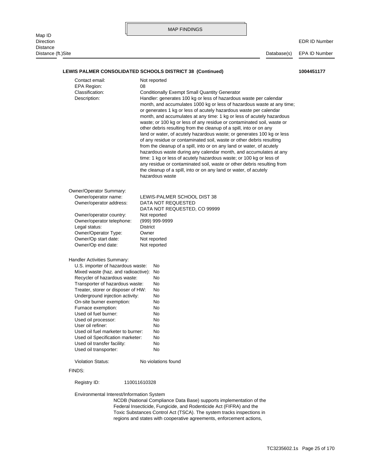|                                 |                                                                                                                                                                                                                                                                                                                                                                                                                                                                                                                                                                                                                                                                                                                                                                                                                                                                                                                                                                                                                                                                                                                                            |                                                                                                                                                                                 |  | <b>MAP FINDINGS</b>                                                                                     |  |             |                      |
|---------------------------------|--------------------------------------------------------------------------------------------------------------------------------------------------------------------------------------------------------------------------------------------------------------------------------------------------------------------------------------------------------------------------------------------------------------------------------------------------------------------------------------------------------------------------------------------------------------------------------------------------------------------------------------------------------------------------------------------------------------------------------------------------------------------------------------------------------------------------------------------------------------------------------------------------------------------------------------------------------------------------------------------------------------------------------------------------------------------------------------------------------------------------------------------|---------------------------------------------------------------------------------------------------------------------------------------------------------------------------------|--|---------------------------------------------------------------------------------------------------------|--|-------------|----------------------|
| Map ID<br>Direction<br>Distance |                                                                                                                                                                                                                                                                                                                                                                                                                                                                                                                                                                                                                                                                                                                                                                                                                                                                                                                                                                                                                                                                                                                                            |                                                                                                                                                                                 |  |                                                                                                         |  |             | <b>EDR ID Number</b> |
| Distance (ft.)Site              |                                                                                                                                                                                                                                                                                                                                                                                                                                                                                                                                                                                                                                                                                                                                                                                                                                                                                                                                                                                                                                                                                                                                            |                                                                                                                                                                                 |  |                                                                                                         |  | Database(s) | <b>EPA ID Number</b> |
|                                 |                                                                                                                                                                                                                                                                                                                                                                                                                                                                                                                                                                                                                                                                                                                                                                                                                                                                                                                                                                                                                                                                                                                                            |                                                                                                                                                                                 |  | LEWIS PALMER CONSOLIDATED SCHOOLS DISTRICT 38 (Continued)                                               |  |             | 1004451177           |
|                                 | Contact email:<br>Not reported<br><b>EPA Region:</b><br>08<br>Classification:<br><b>Conditionally Exempt Small Quantity Generator</b><br>Handler: generates 100 kg or less of hazardous waste per calendar<br>Description:<br>month, and accumulates 1000 kg or less of hazardous waste at any time;<br>or generates 1 kg or less of acutely hazardous waste per calendar<br>month, and accumulates at any time: 1 kg or less of acutely hazardous<br>waste; or 100 kg or less of any residue or contaminated soil, waste or<br>other debris resulting from the cleanup of a spill, into or on any<br>land or water, of acutely hazardous waste; or generates 100 kg or less<br>of any residue or contaminated soil, waste or other debris resulting<br>from the cleanup of a spill, into or on any land or water, of acutely<br>hazardous waste during any calendar month, and accumulates at any<br>time: 1 kg or less of acutely hazardous waste; or 100 kg or less of<br>any residue or contaminated soil, waste or other debris resulting from<br>the cleanup of a spill, into or on any land or water, of acutely<br>hazardous waste |                                                                                                                                                                                 |  |                                                                                                         |  |             |                      |
|                                 | Owner/Operator Summary:<br>Owner/operator name:<br>Owner/operator address:<br>Owner/operator country:<br>Owner/operator telephone:<br>Legal status:<br>Owner/Operator Type:<br>Owner/Op start date:<br>Owner/Op end date:                                                                                                                                                                                                                                                                                                                                                                                                                                                                                                                                                                                                                                                                                                                                                                                                                                                                                                                  | LEWIS-PALMER SCHOOL DIST 38<br>DATA NOT REQUESTED<br>DATA NOT REQUESTED, CO 99999<br>Not reported<br>(999) 999-9999<br><b>District</b><br>Owner<br>Not reported<br>Not reported |  |                                                                                                         |  |             |                      |
|                                 | Handler Activities Summary:<br>U.S. importer of hazardous waste:<br>Mixed waste (haz. and radioactive): No<br>Recycler of hazardous waste:<br>Transporter of hazardous waste:<br>Treater, storer or disposer of HW:<br>Underground injection activity:<br>On-site burner exemption:<br>Furnace exemption:<br>Used oil fuel burner:<br>Used oil processor:<br>User oil refiner:<br>Used oil fuel marketer to burner:<br>Used oil Specification marketer:<br>Used oil transfer facility:<br>Used oil transporter:<br><b>Violation Status:</b><br>FINDS:                                                                                                                                                                                                                                                                                                                                                                                                                                                                                                                                                                                      |                                                                                                                                                                                 |  | No<br>No<br>No<br>No<br>No<br>No<br>No<br>No<br>No<br>No<br>No<br>No<br>No<br>No<br>No violations found |  |             |                      |
|                                 |                                                                                                                                                                                                                                                                                                                                                                                                                                                                                                                                                                                                                                                                                                                                                                                                                                                                                                                                                                                                                                                                                                                                            |                                                                                                                                                                                 |  |                                                                                                         |  |             |                      |
|                                 | Registry ID:                                                                                                                                                                                                                                                                                                                                                                                                                                                                                                                                                                                                                                                                                                                                                                                                                                                                                                                                                                                                                                                                                                                               | 110011610328                                                                                                                                                                    |  |                                                                                                         |  |             |                      |
|                                 | Environmental Interest/Information System                                                                                                                                                                                                                                                                                                                                                                                                                                                                                                                                                                                                                                                                                                                                                                                                                                                                                                                                                                                                                                                                                                  |                                                                                                                                                                                 |  | NCDB (National Compliance Data Base) supports implementation of the                                     |  |             |                      |

regions and states with cooperative agreements, enforcement actions, Toxic Substances Control Act (TSCA). The system tracks inspections in Federal Insecticide, Fungicide, and Rodenticide Act (FIFRA) and the NCDB (National Compliance Data Base) supports implementation of the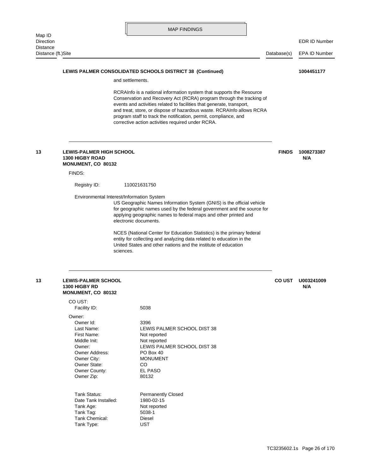|                    | <b>MAP FINDINGS</b> |             |                      |
|--------------------|---------------------|-------------|----------------------|
| Map ID             |                     |             |                      |
| Direction          |                     |             | <b>EDR ID Number</b> |
| Distance           |                     |             |                      |
| Distance (ft.)Site |                     | Database(s) | EPA ID Number        |
|                    |                     |             |                      |
|                    |                     |             |                      |

LEWIS PALMER CONSOLIDATED SCHOOLS DISTRICT 38 (Continued) 1004451177

and settlements.

ſr

# corrective action activities required under RCRA. program staff to track the notification, permit, compliance, and and treat, store, or dispose of hazardous waste. RCRAInfo allows RCRA events and activities related to facilities that generate, transport, Conservation and Recovery Act (RCRA) program through the tracking of RCRAInfo is a national information system that supports the Resource sciences. United States and other nations and the institute of education entity for collecting and analyzing data related to education in the NCES (National Center for Education Statistics) is the primary federal electronic documents. applying geographic names to federal maps and other printed and for geographic names used by the federal government and the source for US Geographic Names Information System (GNIS) is the official vehicle Environmental Interest/Information System Registry ID: 110021631750 FINDS: **MONUMENT, CO 80132 1300 HIGBY ROAD N/A 13 LEWIS-PALMER HIGH SCHOOL FINDS 1008273387**

| 13 | <b>LEWIS-PALMER SCHOOL</b> | <b>CO UST</b> | U003 |
|----|----------------------------|---------------|------|
|    | <b>1300 HIGBY RD</b>       |               | N/A  |
|    | <b>MONUMENT, CO 80132</b>  |               |      |

|        | CO UST:              |                             |
|--------|----------------------|-----------------------------|
|        | Facility ID:         | 5038                        |
| Owner: |                      |                             |
|        | Owner Id:            | 3396                        |
|        | Last Name:           | LEWIS PALMER SCHOOL DIST 38 |
|        | First Name:          | Not reported                |
|        | Middle Init:         | Not reported                |
|        | Owner:               | LEWIS PALMER SCHOOL DIST 38 |
|        | Owner Address:       | PO Box 40                   |
|        | Owner City:          | <b>MONUMENT</b>             |
|        | Owner State:         | CO                          |
|        | Owner County:        | <b>EL PASO</b>              |
|        | Owner Zip:           | 80132                       |
|        |                      |                             |
|        | Tank Status:         | <b>Permanently Closed</b>   |
|        | Date Tank Installed: | 1980-02-15                  |
|        | Tank Age:            | Not reported                |
|        | Tank Tag:            | 5038-1                      |
|        | Tank Chemical:       | Diesel                      |
|        | Tank Type:           | UST                         |
|        |                      |                             |

**13 LEWIS-PALMER SCHOOL CO UST U003241009**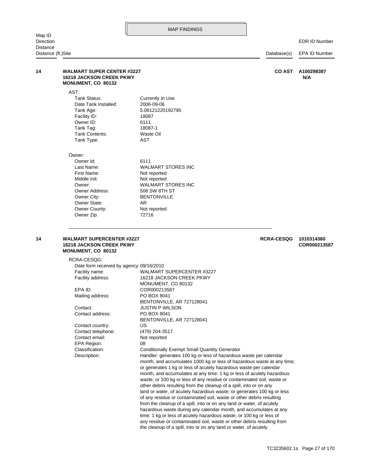| Distance (ft.)Site<br>Database(s) |                                                                                                   |                                                                                                                                              | EPA ID Number     |  |
|-----------------------------------|---------------------------------------------------------------------------------------------------|----------------------------------------------------------------------------------------------------------------------------------------------|-------------------|--|
|                                   | <b>WALMART SUPER CENTER #3227</b><br><b>16218 JACKSON CREEK PKWY</b><br><b>MONUMENT, CO 80132</b> | <b>CO AST</b>                                                                                                                                | A100298387<br>N/A |  |
|                                   | AST.                                                                                              |                                                                                                                                              |                   |  |
|                                   | Tank Status:                                                                                      | Currently In Use                                                                                                                             |                   |  |
|                                   | Date Tank Installed:                                                                              | 2006-09-06                                                                                                                                   |                   |  |
|                                   | Tank Age:                                                                                         | 5.08121220192795                                                                                                                             |                   |  |
|                                   | Facility ID:                                                                                      | 18087                                                                                                                                        |                   |  |
|                                   | Owner ID:                                                                                         | 6111                                                                                                                                         |                   |  |
|                                   | Tank Tag:                                                                                         | 18087-1                                                                                                                                      |                   |  |
|                                   | Tank Contents:                                                                                    | Waste Oil                                                                                                                                    |                   |  |
|                                   | Tank Type:                                                                                        | AST                                                                                                                                          |                   |  |
|                                   | Owner:                                                                                            |                                                                                                                                              |                   |  |
|                                   | Owner Id:                                                                                         | 6111                                                                                                                                         |                   |  |
|                                   | Last Name:                                                                                        | <b>WALMART STORES INC</b>                                                                                                                    |                   |  |
|                                   | First Name:                                                                                       | Not reported                                                                                                                                 |                   |  |
|                                   | Middle Init:<br>Owner:                                                                            | Not reported                                                                                                                                 |                   |  |
|                                   | Owner Address:                                                                                    | <b>WALMART STORES INC</b><br>508 SW 8TH ST                                                                                                   |                   |  |
|                                   | Owner City:                                                                                       | <b>BENTONVILLE</b>                                                                                                                           |                   |  |
|                                   | Owner State:                                                                                      | AR.                                                                                                                                          |                   |  |
|                                   | Owner County:                                                                                     | Not reported                                                                                                                                 |                   |  |
|                                   | Owner Zip:                                                                                        | 72716                                                                                                                                        |                   |  |
|                                   | MONUMENT, CO 80132<br>RCRA-CESQG:                                                                 |                                                                                                                                              |                   |  |
|                                   | Date form received by agency: 09/16/2010                                                          |                                                                                                                                              |                   |  |
|                                   | Facility name:                                                                                    | WALMART SUPERCENTER #3227                                                                                                                    |                   |  |
|                                   | Facility address:                                                                                 | 16218 JACKSON CREEK PKWY<br>MONUMENT, CO 80132                                                                                               |                   |  |
|                                   | EPA ID:                                                                                           | COR000213587                                                                                                                                 |                   |  |
|                                   | Mailing address:                                                                                  | PO BOX 8041                                                                                                                                  |                   |  |
|                                   |                                                                                                   | BENTONVILLE, AR 727128041                                                                                                                    |                   |  |
|                                   | Contact:                                                                                          | <b>JUSTIN P WILSON</b>                                                                                                                       |                   |  |
|                                   | Contact address:                                                                                  | PO BOX 8041                                                                                                                                  |                   |  |
|                                   |                                                                                                   | BENTONVILLE, AR 727128041                                                                                                                    |                   |  |
|                                   | Contact country:<br>Contact telephone:                                                            | US<br>(479) 204-3517                                                                                                                         |                   |  |
|                                   | Contact email:                                                                                    | Not reported                                                                                                                                 |                   |  |
|                                   | EPA Region:                                                                                       | 08                                                                                                                                           |                   |  |
|                                   | Classification:                                                                                   | <b>Conditionally Exempt Small Quantity Generator</b>                                                                                         |                   |  |
|                                   | Description:                                                                                      | Handler: generates 100 kg or less of hazardous waste per calendar                                                                            |                   |  |
|                                   |                                                                                                   | month, and accumulates 1000 kg or less of hazardous waste at any time;                                                                       |                   |  |
|                                   |                                                                                                   | or generates 1 kg or less of acutely hazardous waste per calendar                                                                            |                   |  |
|                                   |                                                                                                   | month, and accumulates at any time: 1 kg or less of acutely hazardous                                                                        |                   |  |
|                                   |                                                                                                   | waste; or 100 kg or less of any residue or contaminated soil, waste or                                                                       |                   |  |
|                                   |                                                                                                   | other debris resulting from the cleanup of a spill, into or on any<br>land or water, of acutely hazardous waste; or generates 100 kg or less |                   |  |
|                                   |                                                                                                   | of any residue or contaminated soil, waste or other debris resulting                                                                         |                   |  |
|                                   |                                                                                                   | from the cleanup of a spill, into or on any land or water, of acutely                                                                        |                   |  |
|                                   |                                                                                                   | hazardous waste during any calendar month, and accumulates at any                                                                            |                   |  |
|                                   |                                                                                                   | time: 1 kg or less of acutely hazardous waste; or 100 kg or less of                                                                          |                   |  |
|                                   |                                                                                                   | any residue or contaminated soil, waste or other debris resulting from                                                                       |                   |  |

the cleanup of a spill, into or on any land or water, of acutely

EDR ID Number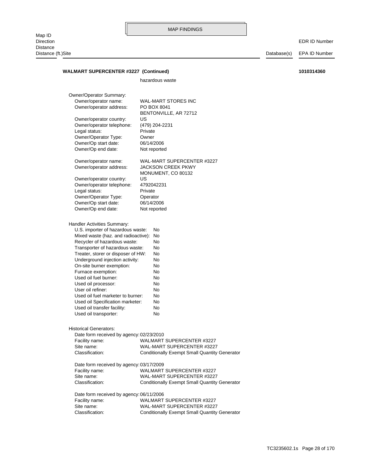EDR ID Number

WALMART SUPERCENTER #3227 (Continued) 1010314360

|                                                                                                                                                                                                                                                                                                                                                                                                                                                                               | hazardous waste                                                                                                        |
|-------------------------------------------------------------------------------------------------------------------------------------------------------------------------------------------------------------------------------------------------------------------------------------------------------------------------------------------------------------------------------------------------------------------------------------------------------------------------------|------------------------------------------------------------------------------------------------------------------------|
| Owner/Operator Summary:                                                                                                                                                                                                                                                                                                                                                                                                                                                       |                                                                                                                        |
| Owner/operator name:                                                                                                                                                                                                                                                                                                                                                                                                                                                          | <b>WAL-MART STORES INC</b>                                                                                             |
| Owner/operator address:                                                                                                                                                                                                                                                                                                                                                                                                                                                       | PO BOX 8041                                                                                                            |
|                                                                                                                                                                                                                                                                                                                                                                                                                                                                               | BENTONVILLE, AR 72712                                                                                                  |
| Owner/operator country:                                                                                                                                                                                                                                                                                                                                                                                                                                                       | US                                                                                                                     |
| Owner/operator telephone:                                                                                                                                                                                                                                                                                                                                                                                                                                                     | (479) 204-2231                                                                                                         |
| Legal status:                                                                                                                                                                                                                                                                                                                                                                                                                                                                 | Private                                                                                                                |
| Owner/Operator Type:                                                                                                                                                                                                                                                                                                                                                                                                                                                          | Owner                                                                                                                  |
| Owner/Op start date:                                                                                                                                                                                                                                                                                                                                                                                                                                                          | 06/14/2006                                                                                                             |
| Owner/Op end date:                                                                                                                                                                                                                                                                                                                                                                                                                                                            | Not reported                                                                                                           |
|                                                                                                                                                                                                                                                                                                                                                                                                                                                                               |                                                                                                                        |
| Owner/operator name:                                                                                                                                                                                                                                                                                                                                                                                                                                                          | WAL-MART SUPERCENTER #3227                                                                                             |
| Owner/operator address:                                                                                                                                                                                                                                                                                                                                                                                                                                                       | <b>JACKSON CREEK PKWY</b>                                                                                              |
|                                                                                                                                                                                                                                                                                                                                                                                                                                                                               | MONUMENT, CO 80132                                                                                                     |
| Owner/operator country:                                                                                                                                                                                                                                                                                                                                                                                                                                                       | US                                                                                                                     |
| Owner/operator telephone:                                                                                                                                                                                                                                                                                                                                                                                                                                                     | 4792042231                                                                                                             |
| Legal status:                                                                                                                                                                                                                                                                                                                                                                                                                                                                 | Private                                                                                                                |
| Owner/Operator Type:                                                                                                                                                                                                                                                                                                                                                                                                                                                          | Operator                                                                                                               |
| Owner/Op start date:                                                                                                                                                                                                                                                                                                                                                                                                                                                          | 06/14/2006                                                                                                             |
| Owner/Op end date:                                                                                                                                                                                                                                                                                                                                                                                                                                                            | Not reported                                                                                                           |
|                                                                                                                                                                                                                                                                                                                                                                                                                                                                               |                                                                                                                        |
| U.S. importer of hazardous waste:<br>Mixed waste (haz. and radioactive):<br>Recycler of hazardous waste:<br>Transporter of hazardous waste:<br>Treater, storer or disposer of HW:<br>Underground injection activity:<br>On-site burner exemption:<br>Furnace exemption:<br>Used oil fuel burner:<br>Used oil processor:<br>User oil refiner:<br>Used oil fuel marketer to burner:<br>Used oil Specification marketer:<br>Used oil transfer facility:<br>Used oil transporter: | No<br>No<br>No<br>No<br>No<br>No<br>No<br>No<br>No<br>No<br>No<br>No<br>No<br>No<br>No                                 |
| <b>Historical Generators:</b><br>Date form received by agency: 02/23/2010<br>Facility name:<br>Site name:<br>Classification:<br>Date form received by agency: 03/17/2009                                                                                                                                                                                                                                                                                                      | <b>WALMART SUPERCENTER #3227</b><br>WAL-MART SUPERCENTER #3227<br><b>Conditionally Exempt Small Quantity Generator</b> |
| Facility name:                                                                                                                                                                                                                                                                                                                                                                                                                                                                | WALMART SUPERCENTER #3227                                                                                              |
| Site name:                                                                                                                                                                                                                                                                                                                                                                                                                                                                    | WAL-MART SUPERCENTER #3227                                                                                             |
| Classification:                                                                                                                                                                                                                                                                                                                                                                                                                                                               | <b>Conditionally Exempt Small Quantity Generator</b>                                                                   |
|                                                                                                                                                                                                                                                                                                                                                                                                                                                                               |                                                                                                                        |
| Date form received by agency: 06/11/2006                                                                                                                                                                                                                                                                                                                                                                                                                                      |                                                                                                                        |
| Facility name:                                                                                                                                                                                                                                                                                                                                                                                                                                                                | <b>WALMART SUPERCENTER #3227</b>                                                                                       |
| Site name:                                                                                                                                                                                                                                                                                                                                                                                                                                                                    | WAL-MART SUPERCENTER #3227                                                                                             |
| Classification:                                                                                                                                                                                                                                                                                                                                                                                                                                                               | <b>Conditionally Exempt Small Quantity Generator</b>                                                                   |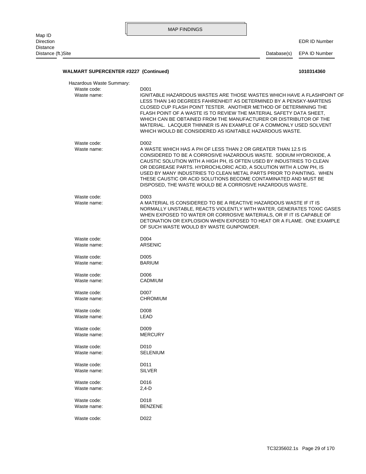|                                                        | <b>MAP FINDINGS</b>                                                                                                                                                                                                                                                                                                                                                                                                                                                                                               |                              |
|--------------------------------------------------------|-------------------------------------------------------------------------------------------------------------------------------------------------------------------------------------------------------------------------------------------------------------------------------------------------------------------------------------------------------------------------------------------------------------------------------------------------------------------------------------------------------------------|------------------------------|
| Map ID<br><b>Direction</b>                             |                                                                                                                                                                                                                                                                                                                                                                                                                                                                                                                   | <b>EDR ID Number</b>         |
| <b>Distance</b><br>Distance (ft.)Site                  |                                                                                                                                                                                                                                                                                                                                                                                                                                                                                                                   | Database(s)<br>EPA ID Number |
| <b>WALMART SUPERCENTER #3227 (Continued)</b>           |                                                                                                                                                                                                                                                                                                                                                                                                                                                                                                                   | 1010314360                   |
|                                                        |                                                                                                                                                                                                                                                                                                                                                                                                                                                                                                                   |                              |
| Hazardous Waste Summary:<br>Waste code:<br>Waste name: | D <sub>001</sub><br>IGNITABLE HAZARDOUS WASTES ARE THOSE WASTES WHICH HAVE A FLASHPOINT OF<br>LESS THAN 140 DEGREES FAHRENHEIT AS DETERMINED BY A PENSKY-MARTENS<br>CLOSED CUP FLASH POINT TESTER. ANOTHER METHOD OF DETERMINING THE<br>FLASH POINT OF A WASTE IS TO REVIEW THE MATERIAL SAFETY DATA SHEET.<br>WHICH CAN BE OBTAINED FROM THE MANUFACTURER OR DISTRIBUTOR OF THE<br>MATERIAL. LACQUER THINNER IS AN EXAMPLE OF A COMMONLY USED SOLVENT<br>WHICH WOULD BE CONSIDERED AS IGNITABLE HAZARDOUS WASTE. |                              |
| Waste code:<br>Waste name:                             | D <sub>002</sub><br>A WASTE WHICH HAS A PH OF LESS THAN 2 OR GREATER THAN 12.5 IS<br>CONSIDERED TO BE A CORROSIVE HAZARDOUS WASTE. SODIUM HYDROXIDE, A<br>CAUSTIC SOLUTION WITH A HIGH PH, IS OFTEN USED BY INDUSTRIES TO CLEAN<br>OR DEGREASE PARTS. HYDROCHLORIC ACID, A SOLUTION WITH A LOW PH, IS<br>USED BY MANY INDUSTRIES TO CLEAN METAL PARTS PRIOR TO PAINTING. WHEN<br>THESE CAUSTIC OR ACID SOLUTIONS BECOME CONTAMINATED AND MUST BE<br>DISPOSED, THE WASTE WOULD BE A CORROSIVE HAZARDOUS WASTE.     |                              |
| Waste code:<br>Waste name:                             | D <sub>003</sub><br>A MATERIAL IS CONSIDERED TO BE A REACTIVE HAZARDOUS WASTE IF IT IS<br>NORMALLY UNSTABLE, REACTS VIOLENTLY WITH WATER, GENERATES TOXIC GASES<br>WHEN EXPOSED TO WATER OR CORROSIVE MATERIALS, OR IF IT IS CAPABLE OF<br>DETONATION OR EXPLOSION WHEN EXPOSED TO HEAT OR A FLAME. ONE EXAMPLE<br>OF SUCH WASTE WOULD BY WASTE GUNPOWDER.                                                                                                                                                        |                              |
| Waste code:<br>Waste name:                             | D <sub>004</sub><br><b>ARSENIC</b>                                                                                                                                                                                                                                                                                                                                                                                                                                                                                |                              |
| Waste code:<br>Waste name:                             | D <sub>005</sub><br><b>BARIUM</b>                                                                                                                                                                                                                                                                                                                                                                                                                                                                                 |                              |
| Waste code:<br>Waste name:                             | D006<br>CADMIUM                                                                                                                                                                                                                                                                                                                                                                                                                                                                                                   |                              |
| Waste code:<br>Waste name:                             | D007<br><b>CHROMIUM</b>                                                                                                                                                                                                                                                                                                                                                                                                                                                                                           |                              |
| Waste code:<br>Waste name:                             | D008<br>LEAD                                                                                                                                                                                                                                                                                                                                                                                                                                                                                                      |                              |
| Waste code:<br>Waste name:                             | D <sub>009</sub><br><b>MERCURY</b>                                                                                                                                                                                                                                                                                                                                                                                                                                                                                |                              |
| Waste code:<br>Waste name:                             | D010<br><b>SELENIUM</b>                                                                                                                                                                                                                                                                                                                                                                                                                                                                                           |                              |
| Waste code:<br>Waste name:                             | D011<br><b>SILVER</b>                                                                                                                                                                                                                                                                                                                                                                                                                                                                                             |                              |
| Waste code:<br>Waste name:                             | D016<br>$2,4-D$                                                                                                                                                                                                                                                                                                                                                                                                                                                                                                   |                              |
| Waste code:<br>Waste name:                             | D018<br><b>BENZENE</b>                                                                                                                                                                                                                                                                                                                                                                                                                                                                                            |                              |
| Waste code:                                            | D022                                                                                                                                                                                                                                                                                                                                                                                                                                                                                                              |                              |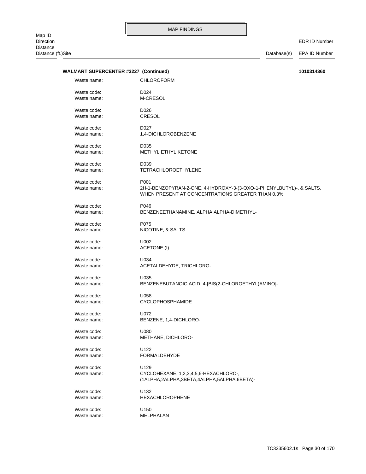EDR ID Number

| <b>WALMART SUPERCENTER #3227 (Continued)</b> |                                                                                                                         | 1010314360 |
|----------------------------------------------|-------------------------------------------------------------------------------------------------------------------------|------------|
| Waste name:                                  | <b>CHLOROFORM</b>                                                                                                       |            |
| Waste code:                                  | D024                                                                                                                    |            |
| Waste name:                                  | M-CRESOL                                                                                                                |            |
| Waste code:                                  | D026                                                                                                                    |            |
| Waste name:                                  | <b>CRESOL</b>                                                                                                           |            |
|                                              |                                                                                                                         |            |
| Waste code:                                  | D027                                                                                                                    |            |
| Waste name:                                  | 1,4-DICHLOROBENZENE                                                                                                     |            |
| Waste code:                                  | D <sub>0</sub> 35                                                                                                       |            |
| Waste name:                                  | METHYL ETHYL KETONE                                                                                                     |            |
| Waste code:                                  | D <sub>0</sub> 39                                                                                                       |            |
| Waste name:                                  | <b>TETRACHLOROETHYLENE</b>                                                                                              |            |
|                                              |                                                                                                                         |            |
| Waste code:                                  | P001                                                                                                                    |            |
| Waste name:                                  | 2H-1-BENZOPYRAN-2-ONE, 4-HYDROXY-3-(3-OXO-1-PHENYLBUTYL)-, & SALTS,<br>WHEN PRESENT AT CONCENTRATIONS GREATER THAN 0.3% |            |
|                                              |                                                                                                                         |            |
| Waste code:                                  | P046                                                                                                                    |            |
| Waste name:                                  | BENZENEETHANAMINE, ALPHA, ALPHA-DIMETHYL-                                                                               |            |
| Waste code:                                  | P075                                                                                                                    |            |
| Waste name:                                  | NICOTINE, & SALTS                                                                                                       |            |
|                                              |                                                                                                                         |            |
| Waste code:                                  | U002                                                                                                                    |            |
| Waste name:                                  | ACETONE (I)                                                                                                             |            |
| Waste code:                                  | U034                                                                                                                    |            |
| Waste name:                                  | ACETALDEHYDE, TRICHLORO-                                                                                                |            |
| Waste code:                                  | U035                                                                                                                    |            |
| Waste name:                                  | BENZENEBUTANOIC ACID, 4-[BIS(2-CHLOROETHYL)AMINO]-                                                                      |            |
|                                              |                                                                                                                         |            |
| Waste code:                                  | U058                                                                                                                    |            |
| Waste name:                                  | CYCLOPHOSPHAMIDE                                                                                                        |            |
| Waste code:                                  | U072                                                                                                                    |            |
| Waste name:                                  | BENZENE, 1,4-DICHLORO-                                                                                                  |            |
| Waste code:                                  | U080                                                                                                                    |            |
| Waste name:                                  | METHANE, DICHLORO-                                                                                                      |            |
|                                              |                                                                                                                         |            |
| Waste code:                                  | U122                                                                                                                    |            |
| Waste name:                                  | <b>FORMALDEHYDE</b>                                                                                                     |            |
| Waste code:                                  | U129                                                                                                                    |            |
| Waste name:                                  | CYCLOHEXANE, 1,2,3,4,5,6-HEXACHLORO-,                                                                                   |            |
|                                              | (1ALPHA,2ALPHA,3BETA,4ALPHA,5ALPHA,6BETA)-                                                                              |            |
| Waste code:                                  | U132                                                                                                                    |            |
| Waste name:                                  | <b>HEXACHLOROPHENE</b>                                                                                                  |            |
|                                              |                                                                                                                         |            |
| Waste code:                                  | U150                                                                                                                    |            |
| Waste name:                                  | MELPHALAN                                                                                                               |            |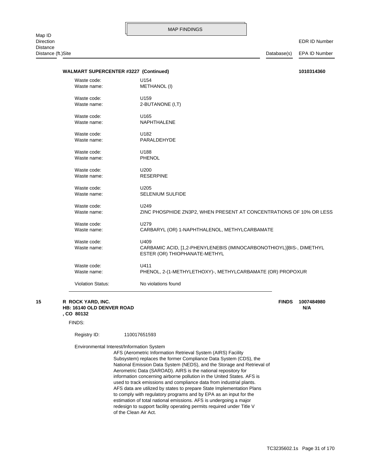Distance (ft.)Site Database(s) EPA ID Number

| <b>WALMART SUPERCENTER #3227 (Continued)</b> |                                                                                                       | 1010314360 |
|----------------------------------------------|-------------------------------------------------------------------------------------------------------|------------|
| Waste code:                                  | U154                                                                                                  |            |
| Waste name:                                  | <b>METHANOL (I)</b>                                                                                   |            |
| Waste code:                                  | U159                                                                                                  |            |
| Waste name:                                  | 2-BUTANONE (I,T)                                                                                      |            |
| Waste code:                                  | U165                                                                                                  |            |
| Waste name:                                  | <b>NAPHTHALENE</b>                                                                                    |            |
| Waste code:                                  | U182                                                                                                  |            |
| Waste name:                                  | PARALDEHYDE                                                                                           |            |
| Waste code:                                  | U188                                                                                                  |            |
| Waste name:                                  | <b>PHENOL</b>                                                                                         |            |
| Waste code:                                  | U200                                                                                                  |            |
| Waste name:                                  | <b>RESERPINE</b>                                                                                      |            |
| Waste code:                                  | U <sub>205</sub>                                                                                      |            |
| Waste name:                                  | SELENIUM SULFIDE                                                                                      |            |
| Waste code:                                  | U249                                                                                                  |            |
| Waste name:                                  | ZINC PHOSPHIDE ZN3P2, WHEN PRESENT AT CONCENTRATIONS OF 10% OR LESS                                   |            |
| Waste code:                                  | U279                                                                                                  |            |
| Waste name:                                  | CARBARYL (OR) 1-NAPHTHALENOL, METHYLCARBAMATE                                                         |            |
| Waste code:                                  | U409                                                                                                  |            |
| Waste name:                                  | CARBAMIC ACID, [1,2-PHENYLENEBIS (IMINOCARBONOTHIOYL)]BIS-, DIMETHYL<br>ESTER (OR) THIOPHANATE-METHYL |            |
| Waste code:                                  | U411                                                                                                  |            |
| Waste name:                                  | PHENOL, 2-(1-METHYLETHOXY)-, METHYLCARBAMATE (OR) PROPOXUR                                            |            |
| <b>Violation Status:</b>                     | No violations found                                                                                   |            |

### **, CO 80132 HB: 16140 OLD DENVER ROAD N/A 15 R ROCK YARD, INC. FINDS 1007484980**

FINDS:

Registry ID: 110017651593

Environmental Interest/Information System

of the Clean Air Act. redesign to support facility operating permits required under Title V estimation of total national emissions. AFS is undergoing a major to comply with regulatory programs and by EPA as an input for the AFS data are utilized by states to prepare State Implementation Plans used to track emissions and compliance data from industrial plants. information concerning airborne pollution in the United States. AFS is Aerometric Data (SAROAD). AIRS is the national repository for National Emission Data System (NEDS), and the Storage and Retrieval of Subsystem) replaces the former Compliance Data System (CDS), the AFS (Aerometric Information Retrieval System (AIRS) Facility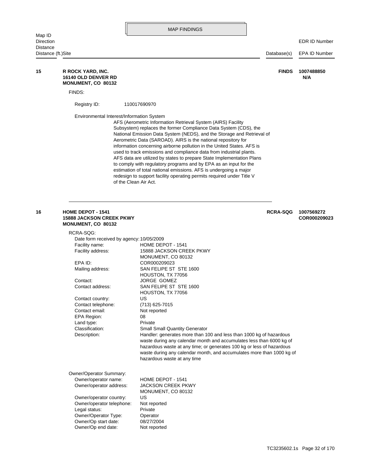|                                       |                                                                                                                                                                                                                                                                                                | <b>MAP FINDINGS</b>                                                                                                                                                                                                                                                                                                                                                                                                                                                                                                                                                                                                                                                                                                                               |                 |                            |
|---------------------------------------|------------------------------------------------------------------------------------------------------------------------------------------------------------------------------------------------------------------------------------------------------------------------------------------------|---------------------------------------------------------------------------------------------------------------------------------------------------------------------------------------------------------------------------------------------------------------------------------------------------------------------------------------------------------------------------------------------------------------------------------------------------------------------------------------------------------------------------------------------------------------------------------------------------------------------------------------------------------------------------------------------------------------------------------------------------|-----------------|----------------------------|
| Map ID<br>Direction                   |                                                                                                                                                                                                                                                                                                |                                                                                                                                                                                                                                                                                                                                                                                                                                                                                                                                                                                                                                                                                                                                                   |                 | <b>EDR ID Number</b>       |
| <b>Distance</b><br>Distance (ft.)Site |                                                                                                                                                                                                                                                                                                |                                                                                                                                                                                                                                                                                                                                                                                                                                                                                                                                                                                                                                                                                                                                                   | Database(s)     | <b>EPA ID Number</b>       |
| 15                                    | R ROCK YARD, INC.<br><b>16140 OLD DENVER RD</b><br>MONUMENT, CO 80132                                                                                                                                                                                                                          |                                                                                                                                                                                                                                                                                                                                                                                                                                                                                                                                                                                                                                                                                                                                                   | <b>FINDS</b>    | 1007488850<br>N/A          |
|                                       | FINDS:                                                                                                                                                                                                                                                                                         |                                                                                                                                                                                                                                                                                                                                                                                                                                                                                                                                                                                                                                                                                                                                                   |                 |                            |
|                                       | Registry ID:                                                                                                                                                                                                                                                                                   | 110017690970                                                                                                                                                                                                                                                                                                                                                                                                                                                                                                                                                                                                                                                                                                                                      |                 |                            |
|                                       | Environmental Interest/Information System                                                                                                                                                                                                                                                      | AFS (Aerometric Information Retrieval System (AIRS) Facility<br>Subsystem) replaces the former Compliance Data System (CDS), the<br>National Emission Data System (NEDS), and the Storage and Retrieval of<br>Aerometric Data (SAROAD). AIRS is the national repository for<br>information concerning airborne pollution in the United States. AFS is<br>used to track emissions and compliance data from industrial plants.<br>AFS data are utilized by states to prepare State Implementation Plans<br>to comply with regulatory programs and by EPA as an input for the<br>estimation of total national emissions. AFS is undergoing a major<br>redesign to support facility operating permits required under Title V<br>of the Clean Air Act. |                 |                            |
| 16                                    | <b>HOME DEPOT - 1541</b><br><b>15888 JACKSON CREEK PKWY</b><br><b>MONUMENT, CO 80132</b>                                                                                                                                                                                                       |                                                                                                                                                                                                                                                                                                                                                                                                                                                                                                                                                                                                                                                                                                                                                   | <b>RCRA-SQG</b> | 1007569272<br>COR000209023 |
|                                       | RCRA-SQG:<br>Date form received by agency: 10/05/2009<br>Facility name:<br>Facility address:<br>EPA ID:<br>Mailing address:<br>Contact:<br>Contact address:<br>Contact country:<br>Contact telephone:<br>Contact email:<br><b>EPA Region:</b><br>Land type:<br>Classification:<br>Description: | HOME DEPOT - 1541<br>15888 JACKSON CREEK PKWY<br>MONUMENT, CO 80132<br>COR000209023<br>SAN FELIPE ST STE 1600<br>HOUSTON, TX 77056<br><b>JORGE GOMEZ</b><br>SAN FELIPE ST STE 1600<br>HOUSTON, TX 77056<br>US<br>(713) 625-7015<br>Not reported<br>08<br>Private<br><b>Small Small Quantity Generator</b><br>Handler: generates more than 100 and less than 1000 kg of hazardous<br>waste during any calendar month and accumulates less than 6000 kg of<br>hazardous waste at any time; or generates 100 kg or less of hazardous<br>waste during any calendar month, and accumulates more than 1000 kg of<br>hazardous waste at any time                                                                                                         |                 |                            |
|                                       | Owner/Operator Summary:<br>Owner/operator name:<br>Owner/operator address:<br>Owner/operator country:<br>Owner/operator telephone:<br>Legal status:<br>Owner/Operator Type:<br>Owner/Op start date:<br>Owner/Op end date:                                                                      | HOME DEPOT - 1541<br><b>JACKSON CREEK PKWY</b><br>MONUMENT, CO 80132<br>US<br>Not reported<br>Private<br>Operator<br>08/27/2004<br>Not reported                                                                                                                                                                                                                                                                                                                                                                                                                                                                                                                                                                                                   |                 |                            |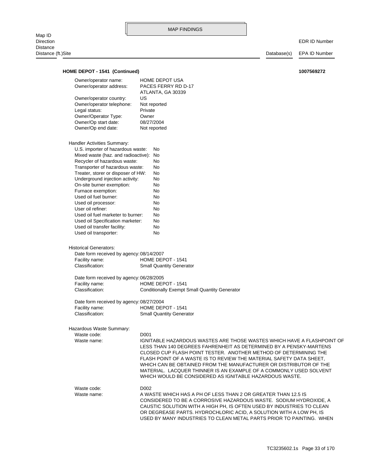Distance (ft.)Site Database(s) EPA ID Number Classification: Small Quantity Generator Facility name: HOME DEPOT - 1541 Date form received by agency: 08/27/2004 Classification: Conditionally Exempt Small Quantity Generator Facility name: HOME DEPOT - 1541 Date form received by agency: 06/28/2005 Classification: Small Quantity Generator Facility name: HOME DEPOT - 1541 Date form received by agency: 08/14/2007 Historical Generators: Used oil transporter: No Used oil transfer facility: No Used oil Specification marketer: No Used oil fuel marketer to burner: No User oil refiner: No Used oil processor: No Used oil fuel burner: No Furnace exemption: No On-site burner exemption: No Underground injection activity: No Treater, storer or disposer of HW: No Transporter of hazardous waste: No Recycler of hazardous waste: No Mixed waste (haz. and radioactive): No U.S. importer of hazardous waste: No Handler Activities Summary: Owner/Op end date: Not reported Owner/Op start date: 08/27/2004 Owner/Operator Type: Owner Legal status: Private Owner/operator telephone: Not reported Owner/operator country: US ATLANTA, GA 30339 Owner/operator address: PACES FERRY RD D-17 Owner/operator name: HOME DEPOT USA **HOME DEPOT - 1541 (Continued) 1007569272**

Hazardous Waste Summary:

| Waste code: | D <sub>001</sub>                                                                                                                                                                                                                                                                                                                                                                                                                                                                              |
|-------------|-----------------------------------------------------------------------------------------------------------------------------------------------------------------------------------------------------------------------------------------------------------------------------------------------------------------------------------------------------------------------------------------------------------------------------------------------------------------------------------------------|
| Waste name: | IGNITABLE HAZARDOUS WASTES ARE THOSE WASTES WHICH HAVE A FLASHPOINT OF<br>LESS THAN 140 DEGREES FAHRENHEIT AS DETERMINED BY A PENSKY-MARTENS<br>CLOSED CUP FLASH POINT TESTER. ANOTHER METHOD OF DETERMINING THE<br>FLASH POINT OF A WASTE IS TO REVIEW THE MATERIAL SAFETY DATA SHEET.<br>WHICH CAN BE OBTAINED FROM THE MANUFACTURER OR DISTRIBUTOR OF THE<br>MATERIAL. LACQUER THINNER IS AN EXAMPLE OF A COMMONLY USED SOLVENT<br>WHICH WOULD BE CONSIDERED AS IGNITABLE HAZARDOUS WASTE. |
| Waste code: | D <sub>002</sub>                                                                                                                                                                                                                                                                                                                                                                                                                                                                              |
| Waste name: | A WASTE WHICH HAS A PH OF LESS THAN 2 OR GREATER THAN 12.5 IS                                                                                                                                                                                                                                                                                                                                                                                                                                 |
|             | CONSIDERED TO BE A CORROSIVE HAZARDOUS WASTE. SODIUM HYDROXIDE, A                                                                                                                                                                                                                                                                                                                                                                                                                             |
|             | CAUSTIC SOLUTION WITH A HIGH PH. IS OFTEN USED BY INDUSTRIES TO CLEAN                                                                                                                                                                                                                                                                                                                                                                                                                         |
|             | OR DEGREASE PARTS. HYDROCHLORIC ACID, A SOLUTION WITH A LOW PH, IS                                                                                                                                                                                                                                                                                                                                                                                                                            |
|             | USED BY MANY INDUSTRIES TO CLEAN METAL PARTS PRIOR TO PAINTING. WHEN                                                                                                                                                                                                                                                                                                                                                                                                                          |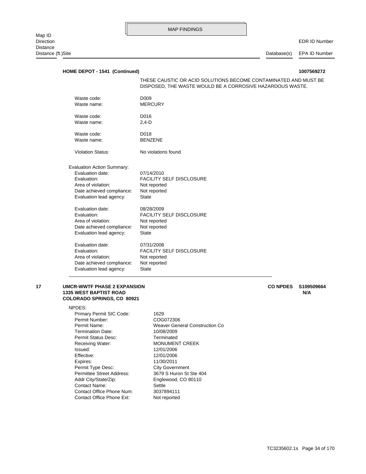EDR ID Number

Distance (ft.)Site Database(s) EPA ID Number

| HOME DEPOT - 1541 (Continued)                                                                                                                      |                                                                                                                              |  |
|----------------------------------------------------------------------------------------------------------------------------------------------------|------------------------------------------------------------------------------------------------------------------------------|--|
|                                                                                                                                                    | THESE CAUSTIC OR ACID SOLUTIONS BECOME CONTAMINATED AND MUST BE<br>DISPOSED, THE WASTE WOULD BE A CORROSIVE HAZARDOUS WASTE. |  |
| Waste code:                                                                                                                                        | D <sub>009</sub>                                                                                                             |  |
| Waste name:                                                                                                                                        | <b>MERCURY</b>                                                                                                               |  |
| Waste code:                                                                                                                                        | D016                                                                                                                         |  |
| Waste name:                                                                                                                                        | $2,4-D$                                                                                                                      |  |
| Waste code:                                                                                                                                        | D018                                                                                                                         |  |
| Waste name:                                                                                                                                        | <b>BENZENE</b>                                                                                                               |  |
| <b>Violation Status:</b>                                                                                                                           | No violations found                                                                                                          |  |
| <b>Evaluation Action Summary:</b><br>Evaluation date:<br>Evaluation:<br>Area of violation:<br>Date achieved compliance:<br>Evaluation lead agency: | 07/14/2010<br><b>FACILITY SELF DISCLOSURE</b><br>Not reported<br>Not reported<br><b>State</b>                                |  |
| Evaluation date:                                                                                                                                   | 08/28/2009                                                                                                                   |  |
| Evaluation:                                                                                                                                        | <b>FACILITY SELF DISCLOSURE</b>                                                                                              |  |
| Area of violation:                                                                                                                                 | Not reported                                                                                                                 |  |
| Date achieved compliance:                                                                                                                          | Not reported                                                                                                                 |  |
| Evaluation lead agency:                                                                                                                            | <b>State</b>                                                                                                                 |  |
| Evaluation date:                                                                                                                                   | 07/31/2008                                                                                                                   |  |
| Evaluation:                                                                                                                                        | <b>FACILITY SELF DISCLOSURE</b>                                                                                              |  |
| Area of violation:                                                                                                                                 | Not reported                                                                                                                 |  |
| Date achieved compliance:                                                                                                                          | Not reported                                                                                                                 |  |
| Evaluation lead agency:                                                                                                                            | <b>State</b>                                                                                                                 |  |
|                                                                                                                                                    |                                                                                                                              |  |

### **COLORADO SPRINGS, CO 80921 1335 WEST BAPTIST ROAD N/A 17 UMCR-WWTF PHASE 2 EXPANSION CO NPDES S109509664**

NPDES:

Contact Office Phone Ext: Not reported Contact Office Phone Num: 3037894111 Contact Name: Settle Addr City/State/Zip: Englewood, CO 80110 Permittee Street Address: 3679 S Huron St Ste 404 Permit Type Desc: City Government Expires: 11/30/2011 Effective: 12/01/2006 Issued: 12/01/2006 Receiving Water: MONUMENT CREEK Permit Status Desc: Terminated Termination Date: 10/08/2009 Permit Name: Weaver General Construction Co Permit Number: COG072306 Primary Permit SIC Code: 1629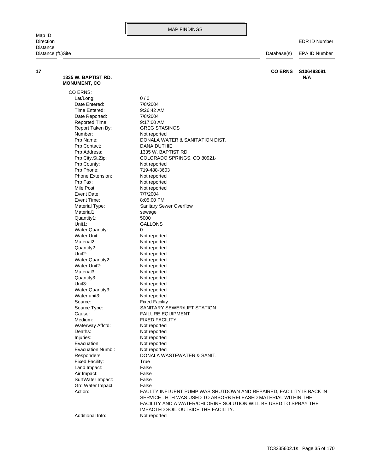**17 CO ERNS S106483081**

Map ID<br>Direction Distance Distance (ft.)Site Database(s) EPA ID Number

EDR ID Number

| 1335 W. BAPTIST RD.<br><b>MONUMENT, CO</b> | N/A                                                                                                                               |
|--------------------------------------------|-----------------------------------------------------------------------------------------------------------------------------------|
| CO ERNS:                                   |                                                                                                                                   |
| Lat/Long:                                  | 0/0                                                                                                                               |
| Date Entered:                              | 7/8/2004                                                                                                                          |
| Time Entered:                              | 9:26:42 AM                                                                                                                        |
| Date Reported:                             | 7/8/2004                                                                                                                          |
| Reported Time:                             | 9:17:00 AM                                                                                                                        |
| Report Taken By:                           | <b>GREG STASINOS</b>                                                                                                              |
| Number:                                    | Not reported                                                                                                                      |
| Prp Name:                                  | DONALA WATER & SANITATION DIST.                                                                                                   |
| Prp Contact:                               | DANA DUTHIE                                                                                                                       |
| Prp Address:                               | 1335 W. BAPTIST RD.                                                                                                               |
| Prp City, St, Zip:                         | COLORADO SPRINGS, CO 80921-                                                                                                       |
| Prp County:                                | Not reported                                                                                                                      |
| Prp Phone:                                 | 719-488-3603                                                                                                                      |
| Phone Extension:                           | Not reported                                                                                                                      |
| Prp Fax:                                   | Not reported                                                                                                                      |
| Mile Post:                                 | Not reported                                                                                                                      |
| Event Date:                                | 7/7/2004                                                                                                                          |
| Event Time:                                | 8:05:00 PM                                                                                                                        |
| Material Type:                             | Sanitary Sewer Overflow                                                                                                           |
| Material1:                                 | sewage                                                                                                                            |
| Quantity1:                                 | 5000                                                                                                                              |
| Unit1:                                     | GALLONS                                                                                                                           |
| <b>Water Quantity:</b>                     | 0                                                                                                                                 |
| Water Unit:                                | Not reported                                                                                                                      |
| Material <sub>2</sub> :                    | Not reported                                                                                                                      |
| Quantity2:                                 | Not reported                                                                                                                      |
| Unit <sub>2</sub> :                        | Not reported                                                                                                                      |
| Water Quantity2:                           | Not reported                                                                                                                      |
| Water Unit2:                               | Not reported                                                                                                                      |
| Material3:                                 | Not reported                                                                                                                      |
| Quantity3:                                 | Not reported                                                                                                                      |
| Unit3:                                     | Not reported                                                                                                                      |
| Water Quantity3:                           | Not reported                                                                                                                      |
| Water unit3:                               | Not reported                                                                                                                      |
| Source:                                    | <b>Fixed Facility</b>                                                                                                             |
| Source Type:                               | SANITARY SEWER/LIFT STATION                                                                                                       |
| Cause:                                     | <b>FAILURE EQUIPMENT</b>                                                                                                          |
| Medium:                                    | <b>FIXED FACILITY</b>                                                                                                             |
| Waterway Affctd:                           | Not reported                                                                                                                      |
| Deaths:                                    | Not reported                                                                                                                      |
| Injuries:                                  | Not reported                                                                                                                      |
| Evacuation:                                | Not reported                                                                                                                      |
| Evacuation Numb.:                          | Not reported                                                                                                                      |
| Responders:                                | DONALA WASTEWATER & SANIT.                                                                                                        |
| <b>Fixed Facility:</b>                     | True                                                                                                                              |
| Land Impact:                               | False                                                                                                                             |
| Air Impact:                                | False                                                                                                                             |
| SurfWater Impact:                          | False                                                                                                                             |
| Grd Water Impact:                          | False                                                                                                                             |
| Action:                                    | FAULTY INFLUENT PUMP WAS SHUTDOWN AND REPAIRED, FACILITY IS BACK IN                                                               |
|                                            | SERVICE . HTH WAS USED TO ABSORB RELEASED MATERIAL WITHIN THE<br>FACILITY AND A WATER/CHLORINE SOLUTION WILL BE USED TO SPRAY THE |
|                                            | IMPACTED SOIL OUTSIDE THE FACILITY.                                                                                               |
| Additional Info:                           | Not reported                                                                                                                      |
|                                            |                                                                                                                                   |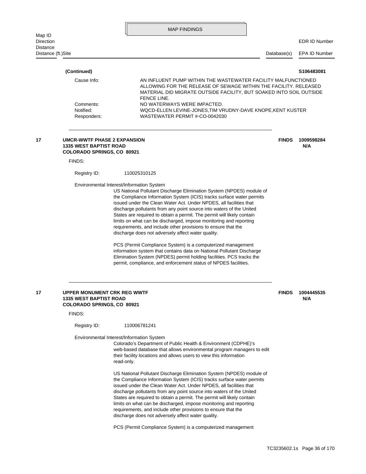| Map ID                                |                                                                                                                    | <b>MAP FINDINGS</b>                                                                                                                                                                                                                                                                                                                                                                                                                                                                                                                                                                                                                                                                                                                                                                                                                                                                                          |              |                      |
|---------------------------------------|--------------------------------------------------------------------------------------------------------------------|--------------------------------------------------------------------------------------------------------------------------------------------------------------------------------------------------------------------------------------------------------------------------------------------------------------------------------------------------------------------------------------------------------------------------------------------------------------------------------------------------------------------------------------------------------------------------------------------------------------------------------------------------------------------------------------------------------------------------------------------------------------------------------------------------------------------------------------------------------------------------------------------------------------|--------------|----------------------|
| <b>Direction</b>                      |                                                                                                                    |                                                                                                                                                                                                                                                                                                                                                                                                                                                                                                                                                                                                                                                                                                                                                                                                                                                                                                              |              | <b>EDR ID Number</b> |
| <b>Distance</b><br>Distance (ft.)Site |                                                                                                                    |                                                                                                                                                                                                                                                                                                                                                                                                                                                                                                                                                                                                                                                                                                                                                                                                                                                                                                              | Database(s)  | <b>EPA ID Number</b> |
|                                       | (Continued)                                                                                                        |                                                                                                                                                                                                                                                                                                                                                                                                                                                                                                                                                                                                                                                                                                                                                                                                                                                                                                              |              | S106483081           |
|                                       | Cause Info:                                                                                                        | AN INFLUENT PUMP WITHIN THE WASTEWATER FACILITY MALFUNCTIONED                                                                                                                                                                                                                                                                                                                                                                                                                                                                                                                                                                                                                                                                                                                                                                                                                                                |              |                      |
|                                       |                                                                                                                    | ALLOWING FOR THE RELEASE OF SEWAGE WITHIN THE FACILITY. RELEASED<br>MATERIAL DID MIGRATE OUTSIDE FACILITY, BUT SOAKED INTO SOIL OUTSIDE<br><b>FENCE LINE.</b>                                                                                                                                                                                                                                                                                                                                                                                                                                                                                                                                                                                                                                                                                                                                                |              |                      |
|                                       | Comments:<br>Notified:<br>Responders:                                                                              | NO WATERWAYS WERE IMPACTED.<br>WQCD-ELLEN LEVINE-JONES, TIM VRUDNY-DAVE KNOPE, KENT KUSTER<br>WASTEWATER PERMIT #-CO-0042030                                                                                                                                                                                                                                                                                                                                                                                                                                                                                                                                                                                                                                                                                                                                                                                 |              |                      |
| 17                                    | <b>UMCR-WWTF PHASE 2 EXPANSION</b><br><b>1335 WEST BAPTIST ROAD</b><br><b>COLORADO SPRINGS, CO 80921</b><br>FINDS: |                                                                                                                                                                                                                                                                                                                                                                                                                                                                                                                                                                                                                                                                                                                                                                                                                                                                                                              | <b>FINDS</b> | 1009598284<br>N/A    |
|                                       |                                                                                                                    |                                                                                                                                                                                                                                                                                                                                                                                                                                                                                                                                                                                                                                                                                                                                                                                                                                                                                                              |              |                      |
|                                       | Registry ID:                                                                                                       | 110025310125                                                                                                                                                                                                                                                                                                                                                                                                                                                                                                                                                                                                                                                                                                                                                                                                                                                                                                 |              |                      |
|                                       |                                                                                                                    | US National Pollutant Discharge Elimination System (NPDES) module of<br>the Compliance Information System (ICIS) tracks surface water permits<br>issued under the Clean Water Act. Under NPDES, all facilities that<br>discharge pollutants from any point source into waters of the United<br>States are required to obtain a permit. The permit will likely contain<br>limits on what can be discharged, impose monitoring and reporting<br>requirements, and include other provisions to ensure that the<br>discharge does not adversely affect water quality.<br>PCS (Permit Compliance System) is a computerized management<br>information system that contains data on National Pollutant Discharge<br>Elimination System (NPDES) permit holding facilities. PCS tracks the<br>permit, compliance, and enforcement status of NPDES facilities.                                                         |              |                      |
| 17                                    | UPPER MONUMENT CRK REG WWTF<br><b>1335 WEST BAPTIST ROAD</b><br><b>COLORADO SPRINGS, CO 80921</b><br>FINDS:        |                                                                                                                                                                                                                                                                                                                                                                                                                                                                                                                                                                                                                                                                                                                                                                                                                                                                                                              | <b>FINDS</b> | 1004445535<br>N/A    |
|                                       | Registry ID:                                                                                                       | 110006781241                                                                                                                                                                                                                                                                                                                                                                                                                                                                                                                                                                                                                                                                                                                                                                                                                                                                                                 |              |                      |
|                                       |                                                                                                                    | Environmental Interest/Information System<br>Colorado's Department of Public Health & Environment (CDPHE)'s<br>web-based database that allows environmental program managers to edit<br>their facility locations and allows users to view this information<br>read-only.<br>US National Pollutant Discharge Elimination System (NPDES) module of<br>the Compliance Information System (ICIS) tracks surface water permits<br>issued under the Clean Water Act. Under NPDES, all facilities that<br>discharge pollutants from any point source into waters of the United<br>States are required to obtain a permit. The permit will likely contain<br>limits on what can be discharged, impose monitoring and reporting<br>requirements, and include other provisions to ensure that the<br>discharge does not adversely affect water quality.<br>PCS (Permit Compliance System) is a computerized management |              |                      |
|                                       |                                                                                                                    |                                                                                                                                                                                                                                                                                                                                                                                                                                                                                                                                                                                                                                                                                                                                                                                                                                                                                                              |              |                      |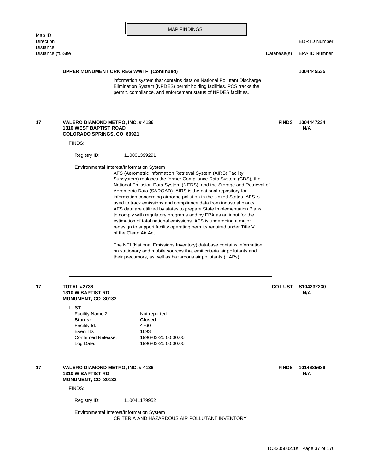| <b>MAP FINDINGS</b> |
|---------------------|
|---------------------|

Distance (ft.)Site Database(s) EPA ID Number

## **UPPER MONUMENT CRK REG WWTF (Continued) 1004445535**

permit, compliance, and enforcement status of NPDES facilities. Elimination System (NPDES) permit holding facilities. PCS tracks the information system that contains data on National Pollutant Discharge

### **COLORADO SPRINGS, CO 80921 1310 WEST BAPTIST ROAD N/A 17 VALERO DIAMOND METRO, INC. # 4136 1004447234 FINDS**

FINDS:

Registry ID: 110001399291

Environmental Interest/Information System

of the Clean Air Act. redesign to support facility operating permits required under Title V estimation of total national emissions. AFS is undergoing a major to comply with regulatory programs and by EPA as an input for the AFS data are utilized by states to prepare State Implementation Plans used to track emissions and compliance data from industrial plants. information concerning airborne pollution in the United States. AFS is Aerometric Data (SAROAD). AIRS is the national repository for National Emission Data System (NEDS), and the Storage and Retrieval of Subsystem) replaces the former Compliance Data System (CDS), the AFS (Aerometric Information Retrieval System (AIRS) Facility

their precursors, as well as hazardous air pollutants (HAPs). on stationary and mobile sources that emit criteria air pollutants and The NEI (National Emissions Inventory) database contains information

### **MONUMENT, CO 80132 1310 W BAPTIST RD N/A 17 TOTAL #2738 CO LUST S104232230**

LUST:

| .                  |                     |
|--------------------|---------------------|
| Facility Name 2:   | Not reported        |
| Status:            | <b>Closed</b>       |
| Facility Id:       | 4760                |
| Event ID:          | 1693                |
| Confirmed Release: | 1996-03-25 00:00:00 |
| Log Date:          | 1996-03-25 00:00:00 |
|                    |                     |

### **MONUMENT, CO 80132 1310 W BAPTIST RD N/A** 17 **17 VALERO DIAMOND METRO, INC. #4136** 1014685689 **1014685689**

FINDS:

Registry ID: 110041179952

CRITERIA AND HAZARDOUS AIR POLLUTANT INVENTORY Environmental Interest/Information System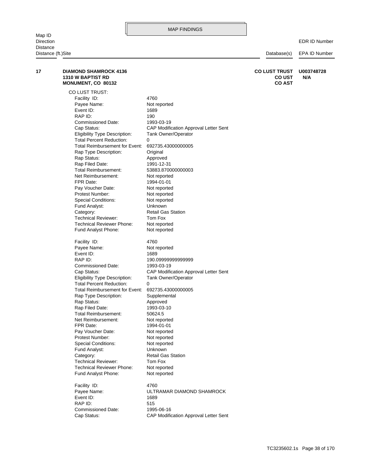EDR ID Number

| 17 | <b>DIAMOND SHAMROCK 4136</b><br><b>1310 W BAPTIST RD</b><br>MONUMENT, CO 80132 |                                       | <b>CO LUST TRUST</b><br><b>CO UST</b><br><b>CO AST</b> | U003748728<br>N/A |
|----|--------------------------------------------------------------------------------|---------------------------------------|--------------------------------------------------------|-------------------|
|    | CO LUST TRUST:                                                                 |                                       |                                                        |                   |
|    | Facility ID:                                                                   | 4760                                  |                                                        |                   |
|    | Payee Name:                                                                    | Not reported                          |                                                        |                   |
|    | Event ID:                                                                      | 1689                                  |                                                        |                   |
|    | RAP ID:                                                                        | 190                                   |                                                        |                   |
|    | <b>Commissioned Date:</b>                                                      | 1993-03-19                            |                                                        |                   |
|    | Cap Status:                                                                    | CAP Modification Approval Letter Sent |                                                        |                   |
|    | <b>Eligibility Type Description:</b>                                           | Tank Owner/Operator                   |                                                        |                   |
|    | <b>Total Percent Reduction:</b>                                                | 0                                     |                                                        |                   |
|    | Total Reimbursement for Event:                                                 | 692735.43000000005                    |                                                        |                   |
|    | Rap Type Description:                                                          | Original                              |                                                        |                   |
|    | Rap Status:                                                                    | Approved                              |                                                        |                   |
|    | Rap Filed Date:                                                                | 1991-12-31                            |                                                        |                   |
|    | Total Reimbursement:                                                           | 53883.870000000003                    |                                                        |                   |
|    | Net Reimbursement:                                                             | Not reported                          |                                                        |                   |
|    | FPR Date:                                                                      | 1994-01-01                            |                                                        |                   |
|    | Pay Voucher Date:                                                              | Not reported                          |                                                        |                   |
|    | Protest Number:                                                                | Not reported                          |                                                        |                   |
|    | <b>Special Conditions:</b>                                                     | Not reported                          |                                                        |                   |
|    | Fund Analyst:                                                                  | Unknown                               |                                                        |                   |
|    | Category:                                                                      | <b>Retail Gas Station</b>             |                                                        |                   |
|    | <b>Technical Reviewer:</b><br><b>Technical Reviewer Phone:</b>                 | Tom Fox                               |                                                        |                   |
|    |                                                                                | Not reported                          |                                                        |                   |
|    | Fund Analyst Phone:                                                            | Not reported                          |                                                        |                   |
|    | Facility ID:                                                                   | 4760                                  |                                                        |                   |
|    | Payee Name:                                                                    | Not reported                          |                                                        |                   |
|    | Event ID:                                                                      | 1689                                  |                                                        |                   |
|    | RAP ID:                                                                        | 190.09999999999999                    |                                                        |                   |
|    | <b>Commissioned Date:</b>                                                      | 1993-03-19                            |                                                        |                   |
|    | Cap Status:                                                                    | CAP Modification Approval Letter Sent |                                                        |                   |
|    | <b>Eligibility Type Description:</b>                                           | Tank Owner/Operator                   |                                                        |                   |
|    | <b>Total Percent Reduction:</b>                                                | 0                                     |                                                        |                   |
|    | Total Reimbursement for Event:                                                 | 692735.43000000005                    |                                                        |                   |
|    | Rap Type Description:                                                          | Supplemental                          |                                                        |                   |
|    | Rap Status:                                                                    | Approved                              |                                                        |                   |
|    | Rap Filed Date:                                                                | 1993-03-10                            |                                                        |                   |
|    | Total Reimbursement:                                                           | 50624.5                               |                                                        |                   |
|    | Net Reimbursement:                                                             | Not reported                          |                                                        |                   |
|    | FPR Date:                                                                      | 1994-01-01                            |                                                        |                   |
|    | Pay Voucher Date:                                                              | Not reported                          |                                                        |                   |
|    | Protest Number:                                                                | Not reported                          |                                                        |                   |
|    | <b>Special Conditions:</b>                                                     | Not reported<br><b>Unknown</b>        |                                                        |                   |
|    | Fund Analyst:                                                                  | <b>Retail Gas Station</b>             |                                                        |                   |
|    | Category:<br><b>Technical Reviewer:</b>                                        | Tom Fox                               |                                                        |                   |
|    | <b>Technical Reviewer Phone:</b>                                               | Not reported                          |                                                        |                   |
|    | Fund Analyst Phone:                                                            | Not reported                          |                                                        |                   |
|    |                                                                                |                                       |                                                        |                   |
|    | Facility ID:                                                                   | 4760                                  |                                                        |                   |
|    | Payee Name:                                                                    | ULTRAMAR DIAMOND SHAMROCK             |                                                        |                   |
|    | Event ID:                                                                      | 1689                                  |                                                        |                   |
|    | RAP ID:                                                                        | 515                                   |                                                        |                   |
|    | <b>Commissioned Date:</b>                                                      | 1995-06-16                            |                                                        |                   |
|    | Cap Status:                                                                    | CAP Modification Approval Letter Sent |                                                        |                   |
|    |                                                                                |                                       |                                                        |                   |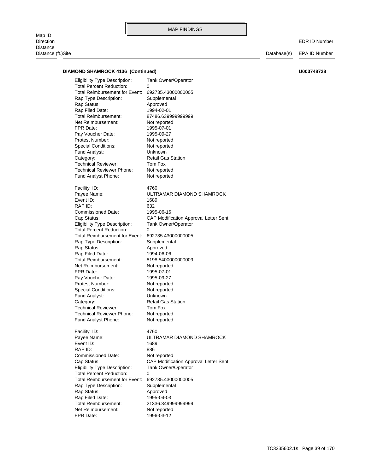Map ID<br>Direction Direction EDR ID Number **Distance** Distance (ft.)Site Database(s) EPA ID Number

### **DIAMOND SHAMROCK 4136 (Continued) U003748728**

FPR Date: 1996-03-12 Net Reimbursement: Not reported Total Reimbursement: 21336.349999999999 Rap Filed Date: 1995-04-03 Rap Status: Approved Rap Type Description: Supplemental Total Reimbursement for Event: 692735.43000000005 Total Percent Reduction: 0 Eligibility Type Description: Tank Owner/Operator Cap Status: CAP Modification Approval Letter Sent Commissioned Date: Not reported RAP ID: 886 Event ID: 1689 Payee Name: ULTRAMAR DIAMOND SHAMROCK Facility ID: 4760 Fund Analyst Phone: Not reported Technical Reviewer Phone: Not reported Technical Reviewer: Tom Fox Category: Retail Gas Station Fund Analyst: Unknown Special Conditions: Not reported Protest Number: Not reported Pay Voucher Date: 1995-09-27 FPR Date: 1995-07-01 Net Reimbursement: Not reported Total Reimbursement: 8198.5400000000009 Rap Filed Date: 1994-06-06 Rap Status: Approved Rap Type Description: Supplemental Total Reimbursement for Event: 692735.43000000005 Total Percent Reduction: 0 Eligibility Type Description: Tank Owner/Operator Cap Status: CAP Modification Approval Letter Sent Commissioned Date: 1995-06-16 RAP ID: 632 Event ID: 1689 Payee Name: ULTRAMAR DIAMOND SHAMROCK Facility ID: 4760 Fund Analyst Phone: Not reported Technical Reviewer Phone: Not reported Technical Reviewer: Tom Fox Category: Retail Gas Station Fund Analyst: Unknown Special Conditions: Not reported Protest Number: Not reported Pay Voucher Date: 1995-09-27 FPR Date: 1995-07-01 Net Reimbursement: Not reported Total Reimbursement: 87486.639999999999 Rap Filed Date: 1994-02-01 Rap Status: Approved Rap Type Description: Supplemental Total Reimbursement for Event: 692735.43000000005 Total Percent Reduction: 0 Eligibility Type Description: Tank Owner/Operator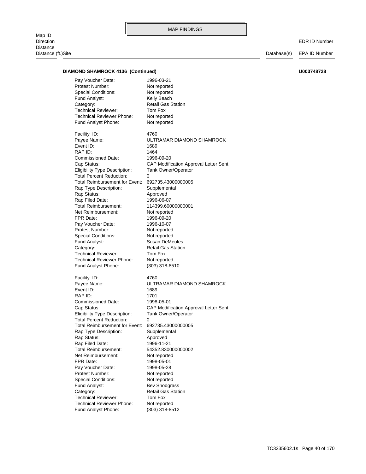Map ID<br>Direction Direction EDR ID Number **Distance** Distance (ft.)Site Database(s) EPA ID Number

### **DIAMOND SHAMROCK 4136 (Continued) U003748728**

Fund Analyst Phone: (303) 318-8512 Technical Reviewer Phone: Not reported Technical Reviewer: Tom Fox Category: Retail Gas Station Fund Analyst: Bev Snodgrass Special Conditions: Not reported Protest Number: Not reported Pay Voucher Date: 1998-05-28 FPR Date: 1998-05-01 Net Reimbursement: Not reported Total Reimbursement: 54352.830000000002 Rap Filed Date: 1996-11-21 Rap Status: Approved Rap Type Description: Supplemental Total Reimbursement for Event: 692735.43000000005 Total Percent Reduction: 0 Eligibility Type Description: Tank Owner/Operator Cap Status: CAP Modification Approval Letter Sent Commissioned Date: 1998-05-01 RAP ID: 1701 Event ID: 1689 Payee Name: ULTRAMAR DIAMOND SHAMROCK Facility ID: 4760 Fund Analyst Phone: (303) 318-8510 Technical Reviewer Phone: Not reported Technical Reviewer: Tom Fox Category: Retail Gas Station Fund Analyst: Susan DeMeules Special Conditions: Not reported Protest Number: Not reported Pay Voucher Date: 1996-10-07 FPR Date: 1996-09-20 Net Reimbursement: Not reported Total Reimbursement: 114399.60000000001 Rap Filed Date: 1996-06-07 Rap Status: Approved Rap Type Description: Supplemental Total Reimbursement for Event: 692735.43000000005 Total Percent Reduction: 0 Eligibility Type Description: Tank Owner/Operator Cap Status: CAP Modification Approval Letter Sent Commissioned Date: 1996-09-20 RAP ID: 1464 Event ID: 1689 Payee Name: ULTRAMAR DIAMOND SHAMROCK Facility ID: 4760 Fund Analyst Phone: Not reported Technical Reviewer Phone: Not reported Technical Reviewer: Tom Fox Category: Retail Gas Station Fund Analyst: Kelly Beach Special Conditions: Not reported Protest Number: Not reported Pay Voucher Date: 1996-03-21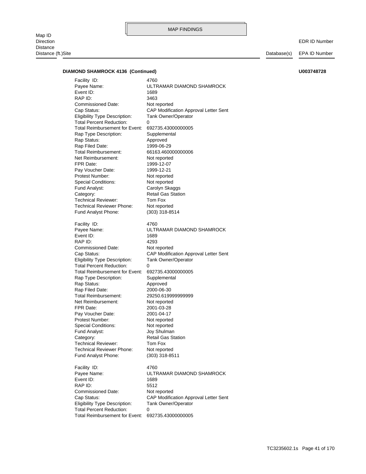Map ID<br>Direction Direction EDR ID Number **Distance** 

Distance (ft.)Site Database(s) EPA ID Number

### **DIAMOND SHAMROCK 4136 (Continued) U003748728**

Total Percent Reduction: 0 Eligibility Type Description: Tank Owner/Operator Cap Status: CAP Modification Approval Letter Sent Commissioned Date: Not reported RAP ID: 5512 Event ID: 1689 Payee Name: ULTRAMAR DIAMOND SHAMROCK Facility ID: 4760 Fund Analyst Phone: (303) 318-8511 Technical Reviewer Phone: Not reported Technical Reviewer: Tom Fox Category: Retail Gas Station Fund Analyst: Joy Shulman Special Conditions: Not reported Protest Number: Not reported Pay Voucher Date: 2001-04-17 FPR Date: 2001-03-28 Net Reimbursement: Not reported Total Reimbursement: 29250.619999999999 Rap Filed Date: 2000-06-30 Rap Status: Approved Rap Type Description: Supplemental Total Reimbursement for Event: 692735.43000000005 Total Percent Reduction: 0 Eligibility Type Description: Tank Owner/Operator Cap Status: CAP Modification Approval Letter Sent Commissioned Date: Not reported RAP ID: 4293 Event ID: 1689 Payee Name: ULTRAMAR DIAMOND SHAMROCK Facility ID: 4760 Fund Analyst Phone: (303) 318-8514 Technical Reviewer Phone: Not reported Technical Reviewer: Tom Fox Category: Retail Gas Station Fund Analyst: Carolyn Skaggs Special Conditions: Not reported Protest Number: Not reported Pay Voucher Date: 1999-12-21 FPR Date: 1999-12-07 Net Reimbursement: Not reported Total Reimbursement: 66163.460000000006 Rap Filed Date: 1999-06-29 Rap Status: Approved Rap Type Description: Supplemental Total Reimbursement for Event: 692735.43000000005 Total Percent Reduction: 0 Eligibility Type Description: Tank Owner/Operator Cap Status: CAP Modification Approval Letter Sent Commissioned Date: Not reported RAP ID: 3463 Event ID: 1689 Payee Name: ULTRAMAR DIAMOND SHAMROCK Facility ID: 4760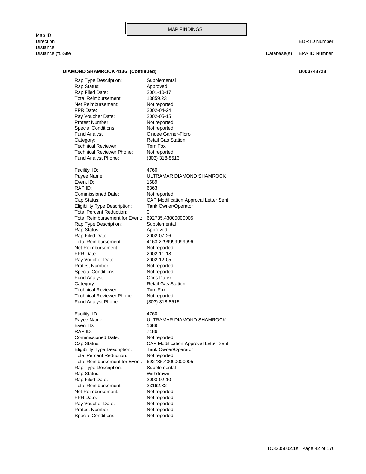Map ID<br>Direction Direction EDR ID Number **Distance** Distance (ft.)Site Database(s) EPA ID Number

### **DIAMOND SHAMROCK 4136 (Continued) U003748728**

Fund Analyst Phone: (303) 318-8513 Technical Reviewer Phone: Not reported Technical Reviewer: Tom Fox Category: Retail Gas Station Fund Analyst: Cindee Garner-Floro Special Conditions: Not reported Protest Number: Not reported Pay Voucher Date: 2002-05-15 FPR Date: 2002-04-24 Net Reimbursement: Not reported Total Reimbursement: 13859.23 Rap Filed Date: 2001-10-17 Rap Status: Approved Rap Type Description: Supplemental

Fund Analyst Phone: (303) 318-8515 Technical Reviewer Phone: Not reported Technical Reviewer: Tom Fox Category: Retail Gas Station Fund Analyst: Chris Dufex Special Conditions: Not reported Protest Number: Not reported Pay Voucher Date: 2002-12-05 FPR Date: 2002-11-18 Net Reimbursement: Not reported Total Reimbursement: 4163.2299999999996 Rap Filed Date: 2002-07-26 Rap Status: Approved Rap Type Description: Supplemental Total Reimbursement for Event: 692735.43000000005 Total Percent Reduction: 0 Eligibility Type Description: Tank Owner/Operator Commissioned Date: Not reported RAP ID: 6363 Event ID: 1689

Cap Status: CAP Modification Approval Letter Sent Payee Name: ULTRAMAR DIAMOND SHAMROCK Facility ID: 4760

Special Conditions: Not reported Protest Number: Not reported Pay Voucher Date: Not reported FPR Date: Not reported Net Reimbursement: Not reported Total Reimbursement: 23162.82 Rap Filed Date: 2003-02-10 Rap Status: Withdrawn Rap Type Description: Supplemental Total Reimbursement for Event: 692735.43000000005 Total Percent Reduction: Not reported Eligibility Type Description: Tank Owner/Operator Commissioned Date: Not reported RAP ID: 7186 Event ID: 1689 Facility ID: 4760

Cap Status: CAP Modification Approval Letter Sent Payee Name: ULTRAMAR DIAMOND SHAMROCK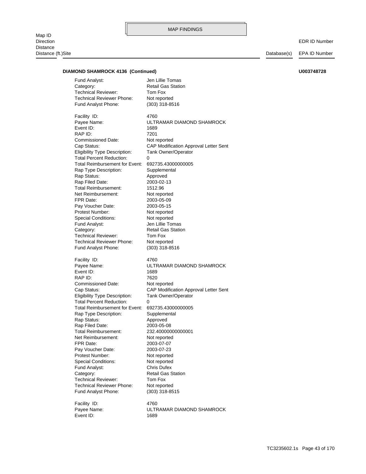Map ID<br>Direction Direction EDR ID Number **Distance** Distance (ft.)Site Database(s) EPA ID Number

### **DIAMOND SHAMROCK 4136 (Continued) U003748728**

Event ID: 1689 Payee Name: ULTRAMAR DIAMOND SHAMROCK Facility ID: 4760 Fund Analyst Phone: (303) 318-8515 Technical Reviewer Phone: Not reported Technical Reviewer: Tom Fox Category: Retail Gas Station Fund Analyst: Chris Dufex Special Conditions: Not reported Protest Number: Not reported Pay Voucher Date: 2003-07-23 FPR Date: 2003-07-07 Net Reimbursement: Not reported Total Reimbursement: 232.40000000000001 Rap Filed Date: 2003-05-08 Rap Status: Approved Rap Type Description: Supplemental Total Reimbursement for Event: 692735.43000000005 Total Percent Reduction: 0 Eligibility Type Description: Tank Owner/Operator Cap Status: CAP Modification Approval Letter Sent Commissioned Date: Not reported RAP ID: 7620 Event ID: 1689 Payee Name: ULTRAMAR DIAMOND SHAMROCK Facility ID: 4760 Fund Analyst Phone: (303) 318-8516 Technical Reviewer Phone: Not reported Technical Reviewer: Tom Fox Category: Retail Gas Station Fund Analyst: Jen Lillie Tomas Special Conditions: Not reported Protest Number: Not reported Pay Voucher Date: 2003-05-15 FPR Date: 2003-05-09 Net Reimbursement: Not reported Total Reimbursement: 1512.96 Rap Filed Date: 2003-02-13 Rap Status: Approved Rap Type Description: Supplemental Total Reimbursement for Event: 692735.43000000005 Total Percent Reduction: Eligibility Type Description: Tank Owner/Operator Cap Status: CAP Modification Approval Letter Sent Commissioned Date: Not reported RAP ID: 7201 Event ID: 1689 Payee Name: ULTRAMAR DIAMOND SHAMROCK Facility ID: 4760 Fund Analyst Phone: (303) 318-8516 Technical Reviewer Phone: Not reported Technical Reviewer: Tom Fox Category: Retail Gas Station Fund Analyst: Jen Lillie Tomas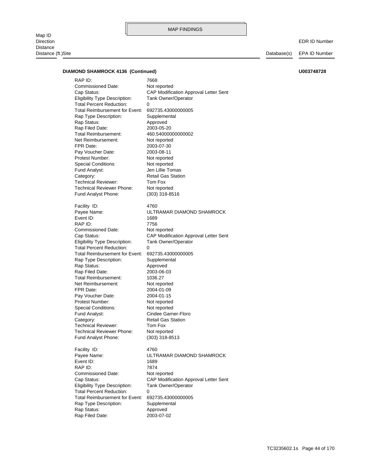Map ID<br>Direction Direction EDR ID Number **Distance** 

MAP FINDINGS

Distance (ft.)Site Database(s) EPA ID Number

### **DIAMOND SHAMROCK 4136 (Continued) U003748728**

Rap Status: Approved Rap Type Description: Supplemental Total Reimbursement for Event: 692735.43000000005 Total Percent Reduction: 0 Eligibility Type Description: Tank Owner/Operator Cap Status: CAP Modification Approval Letter Sent Commissioned Date: Not reported RAP ID: 7874 Event ID: 1689 Payee Name: ULTRAMAR DIAMOND SHAMROCK Facility ID: 4760 Fund Analyst Phone: (303) 318-8513 Technical Reviewer Phone: Not reported Technical Reviewer: Tom Fox Category: Retail Gas Station Fund Analyst: Cindee Garner-Floro Special Conditions: Not reported Protest Number: Not reported Pay Voucher Date: 2004-01-15 FPR Date: 2004-01-09 Net Reimbursement: Not reported Total Reimbursement: 1036.27 Rap Filed Date: 2003-06-03 Rap Status: Approved Rap Type Description: Supplemental Total Reimbursement for Event: 692735.43000000005 Total Percent Reduction: 0 Eligibility Type Description: Tank Owner/Operator Cap Status: CAP Modification Approval Letter Sent Commissioned Date: Not reported RAP ID: 7756 Event ID: 1689 Payee Name: ULTRAMAR DIAMOND SHAMROCK Facility ID: 4760 Fund Analyst Phone: (303) 318-8516 Technical Reviewer Phone: Not reported Technical Reviewer: Tom Fox Category: Retail Gas Station Fund Analyst: Jen Lillie Tomas Special Conditions: Not reported Protest Number: Not reported Pay Voucher Date: 2003-08-11 FPR Date: 2003-07-30 Net Reimbursement: Not reported Total Reimbursement: 460.54000000000002 Rap Filed Date: 2003-05-20 Rap Status: Approved Rap Type Description: Supplemental Total Reimbursement for Event: 692735.43000000005 Total Percent Reduction: 0 Eligibility Type Description: Tank Owner/Operator Cap Status: CAP Modification Approval Letter Sent Commissioned Date: Not reported RAP ID: 7668

Rap Filed Date: 2003-07-02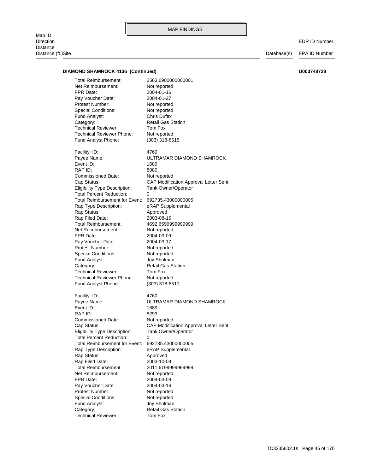Map ID<br>Direction Direction EDR ID Number **Distance** Distance (ft.)Site Database(s) EPA ID Number

### **DIAMOND SHAMROCK 4136 (Continued) U003748728**

Technical Reviewer: Tom Fox Category: Category: Retail Gas Station Fund Analyst: Joy Shulman Special Conditions: Not reported Protest Number: Not reported Pay Voucher Date: 2004-03-16 FPR Date: 2004-03-09 Net Reimbursement: Not reported Total Reimbursement: 2011.6199999999999 Rap Filed Date: 2003-10-09 Rap Status: Approved Rap Type Description: eRAP Supplemental Total Reimbursement for Event: 692735.43000000005 Total Percent Reduction: 0 Eligibility Type Description: Tank Owner/Operator Cap Status: CAP Modification Approval Letter Sent Commissioned Date: Not reported RAP ID: 8293 Event ID: 1689 Payee Name: ULTRAMAR DIAMOND SHAMROCK Facility ID: 4760 Fund Analyst Phone: (303) 318-8511 Technical Reviewer Phone: Not reported Technical Reviewer: Tom Fox Category: Retail Gas Station Fund Analyst: Joy Shulman Special Conditions: Not reported Protest Number: Not reported Pay Voucher Date: 2004-03-17 FPR Date: 2004-03-09 Net Reimbursement: Not reported Total Reimbursement: 4692.6599999999999 Rap Filed Date: 2003-08-15 Rap Status: Approved Rap Type Description: eRAP Supplemental Total Reimbursement for Event: 692735.43000000005 Total Percent Reduction: 0 Eligibility Type Description: Tank Owner/Operator Cap Status: CAP Modification Approval Letter Sent Commissioned Date: Not reported RAP ID: 8080 Event ID: 1689 Payee Name: ULTRAMAR DIAMOND SHAMROCK Facility ID: 4760 Fund Analyst Phone: (303) 318-8515 Technical Reviewer Phone: Not reported Technical Reviewer: Tom Fox Category: Retail Gas Station Fund Analyst: Chris Dufex Special Conditions: Not reported Protest Number: Not reported Pay Voucher Date: 2004-01-27 FPR Date: 2004-01-16 Net Reimbursement: Not reported Total Reimbursement: 2563.6900000000001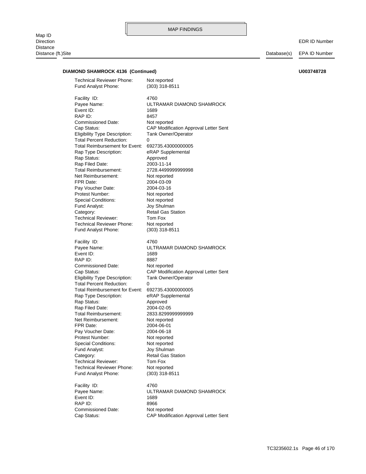### **DIAMOND SHAMROCK 4136 (Continued) U003748728**

Cap Status: CAP Modification Approval Letter Sent Commissioned Date: Not reported RAP ID: 8966 Event ID: 1689 Payee Name: ULTRAMAR DIAMOND SHAMROCK Facility ID: 4760 Fund Analyst Phone: (303) 318-8511 Technical Reviewer Phone: Not reported Technical Reviewer: Tom Fox Category: Retail Gas Station Fund Analyst: Joy Shulman Special Conditions: Not reported Protest Number: Not reported Pay Voucher Date: 2004-06-18 FPR Date: 2004-06-01 Net Reimbursement: Not reported Total Reimbursement: 2833.8299999999999 Rap Filed Date: 2004-02-05 Rap Status: Approved Rap Type Description: eRAP Supplemental Total Reimbursement for Event: 692735.43000000005 Total Percent Reduction: 0 Eligibility Type Description: Tank Owner/Operator Cap Status: CAP Modification Approval Letter Sent Commissioned Date: Not reported RAP ID: 8887 Event ID: 1689 Payee Name: ULTRAMAR DIAMOND SHAMROCK Facility ID: 4760 Fund Analyst Phone: (303) 318-8511 Technical Reviewer Phone: Not reported Technical Reviewer: Tom Fox Category: Category: Retail Gas Station Fund Analyst: Joy Shulman Special Conditions: Not reported Protest Number: Not reported Pay Voucher Date: 2004-03-16 FPR Date: 2004-03-09 Net Reimbursement: Not reported Total Reimbursement: 2728.4499999999998 Rap Filed Date: 2003-11-14 Rap Status: Approved Rap Type Description: eRAP Supplemental Total Reimbursement for Event: 692735.43000000005 Total Percent Reduction: 0 Eligibility Type Description: Tank Owner/Operator Cap Status: CAP Modification Approval Letter Sent Commissioned Date: Not reported RAP ID: 8457 Event ID: 1689 Payee Name: ULTRAMAR DIAMOND SHAMROCK Facility ID: 4760 Fund Analyst Phone: (303) 318-8511 Technical Reviewer Phone: Not reported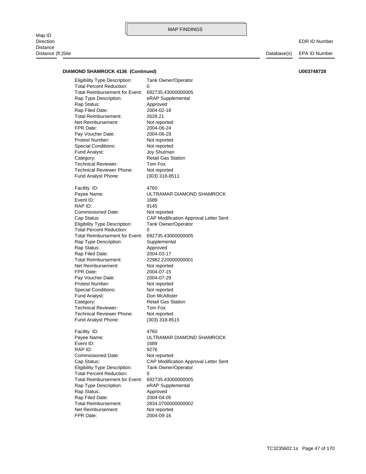Map ID<br>Direction Direction EDR ID Number **Distance** Distance (ft.)Site Database(s) EPA ID Number

### **DIAMOND SHAMROCK 4136 (Continued) U003748728**

FPR Date: 2004-09-16 Net Reimbursement: Not reported Total Reimbursement: 2834.0700000000002 Rap Filed Date: 2004-04-05 Rap Status: Approved Rap Type Description: eRAP Supplemental Total Reimbursement for Event: 692735.43000000005 Total Percent Reduction: 0 Eligibility Type Description: Tank Owner/Operator Cap Status: CAP Modification Approval Letter Sent Commissioned Date: Not reported RAP ID: 9276 Event ID: 1689 Payee Name: ULTRAMAR DIAMOND SHAMROCK Facility ID: 4760 Fund Analyst Phone: (303) 318-8515 Technical Reviewer Phone: Not reported Technical Reviewer: Tom Fox Category: Retail Gas Station Fund Analyst: Don McAllister Special Conditions: Not reported Protest Number: Not reported Pay Voucher Date: 2004-07-29 FPR Date: 2004-07-15 Net Reimbursement: Not reported Total Reimbursement: 22982.220000000001 Rap Filed Date: 2004-03-17 Rap Status: Approved Rap Type Description: Supplemental Total Reimbursement for Event: 692735.43000000005 Total Percent Reduction: 0 Eligibility Type Description: Tank Owner/Operator Cap Status: CAP Modification Approval Letter Sent Commissioned Date: Not reported RAP ID: 9145 Event ID: 1689 Payee Name: ULTRAMAR DIAMOND SHAMROCK Facility ID: 4760 Fund Analyst Phone: (303) 318-8511 Technical Reviewer Phone: Not reported Technical Reviewer: Tom Fox Category: Retail Gas Station Fund Analyst: Joy Shulman Special Conditions: Not reported Protest Number: Not reported Pay Voucher Date: 2004-06-29 FPR Date: 2004-06-24 Net Reimbursement: Not reported Total Reimbursement: 2628.21 Rap Filed Date: 2004-02-18 Rap Status: Approved Rap Type Description: eRAP Supplemental Total Reimbursement for Event: 692735.43000000005 Total Percent Reduction: 0 Eligibility Type Description: Tank Owner/Operator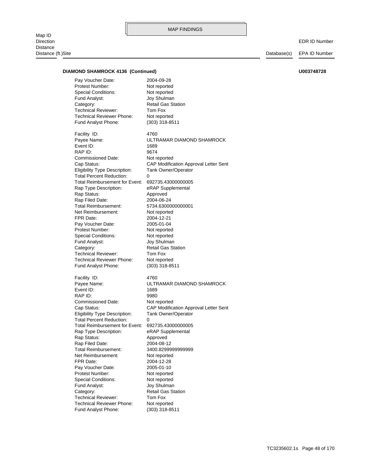Map ID<br>Direction Direction EDR ID Number **Distance** Distance (ft.)Site Database(s) EPA ID Number

### **DIAMOND SHAMROCK 4136 (Continued) U003748728**

Fund Analyst Phone: (303) 318-8511 Technical Reviewer Phone: Not reported Technical Reviewer: Tom Fox Category: Retail Gas Station Fund Analyst: Joy Shulman Special Conditions: Not reported Protest Number: Not reported Pay Voucher Date: 2005-01-10 FPR Date: 2004-12-28 Net Reimbursement: Not reported Total Reimbursement: 3400.8299999999999 Rap Filed Date: 2004-08-12 Rap Status: Approved Rap Type Description: eRAP Supplemental Total Reimbursement for Event: 692735.43000000005 Total Percent Reduction: 0 Eligibility Type Description: Tank Owner/Operator Cap Status: CAP Modification Approval Letter Sent Commissioned Date: Not reported RAP ID: 9980 Event ID: 1689 Payee Name: ULTRAMAR DIAMOND SHAMROCK Facility ID: 4760 Fund Analyst Phone: (303) 318-8511 Technical Reviewer Phone: Not reported Technical Reviewer: Tom Fox Category: Retail Gas Station Fund Analyst: Joy Shulman Special Conditions: Not reported Protest Number: Not reported Pay Voucher Date: 2005-01-04 FPR Date: 2004-12-21 Net Reimbursement: Not reported Total Reimbursement: 5734.6300000000001 Rap Filed Date: 2004-06-24 Rap Status: Approved Rap Type Description: eRAP Supplemental Total Reimbursement for Event: 692735.43000000005 Total Percent Reduction: 0 Eligibility Type Description: Tank Owner/Operator Cap Status: CAP Modification Approval Letter Sent Commissioned Date: Not reported RAP ID: 9674 Event ID: 1689 Payee Name: ULTRAMAR DIAMOND SHAMROCK Facility ID: 4760 Fund Analyst Phone: (303) 318-8511 Technical Reviewer Phone: Not reported Technical Reviewer: Tom Fox Category: Retail Gas Station Fund Analyst: Joy Shulman Special Conditions: Not reported Protest Number: Not reported Pay Voucher Date: 2004-09-28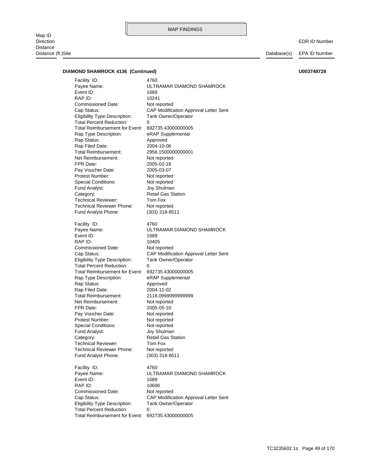Map ID<br>Direction Direction EDR ID Number Distance Distance (ft.)Site Database(s) EPA ID Number

### **DIAMOND SHAMROCK 4136 (Continued) U003748728**

Total Percent Reduction: 0 Eligibility Type Description: Tank Owner/Operator Cap Status: CAP Modification Approval Letter Sent Commissioned Date: Not reported RAP ID: 10696 Event ID: 1689 Payee Name: ULTRAMAR DIAMOND SHAMROCK Facility ID: 4760 Fund Analyst Phone: (303) 318-8511 Technical Reviewer Phone: Not reported Technical Reviewer: Tom Fox Category: Retail Gas Station Fund Analyst: Joy Shulman Special Conditions: Not reported Protest Number: Not reported Pay Voucher Date: Not reported FPR Date: 2005-05-10 Net Reimbursement: Not reported Total Reimbursement: 2118.0999999999999 Rap Filed Date: 2004-11-02 Rap Status: Approved Rap Type Description: eRAP Supplemental Total Reimbursement for Event: 692735.43000000005 Total Percent Reduction: 0 Eligibility Type Description: Tank Owner/Operator Cap Status: CAP Modification Approval Letter Sent Commissioned Date: Not reported RAP ID: 10405 Event ID: 1689 Payee Name: ULTRAMAR DIAMOND SHAMROCK Facility ID: 4760 Fund Analyst Phone: (303) 318-8511 Technical Reviewer Phone: Not reported Technical Reviewer: Tom Fox Category: Retail Gas Station Fund Analyst: Joy Shulman Special Conditions: Not reported Protest Number: Not reported Pay Voucher Date: 2005-03-07 FPR Date: 2005-02-18 Net Reimbursement: Not reported Total Reimbursement: 2956.1500000000001 Rap Filed Date: 2004-10-06 Rap Status: Approved Rap Type Description: eRAP Supplemental Total Reimbursement for Event: 692735.43000000005 Total Percent Reduction: 0 Eligibility Type Description: Tank Owner/Operator Cap Status: CAP Modification Approval Letter Sent Commissioned Date: Not reported RAP ID: 10241 Event ID: 1689 Payee Name: ULTRAMAR DIAMOND SHAMROCK Facility ID: 4760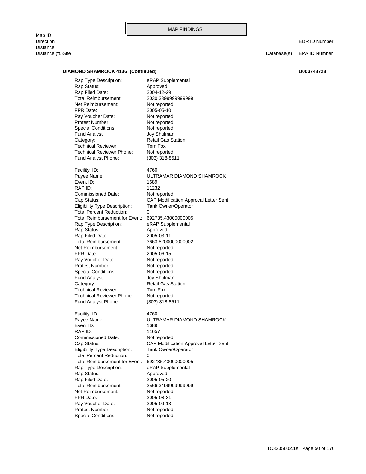Map ID<br>Direction Direction EDR ID Number Distance Distance (ft.)Site Database(s) EPA ID Number

### **DIAMOND SHAMROCK 4136 (Continued) U003748728**

Fund Analyst Phone: (303) 318-8511 Technical Reviewer Phone: Not reported Technical Reviewer: Tom Fox Category: Retail Gas Station Fund Analyst: Joy Shulman Special Conditions: Not reported Protest Number: Not reported Pay Voucher Date: Not reported FPR Date: 2005-05-10 Net Reimbursement: Not reported Total Reimbursement: 2030.3399999999999 Rap Filed Date: 2004-12-29 Rap Status: Approved Rap Type Description: eRAP Supplemental

Technical Reviewer Phone: Not reported Technical Reviewer: Tom Fox Category: Retail Gas Station Fund Analyst: Joy Shulman Special Conditions: Not reported Protest Number: Not reported Pay Voucher Date: Not reported FPR Date: 2005-06-15 Net Reimbursement: Not reported Total Reimbursement: 3663.8200000000002 Rap Filed Date: 2005-03-11 Rap Status: Approved Rap Type Description: eRAP Supplemental Total Reimbursement for Event: 692735.43000000005 Total Percent Reduction: 0 Eligibility Type Description: Tank Owner/Operator Commissioned Date: Not reported RAP ID: 11232 Event ID: 1689

Special Conditions: Not reported Protest Number: Not reported Pay Voucher Date: 2005-09-13 FPR Date: 2005-08-31 Net Reimbursement: Not reported Total Reimbursement: 2566.3499999999999 Rap Filed Date: 2005-05-20 Rap Status: Approved Rap Type Description: eRAP Supplemental Total Reimbursement for Event: 692735.43000000005 Total Percent Reduction: Eligibility Type Description: Tank Owner/Operator Cap Status: CAP Modification Approval Letter Sent Commissioned Date: Not reported RAP ID: 11657 Event ID: 1689 Payee Name: ULTRAMAR DIAMOND SHAMROCK Facility ID: 4760 Fund Analyst Phone: (303) 318-8511

Cap Status: CAP Modification Approval Letter Sent Payee Name: ULTRAMAR DIAMOND SHAMROCK Facility ID: 4760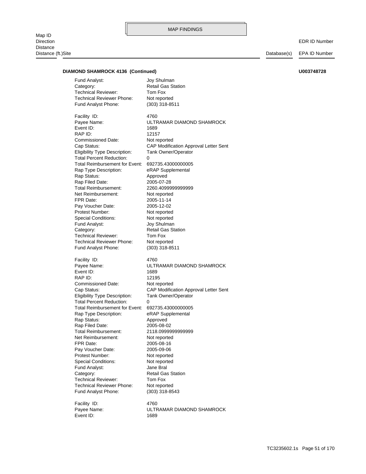Map ID<br>Direction Direction EDR ID Number Distance Distance (ft.)Site Database(s) EPA ID Number

### **DIAMOND SHAMROCK 4136 (Continued) U003748728**

Fund Analyst Phone: (303) 318-8511 Technical Reviewer Phone: Not reported Technical Reviewer: Tom Fox Category: Retail Gas Station Fund Analyst: Joy Shulman

Fund Analyst Phone: (303) 318-8511 Technical Reviewer Phone: Not reported Technical Reviewer: Tom Fox Category: Retail Gas Station Fund Analyst: Joy Shulman Special Conditions: Not reported Protest Number: Not reported Pay Voucher Date: 2005-12-02 FPR Date: 2005-11-14 Net Reimbursement: Not reported Total Reimbursement: 2260.4099999999999 Rap Filed Date: 2005-07-28 Rap Status: Approved Rap Type Description: eRAP Supplemental Total Reimbursement for Event: 692735.43000000005 Total Percent Reduction: Eligibility Type Description: Tank Owner/Operator Cap Status: CAP Modification Approval Letter Sent Commissioned Date: Not reported RAP ID: 12157 Event ID: 1689 Payee Name: ULTRAMAR DIAMOND SHAMROCK Facility ID: 4760

Fund Analyst Phone: (303) 318-8543 Technical Reviewer Phone: Not reported Technical Reviewer: Tom Fox Category: Retail Gas Station Fund Analyst: Jane Bral Special Conditions: Not reported Protest Number: Not reported Pay Voucher Date: 2005-09-06 FPR Date: 2005-08-16 Net Reimbursement: Not reported Total Reimbursement: 2118.0999999999999 Rap Filed Date: 2005-08-02 Rap Status: Approved Rap Type Description: eRAP Supplemental Total Reimbursement for Event: 692735.43000000005 Total Percent Reduction: Eligibility Type Description: Tank Owner/Operator Commissioned Date: Not reported RAP ID: 12195 Event ID: 1689 Facility ID: 4760

Event ID: 1689 Facility ID: 4760

Cap Status: CAP Modification Approval Letter Sent Payee Name: ULTRAMAR DIAMOND SHAMROCK

Payee Name: ULTRAMAR DIAMOND SHAMROCK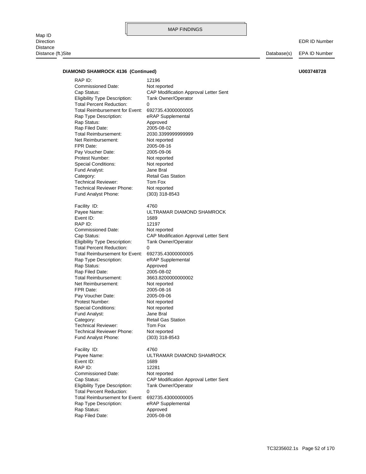Map ID<br>Direction Distance Distance (ft.)Site Database(s) EPA ID Number

EDR ID Number

| <b>DIAMOND SHAMROCK 4136 (Continued)</b> |                                                   |                                       | U003748728 |
|------------------------------------------|---------------------------------------------------|---------------------------------------|------------|
| RAP ID:                                  |                                                   | 12196                                 |            |
|                                          | Commissioned Date:                                | Not reported                          |            |
| Cap Status:                              |                                                   | CAP Modification Approval Letter Sent |            |
|                                          | <b>Eligibility Type Description:</b>              | <b>Tank Owner/Operator</b>            |            |
|                                          | <b>Total Percent Reduction:</b>                   | 0                                     |            |
|                                          | Total Reimbursement for Event: 692735.43000000005 |                                       |            |
|                                          | Rap Type Description:                             | eRAP Supplemental                     |            |
|                                          |                                                   |                                       |            |
| Rap Status:                              |                                                   | Approved                              |            |
| Rap Filed Date:                          |                                                   | 2005-08-02                            |            |
|                                          | Total Reimbursement:                              | 2030.3399999999999                    |            |
|                                          | Net Reimbursement:                                | Not reported                          |            |
| FPR Date:                                |                                                   | 2005-08-16                            |            |
| Pay Voucher Date:                        |                                                   | 2005-09-06                            |            |
| Protest Number:                          |                                                   | Not reported                          |            |
| <b>Special Conditions:</b>               |                                                   | Not reported                          |            |
| Fund Analyst:                            |                                                   | Jane Bral                             |            |
| Category:                                |                                                   | <b>Retail Gas Station</b>             |            |
|                                          | <b>Technical Reviewer:</b>                        | Tom Fox                               |            |
|                                          | <b>Technical Reviewer Phone:</b>                  | Not reported                          |            |
|                                          | Fund Analyst Phone:                               | $(303)$ 318-8543                      |            |
| Facility ID:                             |                                                   | 4760                                  |            |
| Payee Name:                              |                                                   | ULTRAMAR DIAMOND SHAMROCK             |            |
| Event ID:                                |                                                   | 1689                                  |            |
| RAP ID:                                  |                                                   | 12197                                 |            |
|                                          | Commissioned Date:                                | Not reported                          |            |
| Cap Status:                              |                                                   | CAP Modification Approval Letter Sent |            |
|                                          | <b>Eligibility Type Description:</b>              | Tank Owner/Operator                   |            |
|                                          | <b>Total Percent Reduction:</b>                   | 0                                     |            |
|                                          | Total Reimbursement for Event: 692735.43000000005 |                                       |            |
|                                          | Rap Type Description:                             | eRAP Supplemental                     |            |
| Rap Status:                              |                                                   | Approved                              |            |
| Rap Filed Date:                          |                                                   | 2005-08-02                            |            |
|                                          | <b>Total Reimbursement:</b>                       | 3663.8200000000002                    |            |
|                                          |                                                   |                                       |            |
| FPR Date:                                | Net Reimbursement:                                | Not reported                          |            |
|                                          |                                                   | 2005-08-16<br>2005-09-06              |            |
| Pay Voucher Date:<br>Protest Number:     |                                                   |                                       |            |
| <b>Special Conditions:</b>               |                                                   | Not reported                          |            |
|                                          |                                                   | Not reported<br>Jane Bral             |            |
| Fund Analyst:                            |                                                   | <b>Retail Gas Station</b>             |            |
| Category:                                | <b>Technical Reviewer:</b>                        | Tom Fox                               |            |
|                                          | Technical Reviewer Phone:                         |                                       |            |
|                                          |                                                   | Not reported                          |            |
|                                          | Fund Analyst Phone:                               | $(303)$ 318-8543                      |            |
| Facility ID:                             |                                                   | 4760                                  |            |
| Payee Name:                              |                                                   | ULTRAMAR DIAMOND SHAMROCK             |            |
| Event ID:                                |                                                   | 1689                                  |            |
| RAP ID:                                  |                                                   | 12281                                 |            |
|                                          | <b>Commissioned Date:</b>                         | Not reported                          |            |
| Cap Status:                              |                                                   | CAP Modification Approval Letter Sent |            |
|                                          | <b>Eligibility Type Description:</b>              | Tank Owner/Operator                   |            |
|                                          | <b>Total Percent Reduction:</b>                   | 0                                     |            |
|                                          | Total Reimbursement for Event:                    | 692735.43000000005                    |            |
|                                          | Rap Type Description:                             | eRAP Supplemental                     |            |
| Rap Status:                              |                                                   | Approved                              |            |
| Rap Filed Date:                          |                                                   | 2005-08-08                            |            |

### TC3235602.1s Page 52 of 170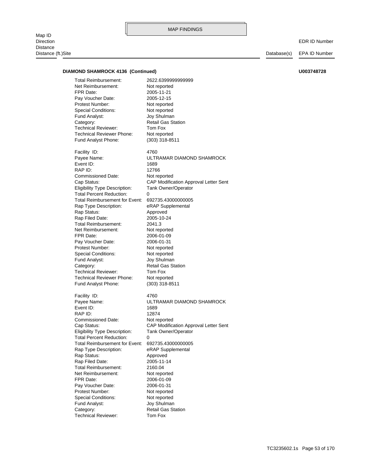Map ID<br>Direction Direction EDR ID Number Distance Distance (ft.)Site Database(s) EPA ID Number

### **DIAMOND SHAMROCK 4136 (Continued) U003748728**

Technical Reviewer: Tom Fox Category: Category: Retail Gas Station Fund Analyst: Joy Shulman Special Conditions: Not reported Protest Number: Not reported Pay Voucher Date: 2006-01-31 FPR Date: 2006-01-09 Net Reimbursement: Not reported Total Reimbursement: 2160.04 Rap Filed Date: 2005-11-14 Rap Status: Approved Rap Type Description: eRAP Supplemental Total Reimbursement for Event: 692735.43000000005 Total Percent Reduction: 0 Eligibility Type Description: Tank Owner/Operator Cap Status: CAP Modification Approval Letter Sent Commissioned Date: Not reported RAP ID: 12874 Event ID: 1689 Payee Name: ULTRAMAR DIAMOND SHAMROCK Facility ID: 4760 Fund Analyst Phone: (303) 318-8511 Technical Reviewer Phone: Not reported Technical Reviewer: Tom Fox Category: Retail Gas Station Fund Analyst: Joy Shulman Special Conditions: Not reported Protest Number: Not reported Pay Voucher Date: 2006-01-31 FPR Date: 2006-01-09 Net Reimbursement: Not reported Total Reimbursement: 2041.3 Rap Filed Date: 2005-10-24 Rap Status: Approved Rap Type Description: eRAP Supplemental Total Reimbursement for Event: 692735.43000000005 Total Percent Reduction: 0 Eligibility Type Description: Tank Owner/Operator Cap Status: CAP Modification Approval Letter Sent Commissioned Date: Not reported RAP ID: 12766 Event ID: 1689 Payee Name: ULTRAMAR DIAMOND SHAMROCK Facility ID: 4760 Fund Analyst Phone: (303) 318-8511 Technical Reviewer Phone: Not reported Technical Reviewer: Tom Fox Category: Retail Gas Station Fund Analyst: Joy Shulman Special Conditions: Not reported Protest Number: Not reported Pay Voucher Date: 2005-12-15 FPR Date: 2005-11-21 Net Reimbursement: Not reported Total Reimbursement: 2622.6399999999999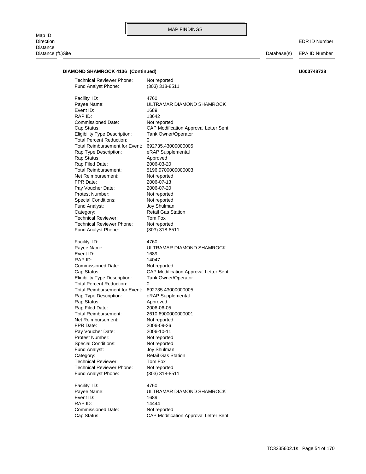### **DIAMOND SHAMROCK 4136 (Continued) U003748728**

Cap Status: CAP Modification Approval Letter Sent Commissioned Date: Not reported RAP ID: 14444 Event ID: 1689 Payee Name: ULTRAMAR DIAMOND SHAMROCK Facility ID: 4760 Fund Analyst Phone: (303) 318-8511 Technical Reviewer Phone: Not reported Technical Reviewer: Tom Fox Category: Retail Gas Station Fund Analyst: Joy Shulman Special Conditions: Not reported Protest Number: Not reported Pay Voucher Date: 2006-10-11 FPR Date: 2006-09-26 Net Reimbursement: Not reported Total Reimbursement: 2610.6900000000001 Rap Filed Date: 2006-06-05 Rap Status: Approved Rap Type Description: eRAP Supplemental Total Reimbursement for Event: 692735.43000000005 Total Percent Reduction: 0 Eligibility Type Description: Tank Owner/Operator Cap Status: CAP Modification Approval Letter Sent Commissioned Date: Not reported RAP ID: 14047 Event ID: 1689 Payee Name: ULTRAMAR DIAMOND SHAMROCK Facility ID: 4760 Fund Analyst Phone: (303) 318-8511 Technical Reviewer Phone: Not reported Technical Reviewer: Tom Fox Category: Category: Retail Gas Station Fund Analyst: Joy Shulman Special Conditions: Not reported Protest Number: Not reported Pay Voucher Date: 2006-07-20 FPR Date: 2006-07-13 Net Reimbursement: Not reported Total Reimbursement: 5196.9700000000003 Rap Filed Date: 2006-03-20 Rap Status: Approved Rap Type Description: eRAP Supplemental Total Reimbursement for Event: 692735.43000000005 Total Percent Reduction: 0 Eligibility Type Description: Tank Owner/Operator Cap Status: CAP Modification Approval Letter Sent Commissioned Date: Not reported RAP ID: 13642 Event ID: 1689 Payee Name: ULTRAMAR DIAMOND SHAMROCK Facility ID: 4760 Fund Analyst Phone: (303) 318-8511 Technical Reviewer Phone: Not reported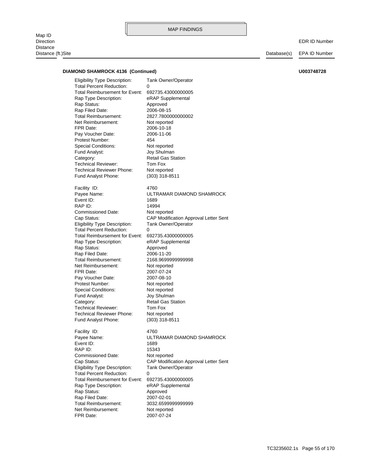Map ID<br>Direction Direction EDR ID Number Distance Distance (ft.)Site Database(s) EPA ID Number

### **DIAMOND SHAMROCK 4136 (Continued) U003748728**

FPR Date: 2007-07-24 Net Reimbursement: Not reported Total Reimbursement: 3032.6599999999999 Rap Filed Date: 2007-02-01 Rap Status: Approved Rap Type Description: eRAP Supplemental Total Reimbursement for Event: 692735.43000000005 Total Percent Reduction: 0 Eligibility Type Description: Tank Owner/Operator Cap Status: CAP Modification Approval Letter Sent Commissioned Date: Not reported RAP ID: 15343 Event ID: 1689 Payee Name: ULTRAMAR DIAMOND SHAMROCK Facility ID: 4760 Fund Analyst Phone: (303) 318-8511 Technical Reviewer Phone: Not reported Technical Reviewer: Tom Fox Category: Retail Gas Station Fund Analyst: Joy Shulman Special Conditions: Not reported Protest Number: Not reported Pay Voucher Date: 2007-08-10 FPR Date: 2007-07-24 Net Reimbursement: Not reported Total Reimbursement: 2168.9699999999998 Rap Filed Date: 2006-11-20 Rap Status: Approved Rap Type Description: eRAP Supplemental Total Reimbursement for Event: 692735.43000000005 Total Percent Reduction: 0 Eligibility Type Description: Tank Owner/Operator Cap Status: CAP Modification Approval Letter Sent Commissioned Date: Not reported RAP ID: 14994 Event ID: 1689 Payee Name: ULTRAMAR DIAMOND SHAMROCK Facility ID: 4760 Fund Analyst Phone: (303) 318-8511 Technical Reviewer Phone: Not reported Technical Reviewer: Tom Fox Category: Retail Gas Station Fund Analyst: Joy Shulman Special Conditions: Not reported Protest Number: 454 Pay Voucher Date: 2006-11-06 FPR Date: 2006-10-18 Net Reimbursement: Not reported Total Reimbursement: 2827.7800000000002 Rap Filed Date: 2006-08-15 Rap Status: Approved Rap Type Description: eRAP Supplemental Total Reimbursement for Event: 692735.43000000005 Total Percent Reduction: 0 Eligibility Type Description: Tank Owner/Operator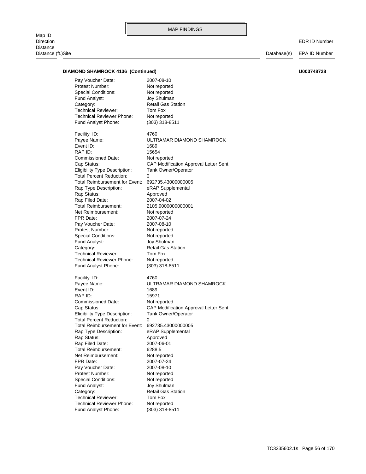Map ID<br>Direction Distance Distance (ft.)Site Distance (ft.)Site Distance (ft.)Site Database(s) EPA ID Number

EDR ID Number

### DIAMOND SHAMROCK 4136 (Continued) **U003748728**

Pay Voucher Date: 2007-08-10

| Protest Number:                                         | Not reported                             |
|---------------------------------------------------------|------------------------------------------|
| <b>Special Conditions:</b>                              | Not reported                             |
| Fund Analyst:                                           | Joy Shulman                              |
| Category:                                               | <b>Retail Gas Station</b>                |
| <b>Technical Reviewer:</b>                              | Tom Fox                                  |
| Technical Reviewer Phone:                               | Not reported                             |
| Fund Analyst Phone:                                     | $(303)$ 318-8511                         |
| Facility ID:                                            | 4760                                     |
| Payee Name:                                             | ULTRAMAR DIAMOND SHAMROCK                |
| Event ID:                                               | 1689                                     |
| RAP ID:                                                 | 15654                                    |
| Commissioned Date:                                      | Not reported                             |
| Cap Status:                                             | CAP Modification Approval Letter Sent    |
| Eligibility Type Description:                           | <b>Tank Owner/Operator</b>               |
| <b>Total Percent Reduction:</b>                         | 0                                        |
| Total Reimbursement for Event:                          | 692735.43000000005                       |
| Rap Type Description:                                   | eRAP Supplemental                        |
| Rap Status:                                             | Approved                                 |
| Rap Filed Date:                                         | 2007-04-02                               |
| Total Reimbursement:                                    | 2105.9000000000001                       |
| Net Reimbursement:                                      | Not reported                             |
| FPR Date:                                               | 2007-07-24                               |
| Pay Voucher Date:                                       | 2007-08-10                               |
| Protest Number:                                         | Not reported                             |
| Special Conditions:                                     | Not reported                             |
| Fund Analyst:                                           | Joy Shulman<br><b>Retail Gas Station</b> |
| Category:<br><b>Technical Reviewer:</b>                 | Tom Fox                                  |
| Technical Reviewer Phone:                               | Not reported                             |
| Fund Analyst Phone:                                     | $(303)$ 318-8511                         |
|                                                         |                                          |
| Facility ID:                                            | 4760                                     |
| Payee Name:                                             | ULTRAMAR DIAMOND SHAMROCK                |
| Event ID:                                               | 1689                                     |
| RAP ID:                                                 | 15971                                    |
| Commissioned Date:                                      | Not reported                             |
| Cap Status:                                             | CAP Modification Approval Letter Sent    |
| <b>Eligibility Type Description:</b>                    | <b>Tank Owner/Operator</b>               |
| <b>Total Percent Reduction:</b>                         | 0                                        |
| Total Reimbursement for Event:<br>Rap Type Description: | 692735.43000000005<br>eRAP Supplemental  |
| Rap Status:                                             | Approved                                 |
| Rap Filed Date:                                         | 2007-06-01                               |
| Total Reimbursement:                                    | 6288.5                                   |
| Net Reimbursement:                                      | Not reported                             |
| FPR Date:                                               | 2007-07-24                               |
| Pay Voucher Date:                                       | 2007-08-10                               |
| Protest Number:                                         | Not reported                             |
| <b>Special Conditions:</b>                              | Not reported                             |
| Fund Analyst:                                           | Joy Shulman                              |
| Category:                                               | <b>Retail Gas Station</b>                |
| <b>Technical Reviewer:</b>                              | Tom Fox                                  |
| Technical Reviewer Phone:                               | Not reported                             |
| Fund Analyst Phone:                                     | $(303)$ 318-8511                         |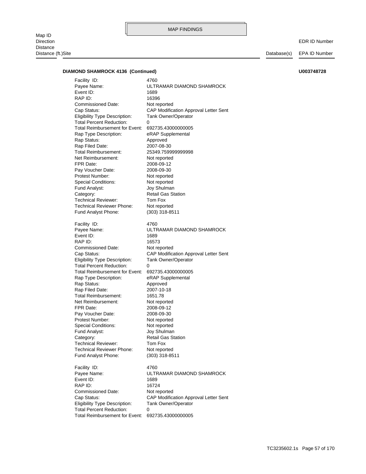Map ID<br>Direction Direction EDR ID Number Distance

MAP FINDINGS

Distance (ft.)Site Database(s) EPA ID Number

### **DIAMOND SHAMROCK 4136 (Continued) U003748728**

Total Percent Reduction: 0 Eligibility Type Description: Tank Owner/Operator Cap Status: CAP Modification Approval Letter Sent Commissioned Date: Not reported RAP ID: 16724 Event ID: 1689 Payee Name: ULTRAMAR DIAMOND SHAMROCK Facility ID: 4760 Fund Analyst Phone: (303) 318-8511 Technical Reviewer Phone: Not reported Technical Reviewer: Tom Fox Category: Retail Gas Station Fund Analyst: Joy Shulman Special Conditions: Not reported Protest Number: Not reported Pay Voucher Date: 2008-09-30 FPR Date: 2008-09-12 Net Reimbursement: Not reported Total Reimbursement: 1651.78 Rap Filed Date: 2007-10-18 Rap Status: Approved Rap Type Description: eRAP Supplemental Total Reimbursement for Event: 692735.43000000005 Total Percent Reduction: 0 Eligibility Type Description: Tank Owner/Operator Cap Status: CAP Modification Approval Letter Sent Commissioned Date: Not reported RAP ID: 16573 Event ID: 1689 Payee Name: ULTRAMAR DIAMOND SHAMROCK Facility ID: 4760 Fund Analyst Phone: (303) 318-8511 Technical Reviewer Phone: Not reported Technical Reviewer: Tom Fox Category: Retail Gas Station Fund Analyst: Joy Shulman Special Conditions: Not reported Protest Number: Not reported Pay Voucher Date: 2008-09-30 FPR Date: 2008-09-12 Net Reimbursement: Not reported Total Reimbursement: 25349.759999999998 Rap Filed Date: 2007-08-30 Rap Status: Approved Rap Type Description: eRAP Supplemental Total Reimbursement for Event: 692735.43000000005 Total Percent Reduction: 0 Eligibility Type Description: Tank Owner/Operator Cap Status: CAP Modification Approval Letter Sent Commissioned Date: Not reported RAP ID: 16396 Event ID: 1689 Payee Name: ULTRAMAR DIAMOND SHAMROCK Facility ID: 4760

### Total Reimbursement for Event: 692735.43000000005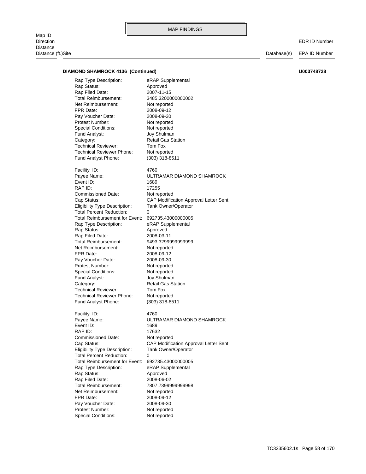Map ID<br>Direction Direction EDR ID Number Distance Distance (ft.)Site Database(s) EPA ID Number

### **DIAMOND SHAMROCK 4136 (Continued) U003748728**

Fund Analyst Phone: (303) 318-8511 Technical Reviewer Phone: Not reported Technical Reviewer: Tom Fox Category: Retail Gas Station Fund Analyst: Joy Shulman Special Conditions: Not reported Protest Number: Not reported Pay Voucher Date: 2008-09-30 FPR Date: 2008-09-12 Net Reimbursement: Not reported Total Reimbursement: 3485.3200000000002 Rap Filed Date: 2007-11-15 Rap Status: Approved Rap Type Description: eRAP Supplemental

Fund Analyst Phone: (303) 318-8511 Technical Reviewer Phone: Not reported Technical Reviewer: Tom Fox Category: Retail Gas Station Fund Analyst: Joy Shulman Special Conditions: Not reported Protest Number: Not reported Pay Voucher Date: 2008-09-30 FPR Date: 2008-09-12 Net Reimbursement: Not reported Total Reimbursement: 9493.3299999999999 Rap Filed Date: 2008-03-11 Rap Status: Approved Rap Type Description: eRAP Supplemental Total Reimbursement for Event: 692735.43000000005 Total Percent Reduction: 0 Eligibility Type Description: Tank Owner/Operator Commissioned Date: Not reported RAP ID: 17255 Event ID: 1689 Facility ID: 4760

Cap Status: CAP Modification Approval Letter Sent Payee Name: ULTRAMAR DIAMOND SHAMROCK

Special Conditions: Not reported Protest Number: Not reported Pay Voucher Date: 2008-09-30 FPR Date: 2008-09-12 Net Reimbursement: Not reported Total Reimbursement: 7807.7399999999998 Rap Filed Date: 2008-06-02 Rap Status: Approved Rap Type Description: eRAP Supplemental Total Reimbursement for Event: 692735.43000000005 Total Percent Reduction: Eligibility Type Description: Tank Owner/Operator Commissioned Date: Not reported RAP ID: 17632 Event ID: 1689 Payee Name: ULTRAMAR DIAMOND SHAMROCK Facility ID: 4760

Cap Status: CAP Modification Approval Letter Sent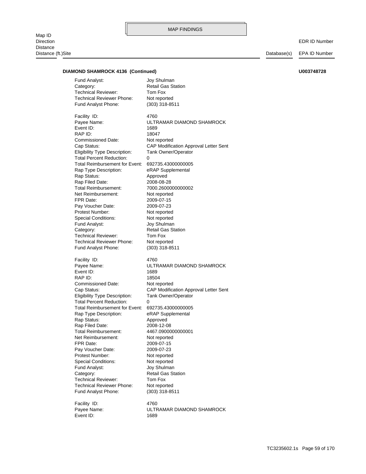Map ID<br>Direction Direction EDR ID Number Distance Distance (ft.)Site Database(s) EPA ID Number

### **DIAMOND SHAMROCK 4136 (Continued) U003748728**

Fund Analyst Phone: (303) 318-8511 Technical Reviewer Phone: Not reported Technical Reviewer: Tom Fox Category: Retail Gas Station Fund Analyst: Joy Shulman

Fund Analyst Phone: (303) 318-8511 Technical Reviewer Phone: Not reported Technical Reviewer: Tom Fox Category: Retail Gas Station Fund Analyst: Joy Shulman Special Conditions: Not reported Protest Number: Not reported Pay Voucher Date: 2009-07-23 FPR Date: 2009-07-15 Net Reimbursement: Not reported Total Reimbursement: 7000.2600000000002 Rap Filed Date: 2008-08-28 Rap Status: Approved Rap Type Description: eRAP Supplemental Total Reimbursement for Event: 692735.43000000005 Total Percent Reduction: Eligibility Type Description: Tank Owner/Operator Cap Status: CAP Modification Approval Letter Sent Commissioned Date: Not reported RAP ID: 18047 Event ID: 1689 Payee Name: ULTRAMAR DIAMOND SHAMROCK Facility ID: 4760

Fund Analyst Phone: (303) 318-8511 Technical Reviewer Phone: Not reported Technical Reviewer: Tom Fox Category: Retail Gas Station Fund Analyst: Joy Shulman Special Conditions: Not reported Protest Number: Not reported Pay Voucher Date: 2009-07-23 FPR Date: 2009-07-15 Net Reimbursement: Not reported Total Reimbursement: 4467.0900000000001 Rap Filed Date: 2008-12-08 Rap Status: Approved Rap Type Description: eRAP Supplemental Total Reimbursement for Event: 692735.43000000005 Total Percent Reduction: Eligibility Type Description: Tank Owner/Operator Commissioned Date: Not reported RAP ID: 18504 Event ID: 1689 Facility ID: 4760

Event ID: 1689 Facility ID: 4760

Payee Name: ULTRAMAR DIAMOND SHAMROCK Cap Status: CAP Modification Approval Letter Sent Payee Name: ULTRAMAR DIAMOND SHAMROCK

TC3235602.1s Page 59 of 170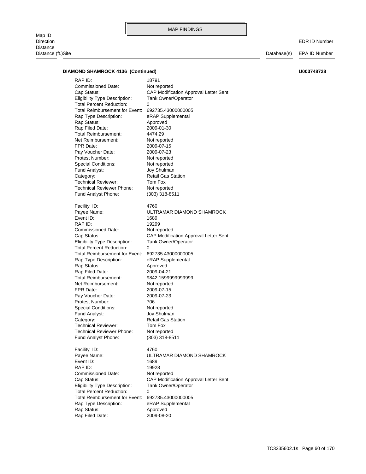Map ID<br>Direction Direction EDR ID Number Distance Distance (ft.)Site Database(s) EPA ID Number

#### **DIAMOND SHAMROCK 4136 (Continued) U003748728**

Rap Status: Approved Rap Type Description: eRAP Supplemental Total Reimbursement for Event: 692735.43000000005 Total Percent Reduction: 0 Eligibility Type Description: Tank Owner/Operator Cap Status: CAP Modification Approval Letter Sent Commissioned Date: Not reported RAP ID: 19928 Event ID: 1689 Payee Name: ULTRAMAR DIAMOND SHAMROCK Facility ID: 4760 Fund Analyst Phone: (303) 318-8511 Technical Reviewer Phone: Not reported Technical Reviewer: Tom Fox Category: Retail Gas Station Fund Analyst: Joy Shulman Special Conditions: Not reported Protest Number: 706 Pay Voucher Date: 2009-07-23 FPR Date: 2009-07-15 Net Reimbursement: Not reported Total Reimbursement: 9842.1599999999999 Rap Filed Date: 2009-04-21 Rap Status: Approved Rap Type Description: eRAP Supplemental Total Reimbursement for Event: 692735.43000000005 Total Percent Reduction: 0 Eligibility Type Description: Tank Owner/Operator Cap Status: CAP Modification Approval Letter Sent Commissioned Date: Not reported RAP ID: 19299 Event ID: 1689 Payee Name: ULTRAMAR DIAMOND SHAMROCK Facility ID: 4760 Fund Analyst Phone: (303) 318-8511 Technical Reviewer Phone: Not reported Technical Reviewer: Tom Fox Category: Retail Gas Station Fund Analyst: Joy Shulman Special Conditions: Not reported Protest Number: Not reported Pay Voucher Date: 2009-07-23 FPR Date: 2009-07-15 Net Reimbursement: Not reported Total Reimbursement: 4474.29 Rap Filed Date: 2009-01-30 Rap Status: Approved Rap Type Description: eRAP Supplemental Total Reimbursement for Event: 692735.43000000005 Total Percent Reduction: 0 Eligibility Type Description: Tank Owner/Operator Cap Status: CAP Modification Approval Letter Sent Commissioned Date: Not reported RAP ID: 18791

Rap Filed Date: 2009-08-20

#### TC3235602.1s Page 60 of 170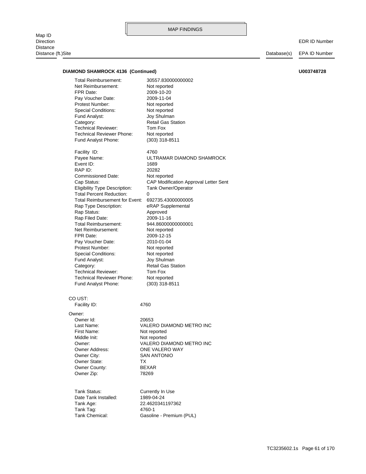Map ID<br>Direction Direction EDR ID Number Distance Distance (ft.)Site Database(s) EPA ID Number

#### **DIAMOND SHAMROCK 4136 (Continued) U003748728**

Fund Analyst Phone: (303) 318-8511 Technical Reviewer Phone: Not reported Technical Reviewer: Tom Fox Category: Retail Gas Station Fund Analyst: Joy Shulman Special Conditions: Not reported Protest Number: Not reported Pay Voucher Date: 2010-01-04 FPR Date: 2009-12-15 Net Reimbursement: Not reported Total Reimbursement: 944.86000000000001 Rap Filed Date: 2009-11-16 Rap Status: Approved Rap Type Description: eRAP Supplemental Total Reimbursement for Event: 692735.43000000005 Total Percent Reduction: 0 Eligibility Type Description: Tank Owner/Operator Cap Status: CAP Modification Approval Letter Sent Commissioned Date: Not reported RAP ID: 20282 Event ID: 1689 Payee Name: ULTRAMAR DIAMOND SHAMROCK Facility ID: 4760 Fund Analyst Phone: (303) 318-8511 Technical Reviewer Phone: Not reported Technical Reviewer: Tom Fox Category: Retail Gas Station Fund Analyst: Joy Shulman Special Conditions: Not reported Protest Number: Not reported Pay Voucher Date: 2009-11-04 FPR Date: 2009-10-20 Net Reimbursement: Not reported Total Reimbursement: 30557.830000000002

### CO UST:

Facility ID: 4760

Owner Zip: 78269 Owner County: BEXAR Owner State: TX Owner City: SAN ANTONIO Middle Init: Not reported First Name: Not reported Owner Id: 20653 Owner:

Owner Address: ONE VALERO WAY Owner: VALERO DIAMOND METRO INC Last Name: VALERO DIAMOND METRO INC

Tank Chemical: Gasoline - Premium (PUL) Tank Tag: 4760-1 Tank Age: 22.4620341197362 Date Tank Installed: 1989-04-24 Tank Status: Currently In Use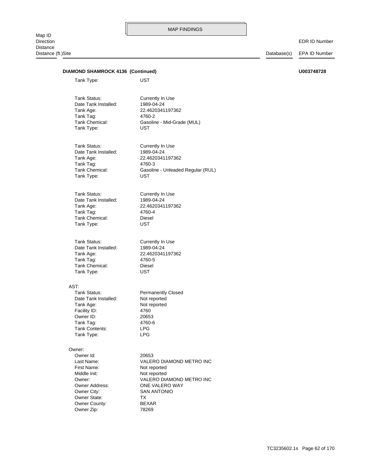# Distance (ft.)Site Database(s) EPA ID Number Owner Zip: 78269 Owner County: BEXAR Owner State: TX Owner City: SAN ANTONIO Owner Address: ONE VALERO WAY Owner: VALERO DIAMOND METRO INC Middle Init: Not reported First Name: Not reported Last Name: VALERO DIAMOND METRO INC Owner Id: 20653 Owner: Tank Type: LPG Tank Contents: LPG Tank Tag: 4760-6 Owner ID: 20653 Facility ID: 4760 Tank Age: Not reported Date Tank Installed: Not reported Tank Status: Permanently Closed AST: Tank Type: UST Tank Chemical: Diesel Tank Tag: 4760-5 Tank Age: 22.4620341197362 Date Tank Installed: 1989-04-24 Tank Status: Currently In Use Tank Type: UST Tank Chemical: Diesel Tank Tag: 4760-4 Tank Age: 22.4620341197362 Date Tank Installed: 1989-04-24 Tank Status: Currently In Use Tank Type: UST Tank Chemical: Gasoline - Unleaded Regular (RUL) Tank Tag: 4760-3 Tank Age: 22.4620341197362 Date Tank Installed: 1989-04-24 Tank Status: Currently In Use Tank Type: UST Tank Chemical: Gasoline - Mid-Grade (MUL) Tank Tag: 4760-2 Tank Age: 22.4620341197362 Date Tank Installed: 1989-04-24 Tank Status: Currently In Use Tank Type: UST **DIAMOND SHAMROCK 4136 (Continued) U003748728**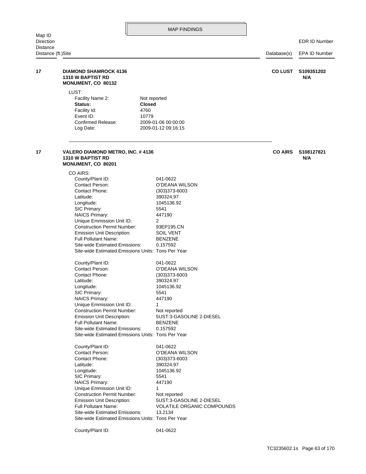| Map ID                                |                                                                                                                                                                                                                                                                                                                                                                                                                                                                                                                                                                                                                                                                                                                           | <b>MAP FINDINGS</b>                                                                                                                                                                                                                                                                                                                   |                |                      |
|---------------------------------------|---------------------------------------------------------------------------------------------------------------------------------------------------------------------------------------------------------------------------------------------------------------------------------------------------------------------------------------------------------------------------------------------------------------------------------------------------------------------------------------------------------------------------------------------------------------------------------------------------------------------------------------------------------------------------------------------------------------------------|---------------------------------------------------------------------------------------------------------------------------------------------------------------------------------------------------------------------------------------------------------------------------------------------------------------------------------------|----------------|----------------------|
| Direction                             |                                                                                                                                                                                                                                                                                                                                                                                                                                                                                                                                                                                                                                                                                                                           |                                                                                                                                                                                                                                                                                                                                       |                | <b>EDR ID Number</b> |
| <b>Distance</b><br>Distance (ft.)Site |                                                                                                                                                                                                                                                                                                                                                                                                                                                                                                                                                                                                                                                                                                                           |                                                                                                                                                                                                                                                                                                                                       | Database(s)    | EPA ID Number        |
| 17                                    | <b>DIAMOND SHAMROCK 4136</b><br><b>1310 W BAPTIST RD</b><br>MONUMENT, CO 80132                                                                                                                                                                                                                                                                                                                                                                                                                                                                                                                                                                                                                                            |                                                                                                                                                                                                                                                                                                                                       | <b>CO LUST</b> | S109351202<br>N/A    |
|                                       | LUST:<br>Facility Name 2:<br>Status:<br><b>Closed</b><br>Facility Id:<br>4760<br>Event ID:<br>10779<br>Confirmed Release:<br>Log Date:                                                                                                                                                                                                                                                                                                                                                                                                                                                                                                                                                                                    | Not reported<br>2009-01-06 00:00:00<br>2009-01-12 09:16:15                                                                                                                                                                                                                                                                            |                |                      |
| 17                                    | VALERO DIAMOND METRO, INC. #4136<br><b>1310 W BAPTIST RD</b><br>MONUMENT, CO 80201                                                                                                                                                                                                                                                                                                                                                                                                                                                                                                                                                                                                                                        |                                                                                                                                                                                                                                                                                                                                       | <b>CO AIRS</b> | S108127821<br>N/A    |
|                                       | CO AIRS:<br>County/Plant ID:<br>Contact Person:<br>Contact Phone:<br>Latitude:<br>Longitude:<br>SIC Primary:<br><b>NAICS Primary:</b><br>Unique Emmission Unit ID:<br><b>Construction Permit Number:</b><br>Emission Unit Description:<br><b>Full Pollutant Name:</b><br>Site-wide Estimated Emissions:<br>Site-wide Estimated Emissions Units: Tons Per Year<br>County/Plant ID:<br>Contact Person:<br>Contact Phone:<br>Latitude:<br>Longitude:<br>SIC Primary:<br><b>NAICS Primary:</b><br>Unique Emmission Unit ID:<br><b>Construction Permit Number:</b><br><b>Emission Unit Description:</b><br><b>Full Pollutant Name:</b><br>Site-wide Estimated Emissions:<br>Site-wide Estimated Emissions Units: Tons Per Year | 041-0622<br>O'DEANA WILSON<br>$(303)373 - 6003$<br>390324.97<br>1045136.92<br>5541<br>447190<br>2<br>93EP195.CN<br>SOIL VENT<br><b>BENZENE</b><br>0.157592<br>041-0622<br>O'DEANA WILSON<br>(303)373-6003<br>390324.97<br>1045136.92<br>5541<br>447190<br>1<br>Not reported<br>5UST:3-GASOLINE 2-DIESEL<br><b>BENZENE</b><br>0.157592 |                |                      |
|                                       | County/Plant ID:<br>Contact Person:<br>Contact Phone:<br>Latitude:<br>Longitude:<br>SIC Primary:<br><b>NAICS Primary:</b><br>Unique Emmission Unit ID:<br><b>Construction Permit Number:</b><br>Emission Unit Description:<br><b>Full Pollutant Name:</b><br>Site-wide Estimated Emissions:<br>Site-wide Estimated Emissions Units: Tons Per Year                                                                                                                                                                                                                                                                                                                                                                         | 041-0622<br>O'DEANA WILSON<br>$(303)373 - 6003$<br>390324.97<br>1045136.92<br>5541<br>447190<br>1<br>Not reported<br>5UST:3-GASOLINE 2-DIESEL<br>VOLATILE ORGANIC COMPOUNDS<br>13.2134                                                                                                                                                |                |                      |
|                                       | County/Plant ID:                                                                                                                                                                                                                                                                                                                                                                                                                                                                                                                                                                                                                                                                                                          | 041-0622                                                                                                                                                                                                                                                                                                                              |                |                      |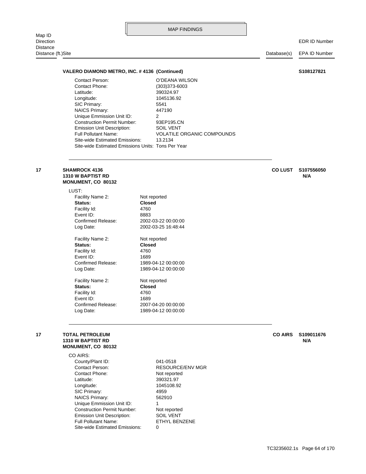| Map ID<br><b>Direction</b>     |                                                                                                                                                                                                                                                                                                                                             | <b>MAP FINDINGS</b>                                                                                                                                                 |             | <b>EDR ID Number</b> |
|--------------------------------|---------------------------------------------------------------------------------------------------------------------------------------------------------------------------------------------------------------------------------------------------------------------------------------------------------------------------------------------|---------------------------------------------------------------------------------------------------------------------------------------------------------------------|-------------|----------------------|
| Distance<br>Distance (ft.)Site |                                                                                                                                                                                                                                                                                                                                             |                                                                                                                                                                     | Database(s) | <b>EPA ID Number</b> |
|                                | VALERO DIAMOND METRO, INC. #4136 (Continued)                                                                                                                                                                                                                                                                                                |                                                                                                                                                                     |             | S108127821           |
|                                | <b>Contact Person:</b><br><b>Contact Phone:</b><br>Latitude:<br>Longitude:<br>SIC Primary:<br>NAICS Primary:<br>Unique Emmission Unit ID:<br><b>Construction Permit Number:</b><br><b>Emission Unit Description:</b><br><b>Full Pollutant Name:</b><br>Site-wide Estimated Emissions:<br>Site-wide Estimated Emissions Units: Tons Per Year | O'DEANA WILSON<br>(303)373-6003<br>390324.97<br>1045136.92<br>5541<br>447190<br>2<br>93EP195.CN<br><b>SOIL VENT</b><br><b>VOLATILE ORGANIC COMPOUNDS</b><br>13.2134 |             |                      |

#### **MONUMENT, CO 80132 1310 W BAPTIST RD N/A 17 SHAMROCK 4136 CO LUST S107556050**

LUST:

| 17 | <b>TOTAL PETROLEUM</b><br><b>1310 W BAPTIST RD</b> |                     | <b>CO AIRS</b> | S109011676<br>N/A |
|----|----------------------------------------------------|---------------------|----------------|-------------------|
|    |                                                    |                     |                |                   |
|    | Log Date:                                          | 1989-04-12 00:00:00 |                |                   |
|    | Confirmed Release:                                 | 2007-04-20 00:00:00 |                |                   |
|    | Event ID:                                          | 1689                |                |                   |
|    | Facility Id:                                       | 4760                |                |                   |
|    | Status:                                            | <b>Closed</b>       |                |                   |
|    | Facility Name 2:                                   | Not reported        |                |                   |
|    | Log Date:                                          | 1989-04-12 00:00:00 |                |                   |
|    | Confirmed Release:                                 | 1989-04-12 00:00:00 |                |                   |
|    | Event ID:                                          | 1689                |                |                   |
|    | Facility Id:                                       | 4760                |                |                   |
|    | Status:                                            | <b>Closed</b>       |                |                   |
|    | Facility Name 2:                                   | Not reported        |                |                   |
|    | Log Date:                                          | 2002-03-25 16:48:44 |                |                   |
|    | Confirmed Release:                                 | 2002-03-22 00:00:00 |                |                   |
|    | Event ID:                                          | 8883                |                |                   |
|    | Facility Id:                                       | 4760                |                |                   |
|    | Status:                                            | <b>Closed</b>       |                |                   |
|    | Facility Name 2:                                   | Not reported        |                |                   |
|    | LUST:                                              |                     |                |                   |

# **MONUMENT, CO 80132**

Site-wide Estimated Emissions: 0 Full Pollutant Name: ETHYL BENZENE Emission Unit Description: SOIL VENT Construction Permit Number: Not reported Unique Emmission Unit ID: 1 NAICS Primary: 562910 SIC Primary: 4959 Longitude: 1045108.92 Latitude: 390321.97 Contact Phone: Not reported Contact Person: RESOURCE/ENV MGR County/Plant ID: 041-0518 CO AIRS: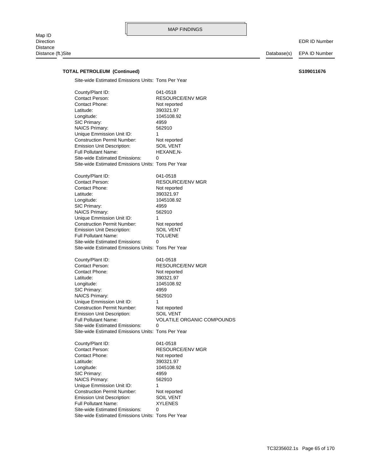EDR ID Number

# **TOTAL PETROLEUM (Continued) S109011676**

Site-wide Estimated Emissions Units: Tons Per Year

| County/Plant ID:<br><b>Contact Person:</b><br>Contact Phone:<br>Latitude:<br>Longitude:<br>SIC Primary:<br><b>NAICS Primary:</b><br>Unique Emmission Unit ID:<br><b>Construction Permit Number:</b><br>Emission Unit Description:<br><b>Full Pollutant Name:</b><br><b>Site-wide Estimated Emissions:</b><br>Site-wide Estimated Emissions Units: Tons Per Year | 041-0518<br>RESOURCE/ENV MGR<br>Not reported<br>390321.97<br>1045108.92<br>4959<br>562910<br>1<br>Not reported<br><b>SOIL VENT</b><br>HEXANE,N-<br>0                  |
|-----------------------------------------------------------------------------------------------------------------------------------------------------------------------------------------------------------------------------------------------------------------------------------------------------------------------------------------------------------------|-----------------------------------------------------------------------------------------------------------------------------------------------------------------------|
| County/Plant ID:<br>Contact Person:<br>Contact Phone:<br>Latitude:<br>Longitude:<br>SIC Primary:<br><b>NAICS Primary:</b><br>Unique Emmission Unit ID:<br><b>Construction Permit Number:</b><br><b>Emission Unit Description:</b><br><b>Full Pollutant Name:</b><br>Site-wide Estimated Emissions:<br>Site-wide Estimated Emissions Units: Tons Per Year        | 041-0518<br>RESOURCE/ENV MGR<br>Not reported<br>390321.97<br>1045108.92<br>4959<br>562910<br>1<br>Not reported<br>SOIL VENT<br><b>TOLUENE</b><br>0                    |
| County/Plant ID:<br>Contact Person:<br>Contact Phone:<br>Latitude:<br>Longitude:<br>SIC Primary:<br><b>NAICS Primary:</b><br>Unique Emmission Unit ID:<br><b>Construction Permit Number:</b><br><b>Emission Unit Description:</b><br><b>Full Pollutant Name:</b><br>Site-wide Estimated Emissions:<br>Site-wide Estimated Emissions Units: Tons Per Year        | 041-0518<br><b>RESOURCE/ENV MGR</b><br>Not reported<br>390321.97<br>1045108.92<br>4959<br>562910<br>1<br>Not reported<br>SOIL VENT<br>VOLATILE ORGANIC COMPOUNDS<br>0 |
| County/Plant ID:<br>Contact Person:<br>Contact Phone:<br>Latitude:<br>Longitude:<br>SIC Primary:<br><b>NAICS Primary:</b><br>Unique Emmission Unit ID:<br><b>Construction Permit Number:</b><br><b>Emission Unit Description:</b><br>Full Pollutant Name:<br><b>Site-wide Estimated Emissions:</b><br>Site-wide Estimated Emissions Units: Tons Per Year        | 041-0518<br>RESOURCE/ENV MGR<br>Not reported<br>390321.97<br>1045108.92<br>4959<br>562910<br>1<br>Not reported<br><b>SOIL VENT</b><br>XYLENES<br>0                    |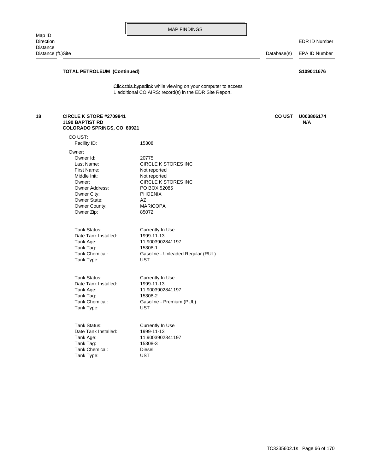EDR ID Number

Distance (ft.)Site Database(s) EPA ID Number

### **TOTAL PETROLEUM (Continued) S109011676**

**COLORADO SPRINGS, CO 80921**

[1 additional CO AIRS: record\(s\) in the EDR Site Report.](http://www.edrnet.com/srf2/FinalSiteReport.aspx?ID=4Lf4DxLtIfuE2gFDVaxTw9XOtjgIlFBcIus8EHg2w4gTTFvd3QeVAmaLg539TwdwKQ4iXX3DO4OBXqjH6gZA9Dnly5FvV4TILhpfpJ2XIDBjxKK8ubtS2IMN2tpubgE8Y3hkggAFok3rLVtpaSk29rTxewPg3FaXSmOFK4DDjcJgjG4AJL0Bfz33AfDfmxss2FZtEcIcY59surGEjb4d6gjgFRG5MVVqnaCQ7AMTNQwaP8RiXqvOlh2UbjGLgZi4AclBKFLR1i7cPjIAm3hZsUz8RYut6HUMgF44YAL0gfPH30MDmFxMo2Qmt5tIZiU4JuuSERo3PTgs3FIw2iFVzyahVBdcT3fwBw2jcXdDOt63TdjWigW.3jsly0FHi8wncCmId29uYsJq8H988THF8gXt2) Click this hyperlink while viewing on your computer to access

### **1190 BAPTIST RD N/A 18 CIRCLE K STORE #2709841 CO UST U003806174**

| CO UST:<br>Facility ID:                                                                                                                                    | 15308                                                                                                                                                                  |
|------------------------------------------------------------------------------------------------------------------------------------------------------------|------------------------------------------------------------------------------------------------------------------------------------------------------------------------|
| Owner:<br>Owner Id:<br>Last Name:<br>First Name:<br>Middle Init:<br>Owner:<br>Owner Address:<br>Owner City:<br>Owner State:<br>Owner County:<br>Owner Zip: | 20775<br><b>CIRCLE K STORES INC</b><br>Not reported<br>Not reported<br><b>CIRCLE K STORES INC</b><br>PO BOX 52085<br><b>PHOENIX</b><br>AZ.<br><b>MARICOPA</b><br>85072 |
| Tank Status:                                                                                                                                               | Currently In Use                                                                                                                                                       |
| Date Tank Installed:                                                                                                                                       | 1999-11-13                                                                                                                                                             |
| Tank Age:                                                                                                                                                  | 11.9003902841197                                                                                                                                                       |
| Tank Tag:                                                                                                                                                  | 15308-1                                                                                                                                                                |
| Tank Chemical:                                                                                                                                             | Gasoline - Unleaded Regular (RUL)                                                                                                                                      |
| Tank Type:                                                                                                                                                 | <b>UST</b>                                                                                                                                                             |
| Tank Status:                                                                                                                                               | Currently In Use                                                                                                                                                       |
| Date Tank Installed:                                                                                                                                       | 1999-11-13                                                                                                                                                             |
| Tank Age:                                                                                                                                                  | 11.9003902841197                                                                                                                                                       |
| Tank Tag:                                                                                                                                                  | 15308-2                                                                                                                                                                |
| Tank Chemical:                                                                                                                                             | Gasoline - Premium (PUL)                                                                                                                                               |
| Tank Type:                                                                                                                                                 | <b>UST</b>                                                                                                                                                             |
| Tank Status:                                                                                                                                               | Currently In Use                                                                                                                                                       |
| Date Tank Installed:                                                                                                                                       | 1999-11-13                                                                                                                                                             |
| Tank Age:                                                                                                                                                  | 11.9003902841197                                                                                                                                                       |
| Tank Tag:                                                                                                                                                  | 15308-3                                                                                                                                                                |
| Tank Chemical:                                                                                                                                             | Diesel                                                                                                                                                                 |
| Tank Type:                                                                                                                                                 | <b>UST</b>                                                                                                                                                             |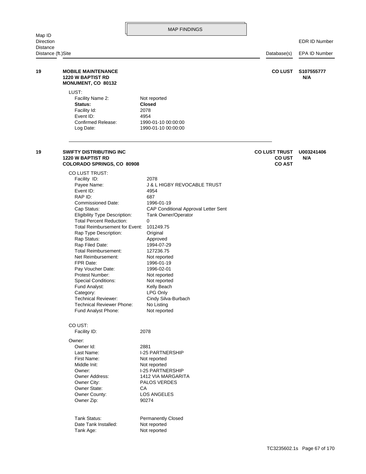|                                        |                                                                                                                                                                                                                                                                                                                                                                                                                                                                                                                                                          | <b>MAP FINDINGS</b>                                                                                                                                                                                                                                                                                                                                                         |                                                        |                   |
|----------------------------------------|----------------------------------------------------------------------------------------------------------------------------------------------------------------------------------------------------------------------------------------------------------------------------------------------------------------------------------------------------------------------------------------------------------------------------------------------------------------------------------------------------------------------------------------------------------|-----------------------------------------------------------------------------------------------------------------------------------------------------------------------------------------------------------------------------------------------------------------------------------------------------------------------------------------------------------------------------|--------------------------------------------------------|-------------------|
| Map ID<br>Direction<br><b>Distance</b> |                                                                                                                                                                                                                                                                                                                                                                                                                                                                                                                                                          |                                                                                                                                                                                                                                                                                                                                                                             |                                                        | EDR ID Number     |
| Distance (ft.)Site                     |                                                                                                                                                                                                                                                                                                                                                                                                                                                                                                                                                          |                                                                                                                                                                                                                                                                                                                                                                             | Database(s)                                            | EPA ID Number     |
| 19                                     | <b>MOBILE MAINTENANCE</b><br><b>1220 W BAPTIST RD</b><br>MONUMENT, CO 80132                                                                                                                                                                                                                                                                                                                                                                                                                                                                              |                                                                                                                                                                                                                                                                                                                                                                             | <b>CO LUST</b>                                         | S107555777<br>N/A |
|                                        | LUST:<br>Facility Name 2:<br>Status:<br>Facility Id:<br>Event ID:<br>Confirmed Release:<br>Log Date:                                                                                                                                                                                                                                                                                                                                                                                                                                                     | Not reported<br><b>Closed</b><br>2078<br>4954<br>1990-01-10 00:00:00<br>1990-01-10 00:00:00                                                                                                                                                                                                                                                                                 |                                                        |                   |
| 19                                     | <b>SWIFTY DISTRIBUTING INC</b><br><b>1220 W BAPTIST RD</b><br>COLORADO SPRINGS, CO 80908                                                                                                                                                                                                                                                                                                                                                                                                                                                                 |                                                                                                                                                                                                                                                                                                                                                                             | <b>CO LUST TRUST</b><br><b>CO UST</b><br><b>CO AST</b> | U003241406<br>N/A |
|                                        | CO LUST TRUST:<br>Facility ID:<br>Payee Name:<br>Event ID:<br>RAP ID:<br><b>Commissioned Date:</b><br>Cap Status:<br><b>Eligibility Type Description:</b><br><b>Total Percent Reduction:</b><br>Total Reimbursement for Event:<br>Rap Type Description:<br>Rap Status:<br>Rap Filed Date:<br><b>Total Reimbursement:</b><br>Net Reimbursement:<br>FPR Date:<br>Pay Voucher Date:<br>Protest Number:<br><b>Special Conditions:</b><br>Fund Analyst:<br>Category:<br><b>Technical Reviewer:</b><br><b>Technical Reviewer Phone:</b><br>Fund Analyst Phone: | 2078<br><b>J &amp; L HIGBY REVOCABLE TRUST</b><br>4954<br>687<br>1996-01-19<br>CAP Conditional Approval Letter Sent<br>Tank Owner/Operator<br>0<br>101249.75<br>Original<br>Approved<br>1994-07-29<br>127236.75<br>Not reported<br>1996-01-19<br>1996-02-01<br>Not reported<br>Not reported<br>Kelly Beach<br>LPG Only<br>Cindy Silva-Burbach<br>No Listing<br>Not reported |                                                        |                   |
|                                        | CO UST:<br>Facility ID:                                                                                                                                                                                                                                                                                                                                                                                                                                                                                                                                  | 2078                                                                                                                                                                                                                                                                                                                                                                        |                                                        |                   |
|                                        | Owner:<br>Owner Id:<br>Last Name:<br>First Name:<br>Middle Init:<br>Owner:<br>Owner Address:<br>Owner City:<br>Owner State:<br>Owner County:<br>Owner Zip:<br>Tank Status:                                                                                                                                                                                                                                                                                                                                                                               | 2881<br><b>I-25 PARTNERSHIP</b><br>Not reported<br>Not reported<br><b>I-25 PARTNERSHIP</b><br>1412 VIA MARGARITA<br>PALOS VERDES<br>СA<br><b>LOS ANGELES</b><br>90274<br><b>Permanently Closed</b>                                                                                                                                                                          |                                                        |                   |
|                                        | Date Tank Installed:                                                                                                                                                                                                                                                                                                                                                                                                                                                                                                                                     | Not reported                                                                                                                                                                                                                                                                                                                                                                |                                                        |                   |

Tank Age: Not reported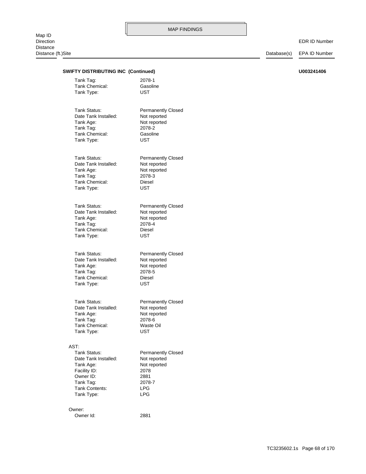### EDR ID Number

Database(s) EPA ID Number

| )Site                                      |                           | Database(s) | EPA ID Numb |
|--------------------------------------------|---------------------------|-------------|-------------|
| <b>SWIFTY DISTRIBUTING INC (Continued)</b> |                           |             | U003241406  |
|                                            |                           |             |             |
| Tank Tag:<br>Tank Chemical:                | 2078-1                    |             |             |
| Tank Type:                                 | Gasoline<br><b>UST</b>    |             |             |
|                                            |                           |             |             |
| Tank Status:                               | <b>Permanently Closed</b> |             |             |
| Date Tank Installed:                       | Not reported              |             |             |
| Tank Age:                                  | Not reported              |             |             |
| Tank Tag:                                  | 2078-2                    |             |             |
| Tank Chemical:                             | Gasoline                  |             |             |
| Tank Type:                                 | <b>UST</b>                |             |             |
| Tank Status:                               | <b>Permanently Closed</b> |             |             |
| Date Tank Installed:                       | Not reported              |             |             |
| Tank Age:                                  | Not reported              |             |             |
| Tank Tag:                                  | 2078-3                    |             |             |
| Tank Chemical:                             | Diesel                    |             |             |
| Tank Type:                                 | <b>UST</b>                |             |             |
| Tank Status:                               | <b>Permanently Closed</b> |             |             |
| Date Tank Installed:                       | Not reported              |             |             |
| Tank Age:                                  | Not reported              |             |             |
| Tank Tag:                                  | 2078-4                    |             |             |
| Tank Chemical:                             | Diesel                    |             |             |
| Tank Type:                                 | UST                       |             |             |
| Tank Status:                               | <b>Permanently Closed</b> |             |             |
| Date Tank Installed:                       | Not reported              |             |             |
| Tank Age:                                  | Not reported              |             |             |
| Tank Tag:                                  | 2078-5                    |             |             |
| Tank Chemical:                             | Diesel                    |             |             |
| Tank Type:                                 | UST                       |             |             |
| Tank Status:                               | <b>Permanently Closed</b> |             |             |
| Date Tank Installed:                       | Not reported              |             |             |
| Tank Age:                                  | Not reported              |             |             |
| Tank Tag:                                  | 2078-6                    |             |             |
| Tank Chemical:                             | Waste Oil                 |             |             |
| Tank Type:                                 | <b>UST</b>                |             |             |
| AST:                                       |                           |             |             |
| Tank Status:                               | <b>Permanently Closed</b> |             |             |
| Date Tank Installed:                       | Not reported              |             |             |
| Tank Age:                                  | Not reported              |             |             |
| Facility ID:                               | 2078                      |             |             |
| Owner ID:                                  | 2881                      |             |             |
| Tank Tag:<br>Tank Contents:                | 2078-7                    |             |             |
| Tank Type:                                 | <b>LPG</b><br><b>LPG</b>  |             |             |
| Owner:                                     |                           |             |             |
| Owner Id:                                  | 2881                      |             |             |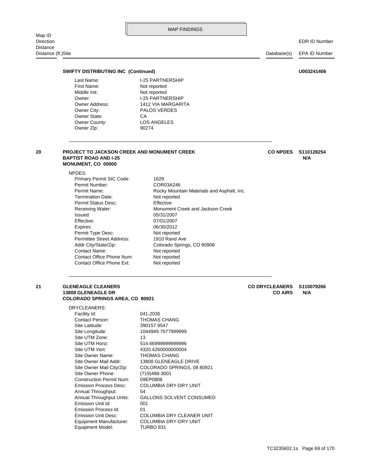|                                        |                                                                                                                                                                                                                                                                                                                                              | <b>MAP FINDINGS</b>                                                                                                                                                                                                                                                                       |                                         |                      |
|----------------------------------------|----------------------------------------------------------------------------------------------------------------------------------------------------------------------------------------------------------------------------------------------------------------------------------------------------------------------------------------------|-------------------------------------------------------------------------------------------------------------------------------------------------------------------------------------------------------------------------------------------------------------------------------------------|-----------------------------------------|----------------------|
| Map ID<br>Direction<br><b>Distance</b> |                                                                                                                                                                                                                                                                                                                                              |                                                                                                                                                                                                                                                                                           |                                         | <b>EDR ID Number</b> |
| Distance (ft.)Site                     |                                                                                                                                                                                                                                                                                                                                              |                                                                                                                                                                                                                                                                                           | Database(s)                             | <b>EPA ID Number</b> |
|                                        | <b>SWIFTY DISTRIBUTING INC (Continued)</b>                                                                                                                                                                                                                                                                                                   |                                                                                                                                                                                                                                                                                           |                                         | U003241406           |
|                                        | Last Name:<br>First Name:<br>Middle Init:<br>Owner:<br><b>Owner Address:</b><br>Owner City:<br>Owner State:<br>Owner County:<br>Owner Zip:                                                                                                                                                                                                   | <b>I-25 PARTNERSHIP</b><br>Not reported<br>Not reported<br><b>I-25 PARTNERSHIP</b><br>1412 VIA MARGARITA<br><b>PALOS VERDES</b><br>СA<br><b>LOS ANGELES</b><br>90274                                                                                                                      |                                         |                      |
| 20                                     | PROJECT TO JACKSON CREEK AND MONUMENT CREEK<br><b>BAPTIST ROAD AND I-25</b><br>MONUMENT, CO 00000                                                                                                                                                                                                                                            |                                                                                                                                                                                                                                                                                           | <b>CO NPDES</b>                         | S110128254<br>N/A    |
|                                        | NPDES:<br>Primary Permit SIC Code:<br>Permit Number:<br>Permit Name:<br><b>Termination Date:</b><br>Permit Status Desc:<br>Receiving Water:<br>Issued:<br>Effective:<br>Expires:<br>Permit Type Desc:<br>Permittee Street Address:<br>Addr City/State/Zip:<br><b>Contact Name:</b><br>Contact Office Phone Num:<br>Contact Office Phone Ext: | 1629<br>COR03A246<br>Rocky Mountain Materials and Asphalt, Inc.<br>Not reported<br>Effective<br>Monument Creek and Jackson Creek<br>05/31/2007<br>07/01/2007<br>06/30/2012<br>Not reported<br>1910 Rand Ave<br>Colorado Springs, CO 80906<br>Not reported<br>Not reported<br>Not reported |                                         |                      |
| 21                                     | <b>GLENEAGLE CLEANERS</b><br><b>13808 GLENEAGLE DR</b><br><b>COLORADO SPRINGS AREA, CO 80921</b>                                                                                                                                                                                                                                             |                                                                                                                                                                                                                                                                                           | <b>CO DRYCLEANERS</b><br><b>CO AIRS</b> | S110079266<br>N/A    |
|                                        | DRYCLEANERS:<br>Facility Id:<br>Contact Person:<br>Site Latitude:<br>Site Longitude:<br>Site UTM Zone:<br>Site UTM Horiz:<br>Site UTM Vert:<br>Site Owner Name:<br>Site Owner Mail Addr:<br>Site Owner Mail City/Zip:<br>Site Owner Phone:                                                                                                   | 041-2035<br><b>THOMAS CHANG</b><br>390157.9547<br>1044949.7977999999<br>13<br>514.6699999999996<br>4320.4260000000004<br><b>THOMAS CHANG</b><br>13808 GLENEAGLE DRIVE<br>COLORADO SPRINGS, 08 80921<br>(719) 488-3001                                                                     |                                         |                      |

Equipment Model: TURBO 831

Emission Process Id: 01 Emission Unit Id: 001

Annual Throughput: 54

Construction Permit Num: 09EP0808

Equipment Manufacturer: COLUMBIA DRY-DRY UNIT Emission Unit Desc: COLUMBIA DRY CLEANER UNIT

Emission Process Desc: COLUMBIA DRY-DRY UNIT

Annual Throughput Units: GALLONS SOLVENT CONSUMED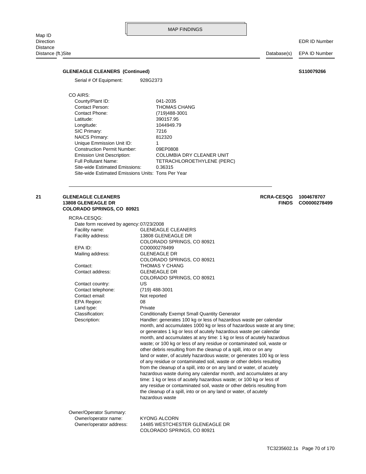### **GLENEAGLE CLEANERS (Continued) S110079266**

Serial # Of Equipment: 928G2373

### CO AIRS:

Site-wide Estimated Emissions Units: Tons Per Year Site-wide Estimated Emissions: 0.36315 Full Pollutant Name: TETRACHLOROETHYLENE (PERC) Emission Unit Description: COLUMBIA DRY CLEANER UNIT Construction Permit Number: 09EP0808 Unique Emmission Unit ID: 1 NAICS Primary: 812320 SIC Primary: 7216 Longitude: 1044949.79 Latitude: 390157.95 Contact Phone: (719)488-3001 Contact Person: THOMAS CHANG County/Plant ID: 041-2035

#### **COLORADO SPRINGS, CO 80921 13808 GLENEAGLE DR FINDS CO0000278499 21 GLENEAGLE CLEANERS RCRA-CESQG 1004678707**

| RCRA-CESOG:                              |                                                                                                                                                                                                                                                                                                                                                                                                                                                                                                                                                                                                                                                                                                                                                                                                                                                                                                                                                                                   |
|------------------------------------------|-----------------------------------------------------------------------------------------------------------------------------------------------------------------------------------------------------------------------------------------------------------------------------------------------------------------------------------------------------------------------------------------------------------------------------------------------------------------------------------------------------------------------------------------------------------------------------------------------------------------------------------------------------------------------------------------------------------------------------------------------------------------------------------------------------------------------------------------------------------------------------------------------------------------------------------------------------------------------------------|
| Date form received by agency: 07/23/2008 |                                                                                                                                                                                                                                                                                                                                                                                                                                                                                                                                                                                                                                                                                                                                                                                                                                                                                                                                                                                   |
| Facility name:                           | <b>GLENEAGLE CLEANERS</b>                                                                                                                                                                                                                                                                                                                                                                                                                                                                                                                                                                                                                                                                                                                                                                                                                                                                                                                                                         |
| Facility address:                        | 13808 GLENEAGLE DR                                                                                                                                                                                                                                                                                                                                                                                                                                                                                                                                                                                                                                                                                                                                                                                                                                                                                                                                                                |
|                                          | COLORADO SPRINGS, CO 80921                                                                                                                                                                                                                                                                                                                                                                                                                                                                                                                                                                                                                                                                                                                                                                                                                                                                                                                                                        |
| EPA ID:                                  | CO0000278499                                                                                                                                                                                                                                                                                                                                                                                                                                                                                                                                                                                                                                                                                                                                                                                                                                                                                                                                                                      |
| Mailing address:                         | <b>GLENEAGLE DR</b>                                                                                                                                                                                                                                                                                                                                                                                                                                                                                                                                                                                                                                                                                                                                                                                                                                                                                                                                                               |
|                                          | COLORADO SPRINGS, CO 80921                                                                                                                                                                                                                                                                                                                                                                                                                                                                                                                                                                                                                                                                                                                                                                                                                                                                                                                                                        |
| Contact:                                 | THOMAS Y CHANG                                                                                                                                                                                                                                                                                                                                                                                                                                                                                                                                                                                                                                                                                                                                                                                                                                                                                                                                                                    |
| Contact address:                         | <b>GLENEAGLE DR</b>                                                                                                                                                                                                                                                                                                                                                                                                                                                                                                                                                                                                                                                                                                                                                                                                                                                                                                                                                               |
|                                          | COLORADO SPRINGS, CO 80921                                                                                                                                                                                                                                                                                                                                                                                                                                                                                                                                                                                                                                                                                                                                                                                                                                                                                                                                                        |
| Contact country:                         | US                                                                                                                                                                                                                                                                                                                                                                                                                                                                                                                                                                                                                                                                                                                                                                                                                                                                                                                                                                                |
| Contact telephone:                       | (719) 488-3001                                                                                                                                                                                                                                                                                                                                                                                                                                                                                                                                                                                                                                                                                                                                                                                                                                                                                                                                                                    |
| Contact email:                           | Not reported                                                                                                                                                                                                                                                                                                                                                                                                                                                                                                                                                                                                                                                                                                                                                                                                                                                                                                                                                                      |
| <b>EPA Region:</b>                       | 08                                                                                                                                                                                                                                                                                                                                                                                                                                                                                                                                                                                                                                                                                                                                                                                                                                                                                                                                                                                |
| Land type:                               | Private                                                                                                                                                                                                                                                                                                                                                                                                                                                                                                                                                                                                                                                                                                                                                                                                                                                                                                                                                                           |
| Classification:                          | <b>Conditionally Exempt Small Quantity Generator</b>                                                                                                                                                                                                                                                                                                                                                                                                                                                                                                                                                                                                                                                                                                                                                                                                                                                                                                                              |
| Description:                             | Handler: generates 100 kg or less of hazardous waste per calendar<br>month, and accumulates 1000 kg or less of hazardous waste at any time;<br>or generates 1 kg or less of acutely hazardous waste per calendar<br>month, and accumulates at any time: 1 kg or less of acutely hazardous<br>waste; or 100 kg or less of any residue or contaminated soil, waste or<br>other debris resulting from the cleanup of a spill, into or on any<br>land or water, of acutely hazardous waste; or generates 100 kg or less<br>of any residue or contaminated soil, waste or other debris resulting<br>from the cleanup of a spill, into or on any land or water, of acutely<br>hazardous waste during any calendar month, and accumulates at any<br>time: 1 kg or less of acutely hazardous waste; or 100 kg or less of<br>any residue or contaminated soil, waste or other debris resulting from<br>the cleanup of a spill, into or on any land or water, of acutely<br>hazardous waste |
| Owner/Operator Summary:                  |                                                                                                                                                                                                                                                                                                                                                                                                                                                                                                                                                                                                                                                                                                                                                                                                                                                                                                                                                                                   |
| Owner/operator name:                     | <b>KYONG ALCORN</b>                                                                                                                                                                                                                                                                                                                                                                                                                                                                                                                                                                                                                                                                                                                                                                                                                                                                                                                                                               |
| Owner/operator address:                  | 14485 WESTCHESTER GLENEAGLE DR                                                                                                                                                                                                                                                                                                                                                                                                                                                                                                                                                                                                                                                                                                                                                                                                                                                                                                                                                    |

COLORADO SPRINGS, CO 80921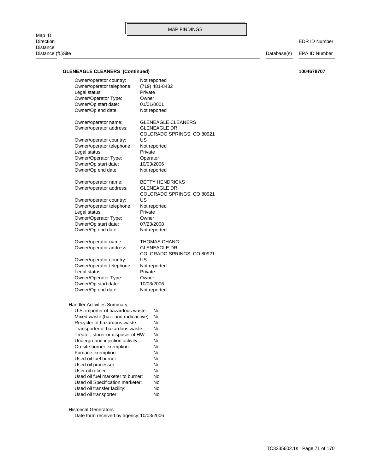**GLENEAGLE CLEANERS (Continued) 1004678707**

### Handler Activities Summary: Owner/Op end date: Not reported Owner/Op start date: 10/03/2006 Owner/Operator Type: Owner Legal status: Private Owner/operator telephone: Not reported Owner/operator country: US COLORADO SPRINGS, CO 80921 Owner/operator address: GLENEAGLE DR Owner/operator name: THOMAS CHANG Owner/Op end date: Not reported Owner/Op start date: 07/23/2008 Owner/Operator Type: Owner Legal status: Private Owner/operator telephone: Not reported Owner/operator country: US COLORADO SPRINGS, CO 80921 Owner/operator address: GLENEAGLE DR Owner/operator name: BETTY HENDRICKS Owner/Op end date: Not reported Owner/Op start date: 10/03/2006 Owner/Operator Type: Operator Legal status: Private Owner/operator telephone: Not reported Owner/operator country: US COLORADO SPRINGS, CO 80921 Owner/operator address: GLENEAGLE DR Owner/operator name: GLENEAGLE CLEANERS Owner/Op end date: Not reported Owner/Op start date: 01/01/0001 Owner/Operator Type: Owner Legal status: Private Owner/operator telephone: (719) 481-8432

Owner/operator country: Not reported

| U.S. importer of hazardous waste:   | No |
|-------------------------------------|----|
| Mixed waste (haz. and radioactive): | No |
| Recycler of hazardous waste:        | No |
| Transporter of hazardous waste:     | No |
| Treater, storer or disposer of HW:  | No |
| Underground injection activity:     | No |
| On-site burner exemption:           | No |
| Furnace exemption:                  | No |
| Used oil fuel burner:               | No |
| Used oil processor:                 | No |
| User oil refiner:                   | No |
| Used oil fuel marketer to burner:   | No |
| Used oil Specification marketer:    | No |
| Used oil transfer facility:         | No |
| Used oil transporter:               | No |

Historical Generators:

Date form received by agency: 10/03/2006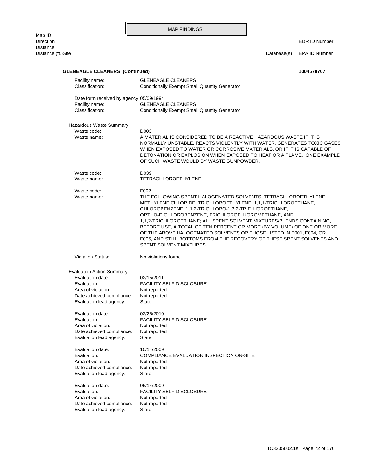Distance (ft.)Site Database(s) EPA ID Number

# Evaluation lead agency: State Date achieved compliance: Not reported Area of violation: Not reported Evaluation: FACILITY SELF DISCLOSURE Evaluation date: 05/14/2009 Evaluation lead agency: State Date achieved compliance: Not reported Area of violation: Not reported Evaluation: COMPLIANCE EVALUATION INSPECTION ON-SITE Evaluation date: 10/14/2009 Evaluation lead agency: State Date achieved compliance: Not reported Area of violation: Not reported Evaluation: FACILITY SELF DISCLOSURE Evaluation date: 02/25/2010 Evaluation lead agency: State Date achieved compliance: Not reported Area of violation: Not reported Evaluation: FACILITY SELF DISCLOSURE Evaluation date: 02/15/2011 Evaluation Action Summary: Violation Status: No violations found SPENT SOLVENT MIXTURES. F005, AND STILL BOTTOMS FROM THE RECOVERY OF THESE SPENT SOLVENTS AND OF THE ABOVE HALOGENATED SOLVENTS OR THOSE LISTED IN F001, F004, OR BEFORE USE, A TOTAL OF TEN PERCENT OR MORE (BY VOLUME) OF ONE OR MORE 1,1,2-TRICHLOROETHANE; ALL SPENT SOLVENT MIXTURES/BLENDS CONTAINING, ORTHO-DICHLOROBENZENE, TRICHLOROFLUOROMETHANE, AND CHLOROBENZENE, 1,1,2-TRICHLORO-1,2,2-TRIFLUOROETHANE, METHYLENE CHLORIDE, TRICHLOROETHYLENE, 1,1,1-TRICHLOROETHANE, Waste name: THE FOLLOWING SPENT HALOGENATED SOLVENTS: TETRACHLOROETHYLENE, Waste code: F002 Waste name: TETRACHLOROETHYLENE Waste code: D039 OF SUCH WASTE WOULD BY WASTE GUNPOWDER. DETONATION OR EXPLOSION WHEN EXPOSED TO HEAT OR A FLAME. ONE EXAMPLE WHEN EXPOSED TO WATER OR CORROSIVE MATERIALS, OR IF IT IS CAPABLE OF NORMALLY UNSTABLE, REACTS VIOLENTLY WITH WATER, GENERATES TOXIC GASES Waste name: A MATERIAL IS CONSIDERED TO BE A REACTIVE HAZARDOUS WASTE IF IT IS Waste code: D003 Hazardous Waste Summary: Classification: Conditionally Exempt Small Quantity Generator Facility name: GLENEAGLE CLEANERS Date form received by agency: 05/09/1994 Classification: Conditionally Exempt Small Quantity Generator Facility name: GLENEAGLE CLEANERS **GLENEAGLE CLEANERS (Continued) 1004678707**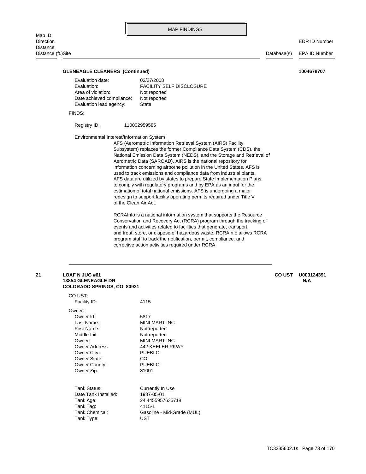#### **GLENEAGLE CLEANERS (Continued) 1004678707**

| Evaluation date:          | 02/27/2008                      |
|---------------------------|---------------------------------|
| Evaluation:               | <b>FACILITY SELF DISCLOSURE</b> |
| Area of violation:        | Not reported                    |
| Date achieved compliance: | Not reported                    |
| Evaluation lead agency:   | State                           |
|                           |                                 |

FINDS:

#### Registry ID: 110002959585

Environmental Interest/Information System

of the Clean Air Act. redesign to support facility operating permits required under Title V estimation of total national emissions. AFS is undergoing a major to comply with regulatory programs and by EPA as an input for the AFS data are utilized by states to prepare State Implementation Plans used to track emissions and compliance data from industrial plants. information concerning airborne pollution in the United States. AFS is Aerometric Data (SAROAD). AIRS is the national repository for National Emission Data System (NEDS), and the Storage and Retrieval of Subsystem) replaces the former Compliance Data System (CDS), the AFS (Aerometric Information Retrieval System (AIRS) Facility

corrective action activities required under RCRA. program staff to track the notification, permit, compliance, and and treat, store, or dispose of hazardous waste. RCRAInfo allows RCRA events and activities related to facilities that generate, transport, Conservation and Recovery Act (RCRA) program through the tracking of RCRAInfo is a national information system that supports the Resource

#### **COLORADO SPRINGS, CO 80921 13854 GLENEAGLE DR N/A 21 LOAF N JUG #61 CO UST U003124391**

| CO UST:              |                            |
|----------------------|----------------------------|
| Facility ID:         | 4115                       |
| Owner:               |                            |
| Owner Id:            | 5817                       |
| Last Name:           | MINI MART INC              |
| First Name:          | Not reported               |
| Middle Init:         | Not reported               |
| Owner:               | MINI MART INC              |
| Owner Address:       | 442 KEELER PKWY            |
| Owner City:          | <b>PUEBLO</b>              |
| Owner State:         | CO                         |
| Owner County:        | <b>PUEBLO</b>              |
| Owner Zip:           | 81001                      |
|                      |                            |
| Tank Status:         | Currently In Use           |
| Date Tank Installed: | 1987-05-01                 |
| Tank Age:            | 24.4455957635718           |
| Tank Tag:            | 4115-1                     |
| Tank Chemical:       | Gasoline - Mid-Grade (MUL) |
| Tank Type:           | UST                        |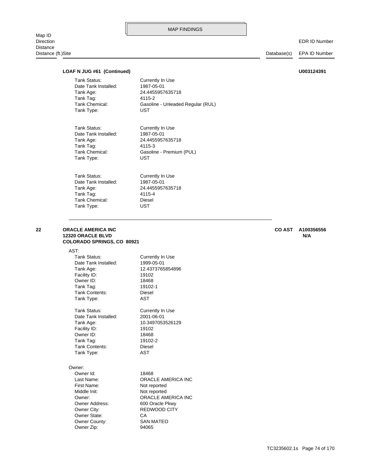Map ID<br>Direction Distance Distance (ft.)Site Database(s) EPA ID Number

EDR ID Number

### **LOAF N JUG #61 (Continued) U003124391**

Tank Type: UST Tank Chemical: Gasoline - Premium (PUL) Tank Tag: 4115-3 Tank Age: 24.4455957635718 Date Tank Installed: 1987-05-01 Tank Status: Currently In Use Tank Type: UST Tank Chemical: Gasoline - Unleaded Regular (RUL) Tank Tag: 4115-2 Tank Age: 24.4455957635718 Date Tank Installed: 1987-05-01 Tank Status: Currently In Use

Tank Type: UST Tank Chemical: Diesel Tank Tag: 4115-4 Tank Age: 24.4455957635718 Date Tank Installed: 1987-05-01 Tank Status: Currently In Use

#### **COLORADO SPRINGS, CO 80921 12320 ORACLE BLVD N/A 22 ORACLE AMERICA INC CO AST A100356556**

AST:

| Tank Status:                                                                                                                                                      | Currently In Use                                                                                                                                                      |
|-------------------------------------------------------------------------------------------------------------------------------------------------------------------|-----------------------------------------------------------------------------------------------------------------------------------------------------------------------|
| Date Tank Installed:                                                                                                                                              | 1999-05-01                                                                                                                                                            |
| Tank Age:                                                                                                                                                         | 12.4373765854896                                                                                                                                                      |
| Facility ID:                                                                                                                                                      | 19102                                                                                                                                                                 |
| Owner ID:                                                                                                                                                         | 18468                                                                                                                                                                 |
| Tank Tag:                                                                                                                                                         | 19102-1                                                                                                                                                               |
| Tank Contents:                                                                                                                                                    | Diesel                                                                                                                                                                |
| Tank Type:                                                                                                                                                        | AST                                                                                                                                                                   |
| Tank Status:                                                                                                                                                      | Currently In Use                                                                                                                                                      |
| Date Tank Installed:                                                                                                                                              | 2001-06-01                                                                                                                                                            |
| Tank Age:                                                                                                                                                         | 10.3497053526129                                                                                                                                                      |
| Facility ID:                                                                                                                                                      | 19102                                                                                                                                                                 |
| Owner ID:                                                                                                                                                         | 18468                                                                                                                                                                 |
| Tank Tag:                                                                                                                                                         | 19102-2                                                                                                                                                               |
| Tank Contents:                                                                                                                                                    | Diesel                                                                                                                                                                |
| Tank Type:                                                                                                                                                        | AST                                                                                                                                                                   |
| Owner:<br>Owner Id:<br>Last Name:<br>First Name:<br>Middle Init:<br>Owner:<br><b>Owner Address:</b><br>Owner City:<br>Owner State:<br>Owner County:<br>Owner Zip: | 18468<br><b>ORACLE AMERICA INC</b><br>Not reported<br>Not reported<br><b>ORACLE AMERICA INC</b><br>600 Oracle Pkwy<br>REDWOOD CITY<br>CA<br><b>SAN MATEO</b><br>94065 |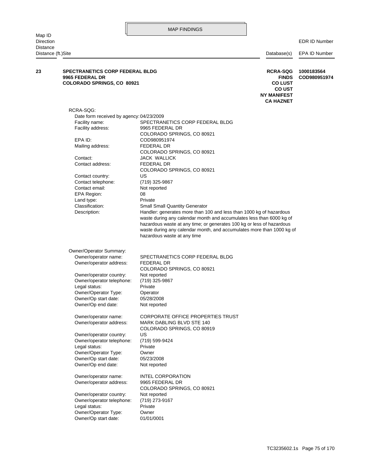EDR ID Number

| Distance<br>Distance (ft.)Site |                                                                                         |                                                                                                                                                                                                                                                                                                                              | Database(s)                                                                                                  | EPA ID Number              |
|--------------------------------|-----------------------------------------------------------------------------------------|------------------------------------------------------------------------------------------------------------------------------------------------------------------------------------------------------------------------------------------------------------------------------------------------------------------------------|--------------------------------------------------------------------------------------------------------------|----------------------------|
| 23                             | <b>SPECTRANETICS CORP FEDERAL BLDG</b><br>9965 FEDERAL DR<br>COLORADO SPRINGS, CO 80921 |                                                                                                                                                                                                                                                                                                                              | <b>RCRA-SQG</b><br><b>FINDS</b><br><b>CO LUST</b><br><b>CO UST</b><br><b>NY MANIFEST</b><br><b>CA HAZNET</b> | 1000183564<br>COD980951974 |
|                                | RCRA-SQG:                                                                               |                                                                                                                                                                                                                                                                                                                              |                                                                                                              |                            |
|                                | Date form received by agency: 04/23/2009                                                |                                                                                                                                                                                                                                                                                                                              |                                                                                                              |                            |
|                                | Facility name:                                                                          | SPECTRANETICS CORP FEDERAL BLDG                                                                                                                                                                                                                                                                                              |                                                                                                              |                            |
|                                | Facility address:                                                                       | 9965 FEDERAL DR                                                                                                                                                                                                                                                                                                              |                                                                                                              |                            |
|                                |                                                                                         | COLORADO SPRINGS, CO 80921                                                                                                                                                                                                                                                                                                   |                                                                                                              |                            |
|                                | EPA ID:                                                                                 | COD980951974                                                                                                                                                                                                                                                                                                                 |                                                                                                              |                            |
|                                | Mailing address:                                                                        | FEDERAL DR                                                                                                                                                                                                                                                                                                                   |                                                                                                              |                            |
|                                |                                                                                         | COLORADO SPRINGS, CO 80921                                                                                                                                                                                                                                                                                                   |                                                                                                              |                            |
|                                | Contact:<br>Contact address:                                                            | JACK WALLICK<br>FEDERAL DR                                                                                                                                                                                                                                                                                                   |                                                                                                              |                            |
|                                |                                                                                         | COLORADO SPRINGS, CO 80921                                                                                                                                                                                                                                                                                                   |                                                                                                              |                            |
|                                | Contact country:                                                                        | US                                                                                                                                                                                                                                                                                                                           |                                                                                                              |                            |
|                                | Contact telephone:                                                                      | (719) 325-9867                                                                                                                                                                                                                                                                                                               |                                                                                                              |                            |
|                                | Contact email:                                                                          | Not reported                                                                                                                                                                                                                                                                                                                 |                                                                                                              |                            |
|                                | EPA Region:                                                                             | 08                                                                                                                                                                                                                                                                                                                           |                                                                                                              |                            |
|                                | Land type:                                                                              | Private                                                                                                                                                                                                                                                                                                                      |                                                                                                              |                            |
|                                | Classification:                                                                         | <b>Small Small Quantity Generator</b>                                                                                                                                                                                                                                                                                        |                                                                                                              |                            |
|                                | Description:                                                                            | Handler: generates more than 100 and less than 1000 kg of hazardous<br>waste during any calendar month and accumulates less than 6000 kg of<br>hazardous waste at any time; or generates 100 kg or less of hazardous<br>waste during any calendar month, and accumulates more than 1000 kg of<br>hazardous waste at any time |                                                                                                              |                            |
|                                | Owner/Operator Summary:                                                                 |                                                                                                                                                                                                                                                                                                                              |                                                                                                              |                            |
|                                | Owner/operator name:                                                                    | SPECTRANETICS CORP FEDERAL BLDG                                                                                                                                                                                                                                                                                              |                                                                                                              |                            |
|                                | Owner/operator address:                                                                 | FEDERAL DR<br>COLORADO SPRINGS, CO 80921                                                                                                                                                                                                                                                                                     |                                                                                                              |                            |
|                                | Owner/operator country:                                                                 | Not reported                                                                                                                                                                                                                                                                                                                 |                                                                                                              |                            |
|                                | Owner/operator telephone:                                                               | (719) 325-9867                                                                                                                                                                                                                                                                                                               |                                                                                                              |                            |
|                                | Legal status:                                                                           | Private                                                                                                                                                                                                                                                                                                                      |                                                                                                              |                            |
|                                | Owner/Operator Type:<br>Owner/Op start date:                                            | Operator<br>05/28/2008                                                                                                                                                                                                                                                                                                       |                                                                                                              |                            |
|                                | Owner/Op end date:                                                                      | Not reported                                                                                                                                                                                                                                                                                                                 |                                                                                                              |                            |
|                                | Owner/operator name:                                                                    | CORPORATE OFFICE PROPERTIES TRUST                                                                                                                                                                                                                                                                                            |                                                                                                              |                            |
|                                | Owner/operator address:                                                                 | MARK DABLING BLVD STE 140<br>COLORADO SPRINGS, CO 80919                                                                                                                                                                                                                                                                      |                                                                                                              |                            |
|                                | Owner/operator country:                                                                 | US                                                                                                                                                                                                                                                                                                                           |                                                                                                              |                            |
|                                | Owner/operator telephone:                                                               | (719) 599-9424                                                                                                                                                                                                                                                                                                               |                                                                                                              |                            |
|                                | Legal status:<br>Owner/Operator Type:                                                   | Private                                                                                                                                                                                                                                                                                                                      |                                                                                                              |                            |
|                                | Owner/Op start date:                                                                    | Owner<br>05/23/2008                                                                                                                                                                                                                                                                                                          |                                                                                                              |                            |
|                                | Owner/Op end date:                                                                      | Not reported                                                                                                                                                                                                                                                                                                                 |                                                                                                              |                            |
|                                | Owner/operator name:                                                                    | <b>INTEL CORPORATION</b>                                                                                                                                                                                                                                                                                                     |                                                                                                              |                            |
|                                | Owner/operator address:                                                                 | 9965 FEDERAL DR                                                                                                                                                                                                                                                                                                              |                                                                                                              |                            |
|                                |                                                                                         | COLORADO SPRINGS, CO 80921                                                                                                                                                                                                                                                                                                   |                                                                                                              |                            |
|                                | Owner/operator country:                                                                 | Not reported                                                                                                                                                                                                                                                                                                                 |                                                                                                              |                            |
|                                | Owner/operator telephone:                                                               | (719) 273-9167                                                                                                                                                                                                                                                                                                               |                                                                                                              |                            |
|                                | Legal status:<br>Owner/Operator Type:                                                   | Private<br>Owner                                                                                                                                                                                                                                                                                                             |                                                                                                              |                            |
|                                | Owner/Op start date:                                                                    | 01/01/0001                                                                                                                                                                                                                                                                                                                   |                                                                                                              |                            |
|                                |                                                                                         |                                                                                                                                                                                                                                                                                                                              |                                                                                                              |                            |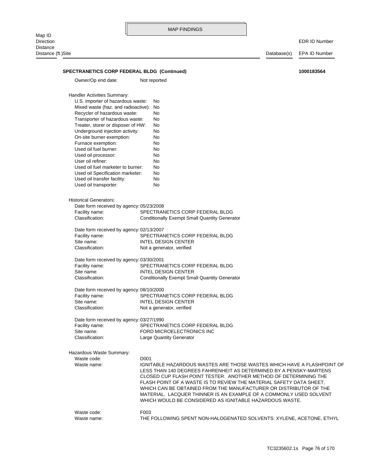MAP FINDINGS Map ID<br>Direction Direction EDR ID Number **Distance** Distance (ft.)Site Database(s) EPA ID Number Waste name: THE FOLLOWING SPENT NON-HALOGENATED SOLVENTS: XYLENE, ACETONE, ETHYL Waste code: F003 WHICH WOULD BE CONSIDERED AS IGNITABLE HAZARDOUS WASTE. MATERIAL. LACQUER THINNER IS AN EXAMPLE OF A COMMONLY USED SOLVENT WHICH CAN BE OBTAINED FROM THE MANUFACTURER OR DISTRIBUTOR OF THE FLASH POINT OF A WASTE IS TO REVIEW THE MATERIAL SAFETY DATA SHEET, CLOSED CUP FLASH POINT TESTER. ANOTHER METHOD OF DETERMINING THE LESS THAN 140 DEGREES FAHRENHEIT AS DETERMINED BY A PENSKY-MARTENS Waste name: **IGNITABLE HAZARDOUS WASTES ARE THOSE WASTES WHICH HAVE A FLASHPOINT OF** Waste code: D001 Hazardous Waste Summary: Classification: Large Quantity Generator Site name: FORD MICROELECTRONICS INC Facility name: SPECTRANETICS CORP FEDERAL BLDG Date form received by agency: 03/27/1990 Classification: Not a generator, verified Site name: **INTEL DESIGN CENTER** Facility name: SPECTRANETICS CORP FEDERAL BLDG Date form received by agency: 08/10/2000 Classification: Conditionally Exempt Small Quantity Generator Site name: **INTEL DESIGN CENTER** Facility name: SPECTRANETICS CORP FEDERAL BLDG Date form received by agency: 03/30/2001 Classification: Not a generator, verified Site name: **INTEL DESIGN CENTER** Facility name: SPECTRANETICS CORP FEDERAL BLDG Date form received by agency: 02/13/2007 Classification: Conditionally Exempt Small Quantity Generator Facility name: SPECTRANETICS CORP FEDERAL BLDG Date form received by agency: 05/23/2008 Historical Generators: Used oil transporter: No Used oil transfer facility: No Used oil Specification marketer: No Used oil fuel marketer to burner: No User oil refiner: No Used oil processor: No Used oil fuel burner: No Furnace exemption: No On-site burner exemption: No Underground injection activity: No Treater, storer or disposer of HW: No Transporter of hazardous waste: No Recycler of hazardous waste: No Mixed waste (haz. and radioactive): No U.S. importer of hazardous waste: No Handler Activities Summary: Owner/Op end date: Not reported **SPECTRANETICS CORP FEDERAL BLDG (Continued) 1000183564**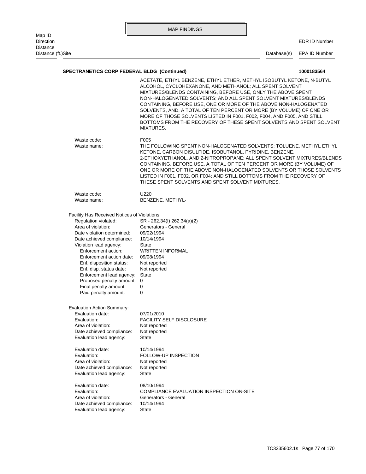|                                |                                                                                                                                                                                                                                                                                                                                                                                                                                  | <b>MAP FINDINGS</b>                                                                                                                                                                                                                                                                                                                                                                                                                                                                                 |             |                      |
|--------------------------------|----------------------------------------------------------------------------------------------------------------------------------------------------------------------------------------------------------------------------------------------------------------------------------------------------------------------------------------------------------------------------------------------------------------------------------|-----------------------------------------------------------------------------------------------------------------------------------------------------------------------------------------------------------------------------------------------------------------------------------------------------------------------------------------------------------------------------------------------------------------------------------------------------------------------------------------------------|-------------|----------------------|
| Map ID<br>Direction            |                                                                                                                                                                                                                                                                                                                                                                                                                                  |                                                                                                                                                                                                                                                                                                                                                                                                                                                                                                     |             | <b>EDR ID Number</b> |
| Distance<br>Distance (ft.)Site |                                                                                                                                                                                                                                                                                                                                                                                                                                  |                                                                                                                                                                                                                                                                                                                                                                                                                                                                                                     | Database(s) | EPA ID Number        |
|                                | <b>SPECTRANETICS CORP FEDERAL BLDG (Continued)</b>                                                                                                                                                                                                                                                                                                                                                                               |                                                                                                                                                                                                                                                                                                                                                                                                                                                                                                     |             | 1000183564           |
|                                |                                                                                                                                                                                                                                                                                                                                                                                                                                  | ACETATE, ETHYL BENZENE, ETHYL ETHER, METHYL ISOBUTYL KETONE, N-BUTYL                                                                                                                                                                                                                                                                                                                                                                                                                                |             |                      |
|                                |                                                                                                                                                                                                                                                                                                                                                                                                                                  | ALCOHOL, CYCLOHEXANONE, AND METHANOL; ALL SPENT SOLVENT<br>MIXTURES/BLENDS CONTAINING, BEFORE USE, ONLY THE ABOVE SPENT<br>NON-HALOGENATED SOLVENTS; AND ALL SPENT SOLVENT MIXTURES/BLENDS<br>CONTAINING, BEFORE USE, ONE OR MORE OF THE ABOVE NON-HALOGENATED<br>SOLVENTS, AND, A TOTAL OF TEN PERCENT OR MORE (BY VOLUME) OF ONE OR<br>MORE OF THOSE SOLVENTS LISTED IN F001, F002, F004, AND F005, AND STILL<br>BOTTOMS FROM THE RECOVERY OF THESE SPENT SOLVENTS AND SPENT SOLVENT<br>MIXTURES. |             |                      |
|                                | Waste code:<br>Waste name:                                                                                                                                                                                                                                                                                                                                                                                                       | F005<br>THE FOLLOWING SPENT NON-HALOGENATED SOLVENTS: TOLUENE, METHYL ETHYL<br>KETONE, CARBON DISULFIDE, ISOBUTANOL, PYRIDINE, BENZENE,<br>2-ETHOXYETHANOL, AND 2-NITROPROPANE; ALL SPENT SOLVENT MIXTURES/BLENDS<br>CONTAINING, BEFORE USE, A TOTAL OF TEN PERCENT OR MORE (BY VOLUME) OF<br>ONE OR MORE OF THE ABOVE NON-HALOGENATED SOLVENTS OR THOSE SOLVENTS<br>LISTED IN F001, F002, OR F004; AND STILL BOTTOMS FROM THE RECOVERY OF<br>THESE SPENT SOLVENTS AND SPENT SOLVENT MIXTURES.      |             |                      |
|                                | Waste code:                                                                                                                                                                                                                                                                                                                                                                                                                      | U220                                                                                                                                                                                                                                                                                                                                                                                                                                                                                                |             |                      |
|                                | Waste name:                                                                                                                                                                                                                                                                                                                                                                                                                      | BENZENE, METHYL-                                                                                                                                                                                                                                                                                                                                                                                                                                                                                    |             |                      |
|                                | Facility Has Received Notices of Violations:<br>Regulation violated:<br>Area of violation:<br>Date violation determined:<br>Date achieved compliance:<br>Violation lead agency:<br>Enforcement action:<br>Enforcement action date:<br>Enf. disposition status:<br>Enf. disp. status date:<br>Enforcement lead agency:<br>Proposed penalty amount:<br>Final penalty amount:<br>Paid penalty amount:<br>Evaluation Action Summary: | SR - 262.34(f) 262.34(a)(2)<br>Generators - General<br>09/02/1994<br>10/14/1994<br><b>State</b><br><b>WRITTEN INFORMAL</b><br>09/08/1994<br>Not reported<br>Not reported<br>State<br>0<br>0<br>0                                                                                                                                                                                                                                                                                                    |             |                      |
|                                | Evaluation date:                                                                                                                                                                                                                                                                                                                                                                                                                 | 07/01/2010                                                                                                                                                                                                                                                                                                                                                                                                                                                                                          |             |                      |
|                                | Evaluation:<br>Area of violation:<br>Date achieved compliance:<br>Evaluation lead agency:                                                                                                                                                                                                                                                                                                                                        | <b>FACILITY SELF DISCLOSURE</b><br>Not reported<br>Not reported<br>State                                                                                                                                                                                                                                                                                                                                                                                                                            |             |                      |
|                                | Evaluation date:<br>Evaluation:<br>Area of violation:<br>Date achieved compliance:<br>Evaluation lead agency:                                                                                                                                                                                                                                                                                                                    | 10/14/1994<br>FOLLOW-UP INSPECTION<br>Not reported<br>Not reported<br>State                                                                                                                                                                                                                                                                                                                                                                                                                         |             |                      |
|                                | Evaluation date:<br>Evaluation:<br>Area of violation:<br>Date achieved compliance:<br>Evaluation lead agency:                                                                                                                                                                                                                                                                                                                    | 08/10/1994<br>COMPLIANCE EVALUATION INSPECTION ON-SITE<br>Generators - General<br>10/14/1994<br>State                                                                                                                                                                                                                                                                                                                                                                                               |             |                      |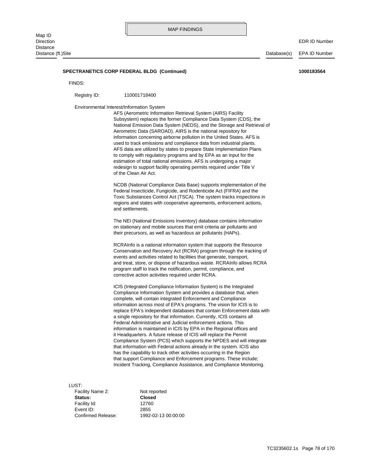#### **SPECTRANETICS CORP FEDERAL BLDG (Continued) 1000183564**

FINDS:

Registry ID: 110001718400

Environmental Interest/Information System

of the Clean Air Act. redesign to support facility operating permits required under Title V estimation of total national emissions. AFS is undergoing a major to comply with regulatory programs and by EPA as an input for the AFS data are utilized by states to prepare State Implementation Plans used to track emissions and compliance data from industrial plants. information concerning airborne pollution in the United States. AFS is Aerometric Data (SAROAD). AIRS is the national repository for National Emission Data System (NEDS), and the Storage and Retrieval of Subsystem) replaces the former Compliance Data System (CDS), the AFS (Aerometric Information Retrieval System (AIRS) Facility

and settlements. regions and states with cooperative agreements, enforcement actions, Toxic Substances Control Act (TSCA). The system tracks inspections in Federal Insecticide, Fungicide, and Rodenticide Act (FIFRA) and the NCDB (National Compliance Data Base) supports implementation of the

their precursors, as well as hazardous air pollutants (HAPs). on stationary and mobile sources that emit criteria air pollutants and The NEI (National Emissions Inventory) database contains information

corrective action activities required under RCRA. program staff to track the notification, permit, compliance, and and treat, store, or dispose of hazardous waste. RCRAInfo allows RCRA events and activities related to facilities that generate, transport, Conservation and Recovery Act (RCRA) program through the tracking of RCRAInfo is a national information system that supports the Resource

Incident Tracking, Compliance Assistance, and Compliance Monitoring. that support Compliance and Enforcement programs. These include; has the capability to track other activities occurring in the Region that information with Federal actions already in the system. ICIS also Compliance System (PCS) which supports the NPDES and will integrate it Headquarters. A future release of ICIS will replace the Permit information is maintained in ICIS by EPA in the Regional offices and Federal Administrative and Judicial enforcement actions. This a single repository for that information. Currently, ICIS contains all replace EPA's independent databases that contain Enforcement data with information across most of EPA's programs. The vision for ICIS is to complete, will contain integrated Enforcement and Compliance Compliance Information System and provides a database that, when ICIS (Integrated Compliance Information System) is the Integrated

LUST:

Confirmed Release: 1992-02-13 00:00:00 Event ID: 2855 Facility Id: 12760 **Status: Closed** Facility Name 2: Not reported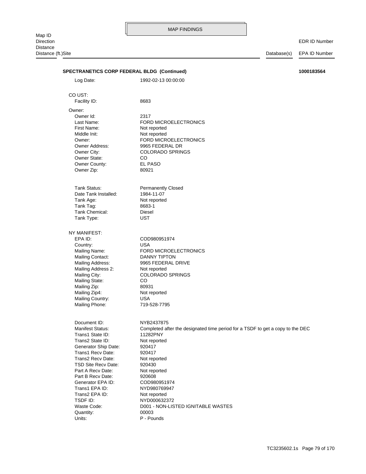Direction EDR ID Number Distance (ft.)Site Database(s) EPA ID Number TSD Site Recv Date: 920430 Trans2 Recv Date: Not reported Trans1 Recv Date: 920417 Generator Ship Date: 920417 Trans2 State ID: Not reported Trans1 State ID: 11282PNY Manifest Status: Completed after the designated time period for a TSDF to get a copy to the DEC Document ID: NYB2437875 Mailing Phone: 719-528-7795 Mailing Country: USA Mailing Zip4: Not reported Mailing Zip: 80931 Mailing State: CO Mailing City: COLORADO SPRINGS Mailing Address 2: Not reported Mailing Address: 9965 FEDERAL DRIVE Mailing Contact: DANNY TIPTON Mailing Name: FORD MICROELECTRONICS Country: USA EPA ID: COD980951974 NY MANIFEST: Tank Type: UST Tank Chemical: Diesel Tank Tag: 8683-1 Tank Age: Not reported Date Tank Installed: 1984-11-07 Tank Status: Permanently Closed Owner Zip: 80921 Owner County: EL PASO Owner State: CO Owner City: COLORADO SPRINGS Owner Address: 9965 FEDERAL DR Owner: FORD MICROELECTRONICS Middle Init: Not reported First Name: Not reported Last Name: FORD MICROELECTRONICS Owner Id: 2317 Owner: Facility ID: 8683 CO UST: Log Date: 1992-02-13 00:00:00 **SPECTRANETICS CORP FEDERAL BLDG (Continued) 1000183564**

> Units: P - Pounds Quantity: 00003

TSDF ID: NYD000632372 Trans2 EPA ID: Not reported Trans1 EPA ID: NYD980769947 Generator EPA ID: COD980951974 Part B Recv Date: 920608 Part A Recv Date: Not reported

Waste Code: <br>
D001 - NON-LISTED IGNITABLE WASTES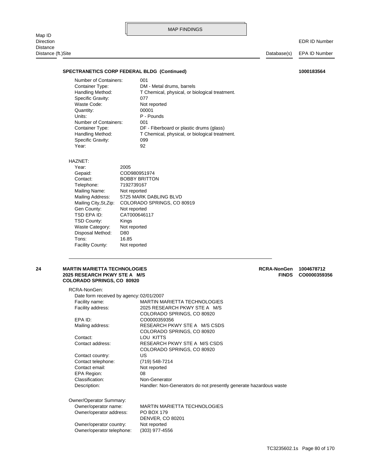|                                               |                                                    |                                      | <b>MAP FINDINGS</b>                            |                    |                      |
|-----------------------------------------------|----------------------------------------------------|--------------------------------------|------------------------------------------------|--------------------|----------------------|
| Map ID<br><b>Direction</b><br><b>Distance</b> |                                                    |                                      |                                                |                    | <b>EDR ID Number</b> |
| Distance (ft.)Site                            |                                                    |                                      |                                                | Database(s)        | <b>EPA ID Number</b> |
|                                               |                                                    |                                      |                                                |                    |                      |
|                                               | <b>SPECTRANETICS CORP FEDERAL BLDG (Continued)</b> |                                      |                                                |                    | 1000183564           |
|                                               | Number of Containers:                              | 001                                  |                                                |                    |                      |
|                                               | Container Type:                                    |                                      | DM - Metal drums, barrels                      |                    |                      |
|                                               | Handling Method:                                   |                                      | T Chemical, physical, or biological treatment. |                    |                      |
|                                               | Specific Gravity:                                  | 077                                  |                                                |                    |                      |
|                                               | Waste Code:                                        |                                      | Not reported                                   |                    |                      |
|                                               | Quantity:<br>Units:                                |                                      | 00001<br>P - Pounds                            |                    |                      |
|                                               | Number of Containers:                              | 001                                  |                                                |                    |                      |
|                                               | Container Type:                                    |                                      | DF - Fiberboard or plastic drums (glass)       |                    |                      |
|                                               | Handling Method:                                   |                                      | T Chemical, physical, or biological treatment. |                    |                      |
|                                               | Specific Gravity:                                  | 099                                  |                                                |                    |                      |
|                                               | Year:                                              | 92                                   |                                                |                    |                      |
|                                               |                                                    |                                      |                                                |                    |                      |
|                                               | HAZNET:                                            |                                      |                                                |                    |                      |
|                                               | Year:                                              | 2005                                 |                                                |                    |                      |
|                                               | Gepaid:<br>Contact:                                | COD980951974<br><b>BOBBY BRITTON</b> |                                                |                    |                      |
|                                               |                                                    | 7192739167                           |                                                |                    |                      |
|                                               | Telephone:<br>Mailing Name:                        | Not reported                         |                                                |                    |                      |
|                                               | <b>Mailing Address:</b>                            |                                      | 5725 MARK DABLING BLVD                         |                    |                      |
|                                               | Mailing City, St, Zip:                             |                                      | COLORADO SPRINGS, CO 80919                     |                    |                      |
|                                               | Gen County:                                        | Not reported                         |                                                |                    |                      |
|                                               | TSD EPA ID:                                        | CAT000646117                         |                                                |                    |                      |
|                                               | <b>TSD County:</b>                                 | Kings                                |                                                |                    |                      |
|                                               | <b>Waste Category:</b>                             | Not reported                         |                                                |                    |                      |
|                                               | Disposal Method:                                   | D80                                  |                                                |                    |                      |
|                                               | Tons:                                              | 16.85                                |                                                |                    |                      |
|                                               | Facility County:                                   | Not reported                         |                                                |                    |                      |
|                                               |                                                    |                                      |                                                |                    |                      |
| 24                                            | <b>MARTIN MARIETTA TECHNOLOGIES</b>                |                                      |                                                | <b>RCRA-NonGen</b> | 1004678712           |
|                                               | 2025 RESEARCH PKWY STE A M/S                       |                                      |                                                | <b>FINDS</b>       | CO0000359356         |

# **COLORADO SPRINGS, CO 80920**

Owner/operator telephone: (303) 977-4556

| RCRA-NonGen:                             |                                                                   |
|------------------------------------------|-------------------------------------------------------------------|
| Date form received by agency: 02/01/2007 |                                                                   |
| Facility name:                           | MARTIN MARIETTA TECHNOLOGIES                                      |
| Facility address:                        | 2025 RESEARCH PKWY STE A M/S                                      |
|                                          | COLORADO SPRINGS, CO 80920                                        |
| FPA ID:                                  | CO0000359356                                                      |
| Mailing address:                         | RESEARCH PKWY STE A M/S CSDS                                      |
|                                          | COLORADO SPRINGS, CO 80920                                        |
| Contact:                                 | LOU KITTS                                                         |
| Contact address:                         | RESEARCH PKWY STE A M/S CSDS                                      |
|                                          | COLORADO SPRINGS, CO 80920                                        |
| Contact country:                         | US.                                                               |
| Contact telephone:                       | (719) 548-7214                                                    |
| Contact email:                           | Not reported                                                      |
| EPA Region:                              | 08                                                                |
| Classification:                          | Non-Generator                                                     |
| Description:                             | Handler: Non-Generators do not presently generate hazardous waste |
| Owner/Operator Summary:                  |                                                                   |
| Owner/operator name:                     | <b>MARTIN MARIETTA TECHNOLOGIES</b>                               |
| Owner/operator address:                  | <b>PO BOX 179</b>                                                 |
|                                          | <b>DENVER, CO 80201</b>                                           |
| Owner/operator country:                  | Not reported                                                      |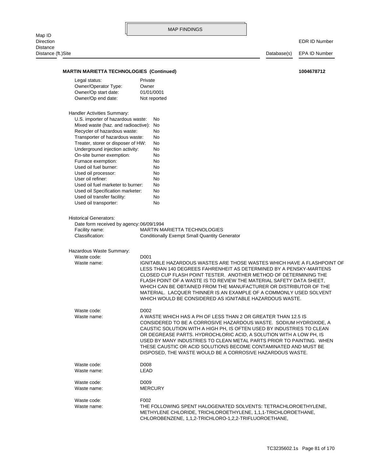**MARTIN MARIETTA TECHNOLOGIES (Continued)** 1004678712

EDR ID Number

| Legal status:                                                             | Private                                                                                                                                  |
|---------------------------------------------------------------------------|------------------------------------------------------------------------------------------------------------------------------------------|
| Owner/Operator Type:                                                      | Owner                                                                                                                                    |
| Owner/Op start date:                                                      | 01/01/0001                                                                                                                               |
| Owner/Op end date:                                                        | Not reported                                                                                                                             |
| Handler Activities Summary:                                               |                                                                                                                                          |
| U.S. importer of hazardous waste:                                         | No                                                                                                                                       |
| Mixed waste (haz. and radioactive): No                                    |                                                                                                                                          |
| Recycler of hazardous waste:                                              | No                                                                                                                                       |
| Transporter of hazardous waste:                                           | No                                                                                                                                       |
| Treater, storer or disposer of HW:                                        | No                                                                                                                                       |
| Underground injection activity:                                           | No                                                                                                                                       |
| On-site burner exemption:<br>Furnace exemption:                           | No<br>No                                                                                                                                 |
| Used oil fuel burner:                                                     | No                                                                                                                                       |
| Used oil processor:                                                       | No                                                                                                                                       |
| User oil refiner:                                                         | No                                                                                                                                       |
| Used oil fuel marketer to burner:                                         | No                                                                                                                                       |
| Used oil Specification marketer:                                          | No                                                                                                                                       |
| Used oil transfer facility:                                               | No                                                                                                                                       |
| Used oil transporter:                                                     | No                                                                                                                                       |
|                                                                           |                                                                                                                                          |
| <b>Historical Generators:</b><br>Date form received by agency: 06/09/1994 |                                                                                                                                          |
| Facility name:                                                            | <b>MARTIN MARIETTA TECHNOLOGIES</b>                                                                                                      |
| Classification:                                                           | <b>Conditionally Exempt Small Quantity Generator</b>                                                                                     |
|                                                                           |                                                                                                                                          |
| Hazardous Waste Summary:                                                  |                                                                                                                                          |
| Waste code:                                                               | D <sub>001</sub>                                                                                                                         |
| Waste name:                                                               | IGNITABLE HAZARDOUS WASTES ARE THOSE WASTES WHICH HAVE A FLASHPOINT OF                                                                   |
|                                                                           | LESS THAN 140 DEGREES FAHRENHEIT AS DETERMINED BY A PENSKY-MARTENS                                                                       |
|                                                                           | CLOSED CUP FLASH POINT TESTER. ANOTHER METHOD OF DETERMINING THE                                                                         |
|                                                                           | FLASH POINT OF A WASTE IS TO REVIEW THE MATERIAL SAFETY DATA SHEET,<br>WHICH CAN BE OBTAINED FROM THE MANUFACTURER OR DISTRIBUTOR OF THE |
|                                                                           | MATERIAL. LACQUER THINNER IS AN EXAMPLE OF A COMMONLY USED SOLVENT                                                                       |
|                                                                           | WHICH WOULD BE CONSIDERED AS IGNITABLE HAZARDOUS WASTE.                                                                                  |
|                                                                           |                                                                                                                                          |
| Waste code:                                                               | D <sub>002</sub>                                                                                                                         |
| Waste name:                                                               | A WASTE WHICH HAS A PH OF LESS THAN 2 OR GREATER THAN 12.5 IS                                                                            |
|                                                                           | CONSIDERED TO BE A CORROSIVE HAZARDOUS WASTE. SODIUM HYDROXIDE, A                                                                        |
|                                                                           | CAUSTIC SOLUTION WITH A HIGH PH, IS OFTEN USED BY INDUSTRIES TO CLEAN                                                                    |
|                                                                           | OR DEGREASE PARTS. HYDROCHLORIC ACID, A SOLUTION WITH A LOW PH, IS                                                                       |
|                                                                           | USED BY MANY INDUSTRIES TO CLEAN METAL PARTS PRIOR TO PAINTING. WHEN<br>THESE CAUSTIC OR ACID SOLUTIONS BECOME CONTAMINATED AND MUST BE  |
|                                                                           | DISPOSED, THE WASTE WOULD BE A CORROSIVE HAZARDOUS WASTE.                                                                                |
| Waste code:                                                               | D008                                                                                                                                     |
| Waste name:                                                               | LEAD                                                                                                                                     |
| Waste code:                                                               | D <sub>009</sub>                                                                                                                         |
| Waste name:                                                               | <b>MERCURY</b>                                                                                                                           |
| Waste code:                                                               | F002                                                                                                                                     |
| Waste name:                                                               | THE FOLLOWING SPENT HALOGENATED SOLVENTS: TETRACHLOROETHYLENE.                                                                           |
|                                                                           | METHYLENE CHLORIDE, TRICHLOROETHYLENE, 1,1,1-TRICHLOROETHANE,                                                                            |
|                                                                           | CHLOROBENZENE, 1,1,2-TRICHLORO-1,2,2-TRIFLUOROETHANE,                                                                                    |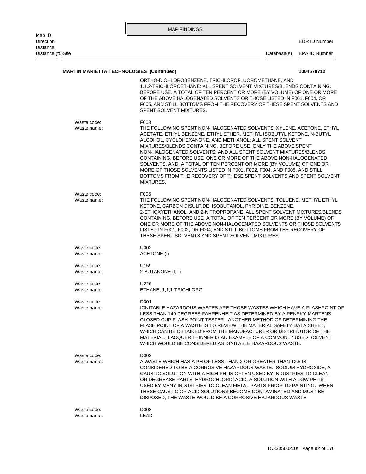| Map ID                       |                            | <b>MAP FINDINGS</b>                                                                                                                                                                                                                                                                                                                                                                                                                                                                                                                                                                                                                                         |             |                      |
|------------------------------|----------------------------|-------------------------------------------------------------------------------------------------------------------------------------------------------------------------------------------------------------------------------------------------------------------------------------------------------------------------------------------------------------------------------------------------------------------------------------------------------------------------------------------------------------------------------------------------------------------------------------------------------------------------------------------------------------|-------------|----------------------|
| Direction<br><b>Distance</b> |                            |                                                                                                                                                                                                                                                                                                                                                                                                                                                                                                                                                                                                                                                             |             | <b>EDR ID Number</b> |
| Distance (ft.) Site          |                            |                                                                                                                                                                                                                                                                                                                                                                                                                                                                                                                                                                                                                                                             | Database(s) | EPA ID Number        |
|                              |                            | <b>MARTIN MARIETTA TECHNOLOGIES (Continued)</b>                                                                                                                                                                                                                                                                                                                                                                                                                                                                                                                                                                                                             |             | 1004678712           |
|                              |                            | ORTHO-DICHLOROBENZENE, TRICHLOROFLUOROMETHANE, AND<br>1.1.2-TRICHLOROETHANE; ALL SPENT SOLVENT MIXTURES/BLENDS CONTAINING,<br>BEFORE USE, A TOTAL OF TEN PERCENT OR MORE (BY VOLUME) OF ONE OR MORE<br>OF THE ABOVE HALOGENATED SOLVENTS OR THOSE LISTED IN F001, F004, OR<br>F005, AND STILL BOTTOMS FROM THE RECOVERY OF THESE SPENT SOLVENTS AND<br>SPENT SOLVENT MIXTURES.                                                                                                                                                                                                                                                                              |             |                      |
|                              | Waste code:<br>Waste name: | F003<br>THE FOLLOWING SPENT NON-HALOGENATED SOLVENTS: XYLENE, ACETONE, ETHYL<br>ACETATE, ETHYL BENZENE, ETHYL ETHER, METHYL ISOBUTYL KETONE, N-BUTYL<br>ALCOHOL, CYCLOHEXANONE, AND METHANOL; ALL SPENT SOLVENT<br>MIXTURES/BLENDS CONTAINING, BEFORE USE, ONLY THE ABOVE SPENT<br>NON-HALOGENATED SOLVENTS; AND ALL SPENT SOLVENT MIXTURES/BLENDS<br>CONTAINING, BEFORE USE, ONE OR MORE OF THE ABOVE NON-HALOGENATED<br>SOLVENTS, AND, A TOTAL OF TEN PERCENT OR MORE (BY VOLUME) OF ONE OR<br>MORE OF THOSE SOLVENTS LISTED IN F001, F002, F004, AND F005, AND STILL<br>BOTTOMS FROM THE RECOVERY OF THESE SPENT SOLVENTS AND SPENT SOLVENT<br>MIXTURES. |             |                      |
|                              | Waste code:<br>Waste name: | F005<br>THE FOLLOWING SPENT NON-HALOGENATED SOLVENTS: TOLUENE, METHYL ETHYL<br>KETONE, CARBON DISULFIDE, ISOBUTANOL, PYRIDINE, BENZENE,<br>2-ETHOXYETHANOL, AND 2-NITROPROPANE; ALL SPENT SOLVENT MIXTURES/BLENDS<br>CONTAINING, BEFORE USE, A TOTAL OF TEN PERCENT OR MORE (BY VOLUME) OF<br>ONE OR MORE OF THE ABOVE NON-HALOGENATED SOLVENTS OR THOSE SOLVENTS<br>LISTED IN F001, F002, OR F004; AND STILL BOTTOMS FROM THE RECOVERY OF<br>THESE SPENT SOLVENTS AND SPENT SOLVENT MIXTURES.                                                                                                                                                              |             |                      |
|                              | Waste code:<br>Waste name: | U002<br>ACETONE (I)                                                                                                                                                                                                                                                                                                                                                                                                                                                                                                                                                                                                                                         |             |                      |
|                              | Waste code:<br>Waste name: | U <sub>159</sub><br>2-BUTANONE (I,T)                                                                                                                                                                                                                                                                                                                                                                                                                                                                                                                                                                                                                        |             |                      |
|                              | Waste code:<br>Waste name: | U226<br>ETHANE, 1,1,1-TRICHLORO-                                                                                                                                                                                                                                                                                                                                                                                                                                                                                                                                                                                                                            |             |                      |
|                              | Waste code:<br>Waste name: | D001<br>IGNITABLE HAZARDOUS WASTES ARE THOSE WASTES WHICH HAVE A FLASHPOINT OF<br>LESS THAN 140 DEGREES FAHRENHEIT AS DETERMINED BY A PENSKY-MARTENS<br>CLOSED CUP FLASH POINT TESTER. ANOTHER METHOD OF DETERMINING THE<br>FLASH POINT OF A WASTE IS TO REVIEW THE MATERIAL SAFETY DATA SHEET,<br>WHICH CAN BE OBTAINED FROM THE MANUFACTURER OR DISTRIBUTOR OF THE<br>MATERIAL. LACQUER THINNER IS AN EXAMPLE OF A COMMONLY USED SOLVENT<br>WHICH WOULD BE CONSIDERED AS IGNITABLE HAZARDOUS WASTE.                                                                                                                                                       |             |                      |
|                              | Waste code:<br>Waste name: | D002<br>A WASTE WHICH HAS A PH OF LESS THAN 2 OR GREATER THAN 12.5 IS<br>CONSIDERED TO BE A CORROSIVE HAZARDOUS WASTE. SODIUM HYDROXIDE, A<br>CAUSTIC SOLUTION WITH A HIGH PH, IS OFTEN USED BY INDUSTRIES TO CLEAN<br>OR DEGREASE PARTS. HYDROCHLORIC ACID, A SOLUTION WITH A LOW PH, IS<br>USED BY MANY INDUSTRIES TO CLEAN METAL PARTS PRIOR TO PAINTING. WHEN<br>THESE CAUSTIC OR ACID SOLUTIONS BECOME CONTAMINATED AND MUST BE<br>DISPOSED, THE WASTE WOULD BE A CORROSIVE HAZARDOUS WASTE.                                                                                                                                                           |             |                      |
|                              | Waste code:<br>Waste name: | D008<br>LEAD                                                                                                                                                                                                                                                                                                                                                                                                                                                                                                                                                                                                                                                |             |                      |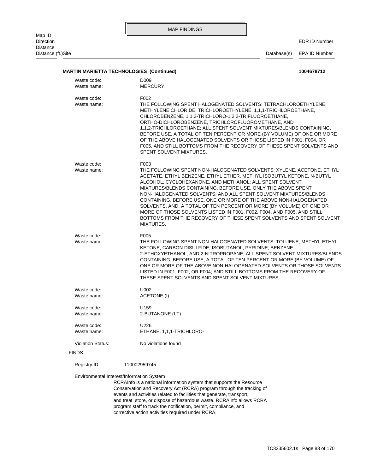Map ID<br>Direction Distance<br>Distance (ft.)Site MAP FINDINGS

EDR ID Number

Database(s) EPA ID Number

|                                           | <b>MARTIN MARIETTA TECHNOLOGIES (Continued)</b><br>D <sub>009</sub>                                                                                                                                                                                                                                                                                                                                                                                                                                                                                                                                                                                         |
|-------------------------------------------|-------------------------------------------------------------------------------------------------------------------------------------------------------------------------------------------------------------------------------------------------------------------------------------------------------------------------------------------------------------------------------------------------------------------------------------------------------------------------------------------------------------------------------------------------------------------------------------------------------------------------------------------------------------|
| Waste code:<br>Waste name:                | <b>MERCURY</b>                                                                                                                                                                                                                                                                                                                                                                                                                                                                                                                                                                                                                                              |
| Waste code:<br>Waste name:                | F002<br>THE FOLLOWING SPENT HALOGENATED SOLVENTS: TETRACHLOROETHYLENE,<br>METHYLENE CHLORIDE, TRICHLOROETHYLENE, 1,1,1-TRICHLOROETHANE,<br>CHLOROBENZENE, 1,1,2-TRICHLORO-1,2,2-TRIFLUOROETHANE,<br>ORTHO-DICHLOROBENZENE, TRICHLOROFLUOROMETHANE, AND<br>1,1,2-TRICHLOROETHANE; ALL SPENT SOLVENT MIXTURES/BLENDS CONTAINING,<br>BEFORE USE, A TOTAL OF TEN PERCENT OR MORE (BY VOLUME) OF ONE OR MORE<br>OF THE ABOVE HALOGENATED SOLVENTS OR THOSE LISTED IN F001, F004, OR<br>F005, AND STILL BOTTOMS FROM THE RECOVERY OF THESE SPENT SOLVENTS AND<br>SPENT SOLVENT MIXTURES.                                                                          |
| Waste code:<br>Waste name:                | F003<br>THE FOLLOWING SPENT NON-HALOGENATED SOLVENTS: XYLENE, ACETONE, ETHYL<br>ACETATE, ETHYL BENZENE, ETHYL ETHER, METHYL ISOBUTYL KETONE, N-BUTYL<br>ALCOHOL, CYCLOHEXANONE, AND METHANOL; ALL SPENT SOLVENT<br>MIXTURES/BLENDS CONTAINING, BEFORE USE, ONLY THE ABOVE SPENT<br>NON-HALOGENATED SOLVENTS; AND ALL SPENT SOLVENT MIXTURES/BLENDS<br>CONTAINING, BEFORE USE, ONE OR MORE OF THE ABOVE NON-HALOGENATED<br>SOLVENTS, AND, A TOTAL OF TEN PERCENT OR MORE (BY VOLUME) OF ONE OR<br>MORE OF THOSE SOLVENTS LISTED IN F001, F002, F004, AND F005, AND STILL<br>BOTTOMS FROM THE RECOVERY OF THESE SPENT SOLVENTS AND SPENT SOLVENT<br>MIXTURES. |
| Waste code:<br>Waste name:                | F005<br>THE FOLLOWING SPENT NON-HALOGENATED SOLVENTS: TOLUENE, METHYL ETHYL<br>KETONE, CARBON DISULFIDE, ISOBUTANOL, PYRIDINE, BENZENE,<br>2-ETHOXYETHANOL, AND 2-NITROPROPANE; ALL SPENT SOLVENT MIXTURES/BLENDS<br>CONTAINING, BEFORE USE, A TOTAL OF TEN PERCENT OR MORE (BY VOLUME) OF<br>ONE OR MORE OF THE ABOVE NON-HALOGENATED SOLVENTS OR THOSE SOLVENTS<br>LISTED IN F001, F002, OR F004; AND STILL BOTTOMS FROM THE RECOVERY OF<br>THESE SPENT SOLVENTS AND SPENT SOLVENT MIXTURES.                                                                                                                                                              |
| Waste code:<br>Waste name:                | U002<br><b>ACETONE (I)</b>                                                                                                                                                                                                                                                                                                                                                                                                                                                                                                                                                                                                                                  |
| Waste code:<br>Waste name:                | U <sub>159</sub><br>2-BUTANONE (I,T)                                                                                                                                                                                                                                                                                                                                                                                                                                                                                                                                                                                                                        |
| Waste code:<br>Waste name:                | U226<br>ETHANE, 1,1,1-TRICHLORO-                                                                                                                                                                                                                                                                                                                                                                                                                                                                                                                                                                                                                            |
| <b>Violation Status:</b>                  | No violations found                                                                                                                                                                                                                                                                                                                                                                                                                                                                                                                                                                                                                                         |
| FINDS:                                    |                                                                                                                                                                                                                                                                                                                                                                                                                                                                                                                                                                                                                                                             |
| Registry ID:                              | 110002959745                                                                                                                                                                                                                                                                                                                                                                                                                                                                                                                                                                                                                                                |
| Environmental Interest/Information System | RCRAInfo is a national information system that supports the Resource<br>Conservation and Recovery Act (RCRA) program through the tracking of<br>events and activities related to facilities that generate, transport,<br>and treat, store, or dispose of bazardous waste, PCPAInfo allows PCPA                                                                                                                                                                                                                                                                                                                                                              |

corrective action activities required under RCRA. program staff to track the notification, permit, compliance, and and treat, store, or dispose of hazardous waste. RCRAInfo allows RCRA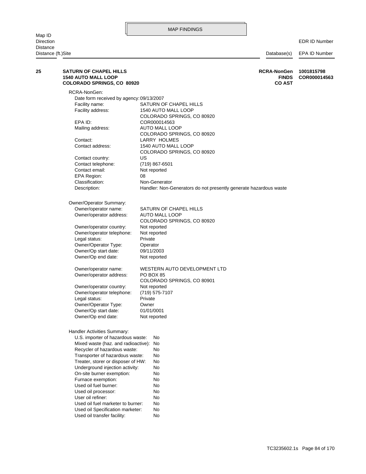MAP FINDINGS Map ID<br>Direction Direction EDR ID Number **Distance** Distance (ft.)Site Database(s) EPA ID Number Used oil transfer facility: No Used oil Specification marketer: No Used oil fuel marketer to burner: No User oil refiner: No Used oil processor: No Used oil fuel burner: No Furnace exemption: No On-site burner exemption: No Underground injection activity: No Treater, storer or disposer of HW: No Transporter of hazardous waste: No Recycler of hazardous waste: No Mixed waste (haz. and radioactive): No U.S. importer of hazardous waste: No Handler Activities Summary: Owner/Op end date: Not reported Owner/Op start date: 01/01/0001 Owner/Operator Type: Owner Legal status: Private Owner/operator telephone: (719) 575-7107 Owner/operator country: Not reported COLORADO SPRINGS, CO 80901 Owner/operator address: PO BOX 85 Owner/operator name: WESTERN AUTO DEVELOPMENT LTD Owner/Op end date: Not reported Owner/Op start date: 09/11/2003 Owner/Operator Type: Operator Legal status: Private Owner/operator telephone: Not reported Owner/operator country: Not reported COLORADO SPRINGS, CO 80920 Owner/operator address: AUTO MALL LOOP Owner/operator name: SATURN OF CHAPEL HILLS Owner/Operator Summary: Description: Handler: Non-Generators do not presently generate hazardous waste Classification: Non-Generator EPA Region: 08 Contact email: Not reported Contact telephone: (719) 867-6501 Contact country: US COLORADO SPRINGS, CO 80920 Contact address: 1540 AUTO MALL LOOP Contact: LARRY HOLMES COLORADO SPRINGS, CO 80920 Mailing address: AUTO MALL LOOP EPA ID: COR000014563 COLORADO SPRINGS, CO 80920 Facility address: 1540 AUTO MALL LOOP Facility name: SATURN OF CHAPEL HILLS Date form received by agency: 09/13/2007 RCRA-NonGen: **COLORADO SPRINGS, CO 80920 CO AST 1540 AUTO MALL LOOP FINDS COR000014563 25 SATURN OF CHAPEL HILLS RCRA-NonGen 1001815798**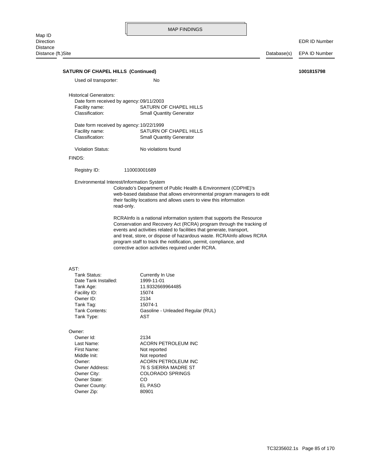EDR ID Number

| Used oil transporter:                     | No                                                                    |  |
|-------------------------------------------|-----------------------------------------------------------------------|--|
|                                           |                                                                       |  |
| <b>Historical Generators:</b>             |                                                                       |  |
| Date form received by agency: 09/11/2003  |                                                                       |  |
| Facility name:                            | SATURN OF CHAPEL HILLS                                                |  |
| Classification:                           | <b>Small Quantity Generator</b>                                       |  |
| Date form received by agency: 10/22/1999  |                                                                       |  |
| Facility name:                            | SATURN OF CHAPEL HILLS                                                |  |
| Classification:                           | <b>Small Quantity Generator</b>                                       |  |
|                                           | No violations found                                                   |  |
| <b>Violation Status:</b>                  |                                                                       |  |
| FINDS:                                    |                                                                       |  |
| Registry ID:                              | 110003001689                                                          |  |
| Environmental Interest/Information System |                                                                       |  |
|                                           | Colorado's Department of Public Health & Environment (CDPHE)'s        |  |
|                                           | web-based database that allows environmental program managers to edit |  |
|                                           | their facility locations and allows users to view this information    |  |
| read-only.                                |                                                                       |  |
|                                           | RCRAInfo is a national information system that supports the Resource  |  |
|                                           | Conservation and Recovery Act (RCRA) program through the tracking of  |  |
|                                           | events and activities related to facilities that generate, transport, |  |
|                                           | and treat, store, or dispose of hazardous waste. RCRAInfo allows RCRA |  |
|                                           |                                                                       |  |
|                                           | program staff to track the notification, permit, compliance, and      |  |
|                                           | corrective action activities required under RCRA.                     |  |
|                                           |                                                                       |  |
| AST:                                      |                                                                       |  |
| Tank Status:                              | Currently In Use                                                      |  |
| Date Tank Installed:                      | 1999-11-01                                                            |  |
| Tank Age:                                 | 11.9332669964485                                                      |  |
| Facility ID:                              | 15074                                                                 |  |
| Owner ID:                                 | 2134                                                                  |  |
| Tank Tag:                                 | 15074-1                                                               |  |
| Tank Contents:                            | Gasoline - Unleaded Regular (RUL)                                     |  |
| Tank Type:                                | <b>AST</b>                                                            |  |
|                                           |                                                                       |  |
| Owner:                                    |                                                                       |  |
| Owner Id:                                 | 2134                                                                  |  |
| Last Name:                                | ACORN PETROLEUM INC                                                   |  |
| First Name:                               | Not reported                                                          |  |
| Middle Init:                              | Not reported                                                          |  |
| Owner:                                    | <b>ACORN PETROLEUM INC</b>                                            |  |
| Owner Address:                            | 76 S SIERRA MADRE ST                                                  |  |
| Owner City:                               | <b>COLORADO SPRINGS</b>                                               |  |
| Owner State:                              | CO                                                                    |  |
| Owner County:                             | EL PASO                                                               |  |
| Owner Zip:                                | 80901                                                                 |  |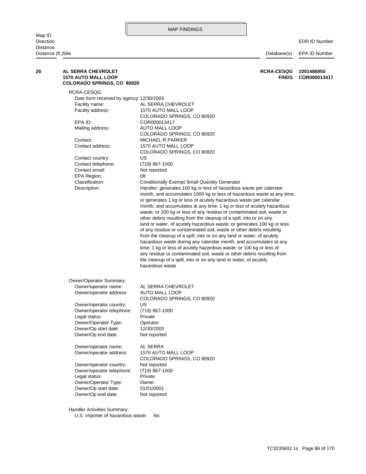RCRA-CESQG:

Distance (ft.)Site Database(s) EPA ID Number month, and accumulates at any time: 1 kg or less of acutely hazardous or generates 1 kg or less of acutely hazardous waste per calendar month, and accumulates 1000 kg or less of hazardous waste at any time; Description: Handler: generates 100 kg or less of hazardous waste per calendar Classification: Conditionally Exempt Small Quantity Generator EPA Region: 08 Contact email: Not reported Contact telephone: (719) 867-1000 Contact country: US COLORADO SPRINGS, CO 80920 Contact address: 1570 AUTO MALL LOOP Contact: MICHAEL R PARKER COLORADO SPRINGS, CO 80920 Mailing address: AUTO MALL LOOP EPA ID: COR000013417 COLORADO SPRINGS, CO 80920 Facility address: 1570 AUTO MALL LOOP Facility name: AL SERRA CHEVROLET Date form received by agency: 12/30/2003 **COLORADO SPRINGS, CO 80920 1570 AUTO MALL LOOP FINDS COR000013417 26 AL SERRA CHEVROLET RCRA-CESQG 1001486950**

waste; or 100 kg or less of any residue or contaminated soil, waste or

100 kg or less

|                           | other debris resulting from the cleanup of a spill, into or on any<br>land or water, of acutely hazardous waste; or generates 100 kg or less<br>of any residue or contaminated soil, waste or other debris resulting<br>from the cleanup of a spill, into or on any land or water, of acutely<br>hazardous waste during any calendar month, and accumulates at any<br>time: 1 kg or less of acutely hazardous waste; or 100 kg or less of<br>any residue or contaminated soil, waste or other debris resulting from<br>the cleanup of a spill, into or on any land or water, of acutely<br>hazardous waste |
|---------------------------|------------------------------------------------------------------------------------------------------------------------------------------------------------------------------------------------------------------------------------------------------------------------------------------------------------------------------------------------------------------------------------------------------------------------------------------------------------------------------------------------------------------------------------------------------------------------------------------------------------|
| Owner/Operator Summary:   |                                                                                                                                                                                                                                                                                                                                                                                                                                                                                                                                                                                                            |
| Owner/operator name:      | AL SERRA CHEVROLET                                                                                                                                                                                                                                                                                                                                                                                                                                                                                                                                                                                         |
| Owner/operator address:   | AUTO MALL LOOP                                                                                                                                                                                                                                                                                                                                                                                                                                                                                                                                                                                             |
|                           | COLORADO SPRINGS, CO 80920                                                                                                                                                                                                                                                                                                                                                                                                                                                                                                                                                                                 |
| Owner/operator country:   | US                                                                                                                                                                                                                                                                                                                                                                                                                                                                                                                                                                                                         |
| Owner/operator telephone: | (719) 867-1000                                                                                                                                                                                                                                                                                                                                                                                                                                                                                                                                                                                             |
| Legal status:             | Private                                                                                                                                                                                                                                                                                                                                                                                                                                                                                                                                                                                                    |
| Owner/Operator Type:      | Operator                                                                                                                                                                                                                                                                                                                                                                                                                                                                                                                                                                                                   |
| Owner/Op start date:      | 12/30/2003                                                                                                                                                                                                                                                                                                                                                                                                                                                                                                                                                                                                 |
| Owner/Op end date:        | Not reported                                                                                                                                                                                                                                                                                                                                                                                                                                                                                                                                                                                               |
|                           |                                                                                                                                                                                                                                                                                                                                                                                                                                                                                                                                                                                                            |

Owner/Op end date: Not reported Owner/Op start date: 01/01/0001 Owner/Operator Type: Owner Legal status: Private Owner/operator telephone: (719) 867-1000 Owner/operator country: Not reported COLORADO SPRINGS, CO 80920 Owner/operator address: 1570 AUTO MALL LOOP Owner/operator name: AL SERRA

Handler Activities Summary:

U.S. importer of hazardous waste: No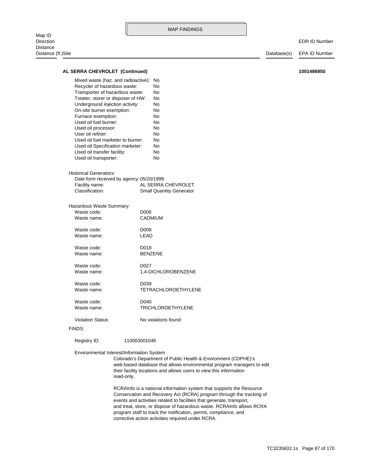### **AL SERRA CHEVROLET (Continued) 1001486950**

| Mixed waste (haz. and radioactive):<br>Recycler of hazardous waste:<br>Transporter of hazardous waste:<br>Treater, storer or disposer of HW:<br>Underground injection activity:<br>On-site burner exemption:<br>Furnace exemption:<br>Used oil fuel burner:<br>Used oil processor:<br>User oil refiner:<br>Used oil fuel marketer to burner:<br>Used oil Specification marketer:<br>Used oil transfer facility:<br>Used oil transporter: | N٥<br>N٥<br>No<br>No<br>Nο<br>Nο<br>Nο<br>No<br>N٥<br>No<br>Nο<br>No<br>No<br>No |
|------------------------------------------------------------------------------------------------------------------------------------------------------------------------------------------------------------------------------------------------------------------------------------------------------------------------------------------------------------------------------------------------------------------------------------------|----------------------------------------------------------------------------------|
| Historical Generators:<br>Date form received by agency: 05/20/1999<br>Facility name:<br>Classification:                                                                                                                                                                                                                                                                                                                                  | AI SERRA CHEVROI ET<br><b>Small Quantity Generator</b>                           |
| Hazardous Waste Summary:<br>Waste code:<br>Waste name:                                                                                                                                                                                                                                                                                                                                                                                   | D006<br><b>CADMIUM</b>                                                           |

| Waste code: | D <sub>008</sub> |
|-------------|------------------|
| Waste name: | I FAD            |
| Waste code: | D018             |
| Waste name: | <b>BENZENE</b>   |

Waste name: 1,4-DICHLOROBENZENE Waste code: D027

Waste name: TETRACHLOROETHYLENE Waste code: D039

Waste name: TRICHLOROETHYLENE Waste code: D040

Violation Status: No violations found

#### FINDS:

Registry ID: 110003001046

Environmental Interest/Information System

read-only. their facility locations and allows users to view this information web-based database that allows environmental program managers to edit Colorado's Department of Public Health & Environment (CDPHE)'s

corrective action activities required under RCRA. program staff to track the notification, permit, compliance, and and treat, store, or dispose of hazardous waste. RCRAInfo allows RCRA events and activities related to facilities that generate, transport, Conservation and Recovery Act (RCRA) program through the tracking of RCRAInfo is a national information system that supports the Resource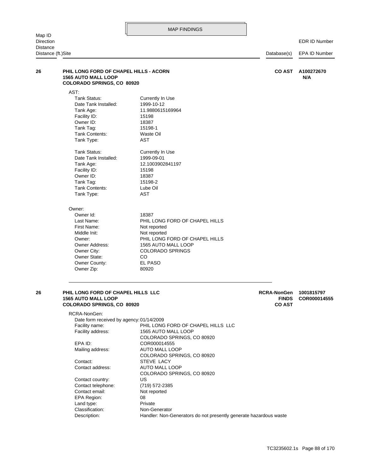EDR ID Number

| <b>Distance</b><br>Distance (ft.)Site |                                                                                                                                                                                                                                                                                                                                                                                                                                         |                                                                                                                                                                                                                                                                                                                                                                                                                   | Database(s)                                         | EPA ID Number              |
|---------------------------------------|-----------------------------------------------------------------------------------------------------------------------------------------------------------------------------------------------------------------------------------------------------------------------------------------------------------------------------------------------------------------------------------------------------------------------------------------|-------------------------------------------------------------------------------------------------------------------------------------------------------------------------------------------------------------------------------------------------------------------------------------------------------------------------------------------------------------------------------------------------------------------|-----------------------------------------------------|----------------------------|
| 26                                    | PHIL LONG FORD OF CHAPEL HILLS - ACORN<br><b>1565 AUTO MALL LOOP</b><br><b>COLORADO SPRINGS, CO 80920</b>                                                                                                                                                                                                                                                                                                                               |                                                                                                                                                                                                                                                                                                                                                                                                                   | <b>CO AST</b>                                       | A100272670<br>N/A          |
|                                       | AST:<br><b>Tank Status:</b><br>Date Tank Installed:<br>Tank Age:<br>Facility ID:<br>Owner ID:<br>Tank Tag:<br>Tank Contents:<br>Tank Type:<br>Tank Status:<br>Date Tank Installed:<br>Tank Age:<br>Facility ID:<br>Owner ID:<br>Tank Tag:<br>Tank Contents:<br>Tank Type:<br>Owner:<br>Owner Id:<br>Last Name:<br>First Name:<br>Middle Init:<br>Owner:<br>Owner Address:<br>Owner City:<br>Owner State:<br>Owner County:<br>Owner Zip: | Currently In Use<br>1999-10-12<br>11.9880615169964<br>15198<br>18387<br>15198-1<br>Waste Oil<br><b>AST</b><br>Currently In Use<br>1999-09-01<br>12.1003902841197<br>15198<br>18387<br>15198-2<br>Lube Oil<br><b>AST</b><br>18387<br>PHIL LONG FORD OF CHAPEL HILLS<br>Not reported<br>Not reported<br>PHIL LONG FORD OF CHAPEL HILLS<br>1565 AUTO MALL LOOP<br><b>COLORADO SPRINGS</b><br>CO.<br>EL PASO<br>80920 |                                                     |                            |
| 26                                    | PHIL LONG FORD OF CHAPEL HILLS LLC<br><b>1565 AUTO MALL LOOP</b><br><b>COLORADO SPRINGS, CO 80920</b>                                                                                                                                                                                                                                                                                                                                   |                                                                                                                                                                                                                                                                                                                                                                                                                   | <b>RCRA-NonGen</b><br><b>FINDS</b><br><b>CO AST</b> | 1001815797<br>COR000014555 |
|                                       | RCRA-NonGen:<br>Date form received by agency: 01/14/2009<br>Facility name:<br>Facility address:                                                                                                                                                                                                                                                                                                                                         | PHIL LONG FORD OF CHAPEL HILLS LLC<br>1565 AUTO MALL LOOP<br>COLORADO CRRIMOS, CO 80000                                                                                                                                                                                                                                                                                                                           |                                                     |                            |

Description: Handler: Non-Generators do not presently generate hazardous waste Classification: Non-Generator Land type: Private EPA Region: 08 Contact email: Not reported Contact telephone: (719) 572-2385 Contact country: US COLORADO SPRINGS, CO 80920 Contact address: AUTO MALL LOOP Contact: STEVE LACY COLORADO SPRINGS, CO 80920 Mailing address: AUTO MALL LOOP EPA ID: COR000014555 COLORADO SPRINGS, CO 80920

TC3235602.1s Page 88 of 170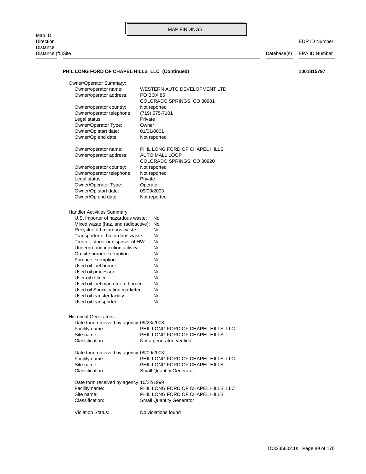Map ID<br>Direction Distance Distance (ft.)Site Distance (ft.)Site Distance (ft.)Site Database(s) EPA ID Number

EDR ID Number

# PHIL LONG FORD OF CHAPEL HILLS LLC (Continued) 1001815797

| Owner/Operator Summary:                  |                                    |
|------------------------------------------|------------------------------------|
| Owner/operator name:                     | WESTERN AUTO DEVELOPMENT LTD       |
| Owner/operator address:                  | PO BOX 85                          |
|                                          | COLORADO SPRINGS, CO 80901         |
| Owner/operator country:                  | Not reported                       |
| Owner/operator telephone:                | (719) 575-7101                     |
| Legal status:                            | Private                            |
| Owner/Operator Type:                     | Owner                              |
| Owner/Op start date:                     | 01/01/0001                         |
| Owner/Op end date:                       | Not reported                       |
|                                          |                                    |
| Owner/operator name:                     | PHIL LONG FORD OF CHAPEL HILLS     |
| Owner/operator address:                  | AUTO MALL LOOP                     |
|                                          | COLORADO SPRINGS, CO 80920         |
| Owner/operator country:                  | Not reported                       |
| Owner/operator telephone:                | Not reported                       |
| Legal status:                            | Private                            |
| Owner/Operator Type:                     | Operator                           |
| Owner/Op start date:                     | 09/09/2003                         |
| Owner/Op end date:                       | Not reported                       |
|                                          |                                    |
| Handler Activities Summary:              |                                    |
| U.S. importer of hazardous waste:        | No                                 |
| Mixed waste (haz. and radioactive):      | No                                 |
| Recycler of hazardous waste:             | No                                 |
| Transporter of hazardous waste:          | No                                 |
| Treater, storer or disposer of HW:       | No                                 |
| Underground injection activity:          | No                                 |
| On-site burner exemption:                | No                                 |
| Furnace exemption:                       | No                                 |
| Used oil fuel burner:                    | No                                 |
| Used oil processor:                      | No                                 |
| User oil refiner:                        | No                                 |
| Used oil fuel marketer to burner:        | No                                 |
|                                          |                                    |
| Used oil Specification marketer:         | No                                 |
| Used oil transfer facility:              | No                                 |
| Used oil transporter:                    | No                                 |
|                                          |                                    |
| <b>Historical Generators:</b>            |                                    |
| Date form received by agency: 09/23/2008 |                                    |
| Facility name:                           | PHIL LONG FORD OF CHAPEL HILLS LLC |
| Site name:                               | PHIL LONG FORD OF CHAPEL HILLS     |
| Classification:                          | Not a generator, verified          |
|                                          |                                    |
| Date form received by agency: 09/09/2003 |                                    |
| Facility name:                           | PHIL LONG FORD OF CHAPEL HILLS LLC |
| Site name:                               | PHIL LONG FORD OF CHAPEL HILLS     |
| Classification:                          | <b>Small Quantity Generator</b>    |
|                                          |                                    |
| Date form received by agency: 10/22/1999 |                                    |
| Facility name:                           | PHIL LONG FORD OF CHAPEL HILLS LLC |
| Site name:                               | PHIL LONG FORD OF CHAPEL HILLS     |
| Classification:                          | <b>Small Quantity Generator</b>    |
|                                          |                                    |
| Violation Status:                        | No violations found                |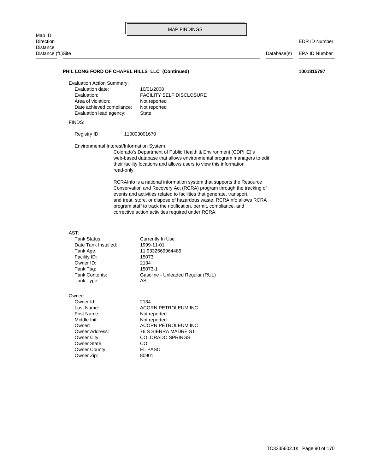#### PHIL LONG FORD OF CHAPEL HILLS LLC (Continued) 1001815797

Evaluation Action Summary:

| Evaluation date:          | 10/01/2008                      |
|---------------------------|---------------------------------|
| Evaluation:               | <b>FACILITY SELF DISCLOSURE</b> |
| Area of violation:        | Not reported                    |
| Date achieved compliance: | Not reported                    |
| Evaluation lead agency:   | State                           |
|                           |                                 |

#### FINDS:

Registry ID: 110003001670

Environmental Interest/Information System

read-only. their facility locations and allows users to view this information web-based database that allows environmental program managers to edit Colorado's Department of Public Health & Environment (CDPHE)'s

corrective action activities required under RCRA. program staff to track the notification, permit, compliance, and and treat, store, or dispose of hazardous waste. RCRAInfo allows RCRA events and activities related to facilities that generate, transport, Conservation and Recovery Act (RCRA) program through the tracking of RCRAInfo is a national information system that supports the Resource

# AST:<br>Tank

| Tank Status:         | Currently In Use                  |
|----------------------|-----------------------------------|
| Date Tank Installed: | 1999-11-01                        |
| Tank Age:            | 11.9332669964485                  |
| Facility ID:         | 15073                             |
| Owner ID:            | 2134                              |
| Tank Tag:            | 15073-1                           |
| Tank Contents:       | Gasoline - Unleaded Regular (RUL) |
| Tank Type:           | AST                               |
|                      |                                   |

#### Owner:

Owner Zip: 80901 Owner County: EL PASO Owner State: CO Middle Init: Not reported First Name: Not reported Owner Id: 2134

Owner City: COLORADO SPRINGS Owner Address: 76 S SIERRA MADRE ST Owner: ACORN PETROLEUM INC Last Name: ACORN PETROLEUM INC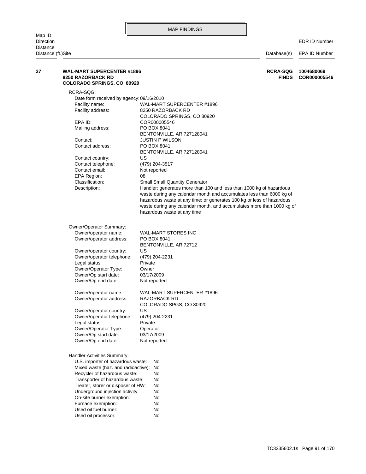| Distance<br>Distance (ft.)Site |                                                                                                    |                                                                       | Database(s)                     | <b>EPA ID Number</b>       |
|--------------------------------|----------------------------------------------------------------------------------------------------|-----------------------------------------------------------------------|---------------------------------|----------------------------|
| 27                             | <b>WAL-MART SUPERCENTER #1896</b><br><b>8250 RAZORBACK RD</b><br><b>COLORADO SPRINGS, CO 80920</b> |                                                                       | <b>RCRA-SQG</b><br><b>FINDS</b> | 1004680069<br>COR000005546 |
|                                | RCRA-SQG:                                                                                          |                                                                       |                                 |                            |
|                                | Date form received by agency: 09/16/2010                                                           |                                                                       |                                 |                            |
|                                | Facility name:                                                                                     | WAL-MART SUPERCENTER #1896                                            |                                 |                            |
|                                | Facility address:                                                                                  | 8250 RAZORBACK RD                                                     |                                 |                            |
|                                |                                                                                                    | COLORADO SPRINGS, CO 80920                                            |                                 |                            |
|                                | EPA ID:                                                                                            | COR000005546                                                          |                                 |                            |
|                                | Mailing address:                                                                                   | PO BOX 8041                                                           |                                 |                            |
|                                |                                                                                                    | BENTONVILLE, AR 727128041                                             |                                 |                            |
|                                | Contact:<br>Contact address:                                                                       | <b>JUSTIN P WILSON</b>                                                |                                 |                            |
|                                |                                                                                                    | PO BOX 8041<br>BENTONVILLE, AR 727128041                              |                                 |                            |
|                                | Contact country:                                                                                   | US                                                                    |                                 |                            |
|                                | Contact telephone:                                                                                 | (479) 204-3517                                                        |                                 |                            |
|                                | Contact email:                                                                                     | Not reported                                                          |                                 |                            |
|                                | EPA Region:                                                                                        | 08                                                                    |                                 |                            |
|                                | Classification:                                                                                    | <b>Small Small Quantity Generator</b>                                 |                                 |                            |
|                                | Description:                                                                                       | Handler: generates more than 100 and less than 1000 kg of hazardous   |                                 |                            |
|                                |                                                                                                    | waste during any calendar month and accumulates less than 6000 kg of  |                                 |                            |
|                                |                                                                                                    | hazardous waste at any time; or generates 100 kg or less of hazardous |                                 |                            |
|                                |                                                                                                    | waste during any calendar month, and accumulates more than 1000 kg of |                                 |                            |
|                                |                                                                                                    | hazardous waste at any time                                           |                                 |                            |
|                                | Owner/Operator Summary:                                                                            |                                                                       |                                 |                            |
|                                | Owner/operator name:                                                                               | WAL-MART STORES INC                                                   |                                 |                            |
|                                | Owner/operator address:                                                                            | PO BOX 8041                                                           |                                 |                            |
|                                |                                                                                                    | BENTONVILLE, AR 72712                                                 |                                 |                            |
|                                | Owner/operator country:                                                                            | US                                                                    |                                 |                            |
|                                | Owner/operator telephone:                                                                          | (479) 204-2231                                                        |                                 |                            |
|                                | Legal status:                                                                                      | Private                                                               |                                 |                            |
|                                | Owner/Operator Type:                                                                               | Owner                                                                 |                                 |                            |
|                                | Owner/Op start date:                                                                               | 03/17/2009                                                            |                                 |                            |
|                                | Owner/Op end date:                                                                                 | Not reported                                                          |                                 |                            |
|                                | Owner/operator name:                                                                               | WAL-MART SUPERCENTER #1896                                            |                                 |                            |
|                                | Owner/operator address:                                                                            | <b>RAZORBACK RD</b>                                                   |                                 |                            |
|                                |                                                                                                    | COLORADO SPGS, CO 80920                                               |                                 |                            |
|                                | Owner/operator country:                                                                            | US                                                                    |                                 |                            |
|                                | Owner/operator telephone:                                                                          | (479) 204-2231<br>Private                                             |                                 |                            |
|                                | Legal status:<br>Owner/Operator Type:                                                              | Operator                                                              |                                 |                            |
|                                | Owner/Op start date:                                                                               | 03/17/2009                                                            |                                 |                            |
|                                | Owner/Op end date:                                                                                 | Not reported                                                          |                                 |                            |
|                                |                                                                                                    |                                                                       |                                 |                            |
|                                | Handler Activities Summary:<br>U.S. importer of hazardous waste:                                   | No                                                                    |                                 |                            |
|                                | Mixed waste (haz. and radioactive):                                                                | No                                                                    |                                 |                            |
|                                | Recycler of hazardous waste:                                                                       | No                                                                    |                                 |                            |
|                                | Transporter of hazardous waste:                                                                    | No                                                                    |                                 |                            |
|                                | Treater, storer or disposer of HW:                                                                 | No                                                                    |                                 |                            |
|                                | Underground injection activity:                                                                    | No                                                                    |                                 |                            |
|                                | On-site burner exemption:                                                                          | No                                                                    |                                 |                            |
|                                | Furnace exemption:                                                                                 | No                                                                    |                                 |                            |
|                                | Used oil fuel burner:                                                                              | No                                                                    |                                 |                            |
|                                | Used oil processor:                                                                                | No                                                                    |                                 |                            |

EDR ID Number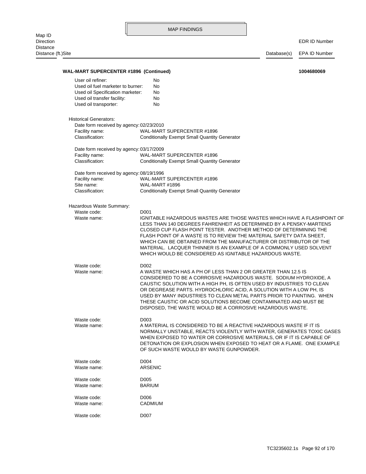# Distance (ft.)Site Database(s) EPA ID Number Waste code: D007 Waste name: CADMIUM Waste code: D006 Waste name: BARIUM Waste code: 0005 Waste name: ARSENIC Waste code: D004 OF SUCH WASTE WOULD BY WASTE GUNPOWDER. DETONATION OR EXPLOSION WHEN EXPOSED TO HEAT OR A FLAME. ONE EXAMPLE WHEN EXPOSED TO WATER OR CORROSIVE MATERIALS, OR IF IT IS CAPABLE OF NORMALLY UNSTABLE, REACTS VIOLENTLY WITH WATER, GENERATES TOXIC GASES Waste name: A MATERIAL IS CONSIDERED TO BE A REACTIVE HAZARDOUS WASTE IF IT IS Waste code: D003 DISPOSED, THE WASTE WOULD BE A CORROSIVE HAZARDOUS WASTE. THESE CAUSTIC OR ACID SOLUTIONS BECOME CONTAMINATED AND MUST BE USED BY MANY INDUSTRIES TO CLEAN METAL PARTS PRIOR TO PAINTING. WHEN OR DEGREASE PARTS. HYDROCHLORIC ACID, A SOLUTION WITH A LOW PH, IS CAUSTIC SOLUTION WITH A HIGH PH, IS OFTEN USED BY INDUSTRIES TO CLEAN CONSIDERED TO BE A CORROSIVE HAZARDOUS WASTE. SODIUM HYDROXIDE, A Waste name: A WASTE WHICH HAS A PH OF LESS THAN 2 OR GREATER THAN 12.5 IS Waste code: D002 WHICH WOULD BE CONSIDERED AS IGNITABLE HAZARDOUS WASTE. MATERIAL. LACQUER THINNER IS AN EXAMPLE OF A COMMONLY USED SOLVENT WHICH CAN BE OBTAINED FROM THE MANUFACTURER OR DISTRIBUTOR OF THE FLASH POINT OF A WASTE IS TO REVIEW THE MATERIAL SAFETY DATA SHEET, CLOSED CUP FLASH POINT TESTER. ANOTHER METHOD OF DETERMINING THE LESS THAN 140 DEGREES FAHRENHEIT AS DETERMINED BY A PENSKY-MARTENS Waste name: **IGNITABLE HAZARDOUS WASTES ARE THOSE WASTES WHICH HAVE A FLASHPOINT OF** Waste code: D001 Hazardous Waste Summary: Classification: Conditionally Exempt Small Quantity Generator Site name: WAL-MART #1896 Facility name: WAL-MART SUPERCENTER #1896 Date form received by agency: 08/19/1996 Classification: Conditionally Exempt Small Quantity Generator Facility name: WAL-MART SUPERCENTER #1896 Date form received by agency: 03/17/2009 Classification: Conditionally Exempt Small Quantity Generator Facility name: WAL-MART SUPERCENTER #1896 Date form received by agency: 02/23/2010 Historical Generators: Used oil transporter: No Used oil transfer facility: No Used oil Specification marketer: No Used oil fuel marketer to burner: No User oil refiner: No **WAL-MART SUPERCENTER #1896 (Continued) 1004680069**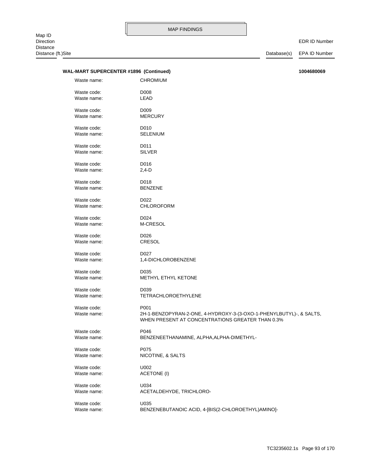### EDR ID Number

| WAL-MART SUPERCENTER #1896 (Continued) |                                                                                                                         |
|----------------------------------------|-------------------------------------------------------------------------------------------------------------------------|
| Waste name:                            | <b>CHROMIUM</b>                                                                                                         |
| Waste code:                            | D008                                                                                                                    |
| Waste name:                            | LEAD                                                                                                                    |
| Waste code:                            | D <sub>009</sub>                                                                                                        |
| Waste name:                            | <b>MERCURY</b>                                                                                                          |
|                                        |                                                                                                                         |
| Waste code:                            | D010                                                                                                                    |
| Waste name:                            | <b>SELENIUM</b>                                                                                                         |
| Waste code:                            | D011                                                                                                                    |
| Waste name:                            | <b>SILVER</b>                                                                                                           |
| Waste code:                            | D016                                                                                                                    |
| Waste name:                            | $2,4-D$                                                                                                                 |
|                                        |                                                                                                                         |
| Waste code:                            | D018                                                                                                                    |
| Waste name:                            | <b>BENZENE</b>                                                                                                          |
| Waste code:                            | D022                                                                                                                    |
| Waste name:                            | <b>CHLOROFORM</b>                                                                                                       |
|                                        |                                                                                                                         |
| Waste code:                            | D024                                                                                                                    |
| Waste name:                            | M-CRESOL                                                                                                                |
| Waste code:                            | D026                                                                                                                    |
| Waste name:                            | CRESOL                                                                                                                  |
| Waste code:                            | D027                                                                                                                    |
| Waste name:                            | 1,4-DICHLOROBENZENE                                                                                                     |
|                                        |                                                                                                                         |
| Waste code:                            | D035                                                                                                                    |
| Waste name:                            | METHYL ETHYL KETONE                                                                                                     |
| Waste code:                            | D039                                                                                                                    |
| Waste name:                            | <b>TETRACHLOROETHYLENE</b>                                                                                              |
|                                        |                                                                                                                         |
| Waste code:                            | P001                                                                                                                    |
| Waste name:                            | 2H-1-BENZOPYRAN-2-ONE, 4-HYDROXY-3-(3-OXO-1-PHENYLBUTYL)-, & SALTS,<br>WHEN PRESENT AT CONCENTRATIONS GREATER THAN 0.3% |
| Waste code:                            | P046                                                                                                                    |
| Waste name:                            | BENZENEETHANAMINE, ALPHA, ALPHA-DIMETHYL-                                                                               |
| Waste code:                            | P075                                                                                                                    |
| Waste name:                            | NICOTINE, & SALTS                                                                                                       |
|                                        |                                                                                                                         |
| Waste code:                            | U002                                                                                                                    |
| Waste name:                            | <b>ACETONE (I)</b>                                                                                                      |
| Waste code:                            | U034                                                                                                                    |
| Waste name:                            | ACETALDEHYDE, TRICHLORO-                                                                                                |
|                                        |                                                                                                                         |
| Waste code:                            | U035                                                                                                                    |
| Waste name:                            | BENZENEBUTANOIC ACID, 4-[BIS(2-CHLOROETHYL)AMINO]-                                                                      |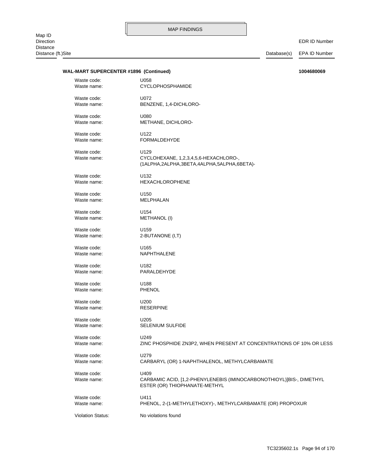EDR ID Number

# WAL-MART SUPERCENTER #1896 (Continued) **1004680069**

| Waste code:                | U058                                                                                                          |
|----------------------------|---------------------------------------------------------------------------------------------------------------|
| Waste name:                | CYCLOPHOSPHAMIDE                                                                                              |
| Waste code:                | U072                                                                                                          |
| Waste name:                | BENZENE, 1,4-DICHLORO-                                                                                        |
| Waste code:                | U080                                                                                                          |
| Waste name:                | <b>METHANE, DICHLORO-</b>                                                                                     |
| Waste code:                | U122                                                                                                          |
| Waste name:                | FORMALDEHYDE                                                                                                  |
| Waste code:<br>Waste name: | U129<br>CYCLOHEXANE, 1,2,3,4,5,6-HEXACHLORO-,<br>(1ALPHA,2ALPHA,3BETA,4ALPHA,5ALPHA,6BETA)-                   |
| Waste code:                | U132                                                                                                          |
| Waste name:                | <b>HEXACHLOROPHENE</b>                                                                                        |
| Waste code:                | U <sub>150</sub>                                                                                              |
| Waste name:                | MELPHALAN                                                                                                     |
| Waste code:                | U154                                                                                                          |
| Waste name:                | METHANOL (I)                                                                                                  |
| Waste code:                | U159                                                                                                          |
| Waste name:                | 2-BUTANONE (I,T)                                                                                              |
| Waste code:                | U165                                                                                                          |
| Waste name:                | NAPHTHALENE                                                                                                   |
| Waste code:                | U182                                                                                                          |
| Waste name:                | PARALDEHYDE                                                                                                   |
| Waste code:                | U188                                                                                                          |
| Waste name:                | <b>PHENOL</b>                                                                                                 |
| Waste code:                | U200                                                                                                          |
| Waste name:                | <b>RESERPINE</b>                                                                                              |
| Waste code:                | U205                                                                                                          |
| Waste name:                | <b>SELENIUM SULFIDE</b>                                                                                       |
| Waste code:                | U249                                                                                                          |
| Waste name:                | ZINC PHOSPHIDE ZN3P2, WHEN PRESENT AT CONCENTRATIONS OF 10% OR LESS                                           |
| Waste code:                | U279                                                                                                          |
| Waste name:                | CARBARYL (OR) 1-NAPHTHALENOL, METHYLCARBAMATE                                                                 |
| Waste code:<br>Waste name: | U409<br>CARBAMIC ACID, [1,2-PHENYLENEBIS (IMINOCARBONOTHIOYL)]BIS-, DIMETHYL<br>ESTER (OR) THIOPHANATE-METHYL |
| Waste code:                | U411                                                                                                          |
| Waste name:                | PHENOL, 2-(1-METHYLETHOXY)-, METHYLCARBAMATE (OR) PROPOXUR                                                    |
| <b>Violation Status:</b>   | No violations found                                                                                           |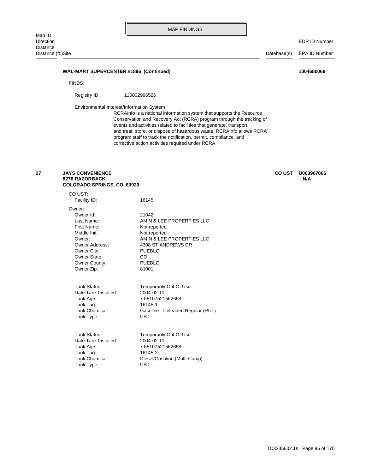#### **WAL-MART SUPERCENTER #1896 (Continued) 1004680069**

FINDS:

Registry ID: 110002996526

Environmental Interest/Information System

corrective action activities required under RCRA. program staff to track the notification, permit, compliance, and and treat, store, or dispose of hazardous waste. RCRAInfo allows RCRA events and activities related to facilities that generate, transport, Conservation and Recovery Act (RCRA) program through the tracking of RCRAInfo is a national information system that supports the Resource

#### **COLORADO SPRINGS, CO 80920 8276 RAZORBACK N/A 27 JAYS CONVENIENCE CO UST U003967866**

Tank Type: UST Tank Chemical: Diesel/Gasoline (Multi-Comp) Tank Tag: 16145-2 Tank Age: 7.65107521562658 Date Tank Installed: 2004-02-11 Tank Status: Temporarily Out Of Use Tank Type: UST Tank Chemical: Gasoline - Unleaded Regular (RUL) Tank Tag: 16145-1 Tank Age: 7.65107521562658 Date Tank Installed: 2004-02-11 Tank Status: Temporarily Out Of Use Owner Zip: 81001 Owner County: PUEBLO Owner State: CO Owner City: PUEBLO Owner Address: 4308 ST ANDREWS DR Owner: AMIN & LEE PROPERTIES LLC Middle Init: Not reported First Name: Not reported Last Name: <br>
AMIN & LEE PROPERTIES LLC Owner Id: 21042 Owner: Facility ID: 16145 CO UST: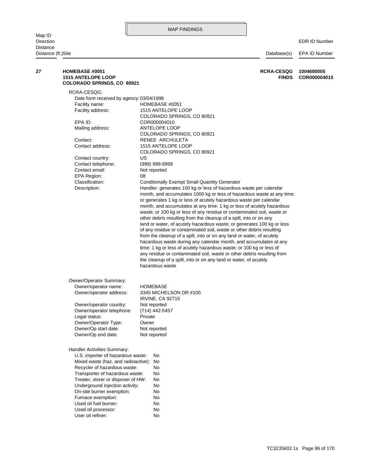Map ID<br>Direction Distance Distance (ft.)Site Database(s) EPA ID Number

| 27 | <b>HOMEBASE #0051</b><br><b>1515 ANTELOPE LOOP</b><br><b>COLORADO SPRINGS, CO 80921</b> | <b>RCRA-CESQG</b><br><b>FINDS</b>                                      | 1004680005<br>COR000004010 |
|----|-----------------------------------------------------------------------------------------|------------------------------------------------------------------------|----------------------------|
|    | RCRA-CESQG:                                                                             |                                                                        |                            |
|    | Date form received by agency: 03/04/1996                                                |                                                                        |                            |
|    | Facility name:                                                                          | HOMEBASE #0051                                                         |                            |
|    | Facility address:                                                                       | 1515 ANTELOPE LOOP                                                     |                            |
|    |                                                                                         | COLORADO SPRINGS, CO 80921                                             |                            |
|    | EPA ID:                                                                                 | COR000004010                                                           |                            |
|    | Mailing address:                                                                        | ANTELOPE LOOP                                                          |                            |
|    |                                                                                         | COLORADO SPRINGS, CO 80921                                             |                            |
|    | Contact:                                                                                | RENEE ARCHULETA                                                        |                            |
|    | Contact address:                                                                        | 1515 ANTELOPE LOOP                                                     |                            |
|    |                                                                                         | COLORADO SPRINGS, CO 80921                                             |                            |
|    | Contact country:                                                                        | US                                                                     |                            |
|    | Contact telephone:                                                                      | (999) 999-9999                                                         |                            |
|    | Contact email:                                                                          | Not reported                                                           |                            |
|    | EPA Region:                                                                             | 08                                                                     |                            |
|    | Classification:                                                                         | <b>Conditionally Exempt Small Quantity Generator</b>                   |                            |
|    | Description:                                                                            | Handler: generates 100 kg or less of hazardous waste per calendar      |                            |
|    |                                                                                         | month, and accumulates 1000 kg or less of hazardous waste at any time; |                            |
|    |                                                                                         | or generates 1 kg or less of acutely hazardous waste per calendar      |                            |
|    |                                                                                         | month, and accumulates at any time: 1 kg or less of acutely hazardous  |                            |
|    |                                                                                         | waste; or 100 kg or less of any residue or contaminated soil, waste or |                            |
|    |                                                                                         | other debris resulting from the cleanup of a spill, into or on any     |                            |
|    |                                                                                         | land or water, of acutely hazardous waste; or generates 100 kg or less |                            |
|    |                                                                                         | of any residue or contaminated soil, waste or other debris resulting   |                            |
|    |                                                                                         | from the cleanup of a spill, into or on any land or water, of acutely  |                            |
|    |                                                                                         | hazardous waste during any calendar month, and accumulates at any      |                            |
|    |                                                                                         | time: 1 kg or less of acutely hazardous waste; or 100 kg or less of    |                            |
|    |                                                                                         | any residue or contaminated soil, waste or other debris resulting from |                            |
|    |                                                                                         | the cleanup of a spill, into or on any land or water, of acutely       |                            |
|    |                                                                                         | hazardous waste                                                        |                            |
|    | Owner/Operator Summary:                                                                 |                                                                        |                            |
|    | Owner/operator name:                                                                    | HOMEBASE                                                               |                            |
|    | Owner/operator address:                                                                 | 3345 MICHELSON DR #100                                                 |                            |
|    |                                                                                         | <b>IRVINE, CA 92715</b>                                                |                            |
|    | Owner/operator country:                                                                 | Not reported                                                           |                            |
|    | Owner/operator telephone:                                                               | (714) 442-5457                                                         |                            |
|    | Legal status:                                                                           | Private                                                                |                            |
|    | Owner/Operator Type:                                                                    | Owner                                                                  |                            |
|    | Owner/Op start date:                                                                    | Not reported                                                           |                            |
|    | Owner/Op end date:                                                                      | Not reported                                                           |                            |
|    | Handler Activities Summary:                                                             |                                                                        |                            |
|    | U.S. importer of hazardous waste:                                                       | No                                                                     |                            |
|    | Mixed waste (haz. and radioactive):                                                     | No                                                                     |                            |
|    | Recycler of hazardous waste:                                                            | No                                                                     |                            |
|    | Transporter of hazardous waste:                                                         | No                                                                     |                            |
|    | Treater, storer or disposer of HW:                                                      | No                                                                     |                            |
|    | Underground injection activity:                                                         | No                                                                     |                            |
|    | On-site burner exemption:                                                               | No                                                                     |                            |
|    | Furnace exemption:                                                                      | No                                                                     |                            |
|    | Used oil fuel burner:                                                                   | No                                                                     |                            |
|    | Used oil processor:                                                                     | No                                                                     |                            |
|    | User oil refiner:                                                                       | No                                                                     |                            |
|    |                                                                                         |                                                                        |                            |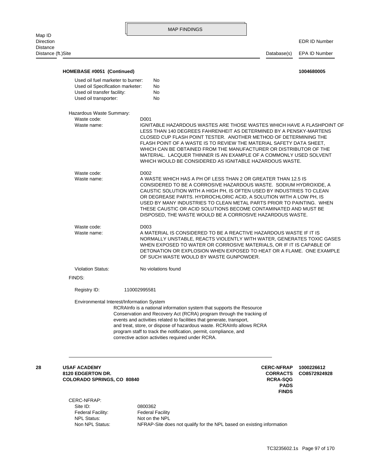EDR ID Number

| HOMEBASE #0051 (Continued)                                                    |                                                                                                                                                                                                                                                                                                                                                                                                                         | 1004680005                                                                                                                                                                                                                                                                                                                                                                                                                                                                                    |
|-------------------------------------------------------------------------------|-------------------------------------------------------------------------------------------------------------------------------------------------------------------------------------------------------------------------------------------------------------------------------------------------------------------------------------------------------------------------------------------------------------------------|-----------------------------------------------------------------------------------------------------------------------------------------------------------------------------------------------------------------------------------------------------------------------------------------------------------------------------------------------------------------------------------------------------------------------------------------------------------------------------------------------|
| Used oil fuel marketer to burner:                                             | No                                                                                                                                                                                                                                                                                                                                                                                                                      |                                                                                                                                                                                                                                                                                                                                                                                                                                                                                               |
| Used oil Specification marketer:                                              | No                                                                                                                                                                                                                                                                                                                                                                                                                      |                                                                                                                                                                                                                                                                                                                                                                                                                                                                                               |
| Used oil transfer facility:                                                   | No                                                                                                                                                                                                                                                                                                                                                                                                                      |                                                                                                                                                                                                                                                                                                                                                                                                                                                                                               |
| Used oil transporter:                                                         | No                                                                                                                                                                                                                                                                                                                                                                                                                      |                                                                                                                                                                                                                                                                                                                                                                                                                                                                                               |
| Hazardous Waste Summary:                                                      |                                                                                                                                                                                                                                                                                                                                                                                                                         |                                                                                                                                                                                                                                                                                                                                                                                                                                                                                               |
| Waste code:                                                                   | D001                                                                                                                                                                                                                                                                                                                                                                                                                    |                                                                                                                                                                                                                                                                                                                                                                                                                                                                                               |
| Waste name:                                                                   |                                                                                                                                                                                                                                                                                                                                                                                                                         | IGNITABLE HAZARDOUS WASTES ARE THOSE WASTES WHICH HAVE A FLASHPOINT OF<br>LESS THAN 140 DEGREES FAHRENHEIT AS DETERMINED BY A PENSKY-MARTENS<br>CLOSED CUP FLASH POINT TESTER. ANOTHER METHOD OF DETERMINING THE<br>FLASH POINT OF A WASTE IS TO REVIEW THE MATERIAL SAFETY DATA SHEET.<br>WHICH CAN BE OBTAINED FROM THE MANUFACTURER OR DISTRIBUTOR OF THE<br>MATERIAL. LACQUER THINNER IS AN EXAMPLE OF A COMMONLY USED SOLVENT<br>WHICH WOULD BE CONSIDERED AS IGNITABLE HAZARDOUS WASTE. |
| Waste code:                                                                   | D002                                                                                                                                                                                                                                                                                                                                                                                                                    |                                                                                                                                                                                                                                                                                                                                                                                                                                                                                               |
| Waste name:                                                                   |                                                                                                                                                                                                                                                                                                                                                                                                                         | A WASTE WHICH HAS A PH OF LESS THAN 2 OR GREATER THAN 12.5 IS                                                                                                                                                                                                                                                                                                                                                                                                                                 |
|                                                                               |                                                                                                                                                                                                                                                                                                                                                                                                                         | CONSIDERED TO BE A CORROSIVE HAZARDOUS WASTE. SODIUM HYDROXIDE, A<br>CAUSTIC SOLUTION WITH A HIGH PH, IS OFTEN USED BY INDUSTRIES TO CLEAN<br>OR DEGREASE PARTS. HYDROCHLORIC ACID, A SOLUTION WITH A LOW PH, IS<br>USED BY MANY INDUSTRIES TO CLEAN METAL PARTS PRIOR TO PAINTING. WHEN<br>THESE CAUSTIC OR ACID SOLUTIONS BECOME CONTAMINATED AND MUST BE<br>DISPOSED, THE WASTE WOULD BE A CORROSIVE HAZARDOUS WASTE.                                                                      |
| Waste code:                                                                   | D <sub>003</sub>                                                                                                                                                                                                                                                                                                                                                                                                        |                                                                                                                                                                                                                                                                                                                                                                                                                                                                                               |
| Waste name:                                                                   | OF SUCH WASTE WOULD BY WASTE GUNPOWDER.                                                                                                                                                                                                                                                                                                                                                                                 | A MATERIAL IS CONSIDERED TO BE A REACTIVE HAZARDOUS WASTE IF IT IS<br>NORMALLY UNSTABLE, REACTS VIOLENTLY WITH WATER, GENERATES TOXIC GASES<br>WHEN EXPOSED TO WATER OR CORROSIVE MATERIALS, OR IF IT IS CAPABLE OF<br>DETONATION OR EXPLOSION WHEN EXPOSED TO HEAT OR A FLAME. ONE EXAMPLE                                                                                                                                                                                                   |
| <b>Violation Status:</b>                                                      | No violations found                                                                                                                                                                                                                                                                                                                                                                                                     |                                                                                                                                                                                                                                                                                                                                                                                                                                                                                               |
| FINDS:                                                                        |                                                                                                                                                                                                                                                                                                                                                                                                                         |                                                                                                                                                                                                                                                                                                                                                                                                                                                                                               |
| Registry ID:                                                                  | 110002995581                                                                                                                                                                                                                                                                                                                                                                                                            |                                                                                                                                                                                                                                                                                                                                                                                                                                                                                               |
| Environmental Interest/Information System                                     | RCRAInfo is a national information system that supports the Resource<br>Conservation and Recovery Act (RCRA) program through the tracking of<br>events and activities related to facilities that generate, transport,<br>and treat, store, or dispose of hazardous waste. RCRAInfo allows RCRA<br>program staff to track the notification, permit, compliance, and<br>corrective action activities required under RCRA. |                                                                                                                                                                                                                                                                                                                                                                                                                                                                                               |
| <b>USAF ACADEMY</b><br>8120 EDGERTON DR.<br><b>COLORADO SPRINGS, CO 80840</b> |                                                                                                                                                                                                                                                                                                                                                                                                                         | <b>CERC-NFRAP</b><br>1000226612<br><b>CORRACTS</b><br>CO8572924928<br><b>RCRA-SQG</b><br><b>PADS</b><br><b>FINDS</b>                                                                                                                                                                                                                                                                                                                                                                          |
| CERC-NFRAP:                                                                   |                                                                                                                                                                                                                                                                                                                                                                                                                         |                                                                                                                                                                                                                                                                                                                                                                                                                                                                                               |
| Site ID:                                                                      | 0800362                                                                                                                                                                                                                                                                                                                                                                                                                 |                                                                                                                                                                                                                                                                                                                                                                                                                                                                                               |
| Federal Facility:                                                             | <b>Federal Facility</b>                                                                                                                                                                                                                                                                                                                                                                                                 |                                                                                                                                                                                                                                                                                                                                                                                                                                                                                               |
| <b>NPL Status:</b>                                                            | Not on the NPL                                                                                                                                                                                                                                                                                                                                                                                                          |                                                                                                                                                                                                                                                                                                                                                                                                                                                                                               |

Non NPL Status: NFRAP-Site does not qualify for the NPL based on existing information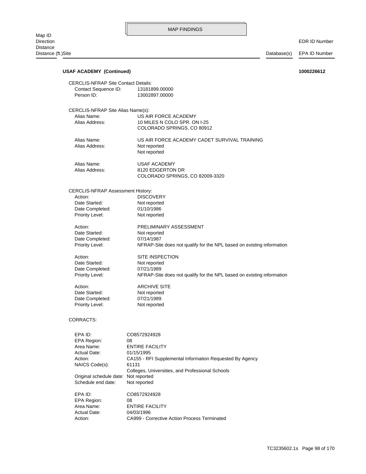| <b>USAF ACADEMY (Continued)</b><br>1000226612                      |                                                                                     |  |  |  |  |
|--------------------------------------------------------------------|-------------------------------------------------------------------------------------|--|--|--|--|
| <b>CERCLIS-NFRAP Site Contact Details:</b><br>Contact Sequence ID: | 13181899.00000                                                                      |  |  |  |  |
| Person ID:                                                         | 13002897.00000                                                                      |  |  |  |  |
|                                                                    | CERCLIS-NFRAP Site Alias Name(s):                                                   |  |  |  |  |
| Alias Name:                                                        | US AIR FORCE ACADEMY                                                                |  |  |  |  |
| Alias Address:                                                     | 10 MILES N COLO SPR. ON I-25<br>COLORADO SPRINGS, CO 80912                          |  |  |  |  |
| Alias Name:                                                        | US AIR FORCE ACADEMY CADET SURVIVAL TRAINING                                        |  |  |  |  |
| Alias Address:                                                     | Not reported<br>Not reported                                                        |  |  |  |  |
| Alias Name:                                                        | USAF ACADEMY                                                                        |  |  |  |  |
| Alias Address:                                                     | 8120 EDGERTON DR                                                                    |  |  |  |  |
|                                                                    | COLORADO SPRINGS, CO 82009-3320                                                     |  |  |  |  |
| <b>CERCLIS-NFRAP Assessment History:</b>                           |                                                                                     |  |  |  |  |
| Action:                                                            | <b>DISCOVERY</b>                                                                    |  |  |  |  |
| Date Started:<br>Date Completed:                                   | Not reported<br>01/10/1986                                                          |  |  |  |  |
| Priority Level:                                                    | Not reported                                                                        |  |  |  |  |
|                                                                    |                                                                                     |  |  |  |  |
| Action:<br>Date Started:                                           | PRELIMINARY ASSESSMENT                                                              |  |  |  |  |
| Date Completed:                                                    | Not reported<br>07/14/1987                                                          |  |  |  |  |
| Priority Level:                                                    | NFRAP-Site does not qualify for the NPL based on existing information               |  |  |  |  |
| Action:                                                            | SITE INSPECTION                                                                     |  |  |  |  |
| Date Started:                                                      | Not reported                                                                        |  |  |  |  |
| Date Completed:<br>Priority Level:                                 | 07/21/1989<br>NFRAP-Site does not qualify for the NPL based on existing information |  |  |  |  |
| Action:                                                            | <b>ARCHIVE SITE</b>                                                                 |  |  |  |  |
| Date Started:                                                      | Not reported                                                                        |  |  |  |  |
| Date Completed:                                                    | 07/21/1989                                                                          |  |  |  |  |
| Priority Level:                                                    | Not reported                                                                        |  |  |  |  |
| CORRACTS:                                                          |                                                                                     |  |  |  |  |
| EPA ID:                                                            | CO8572924928                                                                        |  |  |  |  |
| <b>EPA Region:</b>                                                 | 08                                                                                  |  |  |  |  |
| Area Name:                                                         | <b>ENTIRE FACILITY</b>                                                              |  |  |  |  |
| Actual Date:                                                       | 01/15/1995                                                                          |  |  |  |  |
| Action:                                                            | CA155 - RFI Supplemental Information Requested By Agency                            |  |  |  |  |
| NAICS Code(s):                                                     | 61131                                                                               |  |  |  |  |
| Original schedule date: Not reported                               | Colleges, Universities, and Professional Schools                                    |  |  |  |  |
| Schedule end date:                                                 | Not reported                                                                        |  |  |  |  |
| EPA ID:                                                            | CO8572924928                                                                        |  |  |  |  |
| EPA Region:                                                        | 08                                                                                  |  |  |  |  |
| Area Name:                                                         | <b>ENTIRE FACILITY</b>                                                              |  |  |  |  |
| Actual Date:                                                       | 04/03/1996                                                                          |  |  |  |  |
| Action:                                                            | CA999 - Corrective Action Process Terminated                                        |  |  |  |  |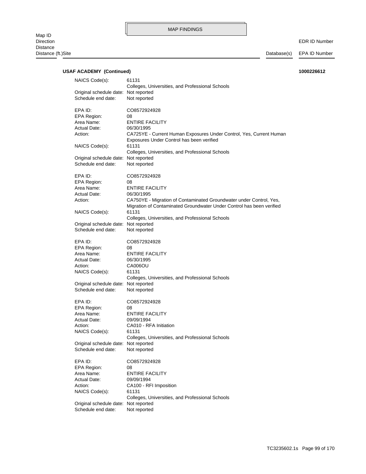| <b>USAF ACADEMY (Continued)</b><br>1000226612              |                                                                                                                                                       |  |  |
|------------------------------------------------------------|-------------------------------------------------------------------------------------------------------------------------------------------------------|--|--|
| NAICS Code(s):                                             | 61131<br>Colleges, Universities, and Professional Schools                                                                                             |  |  |
| Original schedule date: Not reported<br>Schedule end date: | Not reported                                                                                                                                          |  |  |
| EPA ID:                                                    | CO8572924928                                                                                                                                          |  |  |
| EPA Region:                                                | 08                                                                                                                                                    |  |  |
| Area Name:                                                 | <b>ENTIRE FACILITY</b>                                                                                                                                |  |  |
| Actual Date:                                               | 06/30/1995                                                                                                                                            |  |  |
| Action:                                                    | CA725YE - Current Human Exposures Under Control, Yes, Current Human<br>Exposures Under Control has been verified                                      |  |  |
| NAICS Code(s):                                             | 61131<br>Colleges, Universities, and Professional Schools                                                                                             |  |  |
| Original schedule date: Not reported<br>Schedule end date: | Not reported                                                                                                                                          |  |  |
| EPA ID:                                                    | CO8572924928                                                                                                                                          |  |  |
| EPA Region:                                                | 08                                                                                                                                                    |  |  |
| Area Name:                                                 | <b>ENTIRE FACILITY</b>                                                                                                                                |  |  |
| Actual Date:                                               | 06/30/1995                                                                                                                                            |  |  |
| Action:<br>NAICS Code(s):                                  | CA750YE - Migration of Contaminated Groundwater under Control, Yes,<br>Migration of Contaminated Groundwater Under Control has been verified<br>61131 |  |  |
|                                                            | Colleges, Universities, and Professional Schools                                                                                                      |  |  |
| Original schedule date: Not reported                       |                                                                                                                                                       |  |  |
| Schedule end date:                                         | Not reported                                                                                                                                          |  |  |
| EPA ID:                                                    | CO8572924928                                                                                                                                          |  |  |
| EPA Region:                                                | 08                                                                                                                                                    |  |  |
| Area Name:                                                 | <b>ENTIRE FACILITY</b>                                                                                                                                |  |  |
| Actual Date:                                               | 06/30/1995                                                                                                                                            |  |  |
| Action:                                                    | CA006OU                                                                                                                                               |  |  |
| NAICS Code(s):                                             | 61131                                                                                                                                                 |  |  |
|                                                            | Colleges, Universities, and Professional Schools                                                                                                      |  |  |
| Original schedule date: Not reported                       |                                                                                                                                                       |  |  |
| Schedule end date:                                         | Not reported                                                                                                                                          |  |  |
| EPA ID:                                                    | CO8572924928                                                                                                                                          |  |  |
| <b>EPA Region:</b>                                         | 08                                                                                                                                                    |  |  |
| Area Name:                                                 | <b>ENTIRE FACILITY</b>                                                                                                                                |  |  |
| Actual Date:                                               | 09/09/1994                                                                                                                                            |  |  |
| Action:                                                    | CA010 - RFA Initiation                                                                                                                                |  |  |
| NAICS Code(s):                                             | 61131                                                                                                                                                 |  |  |
|                                                            | Colleges, Universities, and Professional Schools                                                                                                      |  |  |
| Original schedule date: Not reported<br>Schedule end date: | Not reported                                                                                                                                          |  |  |
| EPA ID:                                                    | CO8572924928                                                                                                                                          |  |  |
| EPA Region:                                                | 08                                                                                                                                                    |  |  |
| Area Name:                                                 | <b>ENTIRE FACILITY</b>                                                                                                                                |  |  |
| Actual Date:                                               | 09/09/1994                                                                                                                                            |  |  |
| Action:                                                    | CA100 - RFI Imposition                                                                                                                                |  |  |
| NAICS Code(s):                                             | 61131<br>Colleges, Universities, and Professional Schools                                                                                             |  |  |
| Original schedule date: Not reported                       |                                                                                                                                                       |  |  |
| Schedule end date:                                         | Not reported                                                                                                                                          |  |  |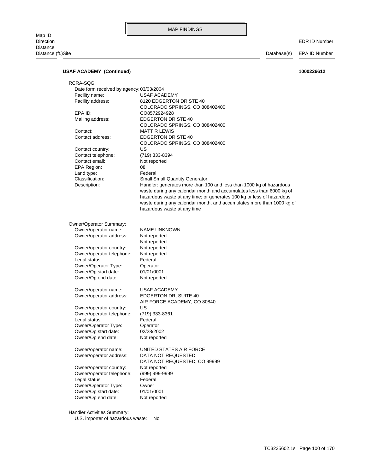### EDR ID Number

## **USAF ACADEMY (Continued) 1000226612**

| RCRA-SQG:                                |                                                                       |
|------------------------------------------|-----------------------------------------------------------------------|
| Date form received by agency: 03/03/2004 |                                                                       |
| Facility name:                           | <b>USAF ACADEMY</b>                                                   |
| Facility address:                        | 8120 EDGERTON DR STE 40                                               |
|                                          | COLORADO SPRINGS, CO 808402400                                        |
| EPA ID:                                  | CO8572924928                                                          |
| Mailing address:                         | <b>EDGERTON DR STE 40</b>                                             |
|                                          | COLORADO SPRINGS, CO 808402400                                        |
| Contact:                                 | <b>MATT R LEWIS</b>                                                   |
| Contact address:                         | <b>EDGERTON DR STE 40</b>                                             |
|                                          | COLORADO SPRINGS, CO 808402400                                        |
| Contact country:                         | US                                                                    |
| Contact telephone:                       | (719) 333-8394                                                        |
| Contact email:                           | Not reported                                                          |
| <b>EPA Region:</b>                       | 08                                                                    |
|                                          | Federal                                                               |
| Land type:<br>Classification:            |                                                                       |
|                                          | <b>Small Small Quantity Generator</b>                                 |
| Description:                             | Handler: generates more than 100 and less than 1000 kg of hazardous   |
|                                          | waste during any calendar month and accumulates less than 6000 kg of  |
|                                          | hazardous waste at any time; or generates 100 kg or less of hazardous |
|                                          | waste during any calendar month, and accumulates more than 1000 kg of |
|                                          | hazardous waste at any time                                           |
|                                          |                                                                       |
| Owner/Operator Summary:                  |                                                                       |
| Owner/operator name:                     | NAME UNKNOWN                                                          |
| Owner/operator address:                  | Not reported                                                          |
|                                          | Not reported                                                          |
| Owner/operator country:                  | Not reported                                                          |
| Owner/operator telephone:                | Not reported                                                          |
| Legal status:                            | Federal                                                               |
| Owner/Operator Type:                     | Operator                                                              |
| Owner/Op start date:                     | 01/01/0001                                                            |
| Owner/Op end date:                       | Not reported                                                          |
|                                          |                                                                       |
| Owner/operator name:                     | <b>USAF ACADEMY</b>                                                   |
| Owner/operator address:                  | <b>EDGERTON DR, SUITE 40</b>                                          |
|                                          | AIR FORCE ACADEMY, CO 80840                                           |
| Owner/operator country:                  | US                                                                    |
| Owner/operator telephone:                | (719) 333-8361                                                        |
| Legal status:                            | Federal                                                               |
| Owner/Operator Type:                     | Operator                                                              |
| Owner/Op start date:                     | 02/28/2002                                                            |
| Owner/Op end date:                       | Not reported                                                          |
|                                          |                                                                       |
| Owner/operator name:                     | UNITED STATES AIR FORCE                                               |
| Owner/operator address:                  | DATA NOT REQUESTED                                                    |
|                                          | DATA NOT REQUESTED, CO 99999                                          |
| Owner/operator country:                  | Not reported                                                          |
| Owner/operator telephone:                | (999) 999-9999                                                        |
|                                          |                                                                       |
| Legal status:<br>Owner/Operator Type:    | Federal                                                               |
|                                          | Owner                                                                 |
| Owner/Op start date:                     | 01/01/0001                                                            |
| Owner/Op end date:                       | Not reported                                                          |
|                                          |                                                                       |

Handler Activities Summary:

U.S. importer of hazardous waste: No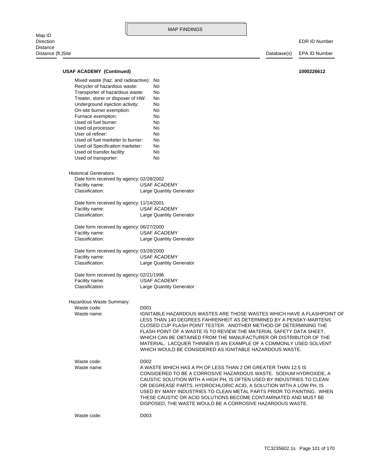Map ID<br>Direction Distance Distance (ft.)Site Database(s) EPA ID Number

| <b>USAF ACADEMY (Continued)</b>          | 1000226612                                                                                                                                                                                                                                                                                                                                                                                                                                                                                    |
|------------------------------------------|-----------------------------------------------------------------------------------------------------------------------------------------------------------------------------------------------------------------------------------------------------------------------------------------------------------------------------------------------------------------------------------------------------------------------------------------------------------------------------------------------|
| Mixed waste (haz. and radioactive): No   |                                                                                                                                                                                                                                                                                                                                                                                                                                                                                               |
| Recycler of hazardous waste:             | No                                                                                                                                                                                                                                                                                                                                                                                                                                                                                            |
| Transporter of hazardous waste:          | No                                                                                                                                                                                                                                                                                                                                                                                                                                                                                            |
| Treater, storer or disposer of HW:       | No                                                                                                                                                                                                                                                                                                                                                                                                                                                                                            |
| Underground injection activity:          | No                                                                                                                                                                                                                                                                                                                                                                                                                                                                                            |
| On-site burner exemption:                | No                                                                                                                                                                                                                                                                                                                                                                                                                                                                                            |
| Furnace exemption:                       | No                                                                                                                                                                                                                                                                                                                                                                                                                                                                                            |
| Used oil fuel burner:                    | No                                                                                                                                                                                                                                                                                                                                                                                                                                                                                            |
|                                          |                                                                                                                                                                                                                                                                                                                                                                                                                                                                                               |
| Used oil processor:<br>User oil refiner: | No                                                                                                                                                                                                                                                                                                                                                                                                                                                                                            |
| Used oil fuel marketer to burner:        | No                                                                                                                                                                                                                                                                                                                                                                                                                                                                                            |
|                                          | No                                                                                                                                                                                                                                                                                                                                                                                                                                                                                            |
| Used oil Specification marketer:         | No                                                                                                                                                                                                                                                                                                                                                                                                                                                                                            |
| Used oil transfer facility:              | No                                                                                                                                                                                                                                                                                                                                                                                                                                                                                            |
| Used oil transporter:                    | No                                                                                                                                                                                                                                                                                                                                                                                                                                                                                            |
| <b>Historical Generators:</b>            |                                                                                                                                                                                                                                                                                                                                                                                                                                                                                               |
| Date form received by agency: 02/28/2002 |                                                                                                                                                                                                                                                                                                                                                                                                                                                                                               |
| Facility name:                           | <b>USAF ACADEMY</b>                                                                                                                                                                                                                                                                                                                                                                                                                                                                           |
| Classification:                          |                                                                                                                                                                                                                                                                                                                                                                                                                                                                                               |
|                                          | <b>Large Quantity Generator</b>                                                                                                                                                                                                                                                                                                                                                                                                                                                               |
| Date form received by agency: 11/14/2001 |                                                                                                                                                                                                                                                                                                                                                                                                                                                                                               |
| Facility name:                           | <b>USAF ACADEMY</b>                                                                                                                                                                                                                                                                                                                                                                                                                                                                           |
| Classification:                          | Large Quantity Generator                                                                                                                                                                                                                                                                                                                                                                                                                                                                      |
| Date form received by agency: 06/27/2000 |                                                                                                                                                                                                                                                                                                                                                                                                                                                                                               |
| Facility name:                           | <b>USAF ACADEMY</b>                                                                                                                                                                                                                                                                                                                                                                                                                                                                           |
| Classification:                          | <b>Large Quantity Generator</b>                                                                                                                                                                                                                                                                                                                                                                                                                                                               |
| Date form received by agency: 03/28/2000 |                                                                                                                                                                                                                                                                                                                                                                                                                                                                                               |
| Facility name:                           | <b>USAF ACADEMY</b>                                                                                                                                                                                                                                                                                                                                                                                                                                                                           |
| Classification:                          | Large Quantity Generator                                                                                                                                                                                                                                                                                                                                                                                                                                                                      |
| Date form received by agency: 02/21/1996 |                                                                                                                                                                                                                                                                                                                                                                                                                                                                                               |
| Facility name:                           | <b>USAF ACADEMY</b>                                                                                                                                                                                                                                                                                                                                                                                                                                                                           |
| Classification:                          | Large Quantity Generator                                                                                                                                                                                                                                                                                                                                                                                                                                                                      |
|                                          |                                                                                                                                                                                                                                                                                                                                                                                                                                                                                               |
| Hazardous Waste Summary:                 |                                                                                                                                                                                                                                                                                                                                                                                                                                                                                               |
| Waste code:                              | D001                                                                                                                                                                                                                                                                                                                                                                                                                                                                                          |
| Waste name:                              | IGNITABLE HAZARDOUS WASTES ARE THOSE WASTES WHICH HAVE A FLASHPOINT OF<br>LESS THAN 140 DEGREES FAHRENHEIT AS DETERMINED BY A PENSKY-MARTENS<br>CLOSED CUP FLASH POINT TESTER. ANOTHER METHOD OF DETERMINING THE<br>FLASH POINT OF A WASTE IS TO REVIEW THE MATERIAL SAFETY DATA SHEET.<br>WHICH CAN BE OBTAINED FROM THE MANUFACTURER OR DISTRIBUTOR OF THE<br>MATERIAL. LACQUER THINNER IS AN EXAMPLE OF A COMMONLY USED SOLVENT<br>WHICH WOULD BE CONSIDERED AS IGNITABLE HAZARDOUS WASTE. |
| Waste code:                              | D002                                                                                                                                                                                                                                                                                                                                                                                                                                                                                          |
| Waste name:                              | A WASTE WHICH HAS A PH OF LESS THAN 2 OR GREATER THAN 12.5 IS<br>CONSIDERED TO BE A CORROSIVE HAZARDOUS WASTE. SODIUM HYDROXIDE, A<br>CAUSTIC SOLUTION WITH A HIGH PH, IS OFTEN USED BY INDUSTRIES TO CLEAN<br>OR DEGREASE PARTS. HYDROCHLORIC ACID, A SOLUTION WITH A LOW PH, IS<br>USED BY MANY INDUSTRIES TO CLEAN METAL PARTS PRIOR TO PAINTING. WHEN<br>THESE CAUSTIC OR ACID SOLUTIONS BECOME CONTAMINATED AND MUST BE<br>DISPOSED, THE WASTE WOULD BE A CORROSIVE HAZARDOUS WASTE.     |
| Waste code:                              | D003                                                                                                                                                                                                                                                                                                                                                                                                                                                                                          |
|                                          |                                                                                                                                                                                                                                                                                                                                                                                                                                                                                               |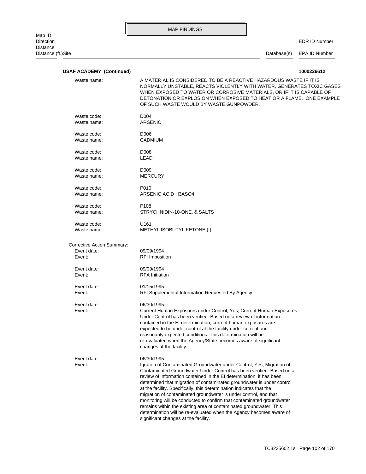EDR ID Number

Distance (ft.)Site Database(s) EPA ID Number

| <b>USAF ACADEMY (Continued)</b>                     | 1000226612                                                                                                                                                                                                                                                                                                                                                                                                                                                                                                                                                                                                                                                                                                              |
|-----------------------------------------------------|-------------------------------------------------------------------------------------------------------------------------------------------------------------------------------------------------------------------------------------------------------------------------------------------------------------------------------------------------------------------------------------------------------------------------------------------------------------------------------------------------------------------------------------------------------------------------------------------------------------------------------------------------------------------------------------------------------------------------|
| Waste name:                                         | A MATERIAL IS CONSIDERED TO BE A REACTIVE HAZARDOUS WASTE IF IT IS<br>NORMALLY UNSTABLE, REACTS VIOLENTLY WITH WATER, GENERATES TOXIC GASES<br>WHEN EXPOSED TO WATER OR CORROSIVE MATERIALS, OR IF IT IS CAPABLE OF<br>DETONATION OR EXPLOSION WHEN EXPOSED TO HEAT OR A FLAME. ONE EXAMPLE<br>OF SUCH WASTE WOULD BY WASTE GUNPOWDER.                                                                                                                                                                                                                                                                                                                                                                                  |
| Waste code:                                         | D004                                                                                                                                                                                                                                                                                                                                                                                                                                                                                                                                                                                                                                                                                                                    |
| Waste name:                                         | <b>ARSENIC</b>                                                                                                                                                                                                                                                                                                                                                                                                                                                                                                                                                                                                                                                                                                          |
| Waste code:                                         | D006                                                                                                                                                                                                                                                                                                                                                                                                                                                                                                                                                                                                                                                                                                                    |
| Waste name:                                         | <b>CADMIUM</b>                                                                                                                                                                                                                                                                                                                                                                                                                                                                                                                                                                                                                                                                                                          |
| Waste code:                                         | D008                                                                                                                                                                                                                                                                                                                                                                                                                                                                                                                                                                                                                                                                                                                    |
| Waste name:                                         | LEAD                                                                                                                                                                                                                                                                                                                                                                                                                                                                                                                                                                                                                                                                                                                    |
| Waste code:                                         | D <sub>009</sub>                                                                                                                                                                                                                                                                                                                                                                                                                                                                                                                                                                                                                                                                                                        |
| Waste name:                                         | <b>MERCURY</b>                                                                                                                                                                                                                                                                                                                                                                                                                                                                                                                                                                                                                                                                                                          |
| Waste code:                                         | P010                                                                                                                                                                                                                                                                                                                                                                                                                                                                                                                                                                                                                                                                                                                    |
| Waste name:                                         | ARSENIC ACID H3ASO4                                                                                                                                                                                                                                                                                                                                                                                                                                                                                                                                                                                                                                                                                                     |
| Waste code:                                         | P <sub>108</sub>                                                                                                                                                                                                                                                                                                                                                                                                                                                                                                                                                                                                                                                                                                        |
| Waste name:                                         | STRYCHNIDIN-10-ONE, & SALTS                                                                                                                                                                                                                                                                                                                                                                                                                                                                                                                                                                                                                                                                                             |
| Waste code:                                         | U161                                                                                                                                                                                                                                                                                                                                                                                                                                                                                                                                                                                                                                                                                                                    |
| Waste name:                                         | METHYL ISOBUTYL KETONE (I)                                                                                                                                                                                                                                                                                                                                                                                                                                                                                                                                                                                                                                                                                              |
| Corrective Action Summary:<br>Event date:<br>Event: | 09/09/1994<br><b>RFI Imposition</b>                                                                                                                                                                                                                                                                                                                                                                                                                                                                                                                                                                                                                                                                                     |
| Event date:                                         | 09/09/1994                                                                                                                                                                                                                                                                                                                                                                                                                                                                                                                                                                                                                                                                                                              |
| Event:                                              | <b>RFA</b> Initiation                                                                                                                                                                                                                                                                                                                                                                                                                                                                                                                                                                                                                                                                                                   |
| Event date:                                         | 01/15/1995                                                                                                                                                                                                                                                                                                                                                                                                                                                                                                                                                                                                                                                                                                              |
| Event:                                              | RFI Supplemental Information Requested By Agency                                                                                                                                                                                                                                                                                                                                                                                                                                                                                                                                                                                                                                                                        |
| Event date:<br>Event:                               | 06/30/1995<br>Current Human Exposures under Control, Yes, Current Human Exposures<br>Under Control has been verified. Based on a review of information<br>contained in the EI determination, current human exposures are<br>expected to be under control at the facility under current and<br>reasonably expected conditions. This determination will be<br>re-evaluated when the Agency/State becomes aware of significant<br>changes at the facility.                                                                                                                                                                                                                                                                 |
| Event date:<br>Event:                               | 06/30/1995<br>Igration of Contaminated Groundwater under Control, Yes, Migration of<br>Contaminated Groundwater Under Control has been verified. Based on a<br>review of information contained in the EI determination, it has been<br>determined that migration of contaminated groundwater is under control<br>at the facility. Specifically, this determination indicates that the<br>migration of contaminated groundwater is under control, and that<br>monitoring will be conducted to confirm that contaminated groundwater<br>remains within the existing area of contaminated groundwater. This<br>determination will be re-evaluated when the Agency becomes aware of<br>significant changes at the facility. |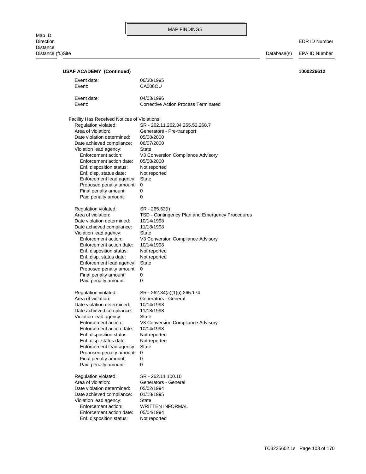| <b>USAF ACADEMY (Continued)</b>                     |                                                                   | 1000226612 |
|-----------------------------------------------------|-------------------------------------------------------------------|------------|
| Event date:                                         | 06/30/1995                                                        |            |
| Event:                                              | CA006OU                                                           |            |
|                                                     |                                                                   |            |
| Event date:                                         | 04/03/1996                                                        |            |
| Event:                                              | <b>Corrective Action Process Terminated</b>                       |            |
|                                                     |                                                                   |            |
| Facility Has Received Notices of Violations:        |                                                                   |            |
| Regulation violated:                                | SR - 262.11, 262.34, 265.52, 268.7                                |            |
| Area of violation:                                  | Generators - Pre-transport                                        |            |
| Date violation determined:                          | 05/08/2000<br>06/07/2000                                          |            |
| Date achieved compliance:<br>Violation lead agency: | State                                                             |            |
| Enforcement action:                                 | V3 Conversion Compliance Advisory                                 |            |
| Enforcement action date:                            | 05/08/2000                                                        |            |
| Enf. disposition status:                            | Not reported                                                      |            |
| Enf. disp. status date:                             | Not reported                                                      |            |
| Enforcement lead agency:                            | <b>State</b>                                                      |            |
| Proposed penalty amount: 0                          |                                                                   |            |
| Final penalty amount:                               | 0                                                                 |            |
| Paid penalty amount:                                | 0                                                                 |            |
|                                                     |                                                                   |            |
| Regulation violated:<br>Area of violation:          | SR - 265.53(f)<br>TSD - Contingency Plan and Emergency Procedures |            |
| Date violation determined:                          | 10/14/1998                                                        |            |
| Date achieved compliance:                           | 11/18/1998                                                        |            |
| Violation lead agency:                              | State                                                             |            |
| Enforcement action:                                 | V3 Conversion Compliance Advisory                                 |            |
| Enforcement action date:                            | 10/14/1998                                                        |            |
| Enf. disposition status:                            | Not reported                                                      |            |
| Enf. disp. status date:                             | Not reported                                                      |            |
| Enforcement lead agency:                            | State                                                             |            |
| Proposed penalty amount: 0                          |                                                                   |            |
| Final penalty amount:                               | 0                                                                 |            |
| Paid penalty amount:                                | 0                                                                 |            |
| Regulation violated:                                | SR - 262.34(a)(1)(i) 265.174                                      |            |
| Area of violation:                                  | Generators - General                                              |            |
| Date violation determined:                          | 10/14/1998                                                        |            |
| Date achieved compliance:                           | 11/18/1998                                                        |            |
| Violation lead agency:                              | <b>State</b>                                                      |            |
| Enforcement action:                                 | V3 Conversion Compliance Advisory                                 |            |
| Enforcement action date:                            | 10/14/1998                                                        |            |
| Enf. disposition status:                            | Not reported                                                      |            |
| Enf. disp. status date:<br>Enforcement lead agency: | Not reported<br><b>State</b>                                      |            |
| Proposed penalty amount:                            | 0                                                                 |            |
| Final penalty amount:                               | 0                                                                 |            |
| Paid penalty amount:                                | 0                                                                 |            |
|                                                     |                                                                   |            |
| Regulation violated:                                | SR - 262.11 100.10                                                |            |
| Area of violation:<br>Date violation determined:    | Generators - General                                              |            |
| Date achieved compliance:                           | 05/02/1994<br>01/18/1995                                          |            |
| Violation lead agency:                              | <b>State</b>                                                      |            |
| Enforcement action:                                 | <b>WRITTEN INFORMAL</b>                                           |            |
| Enforcement action date:                            | 05/04/1994                                                        |            |
| Enf. disposition status:                            | Not reported                                                      |            |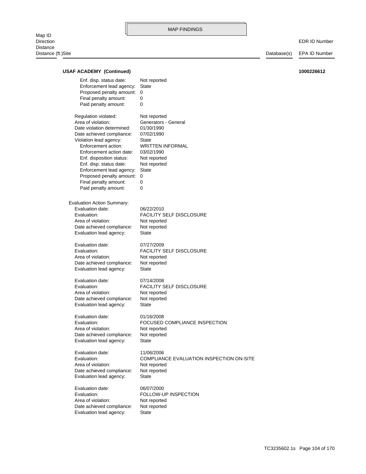**USAF ACADEMY (Continued) 1000226612**

Map ID<br>Direction Direction EDR ID Number Distance Distance (ft.)Site Database(s) EPA ID Number

## Evaluation lead agency: State Date achieved compliance: Not reported Area of violation: Not reported Evaluation: FOLLOW-UP INSPECTION Evaluation date: 06/07/2000 Evaluation lead agency: State Date achieved compliance: Not reported Area of violation: Not reported Evaluation: COMPLIANCE EVALUATION INSPECTION ON-SITE Evaluation date: 11/06/2006 Evaluation lead agency: State Date achieved compliance: Not reported Area of violation: Not reported Evaluation: FOCUSED COMPLIANCE INSPECTION Evaluation date: 01/16/2008 Evaluation lead agency: State Date achieved compliance: Not reported Area of violation: Not reported Evaluation: FACILITY SELF DISCLOSURE Evaluation date: 07/14/2008 Evaluation lead agency: State Date achieved compliance: Not reported Area of violation: Not reported Evaluation: FACILITY SELF DISCLOSURE Evaluation date: 07/27/2009 Evaluation lead agency: State Date achieved compliance: Not reported Area of violation: Not reported Evaluation: FACILITY SELF DISCLOSURE Evaluation date: 06/22/2010 Evaluation Action Summary: Paid penalty amount: 0 Final penalty amount: 0 Proposed penalty amount: 0 Enforcement lead agency: State Enf. disp. status date: Not reported Enf. disposition status: Not reported Enforcement action date: 03/02/1990 Enforcement action: WRITTEN INFORMAL Violation lead agency: State Date achieved compliance: 07/02/1990 Date violation determined: 01/30/1990 Area of violation: Generators - General Regulation violated: Not reported Paid penalty amount: 0 Final penalty amount: 0 Proposed penalty amount: 0 Enforcement lead agency: State Enf. disp. status date: Not reported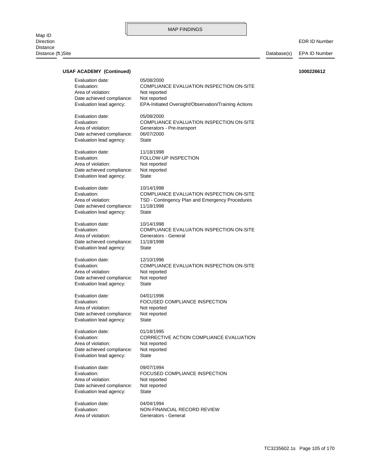| <b>USAF ACADEMY (Continued)</b>                       |                                                                        | 1000226612 |
|-------------------------------------------------------|------------------------------------------------------------------------|------------|
| Evaluation date:<br>Evaluation:<br>Area of violation: | 05/08/2000<br>COMPLIANCE EVALUATION INSPECTION ON-SITE<br>Not reported |            |
| Date achieved compliance:<br>Evaluation lead agency:  | Not reported<br>EPA-Initiated Oversight/Observation/Training Actions   |            |
| Evaluation date:<br>Evaluation:                       | 05/08/2000<br>COMPLIANCE EVALUATION INSPECTION ON-SITE                 |            |
| Area of violation:                                    | Generators - Pre-transport                                             |            |
| Date achieved compliance:                             | 06/07/2000                                                             |            |
| Evaluation lead agency:                               | <b>State</b>                                                           |            |
| Evaluation date:                                      | 11/18/1998                                                             |            |
| Evaluation:                                           | FOLLOW-UP INSPECTION                                                   |            |
| Area of violation:                                    | Not reported                                                           |            |
| Date achieved compliance:                             | Not reported                                                           |            |
| Evaluation lead agency:                               | <b>State</b>                                                           |            |
| Evaluation date:<br>Evaluation:                       | 10/14/1998<br><b>COMPLIANCE EVALUATION INSPECTION ON-SITE</b>          |            |
| Area of violation:                                    | TSD - Contingency Plan and Emergency Procedures                        |            |
| Date achieved compliance:                             | 11/18/1998                                                             |            |
| Evaluation lead agency:                               | <b>State</b>                                                           |            |
|                                                       |                                                                        |            |
| Evaluation date:                                      | 10/14/1998                                                             |            |
| Evaluation:                                           | COMPLIANCE EVALUATION INSPECTION ON-SITE<br>Generators - General       |            |
| Area of violation:<br>Date achieved compliance:       | 11/18/1998                                                             |            |
| Evaluation lead agency:                               | State                                                                  |            |
| Evaluation date:                                      | 12/10/1996                                                             |            |
| Evaluation:                                           | COMPLIANCE EVALUATION INSPECTION ON-SITE                               |            |
| Area of violation:                                    | Not reported                                                           |            |
| Date achieved compliance:                             | Not reported                                                           |            |
| Evaluation lead agency:                               | <b>State</b>                                                           |            |
| Evaluation date:                                      | 04/01/1996                                                             |            |
| Evaluation:                                           | FOCUSED COMPLIANCE INSPECTION                                          |            |
| Area of violation:                                    | Not reported                                                           |            |
| Date achieved compliance:                             | Not reported                                                           |            |
| Evaluation lead agency:                               | <b>State</b>                                                           |            |
| Evaluation date:                                      | 01/18/1995                                                             |            |
| Evaluation:                                           | CORRECTIVE ACTION COMPLIANCE EVALUATION                                |            |
| Area of violation:                                    | Not reported                                                           |            |
| Date achieved compliance:<br>Evaluation lead agency:  | Not reported<br><b>State</b>                                           |            |
|                                                       |                                                                        |            |
| Evaluation date:                                      | 09/07/1994                                                             |            |
| Evaluation:                                           | FOCUSED COMPLIANCE INSPECTION                                          |            |
| Area of violation:                                    | Not reported                                                           |            |
| Date achieved compliance:<br>Evaluation lead agency:  | Not reported<br><b>State</b>                                           |            |
|                                                       |                                                                        |            |
| Evaluation date:                                      | 04/04/1994                                                             |            |
| Evaluation:<br>Area of violation:                     | NON-FINANCIAL RECORD REVIEW<br>Generators - General                    |            |
|                                                       |                                                                        |            |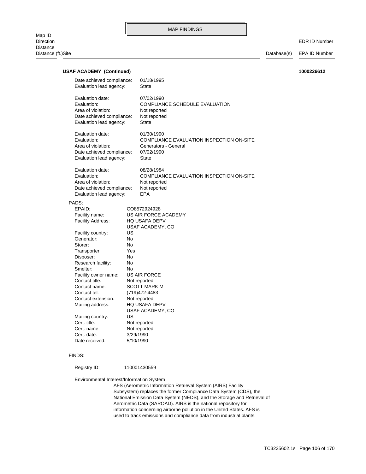EDR ID Number

| <b>USAF ACADEMY (Continued)</b>                                                                               |                                                              |                                                                                                              | 1000226612 |
|---------------------------------------------------------------------------------------------------------------|--------------------------------------------------------------|--------------------------------------------------------------------------------------------------------------|------------|
| Date achieved compliance:<br>Evaluation lead agency:                                                          |                                                              | 01/18/1995<br><b>State</b>                                                                                   |            |
| Evaluation date:<br>Evaluation:<br>Area of violation:<br>Date achieved compliance:<br>Evaluation lead agency: |                                                              | 07/02/1990<br><b>COMPLIANCE SCHEDULE EVALUATION</b><br>Not reported<br>Not reported<br><b>State</b>          |            |
| Evaluation date:<br>Evaluation:<br>Area of violation:<br>Date achieved compliance:<br>Evaluation lead agency: |                                                              | 01/30/1990<br>COMPLIANCE EVALUATION INSPECTION ON-SITE<br>Generators - General<br>07/02/1990<br><b>State</b> |            |
| Evaluation date:<br>Evaluation:<br>Area of violation:<br>Date achieved compliance:<br>Evaluation lead agency: |                                                              | 08/28/1984<br>COMPLIANCE EVALUATION INSPECTION ON-SITE<br>Not reported<br>Not reported<br>EPA                |            |
| PADS:<br>EPAID:<br>Facility name:<br><b>Facility Address:</b>                                                 |                                                              | CO8572924928<br>US AIR FORCE ACADEMY<br><b>HQ USAFA DEPV</b>                                                 |            |
| Facility country:<br>Generator:<br>Storer:<br>Transporter:<br>Disposer:                                       | US<br><b>No</b><br>No.<br>Yes<br>No.                         | USAF ACADEMY, CO                                                                                             |            |
| Research facility:<br>Smelter:<br>Facility owner name:<br>Contact title:<br>Contact name:                     | No<br>No<br>Not reported                                     | US AIR FORCE<br><b>SCOTT MARK M</b>                                                                          |            |
| Contact tel:<br>Contact extension:<br>Mailing address:                                                        | (719) 472-4483<br>Not reported                               | <b>HQ USAFA DEPV</b><br>USAF ACADEMY, CO                                                                     |            |
| Mailing country:<br>Cert. title:<br>Cert. name:<br>Cert. date:<br>Date received:                              | US<br>Not reported<br>Not reported<br>3/29/1990<br>5/10/1990 |                                                                                                              |            |
| FINDS:                                                                                                        |                                                              |                                                                                                              |            |
| Registry ID:                                                                                                  | 110001430559                                                 |                                                                                                              |            |

Environmental Interest/Information System

used to track emissions and compliance data from industrial plants. information concerning airborne pollution in the United States. AFS is Aerometric Data (SAROAD). AIRS is the national repository for National Emission Data System (NEDS), and the Storage and Retrieval of Subsystem) replaces the former Compliance Data System (CDS), the AFS (Aerometric Information Retrieval System (AIRS) Facility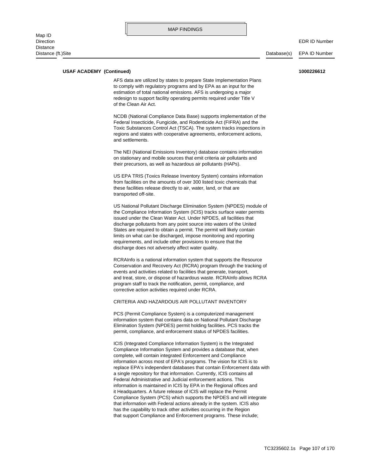#### **USAF ACADEMY (Continued) 1000226612**

of the Clean Air Act. redesign to support facility operating permits required under Title V estimation of total national emissions. AFS is undergoing a major to comply with regulatory programs and by EPA as an input for the AFS data are utilized by states to prepare State Implementation Plans

and settlements. regions and states with cooperative agreements, enforcement actions, Toxic Substances Control Act (TSCA). The system tracks inspections in Federal Insecticide, Fungicide, and Rodenticide Act (FIFRA) and the NCDB (National Compliance Data Base) supports implementation of the

their precursors, as well as hazardous air pollutants (HAPs). on stationary and mobile sources that emit criteria air pollutants and The NEI (National Emissions Inventory) database contains information

transported off-site. these facilities release directly to air, water, land, or that are from facilities on the amounts of over 300 listed toxic chemicals that US EPA TRIS (Toxics Release Inventory System) contains information

discharge does not adversely affect water quality. requirements, and include other provisions to ensure that the limits on what can be discharged, impose monitoring and reporting States are required to obtain a permit. The permit will likely contain discharge pollutants from any point source into waters of the United issued under the Clean Water Act. Under NPDES, all facilities that the Compliance Information System (ICIS) tracks surface water permits US National Pollutant Discharge Elimination System (NPDES) module of

corrective action activities required under RCRA. program staff to track the notification, permit, compliance, and and treat, store, or dispose of hazardous waste. RCRAInfo allows RCRA events and activities related to facilities that generate, transport, Conservation and Recovery Act (RCRA) program through the tracking of RCRAInfo is a national information system that supports the Resource

#### CRITERIA AND HAZARDOUS AIR POLLUTANT INVENTORY

permit, compliance, and enforcement status of NPDES facilities. Elimination System (NPDES) permit holding facilities. PCS tracks the information system that contains data on National Pollutant Discharge PCS (Permit Compliance System) is a computerized management

that support Compliance and Enforcement programs. These include; has the capability to track other activities occurring in the Region that information with Federal actions already in the system. ICIS also Compliance System (PCS) which supports the NPDES and will integrate it Headquarters. A future release of ICIS will replace the Permit information is maintained in ICIS by EPA in the Regional offices and Federal Administrative and Judicial enforcement actions. This a single repository for that information. Currently, ICIS contains all replace EPA's independent databases that contain Enforcement data with information across most of EPA's programs. The vision for ICIS is to complete, will contain integrated Enforcement and Compliance Compliance Information System and provides a database that, when ICIS (Integrated Compliance Information System) is the Integrated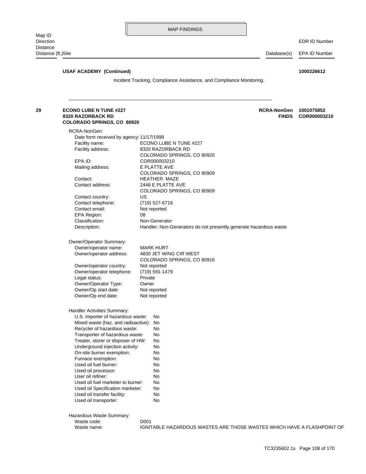| <b>USAF ACADEMY (Continued)</b>                                                         | 1000226612<br>Incident Tracking, Compliance Assistance, and Compliance Monitoring. |
|-----------------------------------------------------------------------------------------|------------------------------------------------------------------------------------|
|                                                                                         |                                                                                    |
| <b>ECONO LUBE N TUNE #227</b><br>8320 RAZORBACK RD<br><b>COLORADO SPRINGS, CO 80920</b> | <b>RCRA-NonGen</b><br>1001075852<br><b>FINDS</b><br>COR000003210                   |
| RCRA-NonGen:                                                                            |                                                                                    |
| Date form received by agency: 11/17/1999                                                |                                                                                    |
| Facility name:                                                                          | ECONO LUBE N TUNE #227                                                             |
| Facility address:                                                                       | 8320 RAZORBACK RD                                                                  |
|                                                                                         | COLORADO SPRINGS, CO 80920                                                         |
| EPA ID:                                                                                 | COR000003210                                                                       |
| Mailing address:                                                                        | E PLATTE AVE                                                                       |
|                                                                                         | COLORADO SPRINGS, CO 80909                                                         |
| Contact:                                                                                | <b>HEATHER MAZE</b>                                                                |
| Contact address:                                                                        | 2446 E PLATTE AVE                                                                  |
|                                                                                         | COLORADO SPRINGS, CO 80909                                                         |
| Contact country:                                                                        | US                                                                                 |
| Contact telephone:                                                                      | (719) 527-6716                                                                     |
| Contact email:                                                                          | Not reported                                                                       |
| EPA Region:                                                                             | 08                                                                                 |
| Classification:                                                                         | Non-Generator                                                                      |
| Description:                                                                            | Handler: Non-Generators do not presently generate hazardous waste                  |
| Owner/Operator Summary:                                                                 |                                                                                    |
| Owner/operator name:                                                                    | <b>MARK HURT</b>                                                                   |
|                                                                                         | 4830 JET WING CIR WEST                                                             |
| Owner/operator address:                                                                 | COLORADO SPRINGS, CO 80916                                                         |
| Owner/operator country:                                                                 | Not reported                                                                       |
| Owner/operator telephone:                                                               | (719) 591-1479                                                                     |
| Legal status:                                                                           | Private                                                                            |
| Owner/Operator Type:                                                                    | Owner                                                                              |
| Owner/Op start date:                                                                    | Not reported                                                                       |
| Owner/Op end date:                                                                      | Not reported                                                                       |
| Handler Activities Summary:                                                             |                                                                                    |
| U.S. importer of hazardous waste:                                                       | No                                                                                 |
| Mixed waste (haz. and radioactive):                                                     | No                                                                                 |
| Recycler of hazardous waste:                                                            | No                                                                                 |
| Transporter of hazardous waste:                                                         | No                                                                                 |
| Treater, storer or disposer of HW:                                                      | No                                                                                 |
| Underground injection activity:                                                         | No                                                                                 |
| On-site burner exemption:                                                               | No                                                                                 |
| Furnace exemption:                                                                      | No                                                                                 |
| Used oil fuel burner:                                                                   | No                                                                                 |
| Used oil processor:                                                                     | No                                                                                 |
| User oil refiner:                                                                       | No                                                                                 |
| Used oil fuel marketer to burner:                                                       | No                                                                                 |
| Used oil Specification marketer:                                                        | No                                                                                 |
| Used oil transfer facility:                                                             | No                                                                                 |
| Used oil transporter:                                                                   | No                                                                                 |
| Hazardous Waste Summary:                                                                |                                                                                    |
| Waste code:                                                                             | D001                                                                               |
| Waste name:                                                                             | IGNITABLE HAZARDOUS WASTES ARE THOSE WASTES WHICH HAVE A FLASHPOINT OF             |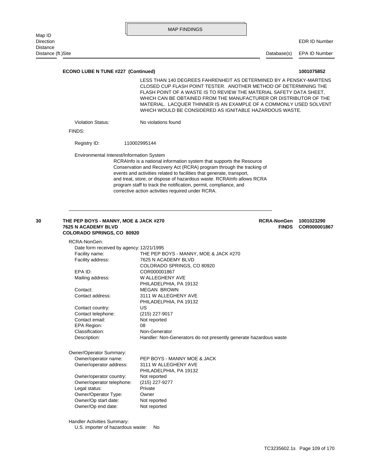| Map ID                                    | טטוועמוד זאווי                                                      |             |                      |
|-------------------------------------------|---------------------------------------------------------------------|-------------|----------------------|
| <b>Direction</b>                          |                                                                     |             | <b>EDR ID Number</b> |
| <b>Distance</b>                           |                                                                     |             |                      |
| Distance (ft.)Site                        |                                                                     | Database(s) | EPA ID Number        |
|                                           |                                                                     |             |                      |
| <b>ECONO LUBE N TUNE #227 (Continued)</b> |                                                                     |             | 1001075852           |
|                                           | LESS THAN 140 DEGREES FAHRENHEIT AS DETERMINED BY A PENSKY-MARTENS. |             |                      |

 WHICH WOULD BE CONSIDERED AS IGNITABLE HAZARDOUS WASTE. MATERIAL. LACQUER THINNER IS AN EXAMPLE OF A COMMONLY USED SOLVENT WHICH CAN BE OBTAINED FROM THE MANUFACTURER OR DISTRIBUTOR OF THE FLASH POINT OF A WASTE IS TO REVIEW THE MATERIAL SAFETY DATA SHEET, CLOSED CUP FLASH POINT TESTER. ANOTHER METHOD OF DETERMINING THE

Violation Status: No violations found

FINDS:

Registry ID: 110002995144

Environmental Interest/Information System

corrective action activities required under RCRA. program staff to track the notification, permit, compliance, and and treat, store, or dispose of hazardous waste. RCRAInfo allows RCRA events and activities related to facilities that generate, transport, Conservation and Recovery Act (RCRA) program through the tracking of RCRAInfo is a national information system that supports the Resource

#### **COLORADO SPRINGS, CO 80920 7625 N ACADEMY BLVD FINDS COR000001867 30 THE PEP BOYS - MANNY, MOE & JACK #270 1001023290 RCRA-NonGen**

| RCRA-NonGen:                             |                                                                   |
|------------------------------------------|-------------------------------------------------------------------|
| Date form received by agency: 12/21/1995 |                                                                   |
| Facility name:                           | THE PEP BOYS - MANNY, MOE & JACK #270                             |
| Facility address:                        | 7625 N ACADEMY BLVD                                               |
|                                          | COLORADO SPRINGS, CO 80920                                        |
| EPA ID:                                  | COR000001867                                                      |
| Mailing address:                         | W ALLEGHENY AVE                                                   |
|                                          | PHILADELPHIA, PA 19132                                            |
| Contact:                                 | <b>MEGAN BROWN</b>                                                |
| Contact address:                         | 3111 W ALLEGHENY AVE                                              |
|                                          | PHILADELPHIA, PA 19132                                            |
| Contact country:                         | <b>US</b>                                                         |
| Contact telephone:                       | (215) 227-9017                                                    |
| Contact email:                           | Not reported                                                      |
| <b>EPA Region:</b>                       | 08                                                                |
| Classification:                          | Non-Generator                                                     |
| Description:                             | Handler: Non-Generators do not presently generate hazardous waste |
| Owner/Operator Summary:                  |                                                                   |
| Owner/operator name:                     | PEP BOYS - MANNY MOE & JACK                                       |
| Owner/operator address:                  | 3111 W ALLEGHENY AVE                                              |
|                                          | PHILADELPHIA, PA 19132                                            |
| Owner/operator country:                  | Not reported                                                      |
| Owner/operator telephone:                | (215) 227-9277                                                    |
| Legal status:                            | Private                                                           |
| Owner/Operator Type:                     | Owner                                                             |
| Owner/Op start date:                     | Not reported                                                      |
| Owner/Op end date:                       | Not reported                                                      |
|                                          |                                                                   |

Handler Activities Summary:

U.S. importer of hazardous waste: No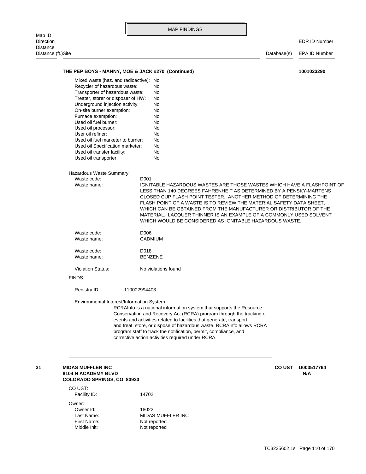| Map ID                       |                                                                        |              |                     | <b>MAP FINDINGS</b>                               |                                                                                                                                          |               |                      |
|------------------------------|------------------------------------------------------------------------|--------------|---------------------|---------------------------------------------------|------------------------------------------------------------------------------------------------------------------------------------------|---------------|----------------------|
| Direction<br><b>Distance</b> |                                                                        |              |                     |                                                   |                                                                                                                                          |               | <b>EDR ID Number</b> |
| Distance (ft.)Site           |                                                                        |              |                     |                                                   |                                                                                                                                          | Database(s)   | EPA ID Number        |
|                              |                                                                        |              |                     |                                                   |                                                                                                                                          |               |                      |
|                              | THE PEP BOYS - MANNY, MOE & JACK #270 (Continued)                      |              |                     |                                                   |                                                                                                                                          |               | 1001023290           |
|                              | Mixed waste (haz. and radioactive): No<br>Recycler of hazardous waste: |              | No                  |                                                   |                                                                                                                                          |               |                      |
|                              | Transporter of hazardous waste:                                        |              | No                  |                                                   |                                                                                                                                          |               |                      |
|                              | Treater, storer or disposer of HW:                                     |              | No                  |                                                   |                                                                                                                                          |               |                      |
|                              | Underground injection activity:                                        |              | No                  |                                                   |                                                                                                                                          |               |                      |
|                              | On-site burner exemption:                                              |              | No                  |                                                   |                                                                                                                                          |               |                      |
|                              | Furnace exemption:                                                     |              | No                  |                                                   |                                                                                                                                          |               |                      |
|                              | Used oil fuel burner:                                                  |              | No                  |                                                   |                                                                                                                                          |               |                      |
|                              | Used oil processor:                                                    |              | No                  |                                                   |                                                                                                                                          |               |                      |
|                              | User oil refiner:<br>Used oil fuel marketer to burner:                 |              | No                  |                                                   |                                                                                                                                          |               |                      |
|                              |                                                                        |              | No<br>No            |                                                   |                                                                                                                                          |               |                      |
|                              | Used oil Specification marketer:<br>Used oil transfer facility:        |              | No                  |                                                   |                                                                                                                                          |               |                      |
|                              | Used oil transporter:                                                  |              | No                  |                                                   |                                                                                                                                          |               |                      |
|                              |                                                                        |              |                     |                                                   |                                                                                                                                          |               |                      |
|                              | Hazardous Waste Summary:                                               |              |                     |                                                   |                                                                                                                                          |               |                      |
|                              | Waste code:                                                            |              | D001                |                                                   |                                                                                                                                          |               |                      |
|                              | Waste name:                                                            |              |                     |                                                   | IGNITABLE HAZARDOUS WASTES ARE THOSE WASTES WHICH HAVE A FLASHPOINT OF                                                                   |               |                      |
|                              |                                                                        |              |                     |                                                   | LESS THAN 140 DEGREES FAHRENHEIT AS DETERMINED BY A PENSKY-MARTENS                                                                       |               |                      |
|                              |                                                                        |              |                     |                                                   | CLOSED CUP FLASH POINT TESTER. ANOTHER METHOD OF DETERMINING THE                                                                         |               |                      |
|                              |                                                                        |              |                     |                                                   | FLASH POINT OF A WASTE IS TO REVIEW THE MATERIAL SAFETY DATA SHEET,<br>WHICH CAN BE OBTAINED FROM THE MANUFACTURER OR DISTRIBUTOR OF THE |               |                      |
|                              |                                                                        |              |                     |                                                   | MATERIAL. LACQUER THINNER IS AN EXAMPLE OF A COMMONLY USED SOLVENT                                                                       |               |                      |
|                              |                                                                        |              |                     |                                                   | WHICH WOULD BE CONSIDERED AS IGNITABLE HAZARDOUS WASTE.                                                                                  |               |                      |
|                              | Waste code:                                                            |              | D006                |                                                   |                                                                                                                                          |               |                      |
|                              | Waste name:                                                            |              | CADMIUM             |                                                   |                                                                                                                                          |               |                      |
|                              |                                                                        |              |                     |                                                   |                                                                                                                                          |               |                      |
|                              | Waste code:                                                            |              | D018                |                                                   |                                                                                                                                          |               |                      |
|                              | Waste name:                                                            |              | <b>BENZENE</b>      |                                                   |                                                                                                                                          |               |                      |
|                              | <b>Violation Status:</b>                                               |              | No violations found |                                                   |                                                                                                                                          |               |                      |
|                              | FINDS:                                                                 |              |                     |                                                   |                                                                                                                                          |               |                      |
|                              | Registry ID:                                                           | 110002994403 |                     |                                                   |                                                                                                                                          |               |                      |
|                              |                                                                        |              |                     |                                                   |                                                                                                                                          |               |                      |
|                              | Environmental Interest/Information System                              |              |                     |                                                   | RCRAInfo is a national information system that supports the Resource                                                                     |               |                      |
|                              |                                                                        |              |                     |                                                   | Conservation and Recovery Act (RCRA) program through the tracking of                                                                     |               |                      |
|                              |                                                                        |              |                     |                                                   | events and activities related to facilities that generate, transport,                                                                    |               |                      |
|                              |                                                                        |              |                     |                                                   | and treat, store, or dispose of hazardous waste. RCRAInfo allows RCRA                                                                    |               |                      |
|                              |                                                                        |              |                     |                                                   | program staff to track the notification, permit, compliance, and                                                                         |               |                      |
|                              |                                                                        |              |                     | corrective action activities required under RCRA. |                                                                                                                                          |               |                      |
|                              |                                                                        |              |                     |                                                   |                                                                                                                                          |               |                      |
|                              |                                                                        |              |                     |                                                   |                                                                                                                                          |               |                      |
| 31                           | <b>MIDAS MUFFLER INC</b>                                               |              |                     |                                                   |                                                                                                                                          | <b>CO UST</b> | U003517764           |
|                              | <b>8104 N ACADEMY BLVD</b>                                             |              |                     |                                                   |                                                                                                                                          |               | N/A                  |
|                              | <b>COLORADO SPRINGS, CO 80920</b>                                      |              |                     |                                                   |                                                                                                                                          |               |                      |
|                              | CO UST:                                                                |              |                     |                                                   |                                                                                                                                          |               |                      |
|                              | Facility ID:                                                           |              | 14702               |                                                   |                                                                                                                                          |               |                      |
|                              | Owner:                                                                 |              |                     |                                                   |                                                                                                                                          |               |                      |
|                              | Owner Id:                                                              |              | 18022               |                                                   |                                                                                                                                          |               |                      |
|                              | Last Name:                                                             |              |                     | MIDAS MUFFLER INC                                 |                                                                                                                                          |               |                      |

Middle Init: Not reported First Name: Not reported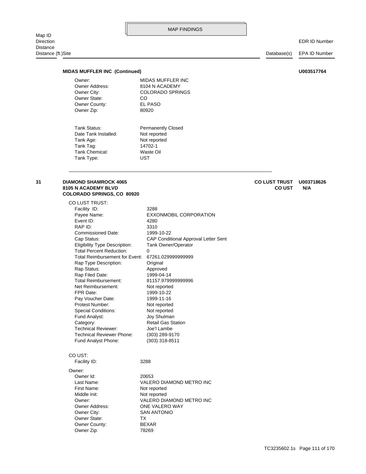Distance (ft.)Site Database(s) EPA ID Number

#### **MIDAS MUFFLER INC (Continued) U003517764**

Owner Zip: 80920 Owner County: EL PASO Owner State: CO Owner: MIDAS MUFFLER INC

Owner City: COLORADO SPRINGS Owner Address: 8104 N ACADEMY

Tank Type: UST Tank Chemical: Waste Oil Tank Tag: 14702-1 Tank Age: Not reported Date Tank Installed: Not reported Tank Status: Permanently Closed

## **COLORADO SPRINGS, CO 80920 8105 N ACADEMY BLVD CO UST N/A**

Owner Address: ONE VALERO WAY Owner: VALERO DIAMOND METRO INC Middle Init: Not reported First Name: Not reported Last Name: VALERO DIAMOND METRO INC Owner Id: 20653 Owner: Facility ID: 3288 CO UST: Fund Analyst Phone: (303) 318-8511 Technical Reviewer Phone: (303) 289-9170 Technical Reviewer: Joe'l Lambe Category: Retail Gas Station Fund Analyst: Joy Shulman Special Conditions: Not reported Protest Number: Not reported Pay Voucher Date: 1999-11-16 FPR Date: 1999-10-22 Net Reimbursement: Not reported Total Reimbursement: 81157.979999999996 Rap Filed Date: 1999-04-14 Rap Status: Approved Rap Type Description: Original Total Reimbursement for Event: 67261.029999999999 Total Percent Reduction: 0 Eligibility Type Description: Tank Owner/Operator Cap Status: CAP Conditional Approval Letter Sent Commissioned Date: 1999-10-22 RAP ID: 3310 Event ID: 4280 Payee Name: EXXONMOBIL CORPORATION Facility ID: 3288 CO LUST TRUST:

Owner Zip: 78269 Owner County: BEXAR Owner State: TX

Owner City: SAN ANTONIO

**31 DIAMOND SHAMROCK 4065 CO LUST TRUST U003718626**

TC3235602.1s Page 111 of 170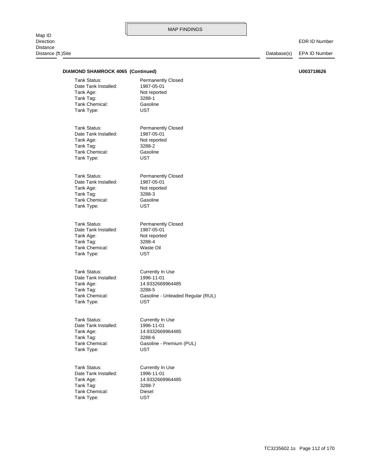Map ID<br>Direction Distance Distance (ft.)Site Database(s) EPA ID Number

| <b>DIAMOND SHAMROCK 4065 (Continued)</b>          |                                                         | U003718626 |
|---------------------------------------------------|---------------------------------------------------------|------------|
| Tank Status:<br>Date Tank Installed:<br>Tank Age: | <b>Permanently Closed</b><br>1987-05-01<br>Not reported |            |
| Tank Tag:                                         | 3288-1                                                  |            |
| Tank Chemical:                                    | Gasoline                                                |            |
| Tank Type:                                        | <b>UST</b>                                              |            |
| Tank Status:                                      | <b>Permanently Closed</b>                               |            |
| Date Tank Installed:                              | 1987-05-01                                              |            |
| Tank Age:                                         | Not reported                                            |            |
| Tank Tag:                                         | 3288-2                                                  |            |
| Tank Chemical:                                    | Gasoline                                                |            |
| Tank Type:                                        | <b>UST</b>                                              |            |
| Tank Status:                                      | <b>Permanently Closed</b>                               |            |
| Date Tank Installed:                              | 1987-05-01                                              |            |
| Tank Age:                                         | Not reported                                            |            |
| Tank Tag:                                         | 3288-3                                                  |            |
| Tank Chemical:                                    | Gasoline                                                |            |
| Tank Type:                                        | <b>UST</b>                                              |            |
| Tank Status:                                      | <b>Permanently Closed</b>                               |            |
| Date Tank Installed:                              | 1987-05-01                                              |            |
| Tank Age:                                         | Not reported                                            |            |
| Tank Tag:                                         | 3288-4                                                  |            |
| Tank Chemical:                                    | Waste Oil                                               |            |
| Tank Type:                                        | UST                                                     |            |
| Tank Status:                                      | Currently In Use                                        |            |
| Date Tank Installed:                              | 1996-11-01                                              |            |
| Tank Age:                                         | 14.9332669964485                                        |            |
| Tank Tag:<br>Tank Chemical:                       | 3288-5                                                  |            |
| Tank Type:                                        | Gasoline - Unleaded Regular (RUL)<br><b>UST</b>         |            |
|                                                   |                                                         |            |
| Tank Status:                                      | Currently In Use                                        |            |
| Date Tank Installed:                              | 1996-11-01                                              |            |
| Tank Age:                                         | 14.9332669964485                                        |            |
| Tank Tag:                                         | 3288-6                                                  |            |
| Tank Chemical:                                    | Gasoline - Premium (PUL)                                |            |
| Tank Type:                                        | <b>UST</b>                                              |            |
| Tank Status:                                      | Currently In Use                                        |            |
| Date Tank Installed:                              | 1996-11-01                                              |            |
| Tank Age:                                         | 14.9332669964485                                        |            |
| Tank Tag:                                         | 3288-7                                                  |            |
| Tank Chemical:                                    | Diesel                                                  |            |
| Tank Type:                                        | <b>UST</b>                                              |            |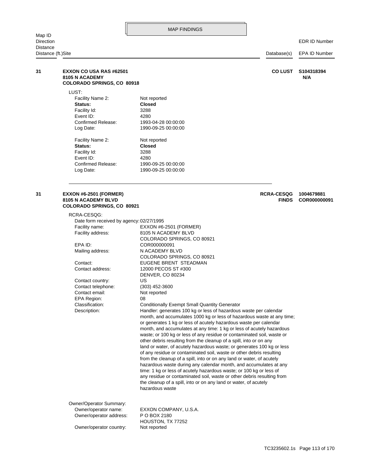EDR ID Number

| Distance (ft.)Site |                                                                                       |                                                                                                                                               | EPA ID Number     |  |
|--------------------|---------------------------------------------------------------------------------------|-----------------------------------------------------------------------------------------------------------------------------------------------|-------------------|--|
| 31                 | <b>EXXON CO USA RAS #62501</b><br>8105 N ACADEMY<br><b>COLORADO SPRINGS, CO 80918</b> | <b>CO LUST</b>                                                                                                                                | S104318394<br>N/A |  |
|                    | LUST:                                                                                 |                                                                                                                                               |                   |  |
|                    | Facility Name 2:<br>Status:<br>Facility Id:                                           | Not reported<br><b>Closed</b><br>3288                                                                                                         |                   |  |
|                    | Event ID:                                                                             | 4280                                                                                                                                          |                   |  |
|                    | Confirmed Release:                                                                    | 1993-04-28 00:00:00                                                                                                                           |                   |  |
|                    | Log Date:                                                                             | 1990-09-25 00:00:00                                                                                                                           |                   |  |
|                    | Facility Name 2:                                                                      | Not reported                                                                                                                                  |                   |  |
|                    | Status:                                                                               | <b>Closed</b>                                                                                                                                 |                   |  |
|                    | Facility Id:<br>Event ID:                                                             | 3288<br>4280                                                                                                                                  |                   |  |
|                    | Confirmed Release:                                                                    | 1990-09-25 00:00:00                                                                                                                           |                   |  |
|                    | Log Date:                                                                             | 1990-09-25 00:00:00                                                                                                                           |                   |  |
| 31                 | <b>EXXON #6-2501 (FORMER)</b>                                                         | <b>RCRA-CESQG</b>                                                                                                                             | 1004679881        |  |
|                    | <b>8105 N ACADEMY BLVD</b><br><b>COLORADO SPRINGS, CO 80921</b>                       | <b>FINDS</b>                                                                                                                                  | COR000000091      |  |
|                    | RCRA-CESQG:                                                                           |                                                                                                                                               |                   |  |
|                    | Date form received by agency: 02/27/1995                                              |                                                                                                                                               |                   |  |
|                    | Facility name:<br>Facility address:                                                   | EXXON #6-2501 (FORMER)<br>8105 N ACADEMY BLVD                                                                                                 |                   |  |
|                    |                                                                                       | COLORADO SPRINGS, CO 80921                                                                                                                    |                   |  |
|                    | EPA ID:                                                                               | COR000000091                                                                                                                                  |                   |  |
|                    | Mailing address:                                                                      | N ACADEMY BLVD<br>COLORADO SPRINGS, CO 80921                                                                                                  |                   |  |
|                    | Contact:                                                                              | EUGENE BRENT STEADMAN                                                                                                                         |                   |  |
|                    | Contact address:                                                                      | 12000 PECOS ST #300                                                                                                                           |                   |  |
|                    | Contact country:                                                                      | <b>DENVER, CO 80234</b><br>US                                                                                                                 |                   |  |
|                    | Contact telephone:                                                                    | $(303)$ 452-3600                                                                                                                              |                   |  |
|                    | Contact email:                                                                        | Not reported                                                                                                                                  |                   |  |
|                    | EPA Region:                                                                           | 08                                                                                                                                            |                   |  |
|                    | Classification:                                                                       | <b>Conditionally Exempt Small Quantity Generator</b>                                                                                          |                   |  |
|                    | Description:                                                                          | Handler: generates 100 kg or less of hazardous waste per calendar                                                                             |                   |  |
|                    |                                                                                       | month, and accumulates 1000 kg or less of hazardous waste at any time;<br>or generates 1 kg or less of acutely hazardous waste per calendar   |                   |  |
|                    |                                                                                       | month, and accumulates at any time: 1 kg or less of acutely hazardous                                                                         |                   |  |
|                    |                                                                                       | waste; or 100 kg or less of any residue or contaminated soil, waste or                                                                        |                   |  |
|                    |                                                                                       | other debris resulting from the cleanup of a spill, into or on any                                                                            |                   |  |
|                    |                                                                                       | land or water, of acutely hazardous waste; or generates 100 kg or less                                                                        |                   |  |
|                    |                                                                                       | of any residue or contaminated soil, waste or other debris resulting<br>from the cleanup of a spill, into or on any land or water, of acutely |                   |  |
|                    |                                                                                       | hazardous waste during any calendar month, and accumulates at any                                                                             |                   |  |
|                    |                                                                                       | time: 1 kg or less of acutely hazardous waste; or 100 kg or less of                                                                           |                   |  |
|                    |                                                                                       | any residue or contaminated soil, waste or other debris resulting from                                                                        |                   |  |
|                    |                                                                                       | the cleanup of a spill, into or on any land or water, of acutely<br>hazardous waste                                                           |                   |  |
|                    |                                                                                       |                                                                                                                                               |                   |  |

Owner/operator address: P O BOX 2180 Owner/operator name: EXXON COMPANY, U.S.A. Owner/Operator Summary:

Owner/operator country: Not reported HOUSTON, TX 77252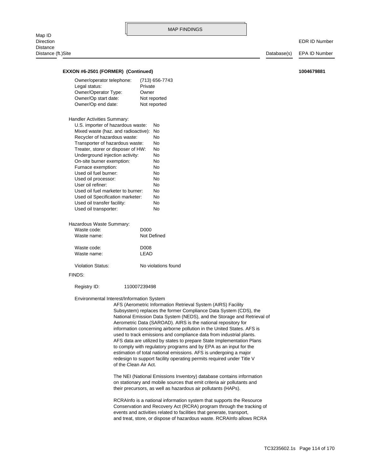#### **EXXON #6-2501 (FORMER) (Continued) 1004679881**

| Owner/operator telephone:  | (713) 656-7743 |
|----------------------------|----------------|
| Legal status:              | Private        |
| Owner/Operator Type:       | Owner          |
| Owner/Op start date:       | Not reported   |
| Owner/Op end date:         | Not reported   |
| Handler Activities Summary |                |

| U.S. importer of hazardous waste:   | Nο |
|-------------------------------------|----|
| Mixed waste (haz. and radioactive): | No |
| Recycler of hazardous waste:        | No |
| Transporter of hazardous waste:     | No |
| Treater, storer or disposer of HW:  | No |
| Underground injection activity:     | No |
| On-site burner exemption:           | No |
| Furnace exemption:                  | No |
| Used oil fuel burner:               | No |
| Used oil processor:                 | No |
| User oil refiner:                   | No |
| Used oil fuel marketer to burner:   | No |
| Used oil Specification marketer:    | No |
| Used oil transfer facility:         | No |
| Used oil transporter:               | No |
|                                     |    |

| Hazardous waste Summary. |                     |
|--------------------------|---------------------|
| Waste code:              | D <sub>0</sub> 00   |
| Waste name:              | Not Defined         |
| Waste code:              | D008                |
| Waste name:              | I FAD               |
| <b>Violation Status:</b> | No violations found |

Hazardous Waste Summary:

#### FINDS:

Registry ID: 110007239498

#### Environmental Interest/Information System

of the Clean Air Act. redesign to support facility operating permits required under Title V estimation of total national emissions. AFS is undergoing a major to comply with regulatory programs and by EPA as an input for the AFS data are utilized by states to prepare State Implementation Plans used to track emissions and compliance data from industrial plants. information concerning airborne pollution in the United States. AFS is Aerometric Data (SAROAD). AIRS is the national repository for National Emission Data System (NEDS), and the Storage and Retrieval of Subsystem) replaces the former Compliance Data System (CDS), the AFS (Aerometric Information Retrieval System (AIRS) Facility

their precursors, as well as hazardous air pollutants (HAPs). on stationary and mobile sources that emit criteria air pollutants and The NEI (National Emissions Inventory) database contains information

and treat, store, or dispose of hazardous waste. RCRAInfo allows RCRA events and activities related to facilities that generate, transport, Conservation and Recovery Act (RCRA) program through the tracking of RCRAInfo is a national information system that supports the Resource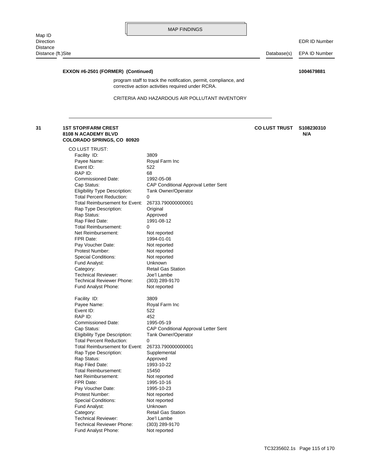EDR ID Number

Distance (ft.)Site Distance (ft.)Site Distance (ft.)Site Database(s) EPA ID Number

## **EXXON #6-2501 (FORMER) (Continued) 1004679881**

corrective action activities required under RCRA. program staff to track the notification, permit, compliance, and

#### CRITERIA AND HAZARDOUS AIR POLLUTANT INVENTORY

#### **COLORADO SPRINGS, CO 80920 8108 N ACADEMY BLVD N/A 31 1ST STOP/FARM CREST CO LUST TRUST S108230310**

| CO LUST TRUST:                             |                                             |
|--------------------------------------------|---------------------------------------------|
| Facility ID:                               | 3809                                        |
| Payee Name:                                | Royal Farm Inc                              |
| Event ID:                                  | 522                                         |
| RAP ID:                                    | 68                                          |
| <b>Commissioned Date:</b>                  | 1992-05-08                                  |
| Cap Status:                                | CAP Conditional Approval Letter Sent        |
| Eligibility Type Description:              | <b>Tank Owner/Operator</b>                  |
| <b>Total Percent Reduction:</b>            | 0                                           |
| <b>Total Reimbursement for Event:</b>      | 26733.790000000001                          |
| Rap Type Description:                      | Original                                    |
| Rap Status:                                | Approved                                    |
| Rap Filed Date:                            | 1991-08-12                                  |
| <b>Total Reimbursement:</b>                | 0                                           |
| Net Reimbursement:                         | Not reported                                |
| FPR Date:                                  | 1994-01-01                                  |
| Pay Voucher Date:                          | Not reported                                |
| Protest Number:                            | Not reported                                |
| <b>Special Conditions:</b>                 | Not reported                                |
| Fund Analyst:                              | Unknown                                     |
| Category:                                  | <b>Retail Gas Station</b>                   |
| <b>Technical Reviewer:</b>                 | Joe'l Lambe                                 |
| <b>Technical Reviewer Phone:</b>           | (303) 289-9170                              |
| Fund Analyst Phone:                        | Not reported                                |
|                                            |                                             |
|                                            |                                             |
| Facility ID:                               | 3809                                        |
| Payee Name:                                | Royal Farm Inc                              |
| Event ID:                                  | 522                                         |
| RAP ID:                                    | 452                                         |
| Commissioned Date:                         | 1995-05-19                                  |
| Cap Status:                                | <b>CAP Conditional Approval Letter Sent</b> |
| <b>Eligibility Type Description:</b>       | <b>Tank Owner/Operator</b><br>0             |
| <b>Total Percent Reduction:</b>            |                                             |
| Total Reimbursement for Event:             | 26733.790000000001                          |
| Rap Type Description:                      | Supplemental                                |
| Rap Status:                                | Approved                                    |
| Rap Filed Date:                            | 1993-10-22<br>15450                         |
| Total Reimbursement:<br>Net Reimbursement: |                                             |
| FPR Date:                                  | Not reported<br>1995-10-16                  |
|                                            | 1995-10-23                                  |
| Pay Voucher Date:<br>Protest Number:       | Not reported                                |
| <b>Special Conditions:</b>                 | Not reported                                |
| Fund Analyst:                              | Unknown                                     |
| Category:                                  | <b>Retail Gas Station</b>                   |
| <b>Technical Reviewer:</b>                 | Joe'l Lambe                                 |
| <b>Technical Reviewer Phone:</b>           | (303) 289-9170                              |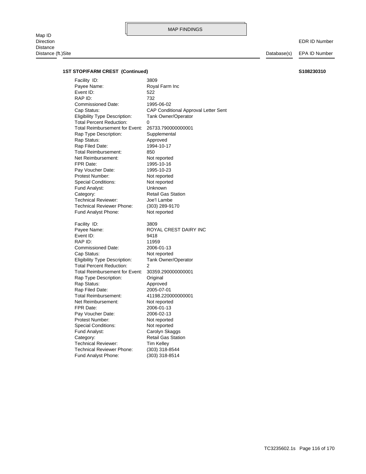Map ID<br>Direction Direction EDR ID Number Distance Distance (ft.)Site Database(s) EPA ID Number

#### **1ST STOP/FARM CREST (Continued) S108230310**

Fund Analyst Phone: (303) 318-8514 Technical Reviewer Phone: (303) 318-8544 Technical Reviewer: Tim Kelley Category: Retail Gas Station Fund Analyst: Carolyn Skaggs Special Conditions: Not reported Protest Number: Not reported Pay Voucher Date: 2006-02-13 FPR Date: 2006-01-13 Net Reimbursement: Not reported Total Reimbursement: 41198.220000000001 Rap Filed Date: 2005-07-01 Rap Status: Approved Rap Type Description: Original Total Reimbursement for Event: 30359.290000000001 Total Percent Reduction: 2 Eligibility Type Description: Tank Owner/Operator Cap Status: Not reported Commissioned Date: 2006-01-13 RAP ID: 11959 Event ID: 9418 Payee Name: ROYAL CREST DAIRY INC Facility ID: 3809 Fund Analyst Phone: Not reported Technical Reviewer Phone: (303) 289-9170 Technical Reviewer: Joe'l Lambe Category: Retail Gas Station Fund Analyst: Unknown Special Conditions: Not reported Protest Number: Not reported Pay Voucher Date: 1995-10-23 FPR Date: 1995-10-16 Net Reimbursement: Not reported Total Reimbursement: 850 Rap Filed Date: 1994-10-17 Rap Status: Approved Rap Type Description: Supplemental Total Reimbursement for Event: 26733.790000000001 Total Percent Reduction: 0 Eligibility Type Description: Tank Owner/Operator Cap Status: CAP Conditional Approval Letter Sent Commissioned Date: 1995-06-02 RAP ID: 732 Event ID: 522 Payee Name: Royal Farm Inc Facility ID: 3809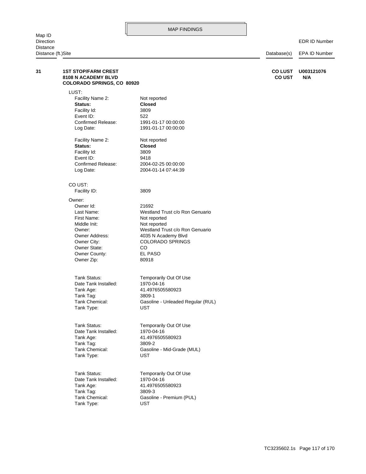| Direction                      |                                                                                 |                                            |                                 | <b>EDR ID Number</b> |
|--------------------------------|---------------------------------------------------------------------------------|--------------------------------------------|---------------------------------|----------------------|
| Distance<br>Distance (ft.)Site |                                                                                 | Database(s)                                | EPA ID Number                   |                      |
|                                |                                                                                 |                                            |                                 |                      |
| 31                             | <b>1ST STOP/FARM CREST</b><br>8108 N ACADEMY BLVD<br>COLORADO SPRINGS, CO 80920 |                                            | <b>CO LUST</b><br><b>CO UST</b> | U003121076<br>N/A    |
|                                | LUST:                                                                           |                                            |                                 |                      |
|                                | Facility Name 2:                                                                | Not reported                               |                                 |                      |
|                                | Status:                                                                         | <b>Closed</b>                              |                                 |                      |
|                                | Facility Id:                                                                    | 3809                                       |                                 |                      |
|                                | Event ID:                                                                       | 522                                        |                                 |                      |
|                                | Confirmed Release:<br>Log Date:                                                 | 1991-01-17 00:00:00<br>1991-01-17 00:00:00 |                                 |                      |
|                                | Facility Name 2:                                                                | Not reported                               |                                 |                      |
|                                | Status:                                                                         | <b>Closed</b>                              |                                 |                      |
|                                | Facility Id:                                                                    | 3809                                       |                                 |                      |
|                                | Event ID:                                                                       | 9418                                       |                                 |                      |
|                                | Confirmed Release:                                                              | 2004-02-25 00:00:00                        |                                 |                      |
|                                | Log Date:                                                                       | 2004-01-14 07:44:39                        |                                 |                      |
|                                | CO UST:                                                                         |                                            |                                 |                      |
|                                | Facility ID:                                                                    | 3809                                       |                                 |                      |
|                                | Owner:                                                                          |                                            |                                 |                      |
|                                | Owner Id:                                                                       | 21692                                      |                                 |                      |
|                                | Last Name:                                                                      | Westland Trust c/o Ron Genuario            |                                 |                      |
|                                | First Name:                                                                     | Not reported                               |                                 |                      |
|                                | Middle Init:                                                                    | Not reported                               |                                 |                      |
|                                | Owner:                                                                          | Westland Trust c/o Ron Genuario            |                                 |                      |
|                                | Owner Address:                                                                  | 4035 N Academy Blvd                        |                                 |                      |
|                                | Owner City:                                                                     | <b>COLORADO SPRINGS</b>                    |                                 |                      |
|                                | Owner State:                                                                    | CO.                                        |                                 |                      |
|                                | Owner County:                                                                   | EL PASO<br>80918                           |                                 |                      |
|                                | Owner Zip:                                                                      |                                            |                                 |                      |
|                                | Tank Status:                                                                    | Temporarily Out Of Use                     |                                 |                      |
|                                | Date Tank Installed:                                                            | 1970-04-16                                 |                                 |                      |
|                                | Tank Age:                                                                       | 41.4976505580923                           |                                 |                      |
|                                | Tank Tag:                                                                       | 3809-1                                     |                                 |                      |
|                                | Tank Chemical:                                                                  | Gasoline - Unleaded Regular (RUL)          |                                 |                      |
|                                | Tank Type:                                                                      | <b>UST</b>                                 |                                 |                      |
|                                | Tank Status:                                                                    | Temporarily Out Of Use                     |                                 |                      |
|                                | Date Tank Installed:                                                            | 1970-04-16                                 |                                 |                      |
|                                | Tank Age:                                                                       | 41.4976505580923                           |                                 |                      |
|                                | Tank Tag:                                                                       | 3809-2                                     |                                 |                      |
|                                | Tank Chemical:                                                                  | Gasoline - Mid-Grade (MUL)                 |                                 |                      |
|                                | Tank Type:                                                                      | <b>UST</b>                                 |                                 |                      |
|                                | Tank Status:                                                                    | Temporarily Out Of Use                     |                                 |                      |
|                                | Date Tank Installed:                                                            | 1970-04-16                                 |                                 |                      |
|                                | Tank Age:                                                                       | 41.4976505580923                           |                                 |                      |
|                                | Tank Tag:                                                                       | 3809-3                                     |                                 |                      |
|                                | Tank Chemical:                                                                  | Gasoline - Premium (PUL)                   |                                 |                      |
|                                | Tank Type:                                                                      | <b>UST</b>                                 |                                 |                      |
|                                |                                                                                 |                                            |                                 |                      |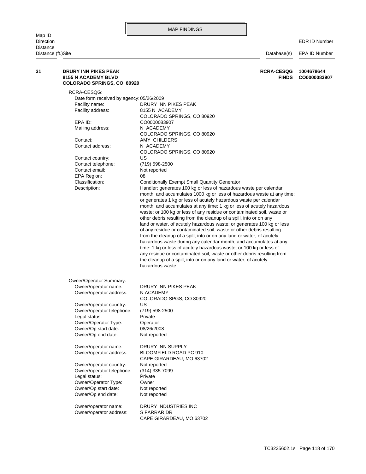| 31 | DRURY INN PIKES PEAK<br><b>8155 N ACADEMY BLVD</b><br>COLORADO SPRINGS, CO 80920 | <b>RCRA-CESQG</b><br><b>FINDS</b>                                                   | 1004678644<br>CO0000083907 |
|----|----------------------------------------------------------------------------------|-------------------------------------------------------------------------------------|----------------------------|
|    | RCRA-CESQG:                                                                      |                                                                                     |                            |
|    | Date form received by agency: 05/26/2009                                         |                                                                                     |                            |
|    | Facility name:                                                                   | DRURY INN PIKES PEAK                                                                |                            |
|    | Facility address:                                                                | 8155 N ACADEMY                                                                      |                            |
|    |                                                                                  | COLORADO SPRINGS, CO 80920                                                          |                            |
|    | EPA ID:                                                                          | CO0000083907                                                                        |                            |
|    | Mailing address:                                                                 | N ACADEMY                                                                           |                            |
|    |                                                                                  | COLORADO SPRINGS, CO 80920                                                          |                            |
|    | Contact:                                                                         | AMY CHILDERS                                                                        |                            |
|    | Contact address:                                                                 | N ACADEMY                                                                           |                            |
|    |                                                                                  | COLORADO SPRINGS, CO 80920                                                          |                            |
|    | Contact country:                                                                 | US                                                                                  |                            |
|    | Contact telephone:                                                               | (719) 598-2500                                                                      |                            |
|    | Contact email:                                                                   | Not reported                                                                        |                            |
|    | EPA Region:<br>Classification:                                                   | 08<br><b>Conditionally Exempt Small Quantity Generator</b>                          |                            |
|    | Description:                                                                     | Handler: generates 100 kg or less of hazardous waste per calendar                   |                            |
|    |                                                                                  | month, and accumulates 1000 kg or less of hazardous waste at any time;              |                            |
|    |                                                                                  | or generates 1 kg or less of acutely hazardous waste per calendar                   |                            |
|    |                                                                                  | month, and accumulates at any time: 1 kg or less of acutely hazardous               |                            |
|    |                                                                                  | waste; or 100 kg or less of any residue or contaminated soil, waste or              |                            |
|    |                                                                                  | other debris resulting from the cleanup of a spill, into or on any                  |                            |
|    |                                                                                  | land or water, of acutely hazardous waste; or generates 100 kg or less              |                            |
|    |                                                                                  | of any residue or contaminated soil, waste or other debris resulting                |                            |
|    |                                                                                  | from the cleanup of a spill, into or on any land or water, of acutely               |                            |
|    |                                                                                  | hazardous waste during any calendar month, and accumulates at any                   |                            |
|    |                                                                                  | time: 1 kg or less of acutely hazardous waste; or 100 kg or less of                 |                            |
|    |                                                                                  | any residue or contaminated soil, waste or other debris resulting from              |                            |
|    |                                                                                  | the cleanup of a spill, into or on any land or water, of acutely<br>hazardous waste |                            |
|    |                                                                                  |                                                                                     |                            |
|    | Owner/Operator Summary:                                                          |                                                                                     |                            |
|    | Owner/operator name:                                                             | DRURY INN PIKES PEAK                                                                |                            |
|    | Owner/operator address:                                                          | N ACADEMY                                                                           |                            |
|    |                                                                                  | COLORADO SPGS, CO 80920                                                             |                            |
|    | Owner/operator country:                                                          | US                                                                                  |                            |
|    | Owner/operator telephone:                                                        | (719) 598-2500                                                                      |                            |
|    | Legal status:                                                                    | Private                                                                             |                            |
|    | Owner/Operator Type:                                                             | Operator<br>08/26/2008                                                              |                            |
|    | Owner/Op start date:<br>Owner/Op end date:                                       | Not reported                                                                        |                            |
|    |                                                                                  |                                                                                     |                            |
|    | Owner/operator name:                                                             | DRURY INN SUPPLY                                                                    |                            |
|    | Owner/operator address:                                                          | BLOOMFIELD ROAD PC 910                                                              |                            |
|    |                                                                                  | CAPE GIRARDEAU, MO 63702                                                            |                            |
|    | Owner/operator country:                                                          | Not reported                                                                        |                            |
|    | Owner/operator telephone:                                                        | $(314)$ 335-7099                                                                    |                            |
|    | Legal status:                                                                    | Private                                                                             |                            |
|    | Owner/Operator Type:                                                             | Owner                                                                               |                            |
|    | Owner/Op start date:                                                             | Not reported                                                                        |                            |
|    | Owner/Op end date:                                                               | Not reported                                                                        |                            |
|    | Owner/operator name:                                                             | DRURY INDUSTRIES INC                                                                |                            |
|    | Owner/operator address:                                                          | S FARRAR DR                                                                         |                            |
|    |                                                                                  | CAPE GIRARDEAU, MO 63702                                                            |                            |
|    |                                                                                  |                                                                                     |                            |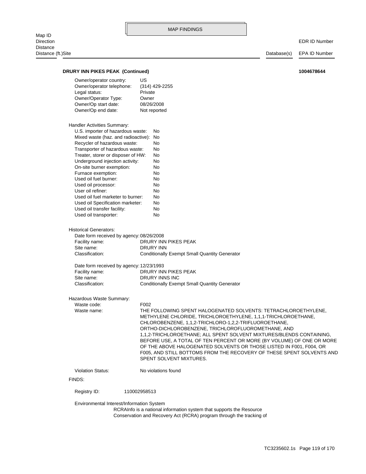Map ID<br>Direction Distance Distance (ft.)Site Database(s) EPA ID Number

**DRURY INN PIKES PEAK (Continued)** 

| 1004678644 |
|------------|
|------------|

| Owner/operator country:<br>Owner/operator telephone:<br>Legal status:<br>Owner/Operator Type:<br>Owner/Op start date: | US<br>(314) 429-2255<br>Private<br>Owner<br>08/26/2008                                                                                                                                                                                                                                                                        |
|-----------------------------------------------------------------------------------------------------------------------|-------------------------------------------------------------------------------------------------------------------------------------------------------------------------------------------------------------------------------------------------------------------------------------------------------------------------------|
| Owner/Op end date:                                                                                                    | Not reported                                                                                                                                                                                                                                                                                                                  |
| Handler Activities Summary:                                                                                           |                                                                                                                                                                                                                                                                                                                               |
| U.S. importer of hazardous waste:                                                                                     | No                                                                                                                                                                                                                                                                                                                            |
| Mixed waste (haz. and radioactive): No                                                                                |                                                                                                                                                                                                                                                                                                                               |
| Recycler of hazardous waste:                                                                                          | No                                                                                                                                                                                                                                                                                                                            |
| Transporter of hazardous waste:                                                                                       | No                                                                                                                                                                                                                                                                                                                            |
| Treater, storer or disposer of HW:<br>Underground injection activity:                                                 | No<br>No                                                                                                                                                                                                                                                                                                                      |
| On-site burner exemption:                                                                                             | No                                                                                                                                                                                                                                                                                                                            |
| Furnace exemption:                                                                                                    | No                                                                                                                                                                                                                                                                                                                            |
| Used oil fuel burner:                                                                                                 | No                                                                                                                                                                                                                                                                                                                            |
| Used oil processor:                                                                                                   | No                                                                                                                                                                                                                                                                                                                            |
| User oil refiner:                                                                                                     | No                                                                                                                                                                                                                                                                                                                            |
| Used oil fuel marketer to burner:                                                                                     | No                                                                                                                                                                                                                                                                                                                            |
| Used oil Specification marketer:                                                                                      | No                                                                                                                                                                                                                                                                                                                            |
| Used oil transfer facility:                                                                                           | No                                                                                                                                                                                                                                                                                                                            |
| Used oil transporter:                                                                                                 | No                                                                                                                                                                                                                                                                                                                            |
| <b>Historical Generators:</b>                                                                                         |                                                                                                                                                                                                                                                                                                                               |
| Date form received by agency: 08/26/2008                                                                              |                                                                                                                                                                                                                                                                                                                               |
| Facility name:                                                                                                        | DRURY INN PIKES PEAK                                                                                                                                                                                                                                                                                                          |
| Site name:<br>Classification:                                                                                         | DRURY INN<br><b>Conditionally Exempt Small Quantity Generator</b>                                                                                                                                                                                                                                                             |
|                                                                                                                       |                                                                                                                                                                                                                                                                                                                               |
| Date form received by agency: 12/23/1993                                                                              |                                                                                                                                                                                                                                                                                                                               |
| Facility name:                                                                                                        | DRURY INN PIKES PEAK                                                                                                                                                                                                                                                                                                          |
| Site name:<br>Classification:                                                                                         | DRURY INNS INC<br><b>Conditionally Exempt Small Quantity Generator</b>                                                                                                                                                                                                                                                        |
|                                                                                                                       |                                                                                                                                                                                                                                                                                                                               |
| Hazardous Waste Summary:                                                                                              |                                                                                                                                                                                                                                                                                                                               |
| Waste code:<br>Waste name:                                                                                            | F002<br>THE FOLLOWING SPENT HALOGENATED SOLVENTS: TETRACHLOROETHYLENE,                                                                                                                                                                                                                                                        |
|                                                                                                                       | METHYLENE CHLORIDE, TRICHLOROETHYLENE, 1,1,1-TRICHLOROETHANE,<br>CHLOROBENZENE, 1,1,2-TRICHLORO-1,2,2-TRIFLUOROETHANE,<br>ORTHO-DICHLOROBENZENE, TRICHLOROFLUOROMETHANE, AND<br>1,1,2-TRICHLOROETHANE; ALL SPENT SOLVENT MIXTURES/BLENDS CONTAINING,<br>BEFORE USE, A TOTAL OF TEN PERCENT OR MORE (BY VOLUME) OF ONE OR MORE |
|                                                                                                                       | OF THE ABOVE HALOGENATED SOLVENTS OR THOSE LISTED IN F001, F004, OR<br>F005, AND STILL BOTTOMS FROM THE RECOVERY OF THESE SPENT SOLVENTS AND                                                                                                                                                                                  |
|                                                                                                                       | SPENT SOLVENT MIXTURES.                                                                                                                                                                                                                                                                                                       |
| <b>Violation Status:</b>                                                                                              | No violations found                                                                                                                                                                                                                                                                                                           |
| FINDS:                                                                                                                |                                                                                                                                                                                                                                                                                                                               |
| Registry ID:                                                                                                          | 110002958513                                                                                                                                                                                                                                                                                                                  |
| Environmental Interest/Information System                                                                             | RCRAInfo is a national information system that supports the Resource                                                                                                                                                                                                                                                          |
|                                                                                                                       | Conservation and Recovery Act (RCRA) program through the tracking of                                                                                                                                                                                                                                                          |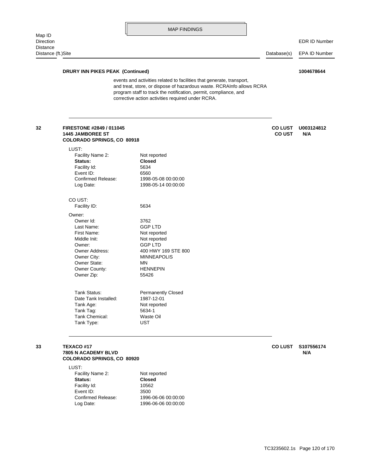EDR ID Number

# **DRURY INN PIKES PEAK (Continued) 1004678644**

Log Date: 1996-06-06 00:00:00 Confirmed Release: 1996-06-06 00:00:00

Event ID: 3500 Facility Id: 10562

corrective action activities required under RCRA. program staff to track the notification, permit, compliance, and and treat, store, or dispose of hazardous waste. RCRAInfo allows RCRA events and activities related to facilities that generate, transport,

| FIRESTONE #2849 / 011045<br><b>1445 JAMBOREE ST</b><br>COLORADO SPRINGS, CO 80918 |                           | <b>COLUST</b><br><b>CO UST</b> | U003124812<br>N/A |
|-----------------------------------------------------------------------------------|---------------------------|--------------------------------|-------------------|
| LUST:                                                                             |                           |                                |                   |
| Facility Name 2:                                                                  | Not reported              |                                |                   |
| Status:                                                                           | <b>Closed</b>             |                                |                   |
| Facility Id:                                                                      | 5634                      |                                |                   |
| Event ID:                                                                         | 6560                      |                                |                   |
| Confirmed Release:                                                                | 1998-05-08 00:00:00       |                                |                   |
| Log Date:                                                                         | 1998-05-14 00:00:00       |                                |                   |
| CO UST:                                                                           |                           |                                |                   |
| Facility ID:                                                                      | 5634                      |                                |                   |
| Owner:                                                                            |                           |                                |                   |
| Owner Id:                                                                         | 3762                      |                                |                   |
| Last Name:                                                                        | <b>GGP LTD</b>            |                                |                   |
| First Name:                                                                       | Not reported              |                                |                   |
| Middle Init:                                                                      | Not reported              |                                |                   |
| Owner:                                                                            | <b>GGP LTD</b>            |                                |                   |
| Owner Address:                                                                    | 400 HWY 169 STE 800       |                                |                   |
| Owner City:                                                                       | <b>MINNEAPOLIS</b>        |                                |                   |
| Owner State:                                                                      | MN                        |                                |                   |
| Owner County:                                                                     | <b>HENNEPIN</b>           |                                |                   |
| Owner Zip:                                                                        | 55426                     |                                |                   |
| <b>Tank Status:</b>                                                               | <b>Permanently Closed</b> |                                |                   |
| Date Tank Installed:                                                              | 1987-12-01                |                                |                   |
| Tank Age:                                                                         | Not reported              |                                |                   |
| Tank Tag:                                                                         | 5634-1                    |                                |                   |
| <b>Tank Chemical:</b>                                                             | Waste Oil                 |                                |                   |
| Tank Type:                                                                        | <b>UST</b>                |                                |                   |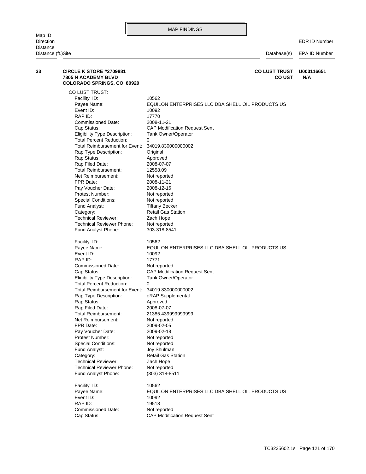| Distance (ft.)Site |                                                                                            | Database(s)                                                | EPA ID Number     |
|--------------------|--------------------------------------------------------------------------------------------|------------------------------------------------------------|-------------------|
| 33                 | <b>CIRCLE K STORE #2709881</b><br><b>7805 N ACADEMY BLVD</b><br>COLORADO SPRINGS, CO 80920 | <b>CO LUST TRUST</b><br><b>COUST</b>                       | U003116651<br>N/A |
|                    | CO LUST TRUST:                                                                             |                                                            |                   |
|                    | Facility ID:                                                                               | 10562                                                      |                   |
|                    | Payee Name:                                                                                | EQUILON ENTERPRISES LLC DBA SHELL OIL PRODUCTS US          |                   |
|                    | Event ID:                                                                                  | 10092                                                      |                   |
|                    | RAP ID:                                                                                    | 17770                                                      |                   |
|                    | <b>Commissioned Date:</b>                                                                  | 2008-11-21                                                 |                   |
|                    | Cap Status:                                                                                | <b>CAP Modification Request Sent</b>                       |                   |
|                    | Eligibility Type Description:<br><b>Total Percent Reduction:</b>                           | <b>Tank Owner/Operator</b><br>0                            |                   |
|                    | Total Reimbursement for Event:                                                             | 34019.830000000002                                         |                   |
|                    | Rap Type Description:                                                                      | Original                                                   |                   |
|                    | Rap Status:                                                                                | Approved                                                   |                   |
|                    | Rap Filed Date:                                                                            | 2008-07-07                                                 |                   |
|                    | Total Reimbursement:                                                                       | 12558.09                                                   |                   |
|                    | Net Reimbursement:                                                                         | Not reported                                               |                   |
|                    | FPR Date:                                                                                  | 2008-11-21                                                 |                   |
|                    | Pay Voucher Date:                                                                          | 2008-12-16                                                 |                   |
|                    | Protest Number:                                                                            | Not reported                                               |                   |
|                    | <b>Special Conditions:</b>                                                                 | Not reported                                               |                   |
|                    | Fund Analyst:                                                                              | <b>Tiffany Becker</b>                                      |                   |
|                    | Category:                                                                                  | Retail Gas Station                                         |                   |
|                    | <b>Technical Reviewer:</b>                                                                 | Zach Hope                                                  |                   |
|                    | <b>Technical Reviewer Phone:</b>                                                           | Not reported                                               |                   |
|                    | Fund Analyst Phone:                                                                        | 303-318-8541                                               |                   |
|                    | Facility ID:                                                                               | 10562                                                      |                   |
|                    | Payee Name:                                                                                | EQUILON ENTERPRISES LLC DBA SHELL OIL PRODUCTS US          |                   |
|                    | Event ID:                                                                                  | 10092                                                      |                   |
|                    | RAP ID:                                                                                    | 17771                                                      |                   |
|                    | <b>Commissioned Date:</b>                                                                  | Not reported                                               |                   |
|                    | Cap Status:<br>Eligibility Type Description:                                               | <b>CAP Modification Request Sent</b>                       |                   |
|                    | <b>Total Percent Reduction:</b>                                                            | <b>Tank Owner/Operator</b><br>0                            |                   |
|                    | Total Reimbursement for Event:                                                             | 34019.830000000002                                         |                   |
|                    | Rap Type Description:                                                                      | eRAP Supplemental                                          |                   |
|                    | Rap Status:                                                                                | Approved                                                   |                   |
|                    | Rap Filed Date:                                                                            | 2008-07-07                                                 |                   |
|                    | Total Reimbursement:                                                                       | 21385.439999999999                                         |                   |
|                    | Net Reimbursement:                                                                         | Not reported                                               |                   |
|                    | FPR Date:                                                                                  | 2009-02-05                                                 |                   |
|                    | Pay Voucher Date:                                                                          | 2009-02-18                                                 |                   |
|                    | Protest Number:                                                                            | Not reported                                               |                   |
|                    | <b>Special Conditions:</b>                                                                 | Not reported                                               |                   |
|                    | Fund Analyst:                                                                              | Joy Shulman                                                |                   |
|                    | Category:                                                                                  | <b>Retail Gas Station</b>                                  |                   |
|                    | <b>Technical Reviewer:</b>                                                                 | Zach Hope                                                  |                   |
|                    | <b>Technical Reviewer Phone:</b><br>Fund Analyst Phone:                                    | Not reported<br>$(303)$ 318-8511                           |                   |
|                    |                                                                                            |                                                            |                   |
|                    | Facility ID:<br>Payee Name:                                                                | 10562<br>EQUILON ENTERPRISES LLC DBA SHELL OIL PRODUCTS US |                   |
|                    | Event ID:                                                                                  | 10092                                                      |                   |
|                    | RAP ID:                                                                                    | 19518                                                      |                   |
|                    | <b>Commissioned Date:</b>                                                                  | Not reported                                               |                   |
|                    | Cap Status:                                                                                | <b>CAP Modification Request Sent</b>                       |                   |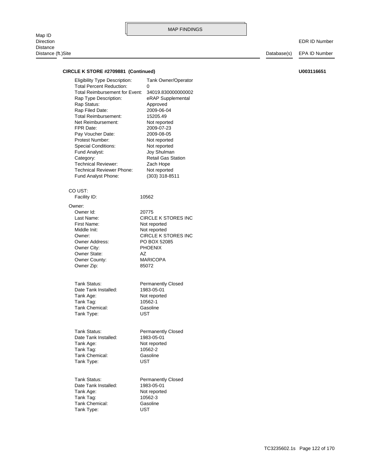Map ID<br>Direction Distance Distance (ft.)Site Database(s) EPA ID Number

| CIRCLE K STORE #2709881 (Continued)                                                                                                                                                                                                                                                                                                                                                                                                        |                                                                                                                                                                                                                                                                                    | U003116651 |  |
|--------------------------------------------------------------------------------------------------------------------------------------------------------------------------------------------------------------------------------------------------------------------------------------------------------------------------------------------------------------------------------------------------------------------------------------------|------------------------------------------------------------------------------------------------------------------------------------------------------------------------------------------------------------------------------------------------------------------------------------|------------|--|
| <b>Eligibility Type Description:</b><br><b>Total Percent Reduction:</b><br><b>Total Reimbursement for Event:</b><br>Rap Type Description:<br>Rap Status:<br>Rap Filed Date:<br><b>Total Reimbursement:</b><br>Net Reimbursement:<br>FPR Date:<br>Pay Voucher Date:<br>Protest Number:<br><b>Special Conditions:</b><br>Fund Analyst:<br>Category:<br><b>Technical Reviewer:</b><br><b>Technical Reviewer Phone:</b><br>Fund Analyst Phone: | Tank Owner/Operator<br>0<br>34019.830000000002<br>eRAP Supplemental<br>Approved<br>2009-06-04<br>15205.49<br>Not reported<br>2009-07-23<br>2009-08-05<br>Not reported<br>Not reported<br>Joy Shulman<br><b>Retail Gas Station</b><br>Zach Hope<br>Not reported<br>$(303)$ 318-8511 |            |  |
| CO UST:<br>Facility ID:                                                                                                                                                                                                                                                                                                                                                                                                                    | 10562                                                                                                                                                                                                                                                                              |            |  |
|                                                                                                                                                                                                                                                                                                                                                                                                                                            |                                                                                                                                                                                                                                                                                    |            |  |
| Owner:<br>Owner Id:<br>Last Name:<br>First Name:<br>Middle Init:<br>Owner:<br><b>Owner Address:</b><br>Owner City:<br>Owner State:<br>Owner County:<br>Owner Zip:<br>Tank Status:<br>Date Tank Installed:<br>Tank Age:<br>Tank Tag:<br>Tank Chemical:                                                                                                                                                                                      | 20775<br>CIRCLE K STORES INC<br>Not reported<br>Not reported<br><b>CIRCLE K STORES INC</b><br>PO BOX 52085<br><b>PHOENIX</b><br>AZ<br><b>MARICOPA</b><br>85072<br><b>Permanently Closed</b><br>1983-05-01<br>Not reported<br>10562-1<br>Gasoline                                   |            |  |
| Tank Type:<br>Tank Status:<br>Date Tank Installed:<br>Tank Age:<br>Tank Tag:<br>Tank Chemical:<br>Tank Type:                                                                                                                                                                                                                                                                                                                               | UST<br><b>Permanently Closed</b><br>1983-05-01<br>Not reported<br>10562-2<br>Gasoline<br><b>UST</b>                                                                                                                                                                                |            |  |
| Tank Status:<br>Date Tank Installed:<br>Tank Age:<br>Tank Tag:<br>Tank Chemical:<br>Tank Type:                                                                                                                                                                                                                                                                                                                                             | <b>Permanently Closed</b><br>1983-05-01<br>Not reported<br>10562-3<br>Gasoline<br>UST                                                                                                                                                                                              |            |  |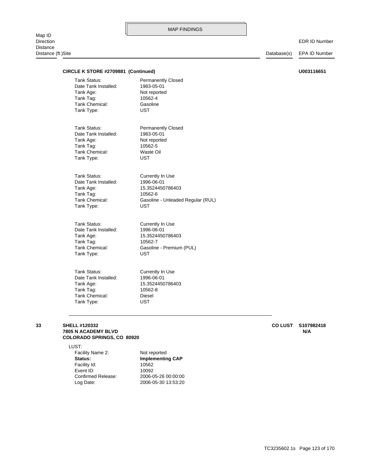#### EDR ID Number

| CIRCLE K STORE #2709881 (Continued) |                                   | U003116651 |
|-------------------------------------|-----------------------------------|------------|
| Tank Status:                        | <b>Permanently Closed</b>         |            |
| Date Tank Installed:                | 1983-05-01                        |            |
| Tank Age:                           | Not reported                      |            |
| Tank Tag:                           | 10562-4                           |            |
| Tank Chemical:                      | Gasoline                          |            |
| Tank Type:                          | <b>UST</b>                        |            |
| <b>Tank Status:</b>                 | <b>Permanently Closed</b>         |            |
| Date Tank Installed:                | 1983-05-01                        |            |
| Tank Age:                           | Not reported                      |            |
| Tank Tag:                           | 10562-5                           |            |
| Tank Chemical:                      | Waste Oil                         |            |
| Tank Type:                          | <b>UST</b>                        |            |
| Tank Status:                        | Currently In Use                  |            |
| Date Tank Installed:                | 1996-06-01                        |            |
| Tank Age:                           | 15.3524450786403                  |            |
| Tank Tag:                           | 10562-6                           |            |
| Tank Chemical:                      | Gasoline - Unleaded Regular (RUL) |            |
| Tank Type:                          | <b>UST</b>                        |            |
| <b>Tank Status:</b>                 | Currently In Use                  |            |
| Date Tank Installed:                | 1996-06-01                        |            |
| Tank Age:                           | 15.3524450786403                  |            |
| Tank Tag:                           | 10562-7                           |            |
| <b>Tank Chemical:</b>               | Gasoline - Premium (PUL)          |            |
| Tank Type:                          | <b>UST</b>                        |            |
| <b>Tank Status:</b>                 | Currently In Use                  |            |
| Date Tank Installed:                | 1996-06-01                        |            |
| Tank Age:                           | 15.3524450786403                  |            |
| Tank Tag:                           | 10562-8                           |            |
| <b>Tank Chemical:</b>               | Diesel                            |            |
| Tank Type:                          | <b>UST</b>                        |            |
|                                     |                                   |            |

### **COLORADO SPRINGS, CO 80920 7805 N ACADEMY BLVD N/A 33 SHELL #120332 CO LUST S107982418**

LUST:

| Facility Name 2:   | Not reported            |
|--------------------|-------------------------|
| Status:            | <b>Implementing CAP</b> |
| Facility Id:       | 10562                   |
| Event ID:          | 10092                   |
| Confirmed Release: | 2006-05-26 00:00:00     |
| Log Date:          | 2006-05-30 13:53:20     |
|                    |                         |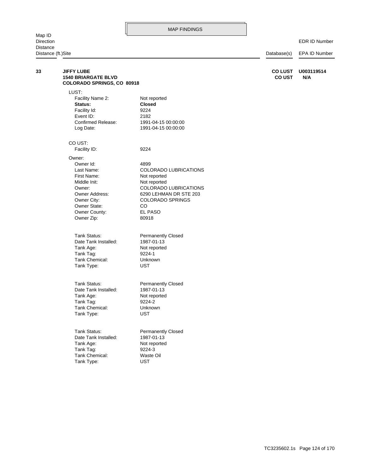Map ID<br>Direction Distance<br>Distance

|    | Distance (ft.)Site                                                                   |                              | Database(s)                     | EPA ID Number     |  |
|----|--------------------------------------------------------------------------------------|------------------------------|---------------------------------|-------------------|--|
| 33 | <b>JIFFY LUBE</b><br><b>1540 BRIARGATE BLVD</b><br><b>COLORADO SPRINGS, CO 80918</b> |                              | <b>CO LUST</b><br><b>CO UST</b> | U003119514<br>N/A |  |
|    | LUST:                                                                                |                              |                                 |                   |  |
|    | Facility Name 2:                                                                     | Not reported                 |                                 |                   |  |
|    | Status:                                                                              | <b>Closed</b>                |                                 |                   |  |
|    | Facility Id:                                                                         | 9224                         |                                 |                   |  |
|    | Event ID:                                                                            | 2182                         |                                 |                   |  |
|    | Confirmed Release:                                                                   | 1991-04-15 00:00:00          |                                 |                   |  |
|    | Log Date:                                                                            | 1991-04-15 00:00:00          |                                 |                   |  |
|    | CO UST:                                                                              |                              |                                 |                   |  |
|    | Facility ID:                                                                         | 9224                         |                                 |                   |  |
|    | Owner:                                                                               |                              |                                 |                   |  |
|    | Owner Id:                                                                            | 4899                         |                                 |                   |  |
|    | Last Name:                                                                           | <b>COLORADO LUBRICATIONS</b> |                                 |                   |  |
|    | First Name:                                                                          | Not reported                 |                                 |                   |  |
|    | Middle Init:                                                                         | Not reported                 |                                 |                   |  |
|    | Owner:                                                                               | COLORADO LUBRICATIONS        |                                 |                   |  |
|    | Owner Address:                                                                       | 6290 LEHMAN DR STE 203       |                                 |                   |  |
|    | Owner City:                                                                          | <b>COLORADO SPRINGS</b>      |                                 |                   |  |
|    | <b>Owner State:</b>                                                                  | CO                           |                                 |                   |  |
|    | Owner County:                                                                        | EL PASO                      |                                 |                   |  |
|    | Owner Zip:                                                                           | 80918                        |                                 |                   |  |
|    | Tank Status:                                                                         | <b>Permanently Closed</b>    |                                 |                   |  |
|    | Date Tank Installed:                                                                 | 1987-01-13                   |                                 |                   |  |
|    | Tank Age:                                                                            | Not reported                 |                                 |                   |  |
|    | Tank Tag:                                                                            | 9224-1                       |                                 |                   |  |
|    | Tank Chemical:                                                                       | Unknown                      |                                 |                   |  |
|    | Tank Type:                                                                           | <b>UST</b>                   |                                 |                   |  |
|    |                                                                                      |                              |                                 |                   |  |
|    | Tank Status:                                                                         | <b>Permanently Closed</b>    |                                 |                   |  |
|    | Date Tank Installed:                                                                 | 1987-01-13                   |                                 |                   |  |
|    | Tank Age:                                                                            | Not reported                 |                                 |                   |  |
|    | Tank Tag:                                                                            | 9224-2                       |                                 |                   |  |
|    | Tank Chemical:                                                                       | Unknown                      |                                 |                   |  |
|    | Tank Type:                                                                           | <b>UST</b>                   |                                 |                   |  |
|    | Tank Status:                                                                         | <b>Permanently Closed</b>    |                                 |                   |  |
|    | Date Tank Installed:                                                                 | 1987-01-13                   |                                 |                   |  |
|    | Tank Age:                                                                            | Not reported                 |                                 |                   |  |

Tank Type: UST Tank Chemical: Waste Oil Tank Tag: 9224-3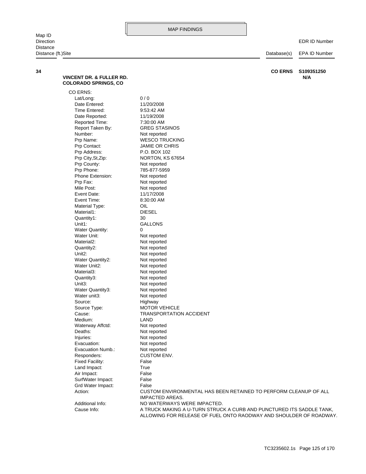EDR ID Number

Distance (ft.)Site Distance (ft.)Site Distance (ft.)Site Database(s) EPA ID Number

| VINCENT DR. & FULLER RD.<br><b>COLORADO SPRINGS, CO</b> | N/A                                                                                        |
|---------------------------------------------------------|--------------------------------------------------------------------------------------------|
| CO ERNS:                                                |                                                                                            |
| Lat/Long:                                               | 0/0                                                                                        |
| Date Entered:                                           | 11/20/2008                                                                                 |
| Time Entered:                                           | 9:53:42 AM                                                                                 |
| Date Reported:                                          | 11/19/2008                                                                                 |
| Reported Time:                                          | 7:30:00 AM                                                                                 |
| Report Taken By:                                        | <b>GREG STASINOS</b>                                                                       |
| Number:                                                 | Not reported                                                                               |
| Prp Name:                                               | <b>WESCO TRUCKING</b>                                                                      |
| Prp Contact:                                            | JAMIE OR CHRIS                                                                             |
| Prp Address:                                            | P.O. BOX 102                                                                               |
| Prp City, St, Zip:                                      | NORTON, KS 67654                                                                           |
| Prp County:                                             | Not reported                                                                               |
| Prp Phone:                                              | 785-877-5959                                                                               |
| Phone Extension:                                        | Not reported                                                                               |
| Prp Fax:                                                | Not reported                                                                               |
| Mile Post:                                              | Not reported                                                                               |
| Event Date:                                             | 11/17/2008                                                                                 |
| Event Time:                                             | 8:30:00 AM                                                                                 |
| Material Type:                                          | OIL                                                                                        |
| Material1:                                              | <b>DIESEL</b>                                                                              |
| Quantity1:                                              | 30                                                                                         |
| Unit1:                                                  | <b>GALLONS</b>                                                                             |
| <b>Water Quantity:</b>                                  | 0                                                                                          |
| Water Unit:                                             | Not reported                                                                               |
| Material <sub>2</sub> :                                 | Not reported                                                                               |
| Quantity2:                                              | Not reported                                                                               |
| Unit <sub>2</sub> :                                     | Not reported                                                                               |
| <b>Water Quantity2:</b>                                 | Not reported                                                                               |
| Water Unit2:                                            | Not reported                                                                               |
| Material3:                                              | Not reported                                                                               |
| Quantity3:                                              | Not reported                                                                               |
| Unit3:                                                  | Not reported                                                                               |
| Water Quantity3:                                        | Not reported                                                                               |
| Water unit3:                                            | Not reported                                                                               |
| Source:                                                 | Highway                                                                                    |
| Source Type:                                            | <b>MOTOR VEHICLE</b>                                                                       |
| Cause:                                                  | <b>TRANSPORTATION ACCIDENT</b>                                                             |
| Medium:                                                 | LAND                                                                                       |
| Waterway Affctd:                                        | Not reported                                                                               |
| Deaths:                                                 | Not reported                                                                               |
| Injuries:                                               | Not reported                                                                               |
| Evacuation:                                             | Not reported                                                                               |
| Evacuation Numb.:                                       | Not reported                                                                               |
| Responders:                                             | <b>CUSTOM ENV.</b>                                                                         |
| Fixed Facility:                                         | False                                                                                      |
| Land Impact:                                            | True                                                                                       |
| Air Impact:                                             | False                                                                                      |
| SurfWater Impact:                                       | False                                                                                      |
| Grd Water Impact:                                       | False                                                                                      |
| Action:                                                 | CUSTOM ENVIRONMENTAL HAS BEEN RETAINED TO PERFORM CLEANUP OF ALL<br><b>IMPACTED AREAS.</b> |
| Additional Info:                                        | NO WATERWAYS WERE IMPACTED.                                                                |
| Cause Info:                                             | A TRUCK MAKING A U-TURN STRUCK A CURB AND PUNCTURED ITS SADDLE TANK,                       |
|                                                         | ALLOWING FOR RELEASE OF FUEL ONTO RAODWAY AND SHOULDER OF ROADWAY.                         |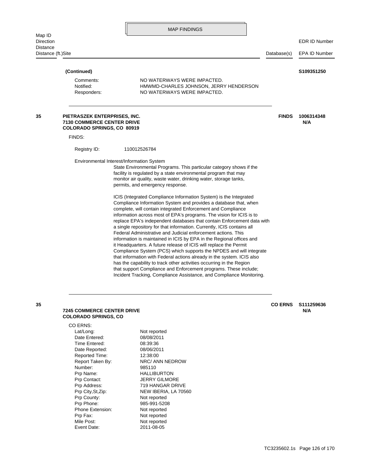| MAP FINDINGS |  |  |  |
|--------------|--|--|--|
|--------------|--|--|--|

Distance (ft.)Site Database(s) EPA ID Number

## Responders: NO WATERWAYS WERE IMPACTED. Notified: HMWMD-CHARLES JOHNSON, JERRY HENDERSON Comments: NO WATERWAYS WERE IMPACTED.  **(Continued) S109351250** Incident Tracking, Compliance Assistance, and Compliance Monitoring. that support Compliance and Enforcement programs. These include; has the capability to track other activities occurring in the Region that information with Federal actions already in the system. ICIS also Compliance System (PCS) which supports the NPDES and will integrate it Headquarters. A future release of ICIS will replace the Permit information is maintained in ICIS by EPA in the Regional offices and Federal Administrative and Judicial enforcement actions. This a single repository for that information. Currently, ICIS contains all replace EPA's independent databases that contain Enforcement data with information across most of EPA's programs. The vision for ICIS is to complete, will contain integrated Enforcement and Compliance Compliance Information System and provides a database that, when ICIS (Integrated Compliance Information System) is the Integrated permits, and emergency response. monitor air quality, waste water, drinking water, storage tanks, facility is regulated by a state environmental program that may State Environmental Programs. This particular category shows if the Environmental Interest/Information System Registry ID: 110012526784 FINDS: **COLORADO SPRINGS, CO 80919 7130 COMMERCE CENTER DRIVE N/A 35 PIETRASZEK ENTERPRISES, INC. FINDS 1006314348**

### **COLORADO SPRINGS, CO 7245 COMMERCE CENTER DRIVE N/A**

#### CO ERNS:

Mile Post: Not reported Prp Fax: Not reported Phone Extension: Not reported Prp Phone: 985-991-5208 Prp County: Not reported Prp Contact: **JERRY GILMORE** Prp Name: HALLIBURTON Number: 985110 Reported Time: 12:38:00 Date Reported: 08/06/2011 Time Entered: 08:39:36 Date Entered: 08/08/2011 Lat/Long: Not reported

Event Date: 2011-08-05 Prp City, St, Zip: NEW IBERIA, LA 70560 Prp Address: 719 HANGAR DRIVE Report Taken By: NRC/ ANN NEDROW

**35 CO ERNS S111259636**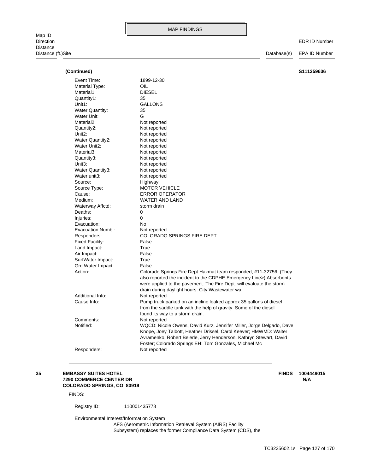Map ID<br>Direction Distance Distance (ft.)Site Database(s) EPA ID Number

EDR ID Number

| (Continued)             |                                                                      | S111259636 |
|-------------------------|----------------------------------------------------------------------|------------|
| Event Time:             | 1899-12-30                                                           |            |
| Material Type:          | OIL.                                                                 |            |
| Material1:              | <b>DIESEL</b>                                                        |            |
| Quantity1:              | 35                                                                   |            |
| Unit1:                  | <b>GALLONS</b>                                                       |            |
| <b>Water Quantity:</b>  | 35                                                                   |            |
| Water Unit:             | G                                                                    |            |
| Material <sub>2</sub> : | Not reported                                                         |            |
| Quantity2:              | Not reported                                                         |            |
| Unit <sub>2</sub> :     | Not reported                                                         |            |
| Water Quantity2:        | Not reported                                                         |            |
| Water Unit2:            | Not reported                                                         |            |
| Material3:              | Not reported                                                         |            |
| Quantity3:              | Not reported                                                         |            |
| Unit <sub>3</sub> :     | Not reported                                                         |            |
| Water Quantity3:        | Not reported                                                         |            |
| Water unit3:            | Not reported                                                         |            |
| Source:                 | Highway                                                              |            |
| Source Type:            | <b>MOTOR VEHICLE</b>                                                 |            |
| Cause:                  | <b>ERROR OPERATOR</b>                                                |            |
| Medium:                 | <b>WATER AND LAND</b>                                                |            |
| Waterway Affctd:        | storm drain                                                          |            |
| Deaths:                 | $\Omega$                                                             |            |
| Injuries:               | 0                                                                    |            |
| Evacuation:             | No                                                                   |            |
| Evacuation Numb.:       | Not reported                                                         |            |
| Responders:             | COLORADO SPRINGS FIRE DEPT.                                          |            |
| Fixed Facility:         | False                                                                |            |
| Land Impact:            | True                                                                 |            |
| Air Impact:             | False                                                                |            |
| SurfWater Impact:       | True                                                                 |            |
| Grd Water Impact:       | False                                                                |            |
| Action:                 | Colorado Springs Fire Dept Hazmat team responded, #11-32756. (They   |            |
|                         | also reported the incident to the CDPHE Emergency Line>) Absorbents  |            |
|                         | were applied to the pavement. The Fire Dept. will evaluate the storm |            |
|                         | drain during daylight hours. City Wastewater wa                      |            |
| Additional Info:        | Not reported                                                         |            |
| Cause Info:             | Pump truck parked on an incline leaked approx 35 gallons of diesel   |            |
|                         | from the saddle tank with the help of gravity. Some of the diesel    |            |
|                         | found its way to a storm drain.                                      |            |
| Comments:               | Not reported                                                         |            |
| Notified:               | WQCD: Nicole Owens, David Kurz, Jennifer Miller, Jorge Delgado, Dave |            |
|                         | Knope, Joey Talbott, Heather Drissel, Carol Keever; HMWMD: Walter    |            |
|                         | Avramenko, Robert Beierle, Jerry Henderson, Kathryn Stewart, David   |            |
|                         | Foster; Colorado Springs EH: Tom Gonzales, Michael Mc                |            |
| Responders:             | Not reported                                                         |            |
|                         |                                                                      |            |

#### **COLORADO SPRINGS, CO 80919 7290 COMMERCE CENTER DR N/A 35 EMBASSY SUITES HOTEL FINDS 1004449015**

FINDS:

Registry ID: 110001435778

Environmental Interest/Information System

Subsystem) replaces the former Compliance Data System (CDS), the AFS (Aerometric Information Retrieval System (AIRS) Facility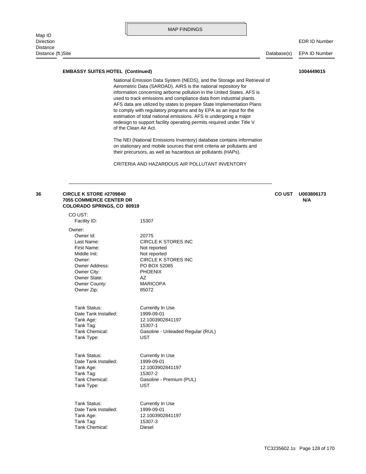Distance (ft.)Site Database(s) EPA ID Number

#### **EMBASSY SUITES HOTEL (Continued) 1004449015**

of the Clean Air Act. redesign to support facility operating permits required under Title V estimation of total national emissions. AFS is undergoing a major to comply with regulatory programs and by EPA as an input for the AFS data are utilized by states to prepare State Implementation Plans used to track emissions and compliance data from industrial plants. information concerning airborne pollution in the United States. AFS is Aerometric Data (SAROAD). AIRS is the national repository for National Emission Data System (NEDS), and the Storage and Retrieval of

their precursors, as well as hazardous air pollutants (HAPs). on stationary and mobile sources that emit criteria air pollutants and The NEI (National Emissions Inventory) database contains information

CRITERIA AND HAZARDOUS AIR POLLUTANT INVENTORY

### **COLORADO SPRINGS, CO 80919 7055 COMMERCE CENTER DR N/A 36 CIRCLE K STORE #2709840 CO UST U003806173**

| CO UST:               |                                   |
|-----------------------|-----------------------------------|
| Facility ID:          | 15307                             |
| Owner:                |                                   |
| Owner Id:             | 20775                             |
| Last Name:            | CIRCLE K STORES INC               |
| First Name:           | Not reported                      |
| Middle Init:          | Not reported                      |
| Owner:                | <b>CIRCLE K STORES INC</b>        |
| <b>Owner Address:</b> | PO BOX 52085                      |
| Owner City:           | <b>PHOENIX</b>                    |
| Owner State:          | AZ.                               |
| Owner County:         | <b>MARICOPA</b>                   |
| Owner Zip:            | 85072                             |
| Tank Status:          |                                   |
| Date Tank Installed:  | Currently In Use<br>1999-09-01    |
| Tank Age:             | 12.1003902841197                  |
| Tank Tag:             | 15307-1                           |
| Tank Chemical:        | Gasoline - Unleaded Regular (RUL) |
| Tank Type:            | <b>UST</b>                        |
|                       |                                   |
| Tank Status:          | Currently In Use                  |
| Date Tank Installed:  | 1999-09-01                        |
| Tank Age:             | 12.1003902841197                  |
| Tank Tag:             | 15307-2                           |
| Tank Chemical:        | Gasoline - Premium (PUL)          |
| Tank Type:            | UST                               |
| Tank Status:          | Currently In Use                  |
| Date Tank Installed:  | 1999-09-01                        |
| Tank Age:             | 12.1003902841197                  |
| Tank Tag:             | 15307-3                           |
|                       |                                   |

Tank Chemical: Diesel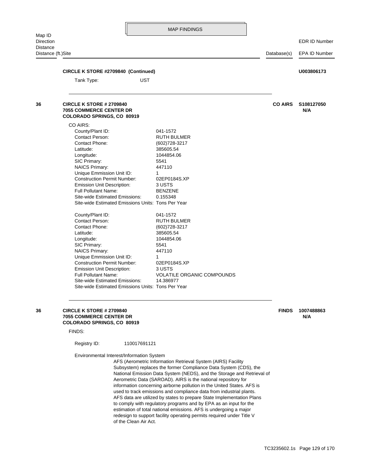Distance (ft.)Site Database(s) EPA ID Number

| CIRCLE K STORE #2709840 (Continued)<br><b>UST</b><br>Tank Type:                                 |                            |                | U003806173        |
|-------------------------------------------------------------------------------------------------|----------------------------|----------------|-------------------|
|                                                                                                 |                            |                |                   |
| CIRCLE K STORE # 2709840<br><b>7055 COMMERCE CENTER DR</b><br><b>COLORADO SPRINGS, CO 80919</b> |                            | <b>CO AIRS</b> | S108127050<br>N/A |
| CO AIRS:                                                                                        |                            |                |                   |
| County/Plant ID:                                                                                | 041-1572                   |                |                   |
| Contact Person:                                                                                 | <b>RUTH BULMER</b>         |                |                   |
| Contact Phone:                                                                                  | (602) 728-3217             |                |                   |
| Latitude:<br>Longitude:                                                                         | 385605.54<br>1044854.06    |                |                   |
| SIC Primary:                                                                                    | 5541                       |                |                   |
| <b>NAICS Primary:</b>                                                                           | 447110                     |                |                   |
| Unique Emmission Unit ID:                                                                       | $\mathbf{1}$               |                |                   |
| <b>Construction Permit Number:</b>                                                              | 02EP0184S.XP               |                |                   |
| <b>Emission Unit Description:</b>                                                               | 3 USTS                     |                |                   |
| <b>Full Pollutant Name:</b>                                                                     | <b>BENZENE</b>             |                |                   |
| Site-wide Estimated Emissions:<br>Site-wide Estimated Emissions Units: Tons Per Year            | 0.155348                   |                |                   |
| County/Plant ID:                                                                                | 041-1572                   |                |                   |
| Contact Person:                                                                                 | <b>RUTH BULMER</b>         |                |                   |
| Contact Phone:                                                                                  | (602) 728-3217             |                |                   |
| Latitude:                                                                                       | 385605.54                  |                |                   |
| Longitude:<br>SIC Primary:                                                                      | 1044854.06<br>5541         |                |                   |
| <b>NAICS Primary:</b>                                                                           | 447110                     |                |                   |
| Unique Emmission Unit ID:                                                                       | 1                          |                |                   |
| <b>Construction Permit Number:</b>                                                              | 02EP0184S.XP               |                |                   |
| Emission Unit Description:                                                                      | 3 USTS                     |                |                   |
| <b>Full Pollutant Name:</b>                                                                     | VOLATILE ORGANIC COMPOUNDS |                |                   |
| Site-wide Estimated Emissions:                                                                  | 14.386977                  |                |                   |

**COLORADO SPRINGS, CO 80919 7055 COMMERCE CENTER DR NA AND THE SERVICE OF STATE AND AN ARTICLE OF STATE AND ARTICLE OF STATE AND ARTICLE OF STATE AND ARTICLE OF STATE AND ARTICLE OF STATE AND ARTICLE OF STATE AND ARTICLE OF STATE AND ARTICLE OF STAT 36 CIRCLE K STORE # 2709840 FINDS 1007488863**

FINDS:

Registry ID: 110017691121

Environmental Interest/Information System

of the Clean Air Act. redesign to support facility operating permits required under Title V estimation of total national emissions. AFS is undergoing a major to comply with regulatory programs and by EPA as an input for the AFS data are utilized by states to prepare State Implementation Plans used to track emissions and compliance data from industrial plants. information concerning airborne pollution in the United States. AFS is Aerometric Data (SAROAD). AIRS is the national repository for National Emission Data System (NEDS), and the Storage and Retrieval of Subsystem) replaces the former Compliance Data System (CDS), the AFS (Aerometric Information Retrieval System (AIRS) Facility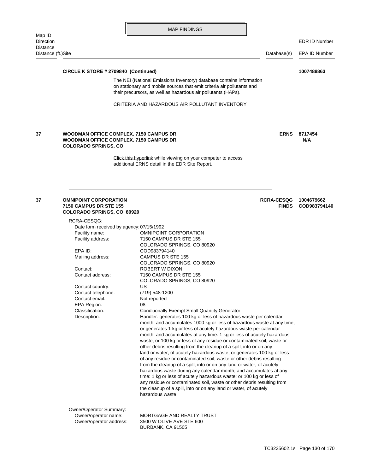Distance (ft.)Site Database(s) EPA ID Number

**CIRCLE K STORE # 2709840 (Continued) 1007488863**

their precursors, as well as hazardous air pollutants (HAPs). on stationary and mobile sources that emit criteria air pollutants and The NEI (National Emissions Inventory) database contains information

CRITERIA AND HAZARDOUS AIR POLLUTANT INVENTORY

### **COLORADO SPRINGS, CO WOODMAN OFFICE COMPLEX. 7150 CAMPUS DR N/A 37 WOODMAN OFFICE COMPLEX. 7150 CAMPUS DR BILLET AND READING THE RISE S717454**

[additional ERNS detail in the EDR Site Report.](http://www.edrnet.com/srf2/FinalSiteReport.aspx?ID=4jk4YdjeokC82TVYKldrM9OiePOokKB8yCd78qU2IyTmzVuf3e3KU2l3b5TyrNpM9a4mmOz0iXCBLYPpmOFI9DrkzvKkO48pj6rkca2VLYGgdYB8SKeSUosn2X6C.j8zR3lKTscVyx3wiK2zlpr2mUrdKM4G34gOLniT74T.PZ0OT34Xtjv0kcv3V3Y23ddC2UDe5roB45zNCMw8g747bTqlVHr5FzK6kldq75orazMr68RbOh3iv826nPbCOJ047jkm.KYl1FW8cxywt3kodsN73vuusqbRUv0428jVWk772jzYfVd2E9hJetMoECA.uCi48WA9VsTMbVCY3djKt2lAx9h4rLOMZe6hLOxIiAE7SnPQfOXN6RikNjKbj2) [Click this hyperlink while viewing on your computer to access](http://www.edrnet.com/srf2/FinalSiteReport.aspx?ID=4jk4YdjeokC82TVYKldrM9OiePOokKB8yCd78qU2IyTmzVuf3e3KU2l3b5TyrNpM9a4mmOz0iXCBLYPpmOFI9DrkzvKkO48pj6rkca2VLYGgdYB8SKeSUosn2X6C.j8zR3lKTscVyx3wiK2zlpr2mUrdKM4G34gOLniT74T.PZ0OT34Xtjv0kcv3V3Y23ddC2UDe5roB45zNCMw8g747bTqlVHr5FzK6kldq75orazMr68RbOh3iv826nPbCOJ047jkm.KYl1FW8cxywt3kodsN73vuusqbRUv0428jVWk772jzYfVd2E9hJetMoECA.uCi48WA9VsTMbVCY3djKt2lAx9h4rLOMZe6hLOxIiAE7SnPQfOXN6RikNjKbj2) 

### **COLORADO SPRINGS, CO 80920 7150 CAMPUS DR STE 155 FINDS COD983794140 37 OMNIPOINT CORPORATION RCRA-CESQG 1004679662**

| RCRA-CESQG:                                                                |                                                                                                                                                                                                                                                                                                                                                                                                                                                                                                                                                                                                                                                                                                                                                                                                                                                                                                                                                                                   |  |  |  |
|----------------------------------------------------------------------------|-----------------------------------------------------------------------------------------------------------------------------------------------------------------------------------------------------------------------------------------------------------------------------------------------------------------------------------------------------------------------------------------------------------------------------------------------------------------------------------------------------------------------------------------------------------------------------------------------------------------------------------------------------------------------------------------------------------------------------------------------------------------------------------------------------------------------------------------------------------------------------------------------------------------------------------------------------------------------------------|--|--|--|
| Date form received by agency: 07/15/1992                                   |                                                                                                                                                                                                                                                                                                                                                                                                                                                                                                                                                                                                                                                                                                                                                                                                                                                                                                                                                                                   |  |  |  |
| Facility name:                                                             | <b>OMNIPOINT CORPORATION</b>                                                                                                                                                                                                                                                                                                                                                                                                                                                                                                                                                                                                                                                                                                                                                                                                                                                                                                                                                      |  |  |  |
| Facility address:                                                          | 7150 CAMPUS DR STE 155                                                                                                                                                                                                                                                                                                                                                                                                                                                                                                                                                                                                                                                                                                                                                                                                                                                                                                                                                            |  |  |  |
|                                                                            | COLORADO SPRINGS, CO 80920                                                                                                                                                                                                                                                                                                                                                                                                                                                                                                                                                                                                                                                                                                                                                                                                                                                                                                                                                        |  |  |  |
| EPA ID:                                                                    | COD983794140                                                                                                                                                                                                                                                                                                                                                                                                                                                                                                                                                                                                                                                                                                                                                                                                                                                                                                                                                                      |  |  |  |
| Mailing address:                                                           | <b>CAMPUS DR STE 155</b>                                                                                                                                                                                                                                                                                                                                                                                                                                                                                                                                                                                                                                                                                                                                                                                                                                                                                                                                                          |  |  |  |
|                                                                            | COLORADO SPRINGS, CO 80920                                                                                                                                                                                                                                                                                                                                                                                                                                                                                                                                                                                                                                                                                                                                                                                                                                                                                                                                                        |  |  |  |
| Contact:                                                                   | ROBERT W DIXON                                                                                                                                                                                                                                                                                                                                                                                                                                                                                                                                                                                                                                                                                                                                                                                                                                                                                                                                                                    |  |  |  |
| Contact address:                                                           | 7150 CAMPUS DR STE 155                                                                                                                                                                                                                                                                                                                                                                                                                                                                                                                                                                                                                                                                                                                                                                                                                                                                                                                                                            |  |  |  |
|                                                                            | COLORADO SPRINGS, CO 80920                                                                                                                                                                                                                                                                                                                                                                                                                                                                                                                                                                                                                                                                                                                                                                                                                                                                                                                                                        |  |  |  |
| Contact country:                                                           | US                                                                                                                                                                                                                                                                                                                                                                                                                                                                                                                                                                                                                                                                                                                                                                                                                                                                                                                                                                                |  |  |  |
| Contact telephone:                                                         | (719) 548-1200                                                                                                                                                                                                                                                                                                                                                                                                                                                                                                                                                                                                                                                                                                                                                                                                                                                                                                                                                                    |  |  |  |
| Contact email:                                                             | Not reported                                                                                                                                                                                                                                                                                                                                                                                                                                                                                                                                                                                                                                                                                                                                                                                                                                                                                                                                                                      |  |  |  |
| <b>EPA Region:</b>                                                         | 08                                                                                                                                                                                                                                                                                                                                                                                                                                                                                                                                                                                                                                                                                                                                                                                                                                                                                                                                                                                |  |  |  |
| Classification:                                                            | <b>Conditionally Exempt Small Quantity Generator</b>                                                                                                                                                                                                                                                                                                                                                                                                                                                                                                                                                                                                                                                                                                                                                                                                                                                                                                                              |  |  |  |
| Description:                                                               | Handler: generates 100 kg or less of hazardous waste per calendar<br>month, and accumulates 1000 kg or less of hazardous waste at any time;<br>or generates 1 kg or less of acutely hazardous waste per calendar<br>month, and accumulates at any time: 1 kg or less of acutely hazardous<br>waste; or 100 kg or less of any residue or contaminated soil, waste or<br>other debris resulting from the cleanup of a spill, into or on any<br>land or water, of acutely hazardous waste; or generates 100 kg or less<br>of any residue or contaminated soil, waste or other debris resulting<br>from the cleanup of a spill, into or on any land or water, of acutely<br>hazardous waste during any calendar month, and accumulates at any<br>time: 1 kg or less of acutely hazardous waste; or 100 kg or less of<br>any residue or contaminated soil, waste or other debris resulting from<br>the cleanup of a spill, into or on any land or water, of acutely<br>hazardous waste |  |  |  |
| Owner/Operator Summary:<br>Owner/operator name:<br>Owner/operator address: | MORTGAGE AND REALTY TRUST<br>3500 W OLIVE AVE STE 600<br>BURBANK, CA 91505                                                                                                                                                                                                                                                                                                                                                                                                                                                                                                                                                                                                                                                                                                                                                                                                                                                                                                        |  |  |  |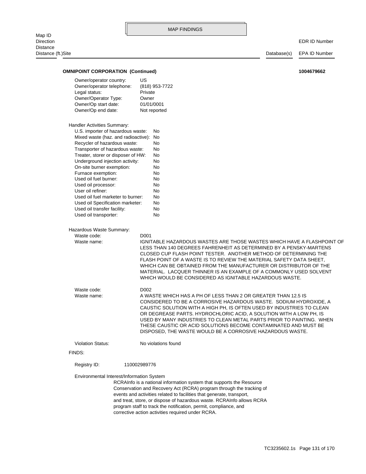| Map ID<br>Direction                       |                                         |                                                                                                                                                |             | EDR ID Number |  |  |
|-------------------------------------------|-----------------------------------------|------------------------------------------------------------------------------------------------------------------------------------------------|-------------|---------------|--|--|
| Distance                                  |                                         |                                                                                                                                                |             |               |  |  |
| Distance (ft.)Site                        |                                         |                                                                                                                                                | Database(s) | EPA ID Number |  |  |
| <b>OMNIPOINT CORPORATION (Continued)</b>  |                                         |                                                                                                                                                |             | 1004679662    |  |  |
| Owner/operator country:                   | US                                      |                                                                                                                                                |             |               |  |  |
| Owner/operator telephone:                 |                                         | (818) 953-7722                                                                                                                                 |             |               |  |  |
| Legal status:                             | Private                                 |                                                                                                                                                |             |               |  |  |
| Owner/Operator Type:                      | Owner                                   |                                                                                                                                                |             |               |  |  |
| Owner/Op start date:                      | 01/01/0001                              |                                                                                                                                                |             |               |  |  |
| Owner/Op end date:                        |                                         | Not reported                                                                                                                                   |             |               |  |  |
| Handler Activities Summary:               |                                         |                                                                                                                                                |             |               |  |  |
|                                           | U.S. importer of hazardous waste:<br>No |                                                                                                                                                |             |               |  |  |
| Mixed waste (haz. and radioactive):       | No                                      |                                                                                                                                                |             |               |  |  |
| Recycler of hazardous waste:              |                                         | No                                                                                                                                             |             |               |  |  |
| Transporter of hazardous waste:           |                                         | No                                                                                                                                             |             |               |  |  |
| Treater, storer or disposer of HW:        |                                         | No                                                                                                                                             |             |               |  |  |
| Underground injection activity:           |                                         | No                                                                                                                                             |             |               |  |  |
|                                           | On-site burner exemption:<br>No         |                                                                                                                                                |             |               |  |  |
| Furnace exemption:                        |                                         | No                                                                                                                                             |             |               |  |  |
| Used oil fuel burner:                     |                                         | No                                                                                                                                             |             |               |  |  |
| Used oil processor:                       |                                         | No                                                                                                                                             |             |               |  |  |
| User oil refiner:                         |                                         | No                                                                                                                                             |             |               |  |  |
| Used oil fuel marketer to burner:         |                                         | No                                                                                                                                             |             |               |  |  |
| Used oil Specification marketer:          |                                         | No                                                                                                                                             |             |               |  |  |
| Used oil transfer facility:               |                                         | No                                                                                                                                             |             |               |  |  |
| Used oil transporter:                     |                                         | No                                                                                                                                             |             |               |  |  |
| Hazardous Waste Summary:                  |                                         |                                                                                                                                                |             |               |  |  |
| Waste code:                               | D <sub>001</sub>                        |                                                                                                                                                |             |               |  |  |
| Waste name:                               |                                         | IGNITABLE HAZARDOUS WASTES ARE THOSE WASTES WHICH HAVE A FLASHPOINT OF                                                                         |             |               |  |  |
|                                           |                                         | LESS THAN 140 DEGREES FAHRENHEIT AS DETERMINED BY A PENSKY-MARTENS                                                                             |             |               |  |  |
|                                           |                                         | CLOSED CUP FLASH POINT TESTER. ANOTHER METHOD OF DETERMINING THE                                                                               |             |               |  |  |
|                                           |                                         | FLASH POINT OF A WASTE IS TO REVIEW THE MATERIAL SAFETY DATA SHEET.                                                                            |             |               |  |  |
|                                           |                                         | WHICH CAN BE OBTAINED FROM THE MANUFACTURER OR DISTRIBUTOR OF THE                                                                              |             |               |  |  |
|                                           |                                         | MATERIAL. LACQUER THINNER IS AN EXAMPLE OF A COMMONLY USED SOLVENT                                                                             |             |               |  |  |
|                                           |                                         | WHICH WOULD BE CONSIDERED AS IGNITABLE HAZARDOUS WASTE.                                                                                        |             |               |  |  |
| Waste code:<br>D002                       |                                         |                                                                                                                                                |             |               |  |  |
| Waste name:                               |                                         | A WASTE WHICH HAS A PH OF LESS THAN 2 OR GREATER THAN 12.5 IS                                                                                  |             |               |  |  |
|                                           |                                         | CONSIDERED TO BE A CORROSIVE HAZARDOUS WASTE. SODIUM HYDROXIDE, A                                                                              |             |               |  |  |
|                                           |                                         | CAUSTIC SOLUTION WITH A HIGH PH, IS OFTEN USED BY INDUSTRIES TO CLEAN                                                                          |             |               |  |  |
|                                           |                                         | OR DEGREASE PARTS. HYDROCHLORIC ACID, A SOLUTION WITH A LOW PH, IS                                                                             |             |               |  |  |
|                                           |                                         | USED BY MANY INDUSTRIES TO CLEAN METAL PARTS PRIOR TO PAINTING. WHEN                                                                           |             |               |  |  |
|                                           |                                         | THESE CAUSTIC OR ACID SOLUTIONS BECOME CONTAMINATED AND MUST BE<br>DISPOSED, THE WASTE WOULD BE A CORROSIVE HAZARDOUS WASTE.                   |             |               |  |  |
| <b>Violation Status:</b>                  |                                         | No violations found                                                                                                                            |             |               |  |  |
| FINDS:                                    |                                         |                                                                                                                                                |             |               |  |  |
| Registry ID:                              | 110002989776                            |                                                                                                                                                |             |               |  |  |
|                                           |                                         |                                                                                                                                                |             |               |  |  |
| Environmental Interest/Information System |                                         |                                                                                                                                                |             |               |  |  |
|                                           |                                         | RCRAInfo is a national information system that supports the Resource                                                                           |             |               |  |  |
|                                           |                                         | Conservation and Recovery Act (RCRA) program through the tracking of                                                                           |             |               |  |  |
|                                           |                                         | events and activities related to facilities that generate, transport,<br>and treat, store, or dispose of hazardous waste. RCRAInfo allows RCRA |             |               |  |  |
|                                           |                                         | program staff to track the notification, permit, compliance, and                                                                               |             |               |  |  |
|                                           |                                         |                                                                                                                                                |             |               |  |  |

corrective action activities required under RCRA.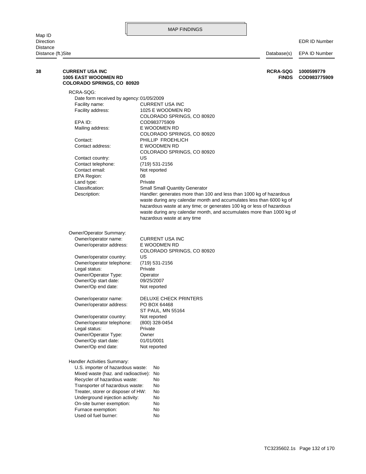Map ID Direction EDR ID Number **Distance** 

Distance (ft.)Site Database(s) EPA ID Number Furnace exemption: No On-site burner exemption: No Underground injection activity: No Treater, storer or disposer of HW: No Transporter of hazardous waste: No Recycler of hazardous waste: No Mixed waste (haz. and radioactive): No U.S. importer of hazardous waste: No Handler Activities Summary: Owner/Op end date: Not reported Owner/Op start date: 01/01/0001 Owner/Operator Type: Owner Legal status: Private Owner/operator telephone: (800) 328-0454 Owner/operator country: Not reported ST PAUL, MN 55164 Owner/operator address: PO BOX 64468 Owner/operator name: DELUXE CHECK PRINTERS Owner/Op end date: Not reported Owner/Op start date: 09/25/2007 Owner/Operator Type: Operator Legal status: Private Owner/operator telephone: (719) 531-2156 Owner/operator country: US COLORADO SPRINGS, CO 80920 Owner/operator address: E WOODMEN RD Owner/operator name: CURRENT USA INC Owner/Operator Summary: hazardous waste at any time waste during any calendar month, and accumulates more than 1000 kg of hazardous waste at any time; or generates 100 kg or less of hazardous waste during any calendar month and accumulates less than 6000 kg of Description: Handler: generates more than 100 and less than 1000 kg of hazardous Classification: Small Small Quantity Generator Land type: Private EPA Region: 08 Contact email: Not reported Contact telephone: (719) 531-2156 Contact country: US COLORADO SPRINGS, CO 80920 Contact address: E WOODMEN RD Contact: PHILLIP FROEHLICH COLORADO SPRINGS, CO 80920 Mailing address: E WOODMEN RD EPA ID: COD983775909 COLORADO SPRINGS, CO 80920 Facility address: 1025 E WOODMEN RD Facility name: CURRENT USA INC Date form received by agency: 01/05/2009 RCRA-SQG: **COLORADO SPRINGS, CO 80920 1005 EAST WOODMEN RD FINDS COD983775909 38 CURRENT USA INC RCRA-SQG 1000599779**

Used oil fuel burner: No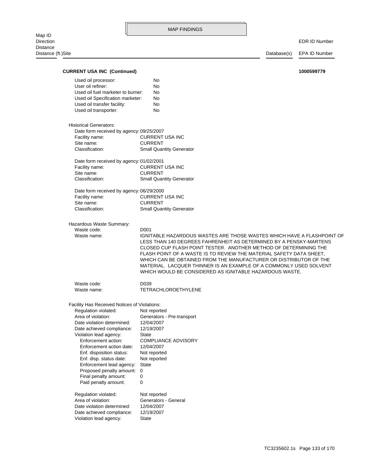Map ID<br>Direction Distance Distance (ft.)Site Database(s) EPA ID Number

| <b>CURRENT USA INC (Continued)</b>           |                                                                        | 1000599779 |
|----------------------------------------------|------------------------------------------------------------------------|------------|
|                                              | No                                                                     |            |
| Used oil processor:<br>User oil refiner:     | No                                                                     |            |
| Used oil fuel marketer to burner:            | No                                                                     |            |
| Used oil Specification marketer:             | No                                                                     |            |
|                                              | No                                                                     |            |
| Used oil transfer facility:                  |                                                                        |            |
| Used oil transporter:                        | No                                                                     |            |
| <b>Historical Generators:</b>                |                                                                        |            |
| Date form received by agency: 09/25/2007     |                                                                        |            |
| Facility name:                               | <b>CURRENT USA INC</b>                                                 |            |
| Site name:                                   | <b>CURRENT</b>                                                         |            |
| Classification:                              | <b>Small Quantity Generator</b>                                        |            |
| Date form received by agency: 01/02/2001     |                                                                        |            |
| Facility name:                               | <b>CURRENT USA INC</b>                                                 |            |
| Site name:                                   | <b>CURRENT</b>                                                         |            |
| Classification:                              | <b>Small Quantity Generator</b>                                        |            |
| Date form received by agency: 06/29/2000     |                                                                        |            |
| Facility name:                               | <b>CURRENT USA INC</b>                                                 |            |
| Site name:                                   | <b>CURRENT</b>                                                         |            |
| Classification:                              | <b>Small Quantity Generator</b>                                        |            |
| Hazardous Waste Summary:                     |                                                                        |            |
| Waste code:                                  | D <sub>001</sub>                                                       |            |
| Waste name:                                  | IGNITABLE HAZARDOUS WASTES ARE THOSE WASTES WHICH HAVE A FLASHPOINT OF |            |
|                                              | LESS THAN 140 DEGREES FAHRENHEIT AS DETERMINED BY A PENSKY-MARTENS     |            |
|                                              | CLOSED CUP FLASH POINT TESTER. ANOTHER METHOD OF DETERMINING THE       |            |
|                                              | FLASH POINT OF A WASTE IS TO REVIEW THE MATERIAL SAFETY DATA SHEET,    |            |
|                                              | WHICH CAN BE OBTAINED FROM THE MANUFACTURER OR DISTRIBUTOR OF THE      |            |
|                                              | MATERIAL. LACQUER THINNER IS AN EXAMPLE OF A COMMONLY USED SOLVENT     |            |
|                                              | WHICH WOULD BE CONSIDERED AS IGNITABLE HAZARDOUS WASTE.                |            |
| Waste code:                                  | D039                                                                   |            |
| Waste name:                                  | <b>TETRACHLOROETHYLENE</b>                                             |            |
| Facility Has Received Notices of Violations: |                                                                        |            |
| Regulation violated:                         | Not reported                                                           |            |
| Area of violation:                           | Generators - Pre-transport                                             |            |
| Date violation determined:                   | 12/04/2007                                                             |            |
| Date achieved compliance:                    | 12/19/2007                                                             |            |
| Violation lead agency:                       | State                                                                  |            |
| Enforcement action:                          | <b>COMPLIANCE ADVISORY</b>                                             |            |
| Enforcement action date:                     | 12/04/2007                                                             |            |
| Enf. disposition status:                     | Not reported                                                           |            |
| Enf. disp. status date:                      | Not reported                                                           |            |
| Enforcement lead agency:                     | State                                                                  |            |
| Proposed penalty amount:                     | 0                                                                      |            |
| Final penalty amount:                        | 0                                                                      |            |
| Paid penalty amount:                         | 0                                                                      |            |
| Regulation violated:                         | Not reported                                                           |            |
| Area of violation:                           | Generators - General                                                   |            |
| Date violation determined:                   | 12/04/2007                                                             |            |
| Date achieved compliance:                    | 12/19/2007                                                             |            |
| Violation lead agency:                       | State                                                                  |            |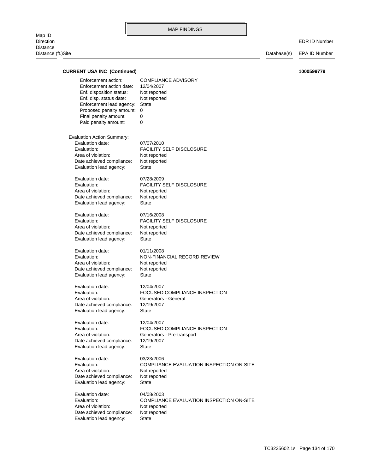Map ID<br>Direction Distance Distance (ft.)Site Database(s) EPA ID Number

| <b>CURRENT USA INC (Continued)</b>                                                                                                                                                                              |                                                                                                                   | 1000599779 |
|-----------------------------------------------------------------------------------------------------------------------------------------------------------------------------------------------------------------|-------------------------------------------------------------------------------------------------------------------|------------|
| Enforcement action:<br>Enforcement action date:<br>Enf. disposition status:<br>Enf. disp. status date:<br>Enforcement lead agency:<br>Proposed penalty amount:<br>Final penalty amount:<br>Paid penalty amount: | <b>COMPLIANCE ADVISORY</b><br>12/04/2007<br>Not reported<br>Not reported<br><b>State</b><br>$\mathbf 0$<br>0<br>0 |            |
| <b>Evaluation Action Summary:</b><br>Evaluation date:<br>Evaluation:<br>Area of violation:<br>Date achieved compliance:<br>Evaluation lead agency:                                                              | 07/07/2010<br><b>FACILITY SELF DISCLOSURE</b><br>Not reported<br>Not reported<br>State                            |            |
| Evaluation date:<br>Evaluation:<br>Area of violation:<br>Date achieved compliance:<br>Evaluation lead agency:                                                                                                   | 07/28/2009<br><b>FACILITY SELF DISCLOSURE</b><br>Not reported<br>Not reported<br>State                            |            |
| Evaluation date:<br>Evaluation:<br>Area of violation:<br>Date achieved compliance:<br>Evaluation lead agency:                                                                                                   | 07/16/2008<br><b>FACILITY SELF DISCLOSURE</b><br>Not reported<br>Not reported<br>State                            |            |
| Evaluation date:<br>Evaluation:<br>Area of violation:<br>Date achieved compliance:<br>Evaluation lead agency:                                                                                                   | 01/11/2008<br>NON-FINANCIAL RECORD REVIEW<br>Not reported<br>Not reported<br>State                                |            |
| Evaluation date:<br>Evaluation:<br>Area of violation:<br>Date achieved compliance:<br>Evaluation lead agency:                                                                                                   | 12/04/2007<br>FOCUSED COMPLIANCE INSPECTION<br>Generators - General<br>12/19/2007<br>State                        |            |
| Evaluation date:<br>Evaluation:<br>Area of violation:<br>Date achieved compliance:<br>Evaluation lead agency:                                                                                                   | 12/04/2007<br>FOCUSED COMPLIANCE INSPECTION<br>Generators - Pre-transport<br>12/19/2007<br>State                  |            |
| Evaluation date:<br>Evaluation:<br>Area of violation:<br>Date achieved compliance:<br>Evaluation lead agency:                                                                                                   | 03/23/2006<br>COMPLIANCE EVALUATION INSPECTION ON-SITE<br>Not reported<br>Not reported<br><b>State</b>            |            |
| Evaluation date:<br>Evaluation:<br>Area of violation:<br>Date achieved compliance:<br>Evaluation lead agency:                                                                                                   | 04/08/2003<br>COMPLIANCE EVALUATION INSPECTION ON-SITE<br>Not reported<br>Not reported<br>State                   |            |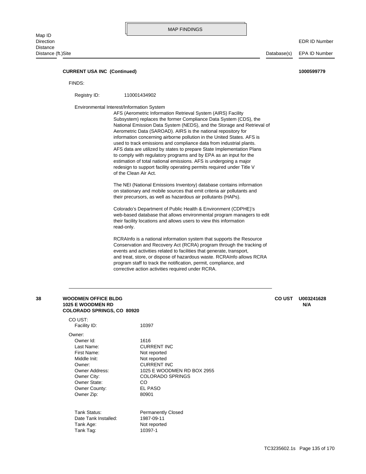Distance (ft.)Site Database(s) EPA ID Number

### **CURRENT USA INC (Continued) 1000599779**

FINDS:

Registry ID: 110001434902

Environmental Interest/Information System

of the Clean Air Act. redesign to support facility operating permits required under Title V estimation of total national emissions. AFS is undergoing a major to comply with regulatory programs and by EPA as an input for the AFS data are utilized by states to prepare State Implementation Plans used to track emissions and compliance data from industrial plants. information concerning airborne pollution in the United States. AFS is Aerometric Data (SAROAD). AIRS is the national repository for National Emission Data System (NEDS), and the Storage and Retrieval of Subsystem) replaces the former Compliance Data System (CDS), the AFS (Aerometric Information Retrieval System (AIRS) Facility

their precursors, as well as hazardous air pollutants (HAPs). on stationary and mobile sources that emit criteria air pollutants and The NEI (National Emissions Inventory) database contains information

read-only. their facility locations and allows users to view this information web-based database that allows environmental program managers to edit Colorado's Department of Public Health & Environment (CDPHE)'s

corrective action activities required under RCRA. program staff to track the notification, permit, compliance, and and treat, store, or dispose of hazardous waste. RCRAInfo allows RCRA events and activities related to facilities that generate, transport, Conservation and Recovery Act (RCRA) program through the tracking of RCRAInfo is a national information system that supports the Resource

| 38 | <b>WOODMEN OFFICE BLDG</b><br><b>1025 E WOODMEN RD</b><br><b>COLORADO SPRINGS, CO 80920</b> |                            | <b>CO UST</b> | U003241628<br>N/A |
|----|---------------------------------------------------------------------------------------------|----------------------------|---------------|-------------------|
|    | CO UST:                                                                                     |                            |               |                   |
|    | Facility ID:                                                                                | 10397                      |               |                   |
|    | Owner:                                                                                      |                            |               |                   |
|    | Owner Id:                                                                                   | 1616                       |               |                   |
|    | Last Name:                                                                                  | <b>CURRENT INC</b>         |               |                   |
|    | First Name:                                                                                 | Not reported               |               |                   |
|    | Middle Init:                                                                                | Not reported               |               |                   |
|    | Owner:                                                                                      | <b>CURRENT INC</b>         |               |                   |
|    | <b>Owner Address:</b>                                                                       | 1025 E WOODMEN RD BOX 2955 |               |                   |
|    | Owner City:                                                                                 | <b>COLORADO SPRINGS</b>    |               |                   |
|    | Owner State:                                                                                | CO.                        |               |                   |
|    | Owner County:                                                                               | EL PASO                    |               |                   |
|    | Owner Zip:                                                                                  | 80901                      |               |                   |
|    | Tank Status:                                                                                | <b>Permanently Closed</b>  |               |                   |
|    | Date Tank Installed:                                                                        | 1987-09-11                 |               |                   |
|    | Tank Age:                                                                                   | Not reported               |               |                   |
|    | Tank Tag:                                                                                   | 10397-1                    |               |                   |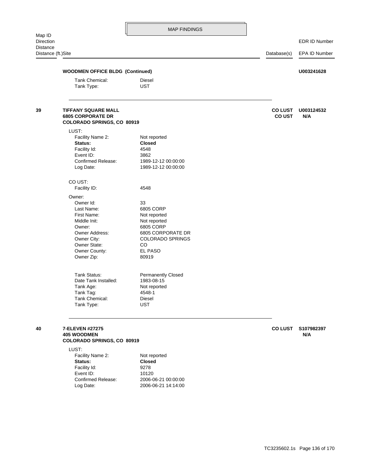Direction EDR ID Number Distance (ft.)Site Database(s) EPA ID Number Tank Type: UST Tank Chemical: Diesel **WOODMEN OFFICE BLDG (Continued) U003241628** Tank Type: UST Tank Chemical: Diesel Tank Tag: 4548-1 Tank Age: Not reported Date Tank Installed: 1983-08-15 Tank Status: Permanently Closed Owner Zip: 80919 Owner County: EL PASO Owner State: CO Owner City: COLORADO SPRINGS Owner Address: 6805 CORPORATE DR Owner: 6805 CORP Middle Init: Not reported First Name: Not reported Last Name: 6805 CORP Owner Id: 33 Owner: Facility ID: 4548 CO UST: Log Date: 1989-12-12 00:00:00 Confirmed Release: 1989-12-12 00:00:00 Event ID: 3862 Facility Id: 4548 **Status: Closed** Facility Name 2: Not reported LUST: **COLORADO SPRINGS, CO 80919 6805 CORPORATE DR CO UST N/A 39 TIFFANY SQUARE MALL CO LUST U003124532**

# **COLORADO SPRINGS, CO 80919 405 WOODMEN N/A**

LUST:

| Facility Name 2:   | Not reported        |
|--------------------|---------------------|
| Status:            | <b>Closed</b>       |
| Facility Id:       | 9278                |
| Event ID:          | 10120               |
| Confirmed Release: | 2006-06-21 00:00:00 |
| Log Date:          | 2006-06-21 14:14:00 |
|                    |                     |

**40 7-ELEVEN #27275 CO LUST S107982397**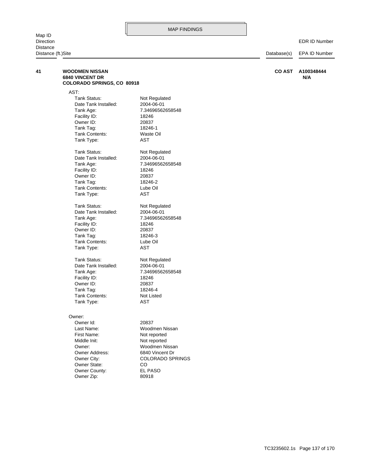Map ID Distance

| Distance (ft.)Site |                                                                               | Database(s)             | <b>EPA ID Number</b> |                   |
|--------------------|-------------------------------------------------------------------------------|-------------------------|----------------------|-------------------|
| 41                 | <b>WOODMEN NISSAN</b><br><b>6840 VINCENT DR</b><br>COLORADO SPRINGS, CO 80918 |                         | <b>CO AST</b>        | A100348444<br>N/A |
|                    | AST:                                                                          |                         |                      |                   |
|                    | <b>Tank Status:</b>                                                           | Not Regulated           |                      |                   |
|                    | Date Tank Installed:                                                          | 2004-06-01              |                      |                   |
|                    | Tank Age:                                                                     | 7.34696562658548        |                      |                   |
|                    | Facility ID:                                                                  | 18246                   |                      |                   |
|                    | Owner ID:                                                                     | 20837                   |                      |                   |
|                    | Tank Tag:                                                                     | 18246-1                 |                      |                   |
|                    | Tank Contents:                                                                | Waste Oil               |                      |                   |
|                    | Tank Type:                                                                    | <b>AST</b>              |                      |                   |
|                    | Tank Status:                                                                  | Not Regulated           |                      |                   |
|                    | Date Tank Installed:                                                          | 2004-06-01              |                      |                   |
|                    | Tank Age:                                                                     | 7.34696562658548        |                      |                   |
|                    | Facility ID:                                                                  | 18246                   |                      |                   |
|                    | Owner ID:                                                                     | 20837                   |                      |                   |
|                    | Tank Tag:                                                                     | 18246-2                 |                      |                   |
|                    | Tank Contents:                                                                | Lube Oil                |                      |                   |
|                    | Tank Type:                                                                    | <b>AST</b>              |                      |                   |
|                    | Tank Status:                                                                  | Not Regulated           |                      |                   |
|                    | Date Tank Installed:                                                          | 2004-06-01              |                      |                   |
|                    | Tank Age:                                                                     | 7.34696562658548        |                      |                   |
|                    | Facility ID:                                                                  | 18246                   |                      |                   |
|                    | Owner ID:                                                                     | 20837                   |                      |                   |
|                    | Tank Tag:                                                                     | 18246-3                 |                      |                   |
|                    | Tank Contents:                                                                | Lube Oil                |                      |                   |
|                    | Tank Type:                                                                    | AST                     |                      |                   |
|                    | Tank Status:                                                                  | Not Regulated           |                      |                   |
|                    | Date Tank Installed:                                                          | 2004-06-01              |                      |                   |
|                    | Tank Age:                                                                     | 7.34696562658548        |                      |                   |
|                    | Facility ID:                                                                  | 18246                   |                      |                   |
|                    | Owner ID:                                                                     | 20837                   |                      |                   |
|                    | Tank Tag:                                                                     | 18246-4                 |                      |                   |
|                    | Tank Contents:                                                                | Not Listed              |                      |                   |
|                    | Tank Type:                                                                    | <b>AST</b>              |                      |                   |
|                    | Owner:                                                                        |                         |                      |                   |
|                    | Owner Id:                                                                     | 20837                   |                      |                   |
|                    | Last Name:                                                                    | Woodmen Nissan          |                      |                   |
|                    | First Name:                                                                   | Not reported            |                      |                   |
|                    | Middle Init:                                                                  | Not reported            |                      |                   |
|                    | Owner:                                                                        | Woodmen Nissan          |                      |                   |
|                    | Owner Address:                                                                | 6840 Vincent Dr         |                      |                   |
|                    | Owner City:                                                                   | <b>COLORADO SPRINGS</b> |                      |                   |
|                    | Owner State:                                                                  | CO                      |                      |                   |
|                    | Owner County:                                                                 | EL PASO                 |                      |                   |

Owner Zip: 80918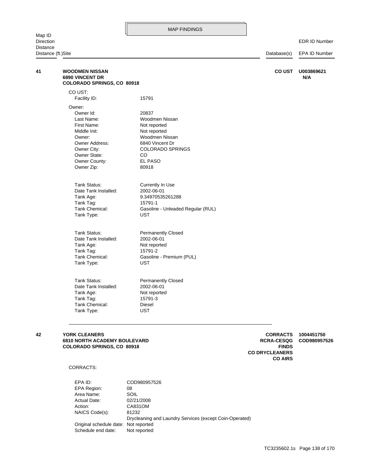EDR ID Number

Distance (ft.)Site Database(s) EPA ID Number

| <b>WOODMEN NISSAN</b><br><b>6890 VINCENT DR</b> |                                   | <b>COUST</b> | U003869621<br>N/A |
|-------------------------------------------------|-----------------------------------|--------------|-------------------|
| COLORADO SPRINGS, CO 80918                      |                                   |              |                   |
| CO UST:                                         |                                   |              |                   |
| Facility ID:                                    | 15791                             |              |                   |
| Owner:                                          |                                   |              |                   |
| Owner Id:                                       | 20837                             |              |                   |
| Last Name:                                      | Woodmen Nissan                    |              |                   |
| First Name:                                     | Not reported                      |              |                   |
| Middle Init:                                    | Not reported                      |              |                   |
| Owner:                                          | Woodmen Nissan                    |              |                   |
| Owner Address:                                  | 6840 Vincent Dr                   |              |                   |
| Owner City:                                     | <b>COLORADO SPRINGS</b>           |              |                   |
| Owner State:                                    | CO.                               |              |                   |
| Owner County:                                   | EL PASO                           |              |                   |
| Owner Zip:                                      | 80918                             |              |                   |
|                                                 |                                   |              |                   |
| <b>Tank Status:</b>                             | Currently In Use                  |              |                   |
| Date Tank Installed:                            | 2002-06-01                        |              |                   |
| Tank Age:                                       | 9.34970535261288                  |              |                   |
| Tank Tag:                                       | 15791-1                           |              |                   |
| Tank Chemical:                                  | Gasoline - Unleaded Regular (RUL) |              |                   |
| Tank Type:                                      | <b>UST</b>                        |              |                   |
|                                                 |                                   |              |                   |
| <b>Tank Status:</b>                             | <b>Permanently Closed</b>         |              |                   |
| Date Tank Installed:                            | 2002-06-01                        |              |                   |
| Tank Age:                                       | Not reported                      |              |                   |
| Tank Tag:                                       | 15791-2                           |              |                   |
| Tank Chemical:                                  | Gasoline - Premium (PUL)          |              |                   |
| Tank Type:                                      | <b>UST</b>                        |              |                   |
|                                                 |                                   |              |                   |
| Tank Status:                                    | <b>Permanently Closed</b>         |              |                   |
| Date Tank Installed:                            | 2002-06-01                        |              |                   |
| Tank Age:                                       | Not reported                      |              |                   |
| Tank Tag:                                       | 15791-3                           |              |                   |
| <b>Tank Chemical:</b>                           | Diesel                            |              |                   |
| Tank Type:                                      | <b>UST</b>                        |              |                   |

# **COLORADO SPRINGS, CO 80918 FINDS 6810 NORTH ACADEMY BOULEVARD COD980957526 RCRA-CESQG**

**CO AIRS CO DRYCLEANERS**

### CORRACTS:

Schedule end date: Not reported Original schedule date: Not reported Drycleaning and Laundry Services (except Coin-Operated) NAICS Code(s): 81232 Action: CA831OM Actual Date: 02/21/2008 Area Name: SOIL EPA Region: 08 EPA ID: COD980957526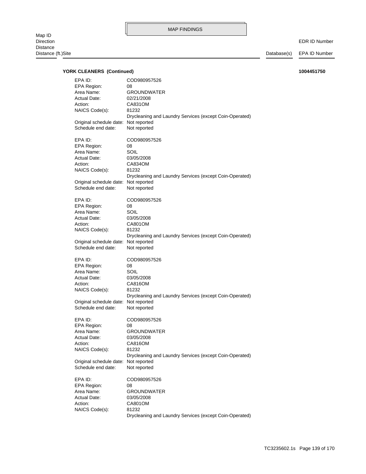| <b>YORK CLEANERS (Continued)</b>     |                                                         | 1004451750 |
|--------------------------------------|---------------------------------------------------------|------------|
| EPA ID:                              | COD980957526                                            |            |
| EPA Region:                          | 08                                                      |            |
| Area Name:                           | <b>GROUNDWATER</b>                                      |            |
| Actual Date:                         | 02/21/2008                                              |            |
| Action:                              | CA831OM                                                 |            |
| NAICS Code(s):                       | 81232                                                   |            |
|                                      | Drycleaning and Laundry Services (except Coin-Operated) |            |
| Original schedule date: Not reported |                                                         |            |
| Schedule end date:                   | Not reported                                            |            |
|                                      |                                                         |            |
| EPA ID:                              | COD980957526                                            |            |
| EPA Region:                          | 08                                                      |            |
| Area Name:                           | SOIL                                                    |            |
| Actual Date:                         | 03/05/2008                                              |            |
| Action:                              | CA834OM                                                 |            |
| NAICS Code(s):                       | 81232                                                   |            |
|                                      | Drycleaning and Laundry Services (except Coin-Operated) |            |
| Original schedule date: Not reported |                                                         |            |
| Schedule end date:                   | Not reported                                            |            |
|                                      |                                                         |            |
| EPA ID:                              | COD980957526                                            |            |
| EPA Region:                          | 08                                                      |            |
| Area Name:                           | SOIL                                                    |            |
| Actual Date:                         | 03/05/2008                                              |            |
| Action:                              | CA801OM                                                 |            |
| NAICS Code(s):                       | 81232                                                   |            |
|                                      | Drycleaning and Laundry Services (except Coin-Operated) |            |
| Original schedule date: Not reported |                                                         |            |
| Schedule end date:                   | Not reported                                            |            |
|                                      |                                                         |            |
| EPA ID:                              | COD980957526                                            |            |
| EPA Region:                          | 08                                                      |            |
| Area Name:                           | SOIL                                                    |            |
| Actual Date:                         | 03/05/2008                                              |            |
| Action:                              | CA816OM                                                 |            |
| NAICS Code(s):                       | 81232                                                   |            |
|                                      | Drycleaning and Laundry Services (except Coin-Operated) |            |
| Original schedule date: Not reported |                                                         |            |
| Schedule end date:                   | Not reported                                            |            |
|                                      |                                                         |            |
| EPA ID:                              | COD980957526                                            |            |
| <b>EPA Region:</b>                   | 08                                                      |            |
| Area Name:                           | <b>GROUNDWATER</b>                                      |            |
| Actual Date:                         | 03/05/2008                                              |            |
| Action:                              | CA816OM                                                 |            |
| NAICS Code(s):                       | 81232                                                   |            |
|                                      | Drycleaning and Laundry Services (except Coin-Operated) |            |
| Original schedule date: Not reported |                                                         |            |
| Schedule end date:                   | Not reported                                            |            |
| EPA ID:                              | COD980957526                                            |            |
| EPA Region:                          | 08                                                      |            |
| Area Name:                           | <b>GROUNDWATER</b>                                      |            |
| Actual Date:                         | 03/05/2008                                              |            |
| Action:                              | CA801OM                                                 |            |
| NAICS Code(s):                       | 81232                                                   |            |
|                                      | Drycleaning and Laundry Services (except Coin-Operated) |            |
|                                      |                                                         |            |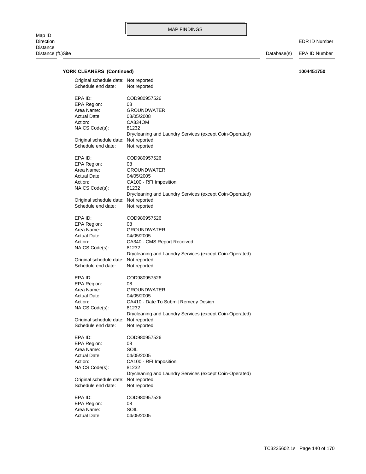EDR ID Number

| Original schedule date: Not reported<br>Schedule end date:                               | Not reported                                                                                                                                                       |
|------------------------------------------------------------------------------------------|--------------------------------------------------------------------------------------------------------------------------------------------------------------------|
| EPA ID:<br>EPA Region:<br>Area Name:<br>Actual Date:<br>Action:<br>NAICS Code(s):        | COD980957526<br>08<br><b>GROUNDWATER</b><br>03/05/2008<br>CA834OM<br>81232<br>Drycleaning and Laundry Services (except Coin-Operated)                              |
| Original schedule date: Not reported<br>Schedule end date:                               | Not reported                                                                                                                                                       |
| EPA ID:<br>EPA Region:<br>Area Name:<br><b>Actual Date:</b><br>Action:<br>NAICS Code(s): | COD980957526<br>08<br><b>GROUNDWATER</b><br>04/05/2005<br>CA100 - RFI Imposition<br>81232                                                                          |
| Original schedule date: Not reported<br>Schedule end date:                               | Drycleaning and Laundry Services (except Coin-Operated)<br>Not reported                                                                                            |
| EPA ID:<br>EPA Region:<br>Area Name:<br><b>Actual Date:</b><br>Action:<br>NAICS Code(s): | COD980957526<br>08<br><b>GROUNDWATER</b><br>04/05/2005<br>CA340 - CMS Report Received<br>81232                                                                     |
| Original schedule date: Not reported<br>Schedule end date:                               | Drycleaning and Laundry Services (except Coin-Operated)<br>Not reported                                                                                            |
| EPA ID:<br>EPA Region:<br>Area Name:<br>Actual Date:<br>Action:<br>NAICS Code(s):        | COD980957526<br>08<br><b>GROUNDWATER</b><br>04/05/2005<br>CA410 - Date To Submit Remedy Design<br>81232<br>Drycleaning and Laundry Services (except Coin-Operated) |
| Original schedule date: Not reported<br>Schedule end date:                               | Not reported                                                                                                                                                       |
| EPA ID:<br>EPA Region:<br>Area Name:<br><b>Actual Date:</b><br>Action:<br>NAICS Code(s): | COD980957526<br>08<br>SOIL<br>04/05/2005<br>CA100 - RFI Imposition<br>81232<br>Drycleaning and Laundry Services (except Coin-Operated)                             |
| Original schedule date: Not reported<br>Schedule end date:                               | Not reported                                                                                                                                                       |
| EPA ID:<br><b>EPA Region:</b><br>Area Name:<br><b>Actual Date:</b>                       | COD980957526<br>08<br>SOIL<br>04/05/2005                                                                                                                           |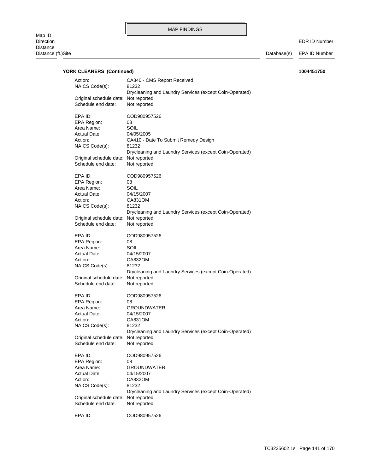EDR ID Number

| Action:                              | CA340 - CMS Report Received                             |
|--------------------------------------|---------------------------------------------------------|
| NAICS Code(s):                       | 81232                                                   |
|                                      | Drycleaning and Laundry Services (except Coin-Operated) |
| Original schedule date: Not reported |                                                         |
| Schedule end date:                   | Not reported                                            |
|                                      |                                                         |
| EPA ID:                              | COD980957526                                            |
|                                      |                                                         |
| <b>EPA Region:</b>                   | 08                                                      |
| Area Name:                           | SOIL                                                    |
| <b>Actual Date:</b>                  | 04/05/2005                                              |
| Action:                              | CA410 - Date To Submit Remedy Design                    |
| NAICS Code(s):                       | 81232                                                   |
|                                      | Drycleaning and Laundry Services (except Coin-Operated) |
| Original schedule date: Not reported |                                                         |
| Schedule end date:                   |                                                         |
|                                      | Not reported                                            |
|                                      |                                                         |
| EPA ID:                              | COD980957526                                            |
| EPA Region:                          | 08                                                      |
| Area Name:                           | SOIL                                                    |
| Actual Date:                         | 04/15/2007                                              |
| Action:                              | CA831OM                                                 |
| NAICS Code(s):                       | 81232                                                   |
|                                      |                                                         |
|                                      | Drycleaning and Laundry Services (except Coin-Operated) |
| Original schedule date: Not reported |                                                         |
| Schedule end date:                   | Not reported                                            |
|                                      |                                                         |
| EPA ID:                              | COD980957526                                            |
| EPA Region:                          | 08                                                      |
| Area Name:                           | SOIL                                                    |
| Actual Date:                         | 04/15/2007                                              |
|                                      | CA832OM                                                 |
| Action:                              |                                                         |
| NAICS Code(s):                       | 81232                                                   |
|                                      | Drycleaning and Laundry Services (except Coin-Operated) |
| Original schedule date: Not reported |                                                         |
| Schedule end date:                   | Not reported                                            |
|                                      |                                                         |
| EPA ID:                              | COD980957526                                            |
| EPA Region:                          | 08                                                      |
| Area Name:                           | <b>GROUNDWATER</b>                                      |
| Actual Date:                         |                                                         |
|                                      | 04/15/2007                                              |
| Action:                              | CA831OM                                                 |
| NAICS Code(s):                       | 81232                                                   |
|                                      | Drycleaning and Laundry Services (except Coin-Operated) |
| Original schedule date: Not reported |                                                         |
| Schedule end date:                   | Not reported                                            |
|                                      |                                                         |
| EPA ID:                              | COD980957526                                            |
| <b>EPA Region:</b>                   | 08                                                      |
|                                      |                                                         |
| Area Name:                           | <b>GROUNDWATER</b>                                      |
| <b>Actual Date:</b>                  | 04/15/2007                                              |
| Action:                              | CA832OM                                                 |
| NAICS Code(s):                       | 81232                                                   |
|                                      | Drycleaning and Laundry Services (except Coin-Operated) |
| Original schedule date:              | Not reported                                            |
| Schedule end date:                   | Not reported                                            |
|                                      |                                                         |
| EPA ID:                              | COD980957526                                            |
|                                      |                                                         |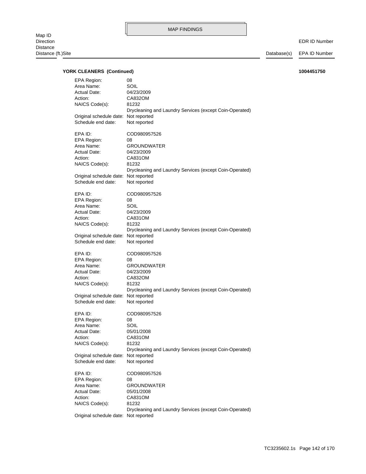EDR ID Number

| EPA Region:                          | 08                                                      |
|--------------------------------------|---------------------------------------------------------|
|                                      |                                                         |
| Area Name:                           | SOIL                                                    |
| Actual Date:                         | 04/23/2009                                              |
| Action:                              | CA832OM                                                 |
|                                      |                                                         |
| NAICS Code(s):                       | 81232                                                   |
|                                      | Drycleaning and Laundry Services (except Coin-Operated) |
| Original schedule date: Not reported |                                                         |
| Schedule end date:                   | Not reported                                            |
|                                      |                                                         |
|                                      |                                                         |
| EPA ID:                              | COD980957526                                            |
| EPA Region:                          | 08                                                      |
| Area Name:                           | <b>GROUNDWATER</b>                                      |
| Actual Date:                         | 04/23/2009                                              |
|                                      | CA831OM                                                 |
| Action:                              |                                                         |
| NAICS Code(s):                       | 81232                                                   |
|                                      | Drycleaning and Laundry Services (except Coin-Operated) |
| Original schedule date:              | Not reported                                            |
| Schedule end date:                   | Not reported                                            |
|                                      |                                                         |
|                                      |                                                         |
| EPA ID:                              | COD980957526                                            |
| <b>EPA Region:</b>                   | 08                                                      |
| Area Name:                           | SOIL                                                    |
|                                      |                                                         |
| Actual Date:                         | 04/23/2009                                              |
| Action:                              | CA831OM                                                 |
| NAICS Code(s):                       | 81232                                                   |
|                                      | Drycleaning and Laundry Services (except Coin-Operated) |
| Original schedule date:              | Not reported                                            |
|                                      |                                                         |
| Schedule end date:                   | Not reported                                            |
|                                      |                                                         |
|                                      |                                                         |
| EPA ID:                              | COD980957526                                            |
|                                      | 08                                                      |
| EPA Region:                          |                                                         |
| Area Name:                           | <b>GROUNDWATER</b>                                      |
| Actual Date:                         | 04/23/2009                                              |
| Action:                              | CA832OM                                                 |
| NAICS Code(s):                       | 81232                                                   |
|                                      |                                                         |
|                                      | Drycleaning and Laundry Services (except Coin-Operated) |
| Original schedule date: Not reported |                                                         |
| Schedule end date:                   | Not reported                                            |
|                                      |                                                         |
| EPA ID:                              | COD980957526                                            |
|                                      |                                                         |
| EPA Region:                          | 08                                                      |
| Area Name:                           | SOIL                                                    |
| Actual Date:                         | 05/01/2008                                              |
| Action:                              | CA831OM                                                 |
|                                      | 81232                                                   |
| NAICS Code(s):                       |                                                         |
|                                      | Drycleaning and Laundry Services (except Coin-Operated) |
| Original schedule date:              | Not reported                                            |
| Schedule end date:                   | Not reported                                            |
|                                      |                                                         |
| EPA ID:                              | COD980957526                                            |
|                                      |                                                         |
| EPA Region:                          | 08                                                      |
| Area Name:                           | <b>GROUNDWATER</b>                                      |
| Actual Date:                         | 05/01/2008                                              |
| Action:                              | CA831OM                                                 |
|                                      | 81232                                                   |
| NAICS Code(s):                       |                                                         |
| Original schedule date: Not reported | Drycleaning and Laundry Services (except Coin-Operated) |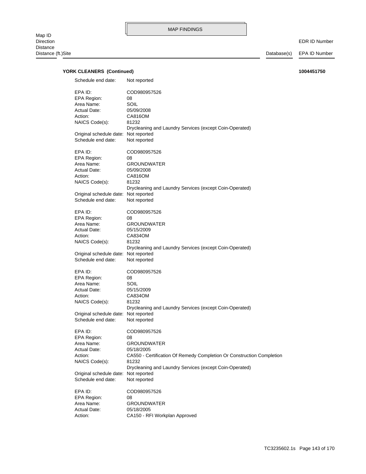EDR ID Number

| Schedule end date:                   | Not reported                                                                        |
|--------------------------------------|-------------------------------------------------------------------------------------|
| EPA ID:                              | COD980957526                                                                        |
| EPA Region:                          | 08                                                                                  |
| Area Name:                           | SOIL                                                                                |
| <b>Actual Date:</b>                  | 05/09/2008                                                                          |
| Action:                              | CA816OM                                                                             |
| NAICS Code(s):                       | 81232                                                                               |
|                                      | Drycleaning and Laundry Services (except Coin-Operated)                             |
| Original schedule date: Not reported |                                                                                     |
| Schedule end date:                   | Not reported                                                                        |
|                                      |                                                                                     |
| EPA ID:                              | COD980957526                                                                        |
| EPA Region:                          | 08                                                                                  |
| Area Name:                           | <b>GROUNDWATER</b>                                                                  |
| <b>Actual Date:</b><br>Action:       | 05/09/2008<br>CA816OM                                                               |
| NAICS Code(s):                       | 81232                                                                               |
|                                      | Drycleaning and Laundry Services (except Coin-Operated)                             |
| Original schedule date: Not reported |                                                                                     |
| Schedule end date:                   | Not reported                                                                        |
|                                      |                                                                                     |
| EPA ID:                              | COD980957526                                                                        |
| EPA Region:                          | 08                                                                                  |
| Area Name:                           | <b>GROUNDWATER</b>                                                                  |
| <b>Actual Date:</b>                  | 05/15/2009                                                                          |
| Action:                              | CA834OM                                                                             |
| NAICS Code(s):                       | 81232                                                                               |
|                                      | Drycleaning and Laundry Services (except Coin-Operated)                             |
| Original schedule date: Not reported |                                                                                     |
| Schedule end date:                   | Not reported                                                                        |
| EPA ID:                              | COD980957526                                                                        |
| EPA Region:                          | 08                                                                                  |
| Area Name:                           | SOIL                                                                                |
| <b>Actual Date:</b>                  | 05/15/2009                                                                          |
| Action:                              | CA834OM                                                                             |
| NAICS Code(s):                       | 81232                                                                               |
|                                      | Drycleaning and Laundry Services (except Coin-Operated)                             |
| Original schedule date: Not reported |                                                                                     |
| Schedule end date:                   | Not reported                                                                        |
|                                      |                                                                                     |
| EPA ID:                              | COD980957526                                                                        |
| EPA Region:                          | 08                                                                                  |
| Area Name:                           | <b>GROUNDWATER</b>                                                                  |
| Actual Date:<br>Action:              | 05/18/2005<br>CA550 - Certification Of Remedy Completion Or Construction Completion |
| NAICS Code(s):                       | 81232                                                                               |
|                                      | Drycleaning and Laundry Services (except Coin-Operated)                             |
| Original schedule date: Not reported |                                                                                     |
| Schedule end date:                   | Not reported                                                                        |
|                                      |                                                                                     |
| EPA ID:                              | COD980957526                                                                        |
| EPA Region:                          | 08                                                                                  |
| Area Name:                           | <b>GROUNDWATER</b>                                                                  |
| Actual Date:                         | 05/18/2005                                                                          |
| Action:                              | CA150 - RFI Workplan Approved                                                       |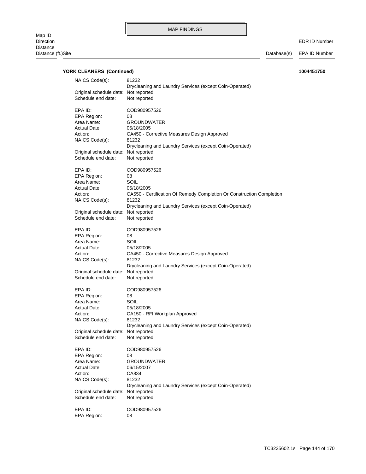EDR ID Number

| NAICS Code(s):                                             | 81232<br>Drycleaning and Laundry Services (except Coin-Operated)      |
|------------------------------------------------------------|-----------------------------------------------------------------------|
| Original schedule date: Not reported<br>Schedule end date: | Not reported                                                          |
| EPA ID:                                                    | COD980957526                                                          |
| EPA Region:                                                | 08                                                                    |
| Area Name:                                                 | <b>GROUNDWATER</b>                                                    |
| <b>Actual Date:</b>                                        | 05/18/2005                                                            |
| Action:                                                    | CA450 - Corrective Measures Design Approved                           |
| NAICS Code(s):                                             | 81232<br>Drycleaning and Laundry Services (except Coin-Operated)      |
| Original schedule date: Not reported                       |                                                                       |
| Schedule end date:                                         | Not reported                                                          |
| EPA ID:                                                    | COD980957526                                                          |
| EPA Region:                                                | 08                                                                    |
| Area Name:                                                 | SOIL                                                                  |
| <b>Actual Date:</b>                                        | 05/18/2005                                                            |
| Action:                                                    | CA550 - Certification Of Remedy Completion Or Construction Completion |
| NAICS Code(s):                                             | 81232                                                                 |
|                                                            | Drycleaning and Laundry Services (except Coin-Operated)               |
| Original schedule date: Not reported                       |                                                                       |
| Schedule end date:                                         | Not reported                                                          |
| EPA ID:                                                    | COD980957526                                                          |
| EPA Region:                                                | 08                                                                    |
| Area Name:                                                 | SOIL                                                                  |
| Actual Date:                                               | 05/18/2005                                                            |
| Action:                                                    | CA450 - Corrective Measures Design Approved                           |
| NAICS Code(s):                                             | 81232                                                                 |
|                                                            | Drycleaning and Laundry Services (except Coin-Operated)               |
| Original schedule date: Not reported                       |                                                                       |
| Schedule end date:                                         | Not reported                                                          |
| EPA ID:                                                    | COD980957526                                                          |
| EPA Region:                                                | 08                                                                    |
| Area Name:                                                 | SOIL                                                                  |
| <b>Actual Date:</b>                                        | 05/18/2005                                                            |
| Action:                                                    | CA150 - RFI Workplan Approved                                         |
| NAICS Code(s):                                             | 81232                                                                 |
|                                                            | Drycleaning and Laundry Services (except Coin-Operated)               |
| Original schedule date: Not reported                       |                                                                       |
| Schedule end date:                                         | Not reported                                                          |
| EPA ID:                                                    | COD980957526                                                          |
| EPA Region:                                                | 08                                                                    |
| Area Name:                                                 | <b>GROUNDWATER</b>                                                    |
| <b>Actual Date:</b>                                        | 06/15/2007                                                            |
| Action:                                                    | CA834                                                                 |
| NAICS Code(s):                                             | 81232                                                                 |
|                                                            | Drycleaning and Laundry Services (except Coin-Operated)               |
| Original schedule date: Not reported                       |                                                                       |
| Schedule end date:                                         | Not reported                                                          |
| EPA ID:                                                    | COD980957526                                                          |
| EPA Region:                                                | 08                                                                    |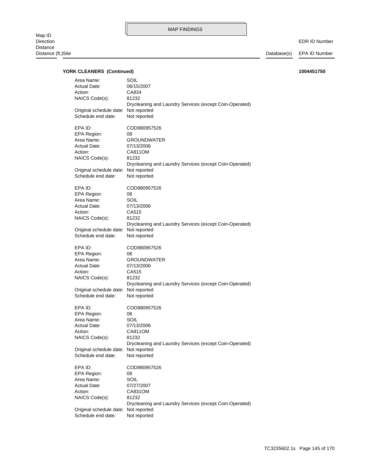EDR ID Number

| Area Name:                                                                                                                                | SOIL                                                                                                                                                    |
|-------------------------------------------------------------------------------------------------------------------------------------------|---------------------------------------------------------------------------------------------------------------------------------------------------------|
| Actual Date:                                                                                                                              | 06/15/2007                                                                                                                                              |
| Action:                                                                                                                                   | CA834                                                                                                                                                   |
| NAICS Code(s):                                                                                                                            | 81232                                                                                                                                                   |
| Original schedule date: Not reported                                                                                                      | Drycleaning and Laundry Services (except Coin-Operated)                                                                                                 |
| Schedule end date:                                                                                                                        | Not reported                                                                                                                                            |
| EPA ID:                                                                                                                                   | COD980957526                                                                                                                                            |
| EPA Region:                                                                                                                               | 08                                                                                                                                                      |
| Area Name:                                                                                                                                | <b>GROUNDWATER</b>                                                                                                                                      |
| <b>Actual Date:</b>                                                                                                                       | 07/13/2006                                                                                                                                              |
| Action:                                                                                                                                   | CA811OM                                                                                                                                                 |
| NAICS Code(s):                                                                                                                            | 81232                                                                                                                                                   |
| Original schedule date: Not reported                                                                                                      | Drycleaning and Laundry Services (except Coin-Operated)                                                                                                 |
| Schedule end date:                                                                                                                        | Not reported                                                                                                                                            |
| EPA ID:                                                                                                                                   | COD980957526                                                                                                                                            |
| EPA Region:                                                                                                                               | 08                                                                                                                                                      |
| Area Name:                                                                                                                                | SOIL                                                                                                                                                    |
| Actual Date:                                                                                                                              | 07/13/2006                                                                                                                                              |
| Action:                                                                                                                                   | CA515                                                                                                                                                   |
| NAICS Code(s):                                                                                                                            | 81232                                                                                                                                                   |
| Original schedule date: Not reported                                                                                                      | Drycleaning and Laundry Services (except Coin-Operated)                                                                                                 |
| Schedule end date:                                                                                                                        | Not reported                                                                                                                                            |
| EPA ID:                                                                                                                                   | COD980957526                                                                                                                                            |
| EPA Region:                                                                                                                               | 08                                                                                                                                                      |
| Area Name:                                                                                                                                | <b>GROUNDWATER</b>                                                                                                                                      |
| <b>Actual Date:</b>                                                                                                                       | 07/13/2006                                                                                                                                              |
| Action:                                                                                                                                   | CA515                                                                                                                                                   |
| NAICS Code(s):                                                                                                                            | 81232                                                                                                                                                   |
| Original schedule date: Not reported                                                                                                      | Drycleaning and Laundry Services (except Coin-Operated)                                                                                                 |
| Schedule end date:                                                                                                                        | Not reported                                                                                                                                            |
| EPA ID:<br>EPA Region:<br>Area Name:<br><b>Actual Date:</b><br>Action:<br>NAICS Code(s):<br>Original schedule date:<br>Schedule end date: | COD980957526<br>08<br>SOIL<br>07/13/2006<br>CA811OM<br>81232<br>Drycleaning and Laundry Services (except Coin-Operated)<br>Not reported<br>Not reported |
| EPA ID:<br>EPA Region:<br>Area Name:<br><b>Actual Date:</b><br>Action:<br>NAICS Code(s):<br>Original schedule date:<br>Schedule end date: | COD980957526<br>08<br>SOIL<br>07/27/2007<br>CA831OM<br>81232<br>Drycleaning and Laundry Services (except Coin-Operated)<br>Not reported<br>Not reported |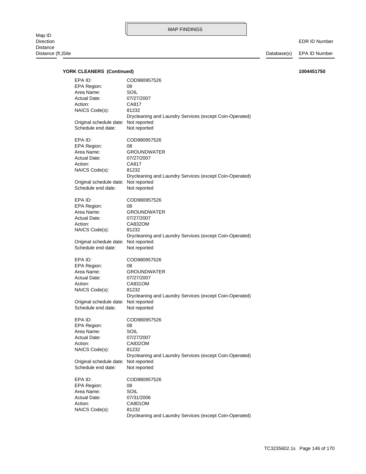EDR ID Number

| EPA ID:                              | COD980957526                                            |
|--------------------------------------|---------------------------------------------------------|
|                                      |                                                         |
| EPA Region:                          | 08                                                      |
| Area Name:                           | SOIL                                                    |
| Actual Date:                         | 07/27/2007                                              |
| Action:                              | CA817                                                   |
| NAICS Code(s):                       | 81232                                                   |
|                                      |                                                         |
|                                      | Drycleaning and Laundry Services (except Coin-Operated) |
| Original schedule date:              | Not reported                                            |
| Schedule end date:                   | Not reported                                            |
|                                      |                                                         |
| EPA ID:                              | COD980957526                                            |
|                                      |                                                         |
| EPA Region:                          | 08                                                      |
| Area Name:                           | <b>GROUNDWATER</b>                                      |
| Actual Date:                         | 07/27/2007                                              |
| Action:                              | CA817                                                   |
| NAICS Code(s):                       | 81232                                                   |
|                                      |                                                         |
|                                      | Drycleaning and Laundry Services (except Coin-Operated) |
| Original schedule date:              | Not reported                                            |
| Schedule end date:                   | Not reported                                            |
|                                      |                                                         |
| EPA ID:                              | COD980957526                                            |
|                                      |                                                         |
| EPA Region:                          | 08                                                      |
| Area Name:                           | <b>GROUNDWATER</b>                                      |
| <b>Actual Date:</b>                  | 07/27/2007                                              |
| Action:                              | CA832OM                                                 |
| NAICS Code(s):                       | 81232                                                   |
|                                      |                                                         |
|                                      | Drycleaning and Laundry Services (except Coin-Operated) |
| Original schedule date: Not reported |                                                         |
| Schedule end date:                   | Not reported                                            |
|                                      |                                                         |
| EPA ID:                              | COD980957526                                            |
| EPA Region:                          | 08                                                      |
|                                      |                                                         |
| Area Name:                           | <b>GROUNDWATER</b>                                      |
| Actual Date:                         | 07/27/2007                                              |
| Action:                              | CA831OM                                                 |
| NAICS Code(s):                       | 81232                                                   |
|                                      | Drycleaning and Laundry Services (except Coin-Operated) |
|                                      |                                                         |
| Original schedule date:              | Not reported                                            |
| Schedule end date:                   | Not reported                                            |
|                                      |                                                         |
| EPA ID:                              | COD980957526                                            |
| <b>EPA Region:</b>                   | 08                                                      |
| Area Name:                           | SOIL                                                    |
|                                      |                                                         |
| <b>Actual Date:</b>                  | 07/27/2007                                              |
| Action:                              | CA832OM                                                 |
| NAICS Code(s):                       | 81232                                                   |
|                                      | Drycleaning and Laundry Services (except Coin-Operated) |
| Original schedule date:              | Not reported                                            |
|                                      |                                                         |
| Schedule end date:                   | Not reported                                            |
|                                      |                                                         |
| EPA ID:                              | COD980957526                                            |
| EPA Region:                          | 08                                                      |
| Area Name:                           | SOIL                                                    |
| <b>Actual Date:</b>                  | 07/31/2006                                              |
|                                      |                                                         |
| Action:                              | CA801OM                                                 |
| NAICS Code(s):                       | 81232                                                   |
|                                      | Drycleaning and Laundry Services (except Coin-Operated) |
|                                      |                                                         |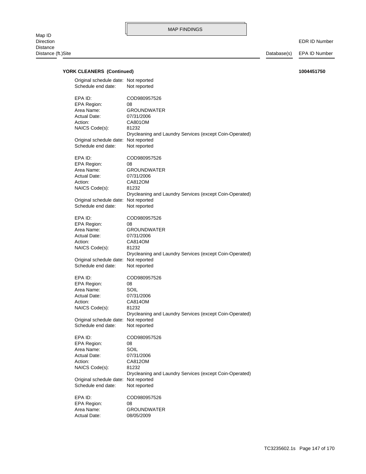EDR ID Number

| EPA ID:<br>COD980957526<br>EPA Region:<br>08<br>Area Name:<br><b>GROUNDWATER</b><br>Actual Date:<br>07/31/2006<br>Action:<br>CA801OM<br>NAICS Code(s):<br>81232<br>Drycleaning and Laundry Services (except Coin-Operated)<br>Original schedule date: Not reported<br>Not reported<br>Schedule end date:<br>EPA ID:<br>COD980957526<br>EPA Region:<br>08<br>Area Name:<br><b>GROUNDWATER</b><br>Actual Date:<br>07/31/2006<br>Action:<br>CA812OM<br>NAICS Code(s):<br>81232<br>Drycleaning and Laundry Services (except Coin-Operated)<br>Original schedule date: Not reported<br>Schedule end date:<br>Not reported<br>EPA ID:<br>COD980957526<br>EPA Region:<br>08<br>Area Name:<br><b>GROUNDWATER</b><br>Actual Date:<br>07/31/2006<br>CA814OM<br>Action:<br>NAICS Code(s):<br>81232<br>Drycleaning and Laundry Services (except Coin-Operated)<br>Original schedule date: Not reported<br>Schedule end date:<br>Not reported<br>EPA ID:<br>COD980957526<br>EPA Region:<br>08<br>Area Name:<br>SOIL<br>Actual Date:<br>07/31/2006<br>CA814OM<br>Action:<br>NAICS Code(s):<br>81232<br>Drycleaning and Laundry Services (except Coin-Operated)<br>Original schedule date: Not reported<br>Schedule end date:<br>Not reported<br>EPA ID:<br>COD980957526<br>EPA Region:<br>08<br>Area Name:<br>SOIL<br>Actual Date:<br>07/31/2006<br>Action:<br>CA812OM<br>NAICS Code(s):<br>81232<br>Drycleaning and Laundry Services (except Coin-Operated)<br>Original schedule date:<br>Not reported<br>Schedule end date:<br>Not reported<br>EPA ID:<br>COD980957526<br>EPA Region:<br>08<br>Area Name:<br>GROUNDWATER<br><b>Actual Date:</b><br>08/05/2009 | Original schedule date: Not reported<br>Schedule end date: | Not reported |
|---------------------------------------------------------------------------------------------------------------------------------------------------------------------------------------------------------------------------------------------------------------------------------------------------------------------------------------------------------------------------------------------------------------------------------------------------------------------------------------------------------------------------------------------------------------------------------------------------------------------------------------------------------------------------------------------------------------------------------------------------------------------------------------------------------------------------------------------------------------------------------------------------------------------------------------------------------------------------------------------------------------------------------------------------------------------------------------------------------------------------------------------------------------------------------------------------------------------------------------------------------------------------------------------------------------------------------------------------------------------------------------------------------------------------------------------------------------------------------------------------------------------------------------------------------------------------------------------------------------------------------------------------|------------------------------------------------------------|--------------|
|                                                                                                                                                                                                                                                                                                                                                                                                                                                                                                                                                                                                                                                                                                                                                                                                                                                                                                                                                                                                                                                                                                                                                                                                                                                                                                                                                                                                                                                                                                                                                                                                                                                   |                                                            |              |
|                                                                                                                                                                                                                                                                                                                                                                                                                                                                                                                                                                                                                                                                                                                                                                                                                                                                                                                                                                                                                                                                                                                                                                                                                                                                                                                                                                                                                                                                                                                                                                                                                                                   |                                                            |              |
|                                                                                                                                                                                                                                                                                                                                                                                                                                                                                                                                                                                                                                                                                                                                                                                                                                                                                                                                                                                                                                                                                                                                                                                                                                                                                                                                                                                                                                                                                                                                                                                                                                                   |                                                            |              |
|                                                                                                                                                                                                                                                                                                                                                                                                                                                                                                                                                                                                                                                                                                                                                                                                                                                                                                                                                                                                                                                                                                                                                                                                                                                                                                                                                                                                                                                                                                                                                                                                                                                   |                                                            |              |
|                                                                                                                                                                                                                                                                                                                                                                                                                                                                                                                                                                                                                                                                                                                                                                                                                                                                                                                                                                                                                                                                                                                                                                                                                                                                                                                                                                                                                                                                                                                                                                                                                                                   |                                                            |              |
|                                                                                                                                                                                                                                                                                                                                                                                                                                                                                                                                                                                                                                                                                                                                                                                                                                                                                                                                                                                                                                                                                                                                                                                                                                                                                                                                                                                                                                                                                                                                                                                                                                                   |                                                            |              |
|                                                                                                                                                                                                                                                                                                                                                                                                                                                                                                                                                                                                                                                                                                                                                                                                                                                                                                                                                                                                                                                                                                                                                                                                                                                                                                                                                                                                                                                                                                                                                                                                                                                   |                                                            |              |
|                                                                                                                                                                                                                                                                                                                                                                                                                                                                                                                                                                                                                                                                                                                                                                                                                                                                                                                                                                                                                                                                                                                                                                                                                                                                                                                                                                                                                                                                                                                                                                                                                                                   |                                                            |              |
|                                                                                                                                                                                                                                                                                                                                                                                                                                                                                                                                                                                                                                                                                                                                                                                                                                                                                                                                                                                                                                                                                                                                                                                                                                                                                                                                                                                                                                                                                                                                                                                                                                                   |                                                            |              |
|                                                                                                                                                                                                                                                                                                                                                                                                                                                                                                                                                                                                                                                                                                                                                                                                                                                                                                                                                                                                                                                                                                                                                                                                                                                                                                                                                                                                                                                                                                                                                                                                                                                   |                                                            |              |
|                                                                                                                                                                                                                                                                                                                                                                                                                                                                                                                                                                                                                                                                                                                                                                                                                                                                                                                                                                                                                                                                                                                                                                                                                                                                                                                                                                                                                                                                                                                                                                                                                                                   |                                                            |              |
|                                                                                                                                                                                                                                                                                                                                                                                                                                                                                                                                                                                                                                                                                                                                                                                                                                                                                                                                                                                                                                                                                                                                                                                                                                                                                                                                                                                                                                                                                                                                                                                                                                                   |                                                            |              |
|                                                                                                                                                                                                                                                                                                                                                                                                                                                                                                                                                                                                                                                                                                                                                                                                                                                                                                                                                                                                                                                                                                                                                                                                                                                                                                                                                                                                                                                                                                                                                                                                                                                   |                                                            |              |
|                                                                                                                                                                                                                                                                                                                                                                                                                                                                                                                                                                                                                                                                                                                                                                                                                                                                                                                                                                                                                                                                                                                                                                                                                                                                                                                                                                                                                                                                                                                                                                                                                                                   |                                                            |              |
|                                                                                                                                                                                                                                                                                                                                                                                                                                                                                                                                                                                                                                                                                                                                                                                                                                                                                                                                                                                                                                                                                                                                                                                                                                                                                                                                                                                                                                                                                                                                                                                                                                                   |                                                            |              |
|                                                                                                                                                                                                                                                                                                                                                                                                                                                                                                                                                                                                                                                                                                                                                                                                                                                                                                                                                                                                                                                                                                                                                                                                                                                                                                                                                                                                                                                                                                                                                                                                                                                   |                                                            |              |
|                                                                                                                                                                                                                                                                                                                                                                                                                                                                                                                                                                                                                                                                                                                                                                                                                                                                                                                                                                                                                                                                                                                                                                                                                                                                                                                                                                                                                                                                                                                                                                                                                                                   |                                                            |              |
|                                                                                                                                                                                                                                                                                                                                                                                                                                                                                                                                                                                                                                                                                                                                                                                                                                                                                                                                                                                                                                                                                                                                                                                                                                                                                                                                                                                                                                                                                                                                                                                                                                                   |                                                            |              |
|                                                                                                                                                                                                                                                                                                                                                                                                                                                                                                                                                                                                                                                                                                                                                                                                                                                                                                                                                                                                                                                                                                                                                                                                                                                                                                                                                                                                                                                                                                                                                                                                                                                   |                                                            |              |
|                                                                                                                                                                                                                                                                                                                                                                                                                                                                                                                                                                                                                                                                                                                                                                                                                                                                                                                                                                                                                                                                                                                                                                                                                                                                                                                                                                                                                                                                                                                                                                                                                                                   |                                                            |              |
|                                                                                                                                                                                                                                                                                                                                                                                                                                                                                                                                                                                                                                                                                                                                                                                                                                                                                                                                                                                                                                                                                                                                                                                                                                                                                                                                                                                                                                                                                                                                                                                                                                                   |                                                            |              |
|                                                                                                                                                                                                                                                                                                                                                                                                                                                                                                                                                                                                                                                                                                                                                                                                                                                                                                                                                                                                                                                                                                                                                                                                                                                                                                                                                                                                                                                                                                                                                                                                                                                   |                                                            |              |
|                                                                                                                                                                                                                                                                                                                                                                                                                                                                                                                                                                                                                                                                                                                                                                                                                                                                                                                                                                                                                                                                                                                                                                                                                                                                                                                                                                                                                                                                                                                                                                                                                                                   |                                                            |              |
|                                                                                                                                                                                                                                                                                                                                                                                                                                                                                                                                                                                                                                                                                                                                                                                                                                                                                                                                                                                                                                                                                                                                                                                                                                                                                                                                                                                                                                                                                                                                                                                                                                                   |                                                            |              |
|                                                                                                                                                                                                                                                                                                                                                                                                                                                                                                                                                                                                                                                                                                                                                                                                                                                                                                                                                                                                                                                                                                                                                                                                                                                                                                                                                                                                                                                                                                                                                                                                                                                   |                                                            |              |
|                                                                                                                                                                                                                                                                                                                                                                                                                                                                                                                                                                                                                                                                                                                                                                                                                                                                                                                                                                                                                                                                                                                                                                                                                                                                                                                                                                                                                                                                                                                                                                                                                                                   |                                                            |              |
|                                                                                                                                                                                                                                                                                                                                                                                                                                                                                                                                                                                                                                                                                                                                                                                                                                                                                                                                                                                                                                                                                                                                                                                                                                                                                                                                                                                                                                                                                                                                                                                                                                                   |                                                            |              |
|                                                                                                                                                                                                                                                                                                                                                                                                                                                                                                                                                                                                                                                                                                                                                                                                                                                                                                                                                                                                                                                                                                                                                                                                                                                                                                                                                                                                                                                                                                                                                                                                                                                   |                                                            |              |
|                                                                                                                                                                                                                                                                                                                                                                                                                                                                                                                                                                                                                                                                                                                                                                                                                                                                                                                                                                                                                                                                                                                                                                                                                                                                                                                                                                                                                                                                                                                                                                                                                                                   |                                                            |              |
|                                                                                                                                                                                                                                                                                                                                                                                                                                                                                                                                                                                                                                                                                                                                                                                                                                                                                                                                                                                                                                                                                                                                                                                                                                                                                                                                                                                                                                                                                                                                                                                                                                                   |                                                            |              |
|                                                                                                                                                                                                                                                                                                                                                                                                                                                                                                                                                                                                                                                                                                                                                                                                                                                                                                                                                                                                                                                                                                                                                                                                                                                                                                                                                                                                                                                                                                                                                                                                                                                   |                                                            |              |
|                                                                                                                                                                                                                                                                                                                                                                                                                                                                                                                                                                                                                                                                                                                                                                                                                                                                                                                                                                                                                                                                                                                                                                                                                                                                                                                                                                                                                                                                                                                                                                                                                                                   |                                                            |              |
|                                                                                                                                                                                                                                                                                                                                                                                                                                                                                                                                                                                                                                                                                                                                                                                                                                                                                                                                                                                                                                                                                                                                                                                                                                                                                                                                                                                                                                                                                                                                                                                                                                                   |                                                            |              |
|                                                                                                                                                                                                                                                                                                                                                                                                                                                                                                                                                                                                                                                                                                                                                                                                                                                                                                                                                                                                                                                                                                                                                                                                                                                                                                                                                                                                                                                                                                                                                                                                                                                   |                                                            |              |
|                                                                                                                                                                                                                                                                                                                                                                                                                                                                                                                                                                                                                                                                                                                                                                                                                                                                                                                                                                                                                                                                                                                                                                                                                                                                                                                                                                                                                                                                                                                                                                                                                                                   |                                                            |              |
|                                                                                                                                                                                                                                                                                                                                                                                                                                                                                                                                                                                                                                                                                                                                                                                                                                                                                                                                                                                                                                                                                                                                                                                                                                                                                                                                                                                                                                                                                                                                                                                                                                                   |                                                            |              |
|                                                                                                                                                                                                                                                                                                                                                                                                                                                                                                                                                                                                                                                                                                                                                                                                                                                                                                                                                                                                                                                                                                                                                                                                                                                                                                                                                                                                                                                                                                                                                                                                                                                   |                                                            |              |
|                                                                                                                                                                                                                                                                                                                                                                                                                                                                                                                                                                                                                                                                                                                                                                                                                                                                                                                                                                                                                                                                                                                                                                                                                                                                                                                                                                                                                                                                                                                                                                                                                                                   |                                                            |              |
|                                                                                                                                                                                                                                                                                                                                                                                                                                                                                                                                                                                                                                                                                                                                                                                                                                                                                                                                                                                                                                                                                                                                                                                                                                                                                                                                                                                                                                                                                                                                                                                                                                                   |                                                            |              |
|                                                                                                                                                                                                                                                                                                                                                                                                                                                                                                                                                                                                                                                                                                                                                                                                                                                                                                                                                                                                                                                                                                                                                                                                                                                                                                                                                                                                                                                                                                                                                                                                                                                   |                                                            |              |
|                                                                                                                                                                                                                                                                                                                                                                                                                                                                                                                                                                                                                                                                                                                                                                                                                                                                                                                                                                                                                                                                                                                                                                                                                                                                                                                                                                                                                                                                                                                                                                                                                                                   |                                                            |              |
|                                                                                                                                                                                                                                                                                                                                                                                                                                                                                                                                                                                                                                                                                                                                                                                                                                                                                                                                                                                                                                                                                                                                                                                                                                                                                                                                                                                                                                                                                                                                                                                                                                                   |                                                            |              |
|                                                                                                                                                                                                                                                                                                                                                                                                                                                                                                                                                                                                                                                                                                                                                                                                                                                                                                                                                                                                                                                                                                                                                                                                                                                                                                                                                                                                                                                                                                                                                                                                                                                   |                                                            |              |
|                                                                                                                                                                                                                                                                                                                                                                                                                                                                                                                                                                                                                                                                                                                                                                                                                                                                                                                                                                                                                                                                                                                                                                                                                                                                                                                                                                                                                                                                                                                                                                                                                                                   |                                                            |              |
|                                                                                                                                                                                                                                                                                                                                                                                                                                                                                                                                                                                                                                                                                                                                                                                                                                                                                                                                                                                                                                                                                                                                                                                                                                                                                                                                                                                                                                                                                                                                                                                                                                                   |                                                            |              |
|                                                                                                                                                                                                                                                                                                                                                                                                                                                                                                                                                                                                                                                                                                                                                                                                                                                                                                                                                                                                                                                                                                                                                                                                                                                                                                                                                                                                                                                                                                                                                                                                                                                   |                                                            |              |
|                                                                                                                                                                                                                                                                                                                                                                                                                                                                                                                                                                                                                                                                                                                                                                                                                                                                                                                                                                                                                                                                                                                                                                                                                                                                                                                                                                                                                                                                                                                                                                                                                                                   |                                                            |              |
|                                                                                                                                                                                                                                                                                                                                                                                                                                                                                                                                                                                                                                                                                                                                                                                                                                                                                                                                                                                                                                                                                                                                                                                                                                                                                                                                                                                                                                                                                                                                                                                                                                                   |                                                            |              |
|                                                                                                                                                                                                                                                                                                                                                                                                                                                                                                                                                                                                                                                                                                                                                                                                                                                                                                                                                                                                                                                                                                                                                                                                                                                                                                                                                                                                                                                                                                                                                                                                                                                   |                                                            |              |
|                                                                                                                                                                                                                                                                                                                                                                                                                                                                                                                                                                                                                                                                                                                                                                                                                                                                                                                                                                                                                                                                                                                                                                                                                                                                                                                                                                                                                                                                                                                                                                                                                                                   |                                                            |              |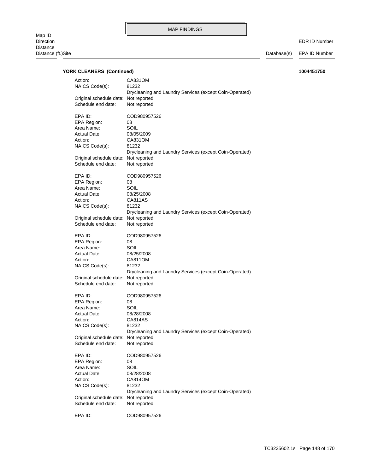EDR ID Number

| Action:<br>NAICS Code(s):                     | CA831OM<br>81232                                                                        |
|-----------------------------------------------|-----------------------------------------------------------------------------------------|
| Original schedule date:<br>Schedule end date: | Drycleaning and Laundry Services (except Coin-Operated)<br>Not reported<br>Not reported |
|                                               |                                                                                         |
| EPA ID:                                       | COD980957526                                                                            |
| <b>EPA Region:</b>                            | 08                                                                                      |
| Area Name:                                    | SOIL                                                                                    |
| <b>Actual Date:</b>                           | 08/05/2009                                                                              |
| Action:                                       | CA831OM                                                                                 |
| NAICS Code(s):                                | 81232                                                                                   |
|                                               | Drycleaning and Laundry Services (except Coin-Operated)                                 |
| Original schedule date: Not reported          |                                                                                         |
| Schedule end date:                            | Not reported                                                                            |
| EPA ID:                                       | COD980957526                                                                            |
| EPA Region:                                   | 08                                                                                      |
| Area Name:                                    | SOIL                                                                                    |
| Actual Date:                                  | 08/25/2008                                                                              |
| Action:                                       | CA811AS                                                                                 |
| NAICS Code(s):                                | 81232                                                                                   |
|                                               | Drycleaning and Laundry Services (except Coin-Operated)                                 |
| Original schedule date: Not reported          |                                                                                         |
| Schedule end date:                            | Not reported                                                                            |
| EPA ID:                                       | COD980957526                                                                            |
| EPA Region:                                   | 08                                                                                      |
| Area Name:                                    | SOIL                                                                                    |
| Actual Date:                                  | 08/25/2008                                                                              |
| Action:                                       | CA811OM                                                                                 |
| NAICS Code(s):                                | 81232                                                                                   |
|                                               | Drycleaning and Laundry Services (except Coin-Operated)                                 |
| Original schedule date:                       | Not reported                                                                            |
| Schedule end date:                            | Not reported                                                                            |
| EPA ID:                                       | COD980957526                                                                            |
| EPA Region:                                   | 08                                                                                      |
| Area Name:                                    | SOIL                                                                                    |
| Actual Date:                                  | 08/28/2008                                                                              |
| Action:                                       | CA814AS                                                                                 |
| NAICS Code(s):                                | 81232                                                                                   |
|                                               | Drycleaning and Laundry Services (except Coin-Operated)                                 |
| Original schedule date:                       | Not reported                                                                            |
| Schedule end date:                            | Not reported                                                                            |
| EPA ID:                                       | COD980957526                                                                            |
| <b>EPA Region:</b>                            | 08                                                                                      |
| Area Name:                                    | SOIL                                                                                    |
| Actual Date:                                  | 08/28/2008                                                                              |
| Action:                                       | CA814OM                                                                                 |
| NAICS Code(s):                                | 81232                                                                                   |
|                                               | Drycleaning and Laundry Services (except Coin-Operated)                                 |
| Original schedule date:                       | Not reported                                                                            |
| Schedule end date:                            | Not reported                                                                            |
|                                               |                                                                                         |
| EPA ID:                                       | COD980957526                                                                            |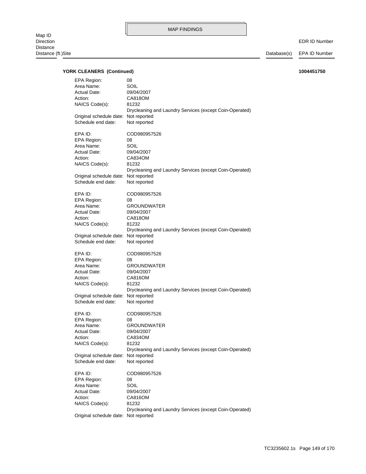EDR ID Number

| EPA Region:<br>Area Name:<br><b>Actual Date:</b><br>Action:<br>NAICS Code(s): | 08<br>SOIL<br>09/04/2007<br>CA818OM<br>81232<br>Drycleaning and Laundry Services (except Coin-Operated) |
|-------------------------------------------------------------------------------|---------------------------------------------------------------------------------------------------------|
| Original schedule date: Not reported<br>Schedule end date:                    | Not reported                                                                                            |
| EPA ID:                                                                       | COD980957526                                                                                            |
| EPA Region:                                                                   | 08                                                                                                      |
| Area Name:                                                                    | SOIL                                                                                                    |
| <b>Actual Date:</b>                                                           | 09/04/2007                                                                                              |
| Action:                                                                       | CA834OM                                                                                                 |
| NAICS Code(s):                                                                | 81232                                                                                                   |
|                                                                               | Drycleaning and Laundry Services (except Coin-Operated)                                                 |
| Original schedule date: Not reported                                          |                                                                                                         |
| Schedule end date:                                                            | Not reported                                                                                            |
|                                                                               |                                                                                                         |
| EPA ID:                                                                       | COD980957526                                                                                            |
| EPA Region:                                                                   | 08                                                                                                      |
| Area Name:                                                                    | <b>GROUNDWATER</b>                                                                                      |
| <b>Actual Date:</b>                                                           | 09/04/2007                                                                                              |
| Action:                                                                       | CA818OM                                                                                                 |
| NAICS Code(s):                                                                | 81232                                                                                                   |
|                                                                               | Drycleaning and Laundry Services (except Coin-Operated)                                                 |
| Original schedule date: Not reported                                          |                                                                                                         |
| Schedule end date:                                                            | Not reported                                                                                            |
|                                                                               |                                                                                                         |
| EPA ID:                                                                       | COD980957526                                                                                            |
|                                                                               |                                                                                                         |
|                                                                               |                                                                                                         |
| EPA Region:                                                                   | 08                                                                                                      |
| Area Name:                                                                    | <b>GROUNDWATER</b>                                                                                      |
| Actual Date:                                                                  | 09/04/2007                                                                                              |
| Action:                                                                       | CA816OM                                                                                                 |
| NAICS Code(s):                                                                | 81232                                                                                                   |
|                                                                               | Drycleaning and Laundry Services (except Coin-Operated)                                                 |
| Original schedule date: Not reported                                          |                                                                                                         |
| Schedule end date:                                                            | Not reported                                                                                            |
|                                                                               |                                                                                                         |
| EPA ID:                                                                       | COD980957526                                                                                            |
| EPA Region:                                                                   | 08                                                                                                      |
| Area Name:                                                                    | <b>GROUNDWATER</b>                                                                                      |
| <b>Actual Date:</b>                                                           | 09/04/2007                                                                                              |
| Action:                                                                       | CA834OM                                                                                                 |
| NAICS Code(s):                                                                | 81232                                                                                                   |
|                                                                               | Drycleaning and Laundry Services (except Coin-Operated)                                                 |
| Original schedule date: Not reported                                          |                                                                                                         |
| Schedule end date:                                                            | Not reported                                                                                            |
|                                                                               |                                                                                                         |
| EPA ID:                                                                       | COD980957526                                                                                            |
| <b>EPA Region:</b>                                                            | 08                                                                                                      |
| Area Name:                                                                    | SOIL                                                                                                    |
| <b>Actual Date:</b>                                                           | 09/04/2007                                                                                              |
| Action:                                                                       | CA816OM                                                                                                 |
| NAICS Code(s):                                                                | 81232                                                                                                   |
|                                                                               | Drycleaning and Laundry Services (except Coin-Operated)                                                 |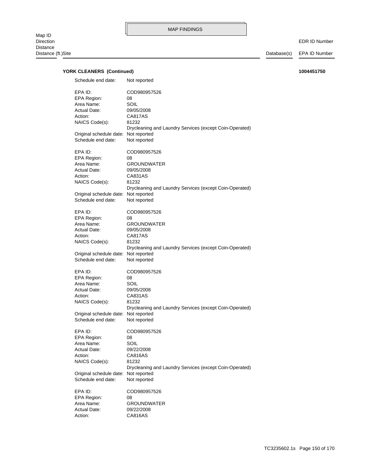EDR ID Number

| Schedule end date:                                                                                           | Not reported                                                                                                                            |
|--------------------------------------------------------------------------------------------------------------|-----------------------------------------------------------------------------------------------------------------------------------------|
| EPA ID:<br>EPA Region:<br>Area Name:<br>Actual Date:<br>Action:<br>NAICS Code(s):                            | COD980957526<br>08<br>SOIL<br>09/05/2008<br>CA817AS<br>81232<br>Drycleaning and Laundry Services (except Coin-Operated)                 |
| Original schedule date:<br>Schedule end date:                                                                | Not reported<br>Not reported                                                                                                            |
| EPA ID:<br>EPA Region:<br>Area Name:<br>Actual Date:<br>Action:<br>NAICS Code(s):                            | COD980957526<br>08<br><b>GROUNDWATER</b><br>09/05/2008<br>CA831AS<br>81232<br>Drycleaning and Laundry Services (except Coin-Operated)   |
| Original schedule date: Not reported<br>Schedule end date:                                                   | Not reported                                                                                                                            |
| EPA ID:<br>EPA Region:<br>Area Name:<br>Actual Date:<br>Action:<br>NAICS Code(s):                            | COD980957526<br>08<br><b>GROUNDWATER</b><br>09/05/2008<br>CA817AS<br>81232<br>Drycleaning and Laundry Services (except Coin-Operated)   |
| Original schedule date:<br>Schedule end date:                                                                | Not reported<br>Not reported                                                                                                            |
| EPA ID:<br>EPA Region:<br>Area Name:<br><b>Actual Date:</b><br>Action:<br>NAICS Code(s):                     | COD980957526<br>08<br>SOIL<br>09/05/2008<br>CA831AS<br>81232<br>Drycleaning and Laundry Services (except Coin-Operated)                 |
| Original schedule date:<br>Schedule end date:                                                                | Not reported<br>Not reported                                                                                                            |
| EPA ID:<br>EPA Region:<br>Area Name:<br>Actual Date:<br>Action:<br>NAICS Code(s):<br>Original schedule date: | COD980957526<br>08<br>SOIL<br>09/22/2008<br>CA816AS<br>81232<br>Drycleaning and Laundry Services (except Coin-Operated)<br>Not reported |
| Schedule end date:                                                                                           | Not reported                                                                                                                            |
| EPA ID:<br>EPA Region:<br>Area Name:<br><b>Actual Date:</b><br>Action:                                       | COD980957526<br>08<br><b>GROUNDWATER</b><br>09/22/2008<br><b>CA816AS</b>                                                                |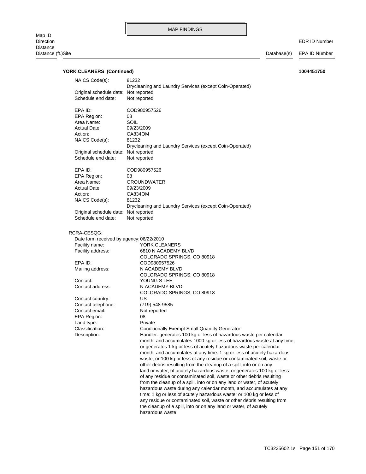EDR ID Number

| NAICS Code(s):                           | 81232                                                                  |
|------------------------------------------|------------------------------------------------------------------------|
|                                          | Drycleaning and Laundry Services (except Coin-Operated)                |
| Original schedule date: Not reported     |                                                                        |
| Schedule end date:                       | Not reported                                                           |
|                                          |                                                                        |
| EPA ID:                                  | COD980957526                                                           |
| <b>EPA Region:</b>                       | 08                                                                     |
| Area Name:                               | SOIL                                                                   |
| Actual Date:                             | 09/23/2009                                                             |
| Action:                                  | CA834OM                                                                |
|                                          |                                                                        |
| NAICS Code(s):                           | 81232                                                                  |
|                                          | Drycleaning and Laundry Services (except Coin-Operated)                |
| Original schedule date: Not reported     |                                                                        |
| Schedule end date:                       | Not reported                                                           |
|                                          |                                                                        |
| EPA ID:                                  | COD980957526                                                           |
| EPA Region:                              | 08                                                                     |
| Area Name:                               | <b>GROUNDWATER</b>                                                     |
| <b>Actual Date:</b>                      | 09/23/2009                                                             |
| Action:                                  | CA834OM                                                                |
| NAICS Code(s):                           | 81232                                                                  |
|                                          | Drycleaning and Laundry Services (except Coin-Operated)                |
| Original schedule date: Not reported     |                                                                        |
| Schedule end date:                       | Not reported                                                           |
|                                          |                                                                        |
|                                          |                                                                        |
| RCRA-CESQG:                              |                                                                        |
| Date form received by agency: 06/22/2010 |                                                                        |
| Facility name:                           | YORK CLEANERS                                                          |
| Facility address:                        | 6810 N ACADEMY BLVD                                                    |
|                                          | COLORADO SPRINGS, CO 80918                                             |
| EPA ID:                                  | COD980957526                                                           |
| Mailing address:                         | N ACADEMY BLVD                                                         |
|                                          | COLORADO SPRINGS, CO 80918                                             |
| Contact:                                 | YOUNG S LEE                                                            |
| Contact address:                         | N ACADEMY BLVD                                                         |
|                                          | COLORADO SPRINGS, CO 80918                                             |
| Contact country:                         | US                                                                     |
| Contact telephone:                       | (719) 548-9585                                                         |
|                                          |                                                                        |
| Contact email:                           | Not reported                                                           |
| EPA Region:                              | 08                                                                     |
| Land type:                               | Private                                                                |
| Classification:                          | <b>Conditionally Exempt Small Quantity Generator</b>                   |
| Description:                             | Handler: generates 100 kg or less of hazardous waste per calendar      |
|                                          | month, and accumulates 1000 kg or less of hazardous waste at any time; |
|                                          | or generates 1 kg or less of acutely hazardous waste per calendar      |
|                                          | month, and accumulates at any time: 1 kg or less of acutely hazardous  |
|                                          | waste; or 100 kg or less of any residue or contaminated soil, waste or |
|                                          | other debris resulting from the cleanup of a spill, into or on any     |
|                                          | land or water, of acutely hazardous waste; or generates 100 kg or less |
|                                          | of any residue or contaminated soil, waste or other debris resulting   |
|                                          | from the cleanup of a spill, into or on any land or water, of acutely  |
|                                          |                                                                        |
|                                          | hazardous waste during any calendar month, and accumulates at any      |
|                                          | time: 1 kg or less of acutely hazardous waste; or 100 kg or less of    |
|                                          | any residue or contaminated soil, waste or other debris resulting from |
|                                          | the cleanup of a spill, into or on any land or water, of acutely       |
|                                          | hazardous waste                                                        |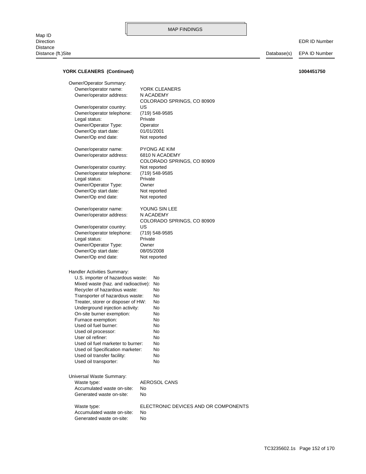### **YORK CLEANERS (Continued) 1004451750**

Waste type: ELECTRONIC DEVICES AND OR COMPONENTS Generated waste on-site: No Accumulated waste on-site: No Waste type: <br>AEROSOL CANS Universal Waste Summary: Used oil transporter: No Used oil transfer facility: No Used oil Specification marketer: No Used oil fuel marketer to burner: No User oil refiner: No Used oil processor: No Used oil fuel burner: No Furnace exemption: No On-site burner exemption: No Underground injection activity: No Treater, storer or disposer of HW: No Transporter of hazardous waste: No Recycler of hazardous waste: No Mixed waste (haz. and radioactive): No U.S. importer of hazardous waste: No Handler Activities Summary: Owner/Op end date: Not reported Owner/Op start date: 08/05/2008 Owner/Operator Type: Owner Legal status: Private Owner/operator telephone: (719) 548-9585 Owner/operator country: US COLORADO SPRINGS, CO 80909 Owner/operator address: N ACADEMY Owner/operator name: YOUNG SIN LEE Owner/Op end date: Not reported Owner/Op start date: Not reported Owner/Operator Type: Owner Legal status: Private Owner/operator telephone: (719) 548-9585 Owner/operator country: Not reported COLORADO SPRINGS, CO 80909 Owner/operator address: 6810 N ACADEMY Owner/operator name: PYONG AE KIM Owner/Op end date: Not reported Owner/Op start date: 01/01/2001 Owner/Operator Type: Operator Legal status: Private Owner/operator telephone: (719) 548-9585 Owner/operator country: US COLORADO SPRINGS, CO 80909 Owner/operator address: N ACADEMY Owner/operator name: YORK CLEANERS Owner/Operator Summary:

Generated waste on-site: No Accumulated waste on-site: No

TC3235602.1s Page 152 of 170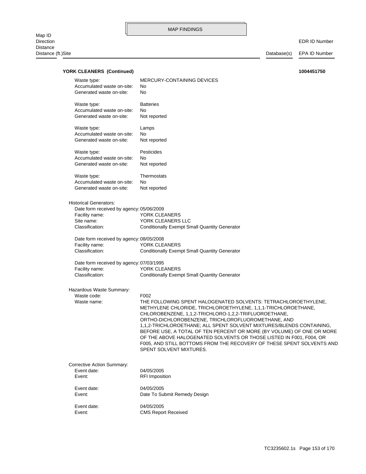EDR ID Number

Database(s) EPA ID Number

| YORK CLEANERS (Continued)                                             |                                                                       | 1004451750 |
|-----------------------------------------------------------------------|-----------------------------------------------------------------------|------------|
| Waste type:<br>Accumulated waste on-site:<br>Generated waste on-site: | MERCURY-CONTAINING DEVICES<br>No<br>No                                |            |
|                                                                       | <b>Batteries</b>                                                      |            |
| Waste type:<br>Accumulated waste on-site:                             | No                                                                    |            |
| Generated waste on-site:                                              | Not reported                                                          |            |
| Waste type:                                                           | Lamps                                                                 |            |
| Accumulated waste on-site:                                            | No                                                                    |            |
| Generated waste on-site:                                              | Not reported                                                          |            |
| Waste type:                                                           | Pesticides                                                            |            |
| Accumulated waste on-site:                                            | No                                                                    |            |
| Generated waste on-site:                                              | Not reported                                                          |            |
| Waste type:                                                           | Thermostats                                                           |            |
| Accumulated waste on-site:                                            | No                                                                    |            |
| Generated waste on-site:                                              | Not reported                                                          |            |
| <b>Historical Generators:</b>                                         |                                                                       |            |
| Date form received by agency: 05/06/2009                              |                                                                       |            |
| Facility name:                                                        | YORK CLEANERS                                                         |            |
| Site name:                                                            | YORK CLEANERS LLC                                                     |            |
| Classification:                                                       | <b>Conditionally Exempt Small Quantity Generator</b>                  |            |
| Date form received by agency: 08/05/2008                              |                                                                       |            |
| Facility name:                                                        | YORK CLEANERS                                                         |            |
| Classification:                                                       | <b>Conditionally Exempt Small Quantity Generator</b>                  |            |
| Date form received by agency: 07/03/1995                              |                                                                       |            |
| Facility name:                                                        | YORK CLEANERS                                                         |            |
| Classification:                                                       | <b>Conditionally Exempt Small Quantity Generator</b>                  |            |
| Hazardous Waste Summary:                                              |                                                                       |            |
| Waste code:                                                           | F002                                                                  |            |
| Waste name:                                                           | THE FOLLOWING SPENT HALOGENATED SOLVENTS: TETRACHLOROETHYLENE,        |            |
|                                                                       | METHYLENE CHLORIDE, TRICHLOROETHYLENE, 1,1,1-TRICHLOROETHANE,         |            |
|                                                                       | CHLOROBENZENE, 1,1,2-TRICHLORO-1,2,2-TRIFLUOROETHANE,                 |            |
|                                                                       | ORTHO-DICHLOROBENZENE, TRICHLOROFLUOROMETHANE, AND                    |            |
|                                                                       | 1,1,2-TRICHLOROETHANE; ALL SPENT SOLVENT MIXTURES/BLENDS CONTAINING,  |            |
|                                                                       | BEFORE USE, A TOTAL OF TEN PERCENT OR MORE (BY VOLUME) OF ONE OR MORE |            |
|                                                                       | OF THE ABOVE HALOGENATED SOLVENTS OR THOSE LISTED IN F001, F004, OR   |            |
|                                                                       | F005, AND STILL BOTTOMS FROM THE RECOVERY OF THESE SPENT SOLVENTS AND |            |
|                                                                       | SPENT SOLVENT MIXTURES.                                               |            |
| <b>Corrective Action Summary:</b>                                     |                                                                       |            |
| Event date:                                                           | 04/05/2005                                                            |            |
| Event:                                                                | <b>RFI</b> Imposition                                                 |            |
| Event date:                                                           | 04/05/2005                                                            |            |
| Event:                                                                | Date To Submit Remedy Design                                          |            |
| Event date:                                                           | 04/05/2005                                                            |            |
| Event:                                                                | <b>CMS Report Received</b>                                            |            |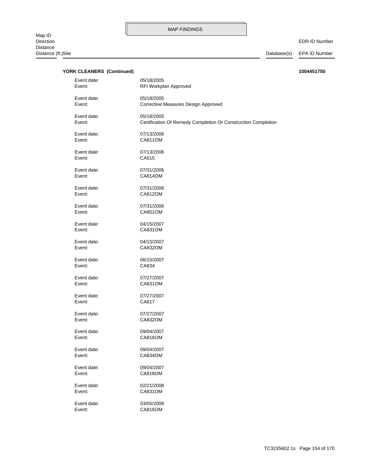| <b>YORK CLEANERS (Continued)</b> |                                                                             | 1004451750 |
|----------------------------------|-----------------------------------------------------------------------------|------------|
| Event date:<br>Event:            | 05/18/2005<br>RFI Workplan Approved                                         |            |
| Event date:<br>Event:            | 05/18/2005<br>Corrective Measures Design Approved                           |            |
| Event date:<br>Event:            | 05/18/2005<br>Certification Of Remedy Completion Or Construction Completion |            |
| Event date:<br>Event:            | 07/13/2006<br><b>CA811OM</b>                                                |            |
| Event date:<br>Event:            | 07/13/2006<br>CA515                                                         |            |
| Event date:<br>Event:            | 07/31/2006<br>CA814OM                                                       |            |
| Event date:<br>Event:            | 07/31/2006<br>CA812OM                                                       |            |
| Event date:<br>Event:            | 07/31/2006<br><b>CA801OM</b>                                                |            |
| Event date:<br>Event:            | 04/15/2007<br>CA831OM                                                       |            |
| Event date:<br>Event:            | 04/15/2007<br>CA832OM                                                       |            |
| Event date:<br>Event:            | 06/15/2007<br>CA834                                                         |            |
| Event date:<br>Event:            | 07/27/2007<br>CA831OM                                                       |            |
| Event date:<br>Event:            | 07/27/2007<br>CA817                                                         |            |
| Event date:<br>Event:            | 07/27/2007<br>CA832OM                                                       |            |
| Event date:<br>Event:            | 09/04/2007<br>CA816OM                                                       |            |
| Event date:<br>Event:            | 09/04/2007<br>CA834OM                                                       |            |
| Event date:<br>Event:            | 09/04/2007<br>CA818OM                                                       |            |
| Event date:<br>Event:            | 02/21/2008<br>CA831OM                                                       |            |
| Event date:<br>Event:            | 03/05/2008<br><b>CA816OM</b>                                                |            |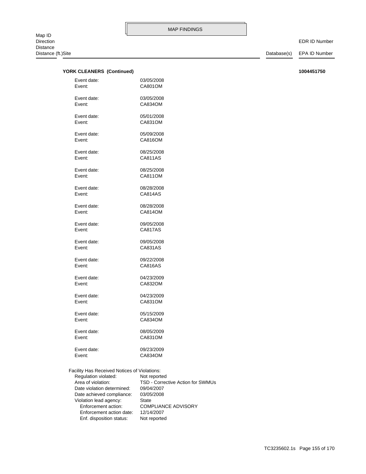EDR ID Number

### **YORK CLEANERS (Continued) 1004451750**

| Event date: | 03/05/2008     |
|-------------|----------------|
| Event:      | CA801OM        |
| Event date: | 03/05/2008     |
| Event:      | CA834OM        |
| Event date: | 05/01/2008     |
| Event:      | CA831OM        |
| Event date: | 05/09/2008     |
| Event:      | CA816OM        |
| Event date: | 08/25/2008     |
| Event:      | CA811AS        |
| Event date: | 08/25/2008     |
| Event:      | CA811OM        |
| Event date: | 08/28/2008     |
| Event:      | CA814AS        |
| Event date: | 08/28/2008     |
| Event:      | CA814OM        |
| Event date: | 09/05/2008     |
| Event:      | CA817AS        |
| Event date: | 09/05/2008     |
| Event:      | CA831AS        |
| Event date: | 09/22/2008     |
| Event:      | <b>CA816AS</b> |
| Event date: | 04/23/2009     |
| Event:      | CA832OM        |
| Event date: | 04/23/2009     |
| Event:      | CA831OM        |
| Event date: | 05/15/2009     |
| Event:      | CA834OM        |
| Event date: | 08/05/2009     |
| Event:      | CA831OM        |
| Event date: | 09/23/2009     |
| Event:      | CA834OM        |
|             |                |

 Enf. disposition status: Not reported Enforcement action date: 12/14/2007 Enforcement action: COMPLIANCE ADVISORY Violation lead agency: State Date achieved compliance: 03/05/2008 Date violation determined: 09/04/2007 Area of violation: TSD - Corrective Action for SWMUs Regulation violated: Not reported Facility Has Received Notices of Violations: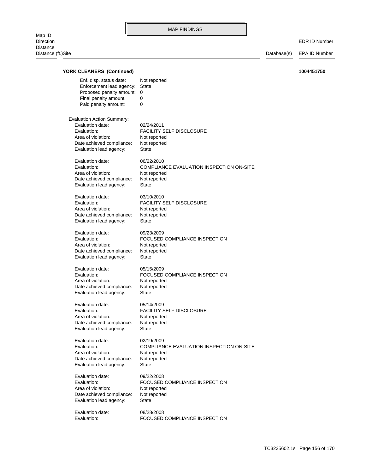| <b>YORK CLEANERS (Continued)</b>                                                                                                            |                                                                                                        | 1004451750 |
|---------------------------------------------------------------------------------------------------------------------------------------------|--------------------------------------------------------------------------------------------------------|------------|
| Enf. disp. status date:<br>Enforcement lead agency:<br>Proposed penalty amount:<br>Final penalty amount:<br>Paid penalty amount:            | Not reported<br><b>State</b><br>$\Omega$<br>0<br>0                                                     |            |
| Evaluation Action Summary:<br>Evaluation date:<br>Evaluation:<br>Area of violation:<br>Date achieved compliance:<br>Evaluation lead agency: | 02/24/2011<br><b>FACILITY SELF DISCLOSURE</b><br>Not reported<br>Not reported<br><b>State</b>          |            |
| Evaluation date:<br>Evaluation:<br>Area of violation:<br>Date achieved compliance:<br>Evaluation lead agency:                               | 06/22/2010<br>COMPLIANCE EVALUATION INSPECTION ON-SITE<br>Not reported<br>Not reported<br><b>State</b> |            |
| Evaluation date:<br>Evaluation:<br>Area of violation:<br>Date achieved compliance:<br>Evaluation lead agency:                               | 03/10/2010<br><b>FACILITY SELF DISCLOSURE</b><br>Not reported<br>Not reported<br><b>State</b>          |            |
| Evaluation date:<br>Evaluation:<br>Area of violation:<br>Date achieved compliance:<br>Evaluation lead agency:                               | 09/23/2009<br>FOCUSED COMPLIANCE INSPECTION<br>Not reported<br>Not reported<br><b>State</b>            |            |
| Evaluation date:<br>Evaluation:<br>Area of violation:<br>Date achieved compliance:<br>Evaluation lead agency:                               | 05/15/2009<br>FOCUSED COMPLIANCE INSPECTION<br>Not reported<br>Not reported<br>State                   |            |
| Evaluation date:<br>Evaluation:<br>Area of violation:<br>Date achieved compliance:<br>Evaluation lead agency:                               | 05/14/2009<br><b>FACILITY SELF DISCLOSURE</b><br>Not reported<br>Not reported<br>State                 |            |
| Evaluation date:<br>Evaluation:<br>Area of violation:<br>Date achieved compliance:<br>Evaluation lead agency:                               | 02/19/2009<br>COMPLIANCE EVALUATION INSPECTION ON-SITE<br>Not reported<br>Not reported<br><b>State</b> |            |
| Evaluation date:<br>Evaluation:<br>Area of violation:<br>Date achieved compliance:<br>Evaluation lead agency:                               | 09/22/2008<br>FOCUSED COMPLIANCE INSPECTION<br>Not reported<br>Not reported<br><b>State</b>            |            |
| Evaluation date:<br>Evaluation:                                                                                                             | 08/28/2008<br>FOCUSED COMPLIANCE INSPECTION                                                            |            |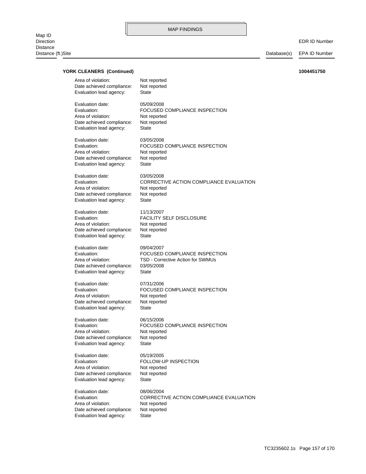EDR ID Number

| Area of violation:        | Not reported                            |
|---------------------------|-----------------------------------------|
| Date achieved compliance: | Not reported                            |
| Evaluation lead agency:   | State                                   |
| Evaluation date:          | 05/09/2008                              |
| Evaluation:               | FOCUSED COMPLIANCE INSPECTION           |
| Area of violation:        | Not reported                            |
| Date achieved compliance: | Not reported                            |
| Evaluation lead agency:   | State                                   |
| Evaluation date:          | 03/05/2008                              |
| Evaluation:               | FOCUSED COMPLIANCE INSPECTION           |
| Area of violation:        | Not reported                            |
| Date achieved compliance: | Not reported                            |
| Evaluation lead agency:   | State                                   |
| Evaluation date:          | 03/05/2008                              |
| Evaluation:               | CORRECTIVE ACTION COMPLIANCE EVALUATION |
| Area of violation:        | Not reported                            |
| Date achieved compliance: | Not reported                            |
| Evaluation lead agency:   | State                                   |
| Evaluation date:          | 11/13/2007                              |
| Evaluation:               | FACILITY SELF DISCLOSURE                |
| Area of violation:        | Not reported                            |
| Date achieved compliance: | Not reported                            |
| Evaluation lead agency:   | State                                   |
| Evaluation date:          | 09/04/2007                              |
| Evaluation:               | FOCUSED COMPLIANCE INSPECTION           |
| Area of violation:        | TSD - Corrective Action for SWMUs       |
| Date achieved compliance: | 03/05/2008                              |
| Evaluation lead agency:   | State                                   |
| Evaluation date:          | 07/31/2006                              |
| Evaluation:               | FOCUSED COMPLIANCE INSPECTION           |
| Area of violation:        | Not reported                            |
| Date achieved compliance: | Not reported                            |
| Evaluation lead agency:   | State                                   |
| Evaluation date:          | 06/15/2006                              |
| Evaluation:               | FOCUSED COMPLIANCE INSPECTION           |
| Area of violation:        | Not reported                            |
| Date achieved compliance: | Not reported                            |
| Evaluation lead agency:   | State                                   |
| Evaluation date:          | 05/19/2005                              |
| Evaluation:               | FOLLOW-UP INSPECTION                    |
| Area of violation:        | Not reported                            |
| Date achieved compliance: | Not reported                            |
| Evaluation lead agency:   | State                                   |
| Evaluation date:          | 08/06/2004                              |
| Evaluation:               | CORRECTIVE ACTION COMPLIANCE EVALUATION |
| Area of violation:        | Not reported                            |
| Date achieved compliance: | Not reported                            |
| Evaluation lead agency:   | State                                   |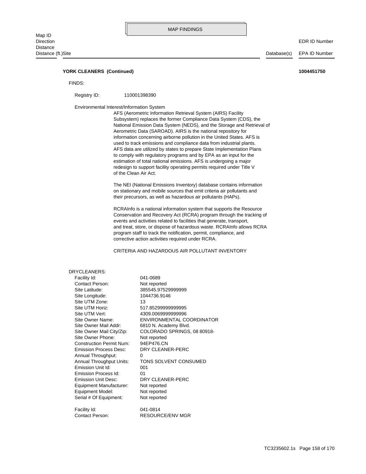### **YORK CLEANERS (Continued) 1004451750**

FINDS:

Registry ID: 110001398390

Environmental Interest/Information System

of the Clean Air Act. redesign to support facility operating permits required under Title V estimation of total national emissions. AFS is undergoing a major to comply with regulatory programs and by EPA as an input for the AFS data are utilized by states to prepare State Implementation Plans used to track emissions and compliance data from industrial plants. information concerning airborne pollution in the United States. AFS is Aerometric Data (SAROAD). AIRS is the national repository for National Emission Data System (NEDS), and the Storage and Retrieval of Subsystem) replaces the former Compliance Data System (CDS), the AFS (Aerometric Information Retrieval System (AIRS) Facility

their precursors, as well as hazardous air pollutants (HAPs). on stationary and mobile sources that emit criteria air pollutants and The NEI (National Emissions Inventory) database contains information

corrective action activities required under RCRA. program staff to track the notification, permit, compliance, and and treat, store, or dispose of hazardous waste. RCRAInfo allows RCRA events and activities related to facilities that generate, transport, Conservation and Recovery Act (RCRA) program through the tracking of RCRAInfo is a national information system that supports the Resource

CRITERIA AND HAZARDOUS AIR POLLUTANT INVENTORY

| DRYCLEANERS:                    |                                  |
|---------------------------------|----------------------------------|
| Facility Id:                    | 041-0689                         |
| Contact Person:                 | Not reported                     |
| Site Latitude:                  | 385545.97529999999               |
| Site Longitude:                 | 1044736.9146                     |
| Site UTM Zone:                  | 13                               |
| Site UTM Horiz:                 | 517.85299999999995               |
| Site UTM Vert:                  | 4309.0069999999996               |
| Site Owner Name:                | <b>ENVIRONMENTAL COORDINATOR</b> |
| Site Owner Mail Addr:           | 6810 N. Academy Blvd.            |
| Site Owner Mail City/Zip:       | COLORADO SPRINGS, 08 80918-      |
| Site Owner Phone:               | Not reported                     |
| <b>Construction Permit Num:</b> | 94EP476.CN                       |
| <b>Emission Process Desc:</b>   | DRY CLEANER-PERC                 |
| Annual Throughput:              | 0                                |
| Annual Throughput Units:        | TONS SOLVENT CONSUMED            |
| Emission Unit Id:               | 001                              |
| Emission Process Id:            | 01                               |
| Emission Unit Desc:             | DRY CLEANER-PERC                 |
| Equipment Manufacturer:         | Not reported                     |
| Equipment Model:                | Not reported                     |
| Serial # Of Equipment:          | Not reported                     |
| Facility Id:                    | 041-0814                         |
| Contact Person:                 | RESOURCE/ENV MGR                 |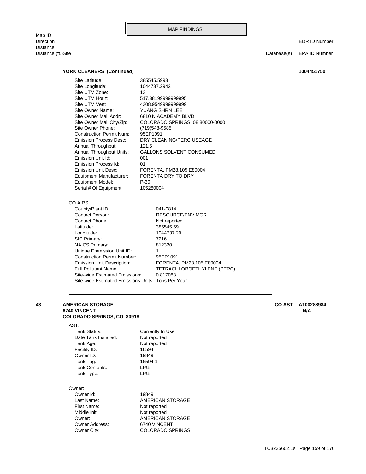Map ID<br>Direction Distance Distance (ft.)Site Database(s) EPA ID Number

EDR ID Number

### **YORK CLEANERS (Continued) 1004451750**

| Site Latitude:                                     | 385545.5993                     |
|----------------------------------------------------|---------------------------------|
| Site Longitude:                                    | 1044737.2942                    |
| Site UTM Zone:                                     | 13                              |
| Site UTM Horiz:                                    | 517.8819999999995               |
| Site UTM Vert:                                     | 4308.9549999999999              |
| Site Owner Name:                                   | YUANG SHRN LEE                  |
| Site Owner Mail Addr:                              | 6810 N ACADEMY BLVD             |
| Site Owner Mail City/Zip:                          | COLORADO SPRINGS, 08 80000-0000 |
| Site Owner Phone:                                  | (719)548-9585                   |
| <b>Construction Permit Num:</b>                    | 95EP1091                        |
| <b>Emission Process Desc:</b>                      | DRY CLEANING/PERC USEAGE        |
| Annual Throughput:                                 | 121.5                           |
| Annual Throughput Units:                           | <b>GALLONS SOLVENT CONSUMED</b> |
| Emission Unit Id:                                  | 001                             |
| Emission Process Id:                               | 01                              |
| <b>Emission Unit Desc:</b>                         | FORENTA, PM28,105 E80004        |
| Equipment Manufacturer:                            | <b>FORENTA DRY TO DRY</b>       |
| Equipment Model:                                   | $P-30$                          |
| Serial # Of Equipment:                             | 105280004                       |
|                                                    |                                 |
| CO AIRS:                                           |                                 |
| County/Plant ID:                                   | 041-0814                        |
| <b>Contact Person:</b>                             | <b>RESOURCE/ENV MGR</b>         |
| Contact Phone:                                     | Not reported                    |
| Latitude:                                          | 385545.59                       |
| Longitude:                                         | 1044737.29                      |
| SIC Primary:                                       | 7216                            |
| <b>NAICS Primary:</b>                              | 812320                          |
| Unique Emmission Unit ID:                          | 1                               |
| <b>Construction Permit Number:</b>                 | 95EP1091                        |
| <b>Emission Unit Description:</b>                  | FORENTA, PM28,105 E80004        |
| <b>Full Pollutant Name:</b>                        | TETRACHLOROETHYLENE (PERC)      |
| Site-wide Estimated Emissions:                     | 0.817088                        |
| Site-wide Estimated Emissions Units: Tons Per Year |                                 |

### **COLORADO SPRINGS, CO 80918 6740 VINCENT N/A 43 AMERICAN STORAGE CO AST A100288984**

### AST:

| Tank Status:         | Currently In Use |
|----------------------|------------------|
| Date Tank Installed: | Not reported     |
| Tank Age:            | Not reported     |
| Facility ID:         | 16594            |
| Owner ID:            | 19849            |
| Tank Tag:            | 16594-1          |
| Tank Contents:       | <b>LPG</b>       |
| Tank Type:           | <b>LPG</b>       |
|                      |                  |

### Owner:

| Owner Id:             | 19849                   |
|-----------------------|-------------------------|
| Last Name:            | AMERICAN STORAGE        |
| First Name:           | Not reported            |
| Middle Init:          | Not reported            |
| Owner:                | AMERICAN STORAGE        |
| <b>Owner Address:</b> | 6740 VINCENT            |
| Owner City:           | <b>COLORADO SPRINGS</b> |
|                       |                         |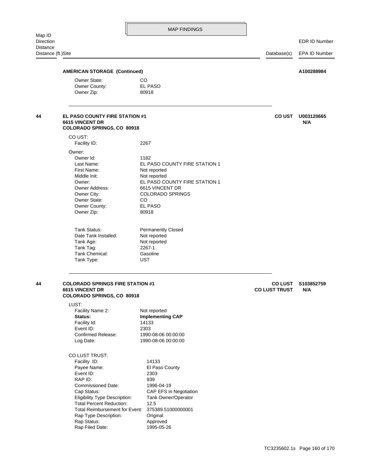# Distance (ft.)Site Database(s) EPA ID Number Owner Zip: 80918 Owner County: EL PASO Owner State: CO **AMERICAN STORAGE (Continued) A100288984** Tank Type: UST Tank Chemical: Gasoline Tank Tag: 2267-1 Tank Age: Not reported Date Tank Installed: Not reported Tank Status: Permanently Closed Owner Zip: 80918 Owner County: EL PASO Owner State: CO Owner City: COLORADO SPRINGS Owner Address: 6615 VINCENT DR Owner: EL PASO COUNTY FIRE STATION 1 Middle Init: Not reported First Name: Not reported Last Name: EL PASO COUNTY FIRE STATION 1 Owner Id: 1182 Owner: Facility ID: 2267 CO UST: **COLORADO SPRINGS, CO 80918 6615 VINCENT DR N/A 44 EL PASO COUNTY FIRE STATION #1 U003120665 CO UST** Rap Filed Date: 1995-05-26 Rap Status: Approved Rap Type Description: Original Total Reimbursement for Event: 375389.51000000001 Total Percent Reduction: 12.5 Eligibility Type Description: Tank Owner/Operator Cap Status: CAP EFS in Negotiation Commissioned Date: 1996-04-19 RAP ID: 939 Event ID: 2303 Payee Name: El Paso County Facility ID: 14133 CO LUST TRUST: Log Date: 1990-08-06 00:00:00 Confirmed Release: 1990-08-06 00:00:00 Event ID: 2303 Facility Id: 14133 Status: **Implementing CAP** Facility Name 2: Not reported LUST: **COLORADO SPRINGS, CO 80918 6615 VINCENT DR CO LUST TRUST N/A 44 COLORADO SPRINGS FIRE STATION #1** STATION **AND RESERVE TO LUST** S103852759 TC3235602.1s Page 160 of 170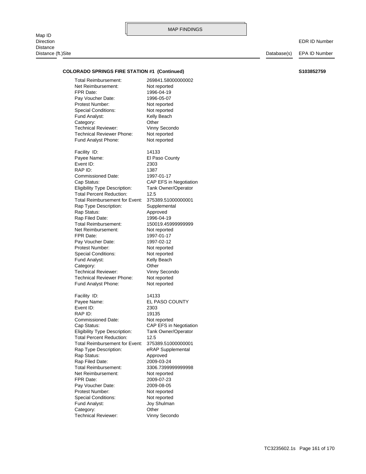### **COLORADO SPRINGS FIRE STATION #1 (Continued) S103852759**

Fund Analyst Phone: Not reported Technical Reviewer Phone: Not reported Technical Reviewer: Vinny Secondo Category: Other Fund Analyst: Kelly Beach Special Conditions: Not reported Protest Number: Not reported Pay Voucher Date: 1996-05-07 FPR Date: 1996-04-19 Net Reimbursement: Not reported Total Reimbursement: 269841.58000000002

Fund Analyst Phone: Not reported Technical Reviewer Phone: Not reported Technical Reviewer: Vinny Secondo Category: Other Fund Analyst: Kelly Beach Special Conditions: Not reported Protest Number: Not reported Pay Voucher Date: 1997-02-12 FPR Date: 1997-01-17 Net Reimbursement: Not reported Total Reimbursement: 150019.45999999999 Rap Filed Date: 1996-04-19 Rap Status: Approved Rap Type Description: Supplemental Total Reimbursement for Event: 375389.51000000001 Total Percent Reduction: 12.5 Eligibility Type Description: Tank Owner/Operator Cap Status: CAP EFS in Negotiation Commissioned Date: 1997-01-17 RAP ID: 1387 Event ID: 2303 Payee Name: El Paso County Facility ID: 14133

Technical Reviewer: Vinny Secondo Category: **Other** Fund Analyst: Joy Shulman Special Conditions: Not reported Protest Number: Not reported Pay Voucher Date: 2009-08-05 FPR Date: 2009-07-23 Net Reimbursement: Not reported Total Reimbursement: 3306.7399999999998 Rap Filed Date: 2009-03-24 Rap Status: Approved Rap Type Description: eRAP Supplemental Total Reimbursement for Event: 375389.51000000001 Total Percent Reduction: 12.5 Eligibility Type Description: Tank Owner/Operator Cap Status: CAP EFS in Negotiation Commissioned Date: Not reported RAP ID: 19135 Event ID: 2303 Payee Name: EL PASO COUNTY Facility ID: 14133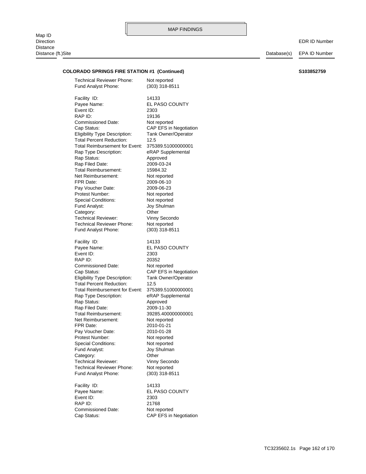Distance (ft.)Site Database(s) EPA ID Number

### **COLORADO SPRINGS FIRE STATION #1 (Continued) S103852759**

Commissioned Date: Not reported RAP ID: 21768 Event ID: 2303 Payee Name: EL PASO COUNTY Facility ID: 14133 Fund Analyst Phone: (303) 318-8511 Technical Reviewer Phone: Not reported Technical Reviewer: Vinny Secondo Category: Other Fund Analyst: Joy Shulman Special Conditions: Not reported Protest Number: Not reported Pay Voucher Date: 2010-01-28 FPR Date: 2010-01-21 Net Reimbursement: Not reported Total Reimbursement: 39285.400000000001 Rap Filed Date: 2009-11-30 Rap Status: Approved Rap Type Description: eRAP Supplemental Total Reimbursement for Event: 375389.51000000001 Total Percent Reduction: 12.5 Eligibility Type Description: Tank Owner/Operator Cap Status: CAP EFS in Negotiation Commissioned Date: Not reported RAP ID: 20352 Event ID: 2303 Payee Name: EL PASO COUNTY Facility ID: 14133 Fund Analyst Phone: (303) 318-8511 Technical Reviewer Phone: Not reported Technical Reviewer: Vinny Secondo Category: Other Fund Analyst: Joy Shulman Special Conditions: Not reported Protest Number: Not reported Pay Voucher Date: 2009-06-23 FPR Date: 2009-06-10 Net Reimbursement: Not reported Total Reimbursement: 15984.32 Rap Filed Date: 2009-03-24 Rap Status: Approved Rap Type Description: eRAP Supplemental Total Reimbursement for Event: 375389.51000000001 Total Percent Reduction: 12.5 Eligibility Type Description: Tank Owner/Operator Cap Status: CAP EFS in Negotiation Commissioned Date: Not reported RAP ID: 19136 Event ID: 2303 Payee Name: EL PASO COUNTY Facility ID: 14133 Fund Analyst Phone: (303) 318-8511 Technical Reviewer Phone: Not reported

Cap Status: CAP EFS in Negotiation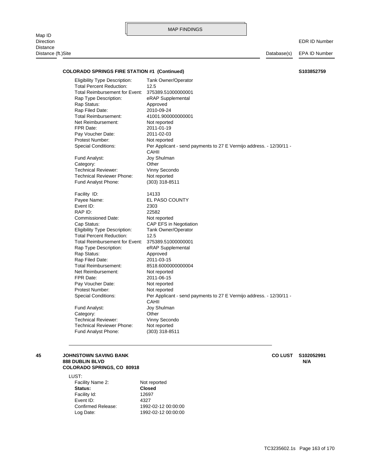Map ID<br>Direction Direction EDR ID Number Distance Distance (ft.)Site Database(s) EPA ID Number

### **COLORADO SPRINGS FIRE STATION #1 (Continued) S103852759**

Fund Analyst Phone: (303) 318-8511 Technical Reviewer Phone: Not reported Technical Reviewer: Vinny Secondo Category: Other Fund Analyst: Joy Shulman CAHII Special Conditions: Per Applicant - send payments to 27 E Vermijo address. - 12/30/11 - Protest Number: Not reported Pay Voucher Date: Not reported FPR Date: 2011-06-15 Net Reimbursement: Not reported Total Reimbursement: 8518.6000000000004 Rap Filed Date: 2011-03-15 Rap Status: Approved Rap Type Description: eRAP Supplemental Total Reimbursement for Event: 375389.51000000001 Total Percent Reduction: 12.5 Eligibility Type Description: Tank Owner/Operator Cap Status: CAP EFS in Negotiation Commissioned Date: Not reported RAP ID: 22582 Event ID: 2303 Payee Name: EL PASO COUNTY Facility ID: 14133 Fund Analyst Phone: (303) 318-8511 Technical Reviewer Phone: Not reported Technical Reviewer: Vinny Secondo Category: Other Fund Analyst: Joy Shulman CAHII Special Conditions: Per Applicant - send payments to 27 E Vermijo address. - 12/30/11 -Protest Number: Not reported Pay Voucher Date: 2011-02-03 FPR Date: 2011-01-19 Net Reimbursement: Not reported Total Reimbursement: 41001.900000000001 Rap Filed Date: 2010-09-24 Rap Status: Approved Rap Type Description: eRAP Supplemental Total Reimbursement for Event: 375389.51000000001 Total Percent Reduction: 12.5 Eligibility Type Description: Tank Owner/Operator

### **COLORADO SPRINGS, CO 80918 888 DUBLIN BLVD N/A 45 JOHNSTOWN SAVING BANK CO LUST S102052991**

LUST:

Log Date: 1992-02-12 00:00:00 Confirmed Release: 1992-02-12 00:00:00 Event ID: 4327 Facility Id: 12697 **Status: Closed** Facility Name 2: Not reported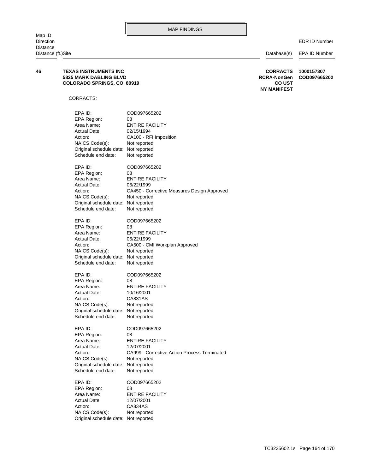## Original schedule date: Not reported NAICS Code(s): Not reported Action: CA834AS Actual Date: 12/07/2001 Area Name: ENTIRE FACILITY EPA Region: 08 EPA ID: COD097665202 Schedule end date: Not reported Original schedule date: Not reported NAICS Code(s): Not reported Action: CA999 - Corrective Action Process Terminated Actual Date: 12/07/2001 Area Name: ENTIRE FACILITY EPA Region: 08 EPA ID: COD097665202 Schedule end date: Not reported Original schedule date: Not reported NAICS Code(s): Not reported Action: CA831AS Actual Date: 10/16/2001 Area Name: ENTIRE FACILITY EPA Region: 08 EPA ID: COD097665202 Schedule end date: Not reported Original schedule date: Not reported NAICS Code(s): Not reported Action: CA500 - CMI Workplan Approved Actual Date: 06/22/1999 Area Name: ENTIRE FACILITY EPA Region: 08 EPA ID: COD097665202 Schedule end date: Not reported Original schedule date: Not reported NAICS Code(s): Not reported Action: **CA450** - Corrective Measures Design Approved Actual Date: 06/22/1999 Area Name: ENTIRE FACILITY EPA Region: 08 EPA ID: COD097665202 Schedule end date: Not reported Original schedule date: Not reported NAICS Code(s): Not reported Action: CA100 - RFI Imposition Actual Date: 02/15/1994 Area Name: ENTIRE FACILITY EPA Region: 08 EPA ID: COD097665202 CORRACTS: **NY MANIFEST COLORADO SPRINGS, CO 80919 CO UST 5825 MARK DABLING BLVD RCRA-NonGen COD097665202 46 TEXAS INSTRUMENTS INC CORRACTS 1000157307**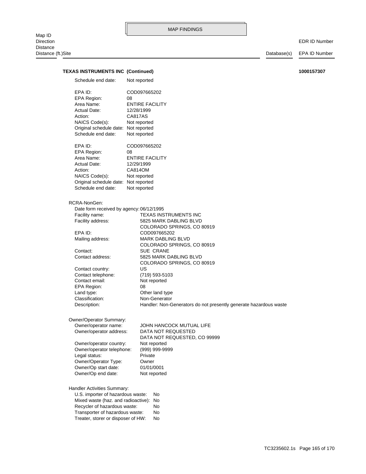### EDR ID Number

## **TEXAS INSTRUMENTS INC (Continued) 1000157307**

| Schedule end date:                                                                                                                                                                                               | Not reported                                                                                                                                        |
|------------------------------------------------------------------------------------------------------------------------------------------------------------------------------------------------------------------|-----------------------------------------------------------------------------------------------------------------------------------------------------|
| EPA ID:<br>EPA Region:<br>Area Name:<br>Actual Date:<br>Action:<br>NAICS Code(s):<br>Original schedule date: Not reported<br>Schedule end date:                                                                  | COD097665202<br>08<br><b>ENTIRE FACILITY</b><br>12/28/1999<br>CA817AS<br>Not reported<br>Not reported                                               |
| EPA ID:<br><b>EPA Region:</b><br>Area Name:<br>Actual Date:<br>Action:<br>NAICS Code(s):<br>Original schedule date: Not reported<br>Schedule end date:                                                           | COD097665202<br>08<br><b>ENTIRE FACILITY</b><br>12/29/1999<br>CA814OM<br>Not reported<br>Not reported                                               |
| RCRA-NonGen:                                                                                                                                                                                                     |                                                                                                                                                     |
| Date form received by agency: 06/12/1995<br>Facility name:<br>Facility address:                                                                                                                                  | <b>TEXAS INSTRUMENTS INC</b><br>5825 MARK DABLING BLVD<br>COLORADO SPRINGS, CO 80919                                                                |
| EPA ID:<br>Mailing address:                                                                                                                                                                                      | COD097665202<br>MARK DABLING BLVD<br>COLORADO SPRINGS, CO 80919                                                                                     |
| Contact:<br>Contact address:                                                                                                                                                                                     | <b>SUE CRANE</b><br>5825 MARK DABLING BLVD<br>COLORADO SPRINGS, CO 80919                                                                            |
| Contact country:<br>Contact telephone:<br>Contact email:<br>EPA Region:<br>Land type:<br>Classification:<br>Description:                                                                                         | US<br>(719) 593-5103<br>Not reported<br>08<br>Other land type<br>Non-Generator<br>Handler: Non-Generators do not presently generate hazardous waste |
| Owner/Operator Summary:                                                                                                                                                                                          |                                                                                                                                                     |
| Owner/operator name:<br>Owner/operator address:                                                                                                                                                                  | JOHN HANCOCK MUTUAL LIFE<br>DATA NOT REQUESTED<br>DATA NOT REQUESTED, CO 99999                                                                      |
| Owner/operator country:<br>Owner/operator telephone:<br>Legal status:                                                                                                                                            | Not reported<br>(999) 999-9999<br>Private                                                                                                           |
| Owner/Operator Type:<br>Owner/Op start date:<br>Owner/Op end date:                                                                                                                                               | Owner<br>01/01/0001<br>Not reported                                                                                                                 |
| Handler Activities Summary:<br>U.S. importer of hazardous waste:<br>Mixed waste (haz. and radioactive):<br>Recycler of hazardous waste:<br>Transporter of hazardous waste:<br>Treater, storer or disposer of HW: | No<br>No<br>No<br>No<br>No                                                                                                                          |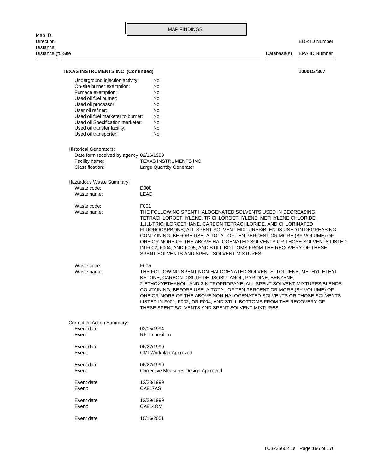|                                                                                                                                                                                                                                                                                                                                                                       |              | <b>MAP FINDINGS</b>                                                                                                                                                                                                                                                                                                                                                                                                                                                                                                                          |             |                      |
|-----------------------------------------------------------------------------------------------------------------------------------------------------------------------------------------------------------------------------------------------------------------------------------------------------------------------------------------------------------------------|--------------|----------------------------------------------------------------------------------------------------------------------------------------------------------------------------------------------------------------------------------------------------------------------------------------------------------------------------------------------------------------------------------------------------------------------------------------------------------------------------------------------------------------------------------------------|-------------|----------------------|
| Map ID<br>Direction<br>Distance                                                                                                                                                                                                                                                                                                                                       |              |                                                                                                                                                                                                                                                                                                                                                                                                                                                                                                                                              |             | <b>EDR ID Number</b> |
| Distance (ft.)Site                                                                                                                                                                                                                                                                                                                                                    |              |                                                                                                                                                                                                                                                                                                                                                                                                                                                                                                                                              | Database(s) | EPA ID Number        |
| <b>TEXAS INSTRUMENTS INC (Continued)</b>                                                                                                                                                                                                                                                                                                                              |              |                                                                                                                                                                                                                                                                                                                                                                                                                                                                                                                                              |             | 1000157307           |
| Underground injection activity:<br>On-site burner exemption:<br>Furnace exemption:<br>Used oil fuel burner:<br>Used oil processor:<br>User oil refiner:<br>Used oil fuel marketer to burner:<br>Used oil Specification marketer:<br>Used oil transfer facility:<br>Used oil transporter:<br><b>Historical Generators:</b><br>Date form received by agency: 02/16/1990 |              | No<br>No<br>No<br>No<br>No<br>No<br>No<br>No<br>No<br>No                                                                                                                                                                                                                                                                                                                                                                                                                                                                                     |             |                      |
| Facility name:<br>Classification:                                                                                                                                                                                                                                                                                                                                     |              | TEXAS INSTRUMENTS INC<br>Large Quantity Generator                                                                                                                                                                                                                                                                                                                                                                                                                                                                                            |             |                      |
| Hazardous Waste Summary:<br>Waste code:<br>Waste name:                                                                                                                                                                                                                                                                                                                | D008<br>LEAD |                                                                                                                                                                                                                                                                                                                                                                                                                                                                                                                                              |             |                      |
| Waste code:<br>Waste name:                                                                                                                                                                                                                                                                                                                                            | F001         | THE FOLLOWING SPENT HALOGENATED SOLVENTS USED IN DEGREASING:<br>TETRACHLOROETHYLENE, TRICHLOROETHYLENE, METHYLENE CHLORIDE,<br>1,1,1-TRICHLOROETHANE, CARBON TETRACHLORIDE, AND CHLORINATED<br>FLUOROCARBONS; ALL SPENT SOLVENT MIXTURES/BLENDS USED IN DEGREASING<br>CONTAINING, BEFORE USE, A TOTAL OF TEN PERCENT OR MORE (BY VOLUME) OF<br>ONE OR MORE OF THE ABOVE HALOGENATED SOLVENTS OR THOSE SOLVENTS LISTED<br>IN F002, F004, AND F005, AND STILL BOTTOMS FROM THE RECOVERY OF THESE<br>SPENT SOLVENTS AND SPENT SOLVENT MIXTURES. |             |                      |
| Waste code:<br>Waste name:                                                                                                                                                                                                                                                                                                                                            | F005         | THE FOLLOWING SPENT NON-HALOGENATED SOLVENTS: TOLUENE, METHYL ETHYL<br>KETONE, CARBON DISULFIDE, ISOBUTANOL, PYRIDINE, BENZENE,<br>2-ETHOXYETHANOL, AND 2-NITROPROPANE; ALL SPENT SOLVENT MIXTURES/BLENDS<br>CONTAINING, BEFORE USE, A TOTAL OF TEN PERCENT OR MORE (BY VOLUME) OF<br>ONE OR MORE OF THE ABOVE NON-HALOGENATED SOLVENTS OR THOSE SOLVENTS<br>LISTED IN F001, F002, OR F004; AND STILL BOTTOMS FROM THE RECOVERY OF<br>THESE SPENT SOLVENTS AND SPENT SOLVENT MIXTURES.                                                       |             |                      |
| <b>Corrective Action Summary:</b><br>Event date:<br>Event:                                                                                                                                                                                                                                                                                                            |              | 02/15/1994<br><b>RFI</b> Imposition                                                                                                                                                                                                                                                                                                                                                                                                                                                                                                          |             |                      |
| Event date:<br>Event:                                                                                                                                                                                                                                                                                                                                                 |              | 06/22/1999<br>CMI Workplan Approved                                                                                                                                                                                                                                                                                                                                                                                                                                                                                                          |             |                      |
| Event date:<br>Event:                                                                                                                                                                                                                                                                                                                                                 |              | 06/22/1999<br>Corrective Measures Design Approved                                                                                                                                                                                                                                                                                                                                                                                                                                                                                            |             |                      |
| Event date:<br>Event:                                                                                                                                                                                                                                                                                                                                                 |              | 12/28/1999<br>CA817AS                                                                                                                                                                                                                                                                                                                                                                                                                                                                                                                        |             |                      |
| Event date:<br>Event:                                                                                                                                                                                                                                                                                                                                                 |              | 12/29/1999<br>CA814OM                                                                                                                                                                                                                                                                                                                                                                                                                                                                                                                        |             |                      |
| Event date:                                                                                                                                                                                                                                                                                                                                                           |              | 10/16/2001                                                                                                                                                                                                                                                                                                                                                                                                                                                                                                                                   |             |                      |
|                                                                                                                                                                                                                                                                                                                                                                       |              |                                                                                                                                                                                                                                                                                                                                                                                                                                                                                                                                              |             |                      |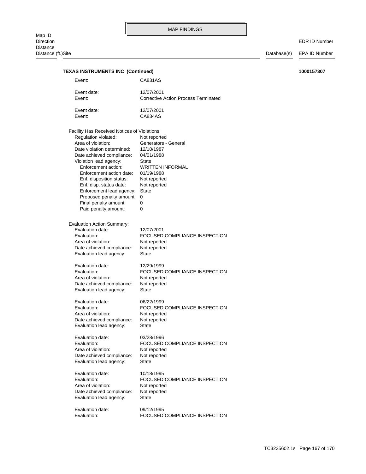| <b>TEXAS INSTRUMENTS INC (Continued)</b><br>1000157307 |                                              |                                                           |  |
|--------------------------------------------------------|----------------------------------------------|-----------------------------------------------------------|--|
|                                                        | Event:                                       | CA831AS                                                   |  |
|                                                        | Event date:<br>Event:                        | 12/07/2001<br><b>Corrective Action Process Terminated</b> |  |
|                                                        | Event date:                                  | 12/07/2001                                                |  |
|                                                        | Event:                                       | CA834AS                                                   |  |
|                                                        | Facility Has Received Notices of Violations: |                                                           |  |
|                                                        | Regulation violated:                         | Not reported                                              |  |
|                                                        | Area of violation:                           | Generators - General                                      |  |
|                                                        | Date violation determined:                   | 12/10/1987                                                |  |
|                                                        | Date achieved compliance:                    | 04/01/1988                                                |  |
|                                                        | Violation lead agency:                       | State                                                     |  |
|                                                        | Enforcement action:                          | <b>WRITTEN INFORMAL</b>                                   |  |
|                                                        | Enforcement action date:                     | 01/19/1988                                                |  |
|                                                        | Enf. disposition status:                     | Not reported                                              |  |
|                                                        | Enf. disp. status date:                      | Not reported                                              |  |
|                                                        | Enforcement lead agency:                     | <b>State</b>                                              |  |
|                                                        | Proposed penalty amount: 0                   |                                                           |  |
|                                                        | Final penalty amount:                        | 0                                                         |  |
|                                                        | Paid penalty amount:                         | 0                                                         |  |
|                                                        | <b>Evaluation Action Summary:</b>            |                                                           |  |
|                                                        | Evaluation date:                             | 12/07/2001                                                |  |
|                                                        | Evaluation:                                  | FOCUSED COMPLIANCE INSPECTION                             |  |
|                                                        | Area of violation:                           | Not reported                                              |  |
|                                                        | Date achieved compliance:                    | Not reported                                              |  |
|                                                        | Evaluation lead agency:                      | State                                                     |  |
|                                                        | Evaluation date:                             | 12/29/1999                                                |  |
|                                                        | Evaluation:                                  | FOCUSED COMPLIANCE INSPECTION                             |  |
|                                                        | Area of violation:                           | Not reported                                              |  |
|                                                        | Date achieved compliance:                    | Not reported                                              |  |
|                                                        | Evaluation lead agency:                      | State                                                     |  |
|                                                        | Evaluation date:                             | 06/22/1999                                                |  |
|                                                        | Evaluation:                                  | FOCUSED COMPLIANCE INSPECTION                             |  |
|                                                        | Area of violation:                           | Not reported                                              |  |
|                                                        | Date achieved compliance:                    | Not reported                                              |  |
|                                                        | Evaluation lead agency:                      | State                                                     |  |
|                                                        | Evaluation date:                             | 03/28/1996                                                |  |
|                                                        | Evaluation:                                  | FOCUSED COMPLIANCE INSPECTION                             |  |
|                                                        | Area of violation:                           | Not reported                                              |  |
|                                                        | Date achieved compliance:                    | Not reported                                              |  |
|                                                        | Evaluation lead agency:                      | State                                                     |  |
|                                                        | Evaluation date:                             | 10/18/1995                                                |  |
|                                                        | Evaluation:                                  | FOCUSED COMPLIANCE INSPECTION                             |  |
|                                                        | Area of violation:                           | Not reported                                              |  |
|                                                        | Date achieved compliance:                    | Not reported                                              |  |
|                                                        | Evaluation lead agency:                      | State                                                     |  |
|                                                        | Evaluation date:                             | 09/12/1995                                                |  |
|                                                        | Evaluation:                                  | FOCUSED COMPLIANCE INSPECTION                             |  |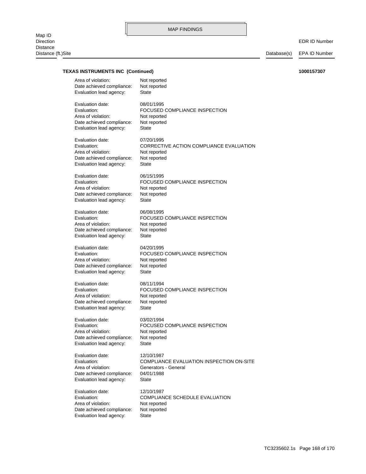# MAP FINDINGS

EDR ID Number

# **TEXAS INSTRUMENTS INC (Continued) 1000157307**

| Area of violation:        | Not reported                             |
|---------------------------|------------------------------------------|
| Date achieved compliance: | Not reported                             |
| Evaluation lead agency:   | State                                    |
| Evaluation date:          | 08/01/1995                               |
| Evaluation:               | FOCUSED COMPLIANCE INSPECTION            |
| Area of violation:        | Not reported                             |
| Date achieved compliance: | Not reported                             |
| Evaluation lead agency:   | State                                    |
| Evaluation date:          | 07/20/1995                               |
| Evaluation:               | CORRECTIVE ACTION COMPLIANCE EVALUATION  |
| Area of violation:        | Not reported                             |
| Date achieved compliance: | Not reported                             |
| Evaluation lead agency:   | State                                    |
| Evaluation date:          | 06/15/1995                               |
| Evaluation:               | FOCUSED COMPLIANCE INSPECTION            |
| Area of violation:        | Not reported                             |
| Date achieved compliance: | Not reported                             |
| Evaluation lead agency:   | <b>State</b>                             |
| Evaluation date:          | 06/08/1995                               |
| Evaluation:               | FOCUSED COMPLIANCE INSPECTION            |
| Area of violation:        | Not reported                             |
| Date achieved compliance: | Not reported                             |
| Evaluation lead agency:   | State                                    |
| Evaluation date:          | 04/20/1995                               |
| Evaluation:               | FOCUSED COMPLIANCE INSPECTION            |
| Area of violation:        | Not reported                             |
| Date achieved compliance: | Not reported                             |
| Evaluation lead agency:   | <b>State</b>                             |
| Evaluation date:          | 08/11/1994                               |
| Evaluation:               | FOCUSED COMPLIANCE INSPECTION            |
| Area of violation:        | Not reported                             |
| Date achieved compliance: | Not reported                             |
| Evaluation lead agency:   | State                                    |
| Evaluation date:          | 03/02/1994                               |
| Evaluation:               | FOCUSED COMPLIANCE INSPECTION            |
| Area of violation:        | Not reported                             |
| Date achieved compliance: | Not reported                             |
| Evaluation lead agency:   | State                                    |
| Evaluation date:          | 12/10/1987                               |
| Evaluation:               | COMPLIANCE EVALUATION INSPECTION ON-SITE |
| Area of violation:        | Generators - General                     |
| Date achieved compliance: | 04/01/1988                               |
| Evaluation lead agency:   | State                                    |
| Evaluation date:          | 12/10/1987                               |
| Evaluation:               | <b>COMPLIANCE SCHEDULE EVALUATION</b>    |
| Area of violation:        | Not reported                             |
| Date achieved compliance: | Not reported                             |
| Evaluation lead agency:   | <b>State</b>                             |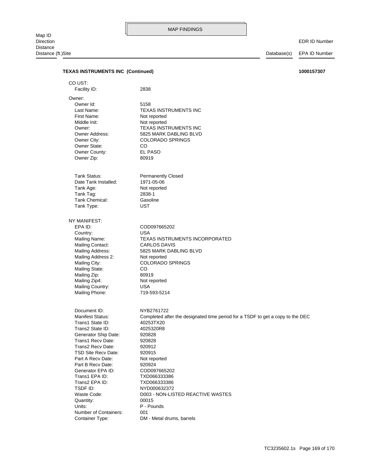# EDR ID Number

| <b>TEXAS INSTRUMENTS INC (Continued)</b>        | 1000157307                                                                     |
|-------------------------------------------------|--------------------------------------------------------------------------------|
| CO UST:                                         |                                                                                |
| Facility ID:                                    | 2838                                                                           |
| Owner:                                          |                                                                                |
| Owner Id:                                       | 5158                                                                           |
| Last Name:                                      | <b>TEXAS INSTRUMENTS INC</b>                                                   |
| First Name:                                     | Not reported                                                                   |
| Middle Init:                                    | Not reported                                                                   |
| Owner:                                          | <b>TEXAS INSTRUMENTS INC</b>                                                   |
| Owner Address:                                  | 5825 MARK DABLING BLVD                                                         |
| Owner City:                                     | <b>COLORADO SPRINGS</b>                                                        |
| Owner State:                                    | CO.                                                                            |
| Owner County:                                   | <b>EL PASO</b>                                                                 |
| Owner Zip:                                      | 80919                                                                          |
| Tank Status:                                    | <b>Permanently Closed</b>                                                      |
| Date Tank Installed:                            | 1971-05-06                                                                     |
| Tank Age:                                       | Not reported                                                                   |
| Tank Tag:                                       | 2838-1                                                                         |
| Tank Chemical:                                  | Gasoline                                                                       |
| Tank Type:                                      | <b>UST</b>                                                                     |
| NY MANIFEST:                                    |                                                                                |
| EPA ID:                                         | COD097665202                                                                   |
| Country:                                        | <b>USA</b>                                                                     |
| Mailing Name:                                   | TEXAS INSTRUMENTS INCORPORATED                                                 |
| Mailing Contact:                                | <b>CARLOS DAVIS</b>                                                            |
| <b>Mailing Address:</b>                         | 5825 MARK DABLING BLVD                                                         |
| Mailing Address 2:                              | Not reported                                                                   |
| Mailing City:                                   | <b>COLORADO SPRINGS</b>                                                        |
| <b>Mailing State:</b>                           | CO                                                                             |
| Mailing Zip:                                    | 80919                                                                          |
| Mailing Zip4:                                   | Not reported                                                                   |
| Mailing Country:<br>Mailing Phone:              | <b>USA</b>                                                                     |
|                                                 | 719-593-5214                                                                   |
| Document ID:                                    | NYB2761722                                                                     |
| Manifest Status:                                | Completed after the designated time period for a TSDF to get a copy to the DEC |
| Trans1 State ID:                                | 40253TX20                                                                      |
| Trans2 State ID:                                | 4025320R8                                                                      |
| Generator Ship Date:                            | 920828                                                                         |
| Trans1 Recv Date:                               | 920828                                                                         |
| Trans2 Recy Date:                               | 920912                                                                         |
| <b>TSD Site Recy Date:</b><br>Part A Recy Date: | 920915                                                                         |
| Part B Recy Date:                               | Not reported<br>920924                                                         |
| Generator EPA ID:                               | COD097665202                                                                   |
| Trans1 EPA ID:                                  | TXD066333386                                                                   |
| Trans2 EPA ID:                                  | TXD066333386                                                                   |
| TSDF ID:                                        | NYD000632372                                                                   |
| Waste Code:                                     | D003 - NON-LISTED REACTIVE WASTES                                              |
| Quantity:                                       | 00015                                                                          |
| Units:                                          | P - Pounds                                                                     |
| Number of Containers:                           | 001                                                                            |
| Container Type:                                 | DM - Metal drums, barrels                                                      |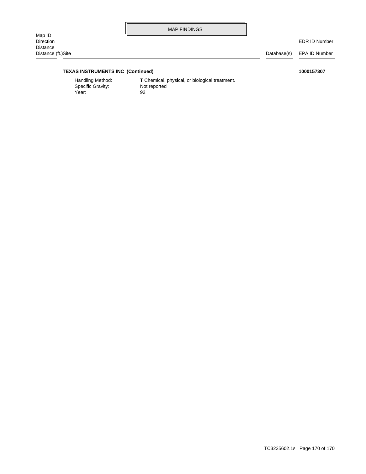MAP FINDINGS

EDR ID Number

# **TEXAS INSTRUMENTS INC (Continued) 1000157307**

Year: 92 Specific Gravity: Not reported

Handling Method: T Chemical, physical, or biological treatment.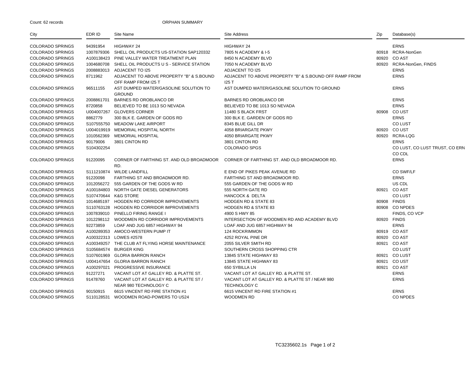Count: 62 records

#### ORPHAN SUMMARY

| City                    | EDR ID     | Site Name                                                        | <b>Site Address</b>                                                    | Zip   | Database(s)                              |
|-------------------------|------------|------------------------------------------------------------------|------------------------------------------------------------------------|-------|------------------------------------------|
| <b>COLORADO SPRINGS</b> | 94391954   | <b>HIGHWAY 24</b>                                                | HIGHWAY 24                                                             |       | <b>ERNS</b>                              |
| <b>COLORADO SPRINGS</b> | 1007879306 | SHELL OIL PRODUCTS US-STATION SAP120332                          | 7805 N ACADEMY & I-5                                                   |       | 80918 RCRA-NonGen                        |
| <b>COLORADO SPRINGS</b> |            | A100138423 PINE VALLEY WATER TREATMENT PLAN                      | 8450 N ACADEMY BLVD                                                    | 80920 | CO AST                                   |
| <b>COLORADO SPRINGS</b> | 1004680708 | SHELL OIL PRODUCTS U S - SERVICE STATION                         | 7050 N ACADEMY BLVD                                                    |       | 80920 RCRA-NonGen, FINDS                 |
| <b>COLORADO SPRINGS</b> |            | 2008883013 ADJACENT TO I25                                       | <b>ADJACENT TO I25</b>                                                 |       | <b>ERNS</b>                              |
| <b>COLORADO SPRINGS</b> | 8711962    | ADJACENT TO ABOVE PROPERTY "B" & S. BOUND<br>OFF RAMP FROM I25 T | ADJACENT TO ABOVE PROPERTY "B" & S.BOUND OFF RAMP FROM<br>125T         |       | <b>ERNS</b>                              |
| <b>COLORADO SPRINGS</b> | 96511155   | AST DUMPED WATER/GASOLINE SOLUTION TO<br><b>GROUND</b>           | AST DUMPED WATER/GASOLINE SOLUTION TO GROUND                           |       | <b>ERNS</b>                              |
| <b>COLORADO SPRINGS</b> | 2008861701 | BARNES RD OROBLANCO DR                                           | BARNES RD OROBLANCO DR                                                 |       | <b>ERNS</b>                              |
| <b>COLORADO SPRINGS</b> | 8720858    | BELIEVED TO BE 1013 SO NEVADA                                    | BELIEVED TO BE 1013 SO NEVADA                                          |       | <b>ERNS</b>                              |
| <b>COLORADO SPRINGS</b> |            | U004007267 GLOVERS CORNER                                        | 11480 S BLACK FRST                                                     |       | 80908 CO UST                             |
| <b>COLORADO SPRINGS</b> | 8862779    | 300 BLK E. GARDEN OF GODS RD                                     | 300 BLK E. GARDEN OF GODS RD                                           |       | <b>ERNS</b>                              |
| <b>COLORADO SPRINGS</b> |            | S107555750 MEADOW LAKE AIRPORT                                   | 8345 BLUE GILL DR                                                      |       | <b>COLUST</b>                            |
| <b>COLORADO SPRINGS</b> |            | U004019919 MEMORIAL HOSPITAL NORTH                               | 4058 BRIARGATE PKWY                                                    |       | 80920 CO UST                             |
| <b>COLORADO SPRINGS</b> | 1010562369 | <b>MEMORIAL HOSPITAL</b>                                         | 4050 BRIARGATE PKWY                                                    |       | 80920 RCRA-LQG                           |
| <b>COLORADO SPRINGS</b> | 90179006   | 3801 CINTON RD                                                   | 3801 CINTON RD                                                         |       | <b>ERNS</b>                              |
| <b>COLORADO SPRINGS</b> | S104302254 |                                                                  | <b>COLORADO SPGS</b>                                                   |       | CO LUST, CO LUST TRUST, CO ERN<br>CO CDL |
| <b>COLORADO SPRINGS</b> | 91220095   | CORNER OF FARTHING ST. AND OLD BROADMOOR<br>RD.                  | CORNER OF FARTHING ST. AND OLD BROADMOOR RD.                           |       | <b>ERNS</b>                              |
| <b>COLORADO SPRINGS</b> |            | S111210874 WILDE LANDFILL                                        | E END OF PIKES PEAK AVENUE RD                                          |       | CO SWF/LF                                |
| <b>COLORADO SPRINGS</b> | 91220098   | FARTHING ST AND BROADMOOR RD.                                    | FARTHING ST AND BROADMOOR RD.                                          |       | <b>ERNS</b>                              |
| <b>COLORADO SPRINGS</b> |            | 1012056272 555 GARDEN OF THE GODS W RD                           | 555 GARDEN OF THE GODS W RD                                            |       | US CDL                                   |
| <b>COLORADO SPRINGS</b> |            | A100184803 NORTH GATE DIESEL GENERATORS                          | 555 NORTH GATE RD                                                      |       | 80921 CO AST                             |
| <b>COLORADO SPRINGS</b> |            | S107470644 K&G STORE                                             | <b>HANCOCK &amp; DELTA</b>                                             |       | <b>CO LUST</b>                           |
| <b>COLORADO SPRINGS</b> |            | 1014685197 HOGDEN RD CORRIDOR IMPROVEMENTS                       | <b>HODGEN RD &amp; STATE 83</b>                                        |       | 80908 FINDS                              |
| <b>COLORADO SPRINGS</b> |            | S110763128 HOGDEN RD CORRIDOR IMPROVEMENTS                       | <b>HODGEN RD &amp; STATE 83</b>                                        |       | 80908 CONPDES                            |
| <b>COLORADO SPRINGS</b> |            | 1007839010 PINELLO FIRING RANGE I                                | 4900 S HWY 85                                                          |       | FINDS, CO VCP                            |
| <b>COLORADO SPRINGS</b> |            | 1012298112 WOODMEN RD CORRIDOR IMPROVEMENTS                      | INTERSECTION OF WOODMEN RD AND ACADEMY BLVD                            |       | 80920 FINDS                              |
| <b>COLORADO SPRINGS</b> | 92273859   | LOAF AND JUG 6857 HIGHWAY 94                                     | LOAF AND JUG 6857 HIGHWAY 94                                           |       | <b>ERNS</b>                              |
| <b>COLORADO SPRINGS</b> |            | A100289353 AMOCO-WESTERN PUMP IT                                 | 124 ROCKRIMMON                                                         |       | 80919 CO AST                             |
| <b>COLORADO SPRINGS</b> |            | A100322313 LOWES #2578                                           | 4252 ROYAL PINE DR                                                     |       | 80920 CO AST                             |
| <b>COLORADO SPRINGS</b> |            | A100349257 THE CLUB AT FLYING HORSE MAINTENANCE                  | 2055 SILVER SMITH RD                                                   |       | 80921 CO AST                             |
| <b>COLORADO SPRINGS</b> |            | S105684574 BURGER KING                                           | SOUTHERN CROSS SHOPPING CTR                                            |       | <b>CO LUST</b>                           |
| <b>COLORADO SPRINGS</b> | S107601969 | <b>GLORIA BARRON RANCH</b>                                       | 13845 STATE HIGHWAY 83                                                 |       | 80921 CO LUST                            |
| <b>COLORADO SPRINGS</b> |            | U004147654 GLORIA BARRON RANCH                                   | 13845 STATE HIGHWAY 83                                                 |       | 80921 CO UST                             |
| <b>COLORADO SPRINGS</b> |            | A100297021 PROGRESSIVE INSURANCE                                 | 650 SYBILLA LN                                                         |       | 80921 CO AST                             |
| <b>COLORADO SPRINGS</b> | 91227271   | VACANT LOT AT GALLEY RD. & PLATTE ST.                            | VACANT LOT AT GALLEY RD. & PLATTE ST.                                  |       | <b>ERNS</b>                              |
| <b>COLORADO SPRINGS</b> | 91478760   | VACANT LOT AT GALLEY RD. & PLATTE ST /<br>NEAR 980 TECHNOLOGY C  | VACANT LOT AT GALLEY RD. & PLATTE ST / NEAR 980<br><b>TECHNOLOGY C</b> |       | <b>ERNS</b>                              |
| <b>COLORADO SPRINGS</b> | 90150915   | 6615 VINCENT RD FIRE STATION #1                                  | 6615 VINCENT RD FIRE STATION #1                                        |       | <b>ERNS</b>                              |
| <b>COLORADO SPRINGS</b> |            | S110128531 WOODMEN ROAD-POWERS TO US24                           | <b>WOODMEN RD</b>                                                      |       | <b>CO NPDES</b>                          |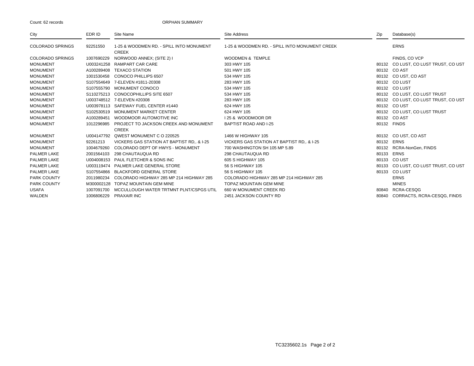#### Count: 62 records

#### ORPHAN SUMMARY

| City                    | EDR ID     | Site Name                                                | <b>Site Address</b>                            | Zip   | Database(s)                          |
|-------------------------|------------|----------------------------------------------------------|------------------------------------------------|-------|--------------------------------------|
| <b>COLORADO SPRINGS</b> | 92251550   | 1-25 & WOODMEN RD. - SPILL INTO MONUMENT<br><b>CREEK</b> | 1-25 & WOODMEN RD. - SPILL INTO MONUMENT CREEK |       | <b>ERNS</b>                          |
| <b>COLORADO SPRINGS</b> | 1007690229 | NORWOOD ANNEX; (SITE 2) I                                | <b>WOODMEN &amp; TEMPLE</b>                    |       | FINDS, CO VCP                        |
| <b>MONUMENT</b>         |            | U003241258 RAMPART CAR CARE                              | 303 HWY 105                                    |       | 80132 CO LUST, CO LUST TRUST, CO UST |
| <b>MONUMENT</b>         | A100289408 | <b>TEXACO STATION</b>                                    | 501 HWY 105                                    |       | 80132 CO AST                         |
| <b>MONUMENT</b>         | 1001530458 | CONOCO PHILLIPS 6507                                     | 534 HWY 105                                    |       | 80132 CO UST, CO AST                 |
| <b>MONUMENT</b>         | S107554649 | 7-ELEVEN #1811-20308                                     | 283 HWY 105                                    |       | 80132 CO LUST                        |
| <b>MONUMENT</b>         |            | S107555790 MONUMENT CONOCO                               | 534 HWY 105                                    |       | 80132 CO LUST                        |
| <b>MONUMENT</b>         |            | S110275213 CONOCOPHILLIPS SITE 6507                      | 534 HWY 105                                    |       | 80132 CO LUST, CO LUST TRUST         |
| <b>MONUMENT</b>         |            | U003748512 7-ELEVEN #20308                               | 283 HWY 105                                    |       | 80132 CO LUST, CO LUST TRUST, CO UST |
| <b>MONUMENT</b>         |            | U003978113 SAFEWAY FUEL CENTER #1440                     | 624 HWY 105                                    |       | 80132 CO UST                         |
| <b>MONUMENT</b>         | S102530519 | MONUMENT MARKET CENTER                                   | 624 HWY 105                                    |       | 80132 CO LUST, CO LUST TRUST         |
| <b>MONUMENT</b>         | A100289451 | WOODMOOR AUTOMOTIVE INC                                  | 125 & WOODMOOR DR                              |       | 80132 CO AST                         |
| <b>MONUMENT</b>         | 1012296985 | PROJECT TO JACKSON CREEK AND MONUMENT                    | <b>BAPTIST ROAD AND I-25</b>                   |       | 80132 FINDS                          |
|                         |            | <b>CREEK</b>                                             |                                                |       |                                      |
| <b>MONUMENT</b>         |            | U004147792 QWEST MONUMENT C O 220525                     | 1466 W HIGHWAY 105                             |       | 80132 CO UST, CO AST                 |
| <b>MONUMENT</b>         | 92261213   | VICKERS GAS STATION AT BAPTIST RD., & I-25               | VICKERS GAS STATION AT BAPTIST RD., & I-25     |       | 80132 ERNS                           |
| <b>MONUMENT</b>         | 1004679260 | COLORADO DEPT OF HWYS - MONUMENT                         | 700 WASHINGTON SH 105 MP 5.89                  | 80132 | RCRA-NonGen, FINDS                   |
| <b>PALMER LAKE</b>      | 2001564103 | 298 CHAUTAUQUA RD                                        | 298 CHAUTAUQUA RD                              | 80133 | <b>ERNS</b>                          |
| PALMER LAKE             |            | U004008153 PAUL FLETCHER & SONS INC                      | 605 S HIGHWAY 105                              |       | 80133 CO UST                         |
| <b>PALMER LAKE</b>      |            | U003119474 PALMER LAKE GENERAL STORE                     | 56 S HIGHWAY 105                               | 80133 | CO LUST, CO LUST TRUST, CO UST       |
| PALMER LAKE             |            | S107554866 BLACKFORD GENERAL STORE                       | 56 S HIGHWAY 105                               |       | 80133 CO LUST                        |
| <b>PARK COUNTY</b>      | 2011980234 | COLORADO HIGHWAY 285 MP 214 HIGHWAY 285                  | COLORADO HIGHWAY 285 MP 214 HIGHWAY 285        |       | <b>ERNS</b>                          |
| PARK COUNTY             | M300002128 | <b>TOPAZ MOUNTAIN GEM MINE</b>                           | <b>TOPAZ MOUNTAIN GEM MINE</b>                 |       | <b>MINES</b>                         |
| USAFA                   | 1007091700 | MCCULLOUGH WATER TRTMNT PLNT/CSPGS UTIL                  | 660 W MONUMENT CREEK RD                        | 80840 | RCRA-CESQG                           |
| WALDEN                  | 1006806229 | <b>PRAXAIR INC</b>                                       | 2451 JACKSON COUNTY RD                         |       | 80840 CORRACTS, RCRA-CESQG, FINDS    |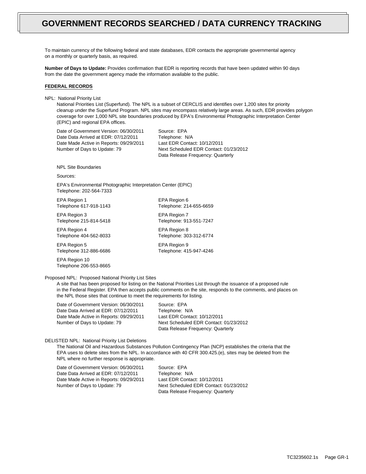To maintain currency of the following federal and state databases, EDR contacts the appropriate governmental agency on a monthly or quarterly basis, as required.

**Number of Days to Update:** Provides confirmation that EDR is reporting records that have been updated within 90 days from the date the government agency made the information available to the public.

### **FEDERAL RECORDS**

NPL: National Priority List

National Priorities List (Superfund). The NPL is a subset of CERCLIS and identifies over 1,200 sites for priority cleanup under the Superfund Program. NPL sites may encompass relatively large areas. As such, EDR provides polygon coverage for over 1,000 NPL site boundaries produced by EPA's Environmental Photographic Interpretation Center (EPIC) and regional EPA offices.

Date of Government Version: 06/30/2011 Date Data Arrived at EDR: 07/12/2011 Date Made Active in Reports: 09/29/2011 Number of Days to Update: 79

Source: EPA Telephone: N/A Last EDR Contact: 10/12/2011 Next Scheduled EDR Contact: 01/23/2012 Data Release Frequency: Quarterly

NPL Site Boundaries

Sources:

EPA's Environmental Photographic Interpretation Center (EPIC) Telephone: 202-564-7333

EPA Region 1 EPA Region 6

EPA Region 3 EPA Region 7 Telephone 215-814-5418 Telephone: 913-551-7247

EPA Region 4 EPA Region 8 Telephone 404-562-8033 Telephone: 303-312-6774

EPA Region 5 EPA Region 9 Telephone 312-886-6686 Telephone: 415-947-4246

EPA Region 10 Telephone 206-553-8665

Telephone 617-918-1143 Telephone: 214-655-6659

Proposed NPL: Proposed National Priority List Sites

A site that has been proposed for listing on the National Priorities List through the issuance of a proposed rule in the Federal Register. EPA then accepts public comments on the site, responds to the comments, and places on the NPL those sites that continue to meet the requirements for listing.

Date of Government Version: 06/30/2011 Date Data Arrived at EDR: 07/12/2011 Date Made Active in Reports: 09/29/2011 Number of Days to Update: 79

Source: EPA Telephone: N/A Last EDR Contact: 10/12/2011 Next Scheduled EDR Contact: 01/23/2012 Data Release Frequency: Quarterly

## DELISTED NPL: National Priority List Deletions

The National Oil and Hazardous Substances Pollution Contingency Plan (NCP) establishes the criteria that the EPA uses to delete sites from the NPL. In accordance with 40 CFR 300.425.(e), sites may be deleted from the NPL where no further response is appropriate.

Date of Government Version: 06/30/2011 Date Data Arrived at EDR: 07/12/2011 Date Made Active in Reports: 09/29/2011 Number of Days to Update: 79

Source: EPA Telephone: N/A Last EDR Contact: 10/12/2011 Next Scheduled EDR Contact: 01/23/2012 Data Release Frequency: Quarterly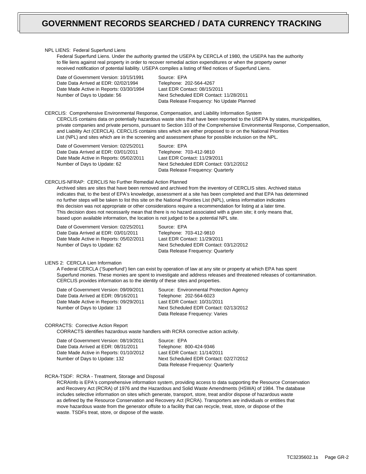#### NPL LIENS: Federal Superfund Liens

Federal Superfund Liens. Under the authority granted the USEPA by CERCLA of 1980, the USEPA has the authority to file liens against real property in order to recover remedial action expenditures or when the property owner received notification of potential liability. USEPA compiles a listing of filed notices of Superfund Liens.

| Date of Government Version: 10/15/1991  | Source: EPA                               |
|-----------------------------------------|-------------------------------------------|
| Date Data Arrived at EDR: 02/02/1994    | Telephone: 202-564-4267                   |
| Date Made Active in Reports: 03/30/1994 | Last EDR Contact: 08/15/2011              |
| Number of Days to Update: 56            | Next Scheduled EDR Contact: 11/28/2011    |
|                                         | Data Release Frequency: No Update Planned |

CERCLIS: Comprehensive Environmental Response, Compensation, and Liability Information System CERCLIS contains data on potentially hazardous waste sites that have been reported to the USEPA by states, municipalities, private companies and private persons, pursuant to Section 103 of the Comprehensive Environmental Response, Compensation, and Liability Act (CERCLA). CERCLIS contains sites which are either proposed to or on the National Priorities List (NPL) and sites which are in the screening and assessment phase for possible inclusion on the NPL.

Date of Government Version: 02/25/2011 Date Data Arrived at EDR: 03/01/2011 Date Made Active in Reports: 05/02/2011 Number of Days to Update: 62

Source: EPA Telephone: 703-412-9810 Last EDR Contact: 11/29/2011 Next Scheduled EDR Contact: 03/12/2012 Data Release Frequency: Quarterly

## CERCLIS-NFRAP: CERCLIS No Further Remedial Action Planned

Archived sites are sites that have been removed and archived from the inventory of CERCLIS sites. Archived status indicates that, to the best of EPA's knowledge, assessment at a site has been completed and that EPA has determined no further steps will be taken to list this site on the National Priorities List (NPL), unless information indicates this decision was not appropriate or other considerations require a recommendation for listing at a later time. This decision does not necessarily mean that there is no hazard associated with a given site; it only means that, based upon available information, the location is not judged to be a potential NPL site.

Date of Government Version: 02/25/2011 Date Data Arrived at EDR: 03/01/2011 Date Made Active in Reports: 05/02/2011 Number of Days to Update: 62

Source: EPA Telephone: 703-412-9810 Last EDR Contact: 11/29/2011 Next Scheduled EDR Contact: 03/12/2012 Data Release Frequency: Quarterly

## LIENS 2: CERCLA Lien Information

A Federal CERCLA ('Superfund') lien can exist by operation of law at any site or property at which EPA has spent Superfund monies. These monies are spent to investigate and address releases and threatened releases of contamination. CERCLIS provides information as to the identity of these sites and properties.

| Source: Environmental Protection Agency |
|-----------------------------------------|
| Telephone: 202-564-6023                 |
| Last EDR Contact: 10/31/2011            |
| Next Scheduled EDR Contact: 02/13/2012  |
| Data Release Frequency: Varies          |
|                                         |

### CORRACTS: Corrective Action Report

CORRACTS identifies hazardous waste handlers with RCRA corrective action activity.

| Date of Government Version: 08/19/2011  |
|-----------------------------------------|
| Date Data Arrived at EDR: 08/31/2011    |
| Date Made Active in Reports: 01/10/2012 |
| Number of Days to Update: 132           |

Source: EPA Telephone: 800-424-9346 Last EDR Contact: 11/14/2011 Next Scheduled EDR Contact: 02/27/2012 Data Release Frequency: Quarterly

## RCRA-TSDF: RCRA - Treatment, Storage and Disposal

RCRAInfo is EPA's comprehensive information system, providing access to data supporting the Resource Conservation and Recovery Act (RCRA) of 1976 and the Hazardous and Solid Waste Amendments (HSWA) of 1984. The database includes selective information on sites which generate, transport, store, treat and/or dispose of hazardous waste as defined by the Resource Conservation and Recovery Act (RCRA). Transporters are individuals or entities that move hazardous waste from the generator offsite to a facility that can recycle, treat, store, or dispose of the waste. TSDFs treat, store, or dispose of the waste.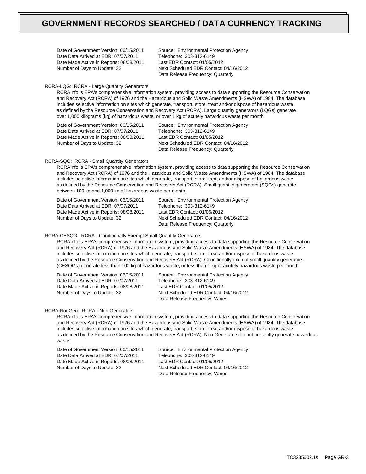Date of Government Version: 06/15/2011 Date Data Arrived at EDR: 07/07/2011 Date Made Active in Reports: 08/08/2011 Number of Days to Update: 32

Source: Environmental Protection Agency Telephone: 303-312-6149 Last EDR Contact: 01/05/2012 Next Scheduled EDR Contact: 04/16/2012 Data Release Frequency: Quarterly

# RCRA-LQG: RCRA - Large Quantity Generators

RCRAInfo is EPA's comprehensive information system, providing access to data supporting the Resource Conservation and Recovery Act (RCRA) of 1976 and the Hazardous and Solid Waste Amendments (HSWA) of 1984. The database includes selective information on sites which generate, transport, store, treat and/or dispose of hazardous waste as defined by the Resource Conservation and Recovery Act (RCRA). Large quantity generators (LQGs) generate over 1,000 kilograms (kg) of hazardous waste, or over 1 kg of acutely hazardous waste per month.

Date of Government Version: 06/15/2011 Date Data Arrived at EDR: 07/07/2011 Date Made Active in Reports: 08/08/2011 Number of Days to Update: 32

Source: Environmental Protection Agency Telephone: 303-312-6149 Last EDR Contact: 01/05/2012 Next Scheduled EDR Contact: 04/16/2012 Data Release Frequency: Quarterly

### RCRA-SQG: RCRA - Small Quantity Generators

RCRAInfo is EPA's comprehensive information system, providing access to data supporting the Resource Conservation and Recovery Act (RCRA) of 1976 and the Hazardous and Solid Waste Amendments (HSWA) of 1984. The database includes selective information on sites which generate, transport, store, treat and/or dispose of hazardous waste as defined by the Resource Conservation and Recovery Act (RCRA). Small quantity generators (SQGs) generate between 100 kg and 1,000 kg of hazardous waste per month.

Date of Government Version: 06/15/2011 Date Data Arrived at EDR: 07/07/2011 Date Made Active in Reports: 08/08/2011 Number of Days to Update: 32

Source: Environmental Protection Agency Telephone: 303-312-6149 Last EDR Contact: 01/05/2012 Next Scheduled EDR Contact: 04/16/2012 Data Release Frequency: Quarterly

#### RCRA-CESQG: RCRA - Conditionally Exempt Small Quantity Generators

RCRAInfo is EPA's comprehensive information system, providing access to data supporting the Resource Conservation and Recovery Act (RCRA) of 1976 and the Hazardous and Solid Waste Amendments (HSWA) of 1984. The database includes selective information on sites which generate, transport, store, treat and/or dispose of hazardous waste as defined by the Resource Conservation and Recovery Act (RCRA). Conditionally exempt small quantity generators (CESQGs) generate less than 100 kg of hazardous waste, or less than 1 kg of acutely hazardous waste per month.

Date of Government Version: 06/15/2011 Date Data Arrived at EDR: 07/07/2011 Date Made Active in Reports: 08/08/2011 Number of Days to Update: 32

Source: Environmental Protection Agency Telephone: 303-312-6149 Last EDR Contact: 01/05/2012 Next Scheduled EDR Contact: 04/16/2012 Data Release Frequency: Varies

#### RCRA-NonGen: RCRA - Non Generators

RCRAInfo is EPA's comprehensive information system, providing access to data supporting the Resource Conservation and Recovery Act (RCRA) of 1976 and the Hazardous and Solid Waste Amendments (HSWA) of 1984. The database includes selective information on sites which generate, transport, store, treat and/or dispose of hazardous waste as defined by the Resource Conservation and Recovery Act (RCRA). Non-Generators do not presently generate hazardous waste.

Date of Government Version: 06/15/2011 Date Data Arrived at EDR: 07/07/2011 Date Made Active in Reports: 08/08/2011 Number of Days to Update: 32

Source: Environmental Protection Agency Telephone: 303-312-6149 Last EDR Contact: 01/05/2012 Next Scheduled EDR Contact: 04/16/2012 Data Release Frequency: Varies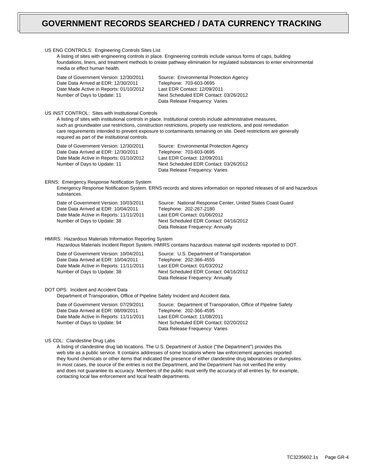| US ENG CONTROLS: Engineering Controls Sites List<br>A listing of sites with engineering controls in place. Engineering controls include various forms of caps, building<br>foundations, liners, and treatment methods to create pathway elimination for regulated substances to enter environmental<br>media or effect human health. |                                                                                                                                                                                                                                                                                                                                                           |  |
|--------------------------------------------------------------------------------------------------------------------------------------------------------------------------------------------------------------------------------------------------------------------------------------------------------------------------------------|-----------------------------------------------------------------------------------------------------------------------------------------------------------------------------------------------------------------------------------------------------------------------------------------------------------------------------------------------------------|--|
| Date of Government Version: 12/30/2011<br>Date Data Arrived at EDR: 12/30/2011<br>Date Made Active in Reports: 01/10/2012<br>Number of Days to Update: 11                                                                                                                                                                            | Source: Environmental Protection Agency<br>Telephone: 703-603-0695<br>Last EDR Contact: 12/09/2011<br>Next Scheduled EDR Contact: 03/26/2012<br>Data Release Frequency: Varies                                                                                                                                                                            |  |
| US INST CONTROL: Sites with Institutional Controls<br>required as part of the institutional controls.                                                                                                                                                                                                                                | A listing of sites with institutional controls in place. Institutional controls include administrative measures,<br>such as groundwater use restrictions, construction restrictions, property use restrictions, and post remediation<br>care requirements intended to prevent exposure to contaminants remaining on site. Deed restrictions are generally |  |
| Date of Government Version: 12/30/2011<br>Date Data Arrived at EDR: 12/30/2011<br>Date Made Active in Reports: 01/10/2012<br>Number of Days to Update: 11                                                                                                                                                                            | Source: Environmental Protection Agency<br>Telephone: 703-603-0695<br>Last EDR Contact: 12/09/2011<br>Next Scheduled EDR Contact: 03/26/2012<br>Data Release Frequency: Varies                                                                                                                                                                            |  |
| <b>ERNS: Emergency Response Notification System</b><br>substances.                                                                                                                                                                                                                                                                   | Emergency Response Notification System. ERNS records and stores information on reported releases of oil and hazardous                                                                                                                                                                                                                                     |  |
| Date of Government Version: 10/03/2011<br>Date Data Arrived at EDR: 10/04/2011<br>Date Made Active in Reports: 11/11/2011<br>Number of Days to Update: 38                                                                                                                                                                            | Source: National Response Center, United States Coast Guard<br>Telephone: 202-267-2180<br>Last EDR Contact: 01/06/2012<br>Next Scheduled EDR Contact: 04/16/2012<br>Data Release Frequency: Annually                                                                                                                                                      |  |
| HMIRS: Hazardous Materials Information Reporting System                                                                                                                                                                                                                                                                              | Hazardous Materials Incident Report System. HMIRS contains hazardous material spill incidents reported to DOT.                                                                                                                                                                                                                                            |  |
| Date of Government Version: 10/04/2011<br>Date Data Arrived at EDR: 10/04/2011<br>Date Made Active in Reports: 11/11/2011<br>Number of Days to Update: 38                                                                                                                                                                            | Source: U.S. Department of Transportation<br>Telephone: 202-366-4555<br>Last EDR Contact: 01/03/2012<br>Next Scheduled EDR Contact: 04/16/2012<br>Data Release Frequency: Annually                                                                                                                                                                        |  |
| DOT OPS: Incident and Accident Data<br>Department of Transporation, Office of Pipeline Safety Incident and Accident data.                                                                                                                                                                                                            |                                                                                                                                                                                                                                                                                                                                                           |  |
| Date of Government Version: 07/29/2011<br>Date Data Arrived at EDR: 08/09/2011<br>Date Made Active in Reports: 11/11/2011<br>Number of Days to Update: 94                                                                                                                                                                            | Source: Department of Transporation, Office of Pipeline Safety<br>Telephone: 202-366-4595<br>Last EDR Contact: 11/08/2011<br>Next Scheduled EDR Contact: 02/20/2012<br>Data Release Frequency: Varies                                                                                                                                                     |  |
| US CDL: Clandestine Drug Labs                                                                                                                                                                                                                                                                                                        | A listing of clandestine drug lab locations. The U.S. Department of Justice ("the Department") provides this                                                                                                                                                                                                                                              |  |

A listing of clandestine drug lab locations. The U.S. Department of Justice ("the Department") provides this web site as a public service. It contains addresses of some locations where law enforcement agencies reported they found chemicals or other items that indicated the presence of either clandestine drug laboratories or dumpsites. In most cases, the source of the entries is not the Department, and the Department has not verified the entry and does not guarantee its accuracy. Members of the public must verify the accuracy of all entries by, for example, contacting local law enforcement and local health departments.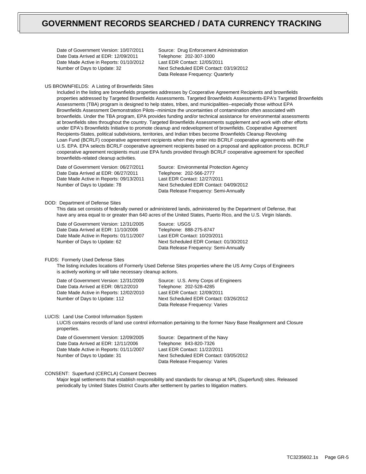Date of Government Version: 10/07/2011 Date Data Arrived at EDR: 12/09/2011 Date Made Active in Reports: 01/10/2012 Number of Days to Update: 32

Source: Drug Enforcement Administration Telephone: 202-307-1000 Last EDR Contact: 12/05/2011 Next Scheduled EDR Contact: 03/19/2012 Data Release Frequency: Quarterly

### US BROWNFIELDS: A Listing of Brownfields Sites

Included in the listing are brownfields properties addresses by Cooperative Agreement Recipients and brownfields properties addressed by Targeted Brownfields Assessments. Targeted Brownfields Assessments-EPA's Targeted Brownfields Assessments (TBA) program is designed to help states, tribes, and municipalities--especially those without EPA Brownfields Assessment Demonstration Pilots--minimize the uncertainties of contamination often associated with brownfields. Under the TBA program, EPA provides funding and/or technical assistance for environmental assessments at brownfields sites throughout the country. Targeted Brownfields Assessments supplement and work with other efforts under EPA's Brownfields Initiative to promote cleanup and redevelopment of brownfields. Cooperative Agreement Recipients-States, political subdivisions, territories, and Indian tribes become Brownfields Cleanup Revolving Loan Fund (BCRLF) cooperative agreement recipients when they enter into BCRLF cooperative agreements with the U.S. EPA. EPA selects BCRLF cooperative agreement recipients based on a proposal and application process. BCRLF cooperative agreement recipients must use EPA funds provided through BCRLF cooperative agreement for specified brownfields-related cleanup activities.

Date of Government Version: 06/27/2011 Date Data Arrived at EDR: 06/27/2011 Date Made Active in Reports: 09/13/2011 Number of Days to Update: 78

Source: Environmental Protection Agency Telephone: 202-566-2777 Last EDR Contact: 12/27/2011 Next Scheduled EDR Contact: 04/09/2012 Data Release Frequency: Semi-Annually

#### DOD: Department of Defense Sites

This data set consists of federally owned or administered lands, administered by the Department of Defense, that have any area equal to or greater than 640 acres of the United States, Puerto Rico, and the U.S. Virgin Islands.

Date of Government Version: 12/31/2005 Date Data Arrived at EDR: 11/10/2006 Date Made Active in Reports: 01/11/2007 Number of Days to Update: 62

Source: USGS Telephone: 888-275-8747 Last EDR Contact: 10/20/2011 Next Scheduled EDR Contact: 01/30/2012 Data Release Frequency: Semi-Annually

#### FUDS: Formerly Used Defense Sites

The listing includes locations of Formerly Used Defense Sites properties where the US Army Corps of Engineers is actively working or will take necessary cleanup actions.

Date of Government Version: 12/31/2009 Date Data Arrived at EDR: 08/12/2010 Date Made Active in Reports: 12/02/2010 Number of Days to Update: 112

Source: U.S. Army Corps of Engineers Telephone: 202-528-4285 Last EDR Contact: 12/09/2011 Next Scheduled EDR Contact: 03/26/2012 Data Release Frequency: Varies

#### LUCIS: Land Use Control Information System

LUCIS contains records of land use control information pertaining to the former Navy Base Realignment and Closure properties.

Date of Government Version: 12/09/2005 Date Data Arrived at EDR: 12/11/2006 Date Made Active in Reports: 01/11/2007 Number of Days to Update: 31

Source: Department of the Navy Telephone: 843-820-7326 Last EDR Contact: 11/22/2011 Next Scheduled EDR Contact: 03/05/2012 Data Release Frequency: Varies

## CONSENT: Superfund (CERCLA) Consent Decrees

Major legal settlements that establish responsibility and standards for cleanup at NPL (Superfund) sites. Released periodically by United States District Courts after settlement by parties to litigation matters.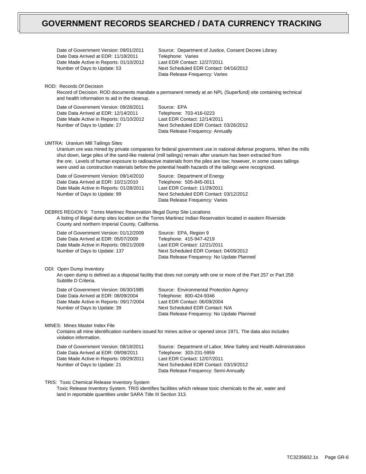| Date of Government Version: 09/01/2011<br>Date Data Arrived at EDR: 11/18/2011<br>Date Made Active in Reports: 01/10/2012<br>Number of Days to Update: 53  | Source: Department of Justice, Consent Decree Library<br>Telephone: Varies<br>Last EDR Contact: 12/27/2011<br>Next Scheduled EDR Contact: 04/16/2012<br>Data Release Frequency: Varies                                                                                                                                                                                                                                                                                |
|------------------------------------------------------------------------------------------------------------------------------------------------------------|-----------------------------------------------------------------------------------------------------------------------------------------------------------------------------------------------------------------------------------------------------------------------------------------------------------------------------------------------------------------------------------------------------------------------------------------------------------------------|
| ROD: Records Of Decision<br>and health information to aid in the cleanup.                                                                                  | Record of Decision. ROD documents mandate a permanent remedy at an NPL (Superfund) site containing technical                                                                                                                                                                                                                                                                                                                                                          |
| Date of Government Version: 09/28/2011<br>Date Data Arrived at EDR: 12/14/2011<br>Date Made Active in Reports: 01/10/2012<br>Number of Days to Update: 27  | Source: EPA<br>Telephone: 703-416-0223<br>Last EDR Contact: 12/14/2011<br>Next Scheduled EDR Contact: 03/26/2012<br>Data Release Frequency: Annually                                                                                                                                                                                                                                                                                                                  |
| <b>UMTRA: Uranium Mill Tailings Sites</b>                                                                                                                  | Uranium ore was mined by private companies for federal government use in national defense programs. When the mills<br>shut down, large piles of the sand-like material (mill tailings) remain after uranium has been extracted from<br>the ore. Levels of human exposure to radioactive materials from the piles are low; however, in some cases tailings<br>were used as construction materials before the potential health hazards of the tailings were recognized. |
| Date of Government Version: 09/14/2010<br>Date Data Arrived at EDR: 10/21/2010<br>Date Made Active in Reports: 01/28/2011<br>Number of Days to Update: 99  | Source: Department of Energy<br>Telephone: 505-845-0011<br>Last EDR Contact: 11/29/2011<br>Next Scheduled EDR Contact: 03/12/2012<br>Data Release Frequency: Varies                                                                                                                                                                                                                                                                                                   |
| DEBRIS REGION 9: Torres Martinez Reservation Illegal Dump Site Locations<br>County and northern Imperial County, California.                               | A listing of illegal dump sites location on the Torres Martinez Indian Reservation located in eastern Riverside                                                                                                                                                                                                                                                                                                                                                       |
| Date of Government Version: 01/12/2009<br>Date Data Arrived at EDR: 05/07/2009<br>Date Made Active in Reports: 09/21/2009<br>Number of Days to Update: 137 | Source: EPA, Region 9<br>Telephone: 415-947-4219<br>Last EDR Contact: 12/21/2011<br>Next Scheduled EDR Contact: 04/09/2012<br>Data Release Frequency: No Update Planned                                                                                                                                                                                                                                                                                               |
| ODI: Open Dump Inventory<br>Subtitle D Criteria.                                                                                                           | An open dump is defined as a disposal facility that does not comply with one or more of the Part 257 or Part 258                                                                                                                                                                                                                                                                                                                                                      |
| Date of Government Version: 06/30/1985<br>Date Data Arrived at EDR: 08/09/2004<br>Date Made Active in Reports: 09/17/2004<br>Number of Days to Update: 39  | Source: Environmental Protection Agency<br>Telephone: 800-424-9346<br>Last EDR Contact: 06/09/2004<br>Next Scheduled EDR Contact: N/A<br>Data Release Frequency: No Update Planned                                                                                                                                                                                                                                                                                    |
| MINES: Mines Master Index File<br>violation information.                                                                                                   | Contains all mine identification numbers issued for mines active or opened since 1971. The data also includes                                                                                                                                                                                                                                                                                                                                                         |
| Date of Government Version: 08/18/2011<br>Date Data Arrived at EDR: 09/08/2011<br>Date Made Active in Reports: 09/29/2011<br>Number of Days to Update: 21  | Source: Department of Labor, Mine Safety and Health Administration<br>Telephone: 303-231-5959<br>Last EDR Contact: 12/07/2011<br>Next Scheduled EDR Contact: 03/19/2012<br>Data Release Frequency: Semi-Annually                                                                                                                                                                                                                                                      |
| TRIS: Toxic Chemical Release Inventory System                                                                                                              |                                                                                                                                                                                                                                                                                                                                                                                                                                                                       |

Toxic Release Inventory System. TRIS identifies facilities which release toxic chemicals to the air, water and land in reportable quantities under SARA Title III Section 313.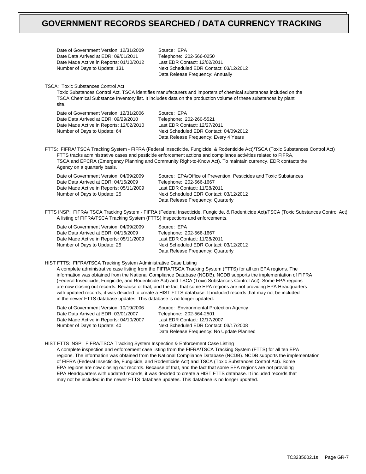Date of Government Version: 12/31/2009 Date Data Arrived at EDR: 09/01/2011 Date Made Active in Reports: 01/10/2012 Number of Days to Update: 131

Source: EPA Telephone: 202-566-0250 Last EDR Contact: 12/02/2011 Next Scheduled EDR Contact: 03/12/2012 Data Release Frequency: Annually

TSCA: Toxic Substances Control Act

Toxic Substances Control Act. TSCA identifies manufacturers and importers of chemical substances included on the TSCA Chemical Substance Inventory list. It includes data on the production volume of these substances by plant site.

Date of Government Version: 12/31/2006 Date Data Arrived at EDR: 09/29/2010 Date Made Active in Reports: 12/02/2010 Number of Days to Update: 64

Source: EPA Telephone: 202-260-5521 Last EDR Contact: 12/27/2011 Next Scheduled EDR Contact: 04/09/2012 Data Release Frequency: Every 4 Years

FTTS: FIFRA/ TSCA Tracking System - FIFRA (Federal Insecticide, Fungicide, & Rodenticide Act)/TSCA (Toxic Substances Control Act) FTTS tracks administrative cases and pesticide enforcement actions and compliance activities related to FIFRA, TSCA and EPCRA (Emergency Planning and Community Right-to-Know Act). To maintain currency, EDR contacts the Agency on a quarterly basis.

| Date of Government Version: 04/09/2009  | Source: EPA/Office of Prevention, Pesticides and Toxic Substances |
|-----------------------------------------|-------------------------------------------------------------------|
| Date Data Arrived at EDR: 04/16/2009    | Telephone: 202-566-1667                                           |
| Date Made Active in Reports: 05/11/2009 | Last EDR Contact: 11/28/2011                                      |
| Number of Days to Update: 25            | Next Scheduled EDR Contact: 03/12/2012                            |
|                                         | Data Release Frequency: Quarterly                                 |
|                                         |                                                                   |

FTTS INSP: FIFRA/ TSCA Tracking System - FIFRA (Federal Insecticide, Fungicide, & Rodenticide Act)/TSCA (Toxic Substances Control Act) A listing of FIFRA/TSCA Tracking System (FTTS) inspections and enforcements.

Date of Government Version: 04/09/2009 Date Data Arrived at EDR: 04/16/2009 Date Made Active in Reports: 05/11/2009 Number of Days to Update: 25

Source: EPA Telephone: 202-566-1667 Last EDR Contact: 11/28/2011 Next Scheduled EDR Contact: 03/12/2012 Data Release Frequency: Quarterly

HIST FTTS: FIFRA/TSCA Tracking System Administrative Case Listing

A complete administrative case listing from the FIFRA/TSCA Tracking System (FTTS) for all ten EPA regions. The information was obtained from the National Compliance Database (NCDB). NCDB supports the implementation of FIFRA (Federal Insecticide, Fungicide, and Rodenticide Act) and TSCA (Toxic Substances Control Act). Some EPA regions are now closing out records. Because of that, and the fact that some EPA regions are not providing EPA Headquarters with updated records, it was decided to create a HIST FTTS database. It included records that may not be included in the newer FTTS database updates. This database is no longer updated.

Date of Government Version: 10/19/2006 Date Data Arrived at EDR: 03/01/2007 Date Made Active in Reports: 04/10/2007 Number of Days to Update: 40

Source: Environmental Protection Agency Telephone: 202-564-2501 Last EDR Contact: 12/17/2007 Next Scheduled EDR Contact: 03/17/2008 Data Release Frequency: No Update Planned

HIST FTTS INSP: FIFRA/TSCA Tracking System Inspection & Enforcement Case Listing

A complete inspection and enforcement case listing from the FIFRA/TSCA Tracking System (FTTS) for all ten EPA regions. The information was obtained from the National Compliance Database (NCDB). NCDB supports the implementation of FIFRA (Federal Insecticide, Fungicide, and Rodenticide Act) and TSCA (Toxic Substances Control Act). Some EPA regions are now closing out records. Because of that, and the fact that some EPA regions are not providing EPA Headquarters with updated records, it was decided to create a HIST FTTS database. It included records that may not be included in the newer FTTS database updates. This database is no longer updated.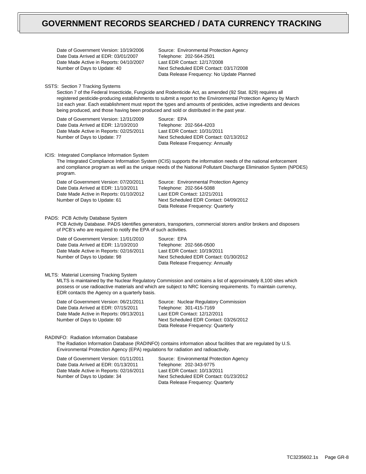Date of Government Version: 10/19/2006 Date Data Arrived at EDR: 03/01/2007 Date Made Active in Reports: 04/10/2007 Number of Days to Update: 40

Source: Environmental Protection Agency Telephone: 202-564-2501 Last EDR Contact: 12/17/2008 Next Scheduled EDR Contact: 03/17/2008 Data Release Frequency: No Update Planned

SSTS: Section 7 Tracking Systems

Section 7 of the Federal Insecticide, Fungicide and Rodenticide Act, as amended (92 Stat. 829) requires all registered pesticide-producing establishments to submit a report to the Environmental Protection Agency by March 1st each year. Each establishment must report the types and amounts of pesticides, active ingredients and devices being produced, and those having been produced and sold or distributed in the past year.

Date of Government Version: 12/31/2009 Date Data Arrived at EDR: 12/10/2010 Date Made Active in Reports: 02/25/2011 Number of Days to Update: 77

Source: EPA Telephone: 202-564-4203 Last EDR Contact: 10/31/2011 Next Scheduled EDR Contact: 02/13/2012 Data Release Frequency: Annually

### ICIS: Integrated Compliance Information System

The Integrated Compliance Information System (ICIS) supports the information needs of the national enforcement and compliance program as well as the unique needs of the National Pollutant Discharge Elimination System (NPDES) program.

Date of Government Version: 07/20/2011 Date Data Arrived at EDR: 11/10/2011 Date Made Active in Reports: 01/10/2012 Number of Days to Update: 61

Source: Environmental Protection Agency Telephone: 202-564-5088 Last EDR Contact: 12/21/2011 Next Scheduled EDR Contact: 04/09/2012 Data Release Frequency: Quarterly

### PADS: PCB Activity Database System

PCB Activity Database. PADS Identifies generators, transporters, commercial storers and/or brokers and disposers of PCB's who are required to notify the EPA of such activities.

Date of Government Version: 11/01/2010 Date Data Arrived at EDR: 11/10/2010 Date Made Active in Reports: 02/16/2011 Number of Days to Update: 98

Source: EPA Telephone: 202-566-0500 Last EDR Contact: 10/19/2011 Next Scheduled EDR Contact: 01/30/2012 Data Release Frequency: Annually

#### MLTS: Material Licensing Tracking System

MLTS is maintained by the Nuclear Regulatory Commission and contains a list of approximately 8,100 sites which possess or use radioactive materials and which are subject to NRC licensing requirements. To maintain currency, EDR contacts the Agency on a quarterly basis.

Date of Government Version: 06/21/2011 Date Data Arrived at EDR: 07/15/2011 Date Made Active in Reports: 09/13/2011 Number of Days to Update: 60

Source: Nuclear Regulatory Commission Telephone: 301-415-7169 Last EDR Contact: 12/12/2011 Next Scheduled EDR Contact: 03/26/2012 Data Release Frequency: Quarterly

#### RADINFO: Radiation Information Database

The Radiation Information Database (RADINFO) contains information about facilities that are regulated by U.S. Environmental Protection Agency (EPA) regulations for radiation and radioactivity.

| Date of Government Version: 01/11/2011  | Source: Environmental Protection Agency |
|-----------------------------------------|-----------------------------------------|
| Date Data Arrived at EDR: 01/13/2011    | Telephone: 202-343-9775                 |
| Date Made Active in Reports: 02/16/2011 | Last EDR Contact: 10/13/2011            |
| Number of Days to Update: 34            | Next Scheduled EDR Contact: 01/23/2012  |
|                                         | Data Release Frequency: Quarterly       |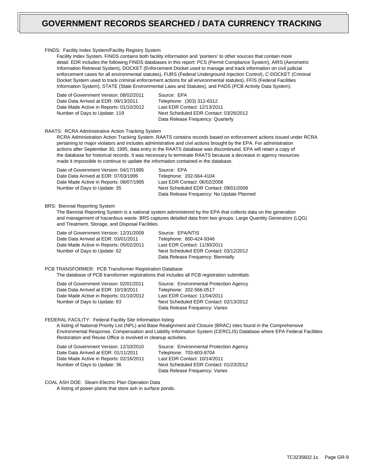#### FINDS: Facility Index System/Facility Registry System

Facility Index System. FINDS contains both facility information and 'pointers' to other sources that contain more detail. EDR includes the following FINDS databases in this report: PCS (Permit Compliance System), AIRS (Aerometric Information Retrieval System), DOCKET (Enforcement Docket used to manage and track information on civil judicial enforcement cases for all environmental statutes), FURS (Federal Underground Injection Control), C-DOCKET (Criminal Docket System used to track criminal enforcement actions for all environmental statutes), FFIS (Federal Facilities Information System), STATE (State Environmental Laws and Statutes), and PADS (PCB Activity Data System).

Date of Government Version: 08/02/2011 Date Data Arrived at EDR: 09/13/2011 Date Made Active in Reports: 01/10/2012 Number of Days to Update: 119

Source: EPA Telephone: (303) 312-6312 Last EDR Contact: 12/13/2011 Next Scheduled EDR Contact: 03/26/2012 Data Release Frequency: Quarterly

## RAATS: RCRA Administrative Action Tracking System

RCRA Administration Action Tracking System. RAATS contains records based on enforcement actions issued under RCRA pertaining to major violators and includes administrative and civil actions brought by the EPA. For administration actions after September 30, 1995, data entry in the RAATS database was discontinued. EPA will retain a copy of the database for historical records. It was necessary to terminate RAATS because a decrease in agency resources made it impossible to continue to update the information contained in the database.

Date of Government Version: 04/17/1995 Date Data Arrived at EDR: 07/03/1995 Date Made Active in Reports: 08/07/1995 Number of Days to Update: 35

Source: EPA Telephone: 202-564-4104 Last EDR Contact: 06/02/2008 Next Scheduled EDR Contact: 09/01/2008 Data Release Frequency: No Update Planned

#### BRS: Biennial Reporting System

The Biennial Reporting System is a national system administered by the EPA that collects data on the generation and management of hazardous waste. BRS captures detailed data from two groups: Large Quantity Generators (LQG) and Treatment, Storage, and Disposal Facilities.

| Date of Government Version: 12/31/2009  | Source: EPA/NTIS                       |
|-----------------------------------------|----------------------------------------|
| Date Data Arrived at EDR: 03/01/2011    | Telephone: 800-424-9346                |
| Date Made Active in Reports: 05/02/2011 | Last EDR Contact: 11/30/2011           |
| Number of Days to Update: 62            | Next Scheduled EDR Contact: 03/12/2012 |
|                                         | Data Release Frequency: Biennially     |

### PCB TRANSFORMER: PCB Transformer Registration Database

The database of PCB transformer registrations that includes all PCB registration submittals.

| Date of Government Version: 02/01/2011  | Source: Environmental Protection Agency |
|-----------------------------------------|-----------------------------------------|
| Date Data Arrived at EDR: 10/19/2011    | Telephone: 202-566-0517                 |
| Date Made Active in Reports: 01/10/2012 | Last EDR Contact: 11/04/2011            |
| Number of Days to Update: 83            | Next Scheduled EDR Contact: 02/13/2012  |
|                                         | Data Release Frequency: Varies          |

### FEDERAL FACILITY: Federal Facility Site Information listing

A listing of National Priority List (NPL) and Base Realignment and Closure (BRAC) sites found in the Comprehensive Environmental Response, Compensation and Liability Information System (CERCLIS) Database where EPA Federal Facilities Restoration and Reuse Office is involved in cleanup activities.

Date of Government Version: 12/10/2010 Date Data Arrived at EDR: 01/11/2011 Date Made Active in Reports: 02/16/2011 Number of Days to Update: 36

Source: Environmental Protection Agency Telephone: 703-603-8704 Last EDR Contact: 10/14/2011 Next Scheduled EDR Contact: 01/23/2012 Data Release Frequency: Varies

COAL ASH DOE: Sleam-Electric Plan Operation Data

A listing of power plants that store ash in surface ponds.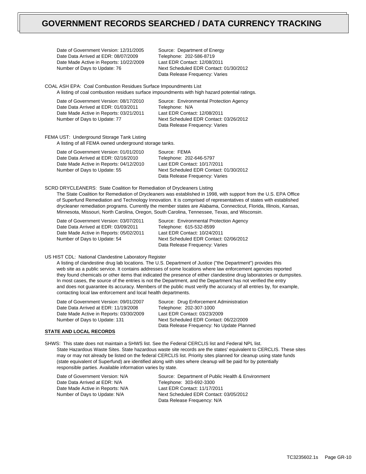Date of Government Version: 12/31/2005 Date Data Arrived at EDR: 08/07/2009 Date Made Active in Reports: 10/22/2009 Number of Days to Update: 76

Source: Department of Energy Telephone: 202-586-8719 Last EDR Contact: 12/08/2011 Next Scheduled EDR Contact: 01/30/2012 Data Release Frequency: Varies

COAL ASH EPA: Coal Combustion Residues Surface Impoundments List A listing of coal combustion residues surface impoundments with high hazard potential ratings.

| Date of Government Version: 08/17/2010<br>Date Data Arrived at EDR: 01/03/2011 | Source: Environmental Protection Agency                                  |
|--------------------------------------------------------------------------------|--------------------------------------------------------------------------|
| Date Made Active in Reports: 03/21/2011                                        | Telephone: N/A<br>Last EDR Contact: 12/08/2011                           |
| Number of Days to Update: 77                                                   | Next Scheduled EDR Contact: 03/26/2012<br>Data Release Frequency: Varies |

FEMA UST: Underground Storage Tank Listing

A listing of all FEMA owned underground storage tanks.

| Date of Government Version: 01/01/2010  | Source: FEMA                           |
|-----------------------------------------|----------------------------------------|
| Date Data Arrived at EDR: 02/16/2010    | Telephone: 202-646-5797                |
| Date Made Active in Reports: 04/12/2010 | Last EDR Contact: 10/17/2011           |
| Number of Days to Update: 55            | Next Scheduled EDR Contact: 01/30/2012 |
|                                         | Data Release Frequency: Varies         |

SCRD DRYCLEANERS: State Coalition for Remediation of Drycleaners Listing

The State Coalition for Remediation of Drycleaners was established in 1998, with support from the U.S. EPA Office of Superfund Remediation and Technology Innovation. It is comprised of representatives of states with established drycleaner remediation programs. Currently the member states are Alabama, Connecticut, Florida, Illinois, Kansas, Minnesota, Missouri, North Carolina, Oregon, South Carolina, Tennessee, Texas, and Wisconsin.

Date of Government Version: 03/07/2011 Date Data Arrived at EDR: 03/09/2011 Date Made Active in Reports: 05/02/2011 Number of Days to Update: 54

Source: Environmental Protection Agency Telephone: 615-532-8599 Last EDR Contact: 10/24/2011 Next Scheduled EDR Contact: 02/06/2012 Data Release Frequency: Varies

## US HIST CDL: National Clandestine Laboratory Register

A listing of clandestine drug lab locations. The U.S. Department of Justice ("the Department") provides this web site as a public service. It contains addresses of some locations where law enforcement agencies reported they found chemicals or other items that indicated the presence of either clandestine drug laboratories or dumpsites. In most cases, the source of the entries is not the Department, and the Department has not verified the entry and does not guarantee its accuracy. Members of the public must verify the accuracy of all entries by, for example, contacting local law enforcement and local health departments.

Date of Government Version: 09/01/2007 Date Data Arrived at EDR: 11/19/2008 Date Made Active in Reports: 03/30/2009 Number of Days to Update: 131

Source: Drug Enforcement Administration Telephone: 202-307-1000 Last EDR Contact: 03/23/2009 Next Scheduled EDR Contact: 06/22/2009 Data Release Frequency: No Update Planned

# **STATE AND LOCAL RECORDS**

SHWS: This state does not maintain a SHWS list. See the Federal CERCLIS list and Federal NPL list. State Hazardous Waste Sites. State hazardous waste site records are the states' equivalent to CERCLIS. These sites may or may not already be listed on the federal CERCLIS list. Priority sites planned for cleanup using state funds (state equivalent of Superfund) are identified along with sites where cleanup will be paid for by potentially responsible parties. Available information varies by state.

Date of Government Version: N/A Date Data Arrived at EDR: N/A Date Made Active in Reports: N/A Number of Days to Update: N/A

Source: Department of Public Health & Environment Telephone: 303-692-3300 Last EDR Contact: 11/17/2011 Next Scheduled EDR Contact: 03/05/2012 Data Release Frequency: N/A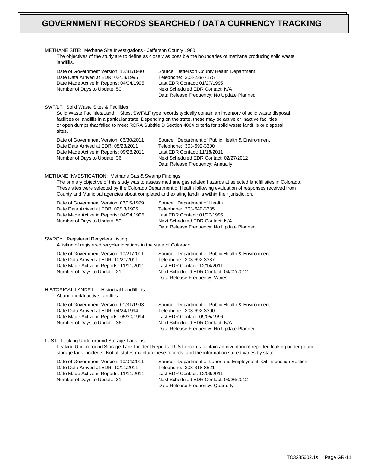| METHANE SITE: Methane Site Investigations - Jefferson County 1980<br>landfills.                                                                           | The objectives of the study are to define as closely as possible the boundaries of methane producing solid waste                                                                                                                                                                                                                                        |
|-----------------------------------------------------------------------------------------------------------------------------------------------------------|---------------------------------------------------------------------------------------------------------------------------------------------------------------------------------------------------------------------------------------------------------------------------------------------------------------------------------------------------------|
| Date of Government Version: 12/31/1980<br>Date Data Arrived at EDR: 02/13/1995<br>Date Made Active in Reports: 04/04/1995<br>Number of Days to Update: 50 | Source: Jefferson County Health Department<br>Telephone: 303-239-7175<br>Last EDR Contact: 01/27/1995<br>Next Scheduled EDR Contact: N/A<br>Data Release Frequency: No Update Planned                                                                                                                                                                   |
| SWF/LF: Solid Waste Sites & Facilities<br>sites.                                                                                                          | Solid Waste Facilities/Landfill Sites. SWF/LF type records typically contain an inventory of solid waste disposal<br>facilities or landfills in a particular state. Depending on the state, these may be active or inactive facilities<br>or open dumps that failed to meet RCRA Subtitle D Section 4004 criteria for solid waste landfills or disposal |
| Date of Government Version: 06/30/2011<br>Date Data Arrived at EDR: 08/23/2011<br>Date Made Active in Reports: 09/28/2011<br>Number of Days to Update: 36 | Source: Department of Public Health & Environment<br>Telephone: 303-692-3300<br>Last EDR Contact: 11/18/2011<br>Next Scheduled EDR Contact: 02/27/2012<br>Data Release Frequency: Annually                                                                                                                                                              |
| METHANE INVESTIGATION: Methane Gas & Swamp Findings                                                                                                       | The primary objective of this study was to assess methane gas related hazards at selected landfill sites in Colorado.<br>These sites were selected by the Colorado Department of Health following evaluation of responses received from<br>County and Municipal agencies about completed and existing landfills within their jurisdiction.              |
| Date of Government Version: 03/15/1979<br>Date Data Arrived at EDR: 02/13/1995<br>Date Made Active in Reports: 04/04/1995<br>Number of Days to Update: 50 | Source: Department of Health<br>Telephone: 303-640-3335<br>Last EDR Contact: 01/27/1995<br>Next Scheduled EDR Contact: N/A<br>Data Release Frequency: No Update Planned                                                                                                                                                                                 |
| <b>SWRCY: Registered Recyclers Listing</b><br>A listing of registered recycler locations in the state of Colorado.                                        |                                                                                                                                                                                                                                                                                                                                                         |
| Date of Government Version: 10/21/2011<br>Date Data Arrived at EDR: 10/21/2011<br>Date Made Active in Reports: 11/11/2011<br>Number of Days to Update: 21 | Source: Department of Public Health & Environment<br>Telephone: 303-692-3337<br>Last EDR Contact: 12/14/2011<br>Next Scheduled EDR Contact: 04/02/2012<br>Data Release Frequency: Varies                                                                                                                                                                |
| <b>HISTORICAL LANDFILL: Historical Landfill List</b><br>Abandoned/Inactive Landfills.                                                                     |                                                                                                                                                                                                                                                                                                                                                         |
| Date of Government Version: 01/31/1993<br>Date Data Arrived at EDR: 04/24/1994<br>Date Made Active in Reports: 05/30/1994<br>Number of Days to Update: 36 | Source: Department of Public Health & Environment<br>Telephone: 303-692-3300<br>Last EDR Contact: 09/05/1996<br>Next Scheduled EDR Contact: N/A<br>Data Release Frequency: No Update Planned                                                                                                                                                            |
| LUST: Leaking Underground Storage Tank List                                                                                                               | Leaking Underground Storage Tank Incident Reports. LUST records contain an inventory of reported leaking underground<br>storage tank incidents. Not all states maintain these records, and the information stored varies by state.                                                                                                                      |
| Date of Government Version: 10/04/2011<br>Date Data Arrived at EDR: 10/11/2011<br>Date Made Active in Reports: 11/11/2011<br>Number of Days to Update: 31 | Source: Department of Labor and Employment, Oil Inspection Section<br>Telephone: 303-318-8521<br>Last EDR Contact: 12/09/2011<br>Next Scheduled EDR Contact: 03/26/2012<br>Data Release Frequency: Quarterly                                                                                                                                            |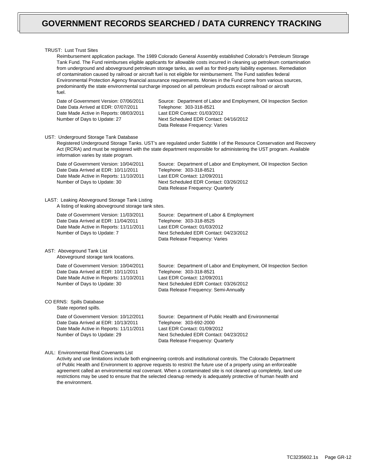### TRUST: Lust Trust Sites

Reimbursement application package. The 1989 Colorado General Assembly established Colorado's Petroleum Storage Tank Fund. The Fund reimburses eligible applicants for allowable costs incurred in cleaning up petroleum contamination from underground and aboveground petroleum storage tanks, as well as for third-party liability expenses. Remediation of contamination caused by railroad or aircraft fuel is not eligible for reimbursement. The Fund satisfies federal Environmental Protection Agency financial assurance requirements. Monies in the Fund come from various sources, predominantly the state environmental surcharge imposed on all petroleum products except railroad or aircraft fuel.

Date of Government Version: 07/06/2011 Date Data Arrived at EDR: 07/07/2011 Date Made Active in Reports: 08/03/2011 Number of Days to Update: 27

Source: Department of Labor and Employment, Oil Inspection Section Telephone: 303-318-8521 Last EDR Contact: 01/03/2012 Next Scheduled EDR Contact: 04/16/2012 Data Release Frequency: Varies

#### UST: Underground Storage Tank Database

Registered Underground Storage Tanks. UST's are regulated under Subtitle I of the Resource Conservation and Recovery Act (RCRA) and must be registered with the state department responsible for administering the UST program. Available information varies by state program.

> Telephone: 303-318-8525 Last EDR Contact: 01/03/2012

Data Release Frequency: Varies

Source: Department of Labor & Employment

Next Scheduled EDR Contact: 04/23/2012

Date of Government Version: 10/04/2011 Date Data Arrived at EDR: 10/11/2011 Date Made Active in Reports: 11/10/2011 Number of Days to Update: 30 Source: Department of Labor and Employment, Oil Inspection Section Telephone: 303-318-8521 Last EDR Contact: 12/09/2011 Next Scheduled EDR Contact: 03/26/2012 Data Release Frequency: Quarterly

### LAST: Leaking Aboveground Storage Tank Listing A listing of leaking aboveground storage tank sites.

Date of Government Version: 11/03/2011 Date Data Arrived at EDR: 11/04/2011 Date Made Active in Reports: 11/11/2011 Number of Days to Update: 7

AST: Aboveground Tank List Aboveground storage tank locations.

> Date of Government Version: 10/04/2011 Date Data Arrived at EDR: 10/11/2011 Date Made Active in Reports: 11/10/2011 Number of Days to Update: 30

#### CO ERNS: Spills Database State reported spills.

Date of Government Version: 10/12/2011 Date Data Arrived at EDR: 10/13/2011 Date Made Active in Reports: 11/11/2011 Number of Days to Update: 29

Source: Department of Labor and Employment, Oil Inspection Section Telephone: 303-318-8521 Last EDR Contact: 12/09/2011 Next Scheduled EDR Contact: 03/26/2012 Data Release Frequency: Semi-Annually

Source: Department of Public Health and Environmental Telephone: 303-692-2000 Last EDR Contact: 01/09/2012 Next Scheduled EDR Contact: 04/23/2012 Data Release Frequency: Quarterly

### AUL: Environmental Real Covenants List

Activity and use limitations include both engineering controls and institutional controls. The Colorado Department of Public Health and Environment to approve requests to restrict the future use of a property using an enforceable agreement called an environmental real covenant. When a contaminated site is not cleaned up completely, land use restrictions may be used to ensure that the selected cleanup remedy is adequately protective of human health and the environment.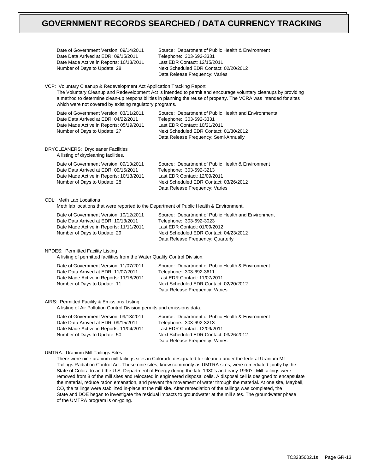Date of Government Version: 09/14/2011 Date Data Arrived at EDR: 09/15/2011 Date Made Active in Reports: 10/13/2011 Number of Days to Update: 28

Source: Department of Public Health & Environment Telephone: 303-692-3331 Last EDR Contact: 12/15/2011 Next Scheduled EDR Contact: 02/20/2012 Data Release Frequency: Varies

VCP: Voluntary Cleanup & Redevelopment Act Application Tracking Report

The Voluntary Cleanup and Redevelopment Act is intended to permit and encourage voluntary cleanups by providing a method to determine clean-up responsibilities in planning the reuse of property. The VCRA was intended for sites which were not covered by existing regulatory programs.

| Date of Government Version: 03/11/2011    | Source: Department of Public Health and Environmental |
|-------------------------------------------|-------------------------------------------------------|
| Date Data Arrived at EDR: 04/22/2011      | Telephone: 303-692-3331                               |
| Date Made Active in Reports: 05/19/2011   | Last EDR Contact: 10/21/2011                          |
| Number of Days to Update: 27              | Next Scheduled EDR Contact: 01/30/2012                |
|                                           | Data Release Frequency: Semi-Annually                 |
| <b>NDVCLEANEDS: Druglooner Eqoilities</b> |                                                       |

DRYCLEANERS: Drycleaner Facilities A listing of drycleaning facilities.

> Date of Government Version: 09/13/2011 Date Data Arrived at EDR: 09/15/2011 Date Made Active in Reports: 10/13/2011 Number of Days to Update: 28 Source: Department of Public Health & Environment Telephone: 303-692-3213 Last EDR Contact: 12/09/2011 Next Scheduled EDR Contact: 03/26/2012 Data Release Frequency: Varies

CDL: Meth Lab Locations

Meth lab locations that were reported to the Department of Public Health & Environment.

| Date of Government Version: 10/12/2011  | Source: Department of Public Health and Environment |
|-----------------------------------------|-----------------------------------------------------|
| Date Data Arrived at EDR: 10/13/2011    | Telephone: 303-692-3023                             |
| Date Made Active in Reports: 11/11/2011 | Last EDR Contact: 01/09/2012                        |
| Number of Days to Update: 29            | Next Scheduled EDR Contact: 04/23/2012              |
|                                         | Data Release Frequency: Quarterly                   |

NPDES: Permitted Facility Listing

A listing of permitted facilities from the Water Quality Control Division.

| Date of Government Version: 11/07/2011  | Source: Department of Public Health & Environment |
|-----------------------------------------|---------------------------------------------------|
| Date Data Arrived at EDR: 11/07/2011    | Telephone: 303-692-3611                           |
| Date Made Active in Reports: 11/18/2011 | Last EDR Contact: 11/07/2011                      |
| Number of Days to Update: 11            | Next Scheduled EDR Contact: 02/20/2012            |
|                                         | Data Release Frequency: Varies                    |

## AIRS: Permitted Facility & Emissions Listing

A listing of Air Pollution Control Division permits and emissions data.

| Date of Government Version: 09/13/2011<br>Date Data Arrived at EDR: 09/15/2011 | Source: Department of Public Health & Environment<br>Telephone: 303-692-3213 |
|--------------------------------------------------------------------------------|------------------------------------------------------------------------------|
| Date Made Active in Reports: 11/04/2011                                        | Last EDR Contact: 12/09/2011                                                 |
| Number of Days to Update: 50                                                   | Next Scheduled EDR Contact: 03/26/2012<br>Data Release Frequency: Varies     |

## UMTRA: Uranium Mill Tailings Sites

There were nine uranium mill tailings sites in Colorado designated for cleanup under the federal Uranium Mill Tailings Radiation Control Act. These nine sites, know commonly as UMTRA sites, were remediated jointly by the State of Colorado and the U.S. Department of Energy during the late 1980's and early 1990's. Mill tailings were removed from 8 of the mill sites and relocated in engineered disposal cells. A disposal cell is designed to encapsulate the material, reduce radon emanation, and prevent the movement of water through the material. At one site, Maybell, CO, the tailings were stabilized in-place at the mill site. After remediation of the tailings was completed, the State and DOE began to investigate the residual impacts to groundwater at the mill sites. The groundwater phase of the UMTRA program is on-going.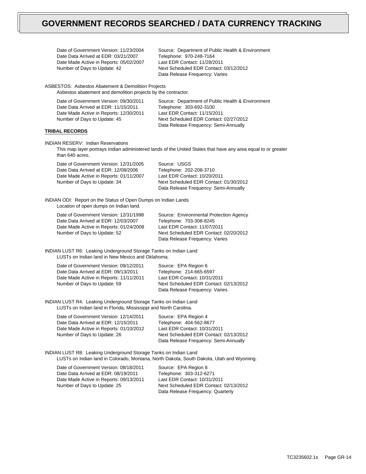Date of Government Version: 11/23/2004 Date Data Arrived at EDR: 03/21/2007 Date Made Active in Reports: 05/02/2007 Number of Days to Update: 42

Source: Department of Public Health & Environment Telephone: 970-248-7164 Last EDR Contact: 11/28/2011 Next Scheduled EDR Contact: 03/12/2012 Data Release Frequency: Varies

ASBESTOS: Asbestos Abatement & Demolition Projects Asbestos abatement and demolition projects by the contractor.

| Date of Government Version: 09/30/2011  | Source: Department of Public Health & Environment |
|-----------------------------------------|---------------------------------------------------|
| Date Data Arrived at EDR: 11/15/2011    | Telephone: 303-692-3100                           |
| Date Made Active in Reports: 12/30/2011 | Last EDR Contact: 11/15/2011                      |
| Number of Days to Update: 45            | Next Scheduled EDR Contact: 02/27/2012            |
|                                         | Data Release Frequency: Semi-Annually             |

# **TRIBAL RECORDS**

INDIAN RESERV: Indian Reservations

This map layer portrays Indian administered lands of the United States that have any area equal to or greater than 640 acres.

| Date of Government Version: 12/31/2005  | Source: USGS                           |
|-----------------------------------------|----------------------------------------|
| Date Data Arrived at EDR: 12/08/2006    | Telephone: 202-208-3710                |
| Date Made Active in Reports: 01/11/2007 | Last EDR Contact: 10/20/2011           |
| Number of Days to Update: 34            | Next Scheduled EDR Contact: 01/30/2012 |
|                                         | Data Release Frequency: Semi-Annually  |

INDIAN ODI: Report on the Status of Open Dumps on Indian Lands Location of open dumps on Indian land.

Date of Government Version: 12/31/1998 Date Data Arrived at EDR: 12/03/2007 Date Made Active in Reports: 01/24/2008 Number of Days to Update: 52

Source: Environmental Protection Agency Telephone: 703-308-8245 Last EDR Contact: 11/07/2011 Next Scheduled EDR Contact: 02/20/2012 Data Release Frequency: Varies

INDIAN LUST R6: Leaking Underground Storage Tanks on Indian Land LUSTs on Indian land in New Mexico and Oklahoma.

| Date of Government Version: 09/12/2011  | Source: EPA Region 6                   |
|-----------------------------------------|----------------------------------------|
| Date Data Arrived at EDR: 09/13/2011    | Telephone: 214-665-6597                |
| Date Made Active in Reports: 11/11/2011 | Last EDR Contact: 10/31/2011           |
| Number of Days to Update: 59            | Next Scheduled EDR Contact: 02/13/2012 |
|                                         | Data Release Frequency: Varies         |

INDIAN LUST R4: Leaking Underground Storage Tanks on Indian Land LUSTs on Indian land in Florida, Mississippi and North Carolina.

Date of Government Version: 12/14/2011 Date Data Arrived at EDR: 12/15/2011 Date Made Active in Reports: 01/10/2012 Number of Days to Update: 26

Source: EPA Region 4 Telephone: 404-562-8677 Last EDR Contact: 10/31/2011 Next Scheduled EDR Contact: 02/13/2012 Data Release Frequency: Semi-Annually

INDIAN LUST R8: Leaking Underground Storage Tanks on Indian Land LUSTs on Indian land in Colorado, Montana, North Dakota, South Dakota, Utah and Wyoming.

| Date of Government Version: 08/18/2011  | Source: EPA Region 8                   |
|-----------------------------------------|----------------------------------------|
| Date Data Arrived at EDR: 08/19/2011    | Telephone: 303-312-6271                |
| Date Made Active in Reports: 09/13/2011 | Last EDR Contact: 10/31/2011           |
| Number of Days to Update: 25            | Next Scheduled EDR Contact: 02/13/2012 |
|                                         | Data Release Frequency: Quarterly      |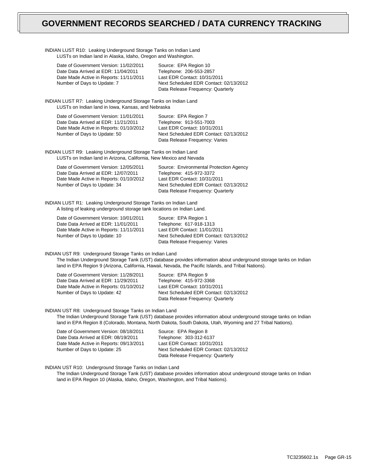| INDIAN LUST R10: Leaking Underground Storage Tanks on Indian Land<br>LUSTs on Indian land in Alaska, Idaho, Oregon and Washington.                        |                                                                                                                                                                                                                                 |  |  |
|-----------------------------------------------------------------------------------------------------------------------------------------------------------|---------------------------------------------------------------------------------------------------------------------------------------------------------------------------------------------------------------------------------|--|--|
| Date of Government Version: 11/02/2011<br>Date Data Arrived at EDR: 11/04/2011<br>Date Made Active in Reports: 11/11/2011<br>Number of Days to Update: 7  | Source: EPA Region 10<br>Telephone: 206-553-2857<br>Last EDR Contact: 10/31/2011<br>Next Scheduled EDR Contact: 02/13/2012<br>Data Release Frequency: Quarterly                                                                 |  |  |
|                                                                                                                                                           | INDIAN LUST R7: Leaking Underground Storage Tanks on Indian Land<br>LUSTs on Indian land in Iowa, Kansas, and Nebraska                                                                                                          |  |  |
| Date of Government Version: 11/01/2011<br>Date Data Arrived at EDR: 11/21/2011<br>Date Made Active in Reports: 01/10/2012<br>Number of Days to Update: 50 | Source: EPA Region 7<br>Telephone: 913-551-7003<br>Last EDR Contact: 10/31/2011<br>Next Scheduled EDR Contact: 02/13/2012<br>Data Release Frequency: Varies                                                                     |  |  |
| INDIAN LUST R9: Leaking Underground Storage Tanks on Indian Land<br>LUSTs on Indian land in Arizona, California, New Mexico and Nevada                    |                                                                                                                                                                                                                                 |  |  |
| Date of Government Version: 12/05/2011<br>Date Data Arrived at EDR: 12/07/2011<br>Date Made Active in Reports: 01/10/2012<br>Number of Days to Update: 34 | Source: Environmental Protection Agency<br>Telephone: 415-972-3372<br>Last EDR Contact: 10/31/2011<br>Next Scheduled EDR Contact: 02/13/2012<br>Data Release Frequency: Quarterly                                               |  |  |
| INDIAN LUST R1: Leaking Underground Storage Tanks on Indian Land<br>A listing of leaking underground storage tank locations on Indian Land.               |                                                                                                                                                                                                                                 |  |  |
| Date of Government Version: 10/01/2011<br>Date Data Arrived at EDR: 11/01/2011<br>Date Made Active in Reports: 11/11/2011<br>Number of Days to Update: 10 | Source: EPA Region 1<br>Telephone: 617-918-1313<br>Last EDR Contact: 11/01/2011<br>Next Scheduled EDR Contact: 02/13/2012<br>Data Release Frequency: Varies                                                                     |  |  |
| INDIAN UST R9: Underground Storage Tanks on Indian Land                                                                                                   | The Indian Underground Storage Tank (UST) database provides information about underground storage tanks on Indian<br>land in EPA Region 9 (Arizona, California, Hawaii, Nevada, the Pacific Islands, and Tribal Nations).       |  |  |
| Date of Government Version: 11/28/2011<br>Date Data Arrived at EDR: 11/29/2011<br>Date Made Active in Reports: 01/10/2012<br>Number of Days to Update: 42 | Source: EPA Region 9<br>Telephone: 415-972-3368<br>Last EDR Contact: 10/31/2011<br>Next Scheduled EDR Contact: 02/13/2012<br>Data Release Frequency: Quarterly                                                                  |  |  |
| INDIAN UST R8: Underground Storage Tanks on Indian Land                                                                                                   | The Indian Underground Storage Tank (UST) database provides information about underground storage tanks on Indian<br>land in EPA Region 8 (Colorado, Montana, North Dakota, South Dakota, Utah, Wyoming and 27 Tribal Nations). |  |  |
| Date of Government Version: 08/18/2011<br>Date Data Arrived at EDR: 08/19/2011<br>Date Made Active in Reports: 09/13/2011<br>Number of Days to Update: 25 | Source: EPA Region 8<br>Telephone: 303-312-6137<br>Last EDR Contact: 10/31/2011<br>Next Scheduled EDR Contact: 02/13/2012<br>Data Release Frequency: Quarterly                                                                  |  |  |
| INDIAN LIST R10: Underground Storage Tanks on Indian Land                                                                                                 |                                                                                                                                                                                                                                 |  |  |

INDIAN UST R10: Underground Storage Tanks on Indian Land

The Indian Underground Storage Tank (UST) database provides information about underground storage tanks on Indian land in EPA Region 10 (Alaska, Idaho, Oregon, Washington, and Tribal Nations).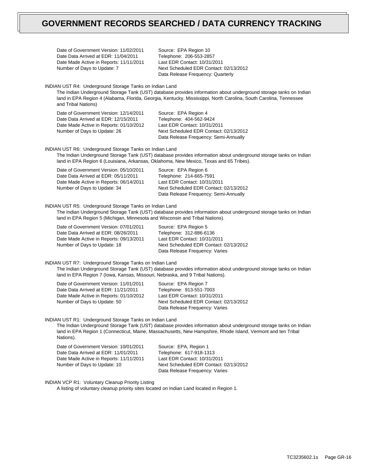|                                                                                                                                                                                                                                                                                                           | Date of Government Version: 11/02/2011<br>Date Data Arrived at EDR: 11/04/2011<br>Date Made Active in Reports: 11/11/2011<br>Number of Days to Update: 7                                                                                                                                                                 | Source: EPA Region 10<br>Telephone: 206-553-2857<br>Last EDR Contact: 10/31/2011<br>Next Scheduled EDR Contact: 02/13/2012<br>Data Release Frequency: Quarterly    |  |
|-----------------------------------------------------------------------------------------------------------------------------------------------------------------------------------------------------------------------------------------------------------------------------------------------------------|--------------------------------------------------------------------------------------------------------------------------------------------------------------------------------------------------------------------------------------------------------------------------------------------------------------------------|--------------------------------------------------------------------------------------------------------------------------------------------------------------------|--|
|                                                                                                                                                                                                                                                                                                           | INDIAN UST R4: Underground Storage Tanks on Indian Land<br>The Indian Underground Storage Tank (UST) database provides information about underground storage tanks on Indian<br>land in EPA Region 4 (Alabama, Florida, Georgia, Kentucky, Mississippi, North Carolina, South Carolina, Tennessee<br>and Tribal Nations) |                                                                                                                                                                    |  |
|                                                                                                                                                                                                                                                                                                           | Date of Government Version: 12/14/2011<br>Date Data Arrived at EDR: 12/15/2011<br>Date Made Active in Reports: 01/10/2012<br>Number of Days to Update: 26                                                                                                                                                                | Source: EPA Region 4<br>Telephone: 404-562-9424<br>Last EDR Contact: 10/31/2011<br>Next Scheduled EDR Contact: 02/13/2012<br>Data Release Frequency: Semi-Annually |  |
| INDIAN UST R6: Underground Storage Tanks on Indian Land<br>The Indian Underground Storage Tank (UST) database provides information about underground storage tanks on Indian<br>land in EPA Region 6 (Louisiana, Arkansas, Oklahoma, New Mexico, Texas and 65 Tribes).                                    |                                                                                                                                                                                                                                                                                                                          |                                                                                                                                                                    |  |
|                                                                                                                                                                                                                                                                                                           | Date of Government Version: 05/10/2011<br>Date Data Arrived at EDR: 05/11/2011<br>Date Made Active in Reports: 06/14/2011<br>Number of Days to Update: 34                                                                                                                                                                | Source: EPA Region 6<br>Telephone: 214-665-7591<br>Last EDR Contact: 10/31/2011<br>Next Scheduled EDR Contact: 02/13/2012<br>Data Release Frequency: Semi-Annually |  |
| INDIAN UST R5: Underground Storage Tanks on Indian Land<br>The Indian Underground Storage Tank (UST) database provides information about underground storage tanks on Indian<br>land in EPA Region 5 (Michigan, Minnesota and Wisconsin and Tribal Nations).                                              |                                                                                                                                                                                                                                                                                                                          |                                                                                                                                                                    |  |
|                                                                                                                                                                                                                                                                                                           | Date of Government Version: 07/01/2011<br>Date Data Arrived at EDR: 08/26/2011<br>Date Made Active in Reports: 09/13/2011<br>Number of Days to Update: 18                                                                                                                                                                | Source: EPA Region 5<br>Telephone: 312-886-6136<br>Last EDR Contact: 10/31/2011<br>Next Scheduled EDR Contact: 02/13/2012<br>Data Release Frequency: Varies        |  |
| INDIAN UST R7: Underground Storage Tanks on Indian Land<br>The Indian Underground Storage Tank (UST) database provides information about underground storage tanks on Indian<br>land in EPA Region 7 (Iowa, Kansas, Missouri, Nebraska, and 9 Tribal Nations).                                            |                                                                                                                                                                                                                                                                                                                          |                                                                                                                                                                    |  |
|                                                                                                                                                                                                                                                                                                           | Date of Government Version: 11/01/2011<br>Date Data Arrived at EDR: 11/21/2011<br>Date Made Active in Reports: 01/10/2012<br>Number of Days to Update: 50                                                                                                                                                                | Source: EPA Region 7<br>Telephone: 913-551-7003<br>Last EDR Contact: 10/31/2011<br>Next Scheduled EDR Contact: 02/13/2012<br>Data Release Frequency: Varies        |  |
| INDIAN UST R1: Underground Storage Tanks on Indian Land<br>The Indian Underground Storage Tank (UST) database provides information about underground storage tanks on Indian<br>land in EPA Region 1 (Connecticut, Maine, Massachusetts, New Hampshire, Rhode Island, Vermont and ten Tribal<br>Nations). |                                                                                                                                                                                                                                                                                                                          |                                                                                                                                                                    |  |
|                                                                                                                                                                                                                                                                                                           | Date of Government Version: 10/01/2011<br>Date Data Arrived at EDR: 11/01/2011<br>Date Made Active in Reports: 11/11/2011<br>Number of Days to Update: 10                                                                                                                                                                | Source: EPA, Region 1<br>Telephone: 617-918-1313<br>Last EDR Contact: 10/31/2011<br>Next Scheduled EDR Contact: 02/13/2012<br>Data Release Frequency: Varies       |  |
|                                                                                                                                                                                                                                                                                                           | <b>INDIAN VCP R1: Voluntary Cleanup Priority Listing</b><br>A listing of voluntary cleanup priority sites located on Indian Land located in Region 1.                                                                                                                                                                    |                                                                                                                                                                    |  |

TC3235602.1s Page GR-16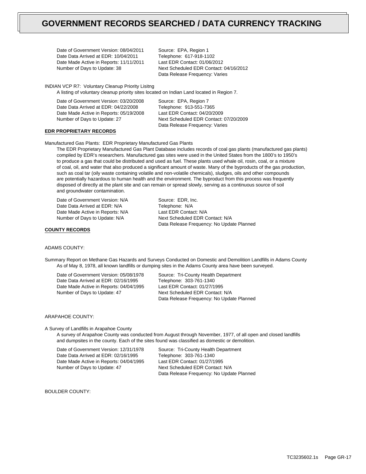Date of Government Version: 08/04/2011 Date Data Arrived at EDR: 10/04/2011 Date Made Active in Reports: 11/11/2011 Number of Days to Update: 38

Source: EPA, Region 1 Telephone: 617-918-1102 Last EDR Contact: 01/06/2012 Next Scheduled EDR Contact: 04/16/2012 Data Release Frequency: Varies

INDIAN VCP R7: Voluntary Cleanup Priority Lisitng

A listing of voluntary cleanup priority sites located on Indian Land located in Region 7.

Source: EPA, Region 7 Telephone: 913-551-7365 Last EDR Contact: 04/20/2009 Next Scheduled EDR Contact: 07/20/2009 Data Release Frequency: Varies

# **EDR PROPRIETARY RECORDS**

Manufactured Gas Plants: EDR Proprietary Manufactured Gas Plants

The EDR Proprietary Manufactured Gas Plant Database includes records of coal gas plants (manufactured gas plants) compiled by EDR's researchers. Manufactured gas sites were used in the United States from the 1800's to 1950's to produce a gas that could be distributed and used as fuel. These plants used whale oil, rosin, coal, or a mixture of coal, oil, and water that also produced a significant amount of waste. Many of the byproducts of the gas production, such as coal tar (oily waste containing volatile and non-volatile chemicals), sludges, oils and other compounds are potentially hazardous to human health and the environment. The byproduct from this process was frequently disposed of directly at the plant site and can remain or spread slowly, serving as a continuous source of soil and groundwater contamination.

Date of Government Version: N/A Date Data Arrived at EDR: N/A Date Made Active in Reports: N/A Number of Days to Update: N/A

Source: EDR, Inc. Telephone: N/A Last EDR Contact: N/A Next Scheduled EDR Contact: N/A Data Release Frequency: No Update Planned

## **COUNTY RECORDS**

#### ADAMS COUNTY:

Summary Report on Methane Gas Hazards and Surveys Conducted on Domestic and Demolition Landfills in Adams County As of May 8, 1978, all known landfills or dumping sites in the Adams County area have been surveyed.

Date of Government Version: 05/08/1978 Date Data Arrived at EDR: 02/16/1995 Date Made Active in Reports: 04/04/1995 Number of Days to Update: 47

Source: Tri-County Health Department Telephone: 303-761-1340 Last EDR Contact: 01/27/1995 Next Scheduled EDR Contact: N/A Data Release Frequency: No Update Planned

### ARAPAHOE COUNTY:

#### A Survey of Landfills in Arapahoe County

A survey of Arapahoe County was conducted from August through November, 1977, of all open and closed landfills and dumpsites in the county. Each of the sites found was classified as domestic or demolition.

Date of Government Version: 12/31/1978 Date Data Arrived at EDR: 02/16/1995 Date Made Active in Reports: 04/04/1995 Number of Days to Update: 47

Source: Tri-County Health Department Telephone: 303-761-1340 Last EDR Contact: 01/27/1995 Next Scheduled EDR Contact: N/A Data Release Frequency: No Update Planned

BOULDER COUNTY: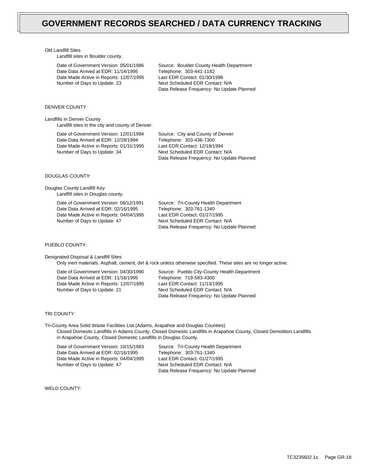#### Old Landfill Sites

Landfill sites in Boulder county.

Date of Government Version: 05/01/1986 Date Data Arrived at EDR: 11/14/1995 Date Made Active in Reports: 12/07/1995 Number of Days to Update: 23

Source: Boulder County Health Department Telephone: 303-441-1182 Last EDR Contact: 01/30/1998 Next Scheduled EDR Contact: N/A Data Release Frequency: No Update Planned

#### DENVER COUNTY:

Landfills in Denver County Landfill sites in the city and county of Denver.

> Date of Government Version: 12/01/1994 Date Data Arrived at EDR: 12/28/1994 Date Made Active in Reports: 01/31/1995 Number of Days to Update: 34

Source: City and County of Denver Telephone: 303-436-7300 Last EDR Contact: 12/18/1994 Next Scheduled EDR Contact: N/A Data Release Frequency: No Update Planned

# DOUGLAS COUNTY:

Douglas County Landfill Key Landfill sites in Douglas county.

> Date of Government Version: 06/12/1991 Date Data Arrived at EDR: 02/16/1995 Date Made Active in Reports: 04/04/1995 Number of Days to Update: 47

Source: Tri-County Health Department Telephone: 303-761-1340 Last EDR Contact: 01/27/1995 Next Scheduled EDR Contact: N/A Data Release Frequency: No Update Planned

## PUEBLO COUNTY:

Designated Disposal & Landfill Sites

Only inert materials. Asphalt, cement, dirt & rock unless otherwise specified. These sites are no longer active.

Date of Government Version: 04/30/1990 Date Data Arrived at EDR: 11/16/1995 Date Made Active in Reports: 12/07/1995 Number of Days to Update: 21

Source: Pueblo City-County Health Department Telephone: 719-583-4300 Last EDR Contact: 11/13/1995 Next Scheduled EDR Contact: N/A Data Release Frequency: No Update Planned

#### TRI COUNTY:

Tri-County Area Solid Waste Facilities List (Adams, Arapahoe and Douglas Counties) Closed Domestic Landfills in Adams County, Closed Domestic Landfills in Arapahoe County, Closed Demolition Landfills in Arapahoe County, Closed Domestic Landfills in Douglas County.

Date of Government Version: 10/15/1983 Date Data Arrived at EDR: 02/16/1995 Date Made Active in Reports: 04/04/1995 Number of Days to Update: 47

Source: Tri-County Health Department Telephone: 303-761-1340 Last EDR Contact: 01/27/1995 Next Scheduled EDR Contact: N/A Data Release Frequency: No Update Planned

WELD COUNTY: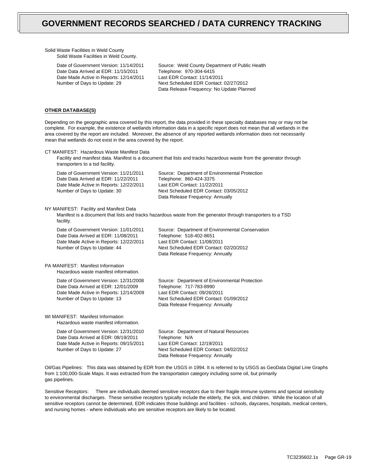Solid Waste Facilities in Weld County Solid Waste Facilities in Weld County.

> Date of Government Version: 11/14/2011 Date Data Arrived at EDR: 11/15/2011 Date Made Active in Reports: 12/14/2011 Number of Days to Update: 29

Source: Weld County Department of Public Health Telephone: 970-304-6415 Last EDR Contact: 11/14/2011 Next Scheduled EDR Contact: 02/27/2012 Data Release Frequency: No Update Planned

## **OTHER DATABASE(S)**

Depending on the geographic area covered by this report, the data provided in these specialty databases may or may not be complete. For example, the existence of wetlands information data in a specific report does not mean that all wetlands in the area covered by the report are included. Moreover, the absence of any reported wetlands information does not necessarily mean that wetlands do not exist in the area covered by the report.

| CT MANIFEST: Hazardous Waste Manifest Data<br>Facility and manifest data. Manifest is a document that lists and tracks hazardous waste from the generator through<br>transporters to a tsd facility. |                                                                                                                                                                                           |  |
|------------------------------------------------------------------------------------------------------------------------------------------------------------------------------------------------------|-------------------------------------------------------------------------------------------------------------------------------------------------------------------------------------------|--|
| Date of Government Version: 11/21/2011<br>Date Data Arrived at EDR: 11/22/2011<br>Date Made Active in Reports: 12/22/2011<br>Number of Days to Update: 30                                            | Source: Department of Environmental Protection<br>Telephone: 860-424-3375<br>Last EDR Contact: 11/22/2011<br>Next Scheduled EDR Contact: 03/05/2012<br>Data Release Frequency: Annually   |  |
| NY MANIFEST: Facility and Manifest Data<br>facility.                                                                                                                                                 | Manifest is a document that lists and tracks hazardous waste from the generator through transporters to a TSD                                                                             |  |
| Date of Government Version: 11/01/2011<br>Date Data Arrived at EDR: 11/08/2011<br>Date Made Active in Reports: 12/22/2011<br>Number of Days to Update: 44                                            | Source: Department of Environmental Conservation<br>Telephone: 518-402-8651<br>Last EDR Contact: 11/08/2011<br>Next Scheduled EDR Contact: 02/20/2012<br>Data Release Frequency: Annually |  |
| PA MANIFEST: Manifest Information<br>Hazardous waste manifest information.                                                                                                                           |                                                                                                                                                                                           |  |
| Date of Government Version: 12/31/2008<br>Date Data Arrived at EDR: 12/01/2009<br>Date Made Active in Reports: 12/14/2009<br>Number of Days to Update: 13                                            | Source: Department of Environmental Protection<br>Telephone: 717-783-8990<br>Last EDR Contact: 09/26/2011<br>Next Scheduled EDR Contact: 01/09/2012<br>Data Release Frequency: Annually   |  |
| WI MANIFEST: Manifest Information<br>Hazardous waste manifest information.                                                                                                                           |                                                                                                                                                                                           |  |
| Date of Government Version: 12/31/2010<br>Date Data Arrived at EDR: 08/19/2011<br>Date Made Active in Reports: 09/15/2011<br>Number of Days to Update: 27                                            | Source: Department of Natural Resources<br>Telephone: N/A<br>Last EDR Contact: 12/19/2011<br>Next Scheduled EDR Contact: 04/02/2012<br>Data Release Frequency: Annually                   |  |

Oil/Gas Pipelines: This data was obtained by EDR from the USGS in 1994. It is referred to by USGS as GeoData Digital Line Graphs from 1:100,000-Scale Maps. It was extracted from the transportation category including some oil, but primarily gas pipelines.

Sensitive Receptors: There are individuals deemed sensitive receptors due to their fragile immune systems and special sensitivity to environmental discharges. These sensitive receptors typically include the elderly, the sick, and children. While the location of all sensitive receptors cannot be determined, EDR indicates those buildings and facilities - schools, daycares, hospitals, medical centers, and nursing homes - where individuals who are sensitive receptors are likely to be located.